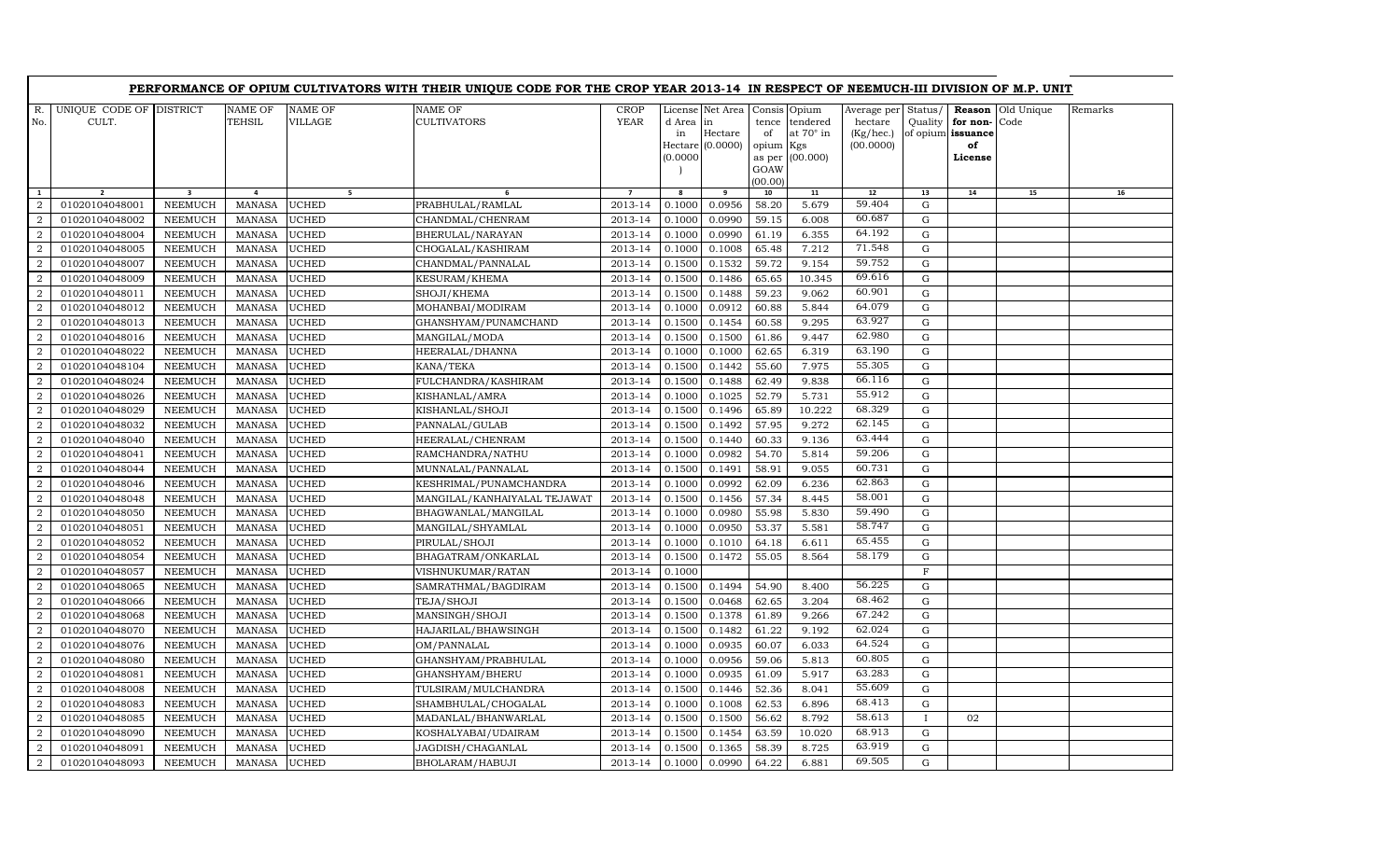|                |                         |                         |               |                | PERFORMANCE OF OPIUM CULTIVATORS WITH THEIR UNIQUE CODE FOR THE CROP YEAR 2013-14 IN RESPECT OF NEEMUCH-III DIVISION OF M.P. UNIT |                |           |                                   |           |                  |                     |                   |          |            |         |
|----------------|-------------------------|-------------------------|---------------|----------------|-----------------------------------------------------------------------------------------------------------------------------------|----------------|-----------|-----------------------------------|-----------|------------------|---------------------|-------------------|----------|------------|---------|
| R.             | UNIQUE CODE OF DISTRICT |                         | NAME OF       | <b>NAME OF</b> | NAME OF                                                                                                                           | <b>CROP</b>    |           | License Net Area   Consis   Opium |           |                  | Average per Status/ |                   | Reason   | Old Unique | Remarks |
| No.            | CULT.                   |                         | TEHSIL        | <b>VILLAGE</b> | <b>CULTIVATORS</b>                                                                                                                | <b>YEAR</b>    | d Area in |                                   |           | tence tendered   | hectare             | Quality           | for non- | Code       |         |
|                |                         |                         |               |                |                                                                                                                                   |                | in        | Hectare                           | of        | at $70^\circ$ in | (Kg/hec.)           | of opium issuance |          |            |         |
|                |                         |                         |               |                |                                                                                                                                   |                |           | Hectare (0.0000)                  | opium Kgs |                  | (00.0000)           |                   | of       |            |         |
|                |                         |                         |               |                |                                                                                                                                   |                | (0.0000)  |                                   | GOAW      | as per (00.000)  |                     |                   | License  |            |         |
|                |                         |                         |               |                |                                                                                                                                   |                |           |                                   | (00.00)   |                  |                     |                   |          |            |         |
| 1              | $\overline{2}$          | $\overline{\mathbf{3}}$ | 4             | 5 <sub>1</sub> | 6                                                                                                                                 | $\overline{7}$ | 8         | 9                                 | 10        | 11               | 12                  | 13                | 14       | 15         | 16      |
| $\mathcal{D}$  | 01020104048001          | <b>NEEMUCH</b>          | <b>MANASA</b> | <b>UCHED</b>   | PRABHULAL/RAMLAL                                                                                                                  | 2013-14        | 0.1000    | 0.0956                            | 58.20     | 5.679            | 59.404              | G                 |          |            |         |
| 2              | 01020104048002          | <b>NEEMUCH</b>          | MANASA        | <b>UCHED</b>   | CHANDMAL/CHENRAM                                                                                                                  | 2013-14        | 0.1000    | 0.0990                            | 59.15     | 6.008            | 60.687              | G                 |          |            |         |
| $\overline{2}$ | 01020104048004          | <b>NEEMUCH</b>          | <b>MANASA</b> | <b>UCHED</b>   | BHERULAL/NARAYAN                                                                                                                  | 2013-14        | 0.1000    | 0.0990                            | 61.19     | 6.355            | 64.192              | $\mathbf G$       |          |            |         |
| $\overline{a}$ | 01020104048005          | NEEMUCH                 | <b>MANASA</b> | <b>UCHED</b>   | CHOGALAL/KASHIRAM                                                                                                                 | 2013-14        | 0.1000    | 0.1008                            | 65.48     | 7.212            | 71.548              | $\mathbf G$       |          |            |         |
| 2              | 01020104048007          | <b>NEEMUCH</b>          | MANASA        | <b>UCHED</b>   | CHANDMAL/PANNALAL                                                                                                                 | 2013-14        | 0.1500    | 0.1532                            | 59.72     | 9.154            | 59.752              | $\mathbf G$       |          |            |         |
| $\overline{2}$ | 01020104048009          | <b>NEEMUCH</b>          | <b>MANASA</b> | <b>UCHED</b>   | KESURAM/KHEMA                                                                                                                     | 2013-14        | 0.1500    | 0.1486                            | 65.65     | 10.345           | 69.616              | $\mathbf G$       |          |            |         |
| $\overline{2}$ | 01020104048011          | <b>NEEMUCH</b>          | <b>MANASA</b> | <b>UCHED</b>   | SHOJI/KHEMA                                                                                                                       | 2013-14        | 0.1500    | 0.1488                            | 59.23     | 9.062            | 60.901              | $\mathbf G$       |          |            |         |
| 2              | 01020104048012          | <b>NEEMUCH</b>          | <b>MANASA</b> | <b>UCHED</b>   | MOHANBAI/MODIRAM                                                                                                                  | 2013-14        | 0.1000    | 0.0912                            | 60.88     | 5.844            | 64.079              | $\mathbf G$       |          |            |         |
| 2              | 01020104048013          | <b>NEEMUCH</b>          | <b>MANASA</b> | <b>UCHED</b>   | GHANSHYAM/PUNAMCHAND                                                                                                              | 2013-14        | 0.1500    | 0.1454                            | 60.58     | 9.295            | 63.927              | $\mathbf G$       |          |            |         |
| 2              | 01020104048016          | <b>NEEMUCH</b>          | MANASA        | <b>UCHED</b>   | MANGILAL/MODA                                                                                                                     | 2013-14        | 0.1500    | 0.1500                            | 61.86     | 9.447            | 62.980              | G                 |          |            |         |
| <sup>2</sup>   | 01020104048022          | <b>NEEMUCH</b>          | <b>MANASA</b> | <b>UCHED</b>   | HEERALAL/DHANNA                                                                                                                   | 2013-14        | 0.1000    | 0.1000                            | 62.65     | 6.319            | 63.190              | $\mathbf G$       |          |            |         |
| $\overline{2}$ | 01020104048104          | <b>NEEMUCH</b>          | <b>MANASA</b> | <b>UCHED</b>   | KANA/TEKA                                                                                                                         | 2013-14        | 0.1500    | 0.1442                            | 55.60     | 7.975            | 55.305              | ${\bf G}$         |          |            |         |
| 2              | 01020104048024          | <b>NEEMUCH</b>          | <b>MANASA</b> | <b>UCHED</b>   | FULCHANDRA/KASHIRAM                                                                                                               | 2013-14        | 0.1500    | 0.1488                            | 62.49     | 9.838            | 66.116              | ${\rm G}$         |          |            |         |
| 2              | 01020104048026          | <b>NEEMUCH</b>          | <b>MANASA</b> | <b>UCHED</b>   | KISHANLAL/AMRA                                                                                                                    | 2013-14        | 0.1000    | 0.1025                            | 52.79     | 5.731            | 55.912              | $\mathbf G$       |          |            |         |
| 2              | 01020104048029          | <b>NEEMUCH</b>          | <b>MANASA</b> | <b>UCHED</b>   | KISHANLAL/SHOJI                                                                                                                   | 2013-14        | 0.1500    | 0.1496                            | 65.89     | 10.222           | 68.329              | G                 |          |            |         |
| $\overline{2}$ | 01020104048032          | <b>NEEMUCH</b>          | <b>MANASA</b> | <b>UCHED</b>   | PANNALAL/GULAB                                                                                                                    | 2013-14        | 0.1500    | 0.1492                            | 57.95     | 9.272            | 62.145              | $\mathbf G$       |          |            |         |
| $\overline{2}$ | 01020104048040          | <b>NEEMUCH</b>          | <b>MANASA</b> | <b>UCHED</b>   | HEERALAL/CHENRAM                                                                                                                  | 2013-14        | 0.1500    | 0.1440                            | 60.33     | 9.136            | 63.444              | $\mathbf G$       |          |            |         |
| 2              | 01020104048041          | <b>NEEMUCH</b>          | <b>MANASA</b> | <b>UCHED</b>   | RAMCHANDRA/NATHU                                                                                                                  | 2013-14        | 0.1000    | 0.0982                            | 54.70     | 5.814            | 59.206              | G                 |          |            |         |
| 2              | 01020104048044          | <b>NEEMUCH</b>          | <b>MANASA</b> | <b>UCHED</b>   | MUNNALAL/PANNALAL                                                                                                                 | 2013-14        | 0.1500    | 0.1491                            | 58.91     | 9.055            | 60.731              | $\mathbf G$       |          |            |         |
| 2              | 01020104048046          | <b>NEEMUCH</b>          | <b>MANASA</b> | <b>UCHED</b>   | KESHRIMAL/PUNAMCHANDRA                                                                                                            | 2013-14        | 0.1000    | 0.0992                            | 62.09     | 6.236            | 62.863              | ${\bf G}$         |          |            |         |
| 2              | 01020104048048          | <b>NEEMUCH</b>          | MANASA        | <b>UCHED</b>   | MANGILAL/KANHAIYALAL TEJAWAT                                                                                                      | 2013-14        | 0.1500    | 0.1456                            | 57.34     | 8.445            | 58.001              | $\mathbf G$       |          |            |         |
| $\overline{2}$ | 01020104048050          | <b>NEEMUCH</b>          | <b>MANASA</b> | <b>UCHED</b>   | BHAGWANLAL/MANGILAL                                                                                                               | 2013-14        | 0.1000    | 0.0980                            | 55.98     | 5.830            | 59.490              | ${\bf G}$         |          |            |         |
| $\overline{2}$ | 01020104048051          | <b>NEEMUCH</b>          | <b>MANASA</b> | <b>UCHED</b>   | MANGILAL/SHYAMLAL                                                                                                                 | 2013-14        | 0.1000    | 0.0950                            | 53.37     | 5.581            | 58.747              | ${\bf G}$         |          |            |         |
| 2              | 01020104048052          | <b>NEEMUCH</b>          | <b>MANASA</b> | <b>UCHED</b>   | PIRULAL/SHOJI                                                                                                                     | 2013-14        | 0.1000    | 0.1010                            | 64.18     | 6.611            | 65.455              | $\mathbf G$       |          |            |         |
| $\overline{2}$ | 01020104048054          | <b>NEEMUCH</b>          | <b>MANASA</b> | <b>UCHED</b>   | BHAGATRAM/ONKARLAL                                                                                                                | 2013-14        | 0.1500    | 0.1472                            | 55.05     | 8.564            | 58.179              | ${\bf G}$         |          |            |         |
| 2              | 01020104048057          | <b>NEEMUCH</b>          | MANASA        | <b>UCHED</b>   | VISHNUKUMAR/RATAN                                                                                                                 | 2013-14        | 0.1000    |                                   |           |                  |                     | $\mathbf F$       |          |            |         |
| $\overline{2}$ | 01020104048065          | <b>NEEMUCH</b>          | <b>MANASA</b> | <b>UCHED</b>   | SAMRATHMAL/BAGDIRAM                                                                                                               | 2013-14        | 0.1500    | 0.1494                            | 54.90     | 8.400            | 56.225              | G                 |          |            |         |
| $\overline{2}$ | 01020104048066          | <b>NEEMUCH</b>          | <b>MANASA</b> | <b>UCHED</b>   | TEJA/SHOJI                                                                                                                        | 2013-14        | 0.1500    | 0.0468                            | 62.65     | 3.204            | 68.462              | ${\bf G}$         |          |            |         |
| 2              | 01020104048068          | <b>NEEMUCH</b>          | <b>MANASA</b> | <b>UCHED</b>   | MANSINGH/SHOJI                                                                                                                    | 2013-14        | 0.1500    | 0.1378                            | 61.89     | 9.266            | 67.242              | $\mathbf G$       |          |            |         |
| 2              | 01020104048070          | <b>NEEMUCH</b>          | <b>MANASA</b> | <b>UCHED</b>   | HAJARILAL/BHAWSINGH                                                                                                               | 2013-14        | 0.1500    | 0.1482                            | 61.22     | 9.192            | 62.024              | $\mathbf G$       |          |            |         |
| 2              | 01020104048076          | <b>NEEMUCH</b>          | <b>MANASA</b> | <b>UCHED</b>   | OM/PANNALAL                                                                                                                       | 2013-14        | 0.1000    | 0.0935                            | 60.07     | 6.033            | 64.524              | ${\bf G}$         |          |            |         |
| $\overline{2}$ | 01020104048080          | <b>NEEMUCH</b>          | <b>MANASA</b> | <b>UCHED</b>   | GHANSHYAM/PRABHULAL                                                                                                               | 2013-14        | 0.1000    | 0.0956                            | 59.06     | 5.813            | 60.805              | G                 |          |            |         |
| $\overline{2}$ | 01020104048081          | <b>NEEMUCH</b>          | <b>MANASA</b> | <b>UCHED</b>   | GHANSHYAM/BHERU                                                                                                                   | 2013-14        | 0.1000    | 0.0935                            | 61.09     | 5.917            | 63.283              | ${\bf G}$         |          |            |         |
| $\mathbf{2}$   | 01020104048008          | <b>NEEMUCH</b>          | <b>MANASA</b> | <b>UCHED</b>   | TULSIRAM/MULCHANDRA                                                                                                               | 2013-14        | 0.1500    | 0.1446                            | 52.36     | 8.041            | 55.609              | ${\rm G}$         |          |            |         |
| 2              | 01020104048083          | <b>NEEMUCH</b>          | MANASA        | <b>UCHED</b>   | SHAMBHULAL/CHOGALAL                                                                                                               | 2013-14        | 0.1000    | 0.1008                            | 62.53     | 6.896            | 68.413              | ${\rm G}$         |          |            |         |
| 2              | 01020104048085          | <b>NEEMUCH</b>          | <b>MANASA</b> | <b>UCHED</b>   | MADANLAL/BHANWARLAL                                                                                                               | 2013-14        | 0.1500    | 0.1500                            | 56.62     | 8.792            | 58.613              | $\mathbf{I}$      | 02       |            |         |
| 2              | 01020104048090          | <b>NEEMUCH</b>          | <b>MANASA</b> | <b>UCHED</b>   | KOSHALYABAI/UDAIRAM                                                                                                               | 2013-14        | 0.1500    | 0.1454                            | 63.59     | 10.020           | 68.913              | G                 |          |            |         |
| $\overline{2}$ | 01020104048091          | <b>NEEMUCH</b>          | <b>MANASA</b> | <b>UCHED</b>   | JAGDISH/CHAGANLAL                                                                                                                 | 2013-14        | 0.1500    | 0.1365                            | 58.39     | 8.725            | 63.919              | $\mathbf G$       |          |            |         |
| $\overline{a}$ | 01020104048093          | <b>NEEMUCH</b>          | MANASA        | <b>UCHED</b>   | BHOLARAM/HABUJI                                                                                                                   | 2013-14        | 0.1000    | 0.0990                            | 64.22     | 6.881            | 69.505              | $\mathbf G$       |          |            |         |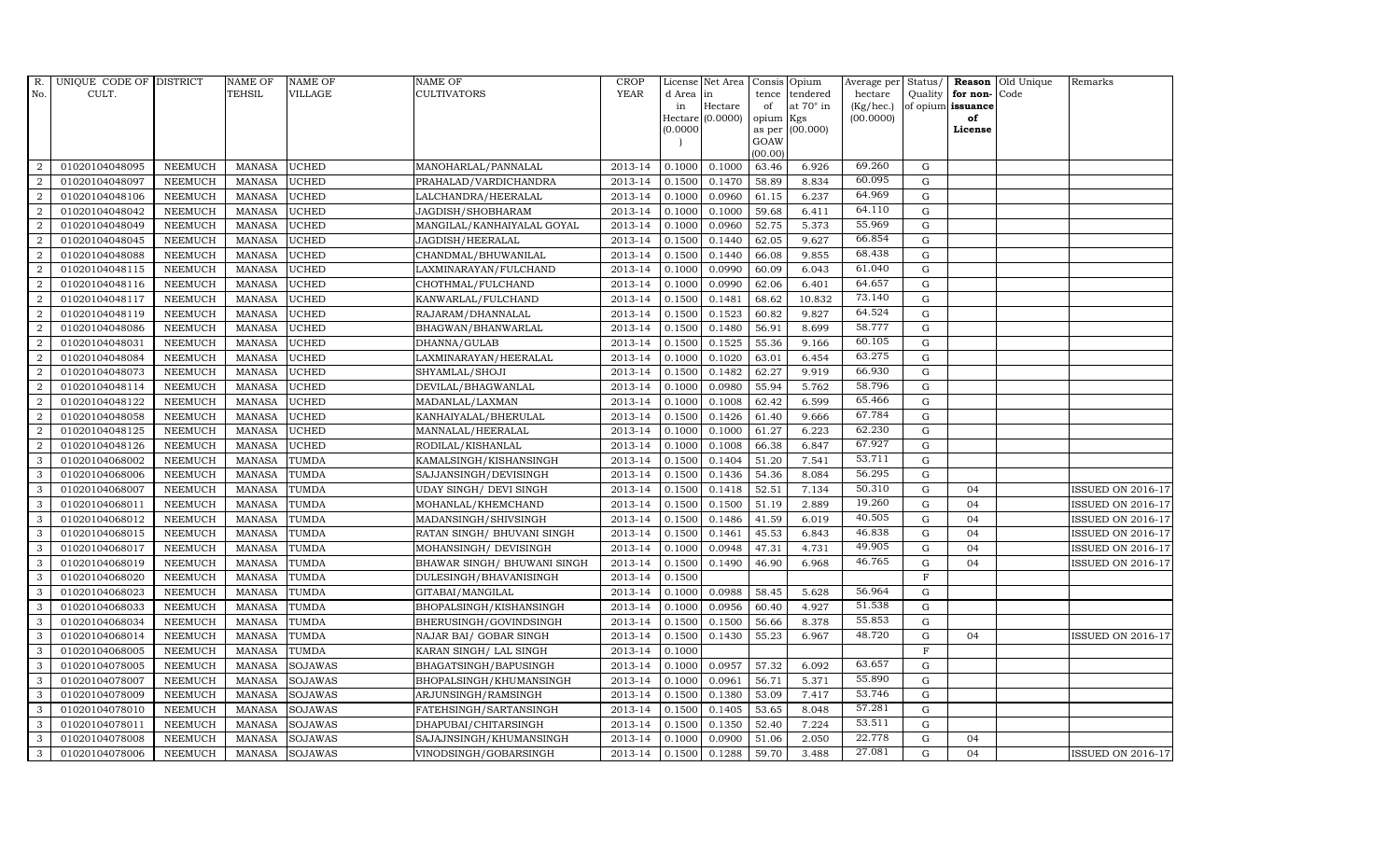| R.             | UNIQUE CODE OF DISTRICT |                | <b>NAME OF</b> | <b>NAME OF</b> | <b>NAME OF</b>                | CROP        |           | License Net Area   Consis   Opium |           |                  | Average per | Status/     | Reason            | Old Unique | Remarks                  |
|----------------|-------------------------|----------------|----------------|----------------|-------------------------------|-------------|-----------|-----------------------------------|-----------|------------------|-------------|-------------|-------------------|------------|--------------------------|
| No.            | CULT.                   |                | <b>TEHSIL</b>  | <b>VILLAGE</b> | <b>CULTIVATORS</b>            | <b>YEAR</b> | d Area in |                                   | tence     | tendered         | hectare     | Quality     | for non-          | Code       |                          |
|                |                         |                |                |                |                               |             | in        | Hectare                           | of        | at $70^\circ$ in | (Kg/hec.)   |             | of opium issuance |            |                          |
|                |                         |                |                |                |                               |             |           | Hectare (0.0000)                  | opium Kgs |                  | (00.0000)   |             | of                |            |                          |
|                |                         |                |                |                |                               |             | (0.0000)  |                                   | GOAW      | as per (00.000)  |             |             | License           |            |                          |
|                |                         |                |                |                |                               |             |           |                                   | (00.00)   |                  |             |             |                   |            |                          |
| $\overline{2}$ | 01020104048095          | <b>NEEMUCH</b> | MANASA         | <b>UCHED</b>   | MANOHARLAL/PANNALAL           | 2013-14     | 0.1000    | 0.1000                            | 63.46     | 6.926            | 69.260      | $\mathbf G$ |                   |            |                          |
| $\overline{2}$ | 01020104048097          | <b>NEEMUCH</b> | <b>MANASA</b>  | <b>UCHED</b>   | PRAHALAD/VARDICHANDRA         | 2013-14     | 0.1500    | 0.1470                            | 58.89     | 8.834            | 60.095      | $\mathbf G$ |                   |            |                          |
| 2              | 01020104048106          | <b>NEEMUCH</b> | <b>MANASA</b>  | <b>UCHED</b>   | LALCHANDRA/HEERALAL           | 2013-14     | 0.1000    | 0.0960                            | 61.15     | 6.237            | 64.969      | G           |                   |            |                          |
| $\overline{2}$ | 01020104048042          | <b>NEEMUCH</b> | <b>MANASA</b>  | <b>UCHED</b>   | JAGDISH/SHOBHARAM             | 2013-14     | 0.1000    | 0.1000                            | 59.68     | 6.411            | 64.110      | $\mathbf G$ |                   |            |                          |
| $\overline{a}$ | 01020104048049          | <b>NEEMUCH</b> | <b>MANASA</b>  | <b>UCHED</b>   | MANGILAL/KANHAIYALAL GOYAL    | 2013-14     | 0.1000    | 0.0960                            | 52.75     | 5.373            | 55.969      | ${\rm G}$   |                   |            |                          |
| 2              | 01020104048045          | <b>NEEMUCH</b> | MANASA         | <b>UCHED</b>   | JAGDISH/HEERALAL              | 2013-14     | 0.1500    | 0.1440                            | 62.05     | 9.627            | 66.854      | $\mathbf G$ |                   |            |                          |
| 2              | 01020104048088          | <b>NEEMUCH</b> | <b>MANASA</b>  | <b>UCHED</b>   | CHANDMAL/BHUWANILAL           | 2013-14     | 0.1500    | 0.1440                            | 66.08     | 9.855            | 68.438      | $\mathbf G$ |                   |            |                          |
| $\overline{2}$ | 01020104048115          | <b>NEEMUCH</b> | <b>MANASA</b>  | <b>UCHED</b>   | LAXMINARAYAN/FULCHAND         | 2013-14     | 0.1000    | 0.0990                            | 60.09     | 6.043            | 61.040      | $\mathbf G$ |                   |            |                          |
| $\overline{2}$ | 01020104048116          | <b>NEEMUCH</b> | <b>MANASA</b>  | <b>UCHED</b>   | CHOTHMAL/FULCHAND             | 2013-14     | 0.1000    | 0.0990                            | 62.06     | 6.401            | 64.657      | $\mathbf G$ |                   |            |                          |
| $\overline{2}$ | 01020104048117          | <b>NEEMUCH</b> | <b>MANASA</b>  | <b>UCHED</b>   | KANWARLAL/FULCHAND            | 2013-14     | 0.1500    | 0.1481                            | 68.62     | 10.832           | 73.140      | $\mathbf G$ |                   |            |                          |
| $\overline{a}$ | 01020104048119          | <b>NEEMUCH</b> | <b>MANASA</b>  | <b>UCHED</b>   | RAJARAM/DHANNALAL             | 2013-14     | 0.1500    | 0.1523                            | 60.82     | 9.827            | 64.524      | ${\rm G}$   |                   |            |                          |
| $\overline{2}$ | 01020104048086          | <b>NEEMUCH</b> | <b>MANASA</b>  | <b>UCHED</b>   | BHAGWAN/BHANWARLAL            | 2013-14     | 0.1500    | 0.1480                            | 56.91     | 8.699            | 58.777      | $\mathbf G$ |                   |            |                          |
| 2              | 01020104048031          | <b>NEEMUCH</b> | <b>MANASA</b>  | <b>UCHED</b>   | DHANNA/GULAB                  | 2013-14     | 0.1500    | 0.1525                            | 55.36     | 9.166            | 60.105      | $\mathbf G$ |                   |            |                          |
| $\overline{2}$ | 01020104048084          | <b>NEEMUCH</b> | <b>MANASA</b>  | <b>UCHED</b>   | LAXMINARAYAN/HEERALAL         | 2013-14     | 0.1000    | 0.1020                            | 63.01     | 6.454            | 63.275      | G           |                   |            |                          |
| $\overline{2}$ | 01020104048073          | <b>NEEMUCH</b> | <b>MANASA</b>  | <b>UCHED</b>   | SHYAMLAL/SHOJI                | 2013-14     | 0.1500    | 0.1482                            | 62.27     | 9.919            | 66.930      | ${\rm G}$   |                   |            |                          |
| $\overline{a}$ | 01020104048114          | <b>NEEMUCH</b> | <b>MANASA</b>  | <b>UCHED</b>   | DEVILAL/BHAGWANLAL            | 2013-14     | 0.1000    | 0.0980                            | 55.94     | 5.762            | 58.796      | ${\rm G}$   |                   |            |                          |
| 2              | 01020104048122          | <b>NEEMUCH</b> | <b>MANASA</b>  | <b>UCHED</b>   | MADANLAL/LAXMAN               | 2013-14     | 0.1000    | 0.1008                            | 62.42     | 6.599            | 65.466      | G           |                   |            |                          |
| 2              | 01020104048058          | <b>NEEMUCH</b> | <b>MANASA</b>  | <b>UCHED</b>   | KANHAIYALAL/BHERULAL          | 2013-14     | 0.1500    | 0.1426                            | 61.40     | 9.666            | 67.784      | $\mathbf G$ |                   |            |                          |
| $\overline{2}$ | 01020104048125          | <b>NEEMUCH</b> | <b>MANASA</b>  | <b>UCHED</b>   | MANNALAL/HEERALAL             | 2013-14     | 0.1000    | 0.1000                            | 61.27     | 6.223            | 62.230      | $\mathbf G$ |                   |            |                          |
| $\overline{2}$ | 01020104048126          | <b>NEEMUCH</b> | <b>MANASA</b>  | <b>UCHED</b>   | RODILAL/KISHANLAL             | 2013-14     | 0.1000    | 0.1008                            | 66.38     | 6.847            | 67.927      | $\mathbf G$ |                   |            |                          |
| $\mathbf{3}$   | 01020104068002          | <b>NEEMUCH</b> | <b>MANASA</b>  | <b>TUMDA</b>   | KAMALSINGH/KISHANSINGH        | 2013-14     | 0.1500    | 0.1404                            | 51.20     | 7.541            | 53.711      | ${\rm G}$   |                   |            |                          |
| 3              | 01020104068006          | NEEMUCH        | <b>MANASA</b>  | TUMDA          | SAJJANSINGH/DEVISINGH         | 2013-14     | 0.1500    | 0.1436                            | 54.36     | 8.084            | 56.295      | ${\rm G}$   |                   |            |                          |
| $\mathbf{3}$   | 01020104068007          | <b>NEEMUCH</b> | <b>MANASA</b>  | TUMDA          | <b>UDAY SINGH/ DEVI SINGH</b> | 2013-14     | 0.1500    | 0.1418                            | 52.51     | 7.134            | 50.310      | G           | 04                |            | <b>ISSUED ON 2016-17</b> |
| 3              | 01020104068011          | <b>NEEMUCH</b> | <b>MANASA</b>  | <b>TUMDA</b>   | MOHANLAL/KHEMCHAND            | 2013-14     | 0.1500    | 0.1500                            | 51.19     | 2.889            | 19.260      | $\mathbf G$ | 04                |            | <b>ISSUED ON 2016-17</b> |
| 3              | 01020104068012          | <b>NEEMUCH</b> | <b>MANASA</b>  | TUMDA          | MADANSINGH/SHIVSINGH          | 2013-14     | 0.1500    | 0.1486                            | 41.59     | 6.019            | 40.505      | $\mathbf G$ | 04                |            | <b>ISSUED ON 2016-17</b> |
| 3              | 01020104068015          | <b>NEEMUCH</b> | <b>MANASA</b>  | TUMDA          | RATAN SINGH/ BHUVANI SINGH    | 2013-14     | 0.1500    | 0.1461                            | 45.53     | 6.843            | 46.838      | G           | 04                |            | <b>ISSUED ON 2016-17</b> |
| 3              | 01020104068017          | <b>NEEMUCH</b> | <b>MANASA</b>  | <b>TUMDA</b>   | MOHANSINGH/ DEVISINGH         | 2013-14     | 0.1000    | 0.0948                            | 47.31     | 4.731            | 49.905      | $\mathbf G$ | 04                |            | <b>ISSUED ON 2016-17</b> |
| 3              | 01020104068019          | <b>NEEMUCH</b> | <b>MANASA</b>  | TUMDA          | BHAWAR SINGH/ BHUWANI SINGH   | 2013-14     | 0.1500    | 0.1490                            | 46.90     | 6.968            | 46.765      | $\mathbf G$ | 04                |            | <b>ISSUED ON 2016-17</b> |
| 3              | 01020104068020          | <b>NEEMUCH</b> | <b>MANASA</b>  | <b>TUMDA</b>   | DULESINGH/BHAVANISINGH        | 2013-14     | 0.1500    |                                   |           |                  |             | $\mathbf F$ |                   |            |                          |
| 3              | 01020104068023          | <b>NEEMUCH</b> | <b>MANASA</b>  | <b>TUMDA</b>   | GITABAI/MANGILAL              | 2013-14     | 0.1000    | 0.0988                            | 58.45     | 5.628            | 56.964      | $\mathbf G$ |                   |            |                          |
| 3              | 01020104068033          | <b>NEEMUCH</b> | <b>MANASA</b>  | TUMDA          | BHOPALSINGH/KISHANSINGH       | 2013-14     | 0.1000    | 0.0956                            | 60.40     | 4.927            | 51.538      | G           |                   |            |                          |
| 3              | 01020104068034          | <b>NEEMUCH</b> | <b>MANASA</b>  | <b>TUMDA</b>   | BHERUSINGH/GOVINDSINGH        | 2013-14     | 0.1500    | 0.1500                            | 56.66     | 8.378            | 55.853      | ${\rm G}$   |                   |            |                          |
| 3              | 01020104068014          | <b>NEEMUCH</b> | MANASA         | TUMDA          | NAJAR BAI/ GOBAR SINGH        | 2013-14     | 0.1500    | 0.1430                            | 55.23     | 6.967            | 48.720      | $\mathbf G$ | 04                |            | <b>ISSUED ON 2016-17</b> |
| 3              | 01020104068005          | <b>NEEMUCH</b> | <b>MANASA</b>  | <b>TUMDA</b>   | KARAN SINGH/ LAL SINGH        | 2013-14     | 0.1000    |                                   |           |                  |             | $\mathbf F$ |                   |            |                          |
| 3              | 01020104078005          | <b>NEEMUCH</b> | <b>MANASA</b>  | <b>SOJAWAS</b> | BHAGATSINGH/BAPUSINGH         | 2013-14     | 0.1000    | 0.0957                            | 57.32     | 6.092            | 63.657      | $\mathbf G$ |                   |            |                          |
| 3              | 01020104078007          | <b>NEEMUCH</b> | <b>MANASA</b>  | SOJAWAS        | BHOPALSINGH/KHUMANSINGH       | 2013-14     | 0.1000    | 0.0961                            | 56.71     | 5.371            | 55.890      | ${\rm G}$   |                   |            |                          |
| 3              | 01020104078009          | <b>NEEMUCH</b> | <b>MANASA</b>  | <b>SOJAWAS</b> | ARJUNSINGH/RAMSINGH           | 2013-14     | 0.1500    | 0.1380                            | 53.09     | 7.417            | 53.746      | ${\rm G}$   |                   |            |                          |
| 3              | 01020104078010          | <b>NEEMUCH</b> | <b>MANASA</b>  | SOJAWAS        | FATEHSINGH/SARTANSINGH        | 2013-14     | 0.1500    | 0.1405                            | 53.65     | 8.048            | 57.281      | ${\rm G}$   |                   |            |                          |
| 3              | 01020104078011          | <b>NEEMUCH</b> | <b>MANASA</b>  | <b>SOJAWAS</b> | DHAPUBAI/CHITARSINGH          | 2013-14     | 0.1500    | 0.1350                            | 52.40     | 7.224            | 53.511      | $\mathbf G$ |                   |            |                          |
| 3              | 01020104078008          | <b>NEEMUCH</b> | <b>MANASA</b>  | <b>SOJAWAS</b> | SAJAJNSINGH/KHUMANSINGH       | 2013-14     | 0.1000    | 0.0900                            | 51.06     | 2.050            | 22.778      | $\mathbf G$ | 04                |            |                          |
| 3              | 01020104078006          | <b>NEEMUCH</b> | MANASA         | <b>SOJAWAS</b> | VINODSINGH/GOBARSINGH         | 2013-14     | 0.1500    | 0.1288                            | 59.70     | 3.488            | 27.081      | G           | 0 <sub>4</sub>    |            | <b>ISSUED ON 2016-17</b> |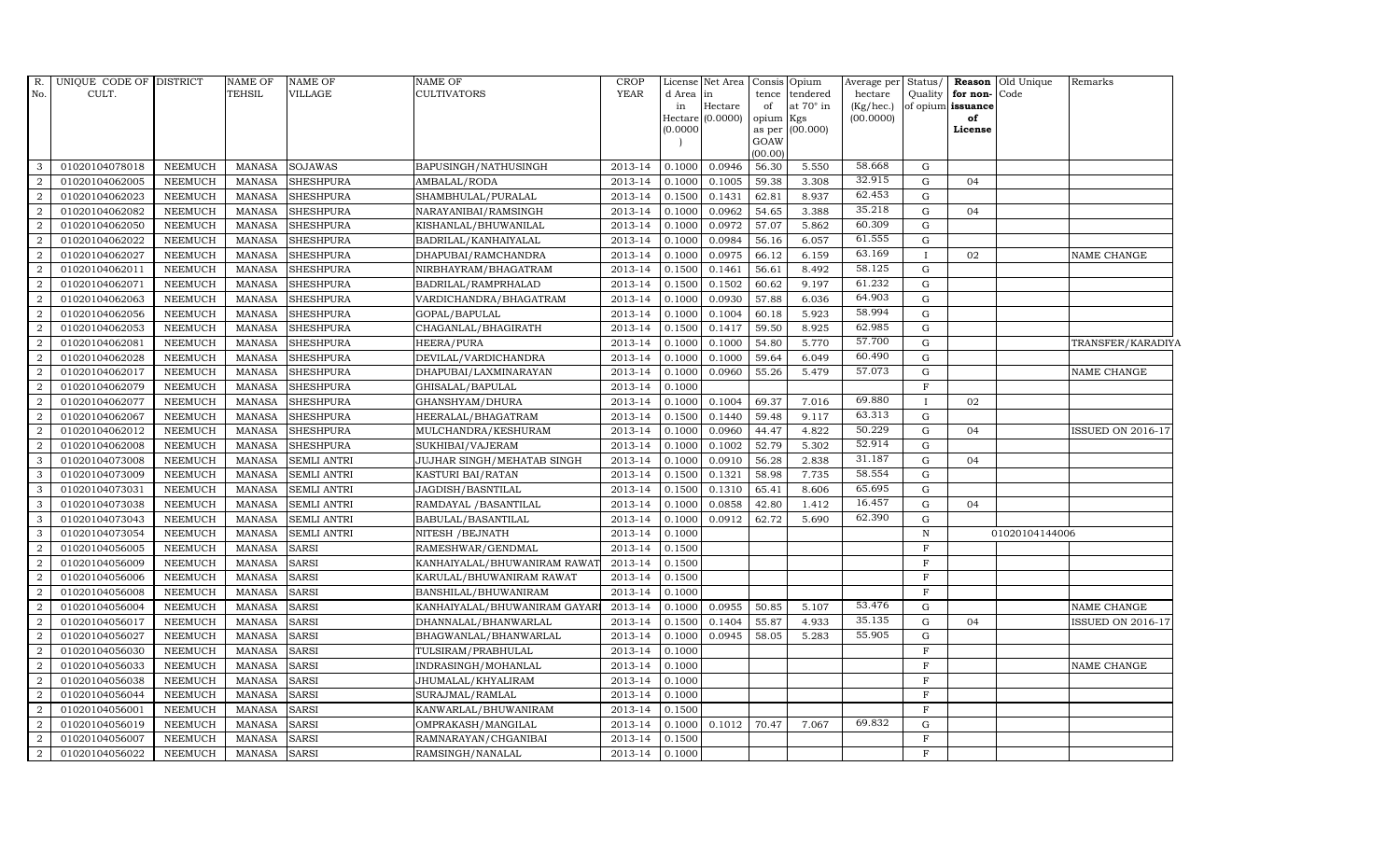| R.             | UNIQUE CODE OF DISTRICT |                | <b>NAME OF</b> | NAME OF            | <b>NAME OF</b>               | <b>CROP</b> |          | License Net Area Consis Opium |                 |                  | Average per Status/    |                   |                      | <b>Reason</b> Old Unique | Remarks                  |
|----------------|-------------------------|----------------|----------------|--------------------|------------------------------|-------------|----------|-------------------------------|-----------------|------------------|------------------------|-------------------|----------------------|--------------------------|--------------------------|
| No.            | CULT.                   |                | <b>TEHSIL</b>  | VILLAGE            | <b>CULTIVATORS</b>           | <b>YEAR</b> | d Area   | in                            | tence           | tendered         | hectare                |                   | Quality for non-Code |                          |                          |
|                |                         |                |                |                    |                              |             | in       | Hectare<br>Hectare (0.0000)   | of<br>opium Kgs | at $70^\circ$ in | (Kg/hec.)<br>(00.0000) | of opium issuance | of                   |                          |                          |
|                |                         |                |                |                    |                              |             | (0.0000) |                               | as per          | (00.000)         |                        |                   | License              |                          |                          |
|                |                         |                |                |                    |                              |             |          |                               | GOAW            |                  |                        |                   |                      |                          |                          |
|                |                         |                |                |                    |                              |             |          |                               | (00.00)         |                  |                        |                   |                      |                          |                          |
| 3              | 01020104078018          | NEEMUCH        | MANASA         | <b>SOJAWAS</b>     | BAPUSINGH/NATHUSINGH         | 2013-14     | 0.1000   | 0.0946                        | 56.30           | 5.550            | 58.668                 | G                 |                      |                          |                          |
| $\overline{2}$ | 01020104062005          | NEEMUCH        | <b>MANASA</b>  | <b>SHESHPURA</b>   | AMBALAL/RODA                 | 2013-14     | 0.1000   | 0.1005                        | 59.38           | 3.308            | 32.915                 | G                 | 04                   |                          |                          |
| $\overline{2}$ | 01020104062023          | NEEMUCH        | <b>MANASA</b>  | <b>SHESHPURA</b>   | SHAMBHULAL/PURALAL           | 2013-14     | 0.1500   | 0.1431                        | 62.81           | 8.937            | 62.453                 | G                 |                      |                          |                          |
| $\overline{2}$ | 01020104062082          | <b>NEEMUCH</b> | <b>MANASA</b>  | <b>SHESHPURA</b>   | NARAYANIBAI/RAMSINGH         | 2013-14     | 0.1000   | 0.0962                        | 54.65           | 3.388            | 35.218                 | $\mathbf G$       | 04                   |                          |                          |
| $\overline{2}$ | 01020104062050          | NEEMUCH        | <b>MANASA</b>  | <b>SHESHPURA</b>   | KISHANLAL/BHUWANILAL         | 2013-14     | 0.1000   | 0.0972                        | 57.07           | 5.862            | 60.309                 | G                 |                      |                          |                          |
| 2              | 01020104062022          | NEEMUCH        | <b>MANASA</b>  | <b>SHESHPURA</b>   | BADRILAL/KANHAIYALAL         | 2013-14     | 0.1000   | 0.0984                        | 56.16           | 6.057            | 61.555                 | G                 |                      |                          |                          |
| 2              | 01020104062027          | <b>NEEMUCH</b> | <b>MANASA</b>  | <b>SHESHPURA</b>   | DHAPUBAI/RAMCHANDRA          | 2013-14     | 0.1000   | 0.0975                        | 66.12           | 6.159            | 63.169                 | $\mathbf{I}$      | 02                   |                          | NAME CHANGE              |
| $\overline{2}$ | 01020104062011          | <b>NEEMUCH</b> | <b>MANASA</b>  | <b>SHESHPURA</b>   | NIRBHAYRAM/BHAGATRAM         | 2013-14     | 0.1500   | 0.1461                        | 56.61           | 8.492            | 58.125                 | G                 |                      |                          |                          |
| $\overline{2}$ | 01020104062071          | <b>NEEMUCH</b> | <b>MANASA</b>  | <b>SHESHPURA</b>   | BADRILAL/RAMPRHALAD          | 2013-14     | 0.1500   | 0.1502                        | 60.62           | 9.197            | 61.232                 | G                 |                      |                          |                          |
| $\overline{2}$ | 01020104062063          | NEEMUCH        | <b>MANASA</b>  | <b>SHESHPURA</b>   | VARDICHANDRA/BHAGATRAM       | 2013-14     | 0.1000   | 0.0930                        | 57.88           | 6.036            | 64.903                 | G                 |                      |                          |                          |
| 2              | 01020104062056          | NEEMUCH        | <b>MANASA</b>  | <b>SHESHPURA</b>   | GOPAL/BAPULAL                | 2013-14     | 0.1000   | 0.1004                        | 60.18           | 5.923            | 58.994                 | G                 |                      |                          |                          |
| $\overline{2}$ | 01020104062053          | NEEMUCH        | <b>MANASA</b>  | <b>SHESHPURA</b>   | CHAGANLAL/BHAGIRATH          | $2013 - 14$ | 0.1500   | 0.1417                        | 59.50           | 8.925            | 62.985                 | G                 |                      |                          |                          |
| 2              | 01020104062081          | NEEMUCH        | <b>MANASA</b>  | <b>SHESHPURA</b>   | HEERA/PURA                   | 2013-14     | 0.1000   | 0.1000                        | 54.80           | 5.770            | 57.700                 | G                 |                      |                          | TRANSFER/KARADIYA        |
| $\overline{2}$ | 01020104062028          | <b>NEEMUCH</b> | <b>MANASA</b>  | <b>SHESHPURA</b>   | DEVILAL/VARDICHANDRA         | 2013-14     | 0.1000   | 0.1000                        | 59.64           | 6.049            | 60.490                 | G                 |                      |                          |                          |
| $\overline{2}$ | 01020104062017          | <b>NEEMUCH</b> | <b>MANASA</b>  | <b>SHESHPURA</b>   | DHAPUBAI/LAXMINARAYAN        | 2013-14     | 0.1000   | 0.0960                        | 55.26           | 5.479            | 57.073                 | G                 |                      |                          | NAME CHANGE              |
| 2              | 01020104062079          | NEEMUCH        | <b>MANASA</b>  | <b>SHESHPURA</b>   | GHISALAL/BAPULAL             | 2013-14     | 0.1000   |                               |                 |                  |                        | $\rm F$           |                      |                          |                          |
| 2              | 01020104062077          | <b>NEEMUCH</b> | <b>MANASA</b>  | <b>SHESHPURA</b>   | GHANSHYAM/DHURA              | 2013-14     | 0.1000   | 0.1004                        | 69.37           | 7.016            | 69.880                 | $\mathbf{I}$      | 02                   |                          |                          |
| 2              | 01020104062067          | <b>NEEMUCH</b> | MANASA         | <b>SHESHPURA</b>   | HEERALAL/BHAGATRAM           | 2013-14     | 0.1500   | 0.1440                        | 59.48           | 9.117            | 63.313                 | G                 |                      |                          |                          |
| $\overline{2}$ | 01020104062012          | NEEMUCH        | <b>MANASA</b>  | <b>SHESHPURA</b>   | MULCHANDRA/KESHURAM          | 2013-14     | 0.1000   | 0.0960                        | 44.47           | 4.822            | 50.229                 | G                 | 04                   |                          | <b>ISSUED ON 2016-17</b> |
| 2              | 01020104062008          | <b>NEEMUCH</b> | <b>MANASA</b>  | <b>SHESHPURA</b>   | SUKHIBAI/VAJERAM             | 2013-14     | 0.1000   | 0.1002                        | 52.79           | 5.302            | 52.914                 | G                 |                      |                          |                          |
| 3              | 01020104073008          | NEEMUCH        | <b>MANASA</b>  | <b>SEMLI ANTRI</b> | JUJHAR SINGH/MEHATAB SINGH   | 2013-14     | 0.1000   | 0.0910                        | 56.28           | 2.838            | 31.187                 | G                 | 04                   |                          |                          |
| 3              | 01020104073009          | NEEMUCH        | <b>MANASA</b>  | <b>SEMLI ANTRI</b> | KASTURI BAI/RATAN            | 2013-14     | 0.1500   | 0.1321                        | 58.98           | 7.735            | 58.554                 | G                 |                      |                          |                          |
| 3              | 01020104073031          | <b>NEEMUCH</b> | <b>MANASA</b>  | <b>SEMLI ANTRI</b> | JAGDISH/BASNTILAL            | 2013-14     | 0.1500   | 0.1310                        | 65.41           | 8.606            | 65.695                 | G                 |                      |                          |                          |
| 3              | 01020104073038          | <b>NEEMUCH</b> | <b>MANASA</b>  | <b>SEMLI ANTRI</b> | RAMDAYAL / BASANTILAL        | 2013-14     | 0.1000   | 0.0858                        | 42.80           | 1.412            | 16.457                 | G                 | 04                   |                          |                          |
| 3              | 01020104073043          | <b>NEEMUCH</b> | <b>MANASA</b>  | <b>SEMLI ANTRI</b> | BABULAL/BASANTILAL           | 2013-14     | 0.1000   | 0.0912                        | 62.72           | 5.690            | 62.390                 | G                 |                      |                          |                          |
| 3              | 01020104073054          | <b>NEEMUCH</b> | <b>MANASA</b>  | <b>SEMLI ANTRI</b> | NITESH / BEJNATH             | 2013-14     | 0.1000   |                               |                 |                  |                        | N                 |                      | 01020104144006           |                          |
| 2              | 01020104056005          | <b>NEEMUCH</b> | <b>MANASA</b>  | <b>SARSI</b>       | RAMESHWAR/GENDMAL            | 2013-14     | 0.1500   |                               |                 |                  |                        | $\mathbf F$       |                      |                          |                          |
| 2              | 01020104056009          | <b>NEEMUCH</b> | <b>MANASA</b>  | SARSI              | KANHAIYALAL/BHUWANIRAM RAWAT | 2013-14     | 0.1500   |                               |                 |                  |                        | $\mathbf F$       |                      |                          |                          |
| 2              | 01020104056006          | NEEMUCH        | <b>MANASA</b>  | <b>SARSI</b>       | KARULAL/BHUWANIRAM RAWAT     | 2013-14     | 0.1500   |                               |                 |                  |                        | $\mathbf F$       |                      |                          |                          |
| $\overline{2}$ | 01020104056008          | <b>NEEMUCH</b> | <b>MANASA</b>  | <b>SARSI</b>       | BANSHILAL/BHUWANIRAM         | 2013-14     | 0.1000   |                               |                 |                  |                        | $\mathbf F$       |                      |                          |                          |
| $\overline{2}$ | 01020104056004          | <b>NEEMUCH</b> | <b>MANASA</b>  | <b>SARSI</b>       | KANHAIYALAL/BHUWANIRAM GAYAR | 2013-14     | 0.1000   | 0.0955                        | 50.85           | 5.107            | 53.476                 | G                 |                      |                          | NAME CHANGE              |
| 2              | 01020104056017          | <b>NEEMUCH</b> | <b>MANASA</b>  | <b>SARSI</b>       | DHANNALAL/BHANWARLAL         | 2013-14     | 0.1500   | 0.1404                        | 55.87           | 4.933            | 35.135                 | G                 | 04                   |                          | <b>ISSUED ON 2016-17</b> |
| 2              | 01020104056027          | NEEMUCH        | <b>MANASA</b>  | <b>SARSI</b>       | BHAGWANLAL/BHANWARLAL        | 2013-14     | 0.1000   | 0.0945                        | 58.05           | 5.283            | 55.905                 | G                 |                      |                          |                          |
| $\overline{2}$ | 01020104056030          | NEEMUCH        | <b>MANASA</b>  | <b>SARSI</b>       | TULSIRAM/PRABHULAL           | 2013-14     | 0.1000   |                               |                 |                  |                        | $\rm F$           |                      |                          |                          |
| $\overline{2}$ | 01020104056033          | <b>NEEMUCH</b> | <b>MANASA</b>  | <b>SARSI</b>       | INDRASINGH/MOHANLAL          | 2013-14     | 0.1000   |                               |                 |                  |                        | $\mathbf F$       |                      |                          | NAME CHANGE              |
| $\overline{2}$ | 01020104056038          | <b>NEEMUCH</b> | <b>MANASA</b>  | <b>SARSI</b>       | JHUMALAL/KHYALIRAM           | 2013-14     | 0.1000   |                               |                 |                  |                        | $\mathbf F$       |                      |                          |                          |
| $\overline{2}$ | 01020104056044          | <b>NEEMUCH</b> | <b>MANASA</b>  | <b>SARSI</b>       | SURAJMAL/RAMLAL              | 2013-14     | 0.1000   |                               |                 |                  |                        | $\mathbf F$       |                      |                          |                          |
| 2              | 01020104056001          | NEEMUCH        | <b>MANASA</b>  | <b>SARSI</b>       | KANWARLAL/BHUWANIRAM         | 2013-14     | 0.1500   |                               |                 |                  |                        | $\mathbf F$       |                      |                          |                          |
| 2              | 01020104056019          | <b>NEEMUCH</b> | <b>MANASA</b>  | <b>SARSI</b>       | OMPRAKASH/MANGILAL           | 2013-14     | 0.1000   | 0.1012                        | 70.47           | 7.067            | 69.832                 | G                 |                      |                          |                          |
| 2              | 01020104056007          | <b>NEEMUCH</b> | <b>MANASA</b>  | <b>SARSI</b>       | RAMNARAYAN/CHGANIBAI         | 2013-14     | 0.1500   |                               |                 |                  |                        | $\mathbf F$       |                      |                          |                          |
| $\overline{a}$ | 01020104056022          | NEEMUCH        | <b>MANASA</b>  | <b>SARSI</b>       | RAMSINGH/NANALAL             | 2013-14     | 0.1000   |                               |                 |                  |                        | F                 |                      |                          |                          |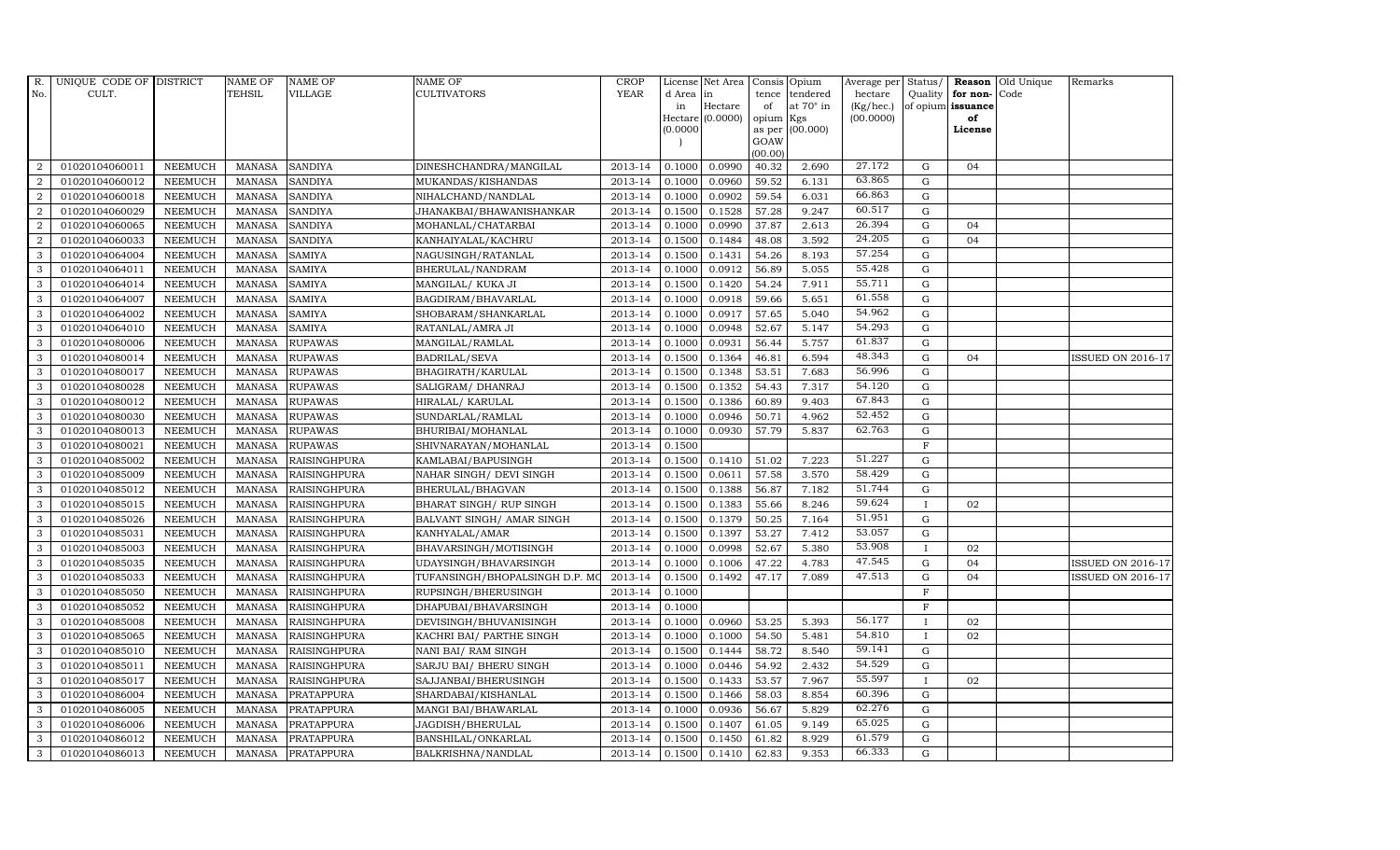| R.             | UNIQUE CODE OF DISTRICT |                | <b>NAME OF</b> | <b>NAME OF</b>      | <b>NAME OF</b>                 | CROP    |           | License Net Area   Consis   Opium |           |                  | Average per | Status/      | Reason            | Old Unique | Remarks                  |
|----------------|-------------------------|----------------|----------------|---------------------|--------------------------------|---------|-----------|-----------------------------------|-----------|------------------|-------------|--------------|-------------------|------------|--------------------------|
| No.            | CULT.                   |                | <b>TEHSIL</b>  | <b>VILLAGE</b>      | <b>CULTIVATORS</b>             | YEAR    | d Area in |                                   | tence     | tendered         | hectare     | Quality      | for non-          | Code       |                          |
|                |                         |                |                |                     |                                |         | in        | Hectare                           | of        | at $70^\circ$ in | (Kg/hec.)   |              | of opium issuance |            |                          |
|                |                         |                |                |                     |                                |         |           | Hectare (0.0000)                  | opium Kgs |                  | (00.0000)   |              | of<br>License     |            |                          |
|                |                         |                |                |                     |                                |         | (0.0000)  |                                   | GOAW      | as per (00.000)  |             |              |                   |            |                          |
|                |                         |                |                |                     |                                |         |           |                                   | (00.00)   |                  |             |              |                   |            |                          |
| $\overline{2}$ | 01020104060011          | <b>NEEMUCH</b> | MANASA         | <b>SANDIYA</b>      | DINESHCHANDRA/MANGILAL         | 2013-14 | 0.1000    | 0.0990                            | 40.32     | 2.690            | 27.172      | $\mathbf G$  | 04                |            |                          |
| $\overline{2}$ | 01020104060012          | <b>NEEMUCH</b> | MANASA         | <b>SANDIYA</b>      | MUKANDAS/KISHANDAS             | 2013-14 | 0.1000    | 0.0960                            | 59.52     | 6.131            | 63.865      | $\mathbf G$  |                   |            |                          |
| 2              | 01020104060018          | <b>NEEMUCH</b> | <b>MANASA</b>  | <b>SANDIYA</b>      | NIHALCHAND/NANDLAL             | 2013-14 | 0.1000    | 0.0902                            | 59.54     | 6.031            | 66.863      | G            |                   |            |                          |
| $\overline{2}$ | 01020104060029          | <b>NEEMUCH</b> | <b>MANASA</b>  | <b>SANDIYA</b>      | JHANAKBAI/BHAWANISHANKAR       | 2013-14 | 0.1500    | 0.1528                            | 57.28     | 9.247            | 60.517      | $\mathbf G$  |                   |            |                          |
| $\overline{a}$ | 01020104060065          | <b>NEEMUCH</b> | <b>MANASA</b>  | <b>SANDIYA</b>      | MOHANLAL/CHATARBAI             | 2013-14 | 0.1000    | 0.0990                            | 37.87     | 2.613            | 26.394      | $\mathbf G$  | 04                |            |                          |
| $\overline{2}$ | 01020104060033          | <b>NEEMUCH</b> | MANASA         | <b>SANDIYA</b>      | KANHAIYALAL/KACHRU             | 2013-14 | 0.1500    | 0.1484                            | 48.08     | 3.592            | 24.205      | $\mathbf G$  | 04                |            |                          |
| 3              | 01020104064004          | <b>NEEMUCH</b> | <b>MANASA</b>  | <b>SAMIYA</b>       | NAGUSINGH/RATANLAL             | 2013-14 | 0.1500    | 0.1431                            | 54.26     | 8.193            | 57.254      | $\mathbf G$  |                   |            |                          |
| 3              | 01020104064011          | <b>NEEMUCH</b> | <b>MANASA</b>  | <b>SAMIYA</b>       | BHERULAL/NANDRAM               | 2013-14 | 0.1000    | 0.0912                            | 56.89     | 5.055            | 55.428      | $\mathbf G$  |                   |            |                          |
| 3              | 01020104064014          | <b>NEEMUCH</b> | <b>MANASA</b>  | <b>SAMIYA</b>       | MANGILAL/ KUKA JI              | 2013-14 | 0.1500    | 0.1420                            | 54.24     | 7.911            | 55.711      | $\mathbf G$  |                   |            |                          |
| 3              | 01020104064007          | <b>NEEMUCH</b> | <b>MANASA</b>  | <b>SAMIYA</b>       | BAGDIRAM/BHAVARLAL             | 2013-14 | 0.1000    | 0.0918                            | 59.66     | 5.651            | 61.558      | $\mathbf G$  |                   |            |                          |
| 3              | 01020104064002          | <b>NEEMUCH</b> | <b>MANASA</b>  | <b>SAMIYA</b>       | SHOBARAM/SHANKARLAL            | 2013-14 | 0.1000    | 0.0917                            | 57.65     | 5.040            | 54.962      | ${\rm G}$    |                   |            |                          |
| 3              | 01020104064010          | <b>NEEMUCH</b> | <b>MANASA</b>  | <b>SAMIYA</b>       | RATANLAL/AMRA JI               | 2013-14 | 0.1000    | 0.0948                            | 52.67     | 5.147            | 54.293      | G            |                   |            |                          |
| 3              | 01020104080006          | <b>NEEMUCH</b> | <b>MANASA</b>  | <b>RUPAWAS</b>      | MANGILAL/RAMLAL                | 2013-14 | 0.1000    | 0.0931                            | 56.44     | 5.757            | 61.837      | $\mathbf G$  |                   |            |                          |
| 3              | 01020104080014          | <b>NEEMUCH</b> | <b>MANASA</b>  | <b>RUPAWAS</b>      | BADRILAL/SEVA                  | 2013-14 | 0.1500    | 0.1364                            | 46.81     | 6.594            | 48.343      | G            | 04                |            | <b>ISSUED ON 2016-17</b> |
| 3              | 01020104080017          | <b>NEEMUCH</b> | <b>MANASA</b>  | <b>RUPAWAS</b>      | BHAGIRATH/KARULAL              | 2013-14 | 0.1500    | 0.1348                            | 53.51     | 7.683            | 56.996      | G            |                   |            |                          |
| 3              | 01020104080028          | <b>NEEMUCH</b> | <b>MANASA</b>  | <b>RUPAWAS</b>      | SALIGRAM/ DHANRAJ              | 2013-14 | 0.1500    | 0.1352                            | 54.43     | 7.317            | 54.120      | $\mathbf G$  |                   |            |                          |
| 3              | 01020104080012          | <b>NEEMUCH</b> | <b>MANASA</b>  | <b>RUPAWAS</b>      | HIRALAL/ KARULAL               | 2013-14 | 0.1500    | 0.1386                            | 60.89     | 9.403            | 67.843      | G            |                   |            |                          |
| 3              | 01020104080030          | <b>NEEMUCH</b> | MANASA         | <b>RUPAWAS</b>      | SUNDARLAL/RAMLAL               | 2013-14 | 0.1000    | 0.0946                            | 50.71     | 4.962            | 52.452      | $\mathbf G$  |                   |            |                          |
| 3              | 01020104080013          | <b>NEEMUCH</b> | <b>MANASA</b>  | <b>RUPAWAS</b>      | BHURIBAI/MOHANLAL              | 2013-14 | 0.1000    | 0.0930                            | 57.79     | 5.837            | 62.763      | $\mathbf G$  |                   |            |                          |
| 3              | 01020104080021          | <b>NEEMUCH</b> | <b>MANASA</b>  | <b>RUPAWAS</b>      | SHIVNARAYAN/MOHANLAL           | 2013-14 | 0.1500    |                                   |           |                  |             | $\mathbf F$  |                   |            |                          |
| $\mathbf{3}$   | 01020104085002          | <b>NEEMUCH</b> | <b>MANASA</b>  | <b>RAISINGHPURA</b> | KAMLABAI/BAPUSINGH             | 2013-14 | 0.1500    | 0.1410                            | 51.02     | 7.223            | 51.227      | $\mathbf G$  |                   |            |                          |
| 3              | 01020104085009          | <b>NEEMUCH</b> | <b>MANASA</b>  | <b>RAISINGHPURA</b> | NAHAR SINGH/ DEVI SINGH        | 2013-14 | 0.1500    | 0.0611                            | 57.58     | 3.570            | 58.429      | ${\rm G}$    |                   |            |                          |
| $\mathbf{3}$   | 01020104085012          | <b>NEEMUCH</b> | MANASA         | <b>RAISINGHPURA</b> | BHERULAL/BHAGVAN               | 2013-14 | 0.1500    | 0.1388                            | 56.87     | 7.182            | 51.744      | G            |                   |            |                          |
| 3              | 01020104085015          | <b>NEEMUCH</b> | <b>MANASA</b>  | <b>RAISINGHPURA</b> | BHARAT SINGH/ RUP SINGH        | 2013-14 | 0.1500    | 0.1383                            | 55.66     | 8.246            | 59.624      | $\mathbf{I}$ | 02                |            |                          |
| 3              | 01020104085026          | <b>NEEMUCH</b> | <b>MANASA</b>  | RAISINGHPURA        | BALVANT SINGH/ AMAR SINGH      | 2013-14 | 0.1500    | 0.1379                            | 50.25     | 7.164            | 51.951      | $\mathbf G$  |                   |            |                          |
| 3              | 01020104085031          | <b>NEEMUCH</b> | <b>MANASA</b>  | RAISINGHPURA        | KANHYALAL/AMAR                 | 2013-14 | 0.1500    | 0.1397                            | 53.27     | 7.412            | 53.057      | G            |                   |            |                          |
| 3              | 01020104085003          | <b>NEEMUCH</b> | <b>MANASA</b>  | <b>RAISINGHPURA</b> | BHAVARSINGH/MOTISINGH          | 2013-14 | 0.1000    | 0.0998                            | 52.67     | 5.380            | 53.908      | $\mathbf{I}$ | 02                |            |                          |
| 3              | 01020104085035          | <b>NEEMUCH</b> | <b>MANASA</b>  | <b>RAISINGHPURA</b> | UDAYSINGH/BHAVARSINGH          | 2013-14 | 0.1000    | 0.1006                            | 47.22     | 4.783            | 47.545      | $\mathbf G$  | 04                |            | <b>ISSUED ON 2016-17</b> |
| 3              | 01020104085033          | <b>NEEMUCH</b> | <b>MANASA</b>  | <b>RAISINGHPURA</b> | TUFANSINGH/BHOPALSINGH D.P. MO | 2013-14 | 0.1500    | 0.1492                            | 47.17     | 7.089            | 47.513      | $\mathbf G$  | 04                |            | <b>ISSUED ON 2016-17</b> |
| 3              | 01020104085050          | <b>NEEMUCH</b> | <b>MANASA</b>  | <b>RAISINGHPURA</b> | RUPSINGH/BHERUSINGH            | 2013-14 | 0.1000    |                                   |           |                  |             | $\mathbf F$  |                   |            |                          |
| 3              | 01020104085052          | <b>NEEMUCH</b> | <b>MANASA</b>  | <b>RAISINGHPURA</b> | DHAPUBAI/BHAVARSINGH           | 2013-14 | 0.1000    |                                   |           |                  |             | $_{\rm F}$   |                   |            |                          |
| 3              | 01020104085008          | <b>NEEMUCH</b> | <b>MANASA</b>  | <b>RAISINGHPURA</b> | DEVISINGH/BHUVANISINGH         | 2013-14 | 0.1000    | 0.0960                            | 53.25     | 5.393            | 56.177      |              | 02                |            |                          |
| 3              | 01020104085065          | <b>NEEMUCH</b> | <b>MANASA</b>  | <b>RAISINGHPURA</b> | KACHRI BAI/ PARTHE SINGH       | 2013-14 | 0.1000    | 0.1000                            | 54.50     | 5.481            | 54.810      | $\mathbf{I}$ | 02                |            |                          |
| 3              | 01020104085010          | <b>NEEMUCH</b> | <b>MANASA</b>  | <b>RAISINGHPURA</b> | NANI BAI/ RAM SINGH            | 2013-14 | 0.1500    | 0.1444                            | 58.72     | 8.540            | 59.141      | $\mathbf G$  |                   |            |                          |
| 3              | 01020104085011          | <b>NEEMUCH</b> | <b>MANASA</b>  | <b>RAISINGHPURA</b> | SARJU BAI/ BHERU SINGH         | 2013-14 | 0.1000    | 0.0446                            | 54.92     | 2.432            | 54.529      | $\mathbf G$  |                   |            |                          |
| 3              | 01020104085017          | <b>NEEMUCH</b> | <b>MANASA</b>  | <b>RAISINGHPURA</b> | SAJJANBAI/BHERUSINGH           | 2013-14 | 0.1500    | 0.1433                            | 53.57     | 7.967            | 55.597      |              | 02                |            |                          |
| 3              | 01020104086004          | <b>NEEMUCH</b> | <b>MANASA</b>  | <b>PRATAPPURA</b>   | SHARDABAI/KISHANLAL            | 2013-14 | 0.1500    | 0.1466                            | 58.03     | 8.854            | 60.396      | ${\rm G}$    |                   |            |                          |
| 3              | 01020104086005          | <b>NEEMUCH</b> | <b>MANASA</b>  | PRATAPPURA          | MANGI BAI/BHAWARLAL            | 2013-14 | 0.1000    | 0.0936                            | 56.67     | 5.829            | 62.276      | ${\rm G}$    |                   |            |                          |
| 3              | 01020104086006          | <b>NEEMUCH</b> | <b>MANASA</b>  | PRATAPPURA          | JAGDISH/BHERULAL               | 2013-14 | 0.1500    | 0.1407                            | 61.05     | 9.149            | 65.025      | $\mathbf G$  |                   |            |                          |
| 3              | 01020104086012          | <b>NEEMUCH</b> | <b>MANASA</b>  | <b>PRATAPPURA</b>   | BANSHILAL/ONKARLAL             | 2013-14 | 0.1500    | 0.1450                            | 61.82     | 8.929            | 61.579      | $\mathbf G$  |                   |            |                          |
| 3              | 01020104086013          | <b>NEEMUCH</b> |                | MANASA PRATAPPURA   | BALKRISHNA/NANDLAL             | 2013-14 | 0.1500    | 0.1410                            | 62.83     | 9.353            | 66.333      | G            |                   |            |                          |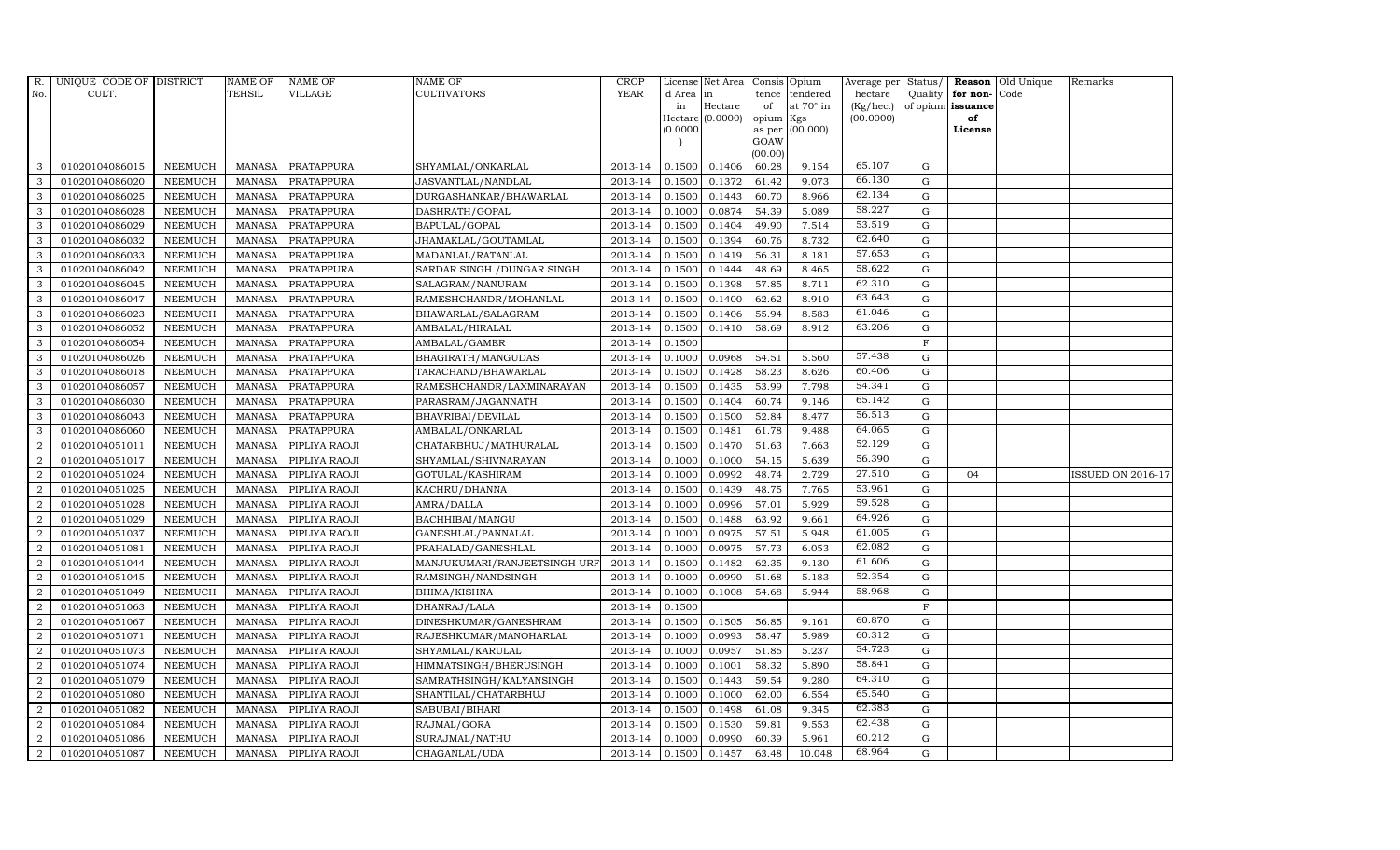| R.               | UNIQUE CODE OF DISTRICT |                | <b>NAME OF</b> | <b>NAME OF</b>    | <b>NAME OF</b>               | <b>CROP</b> |          | License Net Area |           | Consis Opium    | Average per | Status/     | <b>Reason</b>     | Old Unique | Remarks                  |
|------------------|-------------------------|----------------|----------------|-------------------|------------------------------|-------------|----------|------------------|-----------|-----------------|-------------|-------------|-------------------|------------|--------------------------|
| No.              | CULT.                   |                | <b>TEHSIL</b>  | VILLAGE           | <b>CULTIVATORS</b>           | <b>YEAR</b> | d Area   | in               | tence     | tendered        | hectare     | Quality     | for non-          | Code       |                          |
|                  |                         |                |                |                   |                              |             | in       | Hectare          | of        | at 70° in       | (Kg/hec.)   |             | of opium issuance |            |                          |
|                  |                         |                |                |                   |                              |             |          | Hectare (0.0000) | opium Kgs |                 | (00.0000)   |             | of                |            |                          |
|                  |                         |                |                |                   |                              |             | (0.0000) |                  | GOAW      | as per (00.000) |             |             | License           |            |                          |
|                  |                         |                |                |                   |                              |             |          |                  | (00.00)   |                 |             |             |                   |            |                          |
| 3                | 01020104086015          | <b>NEEMUCH</b> | MANASA         | PRATAPPURA        | SHYAMLAL/ONKARLAL            | 2013-14     | 0.1500   | 0.1406           | 60.28     | 9.154           | 65.107      | G           |                   |            |                          |
| 3                | 01020104086020          | <b>NEEMUCH</b> | <b>MANASA</b>  | PRATAPPURA        | JASVANTLAL/NANDLAL           | 2013-14     | 0.1500   | 0.1372           | 61.42     | 9.073           | 66.130      | ${\rm G}$   |                   |            |                          |
| 3                | 01020104086025          | <b>NEEMUCH</b> | <b>MANASA</b>  | PRATAPPURA        | DURGASHANKAR/BHAWARLAL       | 2013-14     | 0.1500   | 0.1443           | 60.70     | 8.966           | 62.134      | G           |                   |            |                          |
| 3                | 01020104086028          | <b>NEEMUCH</b> | <b>MANASA</b>  | PRATAPPURA        | DASHRATH/GOPAL               | 2013-14     | 0.1000   | 0.0874           | 54.39     | 5.089           | 58.227      | $\mathbf G$ |                   |            |                          |
| 3                | 01020104086029          | <b>NEEMUCH</b> | <b>MANASA</b>  | PRATAPPURA        | BAPULAL/GOPAL                | 2013-14     | 0.1500   | 0.1404           | 49.90     | 7.514           | 53.519      | ${\rm G}$   |                   |            |                          |
| 3                | 01020104086032          | <b>NEEMUCH</b> | <b>MANASA</b>  | PRATAPPURA        | JHAMAKLAL/GOUTAMLAL          | 2013-14     | 0.1500   | 0.1394           | 60.76     | 8.732           | 62.640      | $\mathbf G$ |                   |            |                          |
| 3                | 01020104086033          | <b>NEEMUCH</b> | <b>MANASA</b>  | PRATAPPURA        | MADANLAL/RATANLAL            | 2013-14     | 0.1500   | 0.1419           | 56.31     | 8.181           | 57.653      | G           |                   |            |                          |
| 3                | 01020104086042          | <b>NEEMUCH</b> | <b>MANASA</b>  | PRATAPPURA        | SARDAR SINGH./DUNGAR SINGH   | 2013-14     | 0.1500   | 0.1444           | 48.69     | 8.465           | 58.622      | $\mathbf G$ |                   |            |                          |
| 3                | 01020104086045          | <b>NEEMUCH</b> | <b>MANASA</b>  | PRATAPPURA        | SALAGRAM/NANURAM             | 2013-14     | 0.1500   | 0.1398           | 57.85     | 8.711           | 62.310      | G           |                   |            |                          |
| 3                | 01020104086047          | <b>NEEMUCH</b> | <b>MANASA</b>  | PRATAPPURA        | RAMESHCHANDR/MOHANLAL        | 2013-14     | 0.1500   | 0.1400           | 62.62     | 8.910           | 63.643      | ${\rm G}$   |                   |            |                          |
| 3                | 01020104086023          | <b>NEEMUCH</b> | <b>MANASA</b>  | PRATAPPURA        | BHAWARLAL/SALAGRAM           | 2013-14     | 0.1500   | 0.1406           | 55.94     | 8.583           | 61.046      | G           |                   |            |                          |
| 3                | 01020104086052          | <b>NEEMUCH</b> | <b>MANASA</b>  | PRATAPPURA        | AMBALAL/HIRALAL              | 2013-14     | 0.1500   | 0.1410           | 58.69     | 8.912           | 63.206      | G           |                   |            |                          |
| 3                | 01020104086054          | <b>NEEMUCH</b> | <b>MANASA</b>  | PRATAPPURA        | AMBALAL/GAMER                | 2013-14     | 0.1500   |                  |           |                 |             | $\mathbf F$ |                   |            |                          |
| 3                | 01020104086026          | <b>NEEMUCH</b> | <b>MANASA</b>  | <b>PRATAPPURA</b> | BHAGIRATH/MANGUDAS           | 2013-14     | 0.1000   | 0.0968           | 54.51     | 5.560           | 57.438      | $\mathbf G$ |                   |            |                          |
| 3                | 01020104086018          | <b>NEEMUCH</b> | <b>MANASA</b>  | PRATAPPURA        | TARACHAND/BHAWARLAL          | 2013-14     | 0.1500   | 0.1428           | 58.23     | 8.626           | 60.406      | ${\rm G}$   |                   |            |                          |
| $\mathbf{3}$     | 01020104086057          | <b>NEEMUCH</b> | <b>MANASA</b>  | PRATAPPURA        | RAMESHCHANDR/LAXMINARAYAN    | 2013-14     | 0.1500   | 0.1435           | 53.99     | 7.798           | 54.341      | ${\rm G}$   |                   |            |                          |
| 3                | 01020104086030          | <b>NEEMUCH</b> | <b>MANASA</b>  | PRATAPPURA        | PARASRAM/JAGANNATH           | 2013-14     | 0.1500   | 0.1404           | 60.74     | 9.146           | 65.142      | G           |                   |            |                          |
| 3                | 01020104086043          | <b>NEEMUCH</b> | <b>MANASA</b>  | PRATAPPURA        | BHAVRIBAI/DEVILAL            | 2013-14     | 0.1500   | 0.1500           | 52.84     | 8.477           | 56.513      | $\mathbf G$ |                   |            |                          |
| 3                | 01020104086060          | <b>NEEMUCH</b> | <b>MANASA</b>  | <b>PRATAPPURA</b> | AMBALAL/ONKARLAL             | 2013-14     | 0.1500   | 0.1481           | 61.78     | 9.488           | 64.065      | $\mathbf G$ |                   |            |                          |
| 2                | 01020104051011          | <b>NEEMUCH</b> | <b>MANASA</b>  | PIPLIYA RAOJI     | CHATARBHUJ/MATHURALAL        | 2013-14     | 0.1500   | 0.1470           | 51.63     | 7.663           | 52.129      | G           |                   |            |                          |
| $\overline{2}$   | 01020104051017          | <b>NEEMUCH</b> | <b>MANASA</b>  | PIPLIYA RAOJI     | SHYAMLAL/SHIVNARAYAN         | 2013-14     | 0.1000   | 0.1000           | 54.15     | 5.639           | 56.390      | $\mathbf G$ |                   |            |                          |
| $\overline{2}$   | 01020104051024          | <b>NEEMUCH</b> | <b>MANASA</b>  | PIPLIYA RAOJI     | GOTULAL/KASHIRAM             | 2013-14     | 0.1000   | 0.0992           | 48.74     | 2.729           | 27.510      | ${\rm G}$   | 04                |            | <b>ISSUED ON 2016-17</b> |
| $\overline{2}$   | 01020104051025          | <b>NEEMUCH</b> | <b>MANASA</b>  | PIPLIYA RAOJI     | KACHRU/DHANNA                | 2013-14     | 0.1500   | 0.1439           | 48.75     | 7.765           | 53.961      | G           |                   |            |                          |
| $\overline{2}$   | 01020104051028          | <b>NEEMUCH</b> | <b>MANASA</b>  | PIPLIYA RAOJI     | AMRA/DALLA                   | 2013-14     | 0.1000   | 0.0996           | 57.01     | 5.929           | 59.528      | ${\rm G}$   |                   |            |                          |
| $\overline{a}$   | 01020104051029          | <b>NEEMUCH</b> | <b>MANASA</b>  | PIPLIYA RAOJI     | BACHHIBAI/MANGU              | 2013-14     | 0.1500   | 0.1488           | 63.92     | 9.661           | 64.926      | ${\rm G}$   |                   |            |                          |
| $\overline{2}$   | 01020104051037          | <b>NEEMUCH</b> | <b>MANASA</b>  | PIPLIYA RAOJI     | GANESHLAL/PANNALAL           | 2013-14     | 0.1000   | 0.0975           | 57.51     | 5.948           | 61.005      | ${\rm G}$   |                   |            |                          |
| $\overline{2}$   | 01020104051081          | <b>NEEMUCH</b> | <b>MANASA</b>  | PIPLIYA RAOJI     | PRAHALAD/GANESHLAL           | 2013-14     | 0.1000   | 0.0975           | 57.73     | 6.053           | 62.082      | $\mathbf G$ |                   |            |                          |
| $\overline{2}$   | 01020104051044          | <b>NEEMUCH</b> | <b>MANASA</b>  | PIPLIYA RAOJI     | MANJUKUMARI/RANJEETSINGH URF | 2013-14     | 0.1500   | 0.1482           | 62.35     | 9.130           | 61.606      | $\mathbf G$ |                   |            |                          |
| $\overline{2}$   | 01020104051045          | <b>NEEMUCH</b> | <b>MANASA</b>  | PIPLIYA RAOJI     | RAMSINGH/NANDSINGH           | 2013-14     | 0.1000   | 0.0990           | 51.68     | 5.183           | 52.354      | $\mathbf G$ |                   |            |                          |
| $\overline{2}$   | 01020104051049          | <b>NEEMUCH</b> | <b>MANASA</b>  | PIPLIYA RAOJI     | BHIMA/KISHNA                 | 2013-14     | 0.1000   | 0.1008           | 54.68     | 5.944           | 58.968      | G           |                   |            |                          |
| $\overline{2}$   | 01020104051063          | <b>NEEMUCH</b> | <b>MANASA</b>  | PIPLIYA RAOJI     | DHANRAJ/LALA                 | 2013-14     | 0.1500   |                  |           |                 |             | $\rm F$     |                   |            |                          |
| $\overline{2}$   | 01020104051067          | <b>NEEMUCH</b> | <b>MANASA</b>  | PIPLIYA RAOJI     | DINESHKUMAR/GANESHRAM        | 2013-14     | 0.1500   | 0.1505           | 56.85     | 9.161           | 60.870      | ${\rm G}$   |                   |            |                          |
| $\overline{2}$   | 01020104051071          | NEEMUCH        | <b>MANASA</b>  | PIPLIYA RAOJI     | RAJESHKUMAR/MANOHARLAL       | 2013-14     | 0.1000   | 0.0993           | 58.47     | 5.989           | 60.312      | ${\rm G}$   |                   |            |                          |
| 2                | 01020104051073          | <b>NEEMUCH</b> | <b>MANASA</b>  | PIPLIYA RAOJI     | SHYAMLAL/KARULAL             | 2013-14     | 0.1000   | 0.0957           | 51.85     | 5.237           | 54.723      | $\mathbf G$ |                   |            |                          |
| 2                | 01020104051074          | <b>NEEMUCH</b> | <b>MANASA</b>  | PIPLIYA RAOJI     | HIMMATSINGH/BHERUSINGH       | 2013-14     | 0.1000   | 0.1001           | 58.32     | 5.890           | 58.841      | $\mathbf G$ |                   |            |                          |
| $\overline{2}$   | 01020104051079          | <b>NEEMUCH</b> | <b>MANASA</b>  | PIPLIYA RAOJI     | SAMRATHSINGH/KALYANSINGH     | 2013-14     | 0.1500   | 0.1443           | 59.54     | 9.280           | 64.310      | ${\rm G}$   |                   |            |                          |
| $\overline{2}$   | 01020104051080          | <b>NEEMUCH</b> | <b>MANASA</b>  | PIPLIYA RAOJI     | SHANTILAL/CHATARBHUJ         | 2013-14     | 0.1000   | 0.1000           | 62.00     | 6.554           | 65.540      | ${\rm G}$   |                   |            |                          |
| $\boldsymbol{2}$ | 01020104051082          | <b>NEEMUCH</b> | <b>MANASA</b>  | PIPLIYA RAOJI     | SABUBAI/BIHARI               | 2013-14     | 0.1500   | 0.1498           | 61.08     | 9.345           | 62.383      | ${\rm G}$   |                   |            |                          |
| 2                | 01020104051084          | <b>NEEMUCH</b> | <b>MANASA</b>  | PIPLIYA RAOJI     | RAJMAL/GORA                  | 2013-14     | 0.1500   | 0.1530           | 59.81     | 9.553           | 62.438      | ${\rm G}$   |                   |            |                          |
| 2                | 01020104051086          | <b>NEEMUCH</b> | <b>MANASA</b>  | PIPLIYA RAOJI     | SURAJMAL/NATHU               | 2013-14     | 0.1000   | 0.0990           | 60.39     | 5.961           | 60.212      | $\mathbf G$ |                   |            |                          |
| $\overline{2}$   | 01020104051087          | <b>NEEMUCH</b> | MANASA         | PIPLIYA RAOJI     | CHAGANLAL/UDA                | 2013-14     | 0.1500   | 0.1457           | 63.48     | 10.048          | 68.964      | G           |                   |            |                          |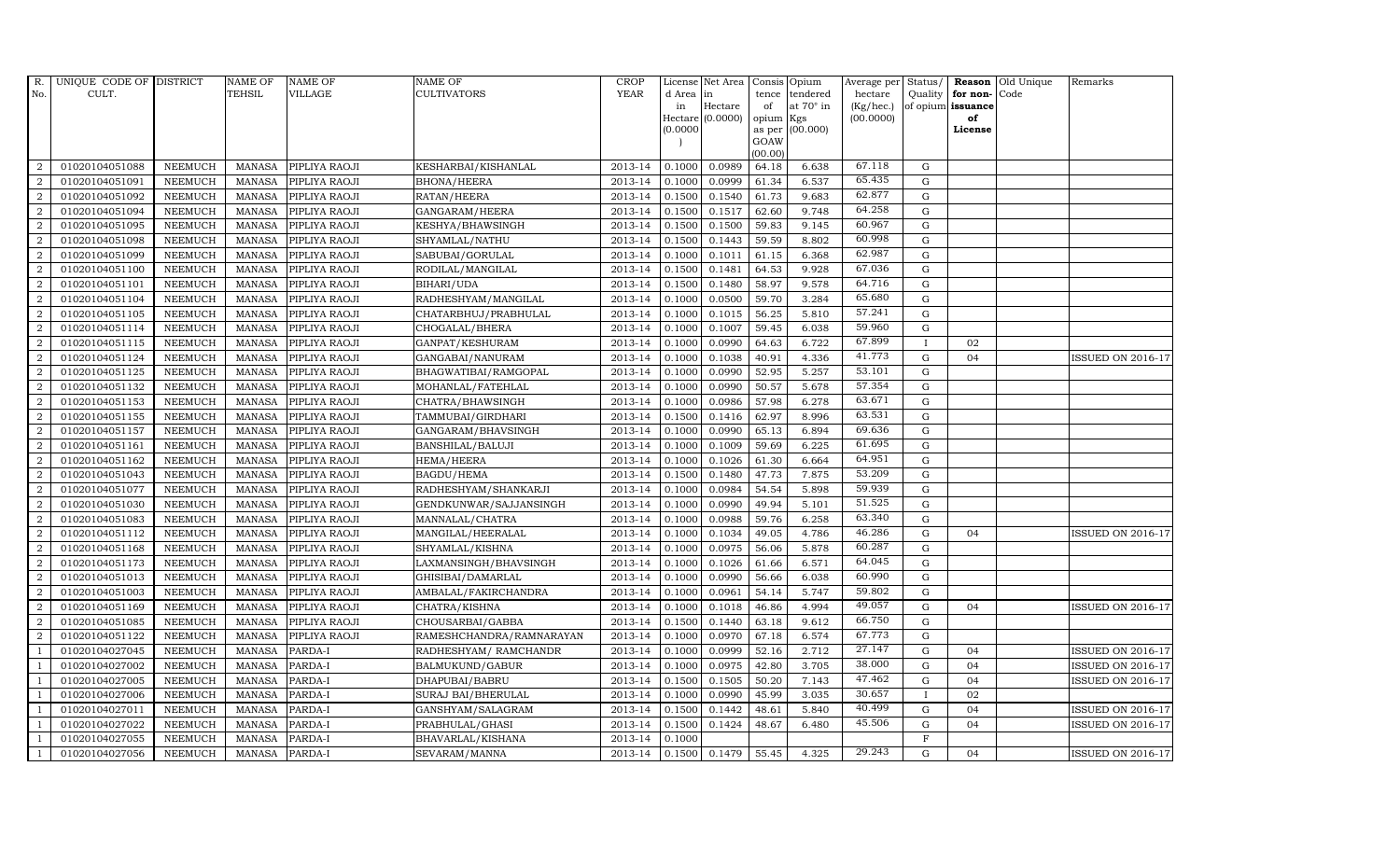| $R_{\cdot}$      | UNIQUE CODE OF DISTRICT |                | <b>NAME OF</b> | <b>NAME OF</b> | <b>NAME OF</b>           | CROP    |           | License Net Area   Consis   Opium |           |                  | Average per Status/ |              |                   | <b>Reason</b> Old Unique | Remarks                  |
|------------------|-------------------------|----------------|----------------|----------------|--------------------------|---------|-----------|-----------------------------------|-----------|------------------|---------------------|--------------|-------------------|--------------------------|--------------------------|
| No.              | CULT.                   |                | <b>TEHSIL</b>  | VILLAGE        | <b>CULTIVATORS</b>       | YEAR    | d Area in |                                   |           | tence tendered   | hectare             | Quality      | for non-          | Code                     |                          |
|                  |                         |                |                |                |                          |         | in        | Hectare                           | of        | at $70^\circ$ in | (Kg/hec.)           |              | of opium issuance |                          |                          |
|                  |                         |                |                |                |                          |         |           | $Hectare (0.0000)$                | opium Kgs |                  | (00.0000)           |              | of<br>License     |                          |                          |
|                  |                         |                |                |                |                          |         | (0.0000)  |                                   | GOAW      | as per (00.000)  |                     |              |                   |                          |                          |
|                  |                         |                |                |                |                          |         |           |                                   | (00.00)   |                  |                     |              |                   |                          |                          |
| 2                | 01020104051088          | <b>NEEMUCH</b> | MANASA         | PIPLIYA RAOJI  | KESHARBAI/KISHANLAL      | 2013-14 | 0.1000    | 0.0989                            | 64.18     | 6.638            | 67.118              | G            |                   |                          |                          |
| 2                | 01020104051091          | <b>NEEMUCH</b> | <b>MANASA</b>  | PIPLIYA RAOJI  | <b>BHONA/HEERA</b>       | 2013-14 | 0.1000    | 0.0999                            | 61.34     | 6.537            | 65.435              | $\mathbf G$  |                   |                          |                          |
| 2                | 01020104051092          | <b>NEEMUCH</b> | <b>MANASA</b>  | PIPLIYA RAOJI  | RATAN/HEERA              | 2013-14 | 0.1500    | 0.1540                            | 61.73     | 9.683            | 62.877              | G            |                   |                          |                          |
| $\boldsymbol{2}$ | 01020104051094          | <b>NEEMUCH</b> | MANASA         | PIPLIYA RAOJI  | GANGARAM/HEERA           | 2013-14 | 0.1500    | 0.1517                            | 62.60     | 9.748            | 64.258              | G            |                   |                          |                          |
| $\overline{2}$   | 01020104051095          | <b>NEEMUCH</b> | <b>MANASA</b>  | PIPLIYA RAOJI  | KESHYA/BHAWSINGH         | 2013-14 | 0.1500    | 0.1500                            | 59.83     | 9.145            | 60.967              | ${\bf G}$    |                   |                          |                          |
| 2                | 01020104051098          | <b>NEEMUCH</b> | <b>MANASA</b>  | PIPLIYA RAOJI  | SHYAMLAL/NATHU           | 2013-14 | 0.1500    | 0.1443                            | 59.59     | 8.802            | 60.998              | $\mathbf G$  |                   |                          |                          |
| 2                | 01020104051099          | <b>NEEMUCH</b> | MANASA         | PIPLIYA RAOJI  | SABUBAI/GORULAL          | 2013-14 | 0.1000    | 0.1011                            | 61.15     | 6.368            | 62.987              | ${\bf G}$    |                   |                          |                          |
| 2                | 01020104051100          | <b>NEEMUCH</b> | <b>MANASA</b>  | PIPLIYA RAOJI  | RODILAL/MANGILAL         | 2013-14 | 0.1500    | 0.1481                            | 64.53     | 9.928            | 67.036              | ${\rm G}$    |                   |                          |                          |
| 2                | 01020104051101          | <b>NEEMUCH</b> | <b>MANASA</b>  | PIPLIYA RAOJI  | BIHARI/UDA               | 2013-14 | 0.1500    | 0.1480                            | 58.97     | 9.578            | 64.716              | $\mathbf G$  |                   |                          |                          |
| 2                | 01020104051104          | <b>NEEMUCH</b> | <b>MANASA</b>  | PIPLIYA RAOJI  | RADHESHYAM/MANGILAL      | 2013-14 | 0.1000    | 0.0500                            | 59.70     | 3.284            | 65.680              | ${\rm G}$    |                   |                          |                          |
| $\overline{2}$   | 01020104051105          | <b>NEEMUCH</b> | <b>MANASA</b>  | PIPLIYA RAOJI  | CHATARBHUJ/PRABHULAL     | 2013-14 | 0.1000    | 0.1015                            | 56.25     | 5.810            | 57.241              | G            |                   |                          |                          |
| 2                | 01020104051114          | <b>NEEMUCH</b> | <b>MANASA</b>  | PIPLIYA RAOJI  | CHOGALAL/BHERA           | 2013-14 | 0.1000    | 0.1007                            | 59.45     | 6.038            | 59.960              | $\mathbf G$  |                   |                          |                          |
| 2                | 01020104051115          | <b>NEEMUCH</b> | <b>MANASA</b>  | PIPLIYA RAOJI  | GANPAT/KESHURAM          | 2013-14 | 0.1000    | 0.0990                            | 64.63     | 6.722            | 67.899              | $\bf{I}$     | 02                |                          |                          |
| $\overline{2}$   | 01020104051124          | <b>NEEMUCH</b> | <b>MANASA</b>  | PIPLIYA RAOJI  | GANGABAI/NANURAM         | 2013-14 | 0.1000    | 0.1038                            | 40.91     | 4.336            | 41.773              | G            | 04                |                          | <b>ISSUED ON 2016-17</b> |
| $\overline{2}$   | 01020104051125          | <b>NEEMUCH</b> | <b>MANASA</b>  | PIPLIYA RAOJI  | BHAGWATIBAI/RAMGOPAL     | 2013-14 | 0.1000    | 0.0990                            | 52.95     | 5.257            | 53.101              | $\mathbf G$  |                   |                          |                          |
| $\overline{2}$   | 01020104051132          | <b>NEEMUCH</b> | <b>MANASA</b>  | PIPLIYA RAOJI  | MOHANLAL/FATEHLAL        | 2013-14 | 0.1000    | 0.0990                            | 50.57     | 5.678            | 57.354              | G            |                   |                          |                          |
| 2                | 01020104051153          | <b>NEEMUCH</b> | <b>MANASA</b>  | PIPLIYA RAOJI  | CHATRA/BHAWSINGH         | 2013-14 | 0.1000    | 0.0986                            | 57.98     | 6.278            | 63.671              | $\mathbf G$  |                   |                          |                          |
| 2                | 01020104051155          | <b>NEEMUCH</b> | <b>MANASA</b>  | PIPLIYA RAOJI  | TAMMUBAI/GIRDHARI        | 2013-14 | 0.1500    | 0.1416                            | 62.97     | 8.996            | 63.531              | $\mathbf G$  |                   |                          |                          |
| $\overline{2}$   | 01020104051157          | <b>NEEMUCH</b> | <b>MANASA</b>  | PIPLIYA RAOJI  | GANGARAM/BHAVSINGH       | 2013-14 | 0.1000    | 0.0990                            | 65.13     | 6.894            | 69.636              | $\mathbf G$  |                   |                          |                          |
| 2                | 01020104051161          | <b>NEEMUCH</b> | <b>MANASA</b>  | PIPLIYA RAOJI  | BANSHILAL/BALUJI         | 2013-14 | 0.1000    | 0.1009                            | 59.69     | 6.225            | 61.695              | $\mathbf G$  |                   |                          |                          |
| 2                | 01020104051162          | <b>NEEMUCH</b> | <b>MANASA</b>  | PIPLIYA RAOJI  | HEMA/HEERA               | 2013-14 | 0.1000    | 0.1026                            | 61.30     | 6.664            | 64.951              | $\mathbf G$  |                   |                          |                          |
| $\overline{2}$   | 01020104051043          | <b>NEEMUCH</b> | <b>MANASA</b>  | PIPLIYA RAOJI  | BAGDU/HEMA               | 2013-14 | 0.1500    | 0.1480                            | 47.73     | 7.875            | 53.209              | ${\rm G}$    |                   |                          |                          |
| $\overline{2}$   | 01020104051077          | <b>NEEMUCH</b> | <b>MANASA</b>  | PIPLIYA RAOJI  | RADHESHYAM/SHANKARJI     | 2013-14 | 0.1000    | 0.0984                            | 54.54     | 5.898            | 59.939              | G            |                   |                          |                          |
| $\overline{2}$   | 01020104051030          | <b>NEEMUCH</b> | <b>MANASA</b>  | PIPLIYA RAOJI  | GENDKUNWAR/SAJJANSINGH   | 2013-14 | 0.1000    | 0.0990                            | 49.94     | 5.101            | 51.525              | $\mathbf G$  |                   |                          |                          |
| $\overline{a}$   | 01020104051083          | <b>NEEMUCH</b> | <b>MANASA</b>  | PIPLIYA RAOJI  | MANNALAL/CHATRA          | 2013-14 | 0.1000    | 0.0988                            | 59.76     | 6.258            | 63.340              | ${\rm G}$    |                   |                          |                          |
| 2                | 01020104051112          | <b>NEEMUCH</b> | <b>MANASA</b>  | PIPLIYA RAOJI  | MANGILAL/HEERALAL        | 2013-14 | 0.1000    | 0.1034                            | 49.05     | 4.786            | 46.286              | $\mathbf G$  | 04                |                          | <b>ISSUED ON 2016-17</b> |
| $\boldsymbol{2}$ | 01020104051168          | <b>NEEMUCH</b> | <b>MANASA</b>  | PIPLIYA RAOJI  | SHYAMLAL/KISHNA          | 2013-14 | 0.1000    | 0.0975                            | 56.06     | 5.878            | 60.287              | $\mathbf G$  |                   |                          |                          |
| 2                | 01020104051173          | <b>NEEMUCH</b> | <b>MANASA</b>  | PIPLIYA RAOJI  | LAXMANSINGH/BHAVSINGH    | 2013-14 | 0.1000    | 0.1026                            | 61.66     | 6.571            | 64.045              | $\mathbf G$  |                   |                          |                          |
| 2                | 01020104051013          | <b>NEEMUCH</b> | <b>MANASA</b>  | PIPLIYA RAOJI  | GHISIBAI/DAMARLAL        | 2013-14 | 0.1000    | 0.0990                            | 56.66     | 6.038            | 60.990              | $\mathbf G$  |                   |                          |                          |
| $\overline{2}$   | 01020104051003          | <b>NEEMUCH</b> | <b>MANASA</b>  | PIPLIYA RAOJI  | AMBALAL/FAKIRCHANDRA     | 2013-14 | 0.1000    | 0.0961                            | 54.14     | 5.747            | 59.802              | $\mathbf G$  |                   |                          |                          |
| $\overline{2}$   | 01020104051169          | <b>NEEMUCH</b> | <b>MANASA</b>  | PIPLIYA RAOJI  | CHATRA/KISHNA            | 2013-14 | 0.1000    | 0.1018                            | 46.86     | 4.994            | 49.057              | G            | 04                |                          | <b>ISSUED ON 2016-17</b> |
| $\overline{2}$   | 01020104051085          | <b>NEEMUCH</b> | <b>MANASA</b>  | PIPLIYA RAOJI  | CHOUSARBAI/GABBA         | 2013-14 | 0.1500    | 0.1440                            | 63.18     | 9.612            | 66.750              | $\mathbf G$  |                   |                          |                          |
| $\overline{2}$   | 01020104051122          | <b>NEEMUCH</b> | <b>MANASA</b>  | PIPLIYA RAOJI  | RAMESHCHANDRA/RAMNARAYAN | 2013-14 | 0.1000    | 0.0970                            | 67.18     | 6.574            | 67.773              | ${\rm G}$    |                   |                          |                          |
| $\overline{1}$   | 01020104027045          | <b>NEEMUCH</b> | <b>MANASA</b>  | PARDA-I        | RADHESHYAM / RAMCHANDR   | 2013-14 | 0.1000    | 0.0999                            | 52.16     | 2.712            | 27.147              | $\mathbf G$  | 04                |                          | <b>ISSUED ON 2016-17</b> |
|                  | 01020104027002          | <b>NEEMUCH</b> | <b>MANASA</b>  | PARDA-I        | BALMUKUND/GABUR          | 2013-14 | 0.1000    | 0.0975                            | 42.80     | 3.705            | 38.000              | G            | 04                |                          | <b>ISSUED ON 2016-17</b> |
| $\overline{1}$   | 01020104027005          | <b>NEEMUCH</b> | <b>MANASA</b>  | PARDA-I        | DHAPUBAI/BABRU           | 2013-14 | 0.1500    | 0.1505                            | 50.20     | 7.143            | 47.462              | ${\rm G}$    | 04                |                          | ISSUED ON 2016-17        |
| $\overline{1}$   | 01020104027006          | <b>NEEMUCH</b> | <b>MANASA</b>  | PARDA-I        | SURAJ BAI/BHERULAL       | 2013-14 | 0.1000    | 0.0990                            | 45.99     | 3.035            | 30.657              | $\mathbf{I}$ | 02                |                          |                          |
| $\overline{1}$   | 01020104027011          | <b>NEEMUCH</b> | <b>MANASA</b>  | PARDA-I        | GANSHYAM/SALAGRAM        | 2013-14 | 0.1500    | 0.1442                            | 48.61     | 5.840            | 40.499              | ${\rm G}$    | 04                |                          | ISSUED ON 2016-17        |
| $\overline{1}$   | 01020104027022          | <b>NEEMUCH</b> | <b>MANASA</b>  | PARDA-I        | PRABHULAL/GHASI          | 2013-14 | 0.1500    | 0.1424                            | 48.67     | 6.480            | 45.506              | $\mathbf G$  | 04                |                          | <b>ISSUED ON 2016-17</b> |
| $\mathbf{1}$     | 01020104027055          | <b>NEEMUCH</b> | <b>MANASA</b>  | PARDA-I        | BHAVARLAL/KISHANA        | 2013-14 | 0.1000    |                                   |           |                  |                     | $\mathbf{F}$ |                   |                          |                          |
| $\mathbf{1}$     | 01020104027056          | <b>NEEMUCH</b> | MANASA PARDA-I |                | SEVARAM/MANNA            | 2013-14 | 0.1500    | 0.1479                            | 55.45     | 4.325            | 29.243              | G            | 0 <sub>4</sub>    |                          | ISSUED ON 2016-17        |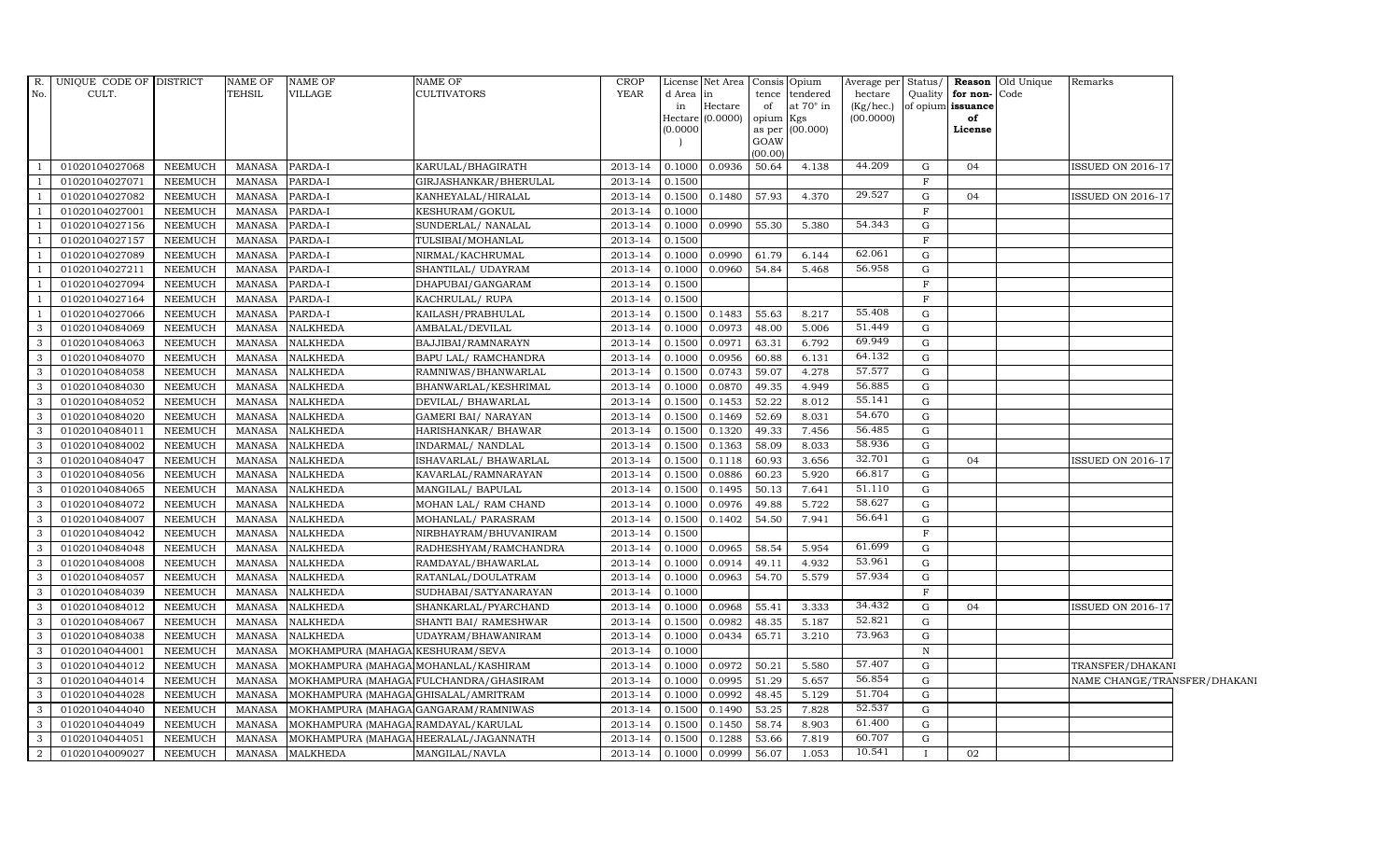| R.             | UNIQUE CODE OF DISTRICT |                 | <b>NAME OF</b> | <b>NAME OF</b>                        | <b>NAME OF</b>                         | CROP        |           | License Net Area Consis Opium |         |                        |                 |              |                              | Average per Status/ <b>Reason</b> Old Unique | Remarks                      |  |
|----------------|-------------------------|-----------------|----------------|---------------------------------------|----------------------------------------|-------------|-----------|-------------------------------|---------|------------------------|-----------------|--------------|------------------------------|----------------------------------------------|------------------------------|--|
| No.            | CULT.                   |                 | <b>TEHSIL</b>  | <b>VILLAGE</b>                        | <b>CULTIVATORS</b>                     | YEAR        | d Area in |                               | tence   | tendered               | hectare         |              | Quality <b>for non-</b> Code |                                              |                              |  |
|                |                         |                 |                |                                       |                                        |             | in        | Hectare                       | of      | at 70° in              | $(Kg/$ hec. $)$ |              | of opium <b>issuance</b>     |                                              |                              |  |
|                |                         |                 |                |                                       |                                        |             | (0.0000)  | Hectare (0.0000)              | opium   | Kgs<br>as per (00.000) | (00.0000)       |              | of<br>License                |                                              |                              |  |
|                |                         |                 |                |                                       |                                        |             |           |                               | GOAW    |                        |                 |              |                              |                                              |                              |  |
|                |                         |                 |                |                                       |                                        |             |           |                               | (00.00) |                        |                 |              |                              |                                              |                              |  |
|                | 01020104027068          | NEEMUCH         | <b>MANASA</b>  | PARDA-I                               | KARULAL/BHAGIRATH                      | 2013-14     | 0.1000    | 0.0936                        | 50.64   | 4.138                  | 44.209          | G            | 04                           |                                              | <b>ISSUED ON 2016-17</b>     |  |
|                | 01020104027071          | NEEMUCH         | <b>MANASA</b>  | PARDA-I                               | GIRJASHANKAR/BHERULAL                  | 2013-14     | 0.1500    |                               |         |                        |                 | $\mathbf{F}$ |                              |                                              |                              |  |
|                | 01020104027082          | <b>NEEMUCH</b>  | <b>MANASA</b>  | PARDA-I                               | KANHEYALAL/HIRALAL                     | 2013-14     | 0.1500    | 0.1480                        | 57.93   | 4.370                  | 29.527          | G            | 04                           |                                              | <b>ISSUED ON 2016-17</b>     |  |
| $\overline{1}$ | 01020104027001          | <b>NEEMUCH</b>  | <b>MANASA</b>  | PARDA-I                               | KESHURAM/GOKUL                         | 2013-14     | 0.1000    |                               |         |                        |                 | $\mathbf F$  |                              |                                              |                              |  |
| -1             | 01020104027156          | NEEMUCH         | <b>MANASA</b>  | PARDA-I                               | SUNDERLAL/ NANALAL                     | 2013-14     | 0.1000    | 0.0990                        | 55.30   | 5.380                  | 54.343          | ${\rm G}$    |                              |                                              |                              |  |
| $\overline{1}$ | 01020104027157          | NEEMUCH         | <b>MANASA</b>  | PARDA-I                               | TULSIBAI/MOHANLAL                      | $2013 - 14$ | 0.1500    |                               |         |                        |                 | $\mathbf F$  |                              |                                              |                              |  |
| $\overline{1}$ | 01020104027089          | NEEMUCH         | <b>MANASA</b>  | PARDA-I                               | NIRMAL/KACHRUMAL                       | 2013-14     | 0.1000    | 0.0990                        | 61.79   | 6.144                  | 62.061          | G            |                              |                                              |                              |  |
|                | 01020104027211          | <b>NEEMUCH</b>  | <b>MANASA</b>  | PARDA-I                               | SHANTILAL/ UDAYRAM                     | 2013-14     | 0.1000    | 0.0960                        | 54.84   | 5.468                  | 56.958          | $\mathbf G$  |                              |                                              |                              |  |
|                | 01020104027094          | <b>NEEMUCH</b>  | MANASA         | PARDA-I                               | DHAPUBAI/GANGARAM                      | 2013-14     | 0.1500    |                               |         |                        |                 | $\mathbf F$  |                              |                                              |                              |  |
|                | 01020104027164          | NEEMUCH         | <b>MANASA</b>  | PARDA-I                               | KACHRULAL/ RUPA                        | 2013-14     | 0.1500    |                               |         |                        |                 | $\mathbf{F}$ |                              |                                              |                              |  |
| -1             | 01020104027066          | NEEMUCH         | <b>MANASA</b>  | PARDA-I                               | KAILASH/PRABHULAL                      | 2013-14     | 0.1500    | 0.1483                        | 55.63   | 8.217                  | 55.408          | G            |                              |                                              |                              |  |
| 3              | 01020104084069          | NEEMUCH         | <b>MANASA</b>  | <b>NALKHEDA</b>                       | AMBALAL/DEVILAL                        | 2013-14     | 0.1000    | 0.0973                        | 48.00   | 5.006                  | 51.449          | G            |                              |                                              |                              |  |
| 3              | 01020104084063          | NEEMUCH         | <b>MANASA</b>  | <b>NALKHEDA</b>                       | BAJJIBAI/RAMNARAYN                     | 2013-14     | 0.1500    | 0.0971                        | 63.31   | 6.792                  | 69.949          | G            |                              |                                              |                              |  |
| 3              | 01020104084070          | NEEMUCH         | <b>MANASA</b>  | <b>NALKHEDA</b>                       | BAPU LAL/ RAMCHANDRA                   | 2013-14     | 0.1000    | 0.0956                        | 60.88   | 6.131                  | 64.132          | G            |                              |                                              |                              |  |
| 3              | 01020104084058          | NEEMUCH         | <b>MANASA</b>  | <b>NALKHEDA</b>                       | RAMNIWAS/BHANWARLAL                    | 2013-14     | 0.1500    | 0.0743                        | 59.07   | 4.278                  | 57.577          | ${\rm G}$    |                              |                                              |                              |  |
| $\mathbf{3}$   | 01020104084030          | NEEMUCH         | <b>MANASA</b>  | <b>NALKHEDA</b>                       | BHANWARLAL/KESHRIMAL                   | 2013-14     | 0.1000    | 0.0870                        | 49.35   | 4.949                  | 56.885          | G            |                              |                                              |                              |  |
| 3              | 01020104084052          | NEEMUCH         | <b>MANASA</b>  | <b>NALKHEDA</b>                       | DEVILAL/ BHAWARLAL                     | 2013-14     | 0.1500    | 0.1453                        | 52.22   | 8.012                  | 55.141          | G            |                              |                                              |                              |  |
| 3              | 01020104084020          | NEEMUCH         | <b>MANASA</b>  | <b>NALKHEDA</b>                       | <b>GAMERI BAI/ NARAYAN</b>             | 2013-14     | 0.1500    | 0.1469                        | 52.69   | 8.031                  | 54.670          | G            |                              |                                              |                              |  |
| 3              | 01020104084011          | <b>NEEMUCH</b>  | <b>MANASA</b>  | <b>NALKHEDA</b>                       | HARISHANKAR/ BHAWAR                    | 2013-14     | 0.1500    | 0.1320                        | 49.33   | 7.456                  | 56.485          | G            |                              |                                              |                              |  |
| 3              | 01020104084002          | <b>NEEMUCH</b>  | <b>MANASA</b>  | <b>NALKHEDA</b>                       | INDARMAL/ NANDLAL                      | 2013-14     | 0.1500    | 0.1363                        | 58.09   | 8.033                  | 58.936          | ${\rm G}$    |                              |                                              |                              |  |
| $\mathbf{3}$   | 01020104084047          | NEEMUCH         | <b>MANASA</b>  | <b>NALKHEDA</b>                       | ISHAVARLAL/ BHAWARLAL                  | 2013-14     | 0.1500    | 0.1118                        | 60.93   | 3.656                  | 32.701          | G            | 04                           |                                              | ISSUED ON 2016-17            |  |
| 3              | 01020104084056          | NEEMUCH         | <b>MANASA</b>  | <b>NALKHEDA</b>                       | KAVARLAL/RAMNARAYAN                    | 2013-14     | 0.1500    | 0.0886                        | 60.23   | 5.920                  | 66.817          | ${\rm G}$    |                              |                                              |                              |  |
| 3              | 01020104084065          | NEEMUCH         | <b>MANASA</b>  | <b>NALKHEDA</b>                       | MANGILAL/ BAPULAL                      | 2013-14     | 0.1500    | 0.1495                        | 50.13   | 7.641                  | 51.110          | G            |                              |                                              |                              |  |
| 3              | 01020104084072          | NEEMUCH         | <b>MANASA</b>  | <b>NALKHEDA</b>                       | MOHAN LAL/ RAM CHAND                   | 2013-14     | 0.1000    | 0.0976                        | 49.88   | 5.722                  | 58.627          | G            |                              |                                              |                              |  |
| 3              | 01020104084007          | <b>NEEMUCH</b>  | <b>MANASA</b>  | <b>NALKHEDA</b>                       | MOHANLAL/ PARASRAM                     | 2013-14     | 0.1500    | 0.1402                        | 54.50   | 7.941                  | 56.641          | G            |                              |                                              |                              |  |
| $\mathbf{3}$   | 01020104084042          | NEEMUCH         | <b>MANASA</b>  | <b>NALKHEDA</b>                       | NIRBHAYRAM/BHUVANIRAM                  | 2013-14     | 0.1500    |                               |         |                        |                 | $\mathbf F$  |                              |                                              |                              |  |
| 3              | 01020104084048          | ${\tt NEEMUCH}$ | <b>MANASA</b>  | NALKHEDA                              | RADHESHYAM/RAMCHANDRA                  | 2013-14     | 0.1000    | 0.0965                        | 58.54   | 5.954                  | 61.699          | G            |                              |                                              |                              |  |
| $\mathbf{3}$   | 01020104084008          | NEEMUCH         | <b>MANASA</b>  | <b>NALKHEDA</b>                       | RAMDAYAL/BHAWARLAL                     | 2013-14     | 0.1000    | 0.0914                        | 49.11   | 4.932                  | 53.961          | G            |                              |                                              |                              |  |
| 3              | 01020104084057          | NEEMUCH         | <b>MANASA</b>  | <b>NALKHEDA</b>                       | RATANLAL/DOULATRAM                     | 2013-14     | 0.1000    | 0.0963                        | 54.70   | 5.579                  | 57.934          | G            |                              |                                              |                              |  |
| 3              | 01020104084039          | <b>NEEMUCH</b>  | <b>MANASA</b>  | <b>NALKHEDA</b>                       | SUDHABAI/SATYANARAYAN                  | 2013-14     | 0.1000    |                               |         |                        |                 | $\mathbf{F}$ |                              |                                              |                              |  |
| 3              | 01020104084012          | NEEMUCH         | <b>MANASA</b>  | <b>NALKHEDA</b>                       | SHANKARLAL/PYARCHAND                   | 2013-14     | 0.1000    | 0.0968                        | 55.41   | 3.333                  | 34.432          | G            | 04                           |                                              | <b>ISSUED ON 2016-17</b>     |  |
| 3              | 01020104084067          | NEEMUCH         | <b>MANASA</b>  | <b>NALKHEDA</b>                       | SHANTI BAI/ RAMESHWAR                  | 2013-14     | 0.1500    | 0.0982                        | 48.35   | 5.187                  | 52.821          | G            |                              |                                              |                              |  |
| $\mathbf{3}$   | 01020104084038          | NEEMUCH         | <b>MANASA</b>  | <b>NALKHEDA</b>                       | UDAYRAM/BHAWANIRAM                     | 2013-14     | 0.1000    | 0.0434                        | 65.71   | 3.210                  | 73.963          | G            |                              |                                              |                              |  |
| 3              | 01020104044001          | NEEMUCH         | <b>MANASA</b>  | MOKHAMPURA (MAHAGA KESHURAM/SEVA      |                                        | 2013-14     | 0.1000    |                               |         |                        |                 | ${\bf N}$    |                              |                                              |                              |  |
| 3              | 01020104044012          | <b>NEEMUCH</b>  | <b>MANASA</b>  | MOKHAMPURA (MAHAGA MOHANLAL/KASHIRAM  |                                        | 2013-14     | 0.1000    | 0.0972                        | 50.21   | 5.580                  | 57.407          | $\mathbf G$  |                              |                                              | TRANSFER/DHAKANI             |  |
| $\mathbf{3}$   | 01020104044014          | NEEMUCH         | <b>MANASA</b>  |                                       | MOKHAMPURA (MAHAGA FULCHANDRA/GHASIRAM | 2013-14     | 0.1000    | 0.0995                        | 51.29   | 5.657                  | 56.854          | G            |                              |                                              | NAME CHANGE/TRANSFER/DHAKANI |  |
| $\mathbf{3}$   | 01020104044028          | NEEMUCH         | <b>MANASA</b>  | MOKHAMPURA (MAHAGA GHISALAL/AMRITRAM  |                                        | 2013-14     | 0.1000    | 0.0992                        | 48.45   | 5.129                  | 51.704          | G            |                              |                                              |                              |  |
| $\mathbf{3}$   | 01020104044040          | NEEMUCH         | <b>MANASA</b>  | MOKHAMPURA (MAHAGA GANGARAM/RAMNIWAS  |                                        | $2013 - 14$ | 0.1500    | 0.1490                        | 53.25   | 7.828                  | 52.537          | ${\rm G}$    |                              |                                              |                              |  |
| 3              | 01020104044049          | NEEMUCH         | <b>MANASA</b>  | MOKHAMPURA (MAHAGA RAMDAYAL/KARULAL   |                                        | 2013-14     | 0.1500    | 0.1450                        | 58.74   | 8.903                  | 61.400          | G            |                              |                                              |                              |  |
| 3              | 01020104044051          | <b>NEEMUCH</b>  | <b>MANASA</b>  | MOKHAMPURA (MAHAGA HEERALAL/JAGANNATH |                                        | 2013-14     | 0.1500    | 0.1288                        | 53.66   | 7.819                  | 60.707          | G            |                              |                                              |                              |  |
| $\overline{2}$ | 01020104009027          | NEEMUCH         | MANASA         | <b>MALKHEDA</b>                       | MANGILAL/NAVLA                         | 2013-14     | 0.1000    | 0.0999                        | 56.07   | 1.053                  | 10.541          |              | 02                           |                                              |                              |  |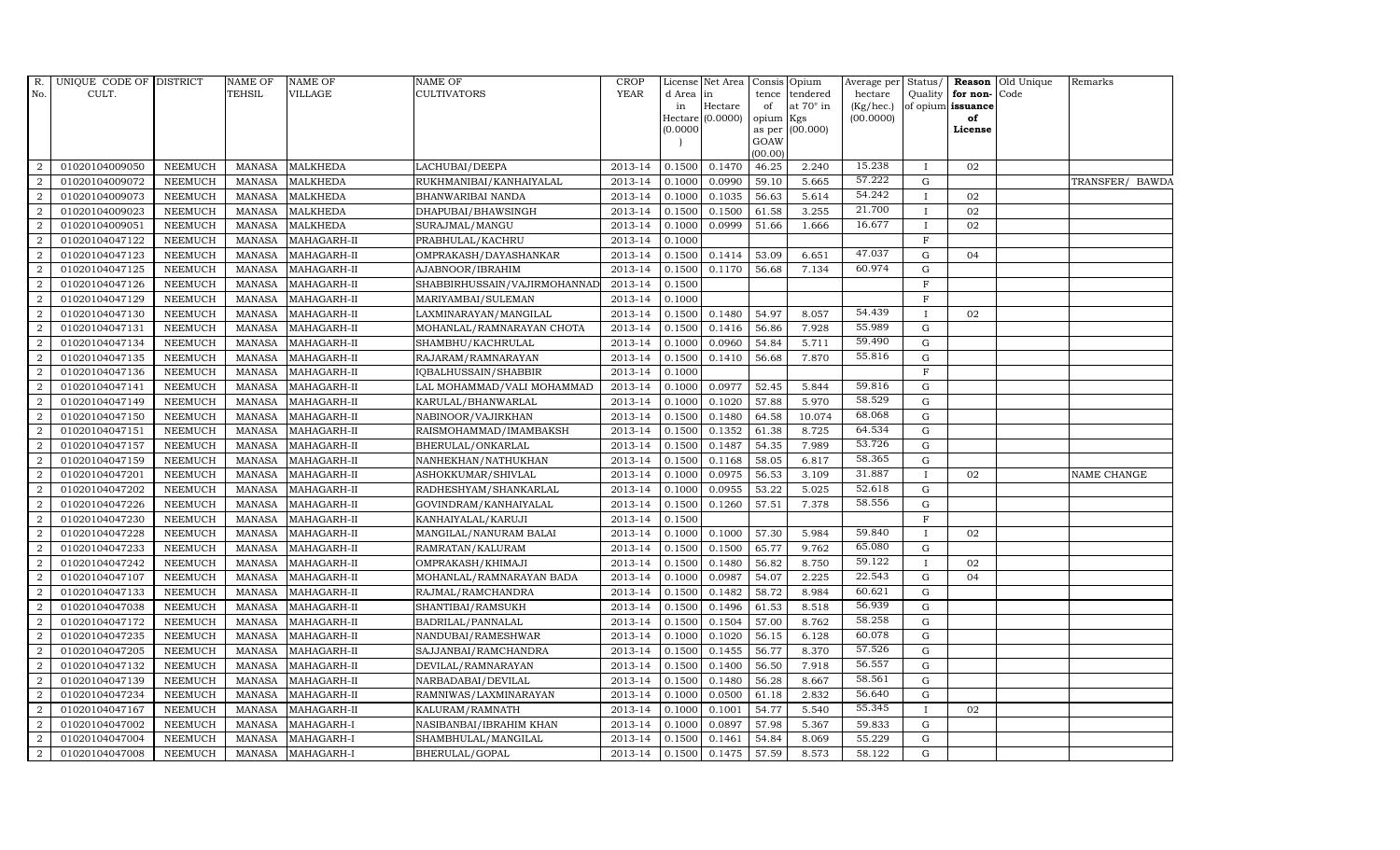| R.             | UNIQUE CODE OF DISTRICT |                | <b>NAME OF</b> | <b>NAME OF</b>  | <b>NAME OF</b>               | CROP        |           | License Net Area | Consis         | Opium            | Average per Status/ |              |                   | <b>Reason</b> Old Unique | Remarks         |
|----------------|-------------------------|----------------|----------------|-----------------|------------------------------|-------------|-----------|------------------|----------------|------------------|---------------------|--------------|-------------------|--------------------------|-----------------|
| No.            | CULT.                   |                | <b>TEHSIL</b>  | <b>VILLAGE</b>  | <b>CULTIVATORS</b>           | <b>YEAR</b> | d Area in |                  | tence          | tendered         | hectare             | Quality      | for non-Code      |                          |                 |
|                |                         |                |                |                 |                              |             | in        | Hectare          | of             | at $70^\circ$ in | (Kg/hec.)           |              | of opium issuance |                          |                 |
|                |                         |                |                |                 |                              |             | 0.0000    | Hectare (0.0000) | opium          | Kgs<br>(00.000)  | (00.0000)           |              | of<br>License     |                          |                 |
|                |                         |                |                |                 |                              |             |           |                  | as per<br>GOAW |                  |                     |              |                   |                          |                 |
|                |                         |                |                |                 |                              |             |           |                  | (00.00)        |                  |                     |              |                   |                          |                 |
| $\overline{2}$ | 01020104009050          | <b>NEEMUCH</b> | <b>MANASA</b>  | <b>MALKHEDA</b> | LACHUBAI/DEEPA               | 2013-14     | 0.1500    | 0.1470           | 46.25          | 2.240            | 15.238              | $\mathbf I$  | 02                |                          |                 |
| $\overline{2}$ | 01020104009072          | <b>NEEMUCH</b> | <b>MANASA</b>  | <b>MALKHEDA</b> | RUKHMANIBAI/KANHAIYALAL      | 2013-14     | 0.1000    | 0.0990           | 59.10          | 5.665            | 57.222              | G            |                   |                          | TRANSFER/ BAWDA |
| 2              | 01020104009073          | <b>NEEMUCH</b> | <b>MANASA</b>  | <b>MALKHEDA</b> | BHANWARIBAI NANDA            | 2013-14     | 0.1000    | 0.1035           | 56.63          | 5.614            | 54.242              | $\mathbf{I}$ | 02                |                          |                 |
| $\overline{2}$ | 01020104009023          | <b>NEEMUCH</b> | <b>MANASA</b>  | <b>MALKHEDA</b> | DHAPUBAI/BHAWSINGH           | 2013-14     | 0.1500    | 0.1500           | 61.58          | 3.255            | 21.700              | $\mathbf{I}$ | 02                |                          |                 |
| $\overline{2}$ | 01020104009051          | <b>NEEMUCH</b> | <b>MANASA</b>  | <b>MALKHEDA</b> | SURAJMAL/MANGU               | 2013-14     | 0.1000    | 0.0999           | 51.66          | 1.666            | 16.677              | $\mathbf{I}$ | 02                |                          |                 |
| $\overline{a}$ | 01020104047122          | <b>NEEMUCH</b> | <b>MANASA</b>  | MAHAGARH-II     | PRABHULAL/KACHRU             | 2013-14     | 0.1000    |                  |                |                  |                     | $\mathbf F$  |                   |                          |                 |
| $\overline{a}$ | 01020104047123          | <b>NEEMUCH</b> | <b>MANASA</b>  | MAHAGARH-II     | OMPRAKASH/DAYASHANKAR        | 2013-14     | 0.1500    | 0.1414           | 53.09          | 6.651            | 47.037              | G            | 04                |                          |                 |
| 2              | 01020104047125          | <b>NEEMUCH</b> | <b>MANASA</b>  | MAHAGARH-II     | AJABNOOR/IBRAHIM             | 2013-14     | 0.1500    | 0.1170           | 56.68          | 7.134            | 60.974              | G            |                   |                          |                 |
| $\overline{2}$ | 01020104047126          | <b>NEEMUCH</b> | <b>MANASA</b>  | MAHAGARH-II     | SHABBIRHUSSAIN/VAJIRMOHANNAD | 2013-14     | 0.1500    |                  |                |                  |                     | $\mathbf F$  |                   |                          |                 |
| $\overline{2}$ | 01020104047129          | <b>NEEMUCH</b> | <b>MANASA</b>  | MAHAGARH-II     | MARIYAMBAI/SULEMAN           | 2013-14     | 0.1000    |                  |                |                  |                     | F            |                   |                          |                 |
| $\overline{a}$ | 01020104047130          | <b>NEEMUCH</b> | <b>MANASA</b>  | MAHAGARH-II     | LAXMINARAYAN/MANGILAL        | 2013-14     | 0.1500    | 0.1480           | 54.97          | 8.057            | 54.439              |              | 02                |                          |                 |
| $\overline{a}$ | 01020104047131          | <b>NEEMUCH</b> | <b>MANASA</b>  | MAHAGARH-II     | MOHANLAL/RAMNARAYAN CHOTA    | 2013-14     | 0.1500    | 0.1416           | 56.86          | 7.928            | 55.989              | G            |                   |                          |                 |
| 2              | 01020104047134          | <b>NEEMUCH</b> | <b>MANASA</b>  | MAHAGARH-II     | SHAMBHU/KACHRULAL            | 2013-14     | 0.1000    | 0.0960           | 54.84          | 5.711            | 59.490              | G            |                   |                          |                 |
| $\overline{2}$ | 01020104047135          | <b>NEEMUCH</b> | <b>MANASA</b>  | MAHAGARH-II     | RAJARAM / RAMNARAYAN         | 2013-14     | 0.1500    | 0.1410           | 56.68          | 7.870            | 55.816              | G            |                   |                          |                 |
| $\overline{2}$ | 01020104047136          | <b>NEEMUCH</b> | <b>MANASA</b>  | MAHAGARH-II     | IQBALHUSSAIN/SHABBIR         | 2013-14     | 0.1000    |                  |                |                  |                     | $\mathbf F$  |                   |                          |                 |
| 2              | 01020104047141          | <b>NEEMUCH</b> | <b>MANASA</b>  | MAHAGARH-II     | LAL MOHAMMAD/VALI MOHAMMAD   | 2013-14     | 0.1000    | 0.0977           | 52.45          | 5.844            | 59.816              | G            |                   |                          |                 |
| 2              | 01020104047149          | <b>NEEMUCH</b> | <b>MANASA</b>  | MAHAGARH-II     | KARULAL/BHANWARLAL           | 2013-14     | 0.1000    | 0.1020           | 57.88          | 5.970            | 58.529              | G            |                   |                          |                 |
| $\overline{a}$ | 01020104047150          | <b>NEEMUCH</b> | <b>MANASA</b>  | MAHAGARH-II     | NABINOOR/VAJIRKHAN           | 2013-14     | 0.1500    | 0.1480           | 64.58          | 10.074           | 68.068              | G            |                   |                          |                 |
| $\overline{2}$ | 01020104047151          | <b>NEEMUCH</b> | <b>MANASA</b>  | MAHAGARH-II     | RAISMOHAMMAD/IMAMBAKSH       | 2013-14     | 0.1500    | 0.1352           | 61.38          | 8.725            | 64.534              | $\mathbf G$  |                   |                          |                 |
| $\overline{2}$ | 01020104047157          | NEEMUCH        | <b>MANASA</b>  | MAHAGARH-II     | BHERULAL/ONKARLAL            | 2013-14     | 0.1500    | 0.1487           | 54.35          | 7.989            | 53.726              | ${\bf G}$    |                   |                          |                 |
| 2              | 01020104047159          | <b>NEEMUCH</b> | <b>MANASA</b>  | MAHAGARH-II     | NANHEKHAN/NATHUKHAN          | 2013-14     | 0.1500    | 0.1168           | 58.05          | 6.817            | 58.365              | G            |                   |                          |                 |
| 2              | 01020104047201          | <b>NEEMUCH</b> | <b>MANASA</b>  | MAHAGARH-II     | ASHOKKUMAR/SHIVLAL           | 2013-14     | 0.1000    | 0.0975           | 56.53          | 3.109            | 31.887              | $\mathbf{I}$ | 02                |                          | NAME CHANGE     |
| $\overline{2}$ | 01020104047202          | <b>NEEMUCH</b> | <b>MANASA</b>  | MAHAGARH-II     | RADHESHYAM/SHANKARLAL        | 2013-14     | 0.1000    | 0.0955           | 53.22          | 5.025            | 52.618              | G            |                   |                          |                 |
| 2              | 01020104047226          | <b>NEEMUCH</b> | <b>MANASA</b>  | MAHAGARH-II     | GOVINDRAM/KANHAIYALAL        | 2013-14     | 0.1500    | 0.1260           | 57.51          | 7.378            | 58.556              | G            |                   |                          |                 |
| $\overline{2}$ | 01020104047230          | <b>NEEMUCH</b> | <b>MANASA</b>  | MAHAGARH-II     | KANHAIYALAL/KARUJI           | 2013-14     | 0.1500    |                  |                |                  |                     | $\mathbf{F}$ |                   |                          |                 |
| 2              | 01020104047228          | <b>NEEMUCH</b> | <b>MANASA</b>  | MAHAGARH-II     | MANGILAL/NANURAM BALAI       | 2013-14     | 0.1000    | 0.1000           | 57.30          | 5.984            | 59.840              | $\mathbf I$  | 02                |                          |                 |
| 2              | 01020104047233          | <b>NEEMUCH</b> | <b>MANASA</b>  | MAHAGARH-II     | RAMRATAN/KALURAM             | 2013-14     | 0.1500    | 0.1500           | 65.77          | 9.762            | 65.080              | G            |                   |                          |                 |
| $\overline{a}$ | 01020104047242          | <b>NEEMUCH</b> | <b>MANASA</b>  | MAHAGARH-II     | OMPRAKASH/KHIMAJI            | 2013-14     | 0.1500    | 0.1480           | 56.82          | 8.750            | 59.122              | $\mathbf I$  | 02                |                          |                 |
| $\overline{2}$ | 01020104047107          | <b>NEEMUCH</b> | <b>MANASA</b>  | MAHAGARH-II     | MOHANLAL/RAMNARAYAN BADA     | 2013-14     | 0.1000    | 0.0987           | 54.07          | 2.225            | 22.543              | G            | 04                |                          |                 |
| $\overline{2}$ | 01020104047133          | <b>NEEMUCH</b> | <b>MANASA</b>  | MAHAGARH-II     | RAJMAL/RAMCHANDRA            | 2013-14     | 0.1500    | 0.1482           | 58.72          | 8.984            | 60.621              | G            |                   |                          |                 |
| $\overline{a}$ | 01020104047038          | <b>NEEMUCH</b> | <b>MANASA</b>  | MAHAGARH-II     | SHANTIBAI/RAMSUKH            | 2013-14     | 0.1500    | 0.1496           | 61.53          | 8.518            | 56.939              | G            |                   |                          |                 |
| $\overline{2}$ | 01020104047172          | <b>NEEMUCH</b> | <b>MANASA</b>  | MAHAGARH-II     | BADRILAL/PANNALAL            | 2013-14     | 0.1500    | 0.1504           | 57.00          | 8.762            | 58.258              | G            |                   |                          |                 |
| $\overline{a}$ | 01020104047235          | <b>NEEMUCH</b> | <b>MANASA</b>  | MAHAGARH-II     | NANDUBAI/RAMESHWAR           | 2013-14     | 0.1000    | 0.1020           | 56.15          | 6.128            | 60.078              | G            |                   |                          |                 |
| $\overline{2}$ | 01020104047205          | <b>NEEMUCH</b> | <b>MANASA</b>  | MAHAGARH-II     | SAJJANBAI/RAMCHANDRA         | 2013-14     | 0.1500    | 0.1455           | 56.77          | 8.370            | 57.526              | $\mathbf G$  |                   |                          |                 |
| 2              | 01020104047132          | <b>NEEMUCH</b> | <b>MANASA</b>  | MAHAGARH-II     | DEVILAL/RAMNARAYAN           | 2013-14     | 0.1500    | 0.1400           | 56.50          | 7.918            | 56.557              | G            |                   |                          |                 |
| $\overline{a}$ | 01020104047139          | <b>NEEMUCH</b> | <b>MANASA</b>  | MAHAGARH-II     | NARBADABAI/DEVILAL           | 2013-14     | 0.1500    | 0.1480           | 56.28          | 8.667            | 58.561              | G            |                   |                          |                 |
| 2              | 01020104047234          | <b>NEEMUCH</b> | <b>MANASA</b>  | MAHAGARH-II     | RAMNIWAS/LAXMINARAYAN        | 2013-14     | 0.1000    | 0.0500           | 61.18          | 2.832            | 56.640              | G            |                   |                          |                 |
| $\overline{a}$ | 01020104047167          | <b>NEEMUCH</b> | <b>MANASA</b>  | MAHAGARH-II     | KALURAM/RAMNATH              | $2013 - 14$ | 0.1000    | 0.1001           | 54.77          | 5.540            | 55.345              | $\mathbf{I}$ | 02                |                          |                 |
| $\overline{2}$ | 01020104047002          | <b>NEEMUCH</b> | <b>MANASA</b>  | MAHAGARH-I      | NASIBANBAI/IBRAHIM KHAN      | 2013-14     | 0.1000    | 0.0897           | 57.98          | 5.367            | 59.833              | G            |                   |                          |                 |
| 2              | 01020104047004          | <b>NEEMUCH</b> | <b>MANASA</b>  | MAHAGARH-I      | SHAMBHULAL/MANGILAL          | 2013-14     | 0.1500    | 0.1461           | 54.84          | 8.069            | 55.229              | G            |                   |                          |                 |
| $\overline{a}$ | 01020104047008          | NEEMUCH        | MANASA         | MAHAGARH-I      | BHERULAL/GOPAL               | 2013-14     | 0.1500    | 0.1475           | 57.59          | 8.573            | 58.122              | G            |                   |                          |                 |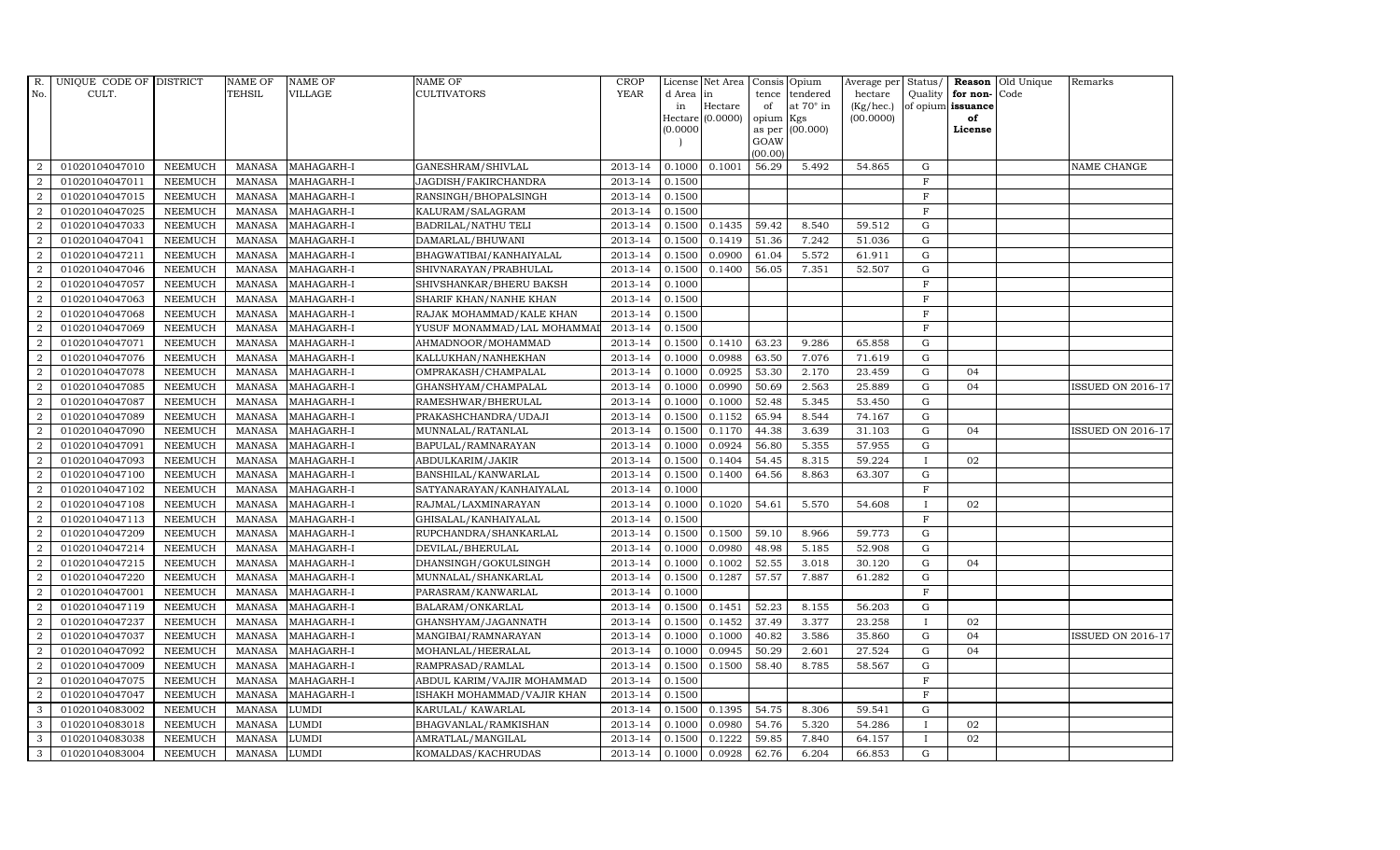| R.             | UNIQUE CODE OF DISTRICT |                | <b>NAME OF</b> | <b>NAME OF</b> | <b>NAME OF</b>             | CROP        |            | License Net Area |                | Consis Opium     | Average per     | Status/      | Reason            | Old Unique | Remarks                  |
|----------------|-------------------------|----------------|----------------|----------------|----------------------------|-------------|------------|------------------|----------------|------------------|-----------------|--------------|-------------------|------------|--------------------------|
| No.            | CULT.                   |                | TEHSIL         | <b>VILLAGE</b> | <b>CULTIVATORS</b>         | <b>YEAR</b> | d Area lin |                  | tence          | tendered         | hectare         | Quality      | for non-          | Code       |                          |
|                |                         |                |                |                |                            |             | in         | Hectare          | of             | at $70^\circ$ in | $(Kg/$ hec. $)$ |              | of opium issuance |            |                          |
|                |                         |                |                |                |                            |             | (0.0000)   | Hectare (0.0000) | opium Kgs      | (00.000)         | (00.0000)       |              | of<br>License     |            |                          |
|                |                         |                |                |                |                            |             |            |                  | as per<br>GOAW |                  |                 |              |                   |            |                          |
|                |                         |                |                |                |                            |             |            |                  | (00.00)        |                  |                 |              |                   |            |                          |
| 2              | 01020104047010          | <b>NEEMUCH</b> | MANASA         | MAHAGARH-I     | GANESHRAM/SHIVLAL          | 2013-14     | 0.1000     | 0.1001           | 56.29          | 5.492            | 54.865          | G            |                   |            | NAME CHANGE              |
| $\overline{2}$ | 01020104047011          | <b>NEEMUCH</b> | <b>MANASA</b>  | MAHAGARH-I     | JAGDISH/FAKIRCHANDRA       | 2013-14     | 0.1500     |                  |                |                  |                 | $\rm F$      |                   |            |                          |
| 2              | 01020104047015          | <b>NEEMUCH</b> | <b>MANASA</b>  | MAHAGARH-I     | RANSINGH/BHOPALSINGH       | 2013-14     | 0.1500     |                  |                |                  |                 | $\mathbf F$  |                   |            |                          |
| $\overline{2}$ | 01020104047025          | <b>NEEMUCH</b> | <b>MANASA</b>  | MAHAGARH-I     | KALURAM/SALAGRAM           | 2013-14     | 0.1500     |                  |                |                  |                 | $\mathbf F$  |                   |            |                          |
| $\overline{2}$ | 01020104047033          | <b>NEEMUCH</b> | <b>MANASA</b>  | MAHAGARH-I     | <b>BADRILAL/NATHU TELI</b> | 2013-14     | 0.1500     | 0.1435           | 59.42          | 8.540            | 59.512          | $\mathbf G$  |                   |            |                          |
| 2              | 01020104047041          | <b>NEEMUCH</b> | <b>MANASA</b>  | MAHAGARH-I     | DAMARLAL/BHUWANI           | 2013-14     | 0.1500     | 0.1419           | 51.36          | 7.242            | 51.036          | $\mathbf G$  |                   |            |                          |
| $\overline{2}$ | 01020104047211          | <b>NEEMUCH</b> | MANASA         | MAHAGARH-I     | BHAGWATIBAI/KANHAIYALAL    | 2013-14     | 0.1500     | 0.0900           | 61.04          | 5.572            | 61.911          | ${\rm G}$    |                   |            |                          |
| $\overline{a}$ | 01020104047046          | <b>NEEMUCH</b> | <b>MANASA</b>  | MAHAGARH-I     | SHIVNARAYAN/PRABHULAL      | 2013-14     | 0.1500     | 0.1400           | 56.05          | 7.351            | 52.507          | G            |                   |            |                          |
| $\overline{2}$ | 01020104047057          | <b>NEEMUCH</b> | <b>MANASA</b>  | MAHAGARH-I     | SHIVSHANKAR/BHERU BAKSH    | 2013-14     | 0.1000     |                  |                |                  |                 | $\mathbf F$  |                   |            |                          |
| $\overline{2}$ | 01020104047063          | NEEMUCH        | <b>MANASA</b>  | MAHAGARH-I     | SHARIF KHAN/NANHE KHAN     | 2013-14     | 0.1500     |                  |                |                  |                 | $\mathbf F$  |                   |            |                          |
| $\overline{2}$ | 01020104047068          | <b>NEEMUCH</b> | <b>MANASA</b>  | MAHAGARH-I     | RAJAK MOHAMMAD/KALE KHAN   | 2013-14     | 0.1500     |                  |                |                  |                 | $\mathbf F$  |                   |            |                          |
| $\overline{2}$ | 01020104047069          | <b>NEEMUCH</b> | MANASA         | MAHAGARH-I     | YUSUF MONAMMAD/LAL MOHAMMA | 2013-14     | 0.1500     |                  |                |                  |                 | $\mathbf F$  |                   |            |                          |
| $\overline{2}$ | 01020104047071          | <b>NEEMUCH</b> | MANASA         | MAHAGARH-I     | AHMADNOOR/MOHAMMAD         | 2013-14     | 0.1500     | 0.1410           | 63.23          | 9.286            | 65.858          | G            |                   |            |                          |
| 2              | 01020104047076          | <b>NEEMUCH</b> | <b>MANASA</b>  | MAHAGARH-I     | KALLUKHAN/NANHEKHAN        | 2013-14     | 0.1000     | 0.0988           | 63.50          | 7.076            | 71.619          | $\mathbf G$  |                   |            |                          |
| $\overline{2}$ | 01020104047078          | <b>NEEMUCH</b> | <b>MANASA</b>  | MAHAGARH-I     | OMPRAKASH/CHAMPALAL        | 2013-14     | 0.1000     | 0.0925           | 53.30          | 2.170            | 23.459          | $\mathbf G$  | 04                |            |                          |
| $\overline{2}$ | 01020104047085          | <b>NEEMUCH</b> | <b>MANASA</b>  | MAHAGARH-I     | GHANSHYAM/CHAMPALAL        | 2013-14     | 0.1000     | 0.0990           | 50.69          | 2.563            | 25.889          | ${\rm G}$    | 04                |            | <b>ISSUED ON 2016-17</b> |
| $\overline{2}$ | 01020104047087          | <b>NEEMUCH</b> | <b>MANASA</b>  | MAHAGARH-I     | RAMESHWAR/BHERULAL         | 2013-14     | 0.1000     | 0.1000           | 52.48          | 5.345            | 53.450          | G            |                   |            |                          |
| $\overline{a}$ | 01020104047089          | <b>NEEMUCH</b> | <b>MANASA</b>  | MAHAGARH-I     | PRAKASHCHANDRA/UDAJI       | 2013-14     | 0.1500     | 0.1152           | 65.94          | 8.544            | 74.167          | $\mathbf G$  |                   |            |                          |
| $\overline{a}$ | 01020104047090          | <b>NEEMUCH</b> | <b>MANASA</b>  | MAHAGARH-I     | MUNNALAL/RATANLAL          | 2013-14     | 0.1500     | 0.1170           | 44.38          | 3.639            | 31.103          | $\mathbf G$  | 04                |            | <b>ISSUED ON 2016-17</b> |
| $\overline{2}$ | 01020104047091          | <b>NEEMUCH</b> | <b>MANASA</b>  | MAHAGARH-I     | BAPULAL/RAMNARAYAN         | 2013-14     | 0.1000     | 0.0924           | 56.80          | 5.355            | 57.955          | G            |                   |            |                          |
| $\overline{a}$ | 01020104047093          | <b>NEEMUCH</b> | <b>MANASA</b>  | MAHAGARH-I     | ABDULKARIM/JAKIR           | 2013-14     | 0.1500     | 0.1404           | 54.45          | 8.315            | 59.224          | $\mathbf I$  | 02                |            |                          |
| 2              | 01020104047100          | NEEMUCH        | <b>MANASA</b>  | MAHAGARH-I     | BANSHILAL/KANWARLAL        | 2013-14     | 0.1500     | 0.1400           | 64.56          | 8.863            | 63.307          | $\mathbf G$  |                   |            |                          |
| $\overline{2}$ | 01020104047102          | <b>NEEMUCH</b> | MANASA         | MAHAGARH-I     | SATYANARAYAN/KANHAIYALAL   | 2013-14     | 0.1000     |                  |                |                  |                 | $\mathbf F$  |                   |            |                          |
| 2              | 01020104047108          | <b>NEEMUCH</b> | <b>MANASA</b>  | MAHAGARH-I     | RAJMAL/LAXMINARAYAN        | 2013-14     | 0.1000     | 0.1020           | 54.61          | 5.570            | 54.608          | $\mathbf{I}$ | 02                |            |                          |
| 2              | 01020104047113          | NEEMUCH        | <b>MANASA</b>  | MAHAGARH-I     | GHISALAL/KANHAIYALAL       | 2013-14     | 0.1500     |                  |                |                  |                 | $\mathbf F$  |                   |            |                          |
| $\overline{2}$ | 01020104047209          | <b>NEEMUCH</b> | <b>MANASA</b>  | MAHAGARH-I     | RUPCHANDRA/SHANKARLAL      | 2013-14     | 0.1500     | 0.1500           | 59.10          | 8.966            | 59.773          | $\mathbf G$  |                   |            |                          |
| 2              | 01020104047214          | <b>NEEMUCH</b> | <b>MANASA</b>  | MAHAGARH-I     | DEVILAL/BHERULAL           | 2013-14     | 0.1000     | 0.0980           | 48.98          | 5.185            | 52.908          | ${\rm G}$    |                   |            |                          |
| $\overline{a}$ | 01020104047215          | <b>NEEMUCH</b> | <b>MANASA</b>  | MAHAGARH-I     | DHANSINGH/GOKULSINGH       | 2013-14     | 0.1000     | 0.1002           | 52.55          | 3.018            | 30.120          | $\mathbf G$  | 04                |            |                          |
| $\overline{2}$ | 01020104047220          | <b>NEEMUCH</b> | MANASA         | MAHAGARH-I     | MUNNALAL/SHANKARLAL        | 2013-14     | 0.1500     | 0.1287           | 57.57          | 7.887            | 61.282          | ${\rm G}$    |                   |            |                          |
| $\overline{2}$ | 01020104047001          | NEEMUCH        | <b>MANASA</b>  | MAHAGARH-I     | PARASRAM/KANWARLAL         | 2013-14     | 0.1000     |                  |                |                  |                 | $\mathbf F$  |                   |            |                          |
| $\overline{2}$ | 01020104047119          | <b>NEEMUCH</b> | <b>MANASA</b>  | MAHAGARH-I     | BALARAM/ONKARLAL           | 2013-14     | 0.1500     | 0.1451           | 52.23          | 8.155            | 56.203          | G            |                   |            |                          |
| $\overline{2}$ | 01020104047237          | <b>NEEMUCH</b> | <b>MANASA</b>  | MAHAGARH-I     | GHANSHYAM/JAGANNATH        | 2013-14     | 0.1500     | 0.1452           | 37.49          | 3.377            | 23.258          | $\mathbf{I}$ | 02                |            |                          |
| 2              | 01020104047037          | <b>NEEMUCH</b> | <b>MANASA</b>  | MAHAGARH-I     | MANGIBAI/RAMNARAYAN        | $2013 - 14$ | 0.1000     | 0.1000           | 40.82          | 3.586            | 35.860          | $\mathbf G$  | 04                |            | <b>ISSUED ON 2016-17</b> |
| $\overline{2}$ | 01020104047092          | <b>NEEMUCH</b> | MANASA         | MAHAGARH-I     | MOHANLAL/HEERALAL          | 2013-14     | 0.1000     | 0.0945           | 50.29          | 2.601            | 27.524          | $\mathbf G$  | 04                |            |                          |
| 2              | 01020104047009          | <b>NEEMUCH</b> | <b>MANASA</b>  | MAHAGARH-I     | RAMPRASAD/RAMLAL           | 2013-14     | 0.1500     | 0.1500           | 58.40          | 8.785            | 58.567          | $\mathbf G$  |                   |            |                          |
| 2              | 01020104047075          | <b>NEEMUCH</b> | <b>MANASA</b>  | MAHAGARH-I     | ABDUL KARIM/VAJIR MOHAMMAD | 2013-14     | 0.1500     |                  |                |                  |                 | F            |                   |            |                          |
| 2              | 01020104047047          | <b>NEEMUCH</b> | <b>MANASA</b>  | MAHAGARH-I     | ISHAKH MOHAMMAD/VAJIR KHAN | 2013-14     | 0.1500     |                  |                |                  |                 | $\rm F$      |                   |            |                          |
| $\mathbf{3}$   | 01020104083002          | <b>NEEMUCH</b> | <b>MANASA</b>  | LUMDI          | KARULAL/KAWARLAL           | 2013-14     | 0.1500     | 0.1395           | 54.75          | 8.306            | 59.541          | $\mathbf G$  |                   |            |                          |
| 3              | 01020104083018          | <b>NEEMUCH</b> | <b>MANASA</b>  | <b>LUMDI</b>   | BHAGVANLAL/RAMKISHAN       | 2013-14     | 0.1000     | 0.0980           | 54.76          | 5.320            | 54.286          | $\mathbf{I}$ | 02                |            |                          |
| 3              | 01020104083038          | <b>NEEMUCH</b> | <b>MANASA</b>  | <b>LUMDI</b>   | AMRATLAL/MANGILAL          | 2013-14     | 0.1500     | 0.1222           | 59.85          | 7.840            | 64.157          | $\mathbf{I}$ | 02                |            |                          |
|                |                         |                |                |                |                            |             |            |                  |                |                  |                 |              |                   |            |                          |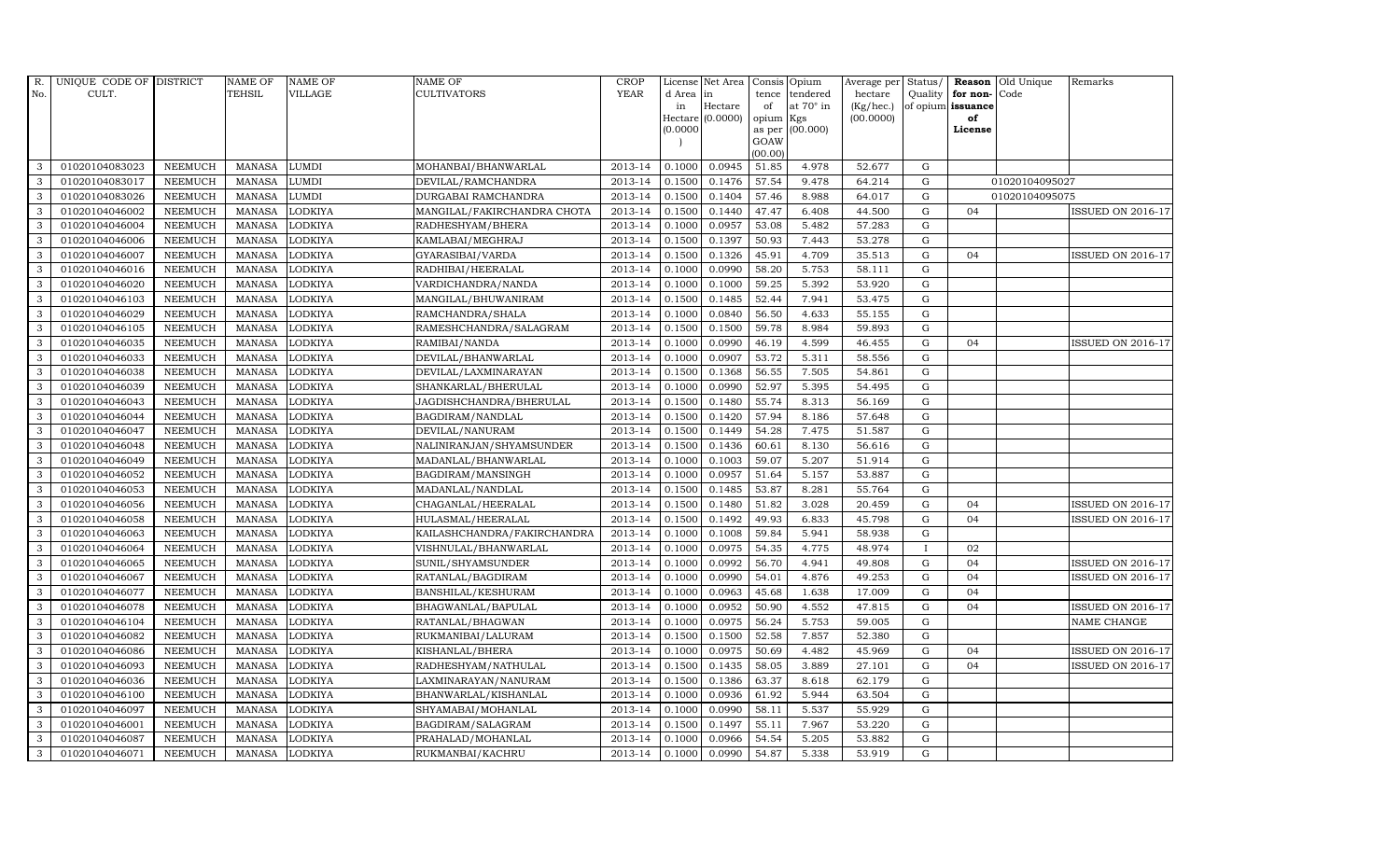| R.           | UNIQUE CODE OF DISTRICT |                | <b>NAME OF</b> | <b>NAME OF</b> | <b>NAME OF</b>              | <b>CROP</b> |          | License Net Area |           | Consis Opium     | Average per | Status/      | Reason            | Old Unique     | Remarks                  |
|--------------|-------------------------|----------------|----------------|----------------|-----------------------------|-------------|----------|------------------|-----------|------------------|-------------|--------------|-------------------|----------------|--------------------------|
| No.          | CULT.                   |                | <b>TEHSIL</b>  | <b>VILLAGE</b> | <b>CULTIVATORS</b>          | <b>YEAR</b> | d Area   | in               | tence     | tendered         | hectare     | Quality      | for non-          | Code           |                          |
|              |                         |                |                |                |                             |             | in       | Hectare          | of        | at $70^\circ$ in | (Kg/hec.)   |              | of opium issuance |                |                          |
|              |                         |                |                |                |                             |             |          | Hectare (0.0000) | opium Kgs |                  | (00.0000)   |              | of                |                |                          |
|              |                         |                |                |                |                             |             | (0.0000) |                  | GOAW      | as per (00.000)  |             |              | License           |                |                          |
|              |                         |                |                |                |                             |             |          |                  | (00.00)   |                  |             |              |                   |                |                          |
| 3            | 01020104083023          | <b>NEEMUCH</b> | MANASA         | <b>LUMDI</b>   | MOHANBAI/BHANWARLAL         | 2013-14     | 0.1000   | 0.0945           | 51.85     | 4.978            | 52.677      | ${\rm G}$    |                   |                |                          |
| 3            | 01020104083017          | <b>NEEMUCH</b> | <b>MANASA</b>  | <b>LUMDI</b>   | DEVILAL/RAMCHANDRA          | 2013-14     | 0.1500   | 0.1476           | 57.54     | 9.478            | 64.214      | $\mathbf G$  |                   | 01020104095027 |                          |
| 3            | 01020104083026          | <b>NEEMUCH</b> | <b>MANASA</b>  | <b>LUMDI</b>   | DURGABAI RAMCHANDRA         | 2013-14     | 0.1500   | 0.1404           | 57.46     | 8.988            | 64.017      | G            |                   | 01020104095075 |                          |
| 3            | 01020104046002          | <b>NEEMUCH</b> | <b>MANASA</b>  | <b>LODKIYA</b> | MANGILAL/FAKIRCHANDRA CHOTA | 2013-14     | 0.1500   | 0.1440           | 47.47     | 6.408            | 44.500      | $\mathbf G$  | 0 <sub>4</sub>    |                | <b>ISSUED ON 2016-17</b> |
| 3            | 01020104046004          | <b>NEEMUCH</b> | <b>MANASA</b>  | <b>LODKIYA</b> | RADHESHYAM/BHERA            | 2013-14     | 0.1000   | 0.0957           | 53.08     | 5.482            | 57.283      | ${\rm G}$    |                   |                |                          |
| $\mathbf{3}$ | 01020104046006          | <b>NEEMUCH</b> | MANASA         | <b>LODKIYA</b> | KAMLABAI/MEGHRAJ            | 2013-14     | 0.1500   | 0.1397           | 50.93     | 7.443            | 53.278      | $\mathbf G$  |                   |                |                          |
| 3            | 01020104046007          | <b>NEEMUCH</b> | <b>MANASA</b>  | <b>LODKIYA</b> | GYARASIBAI/VARDA            | 2013-14     | 0.1500   | 0.1326           | 45.91     | 4.709            | 35.513      | $\mathbf G$  | 04                |                | <b>ISSUED ON 2016-17</b> |
| 3            | 01020104046016          | <b>NEEMUCH</b> | <b>MANASA</b>  | <b>LODKIYA</b> | RADHIBAI/HEERALAL           | 2013-14     | 0.1000   | 0.0990           | 58.20     | 5.753            | 58.111      | $\mathbf G$  |                   |                |                          |
| 3            | 01020104046020          | <b>NEEMUCH</b> | <b>MANASA</b>  | <b>LODKIYA</b> | VARDICHANDRA/NANDA          | 2013-14     | 0.1000   | 0.1000           | 59.25     | 5.392            | 53.920      | $\mathbf G$  |                   |                |                          |
| 3            | 01020104046103          | <b>NEEMUCH</b> | <b>MANASA</b>  | <b>LODKIYA</b> | MANGILAL/BHUWANIRAM         | 2013-14     | 0.1500   | 0.1485           | 52.44     | 7.941            | 53.475      | ${\rm G}$    |                   |                |                          |
| 3            | 01020104046029          | <b>NEEMUCH</b> | <b>MANASA</b>  | <b>LODKIYA</b> | RAMCHANDRA/SHALA            | 2013-14     | 0.1000   | 0.0840           | 56.50     | 4.633            | 55.155      | ${\rm G}$    |                   |                |                          |
| 3            | 01020104046105          | <b>NEEMUCH</b> | <b>MANASA</b>  | <b>LODKIYA</b> | RAMESHCHANDRA/SALAGRAM      | 2013-14     | 0.1500   | 0.1500           | 59.78     | 8.984            | 59.893      | $\mathbf G$  |                   |                |                          |
| 3            | 01020104046035          | <b>NEEMUCH</b> | <b>MANASA</b>  | <b>LODKIYA</b> | RAMIBAI/NANDA               | 2013-14     | 0.1000   | 0.0990           | 46.19     | 4.599            | 46.455      | $\mathbf G$  | 04                |                | <b>ISSUED ON 2016-17</b> |
| 3            | 01020104046033          | <b>NEEMUCH</b> | <b>MANASA</b>  | <b>LODKIYA</b> | DEVILAL/BHANWARLAL          | 2013-14     | 0.1000   | 0.0907           | 53.72     | 5.311            | 58.556      | G            |                   |                |                          |
| 3            | 01020104046038          | <b>NEEMUCH</b> | <b>MANASA</b>  | <b>LODKIYA</b> | DEVILAL/LAXMINARAYAN        | 2013-14     | 0.1500   | 0.1368           | 56.55     | 7.505            | 54.861      | G            |                   |                |                          |
| 3            | 01020104046039          | <b>NEEMUCH</b> | <b>MANASA</b>  | <b>LODKIYA</b> | SHANKARLAL/BHERULAL         | 2013-14     | 0.1000   | 0.0990           | 52.97     | 5.395            | 54.495      | ${\rm G}$    |                   |                |                          |
| 3            | 01020104046043          | <b>NEEMUCH</b> | <b>MANASA</b>  | <b>LODKIYA</b> | JAGDISHCHANDRA/BHERULAL     | 2013-14     | 0.1500   | 0.1480           | 55.74     | 8.313            | 56.169      | G            |                   |                |                          |
| 3            | 01020104046044          | <b>NEEMUCH</b> | MANASA         | <b>LODKIYA</b> | BAGDIRAM/NANDLAL            | 2013-14     | 0.1500   | 0.1420           | 57.94     | 8.186            | 57.648      | G            |                   |                |                          |
| 3            | 01020104046047          | <b>NEEMUCH</b> | <b>MANASA</b>  | <b>LODKIYA</b> | DEVILAL/NANURAM             | 2013-14     | 0.1500   | 0.1449           | 54.28     | 7.475            | 51.587      | $\mathbf G$  |                   |                |                          |
| 3            | 01020104046048          | <b>NEEMUCH</b> | <b>MANASA</b>  | <b>LODKIYA</b> | NALINIRANJAN/SHYAMSUNDER    | 2013-14     | 0.1500   | 0.1436           | 60.61     | 8.130            | 56.616      | $\mathbf G$  |                   |                |                          |
| $\mathbf{3}$ | 01020104046049          | <b>NEEMUCH</b> | <b>MANASA</b>  | <b>LODKIYA</b> | MADANLAL/BHANWARLAL         | 2013-14     | 0.1000   | 0.1003           | 59.07     | 5.207            | 51.914      | ${\rm G}$    |                   |                |                          |
| 3            | 01020104046052          | <b>NEEMUCH</b> | <b>MANASA</b>  | <b>LODKIYA</b> | BAGDIRAM/MANSINGH           | 2013-14     | 0.1000   | 0.0957           | 51.64     | 5.157            | 53.887      | ${\rm G}$    |                   |                |                          |
| $\mathbf{3}$ | 01020104046053          | <b>NEEMUCH</b> | <b>MANASA</b>  | <b>LODKIYA</b> | MADANLAL/NANDLAL            | 2013-14     | 0.1500   | 0.1485           | 53.87     | 8.281            | 55.764      | G            |                   |                |                          |
| 3            | 01020104046056          | <b>NEEMUCH</b> | <b>MANASA</b>  | <b>LODKIYA</b> | CHAGANLAL/HEERALAL          | 2013-14     | 0.1500   | 0.1480           | 51.82     | 3.028            | 20.459      | $\mathbf G$  | 04                |                | <b>ISSUED ON 2016-17</b> |
| 3            | 01020104046058          | <b>NEEMUCH</b> | <b>MANASA</b>  | <b>LODKIYA</b> | HULASMAL/HEERALAL           | 2013-14     | 0.1500   | 0.1492           | 49.93     | 6.833            | 45.798      | $\mathbf G$  | 04                |                | <b>ISSUED ON 2016-17</b> |
| 3            | 01020104046063          | <b>NEEMUCH</b> | <b>MANASA</b>  | <b>LODKIYA</b> | KAILASHCHANDRA/FAKIRCHANDRA | 2013-14     | 0.1000   | 0.1008           | 59.84     | 5.941            | 58.938      | G            |                   |                |                          |
| 3            | 01020104046064          | <b>NEEMUCH</b> | <b>MANASA</b>  | <b>LODKIYA</b> | VISHNULAL/BHANWARLAL        | 2013-14     | 0.1000   | 0.0975           | 54.35     | 4.775            | 48.974      | $\mathbf{I}$ | 02                |                |                          |
| 3            | 01020104046065          | <b>NEEMUCH</b> | <b>MANASA</b>  | <b>LODKIYA</b> | SUNIL/SHYAMSUNDER           | 2013-14     | 0.1000   | 0.0992           | 56.70     | 4.941            | 49.808      | $\mathbf G$  | 04                |                | <b>ISSUED ON 2016-17</b> |
| 3            | 01020104046067          | <b>NEEMUCH</b> | <b>MANASA</b>  | <b>LODKIYA</b> | RATANLAL/BAGDIRAM           | 2013-14     | 0.1000   | 0.0990           | 54.01     | 4.876            | 49.253      | $\mathbf G$  | 04                |                | <b>ISSUED ON 2016-17</b> |
| 3            | 01020104046077          | <b>NEEMUCH</b> | <b>MANASA</b>  | <b>LODKIYA</b> | BANSHILAL/KESHURAM          | 2013-14     | 0.1000   | 0.0963           | 45.68     | 1.638            | 17.009      | $\mathbf G$  | 04                |                |                          |
| 3            | 01020104046078          | <b>NEEMUCH</b> | <b>MANASA</b>  | <b>LODKIYA</b> | BHAGWANLAL/BAPULAL          | 2013-14     | 0.1000   | 0.0952           | 50.90     | 4.552            | 47.815      | G            | 04                |                | <b>ISSUED ON 2016-17</b> |
| 3            | 01020104046104          | <b>NEEMUCH</b> | <b>MANASA</b>  | <b>LODKIYA</b> | RATANLAL/BHAGWAN            | 2013-14     | 0.1000   | 0.0975           | 56.24     | 5.753            | 59.005      | ${\rm G}$    |                   |                | NAME CHANGE              |
| 3            | 01020104046082          | <b>NEEMUCH</b> | MANASA         | <b>LODKIYA</b> | RUKMANIBAI/LALURAM          | 2013-14     | 0.1500   | 0.1500           | 52.58     | 7.857            | 52.380      | $\mathbf G$  |                   |                |                          |
| 3            | 01020104046086          | <b>NEEMUCH</b> | <b>MANASA</b>  | <b>LODKIYA</b> | KISHANLAL/BHERA             | 2013-14     | 0.1000   | 0.0975           | 50.69     | 4.482            | 45.969      | $\mathbf G$  | 04                |                | <b>ISSUED ON 2016-17</b> |
| 3            | 01020104046093          | <b>NEEMUCH</b> | <b>MANASA</b>  | <b>LODKIYA</b> | RADHESHYAM/NATHULAL         | 2013-14     | 0.1500   | 0.1435           | 58.05     | 3.889            | 27.101      | $\mathbf G$  | 04                |                | <b>ISSUED ON 2016-17</b> |
| 3            | 01020104046036          | <b>NEEMUCH</b> | <b>MANASA</b>  | <b>LODKIYA</b> | LAXMINARAYAN/NANURAM        | 2013-14     | 0.1500   | 0.1386           | 63.37     | 8.618            | 62.179      | $\mathbf G$  |                   |                |                          |
| 3            | 01020104046100          | <b>NEEMUCH</b> | <b>MANASA</b>  | <b>LODKIYA</b> | BHANWARLAL/KISHANLAL        | 2013-14     | 0.1000   | 0.0936           | 61.92     | 5.944            | 63.504      | ${\rm G}$    |                   |                |                          |
| 3            | 01020104046097          | <b>NEEMUCH</b> | <b>MANASA</b>  | <b>LODKIYA</b> | SHYAMABAI/MOHANLAL          | 2013-14     | 0.1000   | 0.0990           | 58.11     | 5.537            | 55.929      | $\mathbf G$  |                   |                |                          |
| 3            | 01020104046001          | <b>NEEMUCH</b> | <b>MANASA</b>  | <b>LODKIYA</b> | BAGDIRAM/SALAGRAM           | 2013-14     | 0.1500   | 0.1497           | 55.11     | 7.967            | 53.220      | $\mathbf G$  |                   |                |                          |
| 3            | 01020104046087          | <b>NEEMUCH</b> | <b>MANASA</b>  | <b>LODKIYA</b> | PRAHALAD/MOHANLAL           | 2013-14     | 0.1000   | 0.0966           | 54.54     | 5.205            | 53.882      | $\mathbf G$  |                   |                |                          |
| 3            | 01020104046071          | <b>NEEMUCH</b> | MANASA LODKIYA |                | RUKMANBAI/KACHRU            | 2013-14     | 0.1000   | 0.0990           | 54.87     | 5.338            | 53.919      | G            |                   |                |                          |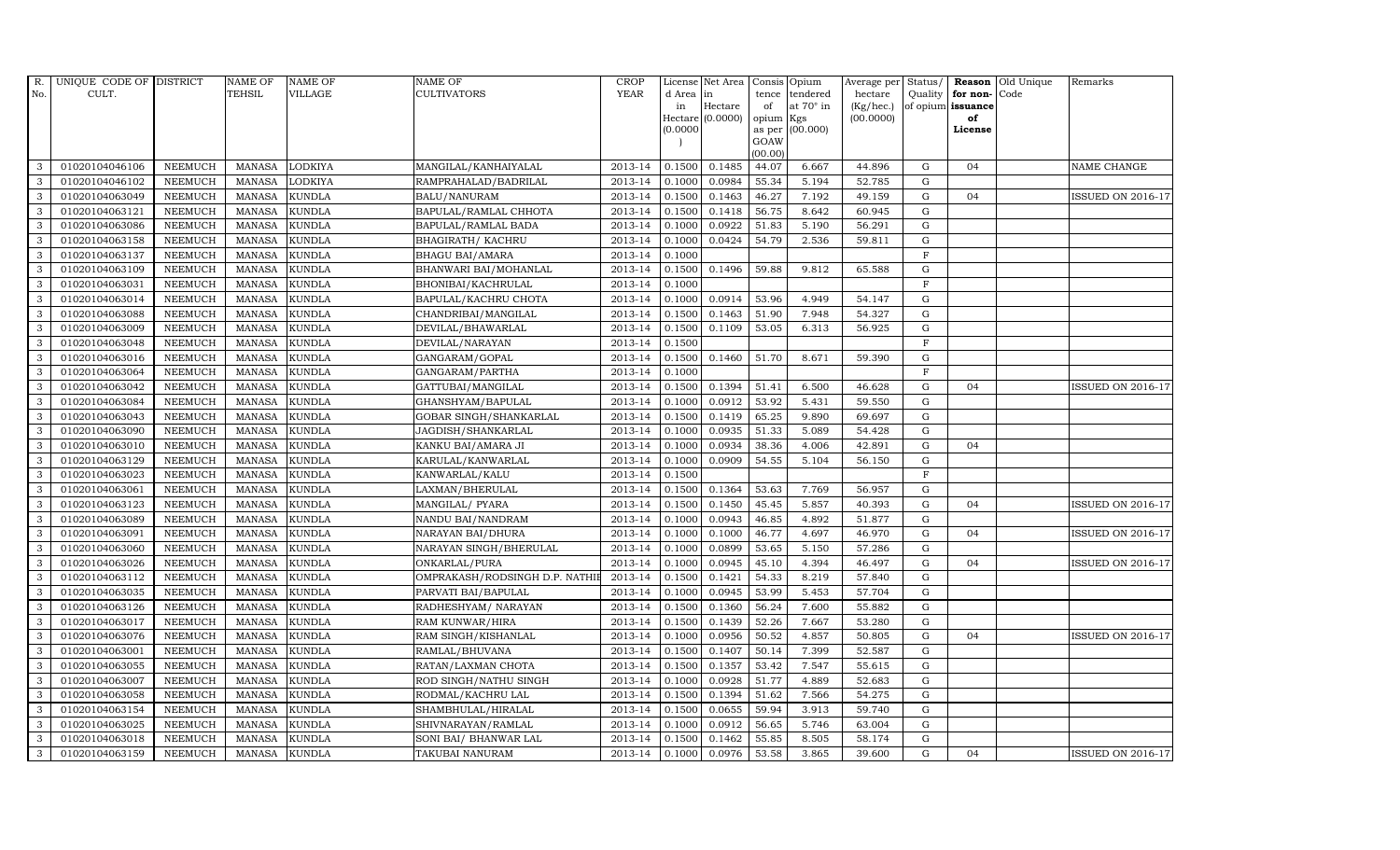| R.           | UNIQUE CODE OF DISTRICT |                | <b>NAME OF</b> | <b>NAME OF</b> | NAME OF                        | <b>CROP</b> |           | License Net Area | Consis Opium   |                  | Average per Status/ |                |                   | <b>Reason</b> Old Unique | Remarks                  |
|--------------|-------------------------|----------------|----------------|----------------|--------------------------------|-------------|-----------|------------------|----------------|------------------|---------------------|----------------|-------------------|--------------------------|--------------------------|
| No.          | CULT.                   |                | TEHSIL         | <b>VILLAGE</b> | <b>CULTIVATORS</b>             | <b>YEAR</b> | d Area in |                  | tence          | tendered         | hectare             |                | Quality for non-  | Code                     |                          |
|              |                         |                |                |                |                                |             | in        | Hectare          | of             | at $70^\circ$ in | (Kg/hec.)           |                | of opium issuance |                          |                          |
|              |                         |                |                |                |                                |             |           | Hectare (0.0000) | opium          | Kgs              | (00.0000)           |                | of                |                          |                          |
|              |                         |                |                |                |                                |             | (0.0000)  |                  | as per<br>GOAW | (00.000)         |                     |                | License           |                          |                          |
|              |                         |                |                |                |                                |             |           |                  | (00.00)        |                  |                     |                |                   |                          |                          |
| 3            | 01020104046106          | <b>NEEMUCH</b> | MANASA         | <b>LODKIYA</b> | MANGILAL/KANHAIYALAL           | 2013-14     | 0.1500    | 0.1485           | 44.07          | 6.667            | 44.896              | G              | 04                |                          | NAME CHANGE              |
| 3            | 01020104046102          | <b>NEEMUCH</b> | <b>MANASA</b>  | <b>LODKIYA</b> | RAMPRAHALAD/BADRILAL           | 2013-14     | 0.1000    | 0.0984           | 55.34          | 5.194            | 52.785              | $\mathbf G$    |                   |                          |                          |
| 3            | 01020104063049          | <b>NEEMUCH</b> | <b>MANASA</b>  | <b>KUNDLA</b>  | BALU/NANURAM                   | 2013-14     | 0.1500    | 0.1463           | 46.27          | 7.192            | 49.159              | G              | 04                |                          | <b>ISSUED ON 2016-17</b> |
| 3            | 01020104063121          | <b>NEEMUCH</b> | <b>MANASA</b>  | <b>KUNDLA</b>  | BAPULAL/RAMLAL CHHOTA          | 2013-14     | 0.1500    | 0.1418           | 56.75          | 8.642            | 60.945              | G              |                   |                          |                          |
| 3            | 01020104063086          | <b>NEEMUCH</b> | <b>MANASA</b>  | <b>KUNDLA</b>  | BAPULAL/RAMLAL BADA            | 2013-14     | 0.1000    | 0.0922           | 51.83          | 5.190            | 56.291              | G              |                   |                          |                          |
| 3            | 01020104063158          | <b>NEEMUCH</b> | <b>MANASA</b>  | KUNDLA         | BHAGIRATH / KACHRU             | 2013-14     | 0.1000    | 0.0424           | 54.79          | 2.536            | 59.811              | G              |                   |                          |                          |
| 3            | 01020104063137          | <b>NEEMUCH</b> | <b>MANASA</b>  | <b>KUNDLA</b>  | <b>BHAGU BAI/AMARA</b>         | 2013-14     | 0.1000    |                  |                |                  |                     | $\mathbf F$    |                   |                          |                          |
| 3            | 01020104063109          | <b>NEEMUCH</b> | <b>MANASA</b>  | <b>KUNDLA</b>  | BHANWARI BAI/MOHANLAL          | 2013-14     | 0.1500    | 0.1496           | 59.88          | 9.812            | 65.588              | G              |                   |                          |                          |
| 3            | 01020104063031          | <b>NEEMUCH</b> | <b>MANASA</b>  | <b>KUNDLA</b>  | BHONIBAI/KACHRULAL             | 2013-14     | 0.1000    |                  |                |                  |                     | $\mathbf F$    |                   |                          |                          |
| 3            | 01020104063014          | <b>NEEMUCH</b> | <b>MANASA</b>  | <b>KUNDLA</b>  | BAPULAL/KACHRU CHOTA           | 2013-14     | 0.1000    | 0.0914           | 53.96          | 4.949            | 54.147              | G              |                   |                          |                          |
| 3            | 01020104063088          | <b>NEEMUCH</b> | <b>MANASA</b>  | <b>KUNDLA</b>  | CHANDRIBAI/MANGILAL            | 2013-14     | 0.1500    | 0.1463           | 51.90          | 7.948            | 54.327              | G              |                   |                          |                          |
| 3            | 01020104063009          | <b>NEEMUCH</b> | <b>MANASA</b>  | <b>KUNDLA</b>  | DEVILAL/BHAWARLAL              | 2013-14     | 0.1500    | 0.1109           | 53.05          | 6.313            | 56.925              | G              |                   |                          |                          |
| 3            | 01020104063048          | <b>NEEMUCH</b> | <b>MANASA</b>  | <b>KUNDLA</b>  | DEVILAL/NARAYAN                | 2013-14     | 0.1500    |                  |                |                  |                     | $\mathbf F$    |                   |                          |                          |
| 3            | 01020104063016          | <b>NEEMUCH</b> | <b>MANASA</b>  | <b>KUNDLA</b>  | GANGARAM/GOPAL                 | 2013-14     | 0.1500    | 0.1460           | 51.70          | 8.671            | 59.390              | G              |                   |                          |                          |
| 3            | 01020104063064          | <b>NEEMUCH</b> | <b>MANASA</b>  | <b>KUNDLA</b>  | GANGARAM/PARTHA                | 2013-14     | 0.1000    |                  |                |                  |                     | $\overline{F}$ |                   |                          |                          |
| $\mathbf{3}$ | 01020104063042          | <b>NEEMUCH</b> | <b>MANASA</b>  | <b>KUNDLA</b>  | GATTUBAI/MANGILAL              | 2013-14     | 0.1500    | 0.1394           | 51.41          | 6.500            | 46.628              | G              | 04                |                          | <b>ISSUED ON 2016-17</b> |
| 3            | 01020104063084          | <b>NEEMUCH</b> | <b>MANASA</b>  | <b>KUNDLA</b>  | GHANSHYAM/BAPULAL              | 2013-14     | 0.1000    | 0.0912           | 53.92          | 5.431            | 59.550              | G              |                   |                          |                          |
| 3            | 01020104063043          | <b>NEEMUCH</b> | <b>MANASA</b>  | <b>KUNDLA</b>  | GOBAR SINGH/SHANKARLAL         | 2013-14     | 0.1500    | 0.1419           | 65.25          | 9.890            | 69.697              | $\mathbf G$    |                   |                          |                          |
| 3            | 01020104063090          | <b>NEEMUCH</b> | <b>MANASA</b>  | <b>KUNDLA</b>  | JAGDISH/SHANKARLAL             | 2013-14     | 0.1000    | 0.0935           | 51.33          | 5.089            | 54.428              | G              |                   |                          |                          |
| 3            | 01020104063010          | <b>NEEMUCH</b> | <b>MANASA</b>  | <b>KUNDLA</b>  | KANKU BAI/AMARA JI             | 2013-14     | 0.1000    | 0.0934           | 38.36          | 4.006            | 42.891              | G              | 04                |                          |                          |
| 3            | 01020104063129          | <b>NEEMUCH</b> | <b>MANASA</b>  | KUNDLA         | KARULAL/KANWARLAL              | 2013-14     | 0.1000    | 0.0909           | 54.55          | 5.104            | 56.150              | G              |                   |                          |                          |
| 3            | 01020104063023          | <b>NEEMUCH</b> | <b>MANASA</b>  | <b>KUNDLA</b>  | KANWARLAL/KALU                 | 2013-14     | 0.1500    |                  |                |                  |                     | $\mathbf{F}$   |                   |                          |                          |
| 3            | 01020104063061          | <b>NEEMUCH</b> | MANASA         | <b>KUNDLA</b>  | LAXMAN/BHERULAL                | 2013-14     | 0.1500    | 0.1364           | 53.63          | 7.769            | 56.957              | G              |                   |                          |                          |
| 3            | 01020104063123          | <b>NEEMUCH</b> | <b>MANASA</b>  | <b>KUNDLA</b>  | MANGILAL/ PYARA                | 2013-14     | 0.1500    | 0.1450           | 45.45          | 5.857            | 40.393              | G              | 04                |                          | <b>ISSUED ON 2016-17</b> |
| 3            | 01020104063089          | <b>NEEMUCH</b> | <b>MANASA</b>  | KUNDLA         | NANDU BAI/NANDRAM              | 2013-14     | 0.1000    | 0.0943           | 46.85          | 4.892            | 51.877              | G              |                   |                          |                          |
| 3            | 01020104063091          | <b>NEEMUCH</b> | <b>MANASA</b>  | KUNDLA         | NARAYAN BAI/DHURA              | 2013-14     | 0.1000    | 0.1000           | 46.77          | 4.697            | 46.970              | G              | 04                |                          | ISSUED ON 2016-17        |
| 3            | 01020104063060          | <b>NEEMUCH</b> | <b>MANASA</b>  | <b>KUNDLA</b>  | NARAYAN SINGH/BHERULAL         | 2013-14     | 0.1000    | 0.0899           | 53.65          | 5.150            | 57.286              | G              |                   |                          |                          |
| 3            | 01020104063026          | <b>NEEMUCH</b> | <b>MANASA</b>  | KUNDLA         | ONKARLAL/PURA                  | 2013-14     | 0.1000    | 0.0945           | 45.10          | 4.394            | 46.497              | G              | 04                |                          | <b>ISSUED ON 2016-17</b> |
| 3            | 01020104063112          | <b>NEEMUCH</b> | <b>MANASA</b>  | <b>KUNDLA</b>  | OMPRAKASH/RODSINGH D.P. NATHII | 2013-14     | 0.1500    | 0.1421           | 54.33          | 8.219            | 57.840              | $\mathbf G$    |                   |                          |                          |
| 3            | 01020104063035          | <b>NEEMUCH</b> | <b>MANASA</b>  | <b>KUNDLA</b>  | PARVATI BAI/BAPULAL            | 2013-14     | 0.1000    | 0.0945           | 53.99          | 5.453            | 57.704              | G              |                   |                          |                          |
| 3            | 01020104063126          | <b>NEEMUCH</b> | <b>MANASA</b>  | KUNDLA         | RADHESHYAM/ NARAYAN            | 2013-14     | 0.1500    | 0.1360           | 56.24          | 7.600            | 55.882              | G              |                   |                          |                          |
| 3            | 01020104063017          | <b>NEEMUCH</b> | <b>MANASA</b>  | <b>KUNDLA</b>  | RAM KUNWAR/HIRA                | 2013-14     | 0.1500    | 0.1439           | 52.26          | 7.667            | 53.280              | G              |                   |                          |                          |
| 3            | 01020104063076          | <b>NEEMUCH</b> | <b>MANASA</b>  | <b>KUNDLA</b>  | RAM SINGH/KISHANLAL            | 2013-14     | 0.1000    | 0.0956           | 50.52          | 4.857            | 50.805              | G              | 04                |                          | <b>ISSUED ON 2016-17</b> |
| 3            | 01020104063001          | <b>NEEMUCH</b> | <b>MANASA</b>  | <b>KUNDLA</b>  | RAMLAL/BHUVANA                 | 2013-14     | 0.1500    | 0.1407           | 50.14          | 7.399            | 52.587              | G              |                   |                          |                          |
| 3            | 01020104063055          | <b>NEEMUCH</b> | <b>MANASA</b>  | KUNDLA         | RATAN/LAXMAN CHOTA             | 2013-14     | 0.1500    | 0.1357           | 53.42          | 7.547            | 55.615              | G              |                   |                          |                          |
| 3            | 01020104063007          | <b>NEEMUCH</b> | <b>MANASA</b>  | KUNDLA         | ROD SINGH/NATHU SINGH          | 2013-14     | 0.1000    | 0.0928           | 51.77          | 4.889            | 52.683              | G              |                   |                          |                          |
| 3            | 01020104063058          | <b>NEEMUCH</b> | <b>MANASA</b>  | <b>KUNDLA</b>  | RODMAL/KACHRU LAL              | 2013-14     | 0.1500    | 0.1394           | 51.62          | 7.566            | 54.275              | G              |                   |                          |                          |
| 3            | 01020104063154          | <b>NEEMUCH</b> | <b>MANASA</b>  | <b>KUNDLA</b>  | SHAMBHULAL/HIRALAL             | 2013-14     | 0.1500    | 0.0655           | 59.94          | 3.913            | 59.740              | G              |                   |                          |                          |
| 3            | 01020104063025          | <b>NEEMUCH</b> | <b>MANASA</b>  | <b>KUNDLA</b>  | SHIVNARAYAN/RAMLAL             | 2013-14     | 0.1000    | 0.0912           | 56.65          | 5.746            | 63.004              | G              |                   |                          |                          |
| 3            | 01020104063018          | <b>NEEMUCH</b> | <b>MANASA</b>  | <b>KUNDLA</b>  | SONI BAI/ BHANWAR LAL          | 2013-14     | 0.1500    | 0.1462           | 55.85          | 8.505            | 58.174              | G              |                   |                          |                          |
| 3            | 01020104063159          | <b>NEEMUCH</b> | MANASA         | <b>KUNDLA</b>  | TAKUBAI NANURAM                | 2013-14     | 0.1000    | 0.0976           | 53.58          | 3.865            | 39.600              | G              | 04                |                          | <b>ISSUED ON 2016-17</b> |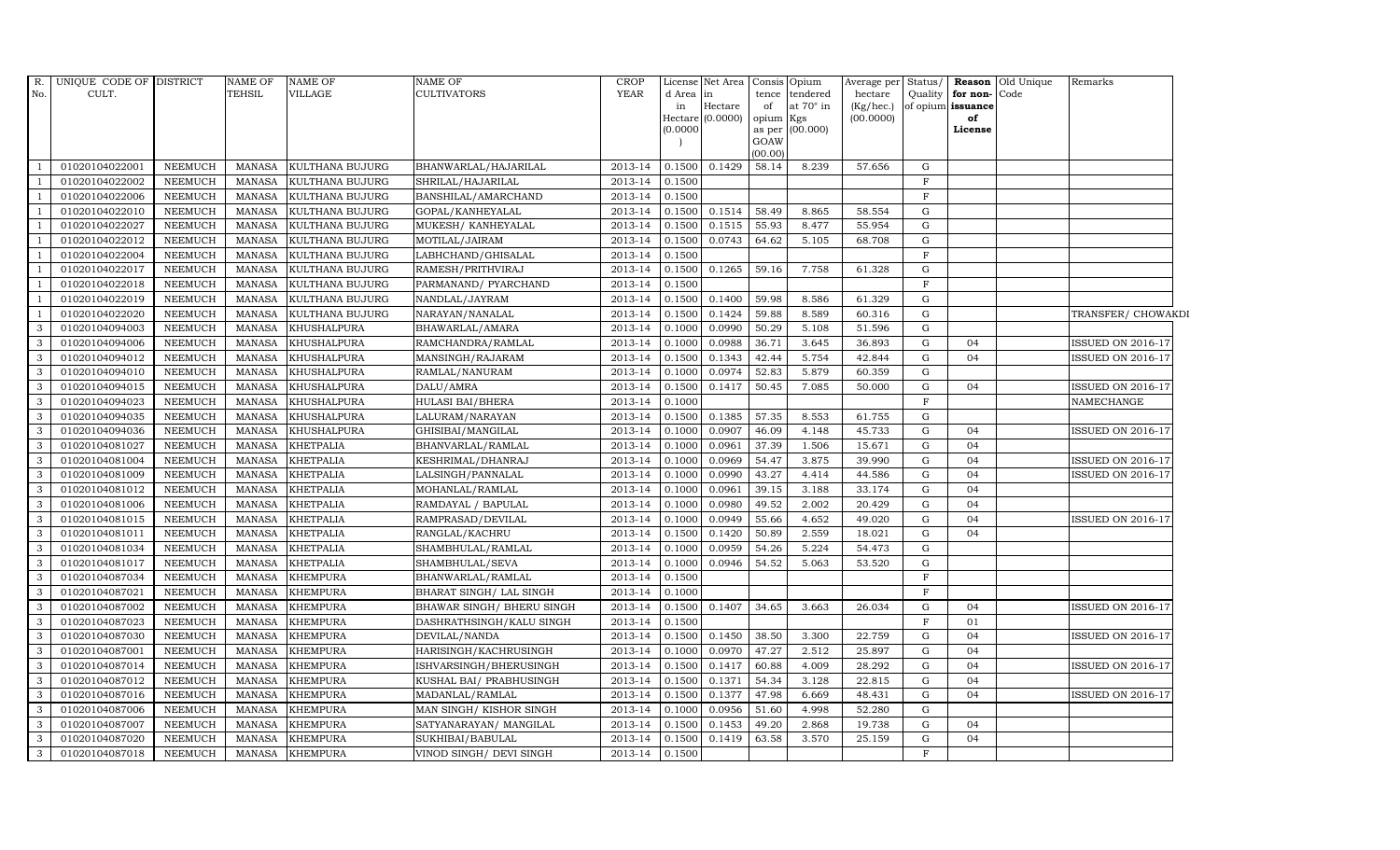| R.                       | UNIQUE CODE OF DISTRICT |                | <b>NAME OF</b> | <b>NAME OF</b>     | <b>NAME OF</b>             | <b>CROP</b> |           | License Net Area |           | Consis Opium    | Average per | Status/     |                   | <b>Reason</b> Old Unique | Remarks                  |
|--------------------------|-------------------------|----------------|----------------|--------------------|----------------------------|-------------|-----------|------------------|-----------|-----------------|-------------|-------------|-------------------|--------------------------|--------------------------|
| No.                      | CULT.                   |                | <b>TEHSIL</b>  | <b>VILLAGE</b>     | <b>CULTIVATORS</b>         | <b>YEAR</b> | d Area in |                  |           | tence tendered  | hectare     | Quality     | for non-          | Code                     |                          |
|                          |                         |                |                |                    |                            |             | in        | Hectare          | of        | at 70° in       | (Kg/hec.)   |             | of opium issuance |                          |                          |
|                          |                         |                |                |                    |                            |             | (0.0000)  | Hectare (0.0000) | opium Kgs | as per (00.000) | (00.0000)   |             | of<br>License     |                          |                          |
|                          |                         |                |                |                    |                            |             |           |                  | GOAW      |                 |             |             |                   |                          |                          |
|                          |                         |                |                |                    |                            |             |           |                  | (00.00)   |                 |             |             |                   |                          |                          |
|                          | 01020104022001          | <b>NEEMUCH</b> | MANASA         | KULTHANA BUJURG    | BHANWARLAL/HAJARILAL       | 2013-14     | 0.1500    | 0.1429           | 58.14     | 8.239           | 57.656      | G           |                   |                          |                          |
| - 1                      | 01020104022002          | <b>NEEMUCH</b> | <b>MANASA</b>  | KULTHANA BUJURG    | SHRILAL/HAJARILAL          | 2013-14     | 0.1500    |                  |           |                 |             | F           |                   |                          |                          |
| $\overline{1}$           | 01020104022006          | <b>NEEMUCH</b> | <b>MANASA</b>  | KULTHANA BUJURG    | BANSHILAL/AMARCHAND        | 2013-14     | 0.1500    |                  |           |                 |             | $_{\rm F}$  |                   |                          |                          |
|                          | 01020104022010          | <b>NEEMUCH</b> | <b>MANASA</b>  | KULTHANA BUJURG    | GOPAL/KANHEYALAL           | 2013-14     | 0.1500    | 0.1514           | 58.49     | 8.865           | 58.554      | G           |                   |                          |                          |
| $\overline{\phantom{0}}$ | 01020104022027          | <b>NEEMUCH</b> | <b>MANASA</b>  | KULTHANA BUJURG    | MUKESH/ KANHEYALAL         | 2013-14     | 0.1500    | 0.1515           | 55.93     | 8.477           | 55.954      | G           |                   |                          |                          |
| $\overline{1}$           | 01020104022012          | <b>NEEMUCH</b> | <b>MANASA</b>  | KULTHANA BUJURG    | MOTILAL/JAIRAM             | 2013-14     | 0.1500    | 0.0743           | 64.62     | 5.105           | 68.708      | G           |                   |                          |                          |
| $\overline{1}$           | 01020104022004          | <b>NEEMUCH</b> | <b>MANASA</b>  | KULTHANA BUJURG    | LABHCHAND/GHISALAL         | 2013-14     | 0.1500    |                  |           |                 |             | $\mathbf F$ |                   |                          |                          |
| $\overline{1}$           | 01020104022017          | <b>NEEMUCH</b> | <b>MANASA</b>  | KULTHANA BUJURG    | RAMESH/PRITHVIRAJ          | 2013-14     | 0.1500    | 0.1265           | 59.16     | 7.758           | 61.328      | G           |                   |                          |                          |
|                          | 01020104022018          | <b>NEEMUCH</b> | <b>MANASA</b>  | KULTHANA BUJURG    | PARMANAND / PYARCHAND      | 2013-14     | 0.1500    |                  |           |                 |             | $\mathbf F$ |                   |                          |                          |
|                          | 01020104022019          | <b>NEEMUCH</b> | <b>MANASA</b>  | KULTHANA BUJURG    | NANDLAL/JAYRAM             | 2013-14     | 0.1500    | 0.1400           | 59.98     | 8.586           | 61.329      | ${\rm G}$   |                   |                          |                          |
| $\overline{1}$           | 01020104022020          | <b>NEEMUCH</b> | <b>MANASA</b>  | KULTHANA BUJURG    | NARAYAN/NANALAL            | 2013-14     | 0.1500    | 0.1424           | 59.88     | 8.589           | 60.316      | G           |                   |                          | TRANSFER/ CHOWAKDI       |
| 3                        | 01020104094003          | <b>NEEMUCH</b> | <b>MANASA</b>  | KHUSHALPURA        | BHAWARLAL/AMARA            | 2013-14     | 0.1000    | 0.0990           | 50.29     | 5.108           | 51.596      | G           |                   |                          |                          |
| $\mathbf{3}$             | 01020104094006          | <b>NEEMUCH</b> | <b>MANASA</b>  | <b>KHUSHALPURA</b> | RAMCHANDRA/RAMLAL          | 2013-14     | 0.1000    | 0.0988           | 36.71     | 3.645           | 36.893      | G           | 04                |                          | ISSUED ON 2016-17        |
| 3                        | 01020104094012          | <b>NEEMUCH</b> | <b>MANASA</b>  | KHUSHALPURA        | MANSINGH/RAJARAM           | 2013-14     | 0.1500    | 0.1343           | 42.44     | 5.754           | 42.844      | ${\rm G}$   | 04                |                          | <b>ISSUED ON 2016-17</b> |
| 3                        | 01020104094010          | <b>NEEMUCH</b> | <b>MANASA</b>  | KHUSHALPURA        | RAMLAL/NANURAM             | 2013-14     | 0.1000    | 0.0974           | 52.83     | 5.879           | 60.359      | ${\rm G}$   |                   |                          |                          |
| 3                        | 01020104094015          | <b>NEEMUCH</b> | <b>MANASA</b>  | <b>KHUSHALPURA</b> | DALU/AMRA                  | 2013-14     | 0.1500    | 0.1417           | 50.45     | 7.085           | 50.000      | G           | 04                |                          | ISSUED ON 2016-17        |
| 3                        | 01020104094023          | <b>NEEMUCH</b> | <b>MANASA</b>  | KHUSHALPURA        | HULASI BAI/BHERA           | 2013-14     | 0.1000    |                  |           |                 |             | $\mathbf F$ |                   |                          | NAMECHANGE               |
| $\mathbf{3}$             | 01020104094035          | <b>NEEMUCH</b> | <b>MANASA</b>  | KHUSHALPURA        | LALURAM/NARAYAN            | 2013-14     | 0.1500    | 0.1385           | 57.35     | 8.553           | 61.755      | G           |                   |                          |                          |
| $\mathbf{3}$             | 01020104094036          | <b>NEEMUCH</b> | <b>MANASA</b>  | <b>KHUSHALPURA</b> | GHISIBAI/MANGILAL          | 2013-14     | 0.1000    | 0.0907           | 46.09     | 4.148           | 45.733      | G           | 04                |                          | <b>ISSUED ON 2016-17</b> |
| 3                        | 01020104081027          | <b>NEEMUCH</b> | <b>MANASA</b>  | KHETPALIA          | BHANVARLAL/RAMLAL          | 2013-14     | 0.1000    | 0.0961           | 37.39     | 1.506           | 15.671      | ${\rm G}$   | 04                |                          |                          |
| 3                        | 01020104081004          | <b>NEEMUCH</b> | <b>MANASA</b>  | KHETPALIA          | KESHRIMAL/DHANRAJ          | 2013-14     | 0.1000    | 0.0969           | 54.47     | 3.875           | 39.990      | G           | 04                |                          | <b>ISSUED ON 2016-17</b> |
| 3                        | 01020104081009          | <b>NEEMUCH</b> | <b>MANASA</b>  | <b>KHETPALIA</b>   | LALSINGH/PANNALAL          | 2013-14     | 0.1000    | 0.0990           | 43.27     | 4.414           | 44.586      | G           | 04                |                          | ISSUED ON 2016-17        |
| $\mathbf{3}$             | 01020104081012          | <b>NEEMUCH</b> | <b>MANASA</b>  | KHETPALIA          | MOHANLAL/RAMLAL            | 2013-14     | 0.1000    | 0.0961           | 39.15     | 3.188           | 33.174      | G           | 04                |                          |                          |
| 3                        | 01020104081006          | <b>NEEMUCH</b> | <b>MANASA</b>  | <b>KHETPALIA</b>   | RAMDAYAL / BAPULAL         | 2013-14     | 0.1000    | 0.0980           | 49.52     | 2.002           | 20.429      | G           | 04                |                          |                          |
| 3                        | 01020104081015          | <b>NEEMUCH</b> | <b>MANASA</b>  | <b>KHETPALIA</b>   | RAMPRASAD/DEVILAL          | 2013-14     | 0.1000    | 0.0949           | 55.66     | 4.652           | 49.020      | G           | 04                |                          | ISSUED ON 2016-17        |
| 3                        | 01020104081011          | <b>NEEMUCH</b> | <b>MANASA</b>  | <b>KHETPALIA</b>   | RANGLAL/KACHRU             | 2013-14     | 0.1500    | 0.1420           | 50.89     | 2.559           | 18.021      | G           | 04                |                          |                          |
| 3                        | 01020104081034          | <b>NEEMUCH</b> | <b>MANASA</b>  | <b>KHETPALIA</b>   | SHAMBHULAL/RAMLAL          | 2013-14     | 0.1000    | 0.0959           | 54.26     | 5.224           | 54.473      | G           |                   |                          |                          |
| $\mathbf{3}$             | 01020104081017          | <b>NEEMUCH</b> | <b>MANASA</b>  | KHETPALIA          | SHAMBHULAL/SEVA            | 2013-14     | 0.1000    | 0.0946           | 54.52     | 5.063           | 53.520      | G           |                   |                          |                          |
| 3                        | 01020104087034          | <b>NEEMUCH</b> | <b>MANASA</b>  | <b>KHEMPURA</b>    | BHANWARLAL/RAMLAL          | 2013-14     | 0.1500    |                  |           |                 |             | $\rm F$     |                   |                          |                          |
| 3                        | 01020104087021          | <b>NEEMUCH</b> | <b>MANASA</b>  | <b>KHEMPURA</b>    | BHARAT SINGH/ LAL SINGH    | 2013-14     | 0.1000    |                  |           |                 |             | $\mathbf F$ |                   |                          |                          |
| $\mathbf{3}$             | 01020104087002          | <b>NEEMUCH</b> | <b>MANASA</b>  | <b>KHEMPURA</b>    | BHAWAR SINGH / BHERU SINGH | 2013-14     | 0.1500    | 0.1407           | 34.65     | 3.663           | 26.034      | G           | 04                |                          | ISSUED ON 2016-17        |
| $\mathbf{3}$             | 01020104087023          | <b>NEEMUCH</b> | <b>MANASA</b>  | <b>KHEMPURA</b>    | DASHRATHSINGH/KALU SINGH   | 2013-14     | 0.1500    |                  |           |                 |             | $_{\rm F}$  | 01                |                          |                          |
| $\mathbf{3}$             | 01020104087030          | <b>NEEMUCH</b> | <b>MANASA</b>  | <b>KHEMPURA</b>    | DEVILAL/NANDA              | 2013-14     | 0.1500    | 0.1450           | 38.50     | 3.300           | 22.759      | G           | 04                |                          | <b>ISSUED ON 2016-17</b> |
| 3                        | 01020104087001          | <b>NEEMUCH</b> | <b>MANASA</b>  | <b>KHEMPURA</b>    | HARISINGH/KACHRUSINGH      | 2013-14     | 0.1000    | 0.0970           | 47.27     | 2.512           | 25.897      | G           | 04                |                          |                          |
| 3                        | 01020104087014          | <b>NEEMUCH</b> | <b>MANASA</b>  | <b>KHEMPURA</b>    | ISHVARSINGH/BHERUSINGH     | 2013-14     | 0.1500    | 0.1417           | 60.88     | 4.009           | 28.292      | G           | 04                |                          | ISSUED ON 2016-17        |
| $\mathbf{3}$             | 01020104087012          | <b>NEEMUCH</b> | <b>MANASA</b>  | <b>KHEMPURA</b>    | KUSHAL BAI/ PRABHUSINGH    | 2013-14     | 0.1500    | 0.1371           | 54.34     | 3.128           | 22.815      | G           | 04                |                          |                          |
| 3                        | 01020104087016          | <b>NEEMUCH</b> | <b>MANASA</b>  | <b>KHEMPURA</b>    | MADANLAL/RAMLAL            | 2013-14     | 0.1500    | 0.1377           | 47.98     | 6.669           | 48.431      | G           | 04                |                          | <b>ISSUED ON 2016-17</b> |
| $\mathbf{3}$             | 01020104087006          | <b>NEEMUCH</b> | <b>MANASA</b>  | <b>KHEMPURA</b>    | MAN SINGH/KISHOR SINGH     | $2013 - 14$ | 0.1000    | 0.0956           | 51.60     | 4.998           | 52.280      | G           |                   |                          |                          |
| 3                        | 01020104087007          | <b>NEEMUCH</b> | <b>MANASA</b>  | <b>KHEMPURA</b>    | SATYANARAYAN/ MANGILAL     | 2013-14     | 0.1500    | 0.1453           | 49.20     | 2.868           | 19.738      | G           | 04                |                          |                          |
| 3                        | 01020104087020          | <b>NEEMUCH</b> | <b>MANASA</b>  | <b>KHEMPURA</b>    | SUKHIBAI/BABULAL           | 2013-14     | 0.1500    | 0.1419           | 63.58     | 3.570           | 25.159      | G           | 04                |                          |                          |
| 3                        | 01020104087018          | <b>NEEMUCH</b> | MANASA         | <b>KHEMPURA</b>    | VINOD SINGH/ DEVI SINGH    | 2013-14     | 0.1500    |                  |           |                 |             | F           |                   |                          |                          |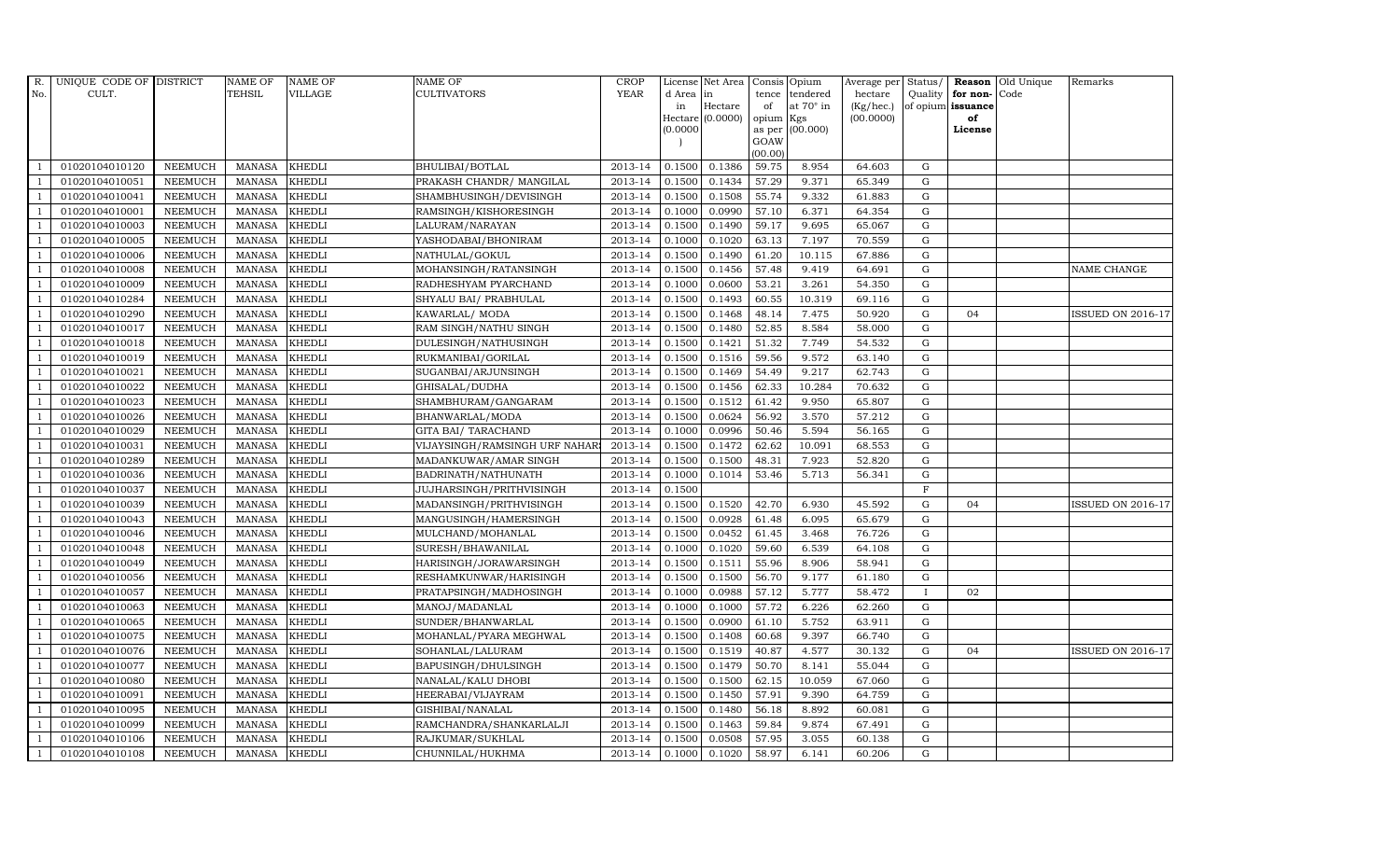| R.             | UNIQUE CODE OF DISTRICT |                | <b>NAME OF</b> | <b>NAME OF</b> | <b>NAME OF</b>                | <b>CROP</b> |          | License Net Area   |         | Consis Opium     | Average per | Status/      |                      | Reason Old Unique | Remarks                  |
|----------------|-------------------------|----------------|----------------|----------------|-------------------------------|-------------|----------|--------------------|---------|------------------|-------------|--------------|----------------------|-------------------|--------------------------|
| No.            | CULT.                   |                | <b>TEHSIL</b>  | VILLAGE        | <b>CULTIVATORS</b>            | <b>YEAR</b> | d Area   | in                 | tence   | tendered         | hectare     |              | Quality $ $ for non- | Code              |                          |
|                |                         |                |                |                |                               |             | in       | Hectare            | of      | at $70^\circ$ in | (Kg/hec.)   |              | of opium issuance    |                   |                          |
|                |                         |                |                |                |                               |             |          | Hectare $(0.0000)$ | opium   | Kgs              | (00.0000)   |              | of<br>License        |                   |                          |
|                |                         |                |                |                |                               |             | (0.0000) |                    | GOAW    | as per (00.000)  |             |              |                      |                   |                          |
|                |                         |                |                |                |                               |             |          |                    | (00.00) |                  |             |              |                      |                   |                          |
|                | 01020104010120          | <b>NEEMUCH</b> | MANASA         | <b>KHEDLI</b>  | BHULIBAI/BOTLAL               | 2013-14     | 0.1500   | 0.1386             | 59.75   | 8.954            | 64.603      | G            |                      |                   |                          |
| -1             | 01020104010051          | <b>NEEMUCH</b> | MANASA         | <b>KHEDLI</b>  | PRAKASH CHANDR/ MANGILAL      | 2013-14     | 0.1500   | 0.1434             | 57.29   | 9.371            | 65.349      | ${\rm G}$    |                      |                   |                          |
|                | 01020104010041          | <b>NEEMUCH</b> | <b>MANASA</b>  | <b>KHEDLI</b>  | SHAMBHUSINGH/DEVISINGH        | 2013-14     | 0.1500   | 0.1508             | 55.74   | 9.332            | 61.883      | G            |                      |                   |                          |
|                | 01020104010001          | <b>NEEMUCH</b> | MANASA         | <b>KHEDLI</b>  | RAMSINGH/KISHORESINGH         | 2013-14     | 0.1000   | 0.0990             | 57.10   | 6.371            | 64.354      | G            |                      |                   |                          |
| $\overline{1}$ | 01020104010003          | <b>NEEMUCH</b> | <b>MANASA</b>  | <b>KHEDLI</b>  | LALURAM/NARAYAN               | 2013-14     | 0.1500   | 0.1490             | 59.17   | 9.695            | 65.067      | G            |                      |                   |                          |
| $\overline{1}$ | 01020104010005          | <b>NEEMUCH</b> | MANASA         | <b>KHEDLI</b>  | YASHODABAI/BHONIRAM           | 2013-14     | 0.1000   | 0.1020             | 63.13   | 7.197            | 70.559      | G            |                      |                   |                          |
| $\overline{1}$ | 01020104010006          | <b>NEEMUCH</b> | <b>MANASA</b>  | <b>KHEDLI</b>  | NATHULAL/GOKUL                | 2013-14     | 0.1500   | 0.1490             | 61.20   | 10.115           | 67.886      | ${\rm G}$    |                      |                   |                          |
| $\overline{1}$ | 01020104010008          | <b>NEEMUCH</b> | <b>MANASA</b>  | <b>KHEDLI</b>  | MOHANSINGH/RATANSINGH         | 2013-14     | 0.1500   | 0.1456             | 57.48   | 9.419            | 64.691      | ${\rm G}$    |                      |                   | NAME CHANGE              |
|                | 01020104010009          | <b>NEEMUCH</b> | <b>MANASA</b>  | <b>KHEDLI</b>  | RADHESHYAM PYARCHAND          | 2013-14     | 0.1000   | 0.0600             | 53.21   | 3.261            | 54.350      | $\mathbf G$  |                      |                   |                          |
|                | 01020104010284          | <b>NEEMUCH</b> | <b>MANASA</b>  | <b>KHEDLI</b>  | SHYALU BAI/ PRABHULAL         | 2013-14     | 0.1500   | 0.1493             | 60.55   | 10.319           | 69.116      | $\mathbf G$  |                      |                   |                          |
| $\overline{1}$ | 01020104010290          | <b>NEEMUCH</b> | <b>MANASA</b>  | <b>KHEDLI</b>  | KAWARLAL/ MODA                | 2013-14     | 0.1500   | 0.1468             | 48.14   | 7.475            | 50.920      | G            | 04                   |                   | ISSUED ON 2016-17        |
| $\overline{1}$ | 01020104010017          | <b>NEEMUCH</b> | <b>MANASA</b>  | <b>KHEDLI</b>  | RAM SINGH/NATHU SINGH         | 2013-14     | 0.1500   | 0.1480             | 52.85   | 8.584            | 58.000      | G            |                      |                   |                          |
| $\overline{1}$ | 01020104010018          | <b>NEEMUCH</b> | <b>MANASA</b>  | <b>KHEDLI</b>  | DULESINGH/NATHUSINGH          | 2013-14     | 0.1500   | 0.1421             | 51.32   | 7.749            | 54.532      | $\mathbf G$  |                      |                   |                          |
|                | 01020104010019          | <b>NEEMUCH</b> | <b>MANASA</b>  | <b>KHEDLI</b>  | RUKMANIBAI/GORILAL            | 2013-14     | 0.1500   | 0.1516             | 59.56   | 9.572            | 63.140      | G            |                      |                   |                          |
| $\overline{1}$ | 01020104010021          | <b>NEEMUCH</b> | <b>MANASA</b>  | <b>KHEDLI</b>  | SUGANBAI/ARJUNSINGH           | 2013-14     | 0.1500   | 0.1469             | 54.49   | 9.217            | 62.743      | G            |                      |                   |                          |
| -1             | 01020104010022          | <b>NEEMUCH</b> | <b>MANASA</b>  | <b>KHEDLI</b>  | GHISALAL/DUDHA                | 2013-14     | 0.1500   | 0.1456             | 62.33   | 10.284           | 70.632      | G            |                      |                   |                          |
|                | 01020104010023          | <b>NEEMUCH</b> | <b>MANASA</b>  | <b>KHEDLI</b>  | SHAMBHURAM/GANGARAM           | 2013-14     | 0.1500   | 0.1512             | 61.42   | 9.950            | 65.807      | G            |                      |                   |                          |
| $\overline{1}$ | 01020104010026          | <b>NEEMUCH</b> | MANASA         | <b>KHEDLI</b>  | BHANWARLAL/MODA               | 2013-14     | 0.1500   | 0.0624             | 56.92   | 3.570            | 57.212      | G            |                      |                   |                          |
|                | 01020104010029          | <b>NEEMUCH</b> | <b>MANASA</b>  | <b>KHEDLI</b>  | GITA BAI/ TARACHAND           | 2013-14     | 0.1000   | 0.0996             | 50.46   | 5.594            | 56.165      | G            |                      |                   |                          |
|                | 01020104010031          | <b>NEEMUCH</b> | <b>MANASA</b>  | <b>KHEDLI</b>  | VIJAYSINGH/RAMSINGH URF NAHAR | 2013-14     | 0.1500   | 0.1472             | 62.62   | 10.091           | 68.553      | G            |                      |                   |                          |
| -1             | 01020104010289          | <b>NEEMUCH</b> | <b>MANASA</b>  | <b>KHEDLI</b>  | MADANKUWAR/AMAR SINGH         | 2013-14     | 0.1500   | 0.1500             | 48.31   | 7.923            | 52.820      | G            |                      |                   |                          |
| $\overline{1}$ | 01020104010036          | <b>NEEMUCH</b> | <b>MANASA</b>  | <b>KHEDLI</b>  | BADRINATH/NATHUNATH           | 2013-14     | 0.1000   | 0.1014             | 53.46   | 5.713            | 56.341      | G            |                      |                   |                          |
| $\overline{1}$ | 01020104010037          | <b>NEEMUCH</b> | MANASA         | <b>KHEDLI</b>  | JUJHARSINGH/PRITHVISINGH      | 2013-14     | 0.1500   |                    |         |                  |             | $\mathbf F$  |                      |                   |                          |
|                | 01020104010039          | <b>NEEMUCH</b> | <b>MANASA</b>  | <b>KHEDLI</b>  | MADANSINGH/PRITHVISINGH       | 2013-14     | 0.1500   | 0.1520             | 42.70   | 6.930            | 45.592      | $\mathbf G$  | 04                   |                   | ISSUED ON 2016-17        |
|                | 01020104010043          | <b>NEEMUCH</b> | <b>MANASA</b>  | <b>KHEDLI</b>  | MANGUSINGH/HAMERSINGH         | 2013-14     | 0.1500   | 0.0928             | 61.48   | 6.095            | 65.679      | ${\rm G}$    |                      |                   |                          |
| $\overline{1}$ | 01020104010046          | <b>NEEMUCH</b> | <b>MANASA</b>  | <b>KHEDLI</b>  | MULCHAND/MOHANLAL             | 2013-14     | 0.1500   | 0.0452             | 61.45   | 3.468            | 76.726      | G            |                      |                   |                          |
| $\overline{1}$ | 01020104010048          | <b>NEEMUCH</b> | <b>MANASA</b>  | <b>KHEDLI</b>  | SURESH/BHAWANILAL             | 2013-14     | 0.1000   | 0.1020             | 59.60   | 6.539            | 64.108      | G            |                      |                   |                          |
| $\overline{1}$ | 01020104010049          | <b>NEEMUCH</b> | MANASA         | <b>KHEDLI</b>  | HARISINGH/JORAWARSINGH        | 2013-14     | 0.1500   | 0.1511             | 55.96   | 8.906            | 58.941      | G            |                      |                   |                          |
| $\overline{1}$ | 01020104010056          | <b>NEEMUCH</b> | <b>MANASA</b>  | <b>KHEDLI</b>  | RESHAMKUNWAR/HARISINGH        | 2013-14     | 0.1500   | 0.1500             | 56.70   | 9.177            | 61.180      | $\mathbf G$  |                      |                   |                          |
|                | 01020104010057          | <b>NEEMUCH</b> | <b>MANASA</b>  | <b>KHEDLI</b>  | PRATAPSINGH/MADHOSINGH        | 2013-14     | 0.1000   | 0.0988             | 57.12   | 5.777            | 58.472      | $\mathbf{I}$ | 02                   |                   |                          |
| $\overline{1}$ | 01020104010063          | <b>NEEMUCH</b> | <b>MANASA</b>  | <b>KHEDLI</b>  | MANOJ/MADANLAL                | 2013-14     | 0.1000   | 0.1000             | 57.72   | 6.226            | 62.260      | G            |                      |                   |                          |
|                | 01020104010065          | <b>NEEMUCH</b> | <b>MANASA</b>  | <b>KHEDLI</b>  | SUNDER/BHANWARLAL             | 2013-14     | 0.1500   | 0.0900             | 61.10   | 5.752            | 63.911      | G            |                      |                   |                          |
| $\overline{1}$ | 01020104010075          | <b>NEEMUCH</b> | MANASA         | <b>KHEDLI</b>  | MOHANLAL/PYARA MEGHWAL        | 2013-14     | 0.1500   | 0.1408             | 60.68   | 9.397            | 66.740      | ${\rm G}$    |                      |                   |                          |
| $\overline{1}$ | 01020104010076          | <b>NEEMUCH</b> | <b>MANASA</b>  | <b>KHEDLI</b>  | SOHANLAL/LALURAM              | 2013-14     | 0.1500   | 0.1519             | 40.87   | 4.577            | 30.132      | $\mathbf G$  | 04                   |                   | <b>ISSUED ON 2016-17</b> |
|                | 01020104010077          | <b>NEEMUCH</b> | <b>MANASA</b>  | <b>KHEDLI</b>  | BAPUSINGH/DHULSINGH           | 2013-14     | 0.1500   | 0.1479             | 50.70   | 8.141            | 55.044      | $\mathbf G$  |                      |                   |                          |
| $\overline{1}$ | 01020104010080          | <b>NEEMUCH</b> | <b>MANASA</b>  | <b>KHEDLI</b>  | NANALAL/KALU DHOBI            | 2013-14     | 0.1500   | 0.1500             | 62.15   | 10.059           | 67.060      | G            |                      |                   |                          |
| $\overline{1}$ | 01020104010091          | <b>NEEMUCH</b> | <b>MANASA</b>  | <b>KHEDLI</b>  | HEERABAI/VIJAYRAM             | 2013-14     | 0.1500   | 0.1450             | 57.91   | 9.390            | 64.759      | ${\rm G}$    |                      |                   |                          |
| $\overline{1}$ | 01020104010095          | <b>NEEMUCH</b> | <b>MANASA</b>  | <b>KHEDLI</b>  | GISHIBAI/NANALAL              | 2013-14     | 0.1500   | 0.1480             | 56.18   | 8.892            | 60.081      | ${\rm G}$    |                      |                   |                          |
| $\overline{1}$ | 01020104010099          | <b>NEEMUCH</b> | <b>MANASA</b>  | <b>KHEDLI</b>  | RAMCHANDRA/SHANKARLALJI       | 2013-14     | 0.1500   | 0.1463             | 59.84   | 9.874            | 67.491      | G            |                      |                   |                          |
|                | 01020104010106          | <b>NEEMUCH</b> | <b>MANASA</b>  | <b>KHEDLI</b>  | RAJKUMAR/SUKHLAL              | 2013-14     | 0.1500   | 0.0508             | 57.95   | 3.055            | 60.138      | $\mathbf G$  |                      |                   |                          |
| $\mathbf{1}$   | 01020104010108          | <b>NEEMUCH</b> | MANASA KHEDLI  |                | CHUNNILAL/HUKHMA              | 2013-14     | 0.1000   | 0.1020             | 58.97   | 6.141            | 60.206      | G            |                      |                   |                          |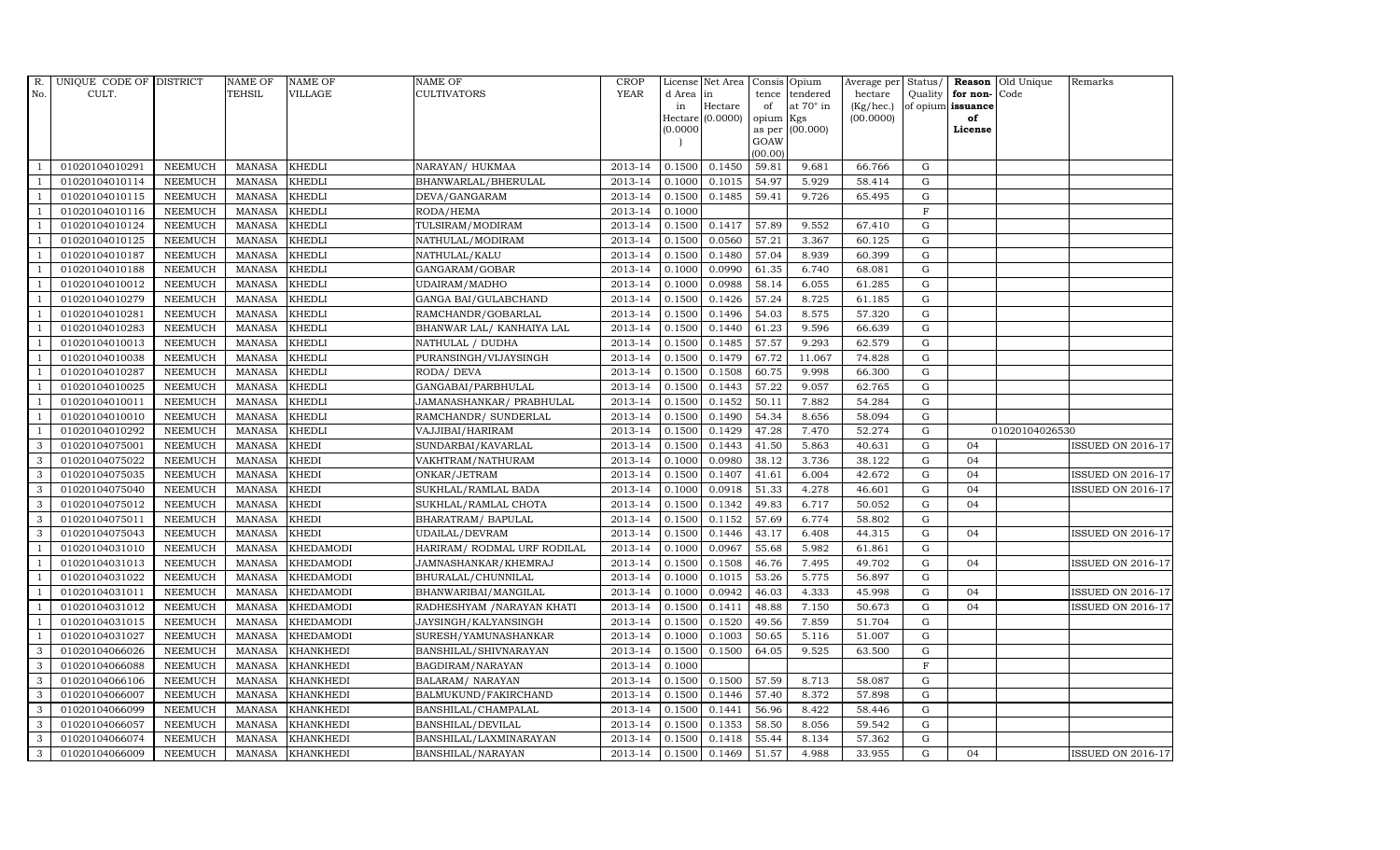| R.             | UNIQUE CODE OF DISTRICT |                | <b>NAME OF</b> | <b>NAME OF</b>   | <b>NAME OF</b>              | CROP        |           | License Net Area   Consis   Opium |           |                  | Average per | Status/     | Reason            | Old Unique     | Remarks                  |
|----------------|-------------------------|----------------|----------------|------------------|-----------------------------|-------------|-----------|-----------------------------------|-----------|------------------|-------------|-------------|-------------------|----------------|--------------------------|
| No.            | CULT.                   |                | <b>TEHSIL</b>  | <b>VILLAGE</b>   | <b>CULTIVATORS</b>          | <b>YEAR</b> | d Area in |                                   | tence     | tendered         | hectare     | Quality     | for non-          | Code           |                          |
|                |                         |                |                |                  |                             |             | in        | Hectare                           | of        | at $70^\circ$ in | (Kg/hec.)   |             | of opium issuance |                |                          |
|                |                         |                |                |                  |                             |             |           | Hectare (0.0000)                  | opium Kgs |                  | (00.0000)   |             | of                |                |                          |
|                |                         |                |                |                  |                             |             | (0.0000)  |                                   | GOAW      | as per (00.000)  |             |             | License           |                |                          |
|                |                         |                |                |                  |                             |             |           |                                   | (00.00)   |                  |             |             |                   |                |                          |
|                | 01020104010291          | <b>NEEMUCH</b> | MANASA         | <b>KHEDLI</b>    | NARAYAN/ HUKMAA             | 2013-14     | 0.1500    | 0.1450                            | 59.81     | 9.681            | 66.766      | $\mathbf G$ |                   |                |                          |
| -1             | 01020104010114          | <b>NEEMUCH</b> | <b>MANASA</b>  | <b>KHEDLI</b>    | BHANWARLAL/BHERULAL         | 2013-14     | 0.1000    | 0.1015                            | 54.97     | 5.929            | 58.414      | $\mathbf G$ |                   |                |                          |
|                | 01020104010115          | <b>NEEMUCH</b> | <b>MANASA</b>  | <b>KHEDLI</b>    | DEVA/GANGARAM               | 2013-14     | 0.1500    | 0.1485                            | 59.41     | 9.726            | 65.495      | G           |                   |                |                          |
|                | 01020104010116          | <b>NEEMUCH</b> | <b>MANASA</b>  | <b>KHEDLI</b>    | RODA/HEMA                   | 2013-14     | 0.1000    |                                   |           |                  |             | $\mathbf F$ |                   |                |                          |
| $\overline{1}$ | 01020104010124          | <b>NEEMUCH</b> | <b>MANASA</b>  | <b>KHEDLI</b>    | TULSIRAM/MODIRAM            | 2013-14     | 0.1500    | 0.1417                            | 57.89     | 9.552            | 67.410      | ${\rm G}$   |                   |                |                          |
| $\overline{1}$ | 01020104010125          | <b>NEEMUCH</b> | MANASA         | <b>KHEDLI</b>    | NATHULAL/MODIRAM            | 2013-14     | 0.1500    | 0.0560                            | 57.21     | 3.367            | 60.125      | $\mathbf G$ |                   |                |                          |
| $\overline{1}$ | 01020104010187          | <b>NEEMUCH</b> | <b>MANASA</b>  | <b>KHEDLI</b>    | NATHULAL/KALU               | 2013-14     | 0.1500    | 0.1480                            | 57.04     | 8.939            | 60.399      | $\mathbf G$ |                   |                |                          |
| $\overline{1}$ | 01020104010188          | <b>NEEMUCH</b> | <b>MANASA</b>  | <b>KHEDLI</b>    | GANGARAM/GOBAR              | 2013-14     | 0.1000    | 0.0990                            | 61.35     | 6.740            | 68.081      | $\mathbf G$ |                   |                |                          |
|                | 01020104010012          | <b>NEEMUCH</b> | <b>MANASA</b>  | <b>KHEDLI</b>    | UDAIRAM/MADHO               | 2013-14     | 0.1000    | 0.0988                            | 58.14     | 6.055            | 61.285      | $\mathbf G$ |                   |                |                          |
|                | 01020104010279          | <b>NEEMUCH</b> | <b>MANASA</b>  | <b>KHEDLI</b>    | GANGA BAI/GULABCHAND        | 2013-14     | 0.1500    | 0.1426                            | 57.24     | 8.725            | 61.185      | ${\rm G}$   |                   |                |                          |
| $\overline{1}$ | 01020104010281          | <b>NEEMUCH</b> | <b>MANASA</b>  | <b>KHEDLI</b>    | RAMCHANDR/GOBARLAL          | 2013-14     | 0.1500    | 0.1496                            | 54.03     | 8.575            | 57.320      | ${\rm G}$   |                   |                |                          |
| $\overline{1}$ | 01020104010283          | <b>NEEMUCH</b> | <b>MANASA</b>  | <b>KHEDLI</b>    | BHANWAR LAL/ KANHAIYA LAL   | 2013-14     | 0.1500    | 0.1440                            | 61.23     | 9.596            | 66.639      | ${\rm G}$   |                   |                |                          |
| $\overline{1}$ | 01020104010013          | <b>NEEMUCH</b> | <b>MANASA</b>  | <b>KHEDLI</b>    | NATHULAL / DUDHA            | 2013-14     | 0.1500    | 0.1485                            | 57.57     | 9.293            | 62.579      | $\mathbf G$ |                   |                |                          |
|                | 01020104010038          | <b>NEEMUCH</b> | <b>MANASA</b>  | <b>KHEDLI</b>    | PURANSINGH/VIJAYSINGH       | 2013-14     | 0.1500    | 0.1479                            | 67.72     | 11.067           | 74.828      | G           |                   |                |                          |
| $\overline{1}$ | 01020104010287          | <b>NEEMUCH</b> | <b>MANASA</b>  | <b>KHEDLI</b>    | RODA/ DEVA                  | 2013-14     | 0.1500    | 0.1508                            | 60.75     | 9.998            | 66.300      | G           |                   |                |                          |
| -1             | 01020104010025          | <b>NEEMUCH</b> | <b>MANASA</b>  | <b>KHEDLI</b>    | GANGABAI/PARBHULAL          | 2013-14     | 0.1500    | 0.1443                            | 57.22     | 9.057            | 62.765      | ${\rm G}$   |                   |                |                          |
|                | 01020104010011          | <b>NEEMUCH</b> | <b>MANASA</b>  | <b>KHEDLI</b>    | JAMANASHANKAR/ PRABHULAL    | 2013-14     | 0.1500    | 0.1452                            | 50.11     | 7.882            | 54.284      | ${\rm G}$   |                   |                |                          |
| $\overline{1}$ | 01020104010010          | <b>NEEMUCH</b> | <b>MANASA</b>  | <b>KHEDLI</b>    | RAMCHANDR/ SUNDERLAL        | 2013-14     | 0.1500    | 0.1490                            | 54.34     | 8.656            | 58.094      | G           |                   |                |                          |
|                | 01020104010292          | <b>NEEMUCH</b> | <b>MANASA</b>  | <b>KHEDLI</b>    | VAJJIBAI/HARIRAM            | 2013-14     | 0.1500    | 0.1429                            | 47.28     | 7.470            | 52.274      | $\mathbf G$ |                   | 01020104026530 |                          |
| 3              | 01020104075001          | <b>NEEMUCH</b> | <b>MANASA</b>  | <b>KHEDI</b>     | SUNDARBAI/KAVARLAL          | 2013-14     | 0.1500    | 0.1443                            | 41.50     | 5.863            | 40.631      | $\mathbf G$ | 04                |                | <b>ISSUED ON 2016-17</b> |
| $\mathbf{3}$   | 01020104075022          | <b>NEEMUCH</b> | <b>MANASA</b>  | <b>KHEDI</b>     | VAKHTRAM/NATHURAM           | 2013-14     | 0.1000    | 0.0980                            | 38.12     | 3.736            | 38.122      | ${\rm G}$   | 04                |                |                          |
| 3              | 01020104075035          | NEEMUCH        | <b>MANASA</b>  | <b>KHEDI</b>     | ONKAR/JETRAM                | 2013-14     | 0.1500    | 0.1407                            | 41.61     | 6.004            | 42.672      | ${\rm G}$   | 04                |                | <b>ISSUED ON 2016-17</b> |
| $\mathbf{3}$   | 01020104075040          | <b>NEEMUCH</b> | <b>MANASA</b>  | <b>KHEDI</b>     | SUKHLAL/RAMLAL BADA         | 2013-14     | 0.1000    | 0.0918                            | 51.33     | 4.278            | 46.601      | G           | 04                |                | <b>ISSUED ON 2016-17</b> |
| 3              | 01020104075012          | <b>NEEMUCH</b> | <b>MANASA</b>  | <b>KHEDI</b>     | SUKHLAL/RAMLAL CHOTA        | 2013-14     | 0.1500    | 0.1342                            | 49.83     | 6.717            | 50.052      | $\mathbf G$ | 04                |                |                          |
| 3              | 01020104075011          | <b>NEEMUCH</b> | <b>MANASA</b>  | <b>KHEDI</b>     | BHARATRAM / BAPULAL         | 2013-14     | 0.1500    | 0.1152                            | 57.69     | 6.774            | 58.802      | $\mathbf G$ |                   |                |                          |
| 3              | 01020104075043          | <b>NEEMUCH</b> | <b>MANASA</b>  | <b>KHEDI</b>     | UDAILAL/DEVRAM              | 2013-14     | 0.1500    | 0.1446                            | 43.17     | 6.408            | 44.315      | G           | 04                |                | <b>ISSUED ON 2016-17</b> |
| -1             | 01020104031010          | <b>NEEMUCH</b> | <b>MANASA</b>  | <b>KHEDAMODI</b> | HARIRAM/ RODMAL URF RODILAL | 2013-14     | 0.1000    | 0.0967                            | 55.68     | 5.982            | 61.861      | ${\rm G}$   |                   |                |                          |
| $\overline{1}$ | 01020104031013          | <b>NEEMUCH</b> | <b>MANASA</b>  | <b>KHEDAMODI</b> | JAMNASHANKAR/KHEMRAJ        | 2013-14     | 0.1500    | 0.1508                            | 46.76     | 7.495            | 49.702      | $\mathbf G$ | 04                |                | <b>ISSUED ON 2016-17</b> |
| $\overline{1}$ | 01020104031022          | <b>NEEMUCH</b> | <b>MANASA</b>  | <b>KHEDAMODI</b> | BHURALAL/CHUNNILAL          | 2013-14     | 0.1000    | 0.1015                            | 53.26     | 5.775            | 56.897      | $\mathbf G$ |                   |                |                          |
|                | 01020104031011          | <b>NEEMUCH</b> | <b>MANASA</b>  | <b>KHEDAMODI</b> | BHANWARIBAI/MANGILAL        | 2013-14     | 0.1000    | 0.0942                            | 46.03     | 4.333            | 45.998      | $\mathbf G$ | 04                |                | <b>ISSUED ON 2016-17</b> |
| $\overline{1}$ | 01020104031012          | <b>NEEMUCH</b> | <b>MANASA</b>  | <b>KHEDAMODI</b> | RADHESHYAM / NARAYAN KHATI  | 2013-14     | 0.1500    | 0.1411                            | 48.88     | 7.150            | 50.673      | G           | 04                |                | <b>ISSUED ON 2016-17</b> |
|                | 01020104031015          | <b>NEEMUCH</b> | <b>MANASA</b>  | <b>KHEDAMODI</b> | JAYSINGH/KALYANSINGH        | 2013-14     | 0.1500    | 0.1520                            | 49.56     | 7.859            | 51.704      | ${\rm G}$   |                   |                |                          |
| $\overline{1}$ | 01020104031027          | <b>NEEMUCH</b> | <b>MANASA</b>  | <b>KHEDAMODI</b> | SURESH/YAMUNASHANKAR        | 2013-14     | 0.1000    | 0.1003                            | 50.65     | 5.116            | 51.007      | ${\rm G}$   |                   |                |                          |
| 3              | 01020104066026          | <b>NEEMUCH</b> | <b>MANASA</b>  | <b>KHANKHEDI</b> | BANSHILAL/SHIVNARAYAN       | 2013-14     | 0.1500    | 0.1500                            | 64.05     | 9.525            | 63.500      | $\mathbf G$ |                   |                |                          |
| 3              | 01020104066088          | <b>NEEMUCH</b> | <b>MANASA</b>  | <b>KHANKHEDI</b> | BAGDIRAM/NARAYAN            | 2013-14     | 0.1000    |                                   |           |                  |             | $\mathbf F$ |                   |                |                          |
| 3              | 01020104066106          | <b>NEEMUCH</b> | <b>MANASA</b>  | <b>KHANKHEDI</b> | <b>BALARAM/ NARAYAN</b>     | 2013-14     | 0.1500    | 0.1500                            | 57.59     | 8.713            | 58.087      | G           |                   |                |                          |
| 3              | 01020104066007          | <b>NEEMUCH</b> | <b>MANASA</b>  | <b>KHANKHEDI</b> | BALMUKUND/FAKIRCHAND        | 2013-14     | 0.1500    | 0.1446                            | 57.40     | 8.372            | 57.898      | ${\rm G}$   |                   |                |                          |
| 3              | 01020104066099          | <b>NEEMUCH</b> | <b>MANASA</b>  | <b>KHANKHEDI</b> | BANSHILAL/CHAMPALAL         | 2013-14     | 0.1500    | 0.1441                            | 56.96     | 8.422            | 58.446      | $\mathbf G$ |                   |                |                          |
| 3              | 01020104066057          | <b>NEEMUCH</b> | <b>MANASA</b>  | <b>KHANKHEDI</b> | BANSHILAL/DEVILAL           | 2013-14     | 0.1500    | 0.1353                            | 58.50     | 8.056            | 59.542      | $\mathbf G$ |                   |                |                          |
| 3              | 01020104066074          | <b>NEEMUCH</b> | <b>MANASA</b>  | <b>KHANKHEDI</b> | BANSHILAL/LAXMINARAYAN      | 2013-14     | 0.1500    | 0.1418                            | 55.44     | 8.134            | 57.362      | $\mathbf G$ |                   |                |                          |
| 3              | 01020104066009          | <b>NEEMUCH</b> |                | MANASA KHANKHEDI | BANSHILAL/NARAYAN           | 2013-14     | 0.1500    | 0.1469                            | 51.57     | 4.988            | 33.955      | G           | 04                |                | <b>ISSUED ON 2016-17</b> |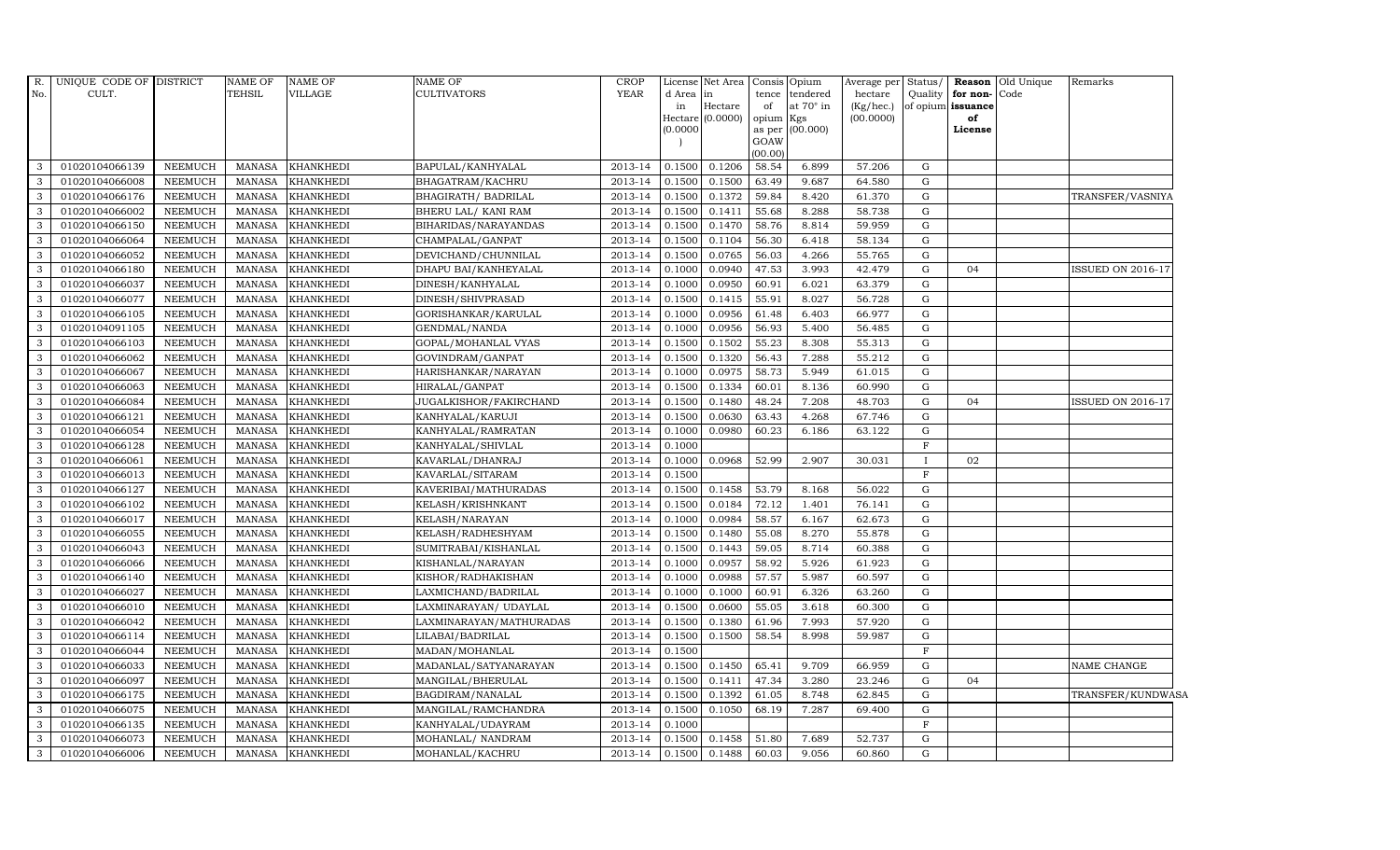| R.  | UNIQUE CODE OF DISTRICT |                | <b>NAME OF</b> | <b>NAME OF</b>   | <b>NAME OF</b>          | <b>CROP</b> |           | License Net Area            | Consis Opium |                         | Average per            | Status/      |                         | <b>Reason</b> Old Unique | Remarks                  |
|-----|-------------------------|----------------|----------------|------------------|-------------------------|-------------|-----------|-----------------------------|--------------|-------------------------|------------------------|--------------|-------------------------|--------------------------|--------------------------|
| No. | CULT.                   |                | <b>TEHSIL</b>  | <b>VILLAGE</b>   | <b>CULTIVATORS</b>      | <b>YEAR</b> | d Area in |                             | tence        | tendered                | hectare                | Quality      | for non-                | Code                     |                          |
|     |                         |                |                |                  |                         |             | in        | Hectare<br>Hectare (0.0000) | of<br>opium  | at $70^\circ$ in<br>Kgs | (Kg/hec.)<br>(00.0000) |              | of opium issuance<br>of |                          |                          |
|     |                         |                |                |                  |                         |             | (0.0000)  |                             |              | as per (00.000)         |                        |              | License                 |                          |                          |
|     |                         |                |                |                  |                         |             |           |                             | GOAW         |                         |                        |              |                         |                          |                          |
|     |                         |                |                |                  |                         |             |           |                             | (00.00)      |                         |                        |              |                         |                          |                          |
| 3   | 01020104066139          | <b>NEEMUCH</b> | <b>MANASA</b>  | <b>KHANKHEDI</b> | BAPULAL/KANHYALAL       | 2013-14     | 0.1500    | 0.1206                      | 58.54        | 6.899                   | 57.206                 | G            |                         |                          |                          |
| 3   | 01020104066008          | <b>NEEMUCH</b> | <b>MANASA</b>  | <b>KHANKHEDI</b> | BHAGATRAM/KACHRU        | 2013-14     | 0.1500    | 0.1500                      | 63.49        | 9.687                   | 64.580                 | G            |                         |                          |                          |
| 3   | 01020104066176          | <b>NEEMUCH</b> | <b>MANASA</b>  | <b>KHANKHEDI</b> | BHAGIRATH / BADRILAL    | 2013-14     | 0.1500    | 0.1372                      | 59.84        | 8.420                   | 61.370                 | G            |                         |                          | TRANSFER/VASNIYA         |
| 3   | 01020104066002          | <b>NEEMUCH</b> | <b>MANASA</b>  | <b>KHANKHEDI</b> | BHERU LAL/ KANI RAM     | 2013-14     | 0.1500    | 0.1411                      | 55.68        | 8.288                   | 58.738                 | G            |                         |                          |                          |
| 3   | 01020104066150          | <b>NEEMUCH</b> | <b>MANASA</b>  | <b>KHANKHEDI</b> | BIHARIDAS/NARAYANDAS    | 2013-14     | 0.1500    | 0.1470                      | 58.76        | 8.814                   | 59.959                 | G            |                         |                          |                          |
| 3   | 01020104066064          | <b>NEEMUCH</b> | <b>MANASA</b>  | <b>KHANKHEDI</b> | CHAMPALAL/GANPAT        | 2013-14     | 0.1500    | 0.1104                      | 56.30        | 6.418                   | 58.134                 | G            |                         |                          |                          |
| 3   | 01020104066052          | <b>NEEMUCH</b> | <b>MANASA</b>  | <b>KHANKHEDI</b> | DEVICHAND/CHUNNILAL     | 2013-14     | 0.1500    | 0.0765                      | 56.03        | 4.266                   | 55.765                 | G            |                         |                          |                          |
| 3   | 01020104066180          | <b>NEEMUCH</b> | <b>MANASA</b>  | <b>KHANKHEDI</b> | DHAPU BAI/KANHEYALAL    | 2013-14     | 0.1000    | 0.0940                      | 47.53        | 3.993                   | 42.479                 | G            | 04                      |                          | <b>ISSUED ON 2016-17</b> |
| 3   | 01020104066037          | <b>NEEMUCH</b> | <b>MANASA</b>  | KHANKHEDI        | DINESH/KANHYALAL        | 2013-14     | 0.1000    | 0.0950                      | 60.91        | 6.021                   | 63.379                 | $\mathbf{G}$ |                         |                          |                          |
| 3   | 01020104066077          | <b>NEEMUCH</b> | <b>MANASA</b>  | KHANKHEDI        | DINESH/SHIVPRASAD       | 2013-14     | 0.1500    | 0.1415                      | 55.91        | 8.027                   | 56.728                 | G            |                         |                          |                          |
| 3   | 01020104066105          | <b>NEEMUCH</b> | <b>MANASA</b>  | <b>KHANKHEDI</b> | GORISHANKAR/KARULAL     | 2013-14     | 0.1000    | 0.0956                      | 61.48        | 6.403                   | 66.977                 | G            |                         |                          |                          |
| 3   | 01020104091105          | <b>NEEMUCH</b> | <b>MANASA</b>  | <b>KHANKHEDI</b> | GENDMAL/NANDA           | 2013-14     | 0.1000    | 0.0956                      | 56.93        | 5.400                   | 56.485                 | G            |                         |                          |                          |
| 3   | 01020104066103          | <b>NEEMUCH</b> | <b>MANASA</b>  | <b>KHANKHEDI</b> | GOPAL/MOHANLAL VYAS     | 2013-14     | 0.1500    | 0.1502                      | 55.23        | 8.308                   | 55.313                 | G            |                         |                          |                          |
| 3   | 01020104066062          | <b>NEEMUCH</b> | <b>MANASA</b>  | KHANKHEDI        | GOVINDRAM/GANPAT        | 2013-14     | 0.1500    | 0.1320                      | 56.43        | 7.288                   | 55.212                 | $\mathbf{G}$ |                         |                          |                          |
| 3   | 01020104066067          | <b>NEEMUCH</b> | <b>MANASA</b>  | <b>KHANKHEDI</b> | HARISHANKAR/NARAYAN     | 2013-14     | 0.1000    | 0.0975                      | 58.73        | 5.949                   | 61.015                 | G            |                         |                          |                          |
| 3   | 01020104066063          | <b>NEEMUCH</b> | <b>MANASA</b>  | <b>KHANKHEDI</b> | HIRALAL/GANPAT          | 2013-14     | 0.1500    | 0.1334                      | 60.01        | 8.136                   | 60.990                 | G            |                         |                          |                          |
| 3   | 01020104066084          | <b>NEEMUCH</b> | <b>MANASA</b>  | <b>KHANKHEDI</b> | JUGALKISHOR/FAKIRCHAND  | 2013-14     | 0.1500    | 0.1480                      | 48.24        | 7.208                   | 48.703                 | G            | 04                      |                          | ISSUED ON 2016-17        |
| 3   | 01020104066121          | <b>NEEMUCH</b> | <b>MANASA</b>  | <b>KHANKHEDI</b> | KANHYALAL/KARUJI        | 2013-14     | 0.1500    | 0.0630                      | 63.43        | 4.268                   | 67.746                 | G            |                         |                          |                          |
| 3   | 01020104066054          | <b>NEEMUCH</b> | <b>MANASA</b>  | <b>KHANKHEDI</b> | KANHYALAL/RAMRATAN      | 2013-14     | 0.1000    | 0.0980                      | 60.23        | 6.186                   | 63.122                 | G            |                         |                          |                          |
| 3   | 01020104066128          | <b>NEEMUCH</b> | <b>MANASA</b>  | <b>KHANKHEDI</b> | KANHYALAL/SHIVLAL       | 2013-14     | 0.1000    |                             |              |                         |                        | $\mathbf{F}$ |                         |                          |                          |
| 3   | 01020104066061          | <b>NEEMUCH</b> | <b>MANASA</b>  | <b>KHANKHEDI</b> | KAVARLAL/DHANRAJ        | 2013-14     | 0.1000    | 0.0968                      | 52.99        | 2.907                   | 30.031                 | $\mathbf{I}$ | 02                      |                          |                          |
| 3   | 01020104066013          | <b>NEEMUCH</b> | <b>MANASA</b>  | <b>KHANKHEDI</b> | KAVARLAL/SITARAM        | 2013-14     | 0.1500    |                             |              |                         |                        | F            |                         |                          |                          |
| 3   | 01020104066127          | <b>NEEMUCH</b> | <b>MANASA</b>  | <b>KHANKHEDI</b> | KAVERIBAI/MATHURADAS    | 2013-14     | 0.1500    | 0.1458                      | 53.79        | 8.168                   | 56.022                 | G            |                         |                          |                          |
| 3   | 01020104066102          | <b>NEEMUCH</b> | <b>MANASA</b>  | <b>KHANKHEDI</b> | KELASH/KRISHNKANT       | 2013-14     | 0.1500    | 0.0184                      | 72.12        | 1.401                   | 76.141                 | G            |                         |                          |                          |
| 3   | 01020104066017          | <b>NEEMUCH</b> | <b>MANASA</b>  | KHANKHEDI        | KELASH/NARAYAN          | 2013-14     | 0.1000    | 0.0984                      | 58.57        | 6.167                   | 62.673                 | G            |                         |                          |                          |
| 3   | 01020104066055          | <b>NEEMUCH</b> | <b>MANASA</b>  | <b>KHANKHEDI</b> | KELASH/RADHESHYAM       | 2013-14     | 0.1500    | 0.1480                      | 55.08        | 8.270                   | 55.878                 | G            |                         |                          |                          |
| 3   | 01020104066043          | <b>NEEMUCH</b> | <b>MANASA</b>  | <b>KHANKHEDI</b> | SUMITRABAI/KISHANLAL    | 2013-14     | 0.1500    | 0.1443                      | 59.05        | 8.714                   | 60.388                 | G            |                         |                          |                          |
| 3   | 01020104066066          | <b>NEEMUCH</b> | <b>MANASA</b>  | <b>KHANKHEDI</b> | KISHANLAL/NARAYAN       | 2013-14     | 0.1000    | 0.0957                      | 58.92        | 5.926                   | 61.923                 | G            |                         |                          |                          |
| 3   | 01020104066140          | <b>NEEMUCH</b> | <b>MANASA</b>  | <b>KHANKHEDI</b> | KISHOR/RADHAKISHAN      | 2013-14     | 0.1000    | 0.0988                      | 57.57        | 5.987                   | 60.597                 | G            |                         |                          |                          |
| 3   | 01020104066027          | <b>NEEMUCH</b> | <b>MANASA</b>  | KHANKHEDI        | LAXMICHAND/BADRILAL     | 2013-14     | 0.1000    | 0.1000                      | 60.91        | 6.326                   | 63.260                 | G            |                         |                          |                          |
| 3   | 01020104066010          | <b>NEEMUCH</b> | <b>MANASA</b>  | <b>KHANKHEDI</b> | LAXMINARAYAN/UDAYLAL    | 2013-14     | 0.1500    | 0.0600                      | 55.05        | 3.618                   | 60.300                 | G            |                         |                          |                          |
| 3   | 01020104066042          | <b>NEEMUCH</b> | <b>MANASA</b>  | <b>KHANKHEDI</b> | LAXMINARAYAN/MATHURADAS | 2013-14     | 0.1500    | 0.1380                      | 61.96        | 7.993                   | 57.920                 | G            |                         |                          |                          |
| 3   | 01020104066114          | <b>NEEMUCH</b> | <b>MANASA</b>  | KHANKHEDI        | LILABAI/BADRILAL        | 2013-14     | 0.1500    | 0.1500                      | 58.54        | 8.998                   | 59.987                 | G            |                         |                          |                          |
| 3   | 01020104066044          | <b>NEEMUCH</b> | <b>MANASA</b>  | KHANKHEDI        | MADAN/MOHANLAL          | 2013-14     | 0.1500    |                             |              |                         |                        | $\rm F$      |                         |                          |                          |
| 3   | 01020104066033          | <b>NEEMUCH</b> | <b>MANASA</b>  | KHANKHEDI        | MADANLAL/SATYANARAYAN   | 2013-14     | 0.1500    | 0.1450                      | 65.41        | 9.709                   | 66.959                 | G            |                         |                          | NAME CHANGE              |
| 3   | 01020104066097          | <b>NEEMUCH</b> | <b>MANASA</b>  | KHANKHEDI        | MANGILAL/BHERULAL       | 2013-14     | 0.1500    | 0.1411                      | 47.34        | 3.280                   | 23.246                 | $\mathbf{G}$ | 04                      |                          |                          |
| 3   | 01020104066175          | <b>NEEMUCH</b> | <b>MANASA</b>  | KHANKHEDI        | BAGDIRAM/NANALAL        | 2013-14     | 0.1500    | 0.1392                      | 61.05        | 8.748                   | 62.845                 | G            |                         |                          | TRANSFER/KUNDWASA        |
| 3   | 01020104066075          | <b>NEEMUCH</b> | <b>MANASA</b>  | <b>KHANKHEDI</b> | MANGILAL/RAMCHANDRA     | 2013-14     | 0.1500    | 0.1050                      | 68.19        | 7.287                   | 69.400                 | G            |                         |                          |                          |
| 3   | 01020104066135          | <b>NEEMUCH</b> | <b>MANASA</b>  | <b>KHANKHEDI</b> | KANHYALAL/UDAYRAM       | 2013-14     | 0.1000    |                             |              |                         |                        | F            |                         |                          |                          |
| 3   | 01020104066073          | <b>NEEMUCH</b> | <b>MANASA</b>  | KHANKHEDI        | MOHANLAL/ NANDRAM       | 2013-14     | 0.1500    | 0.1458                      | 51.80        | 7.689                   | 52.737                 | G            |                         |                          |                          |
| 3   | 01020104066006          | <b>NEEMUCH</b> | MANASA         | <b>KHANKHEDI</b> | MOHANLAL/KACHRU         | 2013-14     | 0.1500    | 0.1488                      | 60.03        | 9.056                   | 60.860                 | G            |                         |                          |                          |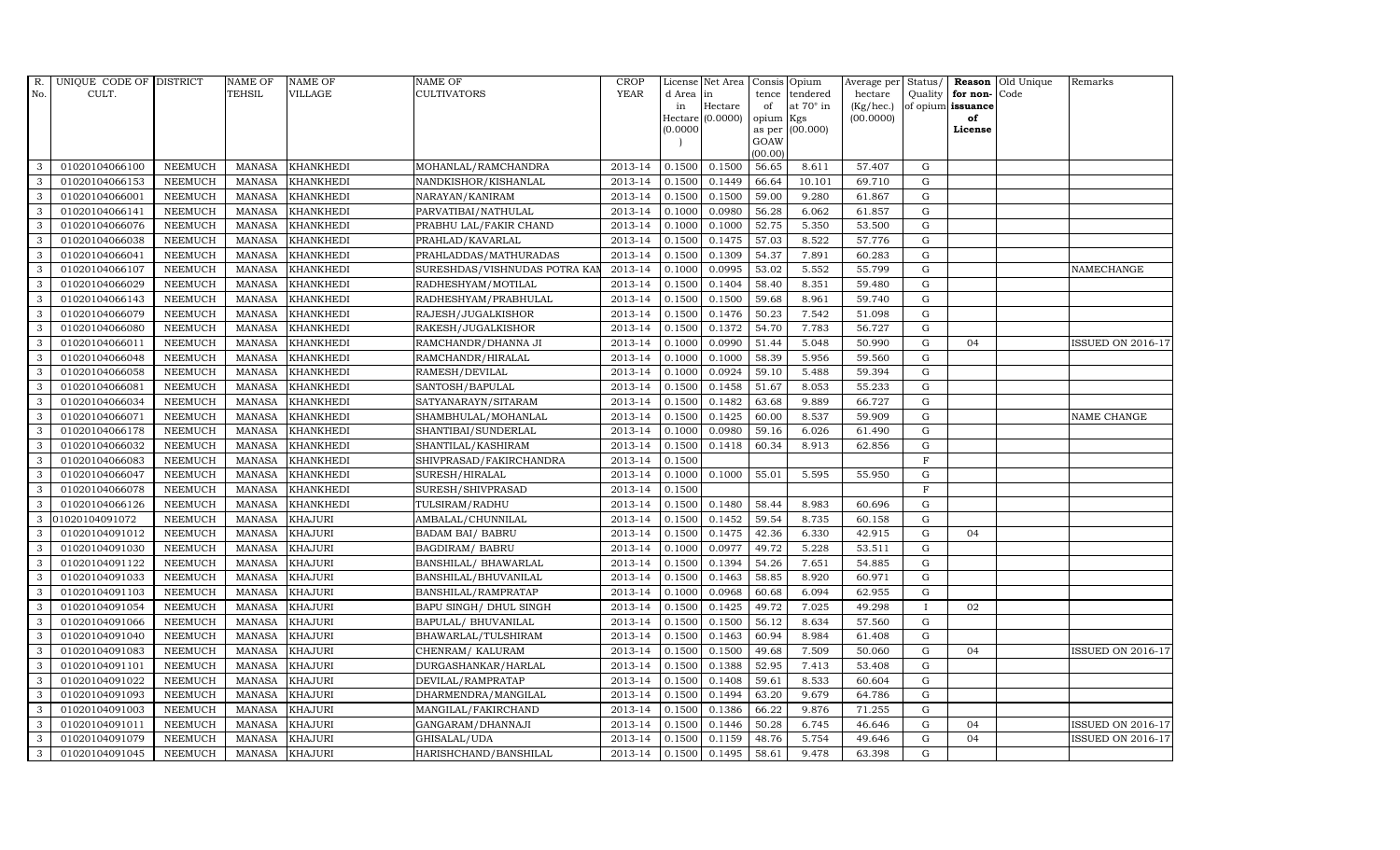| R.  | UNIQUE CODE OF DISTRICT |                | <b>NAME OF</b> | <b>NAME OF</b>   | <b>NAME OF</b>               | <b>CROP</b> |          | License Net Area   |           | Consis Opium    | Average per | Status/      | Reason            | Old Unique | Remarks                  |
|-----|-------------------------|----------------|----------------|------------------|------------------------------|-------------|----------|--------------------|-----------|-----------------|-------------|--------------|-------------------|------------|--------------------------|
| No. | CULT.                   |                | <b>TEHSIL</b>  | VILLAGE          | <b>CULTIVATORS</b>           | <b>YEAR</b> | d Area   | in                 | tence     | tendered        | hectare     | Quality      | for non-          | Code       |                          |
|     |                         |                |                |                  |                              |             | in       | Hectare            | of        | at 70° in       | (Kg/hec.)   |              | of opium issuance |            |                          |
|     |                         |                |                |                  |                              |             | (0.0000) | $Hectare (0.0000)$ | opium Kgs | as per (00.000) | (00.0000)   |              | of<br>License     |            |                          |
|     |                         |                |                |                  |                              |             |          |                    | GOAW      |                 |             |              |                   |            |                          |
|     |                         |                |                |                  |                              |             |          |                    | (00.00)   |                 |             |              |                   |            |                          |
| 3   | 01020104066100          | <b>NEEMUCH</b> | MANASA         | <b>KHANKHEDI</b> | MOHANLAL/RAMCHANDRA          | 2013-14     | 0.1500   | 0.1500             | 56.65     | 8.611           | 57.407      | G            |                   |            |                          |
| 3   | 01020104066153          | <b>NEEMUCH</b> | <b>MANASA</b>  | <b>KHANKHEDI</b> | NANDKISHOR/KISHANLAL         | 2013-14     | 0.1500   | 0.1449             | 66.64     | 10.101          | 69.710      | ${\rm G}$    |                   |            |                          |
| 3   | 01020104066001          | <b>NEEMUCH</b> | <b>MANASA</b>  | <b>KHANKHEDI</b> | NARAYAN/KANIRAM              | 2013-14     | 0.1500   | 0.1500             | 59.00     | 9.280           | 61.867      | G            |                   |            |                          |
| 3   | 01020104066141          | <b>NEEMUCH</b> | <b>MANASA</b>  | <b>KHANKHEDI</b> | PARVATIBAI/NATHULAL          | 2013-14     | 0.1000   | 0.0980             | 56.28     | 6.062           | 61.857      | $\mathbf G$  |                   |            |                          |
| 3   | 01020104066076          | <b>NEEMUCH</b> | <b>MANASA</b>  | <b>KHANKHEDI</b> | PRABHU LAL/FAKIR CHAND       | 2013-14     | 0.1000   | 0.1000             | 52.75     | 5.350           | 53.500      | ${\rm G}$    |                   |            |                          |
| 3   | 01020104066038          | <b>NEEMUCH</b> | <b>MANASA</b>  | <b>KHANKHEDI</b> | PRAHLAD/KAVARLAL             | 2013-14     | 0.1500   | 0.1475             | 57.03     | 8.522           | 57.776      | $\mathbf G$  |                   |            |                          |
| 3   | 01020104066041          | <b>NEEMUCH</b> | <b>MANASA</b>  | KHANKHEDI        | PRAHLADDAS/MATHURADAS        | 2013-14     | 0.1500   | 0.1309             | 54.37     | 7.891           | 60.283      | ${\rm G}$    |                   |            |                          |
| 3   | 01020104066107          | <b>NEEMUCH</b> | <b>MANASA</b>  | <b>KHANKHEDI</b> | SURESHDAS/VISHNUDAS POTRA KA | 2013-14     | 0.1000   | 0.0995             | 53.02     | 5.552           | 55.799      | $\mathbf G$  |                   |            | NAMECHANGE               |
| 3   | 01020104066029          | <b>NEEMUCH</b> | <b>MANASA</b>  | <b>KHANKHEDI</b> | RADHESHYAM/MOTILAL           | 2013-14     | 0.1500   | 0.1404             | 58.40     | 8.351           | 59.480      | G            |                   |            |                          |
| 3   | 01020104066143          | <b>NEEMUCH</b> | <b>MANASA</b>  | <b>KHANKHEDI</b> | RADHESHYAM/PRABHULAL         | 2013-14     | 0.1500   | 0.1500             | 59.68     | 8.961           | 59.740      | ${\rm G}$    |                   |            |                          |
| 3   | 01020104066079          | <b>NEEMUCH</b> | <b>MANASA</b>  | <b>KHANKHEDI</b> | RAJESH/JUGALKISHOR           | 2013-14     | 0.1500   | 0.1476             | 50.23     | 7.542           | 51.098      | ${\rm G}$    |                   |            |                          |
| 3   | 01020104066080          | <b>NEEMUCH</b> | <b>MANASA</b>  | <b>KHANKHEDI</b> | RAKESH/JUGALKISHOR           | 2013-14     | 0.1500   | 0.1372             | 54.70     | 7.783           | 56.727      | $\mathbf G$  |                   |            |                          |
| 3   | 01020104066011          | <b>NEEMUCH</b> | <b>MANASA</b>  | <b>KHANKHEDI</b> | RAMCHANDR/DHANNA JI          | 2013-14     | 0.1000   | 0.0990             | 51.44     | 5.048           | 50.990      | $\mathbf G$  | 04                |            | <b>ISSUED ON 2016-17</b> |
| 3   | 01020104066048          | <b>NEEMUCH</b> | <b>MANASA</b>  | <b>KHANKHEDI</b> | RAMCHANDR/HIRALAL            | 2013-14     | 0.1000   | 0.1000             | 58.39     | 5.956           | 59.560      | $\mathbf G$  |                   |            |                          |
| 3   | 01020104066058          | <b>NEEMUCH</b> | <b>MANASA</b>  | <b>KHANKHEDI</b> | RAMESH/DEVILAL               | 2013-14     | 0.1000   | 0.0924             | 59.10     | 5.488           | 59.394      | ${\rm G}$    |                   |            |                          |
| 3   | 01020104066081          | <b>NEEMUCH</b> | <b>MANASA</b>  | <b>KHANKHEDI</b> | SANTOSH/BAPULAL              | 2013-14     | 0.1500   | 0.1458             | 51.67     | 8.053           | 55.233      | ${\rm G}$    |                   |            |                          |
| 3   | 01020104066034          | <b>NEEMUCH</b> | <b>MANASA</b>  | <b>KHANKHEDI</b> | SATYANARAYN/SITARAM          | 2013-14     | 0.1500   | 0.1482             | 63.68     | 9.889           | 66.727      | G            |                   |            |                          |
| 3   | 01020104066071          | <b>NEEMUCH</b> | <b>MANASA</b>  | <b>KHANKHEDI</b> | SHAMBHULAL/MOHANLAL          | 2013-14     | 0.1500   | 0.1425             | 60.00     | 8.537           | 59.909      | $\mathbf G$  |                   |            | NAME CHANGE              |
| 3   | 01020104066178          | <b>NEEMUCH</b> | <b>MANASA</b>  | <b>KHANKHEDI</b> | SHANTIBAI/SUNDERLAL          | 2013-14     | 0.1000   | 0.0980             | 59.16     | 6.026           | 61.490      | $\mathbf G$  |                   |            |                          |
| 3   | 01020104066032          | <b>NEEMUCH</b> | <b>MANASA</b>  | <b>KHANKHEDI</b> | SHANTILAL/KASHIRAM           | 2013-14     | 0.1500   | 0.1418             | 60.34     | 8.913           | 62.856      | ${\rm G}$    |                   |            |                          |
| 3   | 01020104066083          | <b>NEEMUCH</b> | <b>MANASA</b>  | <b>KHANKHEDI</b> | SHIVPRASAD/FAKIRCHANDRA      | 2013-14     | 0.1500   |                    |           |                 |             | $\mathbf F$  |                   |            |                          |
| 3   | 01020104066047          | <b>NEEMUCH</b> | <b>MANASA</b>  | KHANKHEDI        | SURESH/HIRALAL               | 2013-14     | 0.1000   | 0.1000             | 55.01     | 5.595           | 55.950      | ${\rm G}$    |                   |            |                          |
| 3   | 01020104066078          | <b>NEEMUCH</b> | <b>MANASA</b>  | <b>KHANKHEDI</b> | SURESH/SHIVPRASAD            | 2013-14     | 0.1500   |                    |           |                 |             | $\mathbf F$  |                   |            |                          |
| 3   | 01020104066126          | <b>NEEMUCH</b> | <b>MANASA</b>  | <b>KHANKHEDI</b> | TULSIRAM/RADHU               | 2013-14     | 0.1500   | 0.1480             | 58.44     | 8.983           | 60.696      | $\mathbf G$  |                   |            |                          |
| 3   | 01020104091072          | <b>NEEMUCH</b> | <b>MANASA</b>  | <b>KHAJURI</b>   | AMBALAL/CHUNNILAL            | 2013-14     | 0.1500   | 0.1452             | 59.54     | 8.735           | 60.158      | $\mathbf G$  |                   |            |                          |
| 3   | 01020104091012          | <b>NEEMUCH</b> | <b>MANASA</b>  | <b>KHAJURI</b>   | <b>BADAM BAI/ BABRU</b>      | 2013-14     | 0.1500   | 0.1475             | 42.36     | 6.330           | 42.915      | ${\rm G}$    | 04                |            |                          |
| 3   | 01020104091030          | <b>NEEMUCH</b> | <b>MANASA</b>  | <b>KHAJURI</b>   | <b>BAGDIRAM/ BABRU</b>       | 2013-14     | 0.1000   | 0.0977             | 49.72     | 5.228           | 53.511      | ${\rm G}$    |                   |            |                          |
| 3   | 01020104091122          | <b>NEEMUCH</b> | <b>MANASA</b>  | <b>KHAJURI</b>   | BANSHILAL/ BHAWARLAL         | 2013-14     | 0.1500   | 0.1394             | 54.26     | 7.651           | 54.885      | $\mathbf G$  |                   |            |                          |
| 3   | 01020104091033          | <b>NEEMUCH</b> | <b>MANASA</b>  | <b>KHAJURI</b>   | BANSHILAL/BHUVANILAL         | 2013-14     | 0.1500   | 0.1463             | 58.85     | 8.920           | 60.971      | $\mathbf G$  |                   |            |                          |
| 3   | 01020104091103          | <b>NEEMUCH</b> | <b>MANASA</b>  | <b>KHAJURI</b>   | BANSHILAL/RAMPRATAP          | 2013-14     | 0.1000   | 0.0968             | 60.68     | 6.094           | 62.955      | $\mathbf G$  |                   |            |                          |
| 3   | 01020104091054          | <b>NEEMUCH</b> | <b>MANASA</b>  | <b>KHAJURI</b>   | BAPU SINGH/ DHUL SINGH       | 2013-14     | 0.1500   | 0.1425             | 49.72     | 7.025           | 49.298      | $\mathbf{I}$ | 02                |            |                          |
| 3   | 01020104091066          | <b>NEEMUCH</b> | <b>MANASA</b>  | <b>KHAJURI</b>   | BAPULAL/ BHUVANILAL          | 2013-14     | 0.1500   | 0.1500             | 56.12     | 8.634           | 57.560      | ${\rm G}$    |                   |            |                          |
| 3   | 01020104091040          | <b>NEEMUCH</b> | <b>MANASA</b>  | <b>KHAJURI</b>   | BHAWARLAL/TULSHIRAM          | 2013-14     | 0.1500   | 0.1463             | 60.94     | 8.984           | 61.408      | ${\rm G}$    |                   |            |                          |
| 3   | 01020104091083          | <b>NEEMUCH</b> | <b>MANASA</b>  | <b>KHAJURI</b>   | CHENRAM/KALURAM              | 2013-14     | 0.1500   | 0.1500             | 49.68     | 7.509           | 50.060      | $\mathbf G$  | 04                |            | <b>ISSUED ON 2016-17</b> |
| 3   | 01020104091101          | <b>NEEMUCH</b> | <b>MANASA</b>  | <b>KHAJURI</b>   | DURGASHANKAR/HARLAL          | 2013-14     | 0.1500   | 0.1388             | 52.95     | 7.413           | 53.408      | $\mathbf G$  |                   |            |                          |
| 3   | 01020104091022          | <b>NEEMUCH</b> | <b>MANASA</b>  | KHAJURI          | DEVILAL/RAMPRATAP            | 2013-14     | 0.1500   | 0.1408             | 59.61     | 8.533           | 60.604      | ${\rm G}$    |                   |            |                          |
| 3   | 01020104091093          | <b>NEEMUCH</b> | <b>MANASA</b>  | <b>KHAJURI</b>   | DHARMENDRA/MANGILAL          | 2013-14     | 0.1500   | 0.1494             | 63.20     | 9.679           | 64.786      | ${\rm G}$    |                   |            |                          |
| 3   | 01020104091003          | <b>NEEMUCH</b> | <b>MANASA</b>  | <b>KHAJURI</b>   | MANGILAL/FAKIRCHAND          | 2013-14     | 0.1500   | 0.1386             | 66.22     | 9.876           | 71.255      | ${\rm G}$    |                   |            |                          |
| 3   | 01020104091011          | <b>NEEMUCH</b> | <b>MANASA</b>  | <b>KHAJURI</b>   | GANGARAM/DHANNAJI            | 2013-14     | 0.1500   | 0.1446             | 50.28     | 6.745           | 46.646      | G            | 04                |            | <b>ISSUED ON 2016-17</b> |
| 3   | 01020104091079          | <b>NEEMUCH</b> | <b>MANASA</b>  | <b>KHAJURI</b>   | GHISALAL/UDA                 | 2013-14     | 0.1500   | 0.1159             | 48.76     | 5.754           | 49.646      | $\mathbf G$  | 04                |            | <b>ISSUED ON 2016-17</b> |
| 3   | 01020104091045          | <b>NEEMUCH</b> | MANASA         | <b>KHAJURI</b>   | HARISHCHAND/BANSHILAL        | 2013-14     | 0.1500   | 0.1495             | 58.61     | 9.478           | 63.398      | G            |                   |            |                          |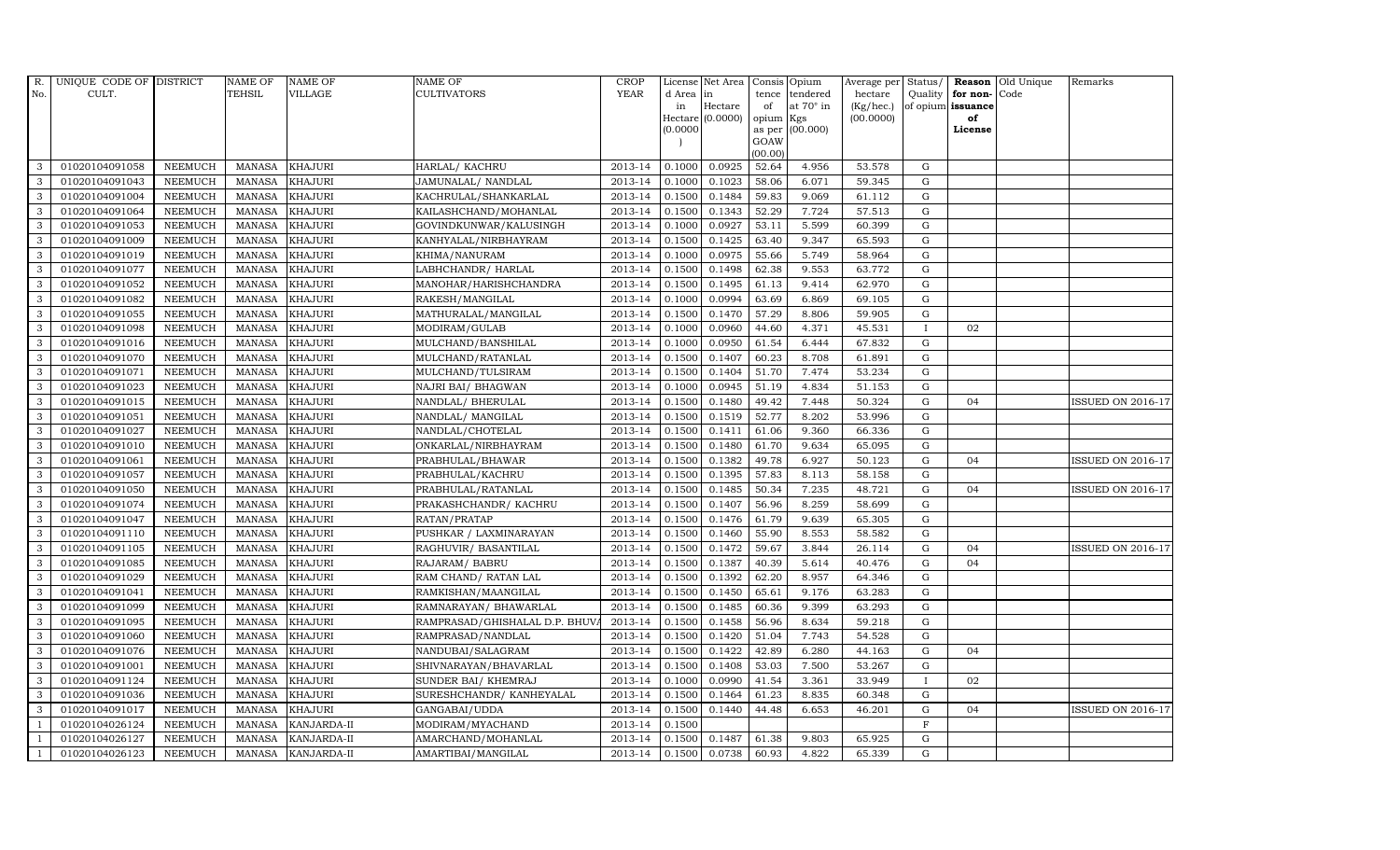| R.           | UNIQUE CODE OF DISTRICT |                | <b>NAME OF</b> | <b>NAME OF</b>     | <b>NAME OF</b>                 | CROP    |           | License Net Area   Consis   Opium |           |                  | Average per | Status/      | Reason            | Old Unique | Remarks                  |
|--------------|-------------------------|----------------|----------------|--------------------|--------------------------------|---------|-----------|-----------------------------------|-----------|------------------|-------------|--------------|-------------------|------------|--------------------------|
| No.          | CULT.                   |                | <b>TEHSIL</b>  | <b>VILLAGE</b>     | <b>CULTIVATORS</b>             | YEAR    | d Area in |                                   | tence     | tendered         | hectare     | Quality      | for non-          | Code       |                          |
|              |                         |                |                |                    |                                |         | in        | Hectare                           | of        | at $70^\circ$ in | (Kg/hec.)   |              | of opium issuance |            |                          |
|              |                         |                |                |                    |                                |         |           | Hectare (0.0000)                  | opium Kgs |                  | (00.0000)   |              | of                |            |                          |
|              |                         |                |                |                    |                                |         | (0.0000)  |                                   | GOAW      | as per (00.000)  |             |              | License           |            |                          |
|              |                         |                |                |                    |                                |         |           |                                   | (00.00)   |                  |             |              |                   |            |                          |
| 3            | 01020104091058          | <b>NEEMUCH</b> | MANASA         | <b>KHAJURI</b>     | HARLAL/ KACHRU                 | 2013-14 | 0.1000    | 0.0925                            | 52.64     | 4.956            | 53.578      | $\mathbf G$  |                   |            |                          |
| 3            | 01020104091043          | <b>NEEMUCH</b> | MANASA         | <b>KHAJURI</b>     | JAMUNALAL/ NANDLAL             | 2013-14 | 0.1000    | 0.1023                            | 58.06     | 6.071            | 59.345      | $\mathbf G$  |                   |            |                          |
| 3            | 01020104091004          | <b>NEEMUCH</b> | <b>MANASA</b>  | <b>KHAJURI</b>     | KACHRULAL/SHANKARLAL           | 2013-14 | 0.1500    | 0.1484                            | 59.83     | 9.069            | 61.112      | G            |                   |            |                          |
| 3            | 01020104091064          | <b>NEEMUCH</b> | <b>MANASA</b>  | <b>KHAJURI</b>     | KAILASHCHAND/MOHANLAL          | 2013-14 | 0.1500    | 0.1343                            | 52.29     | 7.724            | 57.513      | $\mathbf G$  |                   |            |                          |
| 3            | 01020104091053          | <b>NEEMUCH</b> | <b>MANASA</b>  | <b>KHAJURI</b>     | GOVINDKUNWAR/KALUSINGH         | 2013-14 | 0.1000    | 0.0927                            | 53.11     | 5.599            | 60.399      | ${\rm G}$    |                   |            |                          |
| $\mathbf{3}$ | 01020104091009          | <b>NEEMUCH</b> | MANASA         | <b>KHAJURI</b>     | KANHYALAL/NIRBHAYRAM           | 2013-14 | 0.1500    | 0.1425                            | 63.40     | 9.347            | 65.593      | $\mathbf G$  |                   |            |                          |
| 3            | 01020104091019          | <b>NEEMUCH</b> | <b>MANASA</b>  | <b>KHAJURI</b>     | KHIMA/NANURAM                  | 2013-14 | 0.1000    | 0.0975                            | 55.66     | 5.749            | 58.964      | $\mathbf G$  |                   |            |                          |
| 3            | 01020104091077          | <b>NEEMUCH</b> | <b>MANASA</b>  | <b>KHAJURI</b>     | LABHCHANDR/ HARLAL             | 2013-14 | 0.1500    | 0.1498                            | 62.38     | 9.553            | 63.772      | $\mathbf G$  |                   |            |                          |
| 3            | 01020104091052          | <b>NEEMUCH</b> | <b>MANASA</b>  | <b>KHAJURI</b>     | MANOHAR/HARISHCHANDRA          | 2013-14 | 0.1500    | 0.1495                            | 61.13     | 9.414            | 62.970      | $\mathbf G$  |                   |            |                          |
| 3            | 01020104091082          | <b>NEEMUCH</b> | <b>MANASA</b>  | <b>KHAJURI</b>     | RAKESH/MANGILAL                | 2013-14 | 0.1000    | 0.0994                            | 63.69     | 6.869            | 69.105      | ${\rm G}$    |                   |            |                          |
| $\mathbf{3}$ | 01020104091055          | <b>NEEMUCH</b> | <b>MANASA</b>  | <b>KHAJURI</b>     | MATHURALAL/MANGILAL            | 2013-14 | 0.1500    | 0.1470                            | 57.29     | 8.806            | 59.905      | ${\rm G}$    |                   |            |                          |
| 3            | 01020104091098          | <b>NEEMUCH</b> | <b>MANASA</b>  | <b>KHAJURI</b>     | MODIRAM/GULAB                  | 2013-14 | 0.1000    | 0.0960                            | 44.60     | 4.371            | 45.531      | $\mathbf{I}$ | 02                |            |                          |
| 3            | 01020104091016          | <b>NEEMUCH</b> | <b>MANASA</b>  | <b>KHAJURI</b>     | MULCHAND/BANSHILAL             | 2013-14 | 0.1000    | 0.0950                            | 61.54     | 6.444            | 67.832      | $\mathbf G$  |                   |            |                          |
| 3            | 01020104091070          | <b>NEEMUCH</b> | <b>MANASA</b>  | <b>KHAJURI</b>     | MULCHAND/RATANLAL              | 2013-14 | 0.1500    | 0.1407                            | 60.23     | 8.708            | 61.891      | G            |                   |            |                          |
| 3            | 01020104091071          | <b>NEEMUCH</b> | <b>MANASA</b>  | <b>KHAJURI</b>     | MULCHAND/TULSIRAM              | 2013-14 | 0.1500    | 0.1404                            | 51.70     | 7.474            | 53.234      | G            |                   |            |                          |
| 3            | 01020104091023          | <b>NEEMUCH</b> | <b>MANASA</b>  | <b>KHAJURI</b>     | NAJRI BAI/ BHAGWAN             | 2013-14 | 0.1000    | 0.0945                            | 51.19     | 4.834            | 51.153      | ${\rm G}$    |                   |            |                          |
| 3            | 01020104091015          | <b>NEEMUCH</b> | MANASA         | <b>KHAJURI</b>     | NANDLAL/ BHERULAL              | 2013-14 | 0.1500    | 0.1480                            | 49.42     | 7.448            | 50.324      | G            | 04                |            | <b>ISSUED ON 2016-17</b> |
| 3            | 01020104091051          | <b>NEEMUCH</b> | MANASA         | <b>KHAJURI</b>     | NANDLAL/ MANGILAL              | 2013-14 | 0.1500    | 0.1519                            | 52.77     | 8.202            | 53.996      | G            |                   |            |                          |
| 3            | 01020104091027          | <b>NEEMUCH</b> | <b>MANASA</b>  | <b>KHAJURI</b>     | NANDLAL/CHOTELAL               | 2013-14 | 0.1500    | 0.1411                            | 61.06     | 9.360            | 66.336      | $\mathbf G$  |                   |            |                          |
| 3            | 01020104091010          | <b>NEEMUCH</b> | <b>MANASA</b>  | <b>KHAJURI</b>     | ONKARLAL/NIRBHAYRAM            | 2013-14 | 0.1500    | 0.1480                            | 61.70     | 9.634            | 65.095      | $\mathbf G$  |                   |            |                          |
| $\mathbf{3}$ | 01020104091061          | <b>NEEMUCH</b> | <b>MANASA</b>  | <b>KHAJURI</b>     | PRABHULAL/BHAWAR               | 2013-14 | 0.1500    | 0.1382                            | 49.78     | 6.927            | 50.123      | ${\rm G}$    | 04                |            | <b>ISSUED ON 2016-17</b> |
| 3            | 01020104091057          | <b>NEEMUCH</b> | <b>MANASA</b>  | <b>KHAJURI</b>     | PRABHULAL/KACHRU               | 2013-14 | 0.1500    | 0.1395                            | 57.83     | 8.113            | 58.158      | $\mathbf G$  |                   |            |                          |
| $\mathbf{3}$ | 01020104091050          | <b>NEEMUCH</b> | MANASA         | <b>KHAJURI</b>     | PRABHULAL/RATANLAL             | 2013-14 | 0.1500    | 0.1485                            | 50.34     | 7.235            | 48.721      | G            | 04                |            | <b>ISSUED ON 2016-17</b> |
| 3            | 01020104091074          | <b>NEEMUCH</b> | <b>MANASA</b>  | <b>KHAJURI</b>     | PRAKASHCHANDR/ KACHRU          | 2013-14 | 0.1500    | 0.1407                            | 56.96     | 8.259            | 58.699      | $\mathbf G$  |                   |            |                          |
| 3            | 01020104091047          | <b>NEEMUCH</b> | <b>MANASA</b>  | <b>KHAJURI</b>     | RATAN/PRATAP                   | 2013-14 | 0.1500    | 0.1476                            | 61.79     | 9.639            | 65.305      | ${\rm G}$    |                   |            |                          |
| 3            | 01020104091110          | <b>NEEMUCH</b> | <b>MANASA</b>  | <b>KHAJURI</b>     | PUSHKAR / LAXMINARAYAN         | 2013-14 | 0.1500    | 0.1460                            | 55.90     | 8.553            | 58.582      | G            |                   |            |                          |
| 3            | 01020104091105          | <b>NEEMUCH</b> | <b>MANASA</b>  | <b>KHAJURI</b>     | RAGHUVIR/ BASANTILAL           | 2013-14 | 0.1500    | 0.1472                            | 59.67     | 3.844            | 26.114      | ${\rm G}$    | 04                |            | <b>ISSUED ON 2016-17</b> |
| 3            | 01020104091085          | <b>NEEMUCH</b> | MANASA         | <b>KHAJURI</b>     | RAJARAM/ BABRU                 | 2013-14 | 0.1500    | 0.1387                            | 40.39     | 5.614            | 40.476      | $\mathbf G$  | 04                |            |                          |
| 3            | 01020104091029          | <b>NEEMUCH</b> | <b>MANASA</b>  | <b>KHAJURI</b>     | RAM CHAND/ RATAN LAL           | 2013-14 | 0.1500    | 0.1392                            | 62.20     | 8.957            | 64.346      | $\mathbf G$  |                   |            |                          |
| 3            | 01020104091041          | <b>NEEMUCH</b> | <b>MANASA</b>  | <b>KHAJURI</b>     | RAMKISHAN/MAANGILAL            | 2013-14 | 0.1500    | 0.1450                            | 65.61     | 9.176            | 63.283      | $\mathbf G$  |                   |            |                          |
| 3            | 01020104091099          | <b>NEEMUCH</b> | <b>MANASA</b>  | <b>KHAJURI</b>     | RAMNARAYAN/ BHAWARLAL          | 2013-14 | 0.1500    | 0.1485                            | 60.36     | 9.399            | 63.293      | G            |                   |            |                          |
| 3            | 01020104091095          | <b>NEEMUCH</b> | <b>MANASA</b>  | <b>KHAJURI</b>     | RAMPRASAD/GHISHALAL D.P. BHUV. | 2013-14 | 0.1500    | 0.1458                            | 56.96     | 8.634            | 59.218      | ${\rm G}$    |                   |            |                          |
| 3            | 01020104091060          | <b>NEEMUCH</b> | MANASA         | <b>KHAJURI</b>     | RAMPRASAD/NANDLAL              | 2013-14 | 0.1500    | 0.1420                            | 51.04     | 7.743            | 54.528      | $\mathbf G$  |                   |            |                          |
| 3            | 01020104091076          | <b>NEEMUCH</b> | <b>MANASA</b>  | <b>KHAJURI</b>     | NANDUBAI/SALAGRAM              | 2013-14 | 0.1500    | 0.1422                            | 42.89     | 6.280            | 44.163      | $\mathbf G$  | 04                |            |                          |
| 3            | 01020104091001          | <b>NEEMUCH</b> | <b>MANASA</b>  | <b>KHAJURI</b>     | SHIVNARAYAN/BHAVARLAL          | 2013-14 | 0.1500    | 0.1408                            | 53.03     | 7.500            | 53.267      | $\mathbf G$  |                   |            |                          |
| 3            | 01020104091124          | <b>NEEMUCH</b> | <b>MANASA</b>  | <b>KHAJURI</b>     | SUNDER BAI/ KHEMRAJ            | 2013-14 | 0.1000    | 0.0990                            | 41.54     | 3.361            | 33.949      | $\mathbf I$  | 02                |            |                          |
| 3            | 01020104091036          | <b>NEEMUCH</b> | <b>MANASA</b>  | <b>KHAJURI</b>     | SURESHCHANDR/ KANHEYALAL       | 2013-14 | 0.1500    | 0.1464                            | 61.23     | 8.835            | 60.348      | $\mathbf G$  |                   |            |                          |
| 3            | 01020104091017          | <b>NEEMUCH</b> | <b>MANASA</b>  | <b>KHAJURI</b>     | GANGABAI/UDDA                  | 2013-14 | 0.1500    | 0.1440                            | 44.48     | 6.653            | 46.201      | $\mathbf G$  | 04                |            | <b>ISSUED ON 2016-17</b> |
| $\mathbf{1}$ | 01020104026124          | <b>NEEMUCH</b> | <b>MANASA</b>  | KANJARDA-II        | MODIRAM/MYACHAND               | 2013-14 | 0.1500    |                                   |           |                  |             | $\mathbf F$  |                   |            |                          |
|              | 01020104026127          | <b>NEEMUCH</b> | <b>MANASA</b>  | KANJARDA-II        | AMARCHAND/MOHANLAL             | 2013-14 | 0.1500    | 0.1487                            | 61.38     | 9.803            | 65.925      | $\mathbf G$  |                   |            |                          |
| $\mathbf{1}$ | 01020104026123          | <b>NEEMUCH</b> |                | MANASA KANJARDA-II | AMARTIBAI/MANGILAL             | 2013-14 | 0.1500    | 0.0738                            | 60.93     | 4.822            | 65.339      | G            |                   |            |                          |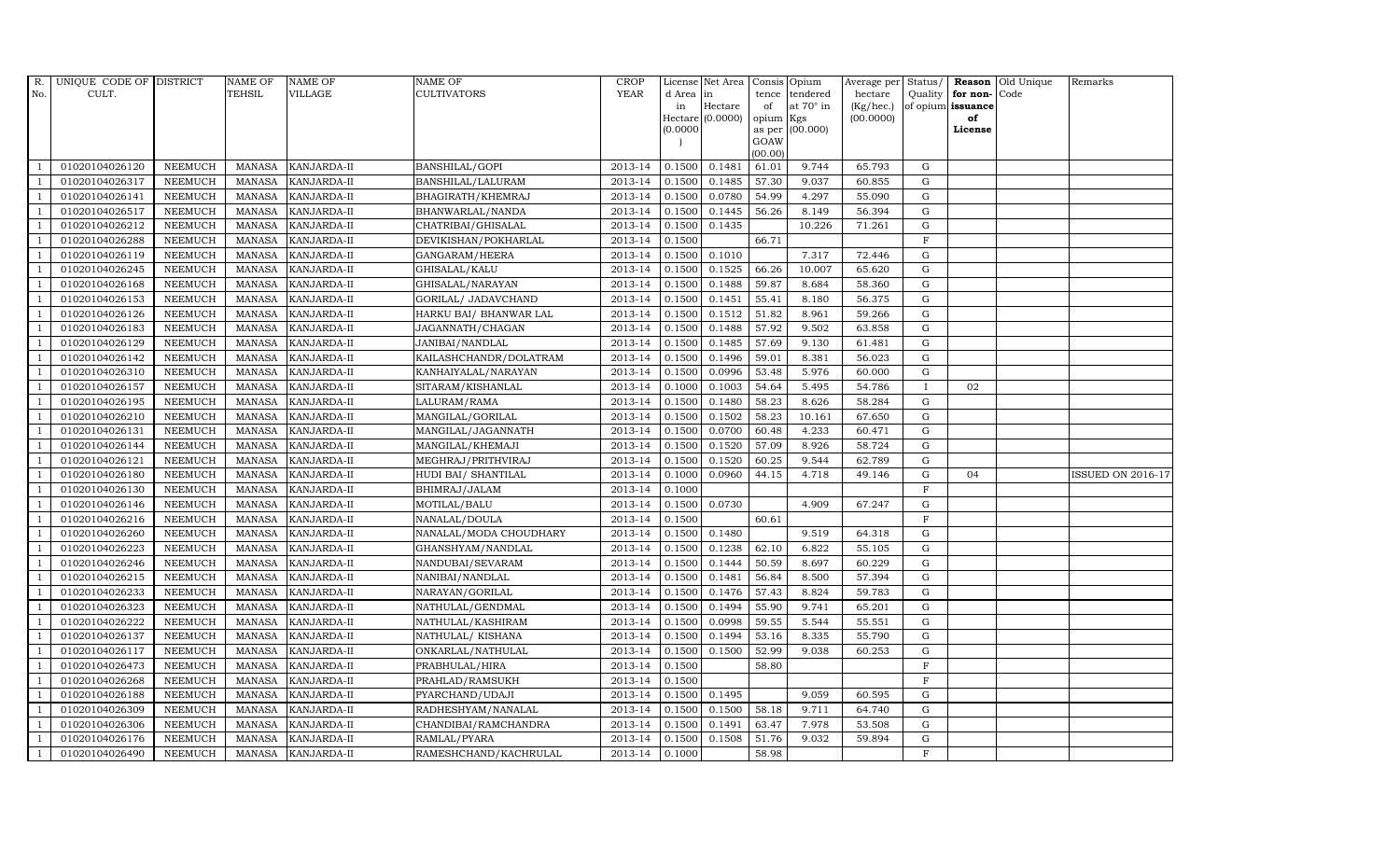| <b>YEAR</b><br>TEHSIL<br><b>VILLAGE</b><br><b>CULTIVATORS</b><br>No.<br>CULT.<br>d Area in<br>tendered<br>hectare<br>Quality $ $ for non-<br>Code<br>tence<br>at $70^\circ$ in<br>Hectare<br>(Kg/hec.)<br>of opium issuance<br>in<br>of<br>Hectare $(0.0000)$<br>opium Kgs<br>(00.0000)<br>of<br>as per (00.000)<br>(0.0000)<br>License<br>GOAW<br>(00.00)<br>0.1481<br>65.793<br>01020104026120<br>2013-14<br>0.1500<br>61.01<br>9.744<br>G<br><b>NEEMUCH</b><br>MANASA<br><b>KANJARDA-II</b><br>BANSHILAL/GOPI<br>01020104026317<br>2013-14<br>0.1485<br>57.30<br>9.037<br>G<br><b>NEEMUCH</b><br>MANASA<br><b>KANJARDA-II</b><br>BANSHILAL/LALURAM<br>0.1500<br>60.855<br>-1<br>BHAGIRATH/KHEMRAJ<br>2013-14<br>0.0780<br>54.99<br>01020104026141<br><b>NEEMUCH</b><br><b>MANASA</b><br>KANJARDA-II<br>0.1500<br>4.297<br>55.090<br>G<br>0.1445<br>01020104026517<br><b>NEEMUCH</b><br>MANASA<br>KANJARDA-II<br>BHANWARLAL/NANDA<br>2013-14<br>0.1500<br>56.26<br>8.149<br>56.394<br>G<br>01020104026212<br><b>NEEMUCH</b><br><b>MANASA</b><br>KANJARDA-II<br>CHATRIBAI/GHISALAL<br>2013-14<br>0.1500<br>0.1435<br>10.226<br>71.261<br>G<br>$\overline{1}$<br><b>NEEMUCH</b><br>2013-14<br>0.1500<br>66.71<br>F<br>01020104026288<br>MANASA<br>KANJARDA-II<br>DEVIKISHAN/POKHARLAL<br>$\overline{1}$<br>2013-14<br>0.1010<br>${\bf G}$<br>01020104026119<br><b>NEEMUCH</b><br>MANASA<br>KANJARDA-II<br>GANGARAM/HEERA<br>0.1500<br>7.317<br>72.446<br>$\overline{1}$<br>01020104026245<br><b>NEEMUCH</b><br>2013-14<br>0.1525<br>66.26<br>10.007<br>${\rm G}$<br>$\overline{1}$<br><b>MANASA</b><br>KANJARDA-II<br>GHISALAL/KALU<br>0.1500<br>65.620<br><b>NEEMUCH</b><br>MANASA<br>2013-14<br>0.1488<br>G<br>01020104026168<br>KANJARDA-II<br>GHISALAL/NARAYAN<br>0.1500<br>59.87<br>8.684<br>58.360<br>${\rm G}$<br>01020104026153<br><b>MANASA</b><br>KANJARDA-II<br>GORILAL/ JADAVCHAND<br>2013-14<br>0.1500<br>0.1451<br>55.41<br>8.180<br>56.375<br><b>NEEMUCH</b><br><b>NEEMUCH</b><br>2013-14<br>0.1500<br>0.1512<br>51.82<br>8.961<br>59.266<br>G<br>01020104026126<br><b>MANASA</b><br>KANJARDA-II<br>HARKU BAI/ BHANWAR LAL<br>$\overline{1}$<br>01020104026183<br>2013-14<br>0.1488<br>57.92<br>9.502<br>63.858<br>G<br><b>NEEMUCH</b><br>MANASA<br>KANJARDA-II<br>JAGANNATH/CHAGAN<br>0.1500<br>$\overline{1}$<br>01020104026129<br><b>NEEMUCH</b><br>KANJARDA-II<br>JANIBAI/NANDLAL<br>2013-14<br>0.1500<br>0.1485<br>57.69<br>9.130<br>G<br>$\overline{1}$<br>MANASA<br>61.481<br>01020104026142<br><b>NEEMUCH</b><br>MANASA<br>KANJARDA-II<br>KAILASHCHANDR/DOLATRAM<br>2013-14<br>0.1500<br>0.1496<br>59.01<br>8.381<br>56.023<br>G<br>01020104026310<br><b>NEEMUCH</b><br>MANASA<br>KANJARDA-II<br>2013-14<br>0.1500<br>0.0996<br>53.48<br>5.976<br>60.000<br>G<br>KANHAIYALAL/NARAYAN<br>$\overline{1}$<br>01020104026157<br><b>NEEMUCH</b><br>MANASA<br>2013-14<br>0.1000<br>0.1003<br>54.64<br>5.495<br>54.786<br>KANJARDA-II<br>SITARAM/KISHANLAL<br>02<br>-1<br>$\bf{I}$<br>01020104026195<br><b>NEEMUCH</b><br>MANASA<br>KANJARDA-II<br>2013-14<br>0.1500<br>0.1480<br>58.23<br>8.626<br>58.284<br>G<br>LALURAM/RAMA<br>01020104026210<br><b>NEEMUCH</b><br><b>KANJARDA-II</b><br>MANGILAL/GORILAL<br>2013-14<br>0.1500<br>0.1502<br>58.23<br>10.161<br>67.650<br>MANASA<br>G<br>$\overline{1}$<br>01020104026131<br><b>NEEMUCH</b><br>MANASA<br>KANJARDA-II<br>MANGILAL/JAGANNATH<br>2013-14<br>0.1500<br>0.0700<br>60.48<br>4.233<br>60.471<br>G<br>2013-14<br>0.1520<br>57.09<br>8.926<br>01020104026144<br><b>NEEMUCH</b><br><b>MANASA</b><br>KANJARDA-II<br>MANGILAL/KHEMAJI<br>0.1500 | Average per Status/<br><b>Reason</b> Old Unique<br>Remarks |
|------------------------------------------------------------------------------------------------------------------------------------------------------------------------------------------------------------------------------------------------------------------------------------------------------------------------------------------------------------------------------------------------------------------------------------------------------------------------------------------------------------------------------------------------------------------------------------------------------------------------------------------------------------------------------------------------------------------------------------------------------------------------------------------------------------------------------------------------------------------------------------------------------------------------------------------------------------------------------------------------------------------------------------------------------------------------------------------------------------------------------------------------------------------------------------------------------------------------------------------------------------------------------------------------------------------------------------------------------------------------------------------------------------------------------------------------------------------------------------------------------------------------------------------------------------------------------------------------------------------------------------------------------------------------------------------------------------------------------------------------------------------------------------------------------------------------------------------------------------------------------------------------------------------------------------------------------------------------------------------------------------------------------------------------------------------------------------------------------------------------------------------------------------------------------------------------------------------------------------------------------------------------------------------------------------------------------------------------------------------------------------------------------------------------------------------------------------------------------------------------------------------------------------------------------------------------------------------------------------------------------------------------------------------------------------------------------------------------------------------------------------------------------------------------------------------------------------------------------------------------------------------------------------------------------------------------------------------------------------------------------------------------------------------------------------------------------------------------------------------------------------------------------------------------------------------------------------------------------------------------------------------------------------------------------------------------------------------------------------------------------------------------------------------------------------------------------------------------------------------------------------------------------------------------------------------------------------------------------------------------|------------------------------------------------------------|
|                                                                                                                                                                                                                                                                                                                                                                                                                                                                                                                                                                                                                                                                                                                                                                                                                                                                                                                                                                                                                                                                                                                                                                                                                                                                                                                                                                                                                                                                                                                                                                                                                                                                                                                                                                                                                                                                                                                                                                                                                                                                                                                                                                                                                                                                                                                                                                                                                                                                                                                                                                                                                                                                                                                                                                                                                                                                                                                                                                                                                                                                                                                                                                                                                                                                                                                                                                                                                                                                                                                                                                                                                        |                                                            |
|                                                                                                                                                                                                                                                                                                                                                                                                                                                                                                                                                                                                                                                                                                                                                                                                                                                                                                                                                                                                                                                                                                                                                                                                                                                                                                                                                                                                                                                                                                                                                                                                                                                                                                                                                                                                                                                                                                                                                                                                                                                                                                                                                                                                                                                                                                                                                                                                                                                                                                                                                                                                                                                                                                                                                                                                                                                                                                                                                                                                                                                                                                                                                                                                                                                                                                                                                                                                                                                                                                                                                                                                                        |                                                            |
|                                                                                                                                                                                                                                                                                                                                                                                                                                                                                                                                                                                                                                                                                                                                                                                                                                                                                                                                                                                                                                                                                                                                                                                                                                                                                                                                                                                                                                                                                                                                                                                                                                                                                                                                                                                                                                                                                                                                                                                                                                                                                                                                                                                                                                                                                                                                                                                                                                                                                                                                                                                                                                                                                                                                                                                                                                                                                                                                                                                                                                                                                                                                                                                                                                                                                                                                                                                                                                                                                                                                                                                                                        |                                                            |
|                                                                                                                                                                                                                                                                                                                                                                                                                                                                                                                                                                                                                                                                                                                                                                                                                                                                                                                                                                                                                                                                                                                                                                                                                                                                                                                                                                                                                                                                                                                                                                                                                                                                                                                                                                                                                                                                                                                                                                                                                                                                                                                                                                                                                                                                                                                                                                                                                                                                                                                                                                                                                                                                                                                                                                                                                                                                                                                                                                                                                                                                                                                                                                                                                                                                                                                                                                                                                                                                                                                                                                                                                        |                                                            |
|                                                                                                                                                                                                                                                                                                                                                                                                                                                                                                                                                                                                                                                                                                                                                                                                                                                                                                                                                                                                                                                                                                                                                                                                                                                                                                                                                                                                                                                                                                                                                                                                                                                                                                                                                                                                                                                                                                                                                                                                                                                                                                                                                                                                                                                                                                                                                                                                                                                                                                                                                                                                                                                                                                                                                                                                                                                                                                                                                                                                                                                                                                                                                                                                                                                                                                                                                                                                                                                                                                                                                                                                                        |                                                            |
|                                                                                                                                                                                                                                                                                                                                                                                                                                                                                                                                                                                                                                                                                                                                                                                                                                                                                                                                                                                                                                                                                                                                                                                                                                                                                                                                                                                                                                                                                                                                                                                                                                                                                                                                                                                                                                                                                                                                                                                                                                                                                                                                                                                                                                                                                                                                                                                                                                                                                                                                                                                                                                                                                                                                                                                                                                                                                                                                                                                                                                                                                                                                                                                                                                                                                                                                                                                                                                                                                                                                                                                                                        |                                                            |
|                                                                                                                                                                                                                                                                                                                                                                                                                                                                                                                                                                                                                                                                                                                                                                                                                                                                                                                                                                                                                                                                                                                                                                                                                                                                                                                                                                                                                                                                                                                                                                                                                                                                                                                                                                                                                                                                                                                                                                                                                                                                                                                                                                                                                                                                                                                                                                                                                                                                                                                                                                                                                                                                                                                                                                                                                                                                                                                                                                                                                                                                                                                                                                                                                                                                                                                                                                                                                                                                                                                                                                                                                        |                                                            |
|                                                                                                                                                                                                                                                                                                                                                                                                                                                                                                                                                                                                                                                                                                                                                                                                                                                                                                                                                                                                                                                                                                                                                                                                                                                                                                                                                                                                                                                                                                                                                                                                                                                                                                                                                                                                                                                                                                                                                                                                                                                                                                                                                                                                                                                                                                                                                                                                                                                                                                                                                                                                                                                                                                                                                                                                                                                                                                                                                                                                                                                                                                                                                                                                                                                                                                                                                                                                                                                                                                                                                                                                                        |                                                            |
|                                                                                                                                                                                                                                                                                                                                                                                                                                                                                                                                                                                                                                                                                                                                                                                                                                                                                                                                                                                                                                                                                                                                                                                                                                                                                                                                                                                                                                                                                                                                                                                                                                                                                                                                                                                                                                                                                                                                                                                                                                                                                                                                                                                                                                                                                                                                                                                                                                                                                                                                                                                                                                                                                                                                                                                                                                                                                                                                                                                                                                                                                                                                                                                                                                                                                                                                                                                                                                                                                                                                                                                                                        |                                                            |
|                                                                                                                                                                                                                                                                                                                                                                                                                                                                                                                                                                                                                                                                                                                                                                                                                                                                                                                                                                                                                                                                                                                                                                                                                                                                                                                                                                                                                                                                                                                                                                                                                                                                                                                                                                                                                                                                                                                                                                                                                                                                                                                                                                                                                                                                                                                                                                                                                                                                                                                                                                                                                                                                                                                                                                                                                                                                                                                                                                                                                                                                                                                                                                                                                                                                                                                                                                                                                                                                                                                                                                                                                        |                                                            |
|                                                                                                                                                                                                                                                                                                                                                                                                                                                                                                                                                                                                                                                                                                                                                                                                                                                                                                                                                                                                                                                                                                                                                                                                                                                                                                                                                                                                                                                                                                                                                                                                                                                                                                                                                                                                                                                                                                                                                                                                                                                                                                                                                                                                                                                                                                                                                                                                                                                                                                                                                                                                                                                                                                                                                                                                                                                                                                                                                                                                                                                                                                                                                                                                                                                                                                                                                                                                                                                                                                                                                                                                                        |                                                            |
|                                                                                                                                                                                                                                                                                                                                                                                                                                                                                                                                                                                                                                                                                                                                                                                                                                                                                                                                                                                                                                                                                                                                                                                                                                                                                                                                                                                                                                                                                                                                                                                                                                                                                                                                                                                                                                                                                                                                                                                                                                                                                                                                                                                                                                                                                                                                                                                                                                                                                                                                                                                                                                                                                                                                                                                                                                                                                                                                                                                                                                                                                                                                                                                                                                                                                                                                                                                                                                                                                                                                                                                                                        |                                                            |
|                                                                                                                                                                                                                                                                                                                                                                                                                                                                                                                                                                                                                                                                                                                                                                                                                                                                                                                                                                                                                                                                                                                                                                                                                                                                                                                                                                                                                                                                                                                                                                                                                                                                                                                                                                                                                                                                                                                                                                                                                                                                                                                                                                                                                                                                                                                                                                                                                                                                                                                                                                                                                                                                                                                                                                                                                                                                                                                                                                                                                                                                                                                                                                                                                                                                                                                                                                                                                                                                                                                                                                                                                        |                                                            |
|                                                                                                                                                                                                                                                                                                                                                                                                                                                                                                                                                                                                                                                                                                                                                                                                                                                                                                                                                                                                                                                                                                                                                                                                                                                                                                                                                                                                                                                                                                                                                                                                                                                                                                                                                                                                                                                                                                                                                                                                                                                                                                                                                                                                                                                                                                                                                                                                                                                                                                                                                                                                                                                                                                                                                                                                                                                                                                                                                                                                                                                                                                                                                                                                                                                                                                                                                                                                                                                                                                                                                                                                                        |                                                            |
|                                                                                                                                                                                                                                                                                                                                                                                                                                                                                                                                                                                                                                                                                                                                                                                                                                                                                                                                                                                                                                                                                                                                                                                                                                                                                                                                                                                                                                                                                                                                                                                                                                                                                                                                                                                                                                                                                                                                                                                                                                                                                                                                                                                                                                                                                                                                                                                                                                                                                                                                                                                                                                                                                                                                                                                                                                                                                                                                                                                                                                                                                                                                                                                                                                                                                                                                                                                                                                                                                                                                                                                                                        |                                                            |
|                                                                                                                                                                                                                                                                                                                                                                                                                                                                                                                                                                                                                                                                                                                                                                                                                                                                                                                                                                                                                                                                                                                                                                                                                                                                                                                                                                                                                                                                                                                                                                                                                                                                                                                                                                                                                                                                                                                                                                                                                                                                                                                                                                                                                                                                                                                                                                                                                                                                                                                                                                                                                                                                                                                                                                                                                                                                                                                                                                                                                                                                                                                                                                                                                                                                                                                                                                                                                                                                                                                                                                                                                        |                                                            |
|                                                                                                                                                                                                                                                                                                                                                                                                                                                                                                                                                                                                                                                                                                                                                                                                                                                                                                                                                                                                                                                                                                                                                                                                                                                                                                                                                                                                                                                                                                                                                                                                                                                                                                                                                                                                                                                                                                                                                                                                                                                                                                                                                                                                                                                                                                                                                                                                                                                                                                                                                                                                                                                                                                                                                                                                                                                                                                                                                                                                                                                                                                                                                                                                                                                                                                                                                                                                                                                                                                                                                                                                                        |                                                            |
|                                                                                                                                                                                                                                                                                                                                                                                                                                                                                                                                                                                                                                                                                                                                                                                                                                                                                                                                                                                                                                                                                                                                                                                                                                                                                                                                                                                                                                                                                                                                                                                                                                                                                                                                                                                                                                                                                                                                                                                                                                                                                                                                                                                                                                                                                                                                                                                                                                                                                                                                                                                                                                                                                                                                                                                                                                                                                                                                                                                                                                                                                                                                                                                                                                                                                                                                                                                                                                                                                                                                                                                                                        |                                                            |
|                                                                                                                                                                                                                                                                                                                                                                                                                                                                                                                                                                                                                                                                                                                                                                                                                                                                                                                                                                                                                                                                                                                                                                                                                                                                                                                                                                                                                                                                                                                                                                                                                                                                                                                                                                                                                                                                                                                                                                                                                                                                                                                                                                                                                                                                                                                                                                                                                                                                                                                                                                                                                                                                                                                                                                                                                                                                                                                                                                                                                                                                                                                                                                                                                                                                                                                                                                                                                                                                                                                                                                                                                        |                                                            |
|                                                                                                                                                                                                                                                                                                                                                                                                                                                                                                                                                                                                                                                                                                                                                                                                                                                                                                                                                                                                                                                                                                                                                                                                                                                                                                                                                                                                                                                                                                                                                                                                                                                                                                                                                                                                                                                                                                                                                                                                                                                                                                                                                                                                                                                                                                                                                                                                                                                                                                                                                                                                                                                                                                                                                                                                                                                                                                                                                                                                                                                                                                                                                                                                                                                                                                                                                                                                                                                                                                                                                                                                                        |                                                            |
|                                                                                                                                                                                                                                                                                                                                                                                                                                                                                                                                                                                                                                                                                                                                                                                                                                                                                                                                                                                                                                                                                                                                                                                                                                                                                                                                                                                                                                                                                                                                                                                                                                                                                                                                                                                                                                                                                                                                                                                                                                                                                                                                                                                                                                                                                                                                                                                                                                                                                                                                                                                                                                                                                                                                                                                                                                                                                                                                                                                                                                                                                                                                                                                                                                                                                                                                                                                                                                                                                                                                                                                                                        |                                                            |
|                                                                                                                                                                                                                                                                                                                                                                                                                                                                                                                                                                                                                                                                                                                                                                                                                                                                                                                                                                                                                                                                                                                                                                                                                                                                                                                                                                                                                                                                                                                                                                                                                                                                                                                                                                                                                                                                                                                                                                                                                                                                                                                                                                                                                                                                                                                                                                                                                                                                                                                                                                                                                                                                                                                                                                                                                                                                                                                                                                                                                                                                                                                                                                                                                                                                                                                                                                                                                                                                                                                                                                                                                        |                                                            |
|                                                                                                                                                                                                                                                                                                                                                                                                                                                                                                                                                                                                                                                                                                                                                                                                                                                                                                                                                                                                                                                                                                                                                                                                                                                                                                                                                                                                                                                                                                                                                                                                                                                                                                                                                                                                                                                                                                                                                                                                                                                                                                                                                                                                                                                                                                                                                                                                                                                                                                                                                                                                                                                                                                                                                                                                                                                                                                                                                                                                                                                                                                                                                                                                                                                                                                                                                                                                                                                                                                                                                                                                                        |                                                            |
|                                                                                                                                                                                                                                                                                                                                                                                                                                                                                                                                                                                                                                                                                                                                                                                                                                                                                                                                                                                                                                                                                                                                                                                                                                                                                                                                                                                                                                                                                                                                                                                                                                                                                                                                                                                                                                                                                                                                                                                                                                                                                                                                                                                                                                                                                                                                                                                                                                                                                                                                                                                                                                                                                                                                                                                                                                                                                                                                                                                                                                                                                                                                                                                                                                                                                                                                                                                                                                                                                                                                                                                                                        |                                                            |
|                                                                                                                                                                                                                                                                                                                                                                                                                                                                                                                                                                                                                                                                                                                                                                                                                                                                                                                                                                                                                                                                                                                                                                                                                                                                                                                                                                                                                                                                                                                                                                                                                                                                                                                                                                                                                                                                                                                                                                                                                                                                                                                                                                                                                                                                                                                                                                                                                                                                                                                                                                                                                                                                                                                                                                                                                                                                                                                                                                                                                                                                                                                                                                                                                                                                                                                                                                                                                                                                                                                                                                                                                        | G<br>58.724                                                |
| 0.1520<br>01020104026121<br><b>NEEMUCH</b><br><b>MANASA</b><br>KANJARDA-II<br>2013-14<br>0.1500<br>60.25<br>9.544<br>62.789<br>G<br>MEGHRAJ/PRITHVIRAJ<br>-1                                                                                                                                                                                                                                                                                                                                                                                                                                                                                                                                                                                                                                                                                                                                                                                                                                                                                                                                                                                                                                                                                                                                                                                                                                                                                                                                                                                                                                                                                                                                                                                                                                                                                                                                                                                                                                                                                                                                                                                                                                                                                                                                                                                                                                                                                                                                                                                                                                                                                                                                                                                                                                                                                                                                                                                                                                                                                                                                                                                                                                                                                                                                                                                                                                                                                                                                                                                                                                                           |                                                            |
| 01020104026180<br>MANASA<br>KANJARDA-II<br>2013-14<br>0.1000<br>0.0960<br>44.15<br>4.718<br>49.146<br>G<br><b>NEEMUCH</b><br>HUDI BAI/ SHANTILAL<br>04<br>$\overline{1}$                                                                                                                                                                                                                                                                                                                                                                                                                                                                                                                                                                                                                                                                                                                                                                                                                                                                                                                                                                                                                                                                                                                                                                                                                                                                                                                                                                                                                                                                                                                                                                                                                                                                                                                                                                                                                                                                                                                                                                                                                                                                                                                                                                                                                                                                                                                                                                                                                                                                                                                                                                                                                                                                                                                                                                                                                                                                                                                                                                                                                                                                                                                                                                                                                                                                                                                                                                                                                                               | <b>ISSUED ON 2016-17</b>                                   |
| 2013-14<br>$\mathbf F$<br>01020104026130<br><b>NEEMUCH</b><br>0.1000<br>MANASA<br><b>KANJARDA-II</b><br>BHIMRAJ/JALAM<br>$\overline{1}$                                                                                                                                                                                                                                                                                                                                                                                                                                                                                                                                                                                                                                                                                                                                                                                                                                                                                                                                                                                                                                                                                                                                                                                                                                                                                                                                                                                                                                                                                                                                                                                                                                                                                                                                                                                                                                                                                                                                                                                                                                                                                                                                                                                                                                                                                                                                                                                                                                                                                                                                                                                                                                                                                                                                                                                                                                                                                                                                                                                                                                                                                                                                                                                                                                                                                                                                                                                                                                                                                |                                                            |
| 01020104026146<br>2013-14<br><b>NEEMUCH</b><br><b>MANASA</b><br>KANJARDA-II<br>MOTILAL/BALU<br>0.1500<br>0.0730<br>4.909<br>67.247<br>$\mathbf G$                                                                                                                                                                                                                                                                                                                                                                                                                                                                                                                                                                                                                                                                                                                                                                                                                                                                                                                                                                                                                                                                                                                                                                                                                                                                                                                                                                                                                                                                                                                                                                                                                                                                                                                                                                                                                                                                                                                                                                                                                                                                                                                                                                                                                                                                                                                                                                                                                                                                                                                                                                                                                                                                                                                                                                                                                                                                                                                                                                                                                                                                                                                                                                                                                                                                                                                                                                                                                                                                      |                                                            |
| $\mbox{MANASA}$<br>2013-14<br>$\mathbf{F}$<br>01020104026216<br><b>NEEMUCH</b><br>KANJARDA-II<br>NANALAL/DOULA<br>0.1500<br>60.61                                                                                                                                                                                                                                                                                                                                                                                                                                                                                                                                                                                                                                                                                                                                                                                                                                                                                                                                                                                                                                                                                                                                                                                                                                                                                                                                                                                                                                                                                                                                                                                                                                                                                                                                                                                                                                                                                                                                                                                                                                                                                                                                                                                                                                                                                                                                                                                                                                                                                                                                                                                                                                                                                                                                                                                                                                                                                                                                                                                                                                                                                                                                                                                                                                                                                                                                                                                                                                                                                      |                                                            |
| 01020104026260<br><b>NEEMUCH</b><br><b>MANASA</b><br>NANALAL/MODA CHOUDHARY<br>2013-14<br>0.1500 0.1480<br>9.519<br>G<br><b>KANJARDA-II</b><br>64.318<br>- 1                                                                                                                                                                                                                                                                                                                                                                                                                                                                                                                                                                                                                                                                                                                                                                                                                                                                                                                                                                                                                                                                                                                                                                                                                                                                                                                                                                                                                                                                                                                                                                                                                                                                                                                                                                                                                                                                                                                                                                                                                                                                                                                                                                                                                                                                                                                                                                                                                                                                                                                                                                                                                                                                                                                                                                                                                                                                                                                                                                                                                                                                                                                                                                                                                                                                                                                                                                                                                                                           |                                                            |
| 0.1238<br>01020104026223<br><b>NEEMUCH</b><br><b>MANASA</b><br>KANJARDA-II<br>GHANSHYAM/NANDLAL<br>2013-14<br>0.1500<br>62.10<br>6.822<br>55.105<br>G<br>$\overline{1}$                                                                                                                                                                                                                                                                                                                                                                                                                                                                                                                                                                                                                                                                                                                                                                                                                                                                                                                                                                                                                                                                                                                                                                                                                                                                                                                                                                                                                                                                                                                                                                                                                                                                                                                                                                                                                                                                                                                                                                                                                                                                                                                                                                                                                                                                                                                                                                                                                                                                                                                                                                                                                                                                                                                                                                                                                                                                                                                                                                                                                                                                                                                                                                                                                                                                                                                                                                                                                                                |                                                            |
| 2013-14<br>0.1444<br>01020104026246<br><b>NEEMUCH</b><br>MANASA<br><b>KANJARDA-II</b><br>NANDUBAI/SEVARAM<br>0.1500<br>50.59<br>8.697<br>60.229<br>G<br>$\overline{1}$                                                                                                                                                                                                                                                                                                                                                                                                                                                                                                                                                                                                                                                                                                                                                                                                                                                                                                                                                                                                                                                                                                                                                                                                                                                                                                                                                                                                                                                                                                                                                                                                                                                                                                                                                                                                                                                                                                                                                                                                                                                                                                                                                                                                                                                                                                                                                                                                                                                                                                                                                                                                                                                                                                                                                                                                                                                                                                                                                                                                                                                                                                                                                                                                                                                                                                                                                                                                                                                 |                                                            |
| $\mathbf G$<br>01020104026215<br><b>NEEMUCH</b><br>MANASA<br>KANJARDA-II<br>NANIBAI/NANDLAL<br>2013-14<br>0.1500<br>0.1481<br>56.84<br>8.500<br>57.394<br>$\overline{1}$                                                                                                                                                                                                                                                                                                                                                                                                                                                                                                                                                                                                                                                                                                                                                                                                                                                                                                                                                                                                                                                                                                                                                                                                                                                                                                                                                                                                                                                                                                                                                                                                                                                                                                                                                                                                                                                                                                                                                                                                                                                                                                                                                                                                                                                                                                                                                                                                                                                                                                                                                                                                                                                                                                                                                                                                                                                                                                                                                                                                                                                                                                                                                                                                                                                                                                                                                                                                                                               |                                                            |
| 01020104026233<br><b>NEEMUCH</b><br>MANASA<br>KANJARDA-II<br>2013-14<br>0.1500<br>0.1476<br>57.43<br>8.824<br>59.783<br>G<br>NARAYAN/GORILAL                                                                                                                                                                                                                                                                                                                                                                                                                                                                                                                                                                                                                                                                                                                                                                                                                                                                                                                                                                                                                                                                                                                                                                                                                                                                                                                                                                                                                                                                                                                                                                                                                                                                                                                                                                                                                                                                                                                                                                                                                                                                                                                                                                                                                                                                                                                                                                                                                                                                                                                                                                                                                                                                                                                                                                                                                                                                                                                                                                                                                                                                                                                                                                                                                                                                                                                                                                                                                                                                           |                                                            |
| 0.1494<br>01020104026323<br><b>NEEMUCH</b><br>MANASA<br>KANJARDA-II<br>2013-14<br>0.1500<br>55.90<br>9.741<br>65.201<br>G<br>NATHULAL/GENDMAL<br>$\overline{1}$                                                                                                                                                                                                                                                                                                                                                                                                                                                                                                                                                                                                                                                                                                                                                                                                                                                                                                                                                                                                                                                                                                                                                                                                                                                                                                                                                                                                                                                                                                                                                                                                                                                                                                                                                                                                                                                                                                                                                                                                                                                                                                                                                                                                                                                                                                                                                                                                                                                                                                                                                                                                                                                                                                                                                                                                                                                                                                                                                                                                                                                                                                                                                                                                                                                                                                                                                                                                                                                        |                                                            |
| 01020104026222<br>MANASA<br>2013-14<br>0.0998<br>59.55<br>5.544<br><b>NEEMUCH</b><br>KANJARDA-II<br>NATHULAL/KASHIRAM<br>0.1500<br>55.551<br>G                                                                                                                                                                                                                                                                                                                                                                                                                                                                                                                                                                                                                                                                                                                                                                                                                                                                                                                                                                                                                                                                                                                                                                                                                                                                                                                                                                                                                                                                                                                                                                                                                                                                                                                                                                                                                                                                                                                                                                                                                                                                                                                                                                                                                                                                                                                                                                                                                                                                                                                                                                                                                                                                                                                                                                                                                                                                                                                                                                                                                                                                                                                                                                                                                                                                                                                                                                                                                                                                         |                                                            |
| 01020104026137<br><b>NEEMUCH</b><br>2013-14<br>0.1500<br>0.1494<br>53.16<br>8.335<br>55.790<br>G<br>MANASA<br>KANJARDA-II<br>NATHULAL/KISHANA<br>$\overline{1}$                                                                                                                                                                                                                                                                                                                                                                                                                                                                                                                                                                                                                                                                                                                                                                                                                                                                                                                                                                                                                                                                                                                                                                                                                                                                                                                                                                                                                                                                                                                                                                                                                                                                                                                                                                                                                                                                                                                                                                                                                                                                                                                                                                                                                                                                                                                                                                                                                                                                                                                                                                                                                                                                                                                                                                                                                                                                                                                                                                                                                                                                                                                                                                                                                                                                                                                                                                                                                                                        |                                                            |
| 2013-14<br>0.1500<br>52.99<br>$\mathbf G$<br>01020104026117<br><b>NEEMUCH</b><br><b>MANASA</b><br><b>KANJARDA-II</b><br>ONKARLAL/NATHULAL<br>0.1500<br>9.038<br>60.253<br>$\overline{1}$                                                                                                                                                                                                                                                                                                                                                                                                                                                                                                                                                                                                                                                                                                                                                                                                                                                                                                                                                                                                                                                                                                                                                                                                                                                                                                                                                                                                                                                                                                                                                                                                                                                                                                                                                                                                                                                                                                                                                                                                                                                                                                                                                                                                                                                                                                                                                                                                                                                                                                                                                                                                                                                                                                                                                                                                                                                                                                                                                                                                                                                                                                                                                                                                                                                                                                                                                                                                                               |                                                            |
| 01020104026473<br><b>NEEMUCH</b><br><b>MANASA</b><br>KANJARDA-II<br>2013-14<br>$\mathbf{F}$<br>PRABHULAL/HIRA<br>0.1500<br>58.80                                                                                                                                                                                                                                                                                                                                                                                                                                                                                                                                                                                                                                                                                                                                                                                                                                                                                                                                                                                                                                                                                                                                                                                                                                                                                                                                                                                                                                                                                                                                                                                                                                                                                                                                                                                                                                                                                                                                                                                                                                                                                                                                                                                                                                                                                                                                                                                                                                                                                                                                                                                                                                                                                                                                                                                                                                                                                                                                                                                                                                                                                                                                                                                                                                                                                                                                                                                                                                                                                       |                                                            |
| 0.1500<br>$\mathbf{F}$<br>01020104026268<br><b>NEEMUCH</b><br>MANASA<br>KANJARDA-II<br>PRAHLAD/RAMSUKH<br>2013-14<br>$\overline{1}$                                                                                                                                                                                                                                                                                                                                                                                                                                                                                                                                                                                                                                                                                                                                                                                                                                                                                                                                                                                                                                                                                                                                                                                                                                                                                                                                                                                                                                                                                                                                                                                                                                                                                                                                                                                                                                                                                                                                                                                                                                                                                                                                                                                                                                                                                                                                                                                                                                                                                                                                                                                                                                                                                                                                                                                                                                                                                                                                                                                                                                                                                                                                                                                                                                                                                                                                                                                                                                                                                    |                                                            |
| 01020104026188<br>2013-14<br>0.1500<br>0.1495<br><b>NEEMUCH</b><br>MANASA<br>KANJARDA-II<br>PYARCHAND/UDAJI<br>9.059<br>60.595<br>G<br>$\overline{1}$                                                                                                                                                                                                                                                                                                                                                                                                                                                                                                                                                                                                                                                                                                                                                                                                                                                                                                                                                                                                                                                                                                                                                                                                                                                                                                                                                                                                                                                                                                                                                                                                                                                                                                                                                                                                                                                                                                                                                                                                                                                                                                                                                                                                                                                                                                                                                                                                                                                                                                                                                                                                                                                                                                                                                                                                                                                                                                                                                                                                                                                                                                                                                                                                                                                                                                                                                                                                                                                                  |                                                            |
| 01020104026309<br>NEEMUCH<br>2013-14<br>0.1500<br>0.1500<br>58.18<br>9.711<br>64.740<br>G<br>MANASA<br>KANJARDA-II<br>RADHESHYAM/NANALAL<br>$\overline{1}$                                                                                                                                                                                                                                                                                                                                                                                                                                                                                                                                                                                                                                                                                                                                                                                                                                                                                                                                                                                                                                                                                                                                                                                                                                                                                                                                                                                                                                                                                                                                                                                                                                                                                                                                                                                                                                                                                                                                                                                                                                                                                                                                                                                                                                                                                                                                                                                                                                                                                                                                                                                                                                                                                                                                                                                                                                                                                                                                                                                                                                                                                                                                                                                                                                                                                                                                                                                                                                                             |                                                            |
| 01020104026306<br>2013-14<br>0.1491<br>53.508<br>G<br><b>NEEMUCH</b><br><b>MANASA</b><br>KANJARDA-II<br>CHANDIBAI/RAMCHANDRA<br>0.1500<br>63.47<br>7.978<br>$\overline{1}$                                                                                                                                                                                                                                                                                                                                                                                                                                                                                                                                                                                                                                                                                                                                                                                                                                                                                                                                                                                                                                                                                                                                                                                                                                                                                                                                                                                                                                                                                                                                                                                                                                                                                                                                                                                                                                                                                                                                                                                                                                                                                                                                                                                                                                                                                                                                                                                                                                                                                                                                                                                                                                                                                                                                                                                                                                                                                                                                                                                                                                                                                                                                                                                                                                                                                                                                                                                                                                             |                                                            |
| 01020104026176<br><b>NEEMUCH</b><br><b>MANASA</b><br>KANJARDA-II<br>RAMLAL/PYARA<br>2013-14<br>0.1500<br>0.1508<br>51.76<br>9.032<br>59.894<br>$\mathbf G$                                                                                                                                                                                                                                                                                                                                                                                                                                                                                                                                                                                                                                                                                                                                                                                                                                                                                                                                                                                                                                                                                                                                                                                                                                                                                                                                                                                                                                                                                                                                                                                                                                                                                                                                                                                                                                                                                                                                                                                                                                                                                                                                                                                                                                                                                                                                                                                                                                                                                                                                                                                                                                                                                                                                                                                                                                                                                                                                                                                                                                                                                                                                                                                                                                                                                                                                                                                                                                                             |                                                            |
| 01020104026490<br><b>NEEMUCH</b><br>MANASA KANJARDA-II<br>2013-14<br>0.1000<br>58.98<br>$\mathbf F$<br>$\mathbf{1}$<br>RAMESHCHAND/KACHRULAL                                                                                                                                                                                                                                                                                                                                                                                                                                                                                                                                                                                                                                                                                                                                                                                                                                                                                                                                                                                                                                                                                                                                                                                                                                                                                                                                                                                                                                                                                                                                                                                                                                                                                                                                                                                                                                                                                                                                                                                                                                                                                                                                                                                                                                                                                                                                                                                                                                                                                                                                                                                                                                                                                                                                                                                                                                                                                                                                                                                                                                                                                                                                                                                                                                                                                                                                                                                                                                                                           |                                                            |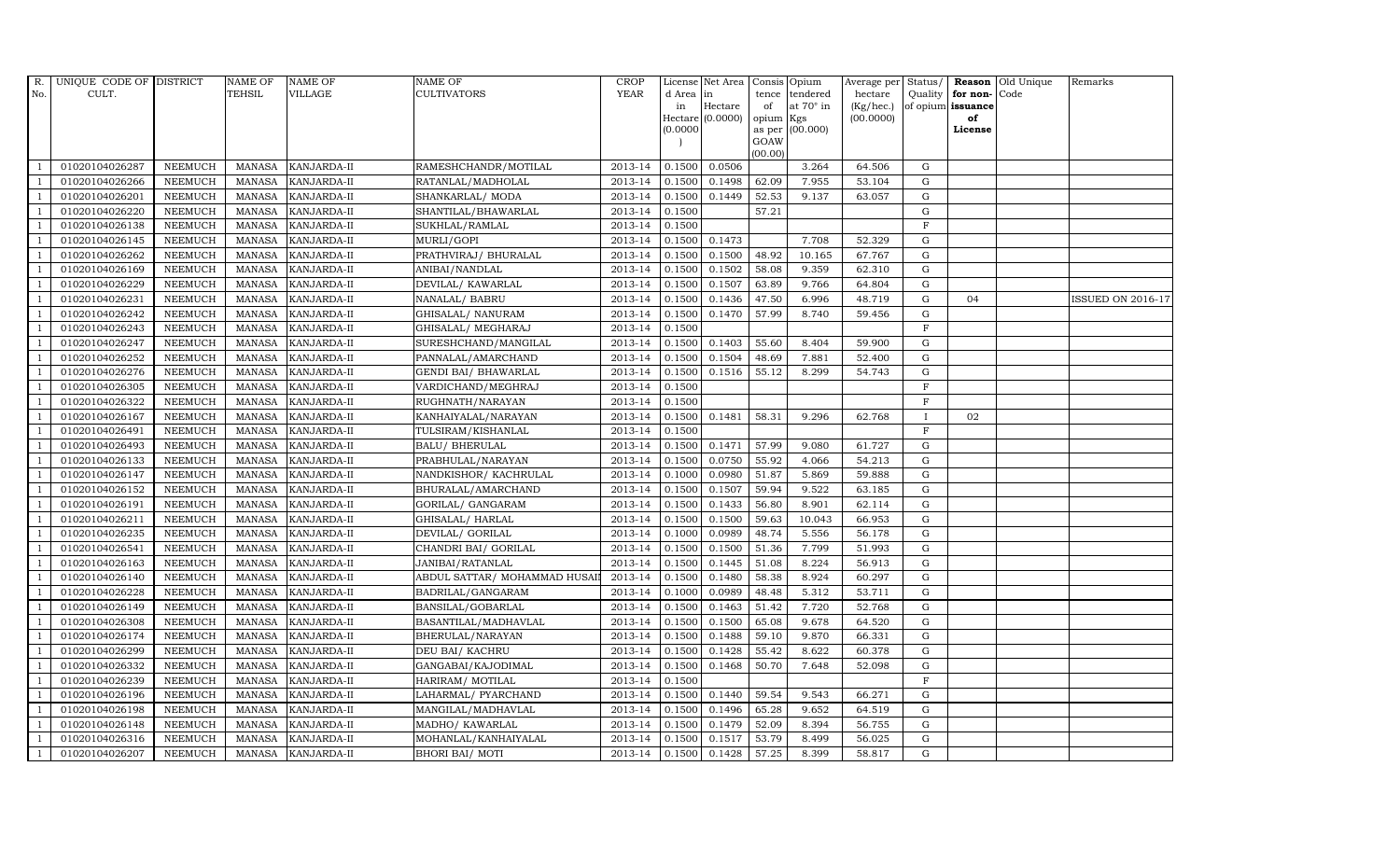| $R_{\cdot}$    | UNIQUE CODE OF DISTRICT |                | <b>NAME OF</b> | <b>NAME OF</b>     | <b>NAME OF</b>               | CROP        |           | License Net Area Consis Opium |           |                  |           |             |                   | Average per Status/ <b>Reason</b> Old Unique | Remarks                  |
|----------------|-------------------------|----------------|----------------|--------------------|------------------------------|-------------|-----------|-------------------------------|-----------|------------------|-----------|-------------|-------------------|----------------------------------------------|--------------------------|
| No.            | CULT.                   |                | <b>TEHSIL</b>  | <b>VILLAGE</b>     | <b>CULTIVATORS</b>           | <b>YEAR</b> | d Area in |                               |           | tence tendered   | hectare   | Quality     | for non-          | Code                                         |                          |
|                |                         |                |                |                    |                              |             | in        | Hectare                       | of        | at $70^\circ$ in | (Kg/hec.) |             | of opium issuance |                                              |                          |
|                |                         |                |                |                    |                              |             |           | Hectare (0.0000)              | opium Kgs |                  | (00.0000) |             | of                |                                              |                          |
|                |                         |                |                |                    |                              |             | (0.0000)  |                               | GOAW      | as per (00.000)  |           |             | License           |                                              |                          |
|                |                         |                |                |                    |                              |             |           |                               | (00.00)   |                  |           |             |                   |                                              |                          |
|                | 01020104026287          | <b>NEEMUCH</b> | MANASA         | <b>KANJARDA-II</b> | RAMESHCHANDR/MOTILAL         | 2013-14     | 0.1500    | 0.0506                        |           | 3.264            | 64.506    | $\mathbf G$ |                   |                                              |                          |
| -1             | 01020104026266          | <b>NEEMUCH</b> | MANASA         | KANJARDA-II        | RATANLAL/MADHOLAL            | 2013-14     | 0.1500    | 0.1498                        | 62.09     | 7.955            | 53.104    | ${\rm G}$   |                   |                                              |                          |
|                | 01020104026201          | <b>NEEMUCH</b> | <b>MANASA</b>  | KANJARDA-II        | SHANKARLAL/ MODA             | 2013-14     | 0.1500    | 0.1449                        | 52.53     | 9.137            | 63.057    | G           |                   |                                              |                          |
|                | 01020104026220          | <b>NEEMUCH</b> | MANASA         | KANJARDA-II        | SHANTILAL/BHAWARLAL          | 2013-14     | 0.1500    |                               | 57.21     |                  |           | $\mathbf G$ |                   |                                              |                          |
| $\overline{1}$ | 01020104026138          | <b>NEEMUCH</b> | <b>MANASA</b>  | KANJARDA-II        | SUKHLAL/RAMLAL               | 2013-14     | 0.1500    |                               |           |                  |           | $\rm F$     |                   |                                              |                          |
| $\overline{1}$ | 01020104026145          | <b>NEEMUCH</b> | <b>MANASA</b>  | KANJARDA-II        | MURLI/GOPI                   | 2013-14     | 0.1500    | 0.1473                        |           | 7.708            | 52.329    | $\mathbf G$ |                   |                                              |                          |
| $\overline{1}$ | 01020104026262          | <b>NEEMUCH</b> | MANASA         | KANJARDA-II        | PRATHVIRAJ / BHURALAL        | 2013-14     | 0.1500    | 0.1500                        | 48.92     | 10.165           | 67.767    | ${\bf G}$   |                   |                                              |                          |
| $\overline{1}$ | 01020104026169          | <b>NEEMUCH</b> | <b>MANASA</b>  | KANJARDA-II        | ANIBAI/NANDLAL               | 2013-14     | 0.1500    | 0.1502                        | 58.08     | 9.359            | 62.310    | $\mathbf G$ |                   |                                              |                          |
|                | 01020104026229          | <b>NEEMUCH</b> | MANASA         | KANJARDA-II        | DEVILAL/ KAWARLAL            | 2013-14     | 0.1500    | 0.1507                        | 63.89     | 9.766            | 64.804    | $\mathbf G$ |                   |                                              |                          |
|                | 01020104026231          | <b>NEEMUCH</b> | <b>MANASA</b>  | KANJARDA-II        | NANALAL/ BABRU               | 2013-14     | 0.1500    | 0.1436                        | 47.50     | 6.996            | 48.719    | ${\rm G}$   | 04                |                                              | <b>ISSUED ON 2016-17</b> |
| $\mathbf{1}$   | 01020104026242          | <b>NEEMUCH</b> | <b>MANASA</b>  | KANJARDA-II        | GHISALAL/ NANURAM            | 2013-14     | 0.1500    | 0.1470                        | 57.99     | 8.740            | 59.456    | ${\rm G}$   |                   |                                              |                          |
| $\overline{1}$ | 01020104026243          | <b>NEEMUCH</b> | MANASA         | KANJARDA-II        | GHISALAL/ MEGHARAJ           | 2013-14     | 0.1500    |                               |           |                  |           | $\mathbf F$ |                   |                                              |                          |
| $\overline{1}$ | 01020104026247          | <b>NEEMUCH</b> | <b>MANASA</b>  | KANJARDA-II        | SURESHCHAND/MANGILAL         | 2013-14     | 0.1500    | 0.1403                        | 55.60     | 8.404            | 59.900    | $\mathbf G$ |                   |                                              |                          |
|                | 01020104026252          | <b>NEEMUCH</b> | MANASA         | KANJARDA-II        | PANNALAL/AMARCHAND           | 2013-14     | 0.1500    | 0.1504                        | 48.69     | 7.881            | 52.400    | G           |                   |                                              |                          |
| $\overline{1}$ | 01020104026276          | <b>NEEMUCH</b> | MANASA         | KANJARDA-II        | GENDI BAI/ BHAWARLAL         | 2013-14     | 0.1500    | 0.1516                        | 55.12     | 8.299            | 54.743    | G           |                   |                                              |                          |
| -1             | 01020104026305          | <b>NEEMUCH</b> | <b>MANASA</b>  | KANJARDA-II        | VARDICHAND/MEGHRAJ           | 2013-14     | 0.1500    |                               |           |                  |           | $\rm F$     |                   |                                              |                          |
| $\overline{1}$ | 01020104026322          | <b>NEEMUCH</b> | MANASA         | KANJARDA-II        | RUGHNATH/NARAYAN             | 2013-14     | 0.1500    |                               |           |                  |           | $\mathbf F$ |                   |                                              |                          |
| $\overline{1}$ | 01020104026167          | <b>NEEMUCH</b> | MANASA         | KANJARDA-II        | KANHAIYALAL/NARAYAN          | 2013-14     | 0.1500    | 0.1481                        | 58.31     | 9.296            | 62.768    | $\mathbf I$ | 02                |                                              |                          |
|                | 01020104026491          | <b>NEEMUCH</b> | MANASA         | KANJARDA-II        | TULSIRAM/KISHANLAL           | 2013-14     | 0.1500    |                               |           |                  |           | $\mathbf F$ |                   |                                              |                          |
|                | 01020104026493          | <b>NEEMUCH</b> | <b>MANASA</b>  | KANJARDA-II        | <b>BALU/ BHERULAL</b>        | 2013-14     | 0.1500    | 0.1471                        | 57.99     | 9.080            | 61.727    | $\mathbf G$ |                   |                                              |                          |
| -1             | 01020104026133          | <b>NEEMUCH</b> | <b>MANASA</b>  | KANJARDA-II        | PRABHULAL/NARAYAN            | 2013-14     | 0.1500    | 0.0750                        | 55.92     | 4.066            | 54.213    | G           |                   |                                              |                          |
| $\overline{1}$ | 01020104026147          | <b>NEEMUCH</b> | MANASA         | KANJARDA-II        | NANDKISHOR/KACHRULAL         | 2013-14     | 0.1000    | 0.0980                        | 51.87     | 5.869            | 59.888    | ${\rm G}$   |                   |                                              |                          |
| $\overline{1}$ | 01020104026152          | <b>NEEMUCH</b> | MANASA         | <b>KANJARDA-II</b> | BHURALAL/AMARCHAND           | 2013-14     | 0.1500    | 0.1507                        | 59.94     | 9.522            | 63.185    | G           |                   |                                              |                          |
|                | 01020104026191          | <b>NEEMUCH</b> | <b>MANASA</b>  | KANJARDA-II        | GORILAL/ GANGARAM            | 2013-14     | 0.1500    | 0.1433                        | 56.80     | 8.901            | 62.114    | $\mathbf G$ |                   |                                              |                          |
|                | 01020104026211          | <b>NEEMUCH</b> | <b>MANASA</b>  | KANJARDA-II        | GHISALAL/ HARLAL             | 2013-14     | 0.1500    | 0.1500                        | 59.63     | 10.043           | 66.953    | ${\rm G}$   |                   |                                              |                          |
| -1             | 01020104026235          | <b>NEEMUCH</b> | <b>MANASA</b>  | KANJARDA-II        | DEVILAL/ GORILAL             | 2013-14     | 0.1000    | 0.0989                        | 48.74     | 5.556            | 56.178    | G           |                   |                                              |                          |
| -1             | 01020104026541          | <b>NEEMUCH</b> | <b>MANASA</b>  | KANJARDA-II        | CHANDRI BAI / GORILAL        | 2013-14     | 0.1500    | 0.1500                        | 51.36     | 7.799            | 51.993    | ${\rm G}$   |                   |                                              |                          |
| $\overline{1}$ | 01020104026163          | <b>NEEMUCH</b> | MANASA         | <b>KANJARDA-II</b> | JANIBAI/RATANLAL             | 2013-14     | 0.1500    | 0.1445                        | 51.08     | 8.224            | 56.913    | G           |                   |                                              |                          |
| $\overline{1}$ | 01020104026140          | <b>NEEMUCH</b> | MANASA         | KANJARDA-II        | ABDUL SATTAR/ MOHAMMAD HUSAI | 2013-14     | 0.1500    | 0.1480                        | 58.38     | 8.924            | 60.297    | $\mathbf G$ |                   |                                              |                          |
|                | 01020104026228          | <b>NEEMUCH</b> | <b>MANASA</b>  | KANJARDA-II        | BADRILAL/GANGARAM            | 2013-14     | 0.1000    | 0.0989                        | 48.48     | 5.312            | 53.711    | G           |                   |                                              |                          |
| $\overline{1}$ | 01020104026149          | <b>NEEMUCH</b> | MANASA         | KANJARDA-II        | BANSILAL/GOBARLAL            | 2013-14     | 0.1500    | 0.1463                        | 51.42     | 7.720            | 52.768    | G           |                   |                                              |                          |
|                | 01020104026308          | <b>NEEMUCH</b> | MANASA         | KANJARDA-II        | BASANTILAL/MADHAVLAL         | 2013-14     | 0.1500    | 0.1500                        | 65.08     | 9.678            | 64.520    | ${\rm G}$   |                   |                                              |                          |
| $\overline{1}$ | 01020104026174          | <b>NEEMUCH</b> | MANASA         | KANJARDA-II        | BHERULAL/NARAYAN             | 2013-14     | 0.1500    | 0.1488                        | 59.10     | 9.870            | 66.331    | $\mathbf G$ |                   |                                              |                          |
| $\overline{1}$ | 01020104026299          | <b>NEEMUCH</b> | <b>MANASA</b>  | <b>KANJARDA-II</b> | DEU BAI/ KACHRU              | 2013-14     | 0.1500    | 0.1428                        | 55.42     | 8.622            | 60.378    | $\mathbf G$ |                   |                                              |                          |
|                | 01020104026332          | <b>NEEMUCH</b> | <b>MANASA</b>  | KANJARDA-II        | GANGABAI/KAJODIMAL           | 2013-14     | 0.1500    | 0.1468                        | 50.70     | 7.648            | 52.098    | $\mathbf G$ |                   |                                              |                          |
| $\overline{1}$ | 01020104026239          | <b>NEEMUCH</b> | <b>MANASA</b>  | KANJARDA-II        | HARIRAM/ MOTILAL             | 2013-14     | 0.1500    |                               |           |                  |           | $\mathbf F$ |                   |                                              |                          |
| $\overline{1}$ | 01020104026196          | <b>NEEMUCH</b> | <b>MANASA</b>  | KANJARDA-II        | LAHARMAL/ PYARCHAND          | 2013-14     | 0.1500    | 0.1440                        | 59.54     | 9.543            | 66.271    | G           |                   |                                              |                          |
| 1              | 01020104026198          | <b>NEEMUCH</b> | MANASA         | KANJARDA-II        | MANGILAL/MADHAVLAL           | 2013-14     | 0.1500    | 0.1496                        | 65.28     | 9.652            | 64.519    | $\mathbf G$ |                   |                                              |                          |
| 1              | 01020104026148          | <b>NEEMUCH</b> | <b>MANASA</b>  | KANJARDA-II        | MADHO/ KAWARLAL              | 2013-14     | 0.1500    | 0.1479                        | 52.09     | 8.394            | 56.755    | G           |                   |                                              |                          |
|                | 01020104026316          | <b>NEEMUCH</b> | <b>MANASA</b>  | KANJARDA-II        | MOHANLAL/KANHAIYALAL         | 2013-14     | 0.1500    | 0.1517                        | 53.79     | 8.499            | 56.025    | $\mathbf G$ |                   |                                              |                          |
| $\mathbf{1}$   | 01020104026207          | <b>NEEMUCH</b> |                | MANASA KANJARDA-II | <b>BHORI BAI/ MOTI</b>       | 2013-14     | 0.1500    | 0.1428                        | 57.25     | 8.399            | 58.817    | G           |                   |                                              |                          |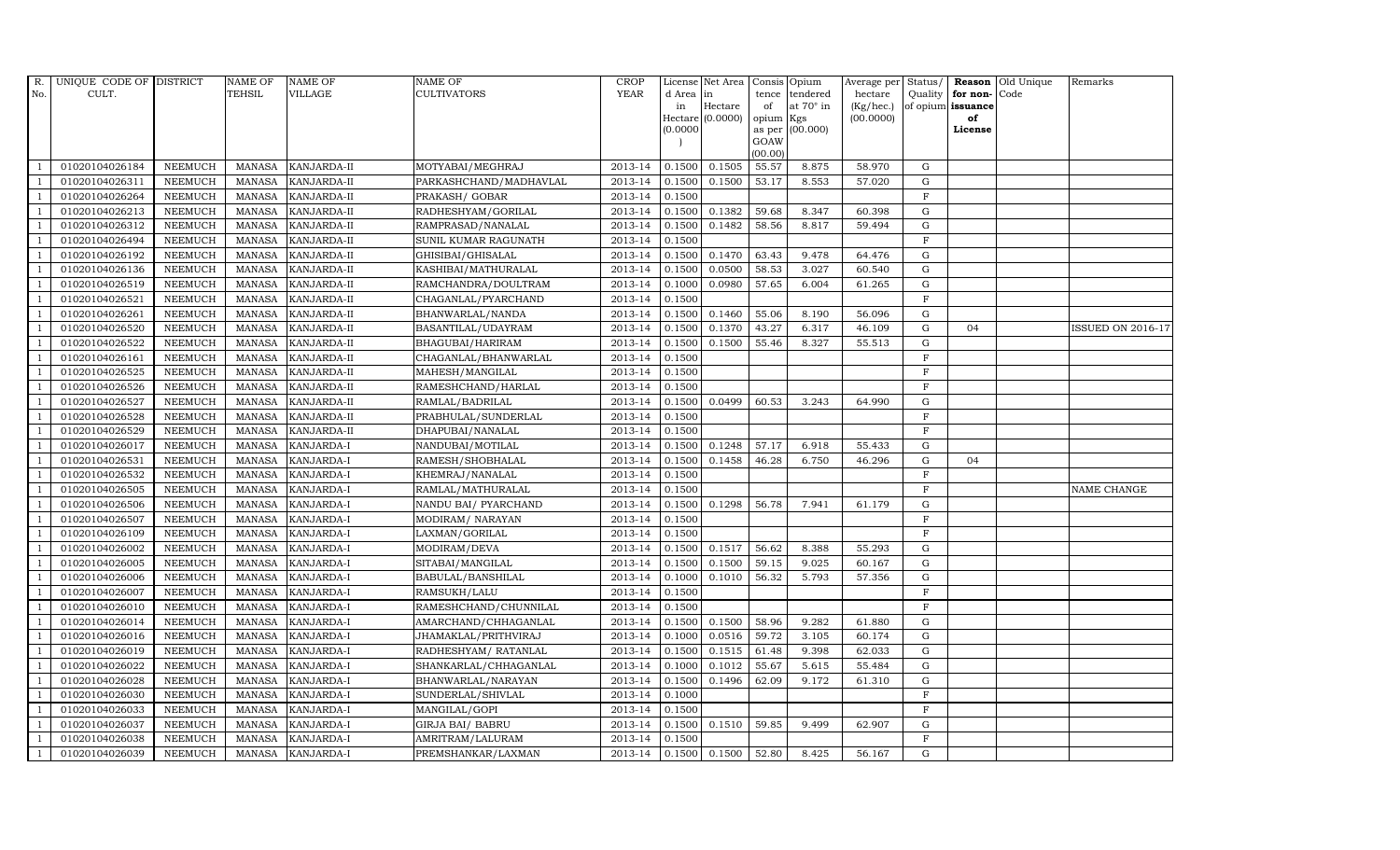| R.             | UNIQUE CODE OF DISTRICT |                | <b>NAME OF</b> | <b>NAME OF</b>     | <b>NAME OF</b>          | CROP        |           | License Net Area Consis Opium |           |                  | Average per Status/ |             |                   | <b>Reason</b> Old Unique | Remarks                  |
|----------------|-------------------------|----------------|----------------|--------------------|-------------------------|-------------|-----------|-------------------------------|-----------|------------------|---------------------|-------------|-------------------|--------------------------|--------------------------|
| No.            | CULT.                   |                | <b>TEHSIL</b>  | <b>VILLAGE</b>     | <b>CULTIVATORS</b>      | <b>YEAR</b> | d Area in |                               |           | tence tendered   | hectare             | Quality     | for non-          | Code                     |                          |
|                |                         |                |                |                    |                         |             | in        | Hectare                       | of        | at $70^\circ$ in | (Kg/hec.)           |             | of opium issuance |                          |                          |
|                |                         |                |                |                    |                         |             |           | Hectare (0.0000)              | opium Kgs |                  | (00.0000)           |             | of                |                          |                          |
|                |                         |                |                |                    |                         |             | (0.0000)  |                               | GOAW      | as per (00.000)  |                     |             | License           |                          |                          |
|                |                         |                |                |                    |                         |             |           |                               | (00.00)   |                  |                     |             |                   |                          |                          |
|                | 01020104026184          | <b>NEEMUCH</b> | MANASA         | <b>KANJARDA-II</b> | MOTYABAI/MEGHRAJ        | 2013-14     | 0.1500    | 0.1505                        | 55.57     | 8.875            | 58.970              | ${\rm G}$   |                   |                          |                          |
| -1             | 01020104026311          | <b>NEEMUCH</b> | MANASA         | <b>KANJARDA-II</b> | PARKASHCHAND/MADHAVLAL  | 2013-14     | 0.1500    | 0.1500                        | 53.17     | 8.553            | 57.020              | $\mathbf G$ |                   |                          |                          |
|                | 01020104026264          | <b>NEEMUCH</b> | <b>MANASA</b>  | KANJARDA-II        | PRAKASH/ GOBAR          | 2013-14     | 0.1500    |                               |           |                  |                     | $\mathbf F$ |                   |                          |                          |
|                | 01020104026213          | <b>NEEMUCH</b> | MANASA         | KANJARDA-II        | RADHESHYAM/GORILAL      | 2013-14     | 0.1500    | 0.1382                        | 59.68     | 8.347            | 60.398              | $\mathbf G$ |                   |                          |                          |
| $\overline{1}$ | 01020104026312          | <b>NEEMUCH</b> | <b>MANASA</b>  | KANJARDA-II        | RAMPRASAD/NANALAL       | 2013-14     | 0.1500    | 0.1482                        | 58.56     | 8.817            | 59.494              | ${\rm G}$   |                   |                          |                          |
| $\overline{1}$ | 01020104026494          | <b>NEEMUCH</b> | <b>MANASA</b>  | KANJARDA-II        | SUNIL KUMAR RAGUNATH    | 2013-14     | 0.1500    |                               |           |                  |                     | $\mathbf F$ |                   |                          |                          |
| $\overline{1}$ | 01020104026192          | <b>NEEMUCH</b> | <b>MANASA</b>  | KANJARDA-II        | GHISIBAI/GHISALAL       | 2013-14     | 0.1500    | 0.1470                        | 63.43     | 9.478            | 64.476              | $\mathbf G$ |                   |                          |                          |
| $\overline{1}$ | 01020104026136          | <b>NEEMUCH</b> | <b>MANASA</b>  | KANJARDA-II        | KASHIBAI/MATHURALAL     | 2013-14     | 0.1500    | 0.0500                        | 58.53     | 3.027            | 60.540              | $\mathbf G$ |                   |                          |                          |
|                | 01020104026519          | <b>NEEMUCH</b> | <b>MANASA</b>  | KANJARDA-II        | RAMCHANDRA/DOULTRAM     | 2013-14     | 0.1000    | 0.0980                        | 57.65     | 6.004            | 61.265              | $\mathbf G$ |                   |                          |                          |
|                | 01020104026521          | <b>NEEMUCH</b> | <b>MANASA</b>  | KANJARDA-II        | CHAGANLAL/PYARCHAND     | 2013-14     | 0.1500    |                               |           |                  |                     | $\mathbf F$ |                   |                          |                          |
| $\overline{1}$ | 01020104026261          | <b>NEEMUCH</b> | <b>MANASA</b>  | KANJARDA-II        | BHANWARLAL/NANDA        | 2013-14     | 0.1500    | 0.1460                        | 55.06     | 8.190            | 56.096              | G           |                   |                          |                          |
| $\overline{1}$ | 01020104026520          | <b>NEEMUCH</b> | MANASA         | KANJARDA-II        | BASANTILAL/UDAYRAM      | 2013-14     | 0.1500    | 0.1370                        | 43.27     | 6.317            | 46.109              | ${\rm G}$   | 04                |                          | <b>ISSUED ON 2016-17</b> |
| $\overline{1}$ | 01020104026522          | <b>NEEMUCH</b> | <b>MANASA</b>  | KANJARDA-II        | BHAGUBAI/HARIRAM        | 2013-14     | 0.1500    | 0.1500                        | 55.46     | 8.327            | 55.513              | $\mathbf G$ |                   |                          |                          |
|                | 01020104026161          | <b>NEEMUCH</b> | <b>MANASA</b>  | KANJARDA-II        | CHAGANLAL/BHANWARLAL    | 2013-14     | 0.1500    |                               |           |                  |                     | F           |                   |                          |                          |
| $\overline{1}$ | 01020104026525          | <b>NEEMUCH</b> | <b>MANASA</b>  | KANJARDA-II        | MAHESH/MANGILAL         | 2013-14     | 0.1500    |                               |           |                  |                     | $_{\rm F}$  |                   |                          |                          |
| $\overline{1}$ | 01020104026526          | <b>NEEMUCH</b> | <b>MANASA</b>  | KANJARDA-II        | RAMESHCHAND/HARLAL      | 2013-14     | 0.1500    |                               |           |                  |                     | $\rm F$     |                   |                          |                          |
|                | 01020104026527          | <b>NEEMUCH</b> | MANASA         | KANJARDA-II        | RAMLAL/BADRILAL         | 2013-14     | 0.1500    | 0.0499                        | 60.53     | 3.243            | 64.990              | $\mathbf G$ |                   |                          |                          |
| $\overline{1}$ | 01020104026528          | <b>NEEMUCH</b> | MANASA         | KANJARDA-II        | PRABHULAL/SUNDERLAL     | 2013-14     | 0.1500    |                               |           |                  |                     | $\mathbf F$ |                   |                          |                          |
|                | 01020104026529          | <b>NEEMUCH</b> | <b>MANASA</b>  | KANJARDA-II        | DHAPUBAI/NANALAL        | 2013-14     | 0.1500    |                               |           |                  |                     | F           |                   |                          |                          |
|                | 01020104026017          | <b>NEEMUCH</b> | <b>MANASA</b>  | KANJARDA-I         | NANDUBAI/MOTILAL        | 2013-14     | 0.1500    | 0.1248                        | 57.17     | 6.918            | 55.433              | $\mathbf G$ |                   |                          |                          |
| -1             | 01020104026531          | <b>NEEMUCH</b> | <b>MANASA</b>  | KANJARDA-I         | RAMESH/SHOBHALAL        | 2013-14     | 0.1500    | 0.1458                        | 46.28     | 6.750            | 46.296              | ${\rm G}$   | 04                |                          |                          |
|                | 01020104026532          | NEEMUCH        | <b>MANASA</b>  | KANJARDA-I         | KHEMRAJ/NANALAL         | 2013-14     | 0.1500    |                               |           |                  |                     | $\mathbf F$ |                   |                          |                          |
| $\overline{1}$ | 01020104026505          | <b>NEEMUCH</b> | MANASA         | KANJARDA-I         | RAMLAL/MATHURALAL       | 2013-14     | 0.1500    |                               |           |                  |                     | $\rm F$     |                   |                          | NAME CHANGE              |
|                | 01020104026506          | <b>NEEMUCH</b> | <b>MANASA</b>  | KANJARDA-I         | NANDU BAI/ PYARCHAND    | 2013-14     | 0.1500    | 0.1298                        | 56.78     | 7.941            | 61.179              | $\mathbf G$ |                   |                          |                          |
|                | 01020104026507          | <b>NEEMUCH</b> | <b>MANASA</b>  | KANJARDA-I         | MODIRAM/ NARAYAN        | 2013-14     | 0.1500    |                               |           |                  |                     | $\mathbf F$ |                   |                          |                          |
| - 1            | 01020104026109          | <b>NEEMUCH</b> | <b>MANASA</b>  | KANJARDA-I         | LAXMAN/GORILAL          | 2013-14     | 0.1500    |                               |           |                  |                     | $_{\rm F}$  |                   |                          |                          |
| $\overline{1}$ | 01020104026002          | <b>NEEMUCH</b> | <b>MANASA</b>  | KANJARDA-I         | MODIRAM/DEVA            | 2013-14     | 0.1500    | 0.1517                        | 56.62     | 8.388            | 55.293              | ${\rm G}$   |                   |                          |                          |
| $\overline{1}$ | 01020104026005          | <b>NEEMUCH</b> | MANASA         | KANJARDA-I         | SITABAI/MANGILAL        | 2013-14     | 0.1500    | 0.1500                        | 59.15     | 9.025            | 60.167              | $\mathbf G$ |                   |                          |                          |
| $\overline{1}$ | 01020104026006          | <b>NEEMUCH</b> | <b>MANASA</b>  | KANJARDA-I         | BABULAL/BANSHILAL       | 2013-14     | 0.1000    | 0.1010                        | 56.32     | 5.793            | 57.356              | $\mathbf G$ |                   |                          |                          |
|                | 01020104026007          | <b>NEEMUCH</b> | <b>MANASA</b>  | KANJARDA-I         | RAMSUKH/LALU            | 2013-14     | 0.1500    |                               |           |                  |                     | $\mathbf F$ |                   |                          |                          |
| $\overline{1}$ | 01020104026010          | <b>NEEMUCH</b> | <b>MANASA</b>  | <b>KANJARDA-I</b>  | RAMESHCHAND/CHUNNILAL   | 2013-14     | 0.1500    |                               |           |                  |                     | $\rm F$     |                   |                          |                          |
|                | 01020104026014          | <b>NEEMUCH</b> | <b>MANASA</b>  | KANJARDA-I         | AMARCHAND/CHHAGANLAL    | 2013-14     | 0.1500    | 0.1500                        | 58.96     | 9.282            | 61.880              | ${\rm G}$   |                   |                          |                          |
| $\overline{1}$ | 01020104026016          | <b>NEEMUCH</b> | MANASA         | KANJARDA-I         | JHAMAKLAL/PRITHVIRAJ    | 2013-14     | 0.1000    | 0.0516                        | 59.72     | 3.105            | 60.174              | $\mathbf G$ |                   |                          |                          |
| $\overline{1}$ | 01020104026019          | <b>NEEMUCH</b> | <b>MANASA</b>  | KANJARDA-I         | RADHESHYAM / RATANLAL   | 2013-14     | 0.1500    | 0.1515                        | 61.48     | 9.398            | 62.033              | $\mathbf G$ |                   |                          |                          |
|                | 01020104026022          | <b>NEEMUCH</b> | <b>MANASA</b>  | KANJARDA-I         | SHANKARLAL/CHHAGANLAL   | 2013-14     | 0.1000    | 0.1012                        | 55.67     | 5.615            | 55.484              | $\mathbf G$ |                   |                          |                          |
| $\overline{1}$ | 01020104026028          | <b>NEEMUCH</b> | <b>MANASA</b>  | KANJARDA-I         | BHANWARLAL/NARAYAN      | 2013-14     | 0.1500    | 0.1496                        | 62.09     | 9.172            | 61.310              | ${\rm G}$   |                   |                          |                          |
| $\overline{1}$ | 01020104026030          | <b>NEEMUCH</b> | <b>MANASA</b>  | KANJARDA-I         | SUNDERLAL/SHIVLAL       | 2013-14     | 0.1000    |                               |           |                  |                     | $\mathbf F$ |                   |                          |                          |
| $\overline{1}$ | 01020104026033          | <b>NEEMUCH</b> | <b>MANASA</b>  | KANJARDA-I         | MANGILAL/GOPI           | 2013-14     | 0.1500    |                               |           |                  |                     | $\mathbf F$ |                   |                          |                          |
| $\overline{1}$ | 01020104026037          | <b>NEEMUCH</b> | <b>MANASA</b>  | KANJARDA-I         | <b>GIRJA BAI/ BABRU</b> | 2013-14     | 0.1500    | 0.1510                        | 59.85     | 9.499            | 62.907              | $\mathbf G$ |                   |                          |                          |
|                | 01020104026038          | <b>NEEMUCH</b> | <b>MANASA</b>  | KANJARDA-I         | AMRITRAM/LALURAM        | 2013-14     | 0.1500    |                               |           |                  |                     | $\mathbf F$ |                   |                          |                          |
| $\mathbf{1}$   | 01020104026039          | <b>NEEMUCH</b> |                | MANASA KANJARDA-I  | PREMSHANKAR/LAXMAN      | 2013-14     |           | $0.1500$ 0.1500               | 52.80     | 8.425            | 56.167              | G           |                   |                          |                          |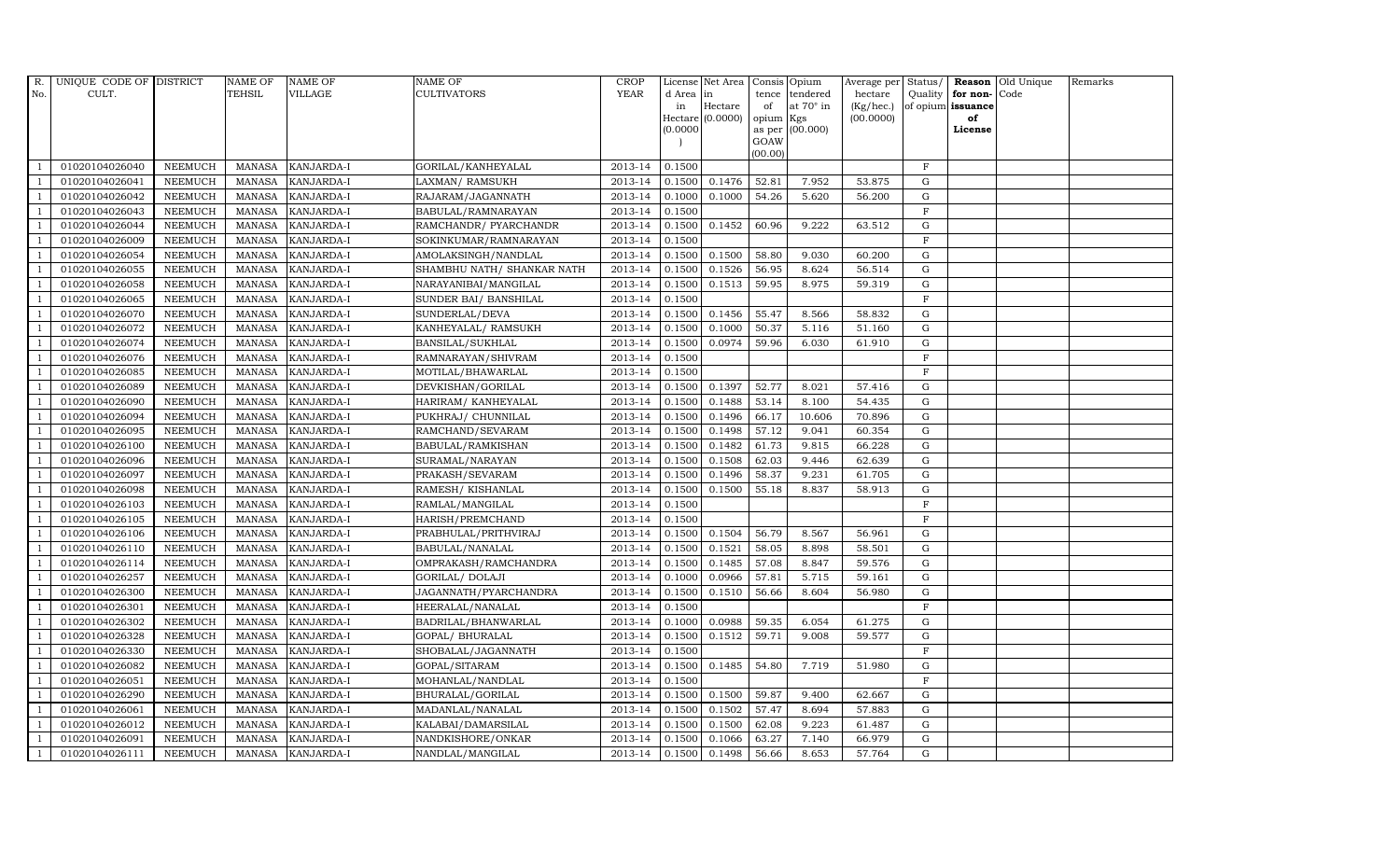| R.             | UNIQUE CODE OF DISTRICT |                | <b>NAME OF</b> | <b>NAME OF</b>    | <b>NAME OF</b>             | <b>CROP</b> |           | License Net Area   |           | Consis Opium     | Average per Status/ |              |                      | <b>Reason</b> Old Unique | Remarks |
|----------------|-------------------------|----------------|----------------|-------------------|----------------------------|-------------|-----------|--------------------|-----------|------------------|---------------------|--------------|----------------------|--------------------------|---------|
| No.            | CULT.                   |                | <b>TEHSIL</b>  | VILLAGE           | <b>CULTIVATORS</b>         | <b>YEAR</b> | d Area in |                    | tence     | tendered         | hectare             |              | Quality $ $ for non- | Code                     |         |
|                |                         |                |                |                   |                            |             | in        | Hectare            | of        | at $70^\circ$ in | (Kg/hec.)           |              | of opium issuance    |                          |         |
|                |                         |                |                |                   |                            |             |           | Hectare $(0.0000)$ | opium Kgs |                  | (00.0000)           |              | of                   |                          |         |
|                |                         |                |                |                   |                            |             | (0.0000)  |                    | GOAW      | as per (00.000)  |                     |              | License              |                          |         |
|                |                         |                |                |                   |                            |             |           |                    | (00.00)   |                  |                     |              |                      |                          |         |
|                | 01020104026040          | <b>NEEMUCH</b> | MANASA         | <b>KANJARDA-I</b> | GORILAL/KANHEYALAL         | 2013-14     | 0.1500    |                    |           |                  |                     | $\mathbf F$  |                      |                          |         |
| -1             | 01020104026041          | <b>NEEMUCH</b> | MANASA         | KANJARDA-I        | LAXMAN/ RAMSUKH            | 2013-14     | 0.1500    | 0.1476             | 52.81     | 7.952            | 53.875              | $\mathbf G$  |                      |                          |         |
|                | 01020104026042          | <b>NEEMUCH</b> | <b>MANASA</b>  | KANJARDA-I        | RAJARAM/JAGANNATH          | 2013-14     | 0.1000    | 0.1000             | 54.26     | 5.620            | 56.200              | G            |                      |                          |         |
|                | 01020104026043          | <b>NEEMUCH</b> | MANASA         | KANJARDA-I        | BABULAL/RAMNARAYAN         | 2013-14     | 0.1500    |                    |           |                  |                     | $\mathbf F$  |                      |                          |         |
| $\overline{1}$ | 01020104026044          | <b>NEEMUCH</b> | <b>MANASA</b>  | KANJARDA-I        | RAMCHANDR/ PYARCHANDR      | 2013-14     | 0.1500    | 0.1452             | 60.96     | 9.222            | 63.512              | G            |                      |                          |         |
| $\overline{1}$ | 01020104026009          | <b>NEEMUCH</b> | MANASA         | KANJARDA-I        | SOKINKUMAR/RAMNARAYAN      | 2013-14     | 0.1500    |                    |           |                  |                     | F            |                      |                          |         |
| $\overline{1}$ | 01020104026054          | <b>NEEMUCH</b> | MANASA         | KANJARDA-I        | AMOLAKSINGH/NANDLAL        | 2013-14     | 0.1500    | 0.1500             | 58.80     | 9.030            | 60.200              | ${\rm G}$    |                      |                          |         |
| $\overline{1}$ | 01020104026055          | <b>NEEMUCH</b> | <b>MANASA</b>  | KANJARDA-I        | SHAMBHU NATH/ SHANKAR NATH | 2013-14     | 0.1500    | 0.1526             | 56.95     | 8.624            | 56.514              | ${\rm G}$    |                      |                          |         |
|                | 01020104026058          | <b>NEEMUCH</b> | MANASA         | <b>KANJARDA-I</b> | NARAYANIBAI/MANGILAL       | 2013-14     | 0.1500    | 0.1513             | 59.95     | 8.975            | 59.319              | $\mathbf G$  |                      |                          |         |
|                | 01020104026065          | <b>NEEMUCH</b> | <b>MANASA</b>  | KANJARDA-I        | SUNDER BAI/ BANSHILAL      | 2013-14     | 0.1500    |                    |           |                  |                     | $\mathbf F$  |                      |                          |         |
| $\overline{1}$ | 01020104026070          | <b>NEEMUCH</b> | <b>MANASA</b>  | KANJARDA-I        | SUNDERLAL/DEVA             | 2013-14     | 0.1500    | 0.1456             | 55.47     | 8.566            | 58.832              | G            |                      |                          |         |
| $\overline{1}$ | 01020104026072          | <b>NEEMUCH</b> | MANASA         | <b>KANJARDA-I</b> | KANHEYALAL/ RAMSUKH        | 2013-14     | 0.1500    | 0.1000             | 50.37     | 5.116            | 51.160              | G            |                      |                          |         |
| $\overline{1}$ | 01020104026074          | <b>NEEMUCH</b> | <b>MANASA</b>  | KANJARDA-I        | BANSILAL/SUKHLAL           | 2013-14     | 0.1500    | 0.0974             | 59.96     | 6.030            | 61.910              | $\mathbf G$  |                      |                          |         |
|                | 01020104026076          | <b>NEEMUCH</b> | MANASA         | KANJARDA-I        | RAMNARAYAN/SHIVRAM         | 2013-14     | 0.1500    |                    |           |                  |                     | $\mathbf{F}$ |                      |                          |         |
| $\overline{1}$ | 01020104026085          | <b>NEEMUCH</b> | MANASA         | KANJARDA-I        | MOTILAL/BHAWARLAL          | 2013-14     | 0.1500    |                    |           |                  |                     | $_{\rm F}$   |                      |                          |         |
| $\overline{1}$ | 01020104026089          | <b>NEEMUCH</b> | MANASA         | KANJARDA-I        | DEVKISHAN/GORILAL          | 2013-14     | 0.1500    | 0.1397             | 52.77     | 8.021            | 57.416              | G            |                      |                          |         |
|                | 01020104026090          | <b>NEEMUCH</b> | MANASA         | KANJARDA-I        | HARIRAM/ KANHEYALAL        | 2013-14     | 0.1500    | 0.1488             | 53.14     | 8.100            | 54.435              | G            |                      |                          |         |
| $\overline{1}$ | 01020104026094          | <b>NEEMUCH</b> | MANASA         | <b>KANJARDA-I</b> | PUKHRAJ/ CHUNNILAL         | 2013-14     | 0.1500    | 0.1496             | 66.17     | 10.606           | 70.896              | G            |                      |                          |         |
|                | 01020104026095          | <b>NEEMUCH</b> | MANASA         | KANJARDA-I        | RAMCHAND/SEVARAM           | 2013-14     | 0.1500    | 0.1498             | 57.12     | 9.041            | 60.354              | G            |                      |                          |         |
|                | 01020104026100          | <b>NEEMUCH</b> | <b>MANASA</b>  | KANJARDA-I        | BABULAL/RAMKISHAN          | 2013-14     | 0.1500    | 0.1482             | 61.73     | 9.815            | 66.228              | G            |                      |                          |         |
| -1             | 01020104026096          | <b>NEEMUCH</b> | <b>MANASA</b>  | KANJARDA-I        | SURAMAL/NARAYAN            | 2013-14     | 0.1500    | 0.1508             | 62.03     | 9.446            | 62.639              | G            |                      |                          |         |
|                | 01020104026097          | <b>NEEMUCH</b> | MANASA         | KANJARDA-I        | PRAKASH/SEVARAM            | 2013-14     | 0.1500    | 0.1496             | 58.37     | 9.231            | 61.705              | G            |                      |                          |         |
| $\overline{1}$ | 01020104026098          | <b>NEEMUCH</b> | MANASA         | <b>KANJARDA-I</b> | RAMESH/KISHANLAL           | 2013-14     | 0.1500    | 0.1500             | 55.18     | 8.837            | 58.913              | G            |                      |                          |         |
|                | 01020104026103          | <b>NEEMUCH</b> | <b>MANASA</b>  | KANJARDA-I        | RAMLAL/MANGILAL            | 2013-14     | 0.1500    |                    |           |                  |                     | $\mathbf F$  |                      |                          |         |
|                | 01020104026105          | <b>NEEMUCH</b> | <b>MANASA</b>  | KANJARDA-I        | HARISH/PREMCHAND           | 2013-14     | 0.1500    |                    |           |                  |                     | $\mathbf{F}$ |                      |                          |         |
| -1             | 01020104026106          | <b>NEEMUCH</b> | <b>MANASA</b>  | KANJARDA-I        | PRABHULAL/PRITHVIRAJ       | 2013-14     | 0.1500    | 0.1504             | 56.79     | 8.567            | 56.961              | G            |                      |                          |         |
| $\overline{1}$ | 01020104026110          | <b>NEEMUCH</b> | <b>MANASA</b>  | KANJARDA-I        | BABULAL/NANALAL            | 2013-14     | 0.1500    | 0.1521             | 58.05     | 8.898            | 58.501              | G            |                      |                          |         |
| $\overline{1}$ | 01020104026114          | <b>NEEMUCH</b> | MANASA         | <b>KANJARDA-I</b> | OMPRAKASH/RAMCHANDRA       | 2013-14     | 0.1500    | 0.1485             | 57.08     | 8.847            | 59.576              | G            |                      |                          |         |
| $\overline{1}$ | 01020104026257          | <b>NEEMUCH</b> | MANASA         | KANJARDA-I        | <b>GORILAL/ DOLAJI</b>     | 2013-14     | 0.1000    | 0.0966             | 57.81     | 5.715            | 59.161              | $\mathbf G$  |                      |                          |         |
|                | 01020104026300          | <b>NEEMUCH</b> | MANASA         | KANJARDA-I        | JAGANNATH/PYARCHANDRA      | 2013-14     | 0.1500    | 0.1510             | 56.66     | 8.604            | 56.980              | G            |                      |                          |         |
| $\overline{1}$ | 01020104026301          | <b>NEEMUCH</b> | MANASA         | KANJARDA-I        | HEERALAL/NANALAL           | 2013-14     | 0.1500    |                    |           |                  |                     | $\mathbf F$  |                      |                          |         |
|                | 01020104026302          | <b>NEEMUCH</b> | MANASA         | KANJARDA-I        | BADRILAL/BHANWARLAL        | 2013-14     | 0.1000    | 0.0988             | 59.35     | 6.054            | 61.275              | G            |                      |                          |         |
| $\overline{1}$ | 01020104026328          | <b>NEEMUCH</b> | MANASA         | KANJARDA-I        | GOPAL/ BHURALAL            | 2013-14     | 0.1500    | 0.1512             | 59.71     | 9.008            | 59.577              | G            |                      |                          |         |
| $\overline{1}$ | 01020104026330          | <b>NEEMUCH</b> | <b>MANASA</b>  | KANJARDA-I        | SHOBALAL/JAGANNATH         | 2013-14     | 0.1500    |                    |           |                  |                     | $\rm F$      |                      |                          |         |
|                | 01020104026082          | <b>NEEMUCH</b> | <b>MANASA</b>  | KANJARDA-I        | GOPAL/SITARAM              | 2013-14     | 0.1500    | 0.1485             | 54.80     | 7.719            | 51.980              | $\mathbf G$  |                      |                          |         |
| $\overline{1}$ | 01020104026051          | <b>NEEMUCH</b> | MANASA         | KANJARDA-I        | MOHANLAL/NANDLAL           | 2013-14     | 0.1500    |                    |           |                  |                     | $\mathbf F$  |                      |                          |         |
|                | 01020104026290          | <b>NEEMUCH</b> | <b>MANASA</b>  | KANJARDA-I        | BHURALAL/GORILAL           | 2013-14     | 0.1500    | 0.1500             | 59.87     | 9.400            | 62.667              | G            |                      |                          |         |
| $\overline{1}$ | 01020104026061          | <b>NEEMUCH</b> | MANASA         | KANJARDA-I        | MADANLAL/NANALAL           | 2013-14     | 0.1500    | 0.1502             | 57.47     | 8.694            | 57.883              | G            |                      |                          |         |
| $\overline{1}$ | 01020104026012          | <b>NEEMUCH</b> | <b>MANASA</b>  | KANJARDA-I        | KALABAI/DAMARSILAL         | 2013-14     | 0.1500    | 0.1500             | 62.08     | 9.223            | 61.487              | G            |                      |                          |         |
|                | 01020104026091          | <b>NEEMUCH</b> | <b>MANASA</b>  | KANJARDA-I        | NANDKISHORE/ONKAR          | 2013-14     | 0.1500    | 0.1066             | 63.27     | 7.140            | 66.979              | $\mathbf G$  |                      |                          |         |
| $\overline{1}$ | 01020104026111          | <b>NEEMUCH</b> |                | MANASA KANJARDA-I | NANDLAL/MANGILAL           | 2013-14     | 0.1500    | 0.1498             | 56.66     | 8.653            | 57.764              | G            |                      |                          |         |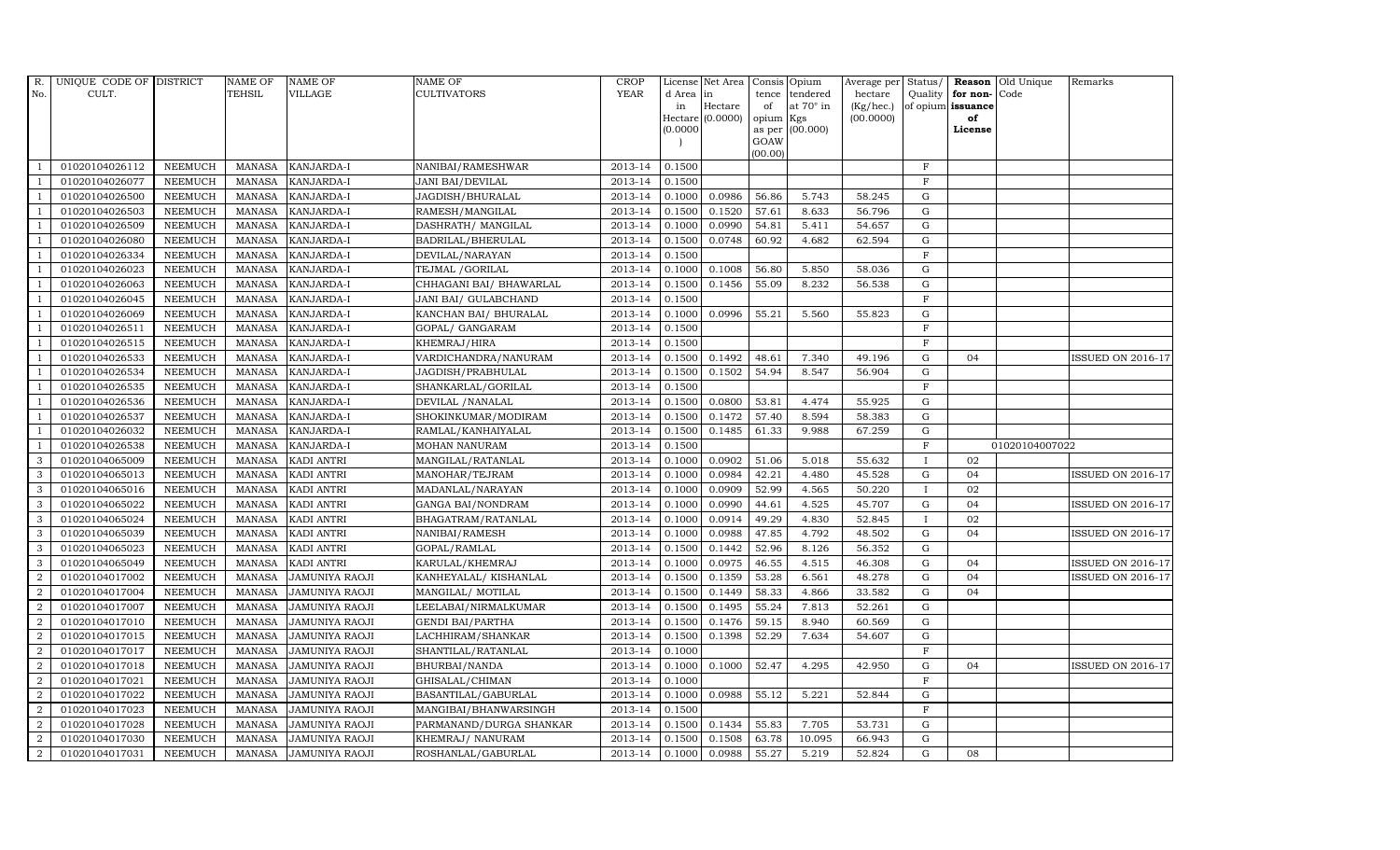| CULT.<br><b>TEHSIL</b><br>VILLAGE<br>CULTIVATORS<br>No.<br>d Area in<br>tence<br>tendered<br>hectare<br>Quality<br>for non-Code<br>at 70° in<br>(Kg/hec.)<br>Hectare<br>of opium issuance<br>of<br>in<br>Hectare (0.0000)<br>(00.0000)<br>opium<br>of<br>Kgs<br>(0.0000)<br>as per (00.000)<br>License<br>GOAW<br>(00.00)<br>$\mathbf{F}$<br>01020104026112<br><b>NEEMUCH</b><br>2013-14<br>0.1500<br><b>MANASA</b><br><b>KANJARDA-I</b><br>NANIBAI/RAMESHWAR<br>$\mathbf F$<br>01020104026077<br><b>NEEMUCH</b><br>2013-14<br>0.1500<br><b>MANASA</b><br>KANJARDA-I<br><b>JANI BAI/DEVILAL</b><br>$\overline{1}$<br>01020104026500<br><b>MANASA</b><br><b>KANJARDA-I</b><br>JAGDISH/BHURALAL<br>2013-14<br>0.0986<br>56.86<br>5.743<br>58.245<br><b>NEEMUCH</b><br>0.1000<br>G<br><b>NEEMUCH</b><br><b>KANJARDA-I</b><br>2013-14<br>0.1500<br>0.1520<br>57.61<br>8.633<br>56.796<br>G<br>01020104026503<br><b>MANASA</b><br>RAMESH/MANGILAL<br>01020104026509<br><b>NEEMUCH</b><br><b>MANASA</b><br>KANJARDA-I<br>DASHRATH / MANGILAL<br>2013-14<br>0.1000<br>0.0990<br>54.81<br>5.411<br>54.657<br>${\rm G}$<br>$\overline{1}$<br><b>NEEMUCH</b><br><b>MANASA</b><br>2013-14<br>0.1500<br>0.0748<br>60.92<br>4.682<br>62.594<br>${\rm G}$<br>01020104026080<br>KANJARDA-I<br>BADRILAL/BHERULAL<br>$\overline{1}$<br>01020104026334<br>2013-14<br>0.1500<br>F<br><b>NEEMUCH</b><br><b>MANASA</b><br>KANJARDA-I<br>DEVILAL/NARAYAN<br>$\overline{1}$<br>01020104026023<br><b>NEEMUCH</b><br>2013-14<br>0.1000<br>0.1008<br>56.80<br>5.850<br>58.036<br>$\mathbf G$<br>$\overline{1}$<br><b>MANASA</b><br>KANJARDA-I<br>TEJMAL / GORILAL<br>01020104026063<br><b>NEEMUCH</b><br><b>MANASA</b><br>KANJARDA-I<br>2013-14<br>0.1500<br>0.1456<br>55.09<br>8.232<br>56.538<br>$\mathbf G$<br>CHHAGANI BAI/ BHAWARLAL<br>2013-14<br>$\mathbf F$<br>01020104026045<br><b>NEEMUCH</b><br><b>MANASA</b><br>KANJARDA-I<br>JANI BAI/ GULABCHAND<br>0.1500<br>55.21<br>01020104026069<br><b>NEEMUCH</b><br><b>MANASA</b><br>KANCHAN BAI/ BHURALAL<br>2013-14<br>0.1000<br>0.0996<br>5.560<br>55.823<br>${\rm G}$<br>KANJARDA-I<br>$\overline{1}$<br>F<br>01020104026511<br><b>NEEMUCH</b><br><b>MANASA</b><br>KANJARDA-I<br>2013-14<br>0.1500<br>GOPAL/ GANGARAM<br>$\mathbf F$<br>01020104026515<br><b>NEEMUCH</b><br><b>MANASA</b><br>KANJARDA-I<br>KHEMRAJ/HIRA<br>2013-14<br>0.1500<br>$\overline{1}$<br>01020104026533<br><b>NEEMUCH</b><br><b>MANASA</b><br><b>KANJARDA-I</b><br>VARDICHANDRA/NANURAM<br>2013-14<br>0.1500<br>0.1492<br>48.61<br>7.340<br>49.196<br>$\mathbf G$<br>04<br>01020104026534<br><b>MANASA</b><br>2013-14<br>0.1500<br>0.1502<br>54.94<br>8.547<br>$\mathbf G$<br><b>NEEMUCH</b><br>KANJARDA-I<br>JAGDISH/PRABHULAL<br>56.904<br>$\mathbf F$<br>01020104026535<br><b>NEEMUCH</b><br><b>MANASA</b><br>KANJARDA-I<br>SHANKARLAL/GORILAL<br>2013-14<br>0.1500<br>$\overline{1}$<br>2013-14<br>0.0800<br>53.81<br>01020104026536<br><b>NEEMUCH</b><br><b>MANASA</b><br>KANJARDA-I<br>DEVILAL / NANALAL<br>0.1500<br>4.474<br>55.925<br>G<br>-1<br>01020104026537<br>2013-14<br>0.1500<br>0.1472<br>57.40<br>8.594<br>58.383<br><b>NEEMUCH</b><br><b>MANASA</b><br>KANJARDA-I<br>SHOKINKUMAR/MODIRAM<br>G<br>$\overline{1}$<br>01020104026032<br><b>MANASA</b><br>RAMLAL/KANHAIYALAL<br>2013-14<br>0.1500<br>0.1485<br>61.33<br>9.988<br>67.259<br>$\mathbf G$<br><b>NEEMUCH</b><br>KANJARDA-I<br>$\mathbf F$<br>$\overline{1}$<br>01020104026538<br><b>NEEMUCH</b><br><b>MANASA</b><br>KANJARDA-I<br><b>MOHAN NANURAM</b><br>2013-14<br>0.1500<br>01020104007022<br>0.1000<br>0.0902<br>51.06<br>02<br>3<br>01020104065009<br><b>NEEMUCH</b><br><b>MANASA</b><br>KADI ANTRI<br>MANGILAL/RATANLAL<br>2013-14<br>5.018<br>55.632<br>I<br>01020104065013<br>2013-14<br>0.0984<br>42.21<br>4.480<br>45.528<br>${\rm G}$<br>3<br><b>NEEMUCH</b><br><b>MANASA</b><br>KADI ANTRI<br>MANOHAR/TEJRAM<br>0.1000<br>04<br>0.0909<br>3<br>01020104065016<br><b>NEEMUCH</b><br>2013-14<br>0.1000<br>52.99<br>4.565<br>50.220<br>02<br><b>MANASA</b><br>KADI ANTRI<br>MADANLAL/NARAYAN<br>3<br>01020104065022<br><b>NEEMUCH</b><br><b>MANASA</b><br>KADI ANTRI<br>2013-14<br>0.1000<br>0.0990<br>44.61<br>4.525<br>45.707<br>$\mathbf G$<br>04<br>GANGA BAI/NONDRAM<br>3<br>49.29<br>01020104065024<br><b>NEEMUCH</b><br><b>MANASA</b><br>KADI ANTRI<br>BHAGATRAM/RATANLAL<br>2013-14<br>0.1000<br>0.0914<br>4.830<br>52.845<br>02<br>3<br>KADI ANTRI<br>2013-14<br>0.1000<br>0.0988<br>47.85<br>4.792<br>48.502<br>${\rm G}$<br>04<br>01020104065039<br><b>NEEMUCH</b><br><b>MANASA</b><br>NANIBAI/RAMESH<br>01020104065023<br><b>NEEMUCH</b><br><b>MANASA</b><br><b>KADI ANTRI</b><br>GOPAL/RAMLAL<br>2013-14<br>0.1500<br>0.1442<br>52.96<br>8.126<br>56.352<br>3<br>G<br>$\mathbf{3}$<br>2013-14<br>0.0975<br>46.55<br>01020104065049<br><b>NEEMUCH</b><br>KARULAL/KHEMRAJ<br>0.1000<br>4.515<br>46.308<br>G<br><b>MANASA</b><br><b>KADI ANTRI</b><br>04<br>01020104017002<br>2013-14<br>0.1500<br>0.1359<br>53.28<br>6.561<br>48.278<br>$\mathbf G$<br>04<br>$\overline{2}$<br><b>NEEMUCH</b><br><b>MANASA</b><br>JAMUNIYA RAOJI<br>KANHEYALAL/ KISHANLAL<br>2<br>01020104017004<br><b>NEEMUCH</b><br><b>MANASA</b><br>MANGILAL/ MOTILAL<br>2013-14<br>0.1500<br>0.1449<br>58.33<br>33.582<br>$\mathbf G$<br><b>JAMUNIYA RAOJI</b><br>4.866<br>04<br>55.24<br>$\overline{a}$<br>0.1495<br><b>NEEMUCH</b><br><b>MANASA</b><br>LEELABAI/NIRMALKUMAR<br>2013-14<br>0.1500<br>7.813<br>52.261<br>${\rm G}$<br>01020104017007<br>JAMUNIYA RAOJI<br>$\overline{2}$<br>01020104017010<br><b>NEEMUCH</b><br><b>MANASA</b><br>2013-14<br>0.1500<br>0.1476<br>59.15<br>8.940<br>60.569<br>${\rm G}$<br>JAMUNIYA RAOJI<br><b>GENDI BAI/PARTHA</b><br>2<br>2013-14<br>0.1500<br>0.1398<br>52.29<br>G<br>01020104017015<br><b>NEEMUCH</b><br><b>MANASA</b><br>7.634<br>54.607<br>JAMUNIYA RAOJI<br>LACHHIRAM/SHANKAR<br>$2013 - 14$<br>$\mathbf F$<br>$\overline{a}$<br>01020104017017<br><b>NEEMUCH</b><br><b>MANASA</b><br>0.1000<br><b>JAMUNIYA RAOJI</b><br>SHANTILAL/RATANLAL<br>2<br>01020104017018<br><b>NEEMUCH</b><br><b>MANASA</b><br>2013-14<br>0.1000<br>0.1000<br>52.47<br>4.295<br>42.950<br>$\mathbf G$<br><b>JAMUNIYA RAOJI</b><br>BHURBAI/NANDA<br>04<br>$\overline{a}$<br><b>NEEMUCH</b><br>0.1000<br>F<br>01020104017021<br><b>MANASA</b><br><b>JAMUNIYA RAOJI</b><br>GHISALAL/CHIMAN<br>2013-14<br>$\overline{a}$<br>01020104017022<br><b>NEEMUCH</b><br><b>MANASA</b><br>JAMUNIYA RAOJI<br>BASANTILAL/GABURLAL<br>2013-14<br>0.1000<br>0.0988<br>55.12<br>5.221<br>52.844<br>${\rm G}$<br>$\overline{a}$<br>01020104017023<br>2013-14<br>0.1500<br>F<br><b>NEEMUCH</b><br><b>MANASA</b><br>JAMUNIYA RAOJI<br>MANGIBAI/BHANWARSINGH<br>01020104017028<br>55.83<br>$\overline{a}$<br><b>NEEMUCH</b><br><b>MANASA</b><br>PARMANAND/DURGA SHANKAR<br>2013-14<br>0.1500<br>0.1434<br>7.705<br>53.731<br>G<br><b>JAMUNIYA RAOJI</b><br>$\overline{2}$<br>01020104017030<br><b>MANASA</b><br>KHEMRAJ / NANURAM<br>2013-14<br>0.1500<br>0.1508<br>63.78<br>10.095<br>66.943<br>$\mathbf G$<br><b>NEEMUCH</b><br><b>JAMUNIYA RAOJI</b><br>55.27<br>$\overline{a}$<br>01020104017031<br><b>NEEMUCH</b><br>MANASA<br>ROSHANLAL/GABURLAL<br>2013-14<br>0.1000<br>0.0988<br>5.219<br>52.824<br>G<br>08<br><b>JAMUNIYA RAOJI</b> | R. | UNIQUE CODE OF DISTRICT | <b>NAME OF</b> | <b>NAME OF</b> | NAME OF | <b>CROP</b> | License Net Area | Consis Opium | Average per | Status/ | Reason Old Unique | Remarks                  |
|-----------------------------------------------------------------------------------------------------------------------------------------------------------------------------------------------------------------------------------------------------------------------------------------------------------------------------------------------------------------------------------------------------------------------------------------------------------------------------------------------------------------------------------------------------------------------------------------------------------------------------------------------------------------------------------------------------------------------------------------------------------------------------------------------------------------------------------------------------------------------------------------------------------------------------------------------------------------------------------------------------------------------------------------------------------------------------------------------------------------------------------------------------------------------------------------------------------------------------------------------------------------------------------------------------------------------------------------------------------------------------------------------------------------------------------------------------------------------------------------------------------------------------------------------------------------------------------------------------------------------------------------------------------------------------------------------------------------------------------------------------------------------------------------------------------------------------------------------------------------------------------------------------------------------------------------------------------------------------------------------------------------------------------------------------------------------------------------------------------------------------------------------------------------------------------------------------------------------------------------------------------------------------------------------------------------------------------------------------------------------------------------------------------------------------------------------------------------------------------------------------------------------------------------------------------------------------------------------------------------------------------------------------------------------------------------------------------------------------------------------------------------------------------------------------------------------------------------------------------------------------------------------------------------------------------------------------------------------------------------------------------------------------------------------------------------------------------------------------------------------------------------------------------------------------------------------------------------------------------------------------------------------------------------------------------------------------------------------------------------------------------------------------------------------------------------------------------------------------------------------------------------------------------------------------------------------------------------------------------------------------------------------------------------------------------------------------------------------------------------------------------------------------------------------------------------------------------------------------------------------------------------------------------------------------------------------------------------------------------------------------------------------------------------------------------------------------------------------------------------------------------------------------------------------------------------------------------------------------------------------------------------------------------------------------------------------------------------------------------------------------------------------------------------------------------------------------------------------------------------------------------------------------------------------------------------------------------------------------------------------------------------------------------------------------------------------------------------------------------------------------------------------------------------------------------------------------------------------------------------------------------------------------------------------------------------------------------------------------------------------------------------------------------------------------------------------------------------------------------------------------------------------------------------------------------------------------------------------------------------------------------------------------------------------------------------------------------------------------------------------------------------------------------------------------------------------------------------------------------------------------------------------------------------------------------------------------------------------------------------------------------------------------------------------------------------------------------------------------------------------------------------------------------------------------------------------------------------------------------------------------------------------------------------------------------------------------------------------------------------------------------------------------------------------------------------------------------------------------------------------------------------------------------------------------------------------------------------------------------------------------------------------------------------------------------------------------------------------------------------------------------------------------------------------------------------------------------------------------------------------------------------------------------------------------------------------------------------------------------------------------------------------------------------------------------------------------------------------------------------------------------------------------------------------------------------------------------------------------------------------------------------------------------------------------------------------------------------------------------------------------------------------------------------------------------------------------------------------------------------------------------------------------------------------------------------------------------------------------------------------------------------------------------------------------------------------------------|----|-------------------------|----------------|----------------|---------|-------------|------------------|--------------|-------------|---------|-------------------|--------------------------|
|                                                                                                                                                                                                                                                                                                                                                                                                                                                                                                                                                                                                                                                                                                                                                                                                                                                                                                                                                                                                                                                                                                                                                                                                                                                                                                                                                                                                                                                                                                                                                                                                                                                                                                                                                                                                                                                                                                                                                                                                                                                                                                                                                                                                                                                                                                                                                                                                                                                                                                                                                                                                                                                                                                                                                                                                                                                                                                                                                                                                                                                                                                                                                                                                                                                                                                                                                                                                                                                                                                                                                                                                                                                                                                                                                                                                                                                                                                                                                                                                                                                                                                                                                                                                                                                                                                                                                                                                                                                                                                                                                                                                                                                                                                                                                                                                                                                                                                                                                                                                                                                                                                                                                                                                                                                                                                                                                                                                                                                                                                                                                                                                                                                                                                                                                                                                                                                                                                                                                                                                                                                                                                                                                                                                                                                                                                                                                                                                                                                                                                                                                                                                                                                                                                                                                                                                                                                                                                                                                                                                                                                                                                                                                                                                                                                                                                                                   |    |                         |                |                |         | <b>YEAR</b> |                  |              |             |         |                   |                          |
|                                                                                                                                                                                                                                                                                                                                                                                                                                                                                                                                                                                                                                                                                                                                                                                                                                                                                                                                                                                                                                                                                                                                                                                                                                                                                                                                                                                                                                                                                                                                                                                                                                                                                                                                                                                                                                                                                                                                                                                                                                                                                                                                                                                                                                                                                                                                                                                                                                                                                                                                                                                                                                                                                                                                                                                                                                                                                                                                                                                                                                                                                                                                                                                                                                                                                                                                                                                                                                                                                                                                                                                                                                                                                                                                                                                                                                                                                                                                                                                                                                                                                                                                                                                                                                                                                                                                                                                                                                                                                                                                                                                                                                                                                                                                                                                                                                                                                                                                                                                                                                                                                                                                                                                                                                                                                                                                                                                                                                                                                                                                                                                                                                                                                                                                                                                                                                                                                                                                                                                                                                                                                                                                                                                                                                                                                                                                                                                                                                                                                                                                                                                                                                                                                                                                                                                                                                                                                                                                                                                                                                                                                                                                                                                                                                                                                                                                   |    |                         |                |                |         |             |                  |              |             |         |                   |                          |
|                                                                                                                                                                                                                                                                                                                                                                                                                                                                                                                                                                                                                                                                                                                                                                                                                                                                                                                                                                                                                                                                                                                                                                                                                                                                                                                                                                                                                                                                                                                                                                                                                                                                                                                                                                                                                                                                                                                                                                                                                                                                                                                                                                                                                                                                                                                                                                                                                                                                                                                                                                                                                                                                                                                                                                                                                                                                                                                                                                                                                                                                                                                                                                                                                                                                                                                                                                                                                                                                                                                                                                                                                                                                                                                                                                                                                                                                                                                                                                                                                                                                                                                                                                                                                                                                                                                                                                                                                                                                                                                                                                                                                                                                                                                                                                                                                                                                                                                                                                                                                                                                                                                                                                                                                                                                                                                                                                                                                                                                                                                                                                                                                                                                                                                                                                                                                                                                                                                                                                                                                                                                                                                                                                                                                                                                                                                                                                                                                                                                                                                                                                                                                                                                                                                                                                                                                                                                                                                                                                                                                                                                                                                                                                                                                                                                                                                                   |    |                         |                |                |         |             |                  |              |             |         |                   |                          |
|                                                                                                                                                                                                                                                                                                                                                                                                                                                                                                                                                                                                                                                                                                                                                                                                                                                                                                                                                                                                                                                                                                                                                                                                                                                                                                                                                                                                                                                                                                                                                                                                                                                                                                                                                                                                                                                                                                                                                                                                                                                                                                                                                                                                                                                                                                                                                                                                                                                                                                                                                                                                                                                                                                                                                                                                                                                                                                                                                                                                                                                                                                                                                                                                                                                                                                                                                                                                                                                                                                                                                                                                                                                                                                                                                                                                                                                                                                                                                                                                                                                                                                                                                                                                                                                                                                                                                                                                                                                                                                                                                                                                                                                                                                                                                                                                                                                                                                                                                                                                                                                                                                                                                                                                                                                                                                                                                                                                                                                                                                                                                                                                                                                                                                                                                                                                                                                                                                                                                                                                                                                                                                                                                                                                                                                                                                                                                                                                                                                                                                                                                                                                                                                                                                                                                                                                                                                                                                                                                                                                                                                                                                                                                                                                                                                                                                                                   |    |                         |                |                |         |             |                  |              |             |         |                   |                          |
|                                                                                                                                                                                                                                                                                                                                                                                                                                                                                                                                                                                                                                                                                                                                                                                                                                                                                                                                                                                                                                                                                                                                                                                                                                                                                                                                                                                                                                                                                                                                                                                                                                                                                                                                                                                                                                                                                                                                                                                                                                                                                                                                                                                                                                                                                                                                                                                                                                                                                                                                                                                                                                                                                                                                                                                                                                                                                                                                                                                                                                                                                                                                                                                                                                                                                                                                                                                                                                                                                                                                                                                                                                                                                                                                                                                                                                                                                                                                                                                                                                                                                                                                                                                                                                                                                                                                                                                                                                                                                                                                                                                                                                                                                                                                                                                                                                                                                                                                                                                                                                                                                                                                                                                                                                                                                                                                                                                                                                                                                                                                                                                                                                                                                                                                                                                                                                                                                                                                                                                                                                                                                                                                                                                                                                                                                                                                                                                                                                                                                                                                                                                                                                                                                                                                                                                                                                                                                                                                                                                                                                                                                                                                                                                                                                                                                                                                   |    |                         |                |                |         |             |                  |              |             |         |                   |                          |
|                                                                                                                                                                                                                                                                                                                                                                                                                                                                                                                                                                                                                                                                                                                                                                                                                                                                                                                                                                                                                                                                                                                                                                                                                                                                                                                                                                                                                                                                                                                                                                                                                                                                                                                                                                                                                                                                                                                                                                                                                                                                                                                                                                                                                                                                                                                                                                                                                                                                                                                                                                                                                                                                                                                                                                                                                                                                                                                                                                                                                                                                                                                                                                                                                                                                                                                                                                                                                                                                                                                                                                                                                                                                                                                                                                                                                                                                                                                                                                                                                                                                                                                                                                                                                                                                                                                                                                                                                                                                                                                                                                                                                                                                                                                                                                                                                                                                                                                                                                                                                                                                                                                                                                                                                                                                                                                                                                                                                                                                                                                                                                                                                                                                                                                                                                                                                                                                                                                                                                                                                                                                                                                                                                                                                                                                                                                                                                                                                                                                                                                                                                                                                                                                                                                                                                                                                                                                                                                                                                                                                                                                                                                                                                                                                                                                                                                                   |    |                         |                |                |         |             |                  |              |             |         |                   |                          |
|                                                                                                                                                                                                                                                                                                                                                                                                                                                                                                                                                                                                                                                                                                                                                                                                                                                                                                                                                                                                                                                                                                                                                                                                                                                                                                                                                                                                                                                                                                                                                                                                                                                                                                                                                                                                                                                                                                                                                                                                                                                                                                                                                                                                                                                                                                                                                                                                                                                                                                                                                                                                                                                                                                                                                                                                                                                                                                                                                                                                                                                                                                                                                                                                                                                                                                                                                                                                                                                                                                                                                                                                                                                                                                                                                                                                                                                                                                                                                                                                                                                                                                                                                                                                                                                                                                                                                                                                                                                                                                                                                                                                                                                                                                                                                                                                                                                                                                                                                                                                                                                                                                                                                                                                                                                                                                                                                                                                                                                                                                                                                                                                                                                                                                                                                                                                                                                                                                                                                                                                                                                                                                                                                                                                                                                                                                                                                                                                                                                                                                                                                                                                                                                                                                                                                                                                                                                                                                                                                                                                                                                                                                                                                                                                                                                                                                                                   |    |                         |                |                |         |             |                  |              |             |         |                   |                          |
|                                                                                                                                                                                                                                                                                                                                                                                                                                                                                                                                                                                                                                                                                                                                                                                                                                                                                                                                                                                                                                                                                                                                                                                                                                                                                                                                                                                                                                                                                                                                                                                                                                                                                                                                                                                                                                                                                                                                                                                                                                                                                                                                                                                                                                                                                                                                                                                                                                                                                                                                                                                                                                                                                                                                                                                                                                                                                                                                                                                                                                                                                                                                                                                                                                                                                                                                                                                                                                                                                                                                                                                                                                                                                                                                                                                                                                                                                                                                                                                                                                                                                                                                                                                                                                                                                                                                                                                                                                                                                                                                                                                                                                                                                                                                                                                                                                                                                                                                                                                                                                                                                                                                                                                                                                                                                                                                                                                                                                                                                                                                                                                                                                                                                                                                                                                                                                                                                                                                                                                                                                                                                                                                                                                                                                                                                                                                                                                                                                                                                                                                                                                                                                                                                                                                                                                                                                                                                                                                                                                                                                                                                                                                                                                                                                                                                                                                   |    |                         |                |                |         |             |                  |              |             |         |                   |                          |
|                                                                                                                                                                                                                                                                                                                                                                                                                                                                                                                                                                                                                                                                                                                                                                                                                                                                                                                                                                                                                                                                                                                                                                                                                                                                                                                                                                                                                                                                                                                                                                                                                                                                                                                                                                                                                                                                                                                                                                                                                                                                                                                                                                                                                                                                                                                                                                                                                                                                                                                                                                                                                                                                                                                                                                                                                                                                                                                                                                                                                                                                                                                                                                                                                                                                                                                                                                                                                                                                                                                                                                                                                                                                                                                                                                                                                                                                                                                                                                                                                                                                                                                                                                                                                                                                                                                                                                                                                                                                                                                                                                                                                                                                                                                                                                                                                                                                                                                                                                                                                                                                                                                                                                                                                                                                                                                                                                                                                                                                                                                                                                                                                                                                                                                                                                                                                                                                                                                                                                                                                                                                                                                                                                                                                                                                                                                                                                                                                                                                                                                                                                                                                                                                                                                                                                                                                                                                                                                                                                                                                                                                                                                                                                                                                                                                                                                                   |    |                         |                |                |         |             |                  |              |             |         |                   |                          |
|                                                                                                                                                                                                                                                                                                                                                                                                                                                                                                                                                                                                                                                                                                                                                                                                                                                                                                                                                                                                                                                                                                                                                                                                                                                                                                                                                                                                                                                                                                                                                                                                                                                                                                                                                                                                                                                                                                                                                                                                                                                                                                                                                                                                                                                                                                                                                                                                                                                                                                                                                                                                                                                                                                                                                                                                                                                                                                                                                                                                                                                                                                                                                                                                                                                                                                                                                                                                                                                                                                                                                                                                                                                                                                                                                                                                                                                                                                                                                                                                                                                                                                                                                                                                                                                                                                                                                                                                                                                                                                                                                                                                                                                                                                                                                                                                                                                                                                                                                                                                                                                                                                                                                                                                                                                                                                                                                                                                                                                                                                                                                                                                                                                                                                                                                                                                                                                                                                                                                                                                                                                                                                                                                                                                                                                                                                                                                                                                                                                                                                                                                                                                                                                                                                                                                                                                                                                                                                                                                                                                                                                                                                                                                                                                                                                                                                                                   |    |                         |                |                |         |             |                  |              |             |         |                   |                          |
|                                                                                                                                                                                                                                                                                                                                                                                                                                                                                                                                                                                                                                                                                                                                                                                                                                                                                                                                                                                                                                                                                                                                                                                                                                                                                                                                                                                                                                                                                                                                                                                                                                                                                                                                                                                                                                                                                                                                                                                                                                                                                                                                                                                                                                                                                                                                                                                                                                                                                                                                                                                                                                                                                                                                                                                                                                                                                                                                                                                                                                                                                                                                                                                                                                                                                                                                                                                                                                                                                                                                                                                                                                                                                                                                                                                                                                                                                                                                                                                                                                                                                                                                                                                                                                                                                                                                                                                                                                                                                                                                                                                                                                                                                                                                                                                                                                                                                                                                                                                                                                                                                                                                                                                                                                                                                                                                                                                                                                                                                                                                                                                                                                                                                                                                                                                                                                                                                                                                                                                                                                                                                                                                                                                                                                                                                                                                                                                                                                                                                                                                                                                                                                                                                                                                                                                                                                                                                                                                                                                                                                                                                                                                                                                                                                                                                                                                   |    |                         |                |                |         |             |                  |              |             |         |                   |                          |
|                                                                                                                                                                                                                                                                                                                                                                                                                                                                                                                                                                                                                                                                                                                                                                                                                                                                                                                                                                                                                                                                                                                                                                                                                                                                                                                                                                                                                                                                                                                                                                                                                                                                                                                                                                                                                                                                                                                                                                                                                                                                                                                                                                                                                                                                                                                                                                                                                                                                                                                                                                                                                                                                                                                                                                                                                                                                                                                                                                                                                                                                                                                                                                                                                                                                                                                                                                                                                                                                                                                                                                                                                                                                                                                                                                                                                                                                                                                                                                                                                                                                                                                                                                                                                                                                                                                                                                                                                                                                                                                                                                                                                                                                                                                                                                                                                                                                                                                                                                                                                                                                                                                                                                                                                                                                                                                                                                                                                                                                                                                                                                                                                                                                                                                                                                                                                                                                                                                                                                                                                                                                                                                                                                                                                                                                                                                                                                                                                                                                                                                                                                                                                                                                                                                                                                                                                                                                                                                                                                                                                                                                                                                                                                                                                                                                                                                                   |    |                         |                |                |         |             |                  |              |             |         |                   |                          |
|                                                                                                                                                                                                                                                                                                                                                                                                                                                                                                                                                                                                                                                                                                                                                                                                                                                                                                                                                                                                                                                                                                                                                                                                                                                                                                                                                                                                                                                                                                                                                                                                                                                                                                                                                                                                                                                                                                                                                                                                                                                                                                                                                                                                                                                                                                                                                                                                                                                                                                                                                                                                                                                                                                                                                                                                                                                                                                                                                                                                                                                                                                                                                                                                                                                                                                                                                                                                                                                                                                                                                                                                                                                                                                                                                                                                                                                                                                                                                                                                                                                                                                                                                                                                                                                                                                                                                                                                                                                                                                                                                                                                                                                                                                                                                                                                                                                                                                                                                                                                                                                                                                                                                                                                                                                                                                                                                                                                                                                                                                                                                                                                                                                                                                                                                                                                                                                                                                                                                                                                                                                                                                                                                                                                                                                                                                                                                                                                                                                                                                                                                                                                                                                                                                                                                                                                                                                                                                                                                                                                                                                                                                                                                                                                                                                                                                                                   |    |                         |                |                |         |             |                  |              |             |         |                   |                          |
|                                                                                                                                                                                                                                                                                                                                                                                                                                                                                                                                                                                                                                                                                                                                                                                                                                                                                                                                                                                                                                                                                                                                                                                                                                                                                                                                                                                                                                                                                                                                                                                                                                                                                                                                                                                                                                                                                                                                                                                                                                                                                                                                                                                                                                                                                                                                                                                                                                                                                                                                                                                                                                                                                                                                                                                                                                                                                                                                                                                                                                                                                                                                                                                                                                                                                                                                                                                                                                                                                                                                                                                                                                                                                                                                                                                                                                                                                                                                                                                                                                                                                                                                                                                                                                                                                                                                                                                                                                                                                                                                                                                                                                                                                                                                                                                                                                                                                                                                                                                                                                                                                                                                                                                                                                                                                                                                                                                                                                                                                                                                                                                                                                                                                                                                                                                                                                                                                                                                                                                                                                                                                                                                                                                                                                                                                                                                                                                                                                                                                                                                                                                                                                                                                                                                                                                                                                                                                                                                                                                                                                                                                                                                                                                                                                                                                                                                   |    |                         |                |                |         |             |                  |              |             |         |                   |                          |
|                                                                                                                                                                                                                                                                                                                                                                                                                                                                                                                                                                                                                                                                                                                                                                                                                                                                                                                                                                                                                                                                                                                                                                                                                                                                                                                                                                                                                                                                                                                                                                                                                                                                                                                                                                                                                                                                                                                                                                                                                                                                                                                                                                                                                                                                                                                                                                                                                                                                                                                                                                                                                                                                                                                                                                                                                                                                                                                                                                                                                                                                                                                                                                                                                                                                                                                                                                                                                                                                                                                                                                                                                                                                                                                                                                                                                                                                                                                                                                                                                                                                                                                                                                                                                                                                                                                                                                                                                                                                                                                                                                                                                                                                                                                                                                                                                                                                                                                                                                                                                                                                                                                                                                                                                                                                                                                                                                                                                                                                                                                                                                                                                                                                                                                                                                                                                                                                                                                                                                                                                                                                                                                                                                                                                                                                                                                                                                                                                                                                                                                                                                                                                                                                                                                                                                                                                                                                                                                                                                                                                                                                                                                                                                                                                                                                                                                                   |    |                         |                |                |         |             |                  |              |             |         |                   |                          |
|                                                                                                                                                                                                                                                                                                                                                                                                                                                                                                                                                                                                                                                                                                                                                                                                                                                                                                                                                                                                                                                                                                                                                                                                                                                                                                                                                                                                                                                                                                                                                                                                                                                                                                                                                                                                                                                                                                                                                                                                                                                                                                                                                                                                                                                                                                                                                                                                                                                                                                                                                                                                                                                                                                                                                                                                                                                                                                                                                                                                                                                                                                                                                                                                                                                                                                                                                                                                                                                                                                                                                                                                                                                                                                                                                                                                                                                                                                                                                                                                                                                                                                                                                                                                                                                                                                                                                                                                                                                                                                                                                                                                                                                                                                                                                                                                                                                                                                                                                                                                                                                                                                                                                                                                                                                                                                                                                                                                                                                                                                                                                                                                                                                                                                                                                                                                                                                                                                                                                                                                                                                                                                                                                                                                                                                                                                                                                                                                                                                                                                                                                                                                                                                                                                                                                                                                                                                                                                                                                                                                                                                                                                                                                                                                                                                                                                                                   |    |                         |                |                |         |             |                  |              |             |         |                   |                          |
|                                                                                                                                                                                                                                                                                                                                                                                                                                                                                                                                                                                                                                                                                                                                                                                                                                                                                                                                                                                                                                                                                                                                                                                                                                                                                                                                                                                                                                                                                                                                                                                                                                                                                                                                                                                                                                                                                                                                                                                                                                                                                                                                                                                                                                                                                                                                                                                                                                                                                                                                                                                                                                                                                                                                                                                                                                                                                                                                                                                                                                                                                                                                                                                                                                                                                                                                                                                                                                                                                                                                                                                                                                                                                                                                                                                                                                                                                                                                                                                                                                                                                                                                                                                                                                                                                                                                                                                                                                                                                                                                                                                                                                                                                                                                                                                                                                                                                                                                                                                                                                                                                                                                                                                                                                                                                                                                                                                                                                                                                                                                                                                                                                                                                                                                                                                                                                                                                                                                                                                                                                                                                                                                                                                                                                                                                                                                                                                                                                                                                                                                                                                                                                                                                                                                                                                                                                                                                                                                                                                                                                                                                                                                                                                                                                                                                                                                   |    |                         |                |                |         |             |                  |              |             |         |                   |                          |
|                                                                                                                                                                                                                                                                                                                                                                                                                                                                                                                                                                                                                                                                                                                                                                                                                                                                                                                                                                                                                                                                                                                                                                                                                                                                                                                                                                                                                                                                                                                                                                                                                                                                                                                                                                                                                                                                                                                                                                                                                                                                                                                                                                                                                                                                                                                                                                                                                                                                                                                                                                                                                                                                                                                                                                                                                                                                                                                                                                                                                                                                                                                                                                                                                                                                                                                                                                                                                                                                                                                                                                                                                                                                                                                                                                                                                                                                                                                                                                                                                                                                                                                                                                                                                                                                                                                                                                                                                                                                                                                                                                                                                                                                                                                                                                                                                                                                                                                                                                                                                                                                                                                                                                                                                                                                                                                                                                                                                                                                                                                                                                                                                                                                                                                                                                                                                                                                                                                                                                                                                                                                                                                                                                                                                                                                                                                                                                                                                                                                                                                                                                                                                                                                                                                                                                                                                                                                                                                                                                                                                                                                                                                                                                                                                                                                                                                                   |    |                         |                |                |         |             |                  |              |             |         |                   |                          |
|                                                                                                                                                                                                                                                                                                                                                                                                                                                                                                                                                                                                                                                                                                                                                                                                                                                                                                                                                                                                                                                                                                                                                                                                                                                                                                                                                                                                                                                                                                                                                                                                                                                                                                                                                                                                                                                                                                                                                                                                                                                                                                                                                                                                                                                                                                                                                                                                                                                                                                                                                                                                                                                                                                                                                                                                                                                                                                                                                                                                                                                                                                                                                                                                                                                                                                                                                                                                                                                                                                                                                                                                                                                                                                                                                                                                                                                                                                                                                                                                                                                                                                                                                                                                                                                                                                                                                                                                                                                                                                                                                                                                                                                                                                                                                                                                                                                                                                                                                                                                                                                                                                                                                                                                                                                                                                                                                                                                                                                                                                                                                                                                                                                                                                                                                                                                                                                                                                                                                                                                                                                                                                                                                                                                                                                                                                                                                                                                                                                                                                                                                                                                                                                                                                                                                                                                                                                                                                                                                                                                                                                                                                                                                                                                                                                                                                                                   |    |                         |                |                |         |             |                  |              |             |         |                   | <b>ISSUED ON 2016-17</b> |
|                                                                                                                                                                                                                                                                                                                                                                                                                                                                                                                                                                                                                                                                                                                                                                                                                                                                                                                                                                                                                                                                                                                                                                                                                                                                                                                                                                                                                                                                                                                                                                                                                                                                                                                                                                                                                                                                                                                                                                                                                                                                                                                                                                                                                                                                                                                                                                                                                                                                                                                                                                                                                                                                                                                                                                                                                                                                                                                                                                                                                                                                                                                                                                                                                                                                                                                                                                                                                                                                                                                                                                                                                                                                                                                                                                                                                                                                                                                                                                                                                                                                                                                                                                                                                                                                                                                                                                                                                                                                                                                                                                                                                                                                                                                                                                                                                                                                                                                                                                                                                                                                                                                                                                                                                                                                                                                                                                                                                                                                                                                                                                                                                                                                                                                                                                                                                                                                                                                                                                                                                                                                                                                                                                                                                                                                                                                                                                                                                                                                                                                                                                                                                                                                                                                                                                                                                                                                                                                                                                                                                                                                                                                                                                                                                                                                                                                                   |    |                         |                |                |         |             |                  |              |             |         |                   |                          |
|                                                                                                                                                                                                                                                                                                                                                                                                                                                                                                                                                                                                                                                                                                                                                                                                                                                                                                                                                                                                                                                                                                                                                                                                                                                                                                                                                                                                                                                                                                                                                                                                                                                                                                                                                                                                                                                                                                                                                                                                                                                                                                                                                                                                                                                                                                                                                                                                                                                                                                                                                                                                                                                                                                                                                                                                                                                                                                                                                                                                                                                                                                                                                                                                                                                                                                                                                                                                                                                                                                                                                                                                                                                                                                                                                                                                                                                                                                                                                                                                                                                                                                                                                                                                                                                                                                                                                                                                                                                                                                                                                                                                                                                                                                                                                                                                                                                                                                                                                                                                                                                                                                                                                                                                                                                                                                                                                                                                                                                                                                                                                                                                                                                                                                                                                                                                                                                                                                                                                                                                                                                                                                                                                                                                                                                                                                                                                                                                                                                                                                                                                                                                                                                                                                                                                                                                                                                                                                                                                                                                                                                                                                                                                                                                                                                                                                                                   |    |                         |                |                |         |             |                  |              |             |         |                   |                          |
|                                                                                                                                                                                                                                                                                                                                                                                                                                                                                                                                                                                                                                                                                                                                                                                                                                                                                                                                                                                                                                                                                                                                                                                                                                                                                                                                                                                                                                                                                                                                                                                                                                                                                                                                                                                                                                                                                                                                                                                                                                                                                                                                                                                                                                                                                                                                                                                                                                                                                                                                                                                                                                                                                                                                                                                                                                                                                                                                                                                                                                                                                                                                                                                                                                                                                                                                                                                                                                                                                                                                                                                                                                                                                                                                                                                                                                                                                                                                                                                                                                                                                                                                                                                                                                                                                                                                                                                                                                                                                                                                                                                                                                                                                                                                                                                                                                                                                                                                                                                                                                                                                                                                                                                                                                                                                                                                                                                                                                                                                                                                                                                                                                                                                                                                                                                                                                                                                                                                                                                                                                                                                                                                                                                                                                                                                                                                                                                                                                                                                                                                                                                                                                                                                                                                                                                                                                                                                                                                                                                                                                                                                                                                                                                                                                                                                                                                   |    |                         |                |                |         |             |                  |              |             |         |                   |                          |
|                                                                                                                                                                                                                                                                                                                                                                                                                                                                                                                                                                                                                                                                                                                                                                                                                                                                                                                                                                                                                                                                                                                                                                                                                                                                                                                                                                                                                                                                                                                                                                                                                                                                                                                                                                                                                                                                                                                                                                                                                                                                                                                                                                                                                                                                                                                                                                                                                                                                                                                                                                                                                                                                                                                                                                                                                                                                                                                                                                                                                                                                                                                                                                                                                                                                                                                                                                                                                                                                                                                                                                                                                                                                                                                                                                                                                                                                                                                                                                                                                                                                                                                                                                                                                                                                                                                                                                                                                                                                                                                                                                                                                                                                                                                                                                                                                                                                                                                                                                                                                                                                                                                                                                                                                                                                                                                                                                                                                                                                                                                                                                                                                                                                                                                                                                                                                                                                                                                                                                                                                                                                                                                                                                                                                                                                                                                                                                                                                                                                                                                                                                                                                                                                                                                                                                                                                                                                                                                                                                                                                                                                                                                                                                                                                                                                                                                                   |    |                         |                |                |         |             |                  |              |             |         |                   |                          |
|                                                                                                                                                                                                                                                                                                                                                                                                                                                                                                                                                                                                                                                                                                                                                                                                                                                                                                                                                                                                                                                                                                                                                                                                                                                                                                                                                                                                                                                                                                                                                                                                                                                                                                                                                                                                                                                                                                                                                                                                                                                                                                                                                                                                                                                                                                                                                                                                                                                                                                                                                                                                                                                                                                                                                                                                                                                                                                                                                                                                                                                                                                                                                                                                                                                                                                                                                                                                                                                                                                                                                                                                                                                                                                                                                                                                                                                                                                                                                                                                                                                                                                                                                                                                                                                                                                                                                                                                                                                                                                                                                                                                                                                                                                                                                                                                                                                                                                                                                                                                                                                                                                                                                                                                                                                                                                                                                                                                                                                                                                                                                                                                                                                                                                                                                                                                                                                                                                                                                                                                                                                                                                                                                                                                                                                                                                                                                                                                                                                                                                                                                                                                                                                                                                                                                                                                                                                                                                                                                                                                                                                                                                                                                                                                                                                                                                                                   |    |                         |                |                |         |             |                  |              |             |         |                   |                          |
|                                                                                                                                                                                                                                                                                                                                                                                                                                                                                                                                                                                                                                                                                                                                                                                                                                                                                                                                                                                                                                                                                                                                                                                                                                                                                                                                                                                                                                                                                                                                                                                                                                                                                                                                                                                                                                                                                                                                                                                                                                                                                                                                                                                                                                                                                                                                                                                                                                                                                                                                                                                                                                                                                                                                                                                                                                                                                                                                                                                                                                                                                                                                                                                                                                                                                                                                                                                                                                                                                                                                                                                                                                                                                                                                                                                                                                                                                                                                                                                                                                                                                                                                                                                                                                                                                                                                                                                                                                                                                                                                                                                                                                                                                                                                                                                                                                                                                                                                                                                                                                                                                                                                                                                                                                                                                                                                                                                                                                                                                                                                                                                                                                                                                                                                                                                                                                                                                                                                                                                                                                                                                                                                                                                                                                                                                                                                                                                                                                                                                                                                                                                                                                                                                                                                                                                                                                                                                                                                                                                                                                                                                                                                                                                                                                                                                                                                   |    |                         |                |                |         |             |                  |              |             |         |                   |                          |
|                                                                                                                                                                                                                                                                                                                                                                                                                                                                                                                                                                                                                                                                                                                                                                                                                                                                                                                                                                                                                                                                                                                                                                                                                                                                                                                                                                                                                                                                                                                                                                                                                                                                                                                                                                                                                                                                                                                                                                                                                                                                                                                                                                                                                                                                                                                                                                                                                                                                                                                                                                                                                                                                                                                                                                                                                                                                                                                                                                                                                                                                                                                                                                                                                                                                                                                                                                                                                                                                                                                                                                                                                                                                                                                                                                                                                                                                                                                                                                                                                                                                                                                                                                                                                                                                                                                                                                                                                                                                                                                                                                                                                                                                                                                                                                                                                                                                                                                                                                                                                                                                                                                                                                                                                                                                                                                                                                                                                                                                                                                                                                                                                                                                                                                                                                                                                                                                                                                                                                                                                                                                                                                                                                                                                                                                                                                                                                                                                                                                                                                                                                                                                                                                                                                                                                                                                                                                                                                                                                                                                                                                                                                                                                                                                                                                                                                                   |    |                         |                |                |         |             |                  |              |             |         |                   |                          |
|                                                                                                                                                                                                                                                                                                                                                                                                                                                                                                                                                                                                                                                                                                                                                                                                                                                                                                                                                                                                                                                                                                                                                                                                                                                                                                                                                                                                                                                                                                                                                                                                                                                                                                                                                                                                                                                                                                                                                                                                                                                                                                                                                                                                                                                                                                                                                                                                                                                                                                                                                                                                                                                                                                                                                                                                                                                                                                                                                                                                                                                                                                                                                                                                                                                                                                                                                                                                                                                                                                                                                                                                                                                                                                                                                                                                                                                                                                                                                                                                                                                                                                                                                                                                                                                                                                                                                                                                                                                                                                                                                                                                                                                                                                                                                                                                                                                                                                                                                                                                                                                                                                                                                                                                                                                                                                                                                                                                                                                                                                                                                                                                                                                                                                                                                                                                                                                                                                                                                                                                                                                                                                                                                                                                                                                                                                                                                                                                                                                                                                                                                                                                                                                                                                                                                                                                                                                                                                                                                                                                                                                                                                                                                                                                                                                                                                                                   |    |                         |                |                |         |             |                  |              |             |         |                   | <b>ISSUED ON 2016-17</b> |
|                                                                                                                                                                                                                                                                                                                                                                                                                                                                                                                                                                                                                                                                                                                                                                                                                                                                                                                                                                                                                                                                                                                                                                                                                                                                                                                                                                                                                                                                                                                                                                                                                                                                                                                                                                                                                                                                                                                                                                                                                                                                                                                                                                                                                                                                                                                                                                                                                                                                                                                                                                                                                                                                                                                                                                                                                                                                                                                                                                                                                                                                                                                                                                                                                                                                                                                                                                                                                                                                                                                                                                                                                                                                                                                                                                                                                                                                                                                                                                                                                                                                                                                                                                                                                                                                                                                                                                                                                                                                                                                                                                                                                                                                                                                                                                                                                                                                                                                                                                                                                                                                                                                                                                                                                                                                                                                                                                                                                                                                                                                                                                                                                                                                                                                                                                                                                                                                                                                                                                                                                                                                                                                                                                                                                                                                                                                                                                                                                                                                                                                                                                                                                                                                                                                                                                                                                                                                                                                                                                                                                                                                                                                                                                                                                                                                                                                                   |    |                         |                |                |         |             |                  |              |             |         |                   |                          |
|                                                                                                                                                                                                                                                                                                                                                                                                                                                                                                                                                                                                                                                                                                                                                                                                                                                                                                                                                                                                                                                                                                                                                                                                                                                                                                                                                                                                                                                                                                                                                                                                                                                                                                                                                                                                                                                                                                                                                                                                                                                                                                                                                                                                                                                                                                                                                                                                                                                                                                                                                                                                                                                                                                                                                                                                                                                                                                                                                                                                                                                                                                                                                                                                                                                                                                                                                                                                                                                                                                                                                                                                                                                                                                                                                                                                                                                                                                                                                                                                                                                                                                                                                                                                                                                                                                                                                                                                                                                                                                                                                                                                                                                                                                                                                                                                                                                                                                                                                                                                                                                                                                                                                                                                                                                                                                                                                                                                                                                                                                                                                                                                                                                                                                                                                                                                                                                                                                                                                                                                                                                                                                                                                                                                                                                                                                                                                                                                                                                                                                                                                                                                                                                                                                                                                                                                                                                                                                                                                                                                                                                                                                                                                                                                                                                                                                                                   |    |                         |                |                |         |             |                  |              |             |         |                   | <b>ISSUED ON 2016-17</b> |
|                                                                                                                                                                                                                                                                                                                                                                                                                                                                                                                                                                                                                                                                                                                                                                                                                                                                                                                                                                                                                                                                                                                                                                                                                                                                                                                                                                                                                                                                                                                                                                                                                                                                                                                                                                                                                                                                                                                                                                                                                                                                                                                                                                                                                                                                                                                                                                                                                                                                                                                                                                                                                                                                                                                                                                                                                                                                                                                                                                                                                                                                                                                                                                                                                                                                                                                                                                                                                                                                                                                                                                                                                                                                                                                                                                                                                                                                                                                                                                                                                                                                                                                                                                                                                                                                                                                                                                                                                                                                                                                                                                                                                                                                                                                                                                                                                                                                                                                                                                                                                                                                                                                                                                                                                                                                                                                                                                                                                                                                                                                                                                                                                                                                                                                                                                                                                                                                                                                                                                                                                                                                                                                                                                                                                                                                                                                                                                                                                                                                                                                                                                                                                                                                                                                                                                                                                                                                                                                                                                                                                                                                                                                                                                                                                                                                                                                                   |    |                         |                |                |         |             |                  |              |             |         |                   |                          |
|                                                                                                                                                                                                                                                                                                                                                                                                                                                                                                                                                                                                                                                                                                                                                                                                                                                                                                                                                                                                                                                                                                                                                                                                                                                                                                                                                                                                                                                                                                                                                                                                                                                                                                                                                                                                                                                                                                                                                                                                                                                                                                                                                                                                                                                                                                                                                                                                                                                                                                                                                                                                                                                                                                                                                                                                                                                                                                                                                                                                                                                                                                                                                                                                                                                                                                                                                                                                                                                                                                                                                                                                                                                                                                                                                                                                                                                                                                                                                                                                                                                                                                                                                                                                                                                                                                                                                                                                                                                                                                                                                                                                                                                                                                                                                                                                                                                                                                                                                                                                                                                                                                                                                                                                                                                                                                                                                                                                                                                                                                                                                                                                                                                                                                                                                                                                                                                                                                                                                                                                                                                                                                                                                                                                                                                                                                                                                                                                                                                                                                                                                                                                                                                                                                                                                                                                                                                                                                                                                                                                                                                                                                                                                                                                                                                                                                                                   |    |                         |                |                |         |             |                  |              |             |         |                   | <b>ISSUED ON 2016-17</b> |
|                                                                                                                                                                                                                                                                                                                                                                                                                                                                                                                                                                                                                                                                                                                                                                                                                                                                                                                                                                                                                                                                                                                                                                                                                                                                                                                                                                                                                                                                                                                                                                                                                                                                                                                                                                                                                                                                                                                                                                                                                                                                                                                                                                                                                                                                                                                                                                                                                                                                                                                                                                                                                                                                                                                                                                                                                                                                                                                                                                                                                                                                                                                                                                                                                                                                                                                                                                                                                                                                                                                                                                                                                                                                                                                                                                                                                                                                                                                                                                                                                                                                                                                                                                                                                                                                                                                                                                                                                                                                                                                                                                                                                                                                                                                                                                                                                                                                                                                                                                                                                                                                                                                                                                                                                                                                                                                                                                                                                                                                                                                                                                                                                                                                                                                                                                                                                                                                                                                                                                                                                                                                                                                                                                                                                                                                                                                                                                                                                                                                                                                                                                                                                                                                                                                                                                                                                                                                                                                                                                                                                                                                                                                                                                                                                                                                                                                                   |    |                         |                |                |         |             |                  |              |             |         |                   |                          |
|                                                                                                                                                                                                                                                                                                                                                                                                                                                                                                                                                                                                                                                                                                                                                                                                                                                                                                                                                                                                                                                                                                                                                                                                                                                                                                                                                                                                                                                                                                                                                                                                                                                                                                                                                                                                                                                                                                                                                                                                                                                                                                                                                                                                                                                                                                                                                                                                                                                                                                                                                                                                                                                                                                                                                                                                                                                                                                                                                                                                                                                                                                                                                                                                                                                                                                                                                                                                                                                                                                                                                                                                                                                                                                                                                                                                                                                                                                                                                                                                                                                                                                                                                                                                                                                                                                                                                                                                                                                                                                                                                                                                                                                                                                                                                                                                                                                                                                                                                                                                                                                                                                                                                                                                                                                                                                                                                                                                                                                                                                                                                                                                                                                                                                                                                                                                                                                                                                                                                                                                                                                                                                                                                                                                                                                                                                                                                                                                                                                                                                                                                                                                                                                                                                                                                                                                                                                                                                                                                                                                                                                                                                                                                                                                                                                                                                                                   |    |                         |                |                |         |             |                  |              |             |         |                   | <b>ISSUED ON 2016-17</b> |
|                                                                                                                                                                                                                                                                                                                                                                                                                                                                                                                                                                                                                                                                                                                                                                                                                                                                                                                                                                                                                                                                                                                                                                                                                                                                                                                                                                                                                                                                                                                                                                                                                                                                                                                                                                                                                                                                                                                                                                                                                                                                                                                                                                                                                                                                                                                                                                                                                                                                                                                                                                                                                                                                                                                                                                                                                                                                                                                                                                                                                                                                                                                                                                                                                                                                                                                                                                                                                                                                                                                                                                                                                                                                                                                                                                                                                                                                                                                                                                                                                                                                                                                                                                                                                                                                                                                                                                                                                                                                                                                                                                                                                                                                                                                                                                                                                                                                                                                                                                                                                                                                                                                                                                                                                                                                                                                                                                                                                                                                                                                                                                                                                                                                                                                                                                                                                                                                                                                                                                                                                                                                                                                                                                                                                                                                                                                                                                                                                                                                                                                                                                                                                                                                                                                                                                                                                                                                                                                                                                                                                                                                                                                                                                                                                                                                                                                                   |    |                         |                |                |         |             |                  |              |             |         |                   | <b>ISSUED ON 2016-17</b> |
|                                                                                                                                                                                                                                                                                                                                                                                                                                                                                                                                                                                                                                                                                                                                                                                                                                                                                                                                                                                                                                                                                                                                                                                                                                                                                                                                                                                                                                                                                                                                                                                                                                                                                                                                                                                                                                                                                                                                                                                                                                                                                                                                                                                                                                                                                                                                                                                                                                                                                                                                                                                                                                                                                                                                                                                                                                                                                                                                                                                                                                                                                                                                                                                                                                                                                                                                                                                                                                                                                                                                                                                                                                                                                                                                                                                                                                                                                                                                                                                                                                                                                                                                                                                                                                                                                                                                                                                                                                                                                                                                                                                                                                                                                                                                                                                                                                                                                                                                                                                                                                                                                                                                                                                                                                                                                                                                                                                                                                                                                                                                                                                                                                                                                                                                                                                                                                                                                                                                                                                                                                                                                                                                                                                                                                                                                                                                                                                                                                                                                                                                                                                                                                                                                                                                                                                                                                                                                                                                                                                                                                                                                                                                                                                                                                                                                                                                   |    |                         |                |                |         |             |                  |              |             |         |                   |                          |
|                                                                                                                                                                                                                                                                                                                                                                                                                                                                                                                                                                                                                                                                                                                                                                                                                                                                                                                                                                                                                                                                                                                                                                                                                                                                                                                                                                                                                                                                                                                                                                                                                                                                                                                                                                                                                                                                                                                                                                                                                                                                                                                                                                                                                                                                                                                                                                                                                                                                                                                                                                                                                                                                                                                                                                                                                                                                                                                                                                                                                                                                                                                                                                                                                                                                                                                                                                                                                                                                                                                                                                                                                                                                                                                                                                                                                                                                                                                                                                                                                                                                                                                                                                                                                                                                                                                                                                                                                                                                                                                                                                                                                                                                                                                                                                                                                                                                                                                                                                                                                                                                                                                                                                                                                                                                                                                                                                                                                                                                                                                                                                                                                                                                                                                                                                                                                                                                                                                                                                                                                                                                                                                                                                                                                                                                                                                                                                                                                                                                                                                                                                                                                                                                                                                                                                                                                                                                                                                                                                                                                                                                                                                                                                                                                                                                                                                                   |    |                         |                |                |         |             |                  |              |             |         |                   |                          |
|                                                                                                                                                                                                                                                                                                                                                                                                                                                                                                                                                                                                                                                                                                                                                                                                                                                                                                                                                                                                                                                                                                                                                                                                                                                                                                                                                                                                                                                                                                                                                                                                                                                                                                                                                                                                                                                                                                                                                                                                                                                                                                                                                                                                                                                                                                                                                                                                                                                                                                                                                                                                                                                                                                                                                                                                                                                                                                                                                                                                                                                                                                                                                                                                                                                                                                                                                                                                                                                                                                                                                                                                                                                                                                                                                                                                                                                                                                                                                                                                                                                                                                                                                                                                                                                                                                                                                                                                                                                                                                                                                                                                                                                                                                                                                                                                                                                                                                                                                                                                                                                                                                                                                                                                                                                                                                                                                                                                                                                                                                                                                                                                                                                                                                                                                                                                                                                                                                                                                                                                                                                                                                                                                                                                                                                                                                                                                                                                                                                                                                                                                                                                                                                                                                                                                                                                                                                                                                                                                                                                                                                                                                                                                                                                                                                                                                                                   |    |                         |                |                |         |             |                  |              |             |         |                   |                          |
|                                                                                                                                                                                                                                                                                                                                                                                                                                                                                                                                                                                                                                                                                                                                                                                                                                                                                                                                                                                                                                                                                                                                                                                                                                                                                                                                                                                                                                                                                                                                                                                                                                                                                                                                                                                                                                                                                                                                                                                                                                                                                                                                                                                                                                                                                                                                                                                                                                                                                                                                                                                                                                                                                                                                                                                                                                                                                                                                                                                                                                                                                                                                                                                                                                                                                                                                                                                                                                                                                                                                                                                                                                                                                                                                                                                                                                                                                                                                                                                                                                                                                                                                                                                                                                                                                                                                                                                                                                                                                                                                                                                                                                                                                                                                                                                                                                                                                                                                                                                                                                                                                                                                                                                                                                                                                                                                                                                                                                                                                                                                                                                                                                                                                                                                                                                                                                                                                                                                                                                                                                                                                                                                                                                                                                                                                                                                                                                                                                                                                                                                                                                                                                                                                                                                                                                                                                                                                                                                                                                                                                                                                                                                                                                                                                                                                                                                   |    |                         |                |                |         |             |                  |              |             |         |                   |                          |
|                                                                                                                                                                                                                                                                                                                                                                                                                                                                                                                                                                                                                                                                                                                                                                                                                                                                                                                                                                                                                                                                                                                                                                                                                                                                                                                                                                                                                                                                                                                                                                                                                                                                                                                                                                                                                                                                                                                                                                                                                                                                                                                                                                                                                                                                                                                                                                                                                                                                                                                                                                                                                                                                                                                                                                                                                                                                                                                                                                                                                                                                                                                                                                                                                                                                                                                                                                                                                                                                                                                                                                                                                                                                                                                                                                                                                                                                                                                                                                                                                                                                                                                                                                                                                                                                                                                                                                                                                                                                                                                                                                                                                                                                                                                                                                                                                                                                                                                                                                                                                                                                                                                                                                                                                                                                                                                                                                                                                                                                                                                                                                                                                                                                                                                                                                                                                                                                                                                                                                                                                                                                                                                                                                                                                                                                                                                                                                                                                                                                                                                                                                                                                                                                                                                                                                                                                                                                                                                                                                                                                                                                                                                                                                                                                                                                                                                                   |    |                         |                |                |         |             |                  |              |             |         |                   |                          |
|                                                                                                                                                                                                                                                                                                                                                                                                                                                                                                                                                                                                                                                                                                                                                                                                                                                                                                                                                                                                                                                                                                                                                                                                                                                                                                                                                                                                                                                                                                                                                                                                                                                                                                                                                                                                                                                                                                                                                                                                                                                                                                                                                                                                                                                                                                                                                                                                                                                                                                                                                                                                                                                                                                                                                                                                                                                                                                                                                                                                                                                                                                                                                                                                                                                                                                                                                                                                                                                                                                                                                                                                                                                                                                                                                                                                                                                                                                                                                                                                                                                                                                                                                                                                                                                                                                                                                                                                                                                                                                                                                                                                                                                                                                                                                                                                                                                                                                                                                                                                                                                                                                                                                                                                                                                                                                                                                                                                                                                                                                                                                                                                                                                                                                                                                                                                                                                                                                                                                                                                                                                                                                                                                                                                                                                                                                                                                                                                                                                                                                                                                                                                                                                                                                                                                                                                                                                                                                                                                                                                                                                                                                                                                                                                                                                                                                                                   |    |                         |                |                |         |             |                  |              |             |         |                   | <b>ISSUED ON 2016-17</b> |
|                                                                                                                                                                                                                                                                                                                                                                                                                                                                                                                                                                                                                                                                                                                                                                                                                                                                                                                                                                                                                                                                                                                                                                                                                                                                                                                                                                                                                                                                                                                                                                                                                                                                                                                                                                                                                                                                                                                                                                                                                                                                                                                                                                                                                                                                                                                                                                                                                                                                                                                                                                                                                                                                                                                                                                                                                                                                                                                                                                                                                                                                                                                                                                                                                                                                                                                                                                                                                                                                                                                                                                                                                                                                                                                                                                                                                                                                                                                                                                                                                                                                                                                                                                                                                                                                                                                                                                                                                                                                                                                                                                                                                                                                                                                                                                                                                                                                                                                                                                                                                                                                                                                                                                                                                                                                                                                                                                                                                                                                                                                                                                                                                                                                                                                                                                                                                                                                                                                                                                                                                                                                                                                                                                                                                                                                                                                                                                                                                                                                                                                                                                                                                                                                                                                                                                                                                                                                                                                                                                                                                                                                                                                                                                                                                                                                                                                                   |    |                         |                |                |         |             |                  |              |             |         |                   |                          |
|                                                                                                                                                                                                                                                                                                                                                                                                                                                                                                                                                                                                                                                                                                                                                                                                                                                                                                                                                                                                                                                                                                                                                                                                                                                                                                                                                                                                                                                                                                                                                                                                                                                                                                                                                                                                                                                                                                                                                                                                                                                                                                                                                                                                                                                                                                                                                                                                                                                                                                                                                                                                                                                                                                                                                                                                                                                                                                                                                                                                                                                                                                                                                                                                                                                                                                                                                                                                                                                                                                                                                                                                                                                                                                                                                                                                                                                                                                                                                                                                                                                                                                                                                                                                                                                                                                                                                                                                                                                                                                                                                                                                                                                                                                                                                                                                                                                                                                                                                                                                                                                                                                                                                                                                                                                                                                                                                                                                                                                                                                                                                                                                                                                                                                                                                                                                                                                                                                                                                                                                                                                                                                                                                                                                                                                                                                                                                                                                                                                                                                                                                                                                                                                                                                                                                                                                                                                                                                                                                                                                                                                                                                                                                                                                                                                                                                                                   |    |                         |                |                |         |             |                  |              |             |         |                   |                          |
|                                                                                                                                                                                                                                                                                                                                                                                                                                                                                                                                                                                                                                                                                                                                                                                                                                                                                                                                                                                                                                                                                                                                                                                                                                                                                                                                                                                                                                                                                                                                                                                                                                                                                                                                                                                                                                                                                                                                                                                                                                                                                                                                                                                                                                                                                                                                                                                                                                                                                                                                                                                                                                                                                                                                                                                                                                                                                                                                                                                                                                                                                                                                                                                                                                                                                                                                                                                                                                                                                                                                                                                                                                                                                                                                                                                                                                                                                                                                                                                                                                                                                                                                                                                                                                                                                                                                                                                                                                                                                                                                                                                                                                                                                                                                                                                                                                                                                                                                                                                                                                                                                                                                                                                                                                                                                                                                                                                                                                                                                                                                                                                                                                                                                                                                                                                                                                                                                                                                                                                                                                                                                                                                                                                                                                                                                                                                                                                                                                                                                                                                                                                                                                                                                                                                                                                                                                                                                                                                                                                                                                                                                                                                                                                                                                                                                                                                   |    |                         |                |                |         |             |                  |              |             |         |                   |                          |
|                                                                                                                                                                                                                                                                                                                                                                                                                                                                                                                                                                                                                                                                                                                                                                                                                                                                                                                                                                                                                                                                                                                                                                                                                                                                                                                                                                                                                                                                                                                                                                                                                                                                                                                                                                                                                                                                                                                                                                                                                                                                                                                                                                                                                                                                                                                                                                                                                                                                                                                                                                                                                                                                                                                                                                                                                                                                                                                                                                                                                                                                                                                                                                                                                                                                                                                                                                                                                                                                                                                                                                                                                                                                                                                                                                                                                                                                                                                                                                                                                                                                                                                                                                                                                                                                                                                                                                                                                                                                                                                                                                                                                                                                                                                                                                                                                                                                                                                                                                                                                                                                                                                                                                                                                                                                                                                                                                                                                                                                                                                                                                                                                                                                                                                                                                                                                                                                                                                                                                                                                                                                                                                                                                                                                                                                                                                                                                                                                                                                                                                                                                                                                                                                                                                                                                                                                                                                                                                                                                                                                                                                                                                                                                                                                                                                                                                                   |    |                         |                |                |         |             |                  |              |             |         |                   |                          |
|                                                                                                                                                                                                                                                                                                                                                                                                                                                                                                                                                                                                                                                                                                                                                                                                                                                                                                                                                                                                                                                                                                                                                                                                                                                                                                                                                                                                                                                                                                                                                                                                                                                                                                                                                                                                                                                                                                                                                                                                                                                                                                                                                                                                                                                                                                                                                                                                                                                                                                                                                                                                                                                                                                                                                                                                                                                                                                                                                                                                                                                                                                                                                                                                                                                                                                                                                                                                                                                                                                                                                                                                                                                                                                                                                                                                                                                                                                                                                                                                                                                                                                                                                                                                                                                                                                                                                                                                                                                                                                                                                                                                                                                                                                                                                                                                                                                                                                                                                                                                                                                                                                                                                                                                                                                                                                                                                                                                                                                                                                                                                                                                                                                                                                                                                                                                                                                                                                                                                                                                                                                                                                                                                                                                                                                                                                                                                                                                                                                                                                                                                                                                                                                                                                                                                                                                                                                                                                                                                                                                                                                                                                                                                                                                                                                                                                                                   |    |                         |                |                |         |             |                  |              |             |         |                   |                          |
|                                                                                                                                                                                                                                                                                                                                                                                                                                                                                                                                                                                                                                                                                                                                                                                                                                                                                                                                                                                                                                                                                                                                                                                                                                                                                                                                                                                                                                                                                                                                                                                                                                                                                                                                                                                                                                                                                                                                                                                                                                                                                                                                                                                                                                                                                                                                                                                                                                                                                                                                                                                                                                                                                                                                                                                                                                                                                                                                                                                                                                                                                                                                                                                                                                                                                                                                                                                                                                                                                                                                                                                                                                                                                                                                                                                                                                                                                                                                                                                                                                                                                                                                                                                                                                                                                                                                                                                                                                                                                                                                                                                                                                                                                                                                                                                                                                                                                                                                                                                                                                                                                                                                                                                                                                                                                                                                                                                                                                                                                                                                                                                                                                                                                                                                                                                                                                                                                                                                                                                                                                                                                                                                                                                                                                                                                                                                                                                                                                                                                                                                                                                                                                                                                                                                                                                                                                                                                                                                                                                                                                                                                                                                                                                                                                                                                                                                   |    |                         |                |                |         |             |                  |              |             |         |                   |                          |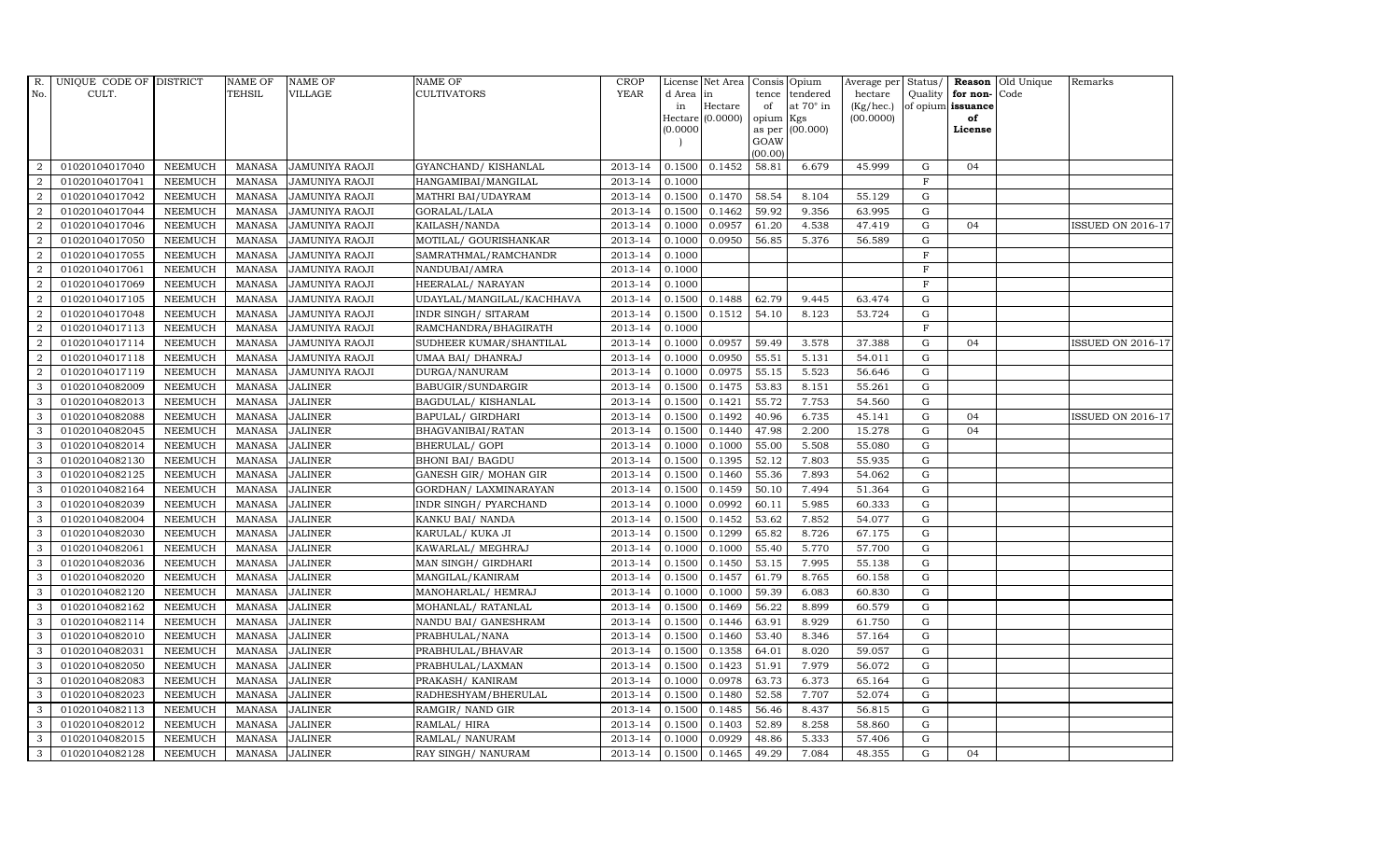| R.             | UNIQUE CODE OF DISTRICT |                | <b>NAME OF</b> | <b>NAME OF</b>        | NAME OF                   | <b>CROP</b> |           | License Net Area   |         | Consis Opium           | Average per Status/ |              |                   | <b>Reason</b> Old Unique | Remarks                  |
|----------------|-------------------------|----------------|----------------|-----------------------|---------------------------|-------------|-----------|--------------------|---------|------------------------|---------------------|--------------|-------------------|--------------------------|--------------------------|
| No.            | CULT.                   |                | <b>TEHSIL</b>  | VILLAGE               | CULTIVATORS               | <b>YEAR</b> | d Area in |                    | tence   | tendered               | hectare             |              | Quality for non-  | Code                     |                          |
|                |                         |                |                |                       |                           |             | in        | Hectare            | of      | at $70^\circ$ in       | (Kg/hec.)           |              | of opium issuance |                          |                          |
|                |                         |                |                |                       |                           |             | (0.0000)  | Hectare $(0.0000)$ | opium   | Kgs<br>as per (00.000) | (00.0000)           |              | of<br>License     |                          |                          |
|                |                         |                |                |                       |                           |             |           |                    | GOAW    |                        |                     |              |                   |                          |                          |
|                |                         |                |                |                       |                           |             |           |                    | (00.00) |                        |                     |              |                   |                          |                          |
| 2              | 01020104017040          | <b>NEEMUCH</b> | MANASA         | <b>JAMUNIYA RAOJI</b> | GYANCHAND/KISHANLAL       | 2013-14     | 0.1500    | 0.1452             | 58.81   | 6.679                  | 45.999              | G            | 04                |                          |                          |
| $\overline{2}$ | 01020104017041          | <b>NEEMUCH</b> | MANASA         | <b>JAMUNIYA RAOJI</b> | HANGAMIBAI/MANGILAL       | 2013-14     | 0.1000    |                    |         |                        |                     | $\mathbf F$  |                   |                          |                          |
| 2              | 01020104017042          | <b>NEEMUCH</b> | <b>MANASA</b>  | <b>JAMUNIYA RAOJI</b> | MATHRI BAI/UDAYRAM        | 2013-14     | 0.1500    | 0.1470             | 58.54   | 8.104                  | 55.129              | G            |                   |                          |                          |
| $\overline{2}$ | 01020104017044          | <b>NEEMUCH</b> | <b>MANASA</b>  | <b>JAMUNIYA RAOJI</b> | GORALAL/LALA              | 2013-14     | 0.1500    | 0.1462             | 59.92   | 9.356                  | 63.995              | G            |                   |                          |                          |
| $\overline{2}$ | 01020104017046          | <b>NEEMUCH</b> | <b>MANASA</b>  | JAMUNIYA RAOJI        | KAILASH/NANDA             | 2013-14     | 0.1000    | 0.0957             | 61.20   | 4.538                  | 47.419              | G            | 04                |                          | <b>ISSUED ON 2016-17</b> |
| $\overline{2}$ | 01020104017050          | <b>NEEMUCH</b> | <b>MANASA</b>  | JAMUNIYA RAOJI        | MOTILAL/ GOURISHANKAR     | 2013-14     | 0.1000    | 0.0950             | 56.85   | 5.376                  | 56.589              | G            |                   |                          |                          |
| $\overline{2}$ | 01020104017055          | <b>NEEMUCH</b> | <b>MANASA</b>  | JAMUNIYA RAOJI        | SAMRATHMAL/RAMCHANDR      | 2013-14     | 0.1000    |                    |         |                        |                     | $\mathbf F$  |                   |                          |                          |
| $\overline{2}$ | 01020104017061          | <b>NEEMUCH</b> | <b>MANASA</b>  | <b>JAMUNIYA RAOJI</b> | NANDUBAI/AMRA             | 2013-14     | 0.1000    |                    |         |                        |                     | $\mathbf{F}$ |                   |                          |                          |
| $\overline{2}$ | 01020104017069          | <b>NEEMUCH</b> | <b>MANASA</b>  | <b>JAMUNIYA RAOJI</b> | HEERALAL/ NARAYAN         | 2013-14     | 0.1000    |                    |         |                        |                     | $\mathbf{F}$ |                   |                          |                          |
| $\overline{2}$ | 01020104017105          | <b>NEEMUCH</b> | <b>MANASA</b>  | JAMUNIYA RAOJI        | UDAYLAL/MANGILAL/KACHHAVA | 2013-14     | 0.1500    | 0.1488             | 62.79   | 9.445                  | 63.474              | G            |                   |                          |                          |
| $\overline{2}$ | 01020104017048          | <b>NEEMUCH</b> | <b>MANASA</b>  | JAMUNIYA RAOJI        | INDR SINGH/ SITARAM       | 2013-14     | 0.1500    | 0.1512             | 54.10   | 8.123                  | 53.724              | G            |                   |                          |                          |
| $\overline{2}$ | 01020104017113          | <b>NEEMUCH</b> | <b>MANASA</b>  | <b>JAMUNIYA RAOJI</b> | RAMCHANDRA/BHAGIRATH      | 2013-14     | 0.1000    |                    |         |                        |                     | $\mathbf{F}$ |                   |                          |                          |
| $\overline{2}$ | 01020104017114          | <b>NEEMUCH</b> | <b>MANASA</b>  | <b>JAMUNIYA RAOJI</b> | SUDHEER KUMAR/SHANTILAL   | 2013-14     | 0.1000    | 0.0957             | 59.49   | 3.578                  | 37.388              | $\mathbf G$  | 04                |                          | <b>ISSUED ON 2016-17</b> |
| $\overline{2}$ | 01020104017118          | <b>NEEMUCH</b> | <b>MANASA</b>  | <b>JAMUNIYA RAOJI</b> | UMAA BAI/ DHANRAJ         | 2013-14     | 0.1000    | 0.0950             | 55.51   | 5.131                  | 54.011              | G            |                   |                          |                          |
| $\overline{2}$ | 01020104017119          | <b>NEEMUCH</b> | <b>MANASA</b>  | JAMUNIYA RAOJI        | DURGA/NANURAM             | 2013-14     | 0.1000    | 0.0975             | 55.15   | 5.523                  | 56.646              | G            |                   |                          |                          |
| 3              | 01020104082009          | <b>NEEMUCH</b> | <b>MANASA</b>  | <b>JALINER</b>        | BABUGIR/SUNDARGIR         | 2013-14     | 0.1500    | 0.1475             | 53.83   | 8.151                  | 55.261              | G            |                   |                          |                          |
| 3              | 01020104082013          | <b>NEEMUCH</b> | <b>MANASA</b>  | <b>JALINER</b>        | BAGDULAL/KISHANLAL        | 2013-14     | 0.1500    | 0.1421             | 55.72   | 7.753                  | 54.560              | G            |                   |                          |                          |
| 3              | 01020104082088          | <b>NEEMUCH</b> | MANASA         | <b>JALINER</b>        | <b>BAPULAL/ GIRDHARI</b>  | 2013-14     | 0.1500    | 0.1492             | 40.96   | 6.735                  | 45.141              | G            | 04                |                          | ISSUED ON 2016-17        |
| 3              | 01020104082045          | <b>NEEMUCH</b> | <b>MANASA</b>  | <b>JALINER</b>        | BHAGVANIBAI/RATAN         | 2013-14     | 0.1500    | 0.1440             | 47.98   | 2.200                  | 15.278              | G            | 04                |                          |                          |
| 3              | 01020104082014          | <b>NEEMUCH</b> | <b>MANASA</b>  | <b>JALINER</b>        | BHERULAL/ GOPI            | 2013-14     | 0.1000    | 0.1000             | 55.00   | 5.508                  | 55.080              | G            |                   |                          |                          |
| 3              | 01020104082130          | <b>NEEMUCH</b> | <b>MANASA</b>  | <b>JALINER</b>        | <b>BHONI BAI/ BAGDU</b>   | 2013-14     | 0.1500    | 0.1395             | 52.12   | 7.803                  | 55.935              | G            |                   |                          |                          |
| 3              | 01020104082125          | <b>NEEMUCH</b> | <b>MANASA</b>  | <b>JALINER</b>        | GANESH GIR/ MOHAN GIR     | 2013-14     | 0.1500    | 0.1460             | 55.36   | 7.893                  | 54.062              | G            |                   |                          |                          |
| $\mathbf{3}$   | 01020104082164          | <b>NEEMUCH</b> | <b>MANASA</b>  | <b>JALINER</b>        | GORDHAN/ LAXMINARAYAN     | 2013-14     | 0.1500    | 0.1459             | 50.10   | 7.494                  | 51.364              | G            |                   |                          |                          |
| 3              | 01020104082039          | <b>NEEMUCH</b> | <b>MANASA</b>  | <b>JALINER</b>        | INDR SINGH/ PYARCHAND     | 2013-14     | 0.1000    | 0.0992             | 60.11   | 5.985                  | 60.333              | $\mathbf G$  |                   |                          |                          |
| 3              | 01020104082004          | <b>NEEMUCH</b> | <b>MANASA</b>  | <b>JALINER</b>        | KANKU BAI/ NANDA          | 2013-14     | 0.1500    | 0.1452             | 53.62   | 7.852                  | 54.077              | G            |                   |                          |                          |
| 3              | 01020104082030          | <b>NEEMUCH</b> | <b>MANASA</b>  | <b>JALINER</b>        | KARULAL/ KUKA JI          | 2013-14     | 0.1500    | 0.1299             | 65.82   | 8.726                  | 67.175              | G            |                   |                          |                          |
| 3              | 01020104082061          | <b>NEEMUCH</b> | <b>MANASA</b>  | <b>JALINER</b>        | KAWARLAL/ MEGHRAJ         | 2013-14     | 0.1000    | 0.1000             | 55.40   | 5.770                  | 57.700              | G            |                   |                          |                          |
| 3              | 01020104082036          | <b>NEEMUCH</b> | <b>MANASA</b>  | <b>JALINER</b>        | MAN SINGH/ GIRDHARI       | 2013-14     | 0.1500    | 0.1450             | 53.15   | 7.995                  | 55.138              | G            |                   |                          |                          |
| 3              | 01020104082020          | <b>NEEMUCH</b> | <b>MANASA</b>  | <b>JALINER</b>        | MANGILAL/KANIRAM          | 2013-14     | 0.1500    | 0.1457             | 61.79   | 8.765                  | 60.158              | $\mathbf G$  |                   |                          |                          |
| 3              | 01020104082120          | <b>NEEMUCH</b> | <b>MANASA</b>  | <b>JALINER</b>        | MANOHARLAL/ HEMRAJ        | 2013-14     | 0.1000    | 0.1000             | 59.39   | 6.083                  | 60.830              | G            |                   |                          |                          |
| 3              | 01020104082162          | <b>NEEMUCH</b> | <b>MANASA</b>  | <b>JALINER</b>        | MOHANLAL/ RATANLAL        | 2013-14     | 0.1500    | 0.1469             | 56.22   | 8.899                  | 60.579              | G            |                   |                          |                          |
| 3              | 01020104082114          | <b>NEEMUCH</b> | <b>MANASA</b>  | <b>JALINER</b>        | NANDU BAI/ GANESHRAM      | 2013-14     | 0.1500    | 0.1446             | 63.91   | 8.929                  | 61.750              | G            |                   |                          |                          |
| 3              | 01020104082010          | <b>NEEMUCH</b> | <b>MANASA</b>  | <b>JALINER</b>        | PRABHULAL/NANA            | 2013-14     | 0.1500    | 0.1460             | 53.40   | 8.346                  | 57.164              | G            |                   |                          |                          |
| 3              | 01020104082031          | <b>NEEMUCH</b> | <b>MANASA</b>  | <b>JALINER</b>        | PRABHULAL/BHAVAR          | 2013-14     | 0.1500    | 0.1358             | 64.01   | 8.020                  | 59.057              | $\mathbf G$  |                   |                          |                          |
| 3              | 01020104082050          | <b>NEEMUCH</b> | <b>MANASA</b>  | <b>JALINER</b>        | PRABHULAL/LAXMAN          | 2013-14     | 0.1500    | 0.1423             | 51.91   | 7.979                  | 56.072              | $\mathbf G$  |                   |                          |                          |
| 3              | 01020104082083          | <b>NEEMUCH</b> | <b>MANASA</b>  | <b>JALINER</b>        | PRAKASH/KANIRAM           | 2013-14     | 0.1000    | 0.0978             | 63.73   | 6.373                  | 65.164              | G            |                   |                          |                          |
| 3              | 01020104082023          | <b>NEEMUCH</b> | <b>MANASA</b>  | <b>JALINER</b>        | RADHESHYAM/BHERULAL       | 2013-14     | 0.1500    | 0.1480             | 52.58   | 7.707                  | 52.074              | ${\rm G}$    |                   |                          |                          |
| $\mathbf{3}$   | 01020104082113          | <b>NEEMUCH</b> | <b>MANASA</b>  | <b>JALINER</b>        | RAMGIR/ NAND GIR          | 2013-14     | 0.1500    | 0.1485             | 56.46   | 8.437                  | 56.815              | G            |                   |                          |                          |
| 3              | 01020104082012          | <b>NEEMUCH</b> | <b>MANASA</b>  | <b>JALINER</b>        | RAMLAL/HIRA               | 2013-14     | 0.1500    | 0.1403             | 52.89   | 8.258                  | 58.860              | G            |                   |                          |                          |
| 3              | 01020104082015          | <b>NEEMUCH</b> | <b>MANASA</b>  | <b>JALINER</b>        | RAMLAL/ NANURAM           | 2013-14     | 0.1000    | 0.0929             | 48.86   | 5.333                  | 57.406              | $\mathbf G$  |                   |                          |                          |
| 3              | 01020104082128          | <b>NEEMUCH</b> | MANASA         | <b>JALINER</b>        | RAY SINGH/ NANURAM        | 2013-14     | 0.1500    | 0.1465             | 49.29   | 7.084                  | 48.355              | G            | 04                |                          |                          |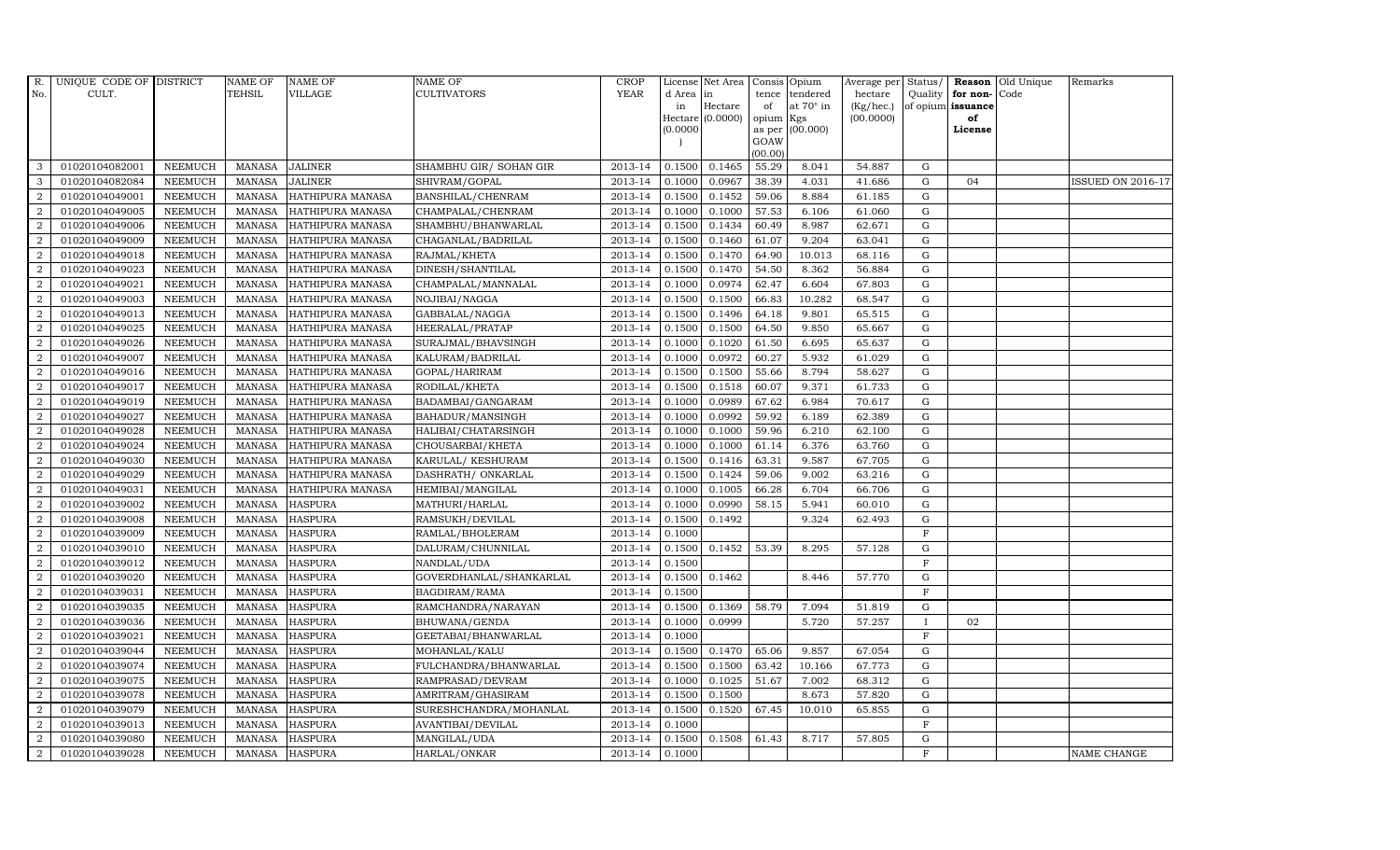| R.               | UNIQUE CODE OF DISTRICT |                | <b>NAME OF</b> | <b>NAME OF</b>          | <b>NAME OF</b>          | CROP        |           | License Net Area   Consis   Opium |           |                  | Average per Status/ |              |                   | <b>Reason</b> Old Unique | Remarks                  |
|------------------|-------------------------|----------------|----------------|-------------------------|-------------------------|-------------|-----------|-----------------------------------|-----------|------------------|---------------------|--------------|-------------------|--------------------------|--------------------------|
| No.              | CULT.                   |                | TEHSIL         | VILLAGE                 | <b>CULTIVATORS</b>      | <b>YEAR</b> | d Area in |                                   |           | tence tendered   | hectare             | Quality      | for non-          | Code                     |                          |
|                  |                         |                |                |                         |                         |             | in        | Hectare                           | of        | at $70^\circ$ in | (Kg/hec.)           |              | of opium issuance |                          |                          |
|                  |                         |                |                |                         |                         |             |           | $Hectare (0.0000)$                | opium Kgs |                  | (00.0000)           |              | of<br>License     |                          |                          |
|                  |                         |                |                |                         |                         |             | (0.0000)  |                                   | GOAW      | as per (00.000)  |                     |              |                   |                          |                          |
|                  |                         |                |                |                         |                         |             |           |                                   | (00.00)   |                  |                     |              |                   |                          |                          |
| 3                | 01020104082001          | <b>NEEMUCH</b> | MANASA         | <b>JALINER</b>          | SHAMBHU GIR/ SOHAN GIR  | 2013-14     | 0.1500    | 0.1465                            | 55.29     | 8.041            | 54.887              | G            |                   |                          |                          |
| 3                | 01020104082084          | <b>NEEMUCH</b> | <b>MANASA</b>  | <b>JALINER</b>          | SHIVRAM/GOPAL           | 2013-14     | 0.1000    | 0.0967                            | 38.39     | 4.031            | 41.686              | ${\rm G}$    | 04                |                          | <b>ISSUED ON 2016-17</b> |
| 2                | 01020104049001          | <b>NEEMUCH</b> | <b>MANASA</b>  | HATHIPURA MANASA        | BANSHILAL/CHENRAM       | 2013-14     | 0.1500    | 0.1452                            | 59.06     | 8.884            | 61.185              | G            |                   |                          |                          |
| $\overline{2}$   | 01020104049005          | <b>NEEMUCH</b> | <b>MANASA</b>  | HATHIPURA MANASA        | CHAMPALAL/CHENRAM       | 2013-14     | 0.1000    | 0.1000                            | 57.53     | 6.106            | 61.060              | $\mathbf G$  |                   |                          |                          |
| $\overline{2}$   | 01020104049006          | <b>NEEMUCH</b> | <b>MANASA</b>  | HATHIPURA MANASA        | SHAMBHU/BHANWARLAL      | 2013-14     | 0.1500    | 0.1434                            | 60.49     | 8.987            | 62.671              | ${\bf G}$    |                   |                          |                          |
| $\overline{2}$   | 01020104049009          | <b>NEEMUCH</b> | <b>MANASA</b>  | HATHIPURA MANASA        | CHAGANLAL/BADRILAL      | 2013-14     | 0.1500    | 0.1460                            | 61.07     | 9.204            | 63.041              | $\mathbf G$  |                   |                          |                          |
| 2                | 01020104049018          | <b>NEEMUCH</b> | <b>MANASA</b>  | HATHIPURA MANASA        | RAJMAL/KHETA            | 2013-14     | 0.1500    | 0.1470                            | 64.90     | 10.013           | 68.116              | ${\bf G}$    |                   |                          |                          |
| 2                | 01020104049023          | <b>NEEMUCH</b> | <b>MANASA</b>  | HATHIPURA MANASA        | DINESH/SHANTILAL        | 2013-14     | 0.1500    | 0.1470                            | 54.50     | 8.362            | 56.884              | $\mathbf G$  |                   |                          |                          |
| 2                | 01020104049021          | <b>NEEMUCH</b> | <b>MANASA</b>  | <b>HATHIPURA MANASA</b> | CHAMPALAL/MANNALAL      | 2013-14     | 0.1000    | 0.0974                            | 62.47     | 6.604            | 67.803              | G            |                   |                          |                          |
| 2                | 01020104049003          | <b>NEEMUCH</b> | <b>MANASA</b>  | HATHIPURA MANASA        | NOJIBAI/NAGGA           | 2013-14     | 0.1500    | 0.1500                            | 66.83     | 10.282           | 68.547              | ${\rm G}$    |                   |                          |                          |
| $\overline{2}$   | 01020104049013          | <b>NEEMUCH</b> | <b>MANASA</b>  | HATHIPURA MANASA        | GABBALAL/NAGGA          | 2013-14     | 0.1500    | 0.1496                            | 64.18     | 9.801            | 65.515              | G            |                   |                          |                          |
| 2                | 01020104049025          | <b>NEEMUCH</b> | <b>MANASA</b>  | HATHIPURA MANASA        | HEERALAL/PRATAP         | 2013-14     | 0.1500    | 0.1500                            | 64.50     | 9.850            | 65.667              | $\mathbf G$  |                   |                          |                          |
| 2                | 01020104049026          | <b>NEEMUCH</b> | <b>MANASA</b>  | HATHIPURA MANASA        | SURAJMAL/BHAVSINGH      | 2013-14     | 0.1000    | 0.1020                            | 61.50     | 6.695            | 65.637              | G            |                   |                          |                          |
| $\overline{2}$   | 01020104049007          | <b>NEEMUCH</b> | <b>MANASA</b>  | <b>HATHIPURA MANASA</b> | KALURAM/BADRILAL        | 2013-14     | 0.1000    | 0.0972                            | 60.27     | 5.932            | 61.029              | $\mathbf G$  |                   |                          |                          |
| $\overline{2}$   | 01020104049016          | <b>NEEMUCH</b> | <b>MANASA</b>  | HATHIPURA MANASA        | GOPAL/HARIRAM           | 2013-14     | 0.1500    | 0.1500                            | 55.66     | 8.794            | 58.627              | $\mathbf G$  |                   |                          |                          |
| $\overline{2}$   | 01020104049017          | <b>NEEMUCH</b> | <b>MANASA</b>  | HATHIPURA MANASA        | RODILAL/KHETA           | 2013-14     | 0.1500    | 0.1518                            | 60.07     | 9.371            | 61.733              | G            |                   |                          |                          |
| $\overline{2}$   | 01020104049019          | <b>NEEMUCH</b> | <b>MANASA</b>  | HATHIPURA MANASA        | BADAMBAI/GANGARAM       | 2013-14     | 0.1000    | 0.0989                            | 67.62     | 6.984            | 70.617              | $\mathbf G$  |                   |                          |                          |
| $\overline{2}$   | 01020104049027          | <b>NEEMUCH</b> | <b>MANASA</b>  | HATHIPURA MANASA        | BAHADUR/MANSINGH        | 2013-14     | 0.1000    | 0.0992                            | 59.92     | 6.189            | 62.389              | $\mathbf G$  |                   |                          |                          |
| $\overline{2}$   | 01020104049028          | <b>NEEMUCH</b> | <b>MANASA</b>  | HATHIPURA MANASA        | HALIBAI/CHATARSINGH     | 2013-14     | 0.1000    | 0.1000                            | 59.96     | 6.210            | 62.100              | $\mathbf G$  |                   |                          |                          |
| $\overline{2}$   | 01020104049024          | <b>NEEMUCH</b> | <b>MANASA</b>  | HATHIPURA MANASA        | CHOUSARBAI/KHETA        | 2013-14     | 0.1000    | 0.1000                            | 61.14     | 6.376            | 63.760              | $\mathbf G$  |                   |                          |                          |
| $\overline{2}$   | 01020104049030          | <b>NEEMUCH</b> | <b>MANASA</b>  | HATHIPURA MANASA        | KARULAL/ KESHURAM       | 2013-14     | 0.1500    | 0.1416                            | 63.31     | 9.587            | 67.705              | $\mathbf G$  |                   |                          |                          |
| $\overline{2}$   | 01020104049029          | <b>NEEMUCH</b> | <b>MANASA</b>  | HATHIPURA MANASA        | DASHRATH / ONKARLAL     | 2013-14     | 0.1500    | 0.1424                            | 59.06     | 9.002            | 63.216              | ${\rm G}$    |                   |                          |                          |
| $\overline{2}$   | 01020104049031          | <b>NEEMUCH</b> | <b>MANASA</b>  | HATHIPURA MANASA        | HEMIBAI/MANGILAL        | 2013-14     | 0.1000    | 0.1005                            | 66.28     | 6.704            | 66.706              | G            |                   |                          |                          |
| $\overline{2}$   | 01020104039002          | <b>NEEMUCH</b> | <b>MANASA</b>  | <b>HASPURA</b>          | MATHURI/HARLAL          | 2013-14     | 0.1000    | 0.0990                            | 58.15     | 5.941            | 60.010              | $\mathbf G$  |                   |                          |                          |
| $\boldsymbol{2}$ | 01020104039008          | <b>NEEMUCH</b> | <b>MANASA</b>  | <b>HASPURA</b>          | RAMSUKH/DEVILAL         | 2013-14     | 0.1500    | 0.1492                            |           | 9.324            | 62.493              | ${\rm G}$    |                   |                          |                          |
| $\overline{2}$   | 01020104039009          | <b>NEEMUCH</b> | <b>MANASA</b>  | <b>HASPURA</b>          | RAMLAL/BHOLERAM         | 2013-14     | 0.1000    |                                   |           |                  |                     | $\mathbf F$  |                   |                          |                          |
| $\overline{2}$   | 01020104039010          | <b>NEEMUCH</b> | <b>MANASA</b>  | <b>HASPURA</b>          | DALURAM/CHUNNILAL       | 2013-14     | 0.1500    | 0.1452                            | 53.39     | 8.295            | 57.128              | ${\rm G}$    |                   |                          |                          |
| $\overline{2}$   | 01020104039012          | <b>NEEMUCH</b> | <b>MANASA</b>  | <b>HASPURA</b>          | NANDLAL/UDA             | 2013-14     | 0.1500    |                                   |           |                  |                     | $\mathbf F$  |                   |                          |                          |
| $\overline{2}$   | 01020104039020          | <b>NEEMUCH</b> | <b>MANASA</b>  | <b>HASPURA</b>          | GOVERDHANLAL/SHANKARLAL | 2013-14     | 0.1500    | 0.1462                            |           | 8.446            | 57.770              | $\mathbf G$  |                   |                          |                          |
| $\overline{2}$   | 01020104039031          | <b>NEEMUCH</b> | <b>MANASA</b>  | <b>HASPURA</b>          | BAGDIRAM/RAMA           | 2013-14     | 0.1500    |                                   |           |                  |                     | $\mathbf F$  |                   |                          |                          |
| $\overline{2}$   | 01020104039035          | <b>NEEMUCH</b> | <b>MANASA</b>  | <b>HASPURA</b>          | RAMCHANDRA/NARAYAN      | 2013-14     | 0.1500    | 0.1369                            | 58.79     | 7.094            | 51.819              | G            |                   |                          |                          |
| $\overline{2}$   | 01020104039036          | <b>NEEMUCH</b> | <b>MANASA</b>  | <b>HASPURA</b>          | BHUWANA/GENDA           | 2013-14     | 0.1000    | 0.0999                            |           | 5.720            | 57.257              | $\mathbf{I}$ | 02                |                          |                          |
| $\overline{2}$   | 01020104039021          | <b>NEEMUCH</b> | <b>MANASA</b>  | <b>HASPURA</b>          | GEETABAI/BHANWARLAL     | 2013-14     | 0.1000    |                                   |           |                  |                     | $\mathbf{F}$ |                   |                          |                          |
| $\overline{2}$   | 01020104039044          | <b>NEEMUCH</b> | <b>MANASA</b>  | <b>HASPURA</b>          | MOHANLAL/KALU           | 2013-14     | 0.1500    | 0.1470                            | 65.06     | 9.857            | 67.054              | $\mathbf G$  |                   |                          |                          |
| $\overline{2}$   | 01020104039074          | <b>NEEMUCH</b> | <b>MANASA</b>  | <b>HASPURA</b>          | FULCHANDRA/BHANWARLAL   | 2013-14     | 0.1500    | 0.1500                            | 63.42     | 10.166           | 67.773              | $\mathbf G$  |                   |                          |                          |
| $\overline{2}$   | 01020104039075          | <b>NEEMUCH</b> | <b>MANASA</b>  | <b>HASPURA</b>          | RAMPRASAD/DEVRAM        | 2013-14     | 0.1000    | 0.1025                            | 51.67     | 7.002            | 68.312              | ${\rm G}$    |                   |                          |                          |
| $\overline{2}$   | 01020104039078          | <b>NEEMUCH</b> | <b>MANASA</b>  | <b>HASPURA</b>          | AMRITRAM/GHASIRAM       | 2013-14     | 0.1500    | 0.1500                            |           | 8.673            | 57.820              | ${\rm G}$    |                   |                          |                          |
| $\boldsymbol{2}$ | 01020104039079          | <b>NEEMUCH</b> | <b>MANASA</b>  | <b>HASPURA</b>          | SURESHCHANDRA/MOHANLAL  | 2013-14     | 0.1500    | 0.1520                            | 67.45     | 10.010           | 65.855              | ${\rm G}$    |                   |                          |                          |
| $\overline{2}$   | 01020104039013          | <b>NEEMUCH</b> | <b>MANASA</b>  | <b>HASPURA</b>          | AVANTIBAI/DEVILAL       | 2013-14     | 0.1000    |                                   |           |                  |                     | $\mathbf F$  |                   |                          |                          |
| $\overline{2}$   | 01020104039080          | <b>NEEMUCH</b> | <b>MANASA</b>  | <b>HASPURA</b>          | MANGILAL/UDA            | 2013-14     | 0.1500    | 0.1508                            | 61.43     | 8.717            | 57.805              | $\mathbf G$  |                   |                          |                          |
| $\overline{2}$   | 01020104039028          | <b>NEEMUCH</b> |                | MANASA HASPURA          | HARLAL/ONKAR            | 2013-14     | 0.1000    |                                   |           |                  |                     | $\mathbf{F}$ |                   |                          | <b>NAME CHANGE</b>       |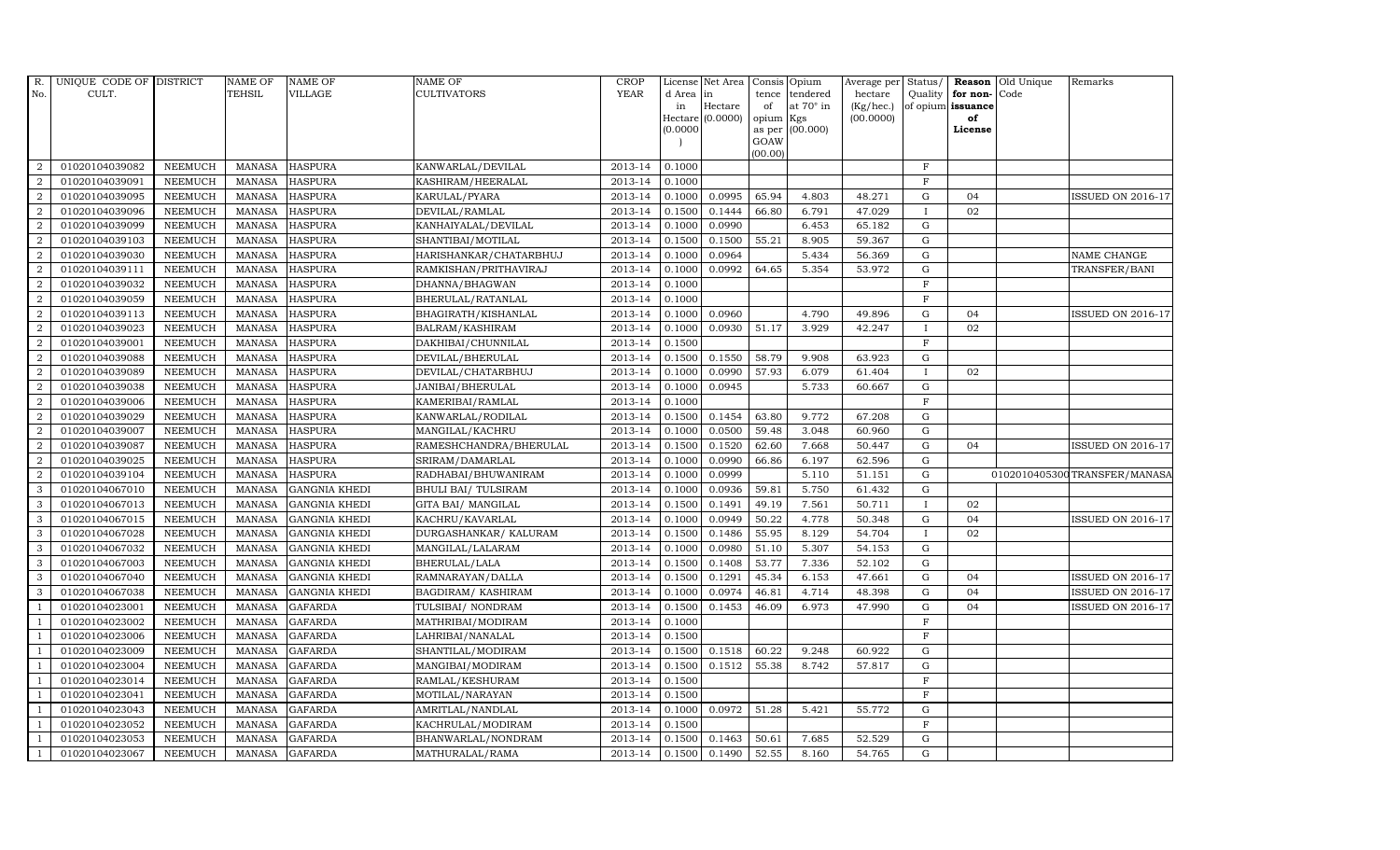| R.               | UNIQUE CODE OF DISTRICT |                | <b>NAME OF</b> | <b>NAME OF</b>       | <b>NAME OF</b>             | CROP        |           | License Net Area   Consis   Opium |           |                  | Average per | Status/      | Reason            | Old Unique | Remarks                      |
|------------------|-------------------------|----------------|----------------|----------------------|----------------------------|-------------|-----------|-----------------------------------|-----------|------------------|-------------|--------------|-------------------|------------|------------------------------|
| No.              | CULT.                   |                | <b>TEHSIL</b>  | VILLAGE              | <b>CULTIVATORS</b>         | <b>YEAR</b> | d Area in |                                   | tence     | tendered         | hectare     | Quality      | for non-          | Code       |                              |
|                  |                         |                |                |                      |                            |             | in        | Hectare                           | of        | at $70^\circ$ in | (Kg/hec.)   |              | of opium issuance |            |                              |
|                  |                         |                |                |                      |                            |             |           | Hectare (0.0000)                  | opium Kgs |                  | (00.0000)   |              | of                |            |                              |
|                  |                         |                |                |                      |                            |             | (0.0000)  |                                   | GOAW      | as per (00.000)  |             |              | License           |            |                              |
|                  |                         |                |                |                      |                            |             |           |                                   | (00.00)   |                  |             |              |                   |            |                              |
| $\overline{2}$   | 01020104039082          | <b>NEEMUCH</b> | MANASA         | <b>HASPURA</b>       | KANWARLAL/DEVILAL          | 2013-14     | 0.1000    |                                   |           |                  |             | $\mathbf F$  |                   |            |                              |
| 2                | 01020104039091          | <b>NEEMUCH</b> | <b>MANASA</b>  | <b>HASPURA</b>       | KASHIRAM/HEERALAL          | 2013-14     | 0.1000    |                                   |           |                  |             | $\mathbf F$  |                   |            |                              |
| $\overline{2}$   | 01020104039095          | <b>NEEMUCH</b> | <b>MANASA</b>  | <b>HASPURA</b>       | KARULAL/PYARA              | 2013-14     | 0.1000    | 0.0995                            | 65.94     | 4.803            | 48.271      | G            | 04                |            | <b>ISSUED ON 2016-17</b>     |
| $\overline{2}$   | 01020104039096          | <b>NEEMUCH</b> | <b>MANASA</b>  | <b>HASPURA</b>       | DEVILAL/RAMLAL             | 2013-14     | 0.1500    | 0.1444                            | 66.80     | 6.791            | 47.029      |              | 02                |            |                              |
| $\overline{a}$   | 01020104039099          | <b>NEEMUCH</b> | <b>MANASA</b>  | <b>HASPURA</b>       | KANHAIYALAL/DEVILAL        | 2013-14     | 0.1000    | 0.0990                            |           | 6.453            | 65.182      | ${\rm G}$    |                   |            |                              |
| $\overline{a}$   | 01020104039103          | <b>NEEMUCH</b> | <b>MANASA</b>  | <b>HASPURA</b>       | SHANTIBAI/MOTILAL          | 2013-14     | 0.1500    | 0.1500                            | 55.21     | 8.905            | 59.367      | ${\rm G}$    |                   |            |                              |
| 2                | 01020104039030          | <b>NEEMUCH</b> | <b>MANASA</b>  | <b>HASPURA</b>       | HARISHANKAR/CHATARBHUJ     | 2013-14     | 0.1000    | 0.0964                            |           | 5.434            | 56.369      | ${\rm G}$    |                   |            | NAME CHANGE                  |
| 2                | 01020104039111          | <b>NEEMUCH</b> | <b>MANASA</b>  | <b>HASPURA</b>       | RAMKISHAN/PRITHAVIRAJ      | 2013-14     | 0.1000    | 0.0992                            | 64.65     | 5.354            | 53.972      | $\mathbf G$  |                   |            | TRANSFER/BANI                |
| $\boldsymbol{2}$ | 01020104039032          | <b>NEEMUCH</b> | <b>MANASA</b>  | <b>HASPURA</b>       | DHANNA/BHAGWAN             | 2013-14     | 0.1000    |                                   |           |                  |             | F            |                   |            |                              |
| 2                | 01020104039059          | <b>NEEMUCH</b> | <b>MANASA</b>  | <b>HASPURA</b>       | BHERULAL/RATANLAL          | 2013-14     | 0.1000    |                                   |           |                  |             | $\rm F$      |                   |            |                              |
| $\overline{a}$   | 01020104039113          | <b>NEEMUCH</b> | <b>MANASA</b>  | <b>HASPURA</b>       | BHAGIRATH/KISHANLAL        | 2013-14     | 0.1000    | 0.0960                            |           | 4.790            | 49.896      | $\mathbf G$  | 04                |            | <b>ISSUED ON 2016-17</b>     |
| $\overline{a}$   | 01020104039023          | <b>NEEMUCH</b> | MANASA         | <b>HASPURA</b>       | BALRAM/KASHIRAM            | 2013-14     | 0.1000    | 0.0930                            | 51.17     | 3.929            | 42.247      | $\mathbf{I}$ | 02                |            |                              |
| 2                | 01020104039001          | <b>NEEMUCH</b> | MANASA         | <b>HASPURA</b>       | DAKHIBAI/CHUNNILAL         | 2013-14     | 0.1500    |                                   |           |                  |             | $_{\rm F}$   |                   |            |                              |
| $\overline{2}$   | 01020104039088          | <b>NEEMUCH</b> | <b>MANASA</b>  | <b>HASPURA</b>       | DEVILAL/BHERULAL           | 2013-14     | 0.1500    | 0.1550                            | 58.79     | 9.908            | 63.923      | $\mathbf G$  |                   |            |                              |
| $\boldsymbol{2}$ | 01020104039089          | <b>NEEMUCH</b> | MANASA         | <b>HASPURA</b>       | DEVILAL/CHATARBHUJ         | 2013-14     | 0.1000    | 0.0990                            | 57.93     | 6.079            | 61.404      |              | 02                |            |                              |
| $\overline{2}$   | 01020104039038          | <b>NEEMUCH</b> | <b>MANASA</b>  | <b>HASPURA</b>       | JANIBAI/BHERULAL           | 2013-14     | 0.1000    | 0.0945                            |           | 5.733            | 60.667      | G            |                   |            |                              |
| $\overline{a}$   | 01020104039006          | <b>NEEMUCH</b> | <b>MANASA</b>  | <b>HASPURA</b>       | KAMERIBAI/RAMLAL           | 2013-14     | 0.1000    |                                   |           |                  |             | $\mathbf F$  |                   |            |                              |
| $\overline{a}$   | 01020104039029          | <b>NEEMUCH</b> | <b>MANASA</b>  | <b>HASPURA</b>       | KANWARLAL/RODILAL          | 2013-14     | 0.1500    | 0.1454                            | 63.80     | 9.772            | 67.208      | G            |                   |            |                              |
| $\overline{2}$   | 01020104039007          | <b>NEEMUCH</b> | <b>MANASA</b>  | <b>HASPURA</b>       | MANGILAL/KACHRU            | 2013-14     | 0.1000    | 0.0500                            | 59.48     | 3.048            | 60.960      | $\mathbf G$  |                   |            |                              |
| $\overline{2}$   | 01020104039087          | <b>NEEMUCH</b> | <b>MANASA</b>  | <b>HASPURA</b>       | RAMESHCHANDRA/BHERULAL     | 2013-14     | 0.1500    | 0.1520                            | 62.60     | 7.668            | 50.447      | $\mathbf G$  | 04                |            | <b>ISSUED ON 2016-17</b>     |
| 2                | 01020104039025          | <b>NEEMUCH</b> | <b>MANASA</b>  | <b>HASPURA</b>       | SRIRAM/DAMARLAL            | 2013-14     | 0.1000    | 0.0990                            | 66.86     | 6.197            | 62.596      | $\mathbf G$  |                   |            |                              |
| 2                | 01020104039104          | <b>NEEMUCH</b> | <b>MANASA</b>  | <b>HASPURA</b>       | RADHABAI/BHUWANIRAM        | 2013-14     | 0.1000    | 0.0999                            |           | 5.110            | 51.151      | ${\rm G}$    |                   |            | 0102010405300TRANSFER/MANASA |
| 3                | 01020104067010          | <b>NEEMUCH</b> | <b>MANASA</b>  | <b>GANGNIA KHEDI</b> | <b>BHULI BAI/ TULSIRAM</b> | 2013-14     | 0.1000    | 0.0936                            | 59.81     | 5.750            | 61.432      | ${\rm G}$    |                   |            |                              |
| 3                | 01020104067013          | <b>NEEMUCH</b> | <b>MANASA</b>  | <b>GANGNIA KHEDI</b> | GITA BAI/ MANGILAL         | 2013-14     | 0.1500    | 0.1491                            | 49.19     | 7.561            | 50.711      | $\mathbf{I}$ | 02                |            |                              |
| 3                | 01020104067015          | <b>NEEMUCH</b> | <b>MANASA</b>  | <b>GANGNIA KHEDI</b> | KACHRU/KAVARLAL            | 2013-14     | 0.1000    | 0.0949                            | 50.22     | 4.778            | 50.348      | $\mathbf G$  | 04                |            | <b>ISSUED ON 2016-17</b>     |
| 3                | 01020104067028          | <b>NEEMUCH</b> | <b>MANASA</b>  | <b>GANGNIA KHEDI</b> | DURGASHANKAR/ KALURAM      | 2013-14     | 0.1500    | 0.1486                            | 55.95     | 8.129            | 54.704      | <b>I</b>     | 02                |            |                              |
| 3                | 01020104067032          | <b>NEEMUCH</b> | <b>MANASA</b>  | <b>GANGNIA KHEDI</b> | MANGILAL/LALARAM           | 2013-14     | 0.1000    | 0.0980                            | 51.10     | 5.307            | 54.153      | $\mathbf G$  |                   |            |                              |
| 3                | 01020104067003          | <b>NEEMUCH</b> | <b>MANASA</b>  | <b>GANGNIA KHEDI</b> | BHERULAL/LALA              | 2013-14     | 0.1500    | 0.1408                            | 53.77     | 7.336            | 52.102      | $\mathbf G$  |                   |            |                              |
| 3                | 01020104067040          | <b>NEEMUCH</b> | <b>MANASA</b>  | <b>GANGNIA KHEDI</b> | RAMNARAYAN/DALLA           | 2013-14     | 0.1500    | 0.1291                            | 45.34     | 6.153            | 47.661      | $\mathbf G$  | 04                |            | <b>ISSUED ON 2016-17</b>     |
| 3                | 01020104067038          | <b>NEEMUCH</b> | <b>MANASA</b>  | <b>GANGNIA KHEDI</b> | BAGDIRAM/KASHIRAM          | 2013-14     | 0.1000    | 0.0974                            | 46.81     | 4.714            | 48.398      | $\mathbf G$  | 04                |            | <b>ISSUED ON 2016-17</b>     |
| $\overline{1}$   | 01020104023001          | <b>NEEMUCH</b> | <b>MANASA</b>  | <b>GAFARDA</b>       | TULSIBAI/NONDRAM           | 2013-14     | 0.1500    | 0.1453                            | 46.09     | 6.973            | 47.990      | $\mathbf G$  | 04                |            | ISSUED ON 2016-17            |
| $\overline{1}$   | 01020104023002          | <b>NEEMUCH</b> | <b>MANASA</b>  | <b>GAFARDA</b>       | MATHRIBAI/MODIRAM          | 2013-14     | 0.1000    |                                   |           |                  |             | $\rm F$      |                   |            |                              |
| $\overline{1}$   | 01020104023006          | <b>NEEMUCH</b> | <b>MANASA</b>  | <b>GAFARDA</b>       | LAHRIBAI/NANALAL           | 2013-14     | 0.1500    |                                   |           |                  |             | $\mathbf F$  |                   |            |                              |
| $\overline{1}$   | 01020104023009          | <b>NEEMUCH</b> | <b>MANASA</b>  | <b>GAFARDA</b>       | SHANTILAL/MODIRAM          | 2013-14     | 0.1500    | 0.1518                            | 60.22     | 9.248            | 60.922      | $\mathbf G$  |                   |            |                              |
|                  | 01020104023004          | <b>NEEMUCH</b> | <b>MANASA</b>  | <b>GAFARDA</b>       | MANGIBAI/MODIRAM           | 2013-14     | 0.1500    | 0.1512                            | 55.38     | 8.742            | 57.817      | $\mathbf G$  |                   |            |                              |
|                  | 01020104023014          | <b>NEEMUCH</b> | <b>MANASA</b>  | <b>GAFARDA</b>       | RAMLAL/KESHURAM            | 2013-14     | 0.1500    |                                   |           |                  |             | $\mathbf F$  |                   |            |                              |
| -1               | 01020104023041          | <b>NEEMUCH</b> | <b>MANASA</b>  | <b>GAFARDA</b>       | MOTILAL/NARAYAN            | 2013-14     | 0.1500    |                                   |           |                  |             | $\mathbf F$  |                   |            |                              |
| $\overline{1}$   | 01020104023043          | <b>NEEMUCH</b> | <b>MANASA</b>  | <b>GAFARDA</b>       | AMRITLAL/NANDLAL           | 2013-14     | 0.1000    | 0.0972                            | 51.28     | 5.421            | 55.772      | $\mathbf G$  |                   |            |                              |
| $\overline{1}$   | 01020104023052          | <b>NEEMUCH</b> | <b>MANASA</b>  | <b>GAFARDA</b>       | KACHRULAL/MODIRAM          | 2013-14     | 0.1500    |                                   |           |                  |             | $\mathbf F$  |                   |            |                              |
| $\overline{1}$   | 01020104023053          | <b>NEEMUCH</b> | <b>MANASA</b>  | <b>GAFARDA</b>       | BHANWARLAL/NONDRAM         | 2013-14     | 0.1500    | 0.1463                            | 50.61     | 7.685            | 52.529      | $\mathbf G$  |                   |            |                              |
|                  |                         |                |                |                      |                            |             |           |                                   |           |                  |             |              |                   |            |                              |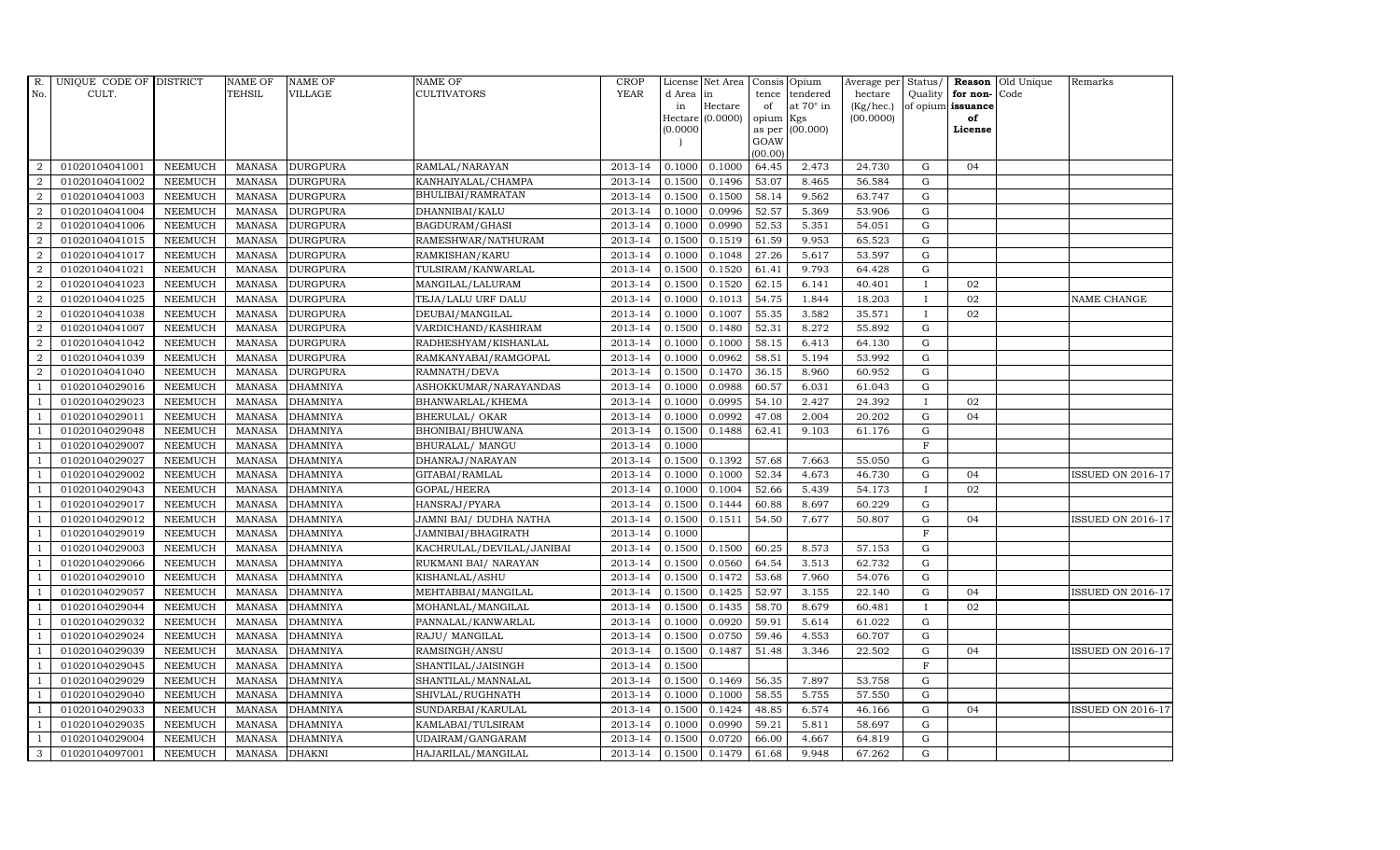| R.             | UNIQUE CODE OF DISTRICT |                | <b>NAME OF</b> | <b>NAME OF</b>  | <b>NAME OF</b>            | CROP        |          | License Net Area   |         | Consis Opium    | Average per | Status/      |                      | <b>Reason</b> Old Unique | Remarks                  |
|----------------|-------------------------|----------------|----------------|-----------------|---------------------------|-------------|----------|--------------------|---------|-----------------|-------------|--------------|----------------------|--------------------------|--------------------------|
| No.            | CULT.                   |                | <b>TEHSIL</b>  | VILLAGE         | <b>CULTIVATORS</b>        | <b>YEAR</b> | d Area   | in                 | tence   | tendered        | hectare     |              | Quality $ $ for non- | Code                     |                          |
|                |                         |                |                |                 |                           |             | in       | Hectare            | of      | at 70° in       | (Kg/hec.)   |              | of opium issuance    |                          |                          |
|                |                         |                |                |                 |                           |             |          | Hectare $(0.0000)$ | opium   | Kgs             | (00.0000)   |              | of                   |                          |                          |
|                |                         |                |                |                 |                           |             | (0.0000) |                    | GOAW    | as per (00.000) |             |              | License              |                          |                          |
|                |                         |                |                |                 |                           |             |          |                    | (00.00) |                 |             |              |                      |                          |                          |
| $\overline{2}$ | 01020104041001          | <b>NEEMUCH</b> | MANASA         | <b>DURGPURA</b> | RAMLAL/NARAYAN            | 2013-14     | 0.1000   | 0.1000             | 64.45   | 2.473           | 24.730      | G            | 04                   |                          |                          |
| $\overline{2}$ | 01020104041002          | <b>NEEMUCH</b> | MANASA         | <b>DURGPURA</b> | KANHAIYALAL/CHAMPA        | 2013-14     | 0.1500   | 0.1496             | 53.07   | 8.465           | 56.584      | $\mathbf G$  |                      |                          |                          |
| 2              | 01020104041003          | <b>NEEMUCH</b> | <b>MANASA</b>  | <b>DURGPURA</b> | BHULIBAI/RAMRATAN         | 2013-14     | 0.1500   | 0.1500             | 58.14   | 9.562           | 63.747      | G            |                      |                          |                          |
| $\overline{2}$ | 01020104041004          | <b>NEEMUCH</b> | <b>MANASA</b>  | <b>DURGPURA</b> | DHANNIBAI/KALU            | 2013-14     | 0.1000   | 0.0996             | 52.57   | 5.369           | 53.906      | G            |                      |                          |                          |
| $\overline{a}$ | 01020104041006          | <b>NEEMUCH</b> | <b>MANASA</b>  | <b>DURGPURA</b> | BAGDURAM/GHASI            | 2013-14     | 0.1000   | 0.0990             | 52.53   | 5.351           | 54.051      | G            |                      |                          |                          |
| $\overline{2}$ | 01020104041015          | <b>NEEMUCH</b> | <b>MANASA</b>  | <b>DURGPURA</b> | RAMESHWAR/NATHURAM        | 2013-14     | 0.1500   | 0.1519             | 61.59   | 9.953           | 65.523      | G            |                      |                          |                          |
| $\overline{a}$ | 01020104041017          | <b>NEEMUCH</b> | <b>MANASA</b>  | <b>DURGPURA</b> | RAMKISHAN/KARU            | 2013-14     | 0.1000   | 0.1048             | 27.26   | 5.617           | 53.597      | ${\rm G}$    |                      |                          |                          |
| $\overline{2}$ | 01020104041021          | <b>NEEMUCH</b> | <b>MANASA</b>  | <b>DURGPURA</b> | TULSIRAM/KANWARLAL        | 2013-14     | 0.1500   | 0.1520             | 61.41   | 9.793           | 64.428      | $\mathbf G$  |                      |                          |                          |
| $\overline{2}$ | 01020104041023          | <b>NEEMUCH</b> | <b>MANASA</b>  | <b>DURGPURA</b> | MANGILAL/LALURAM          | 2013-14     | 0.1500   | 0.1520             | 62.15   | 6.141           | 40.401      |              | 02                   |                          |                          |
| $\overline{2}$ | 01020104041025          | <b>NEEMUCH</b> | <b>MANASA</b>  | <b>DURGPURA</b> | TEJA/LALU URF DALU        | 2013-14     | 0.1000   | 0.1013             | 54.75   | 1.844           | 18.203      | $\mathbf{I}$ | 02                   |                          | NAME CHANGE              |
| $\overline{a}$ | 01020104041038          | <b>NEEMUCH</b> | <b>MANASA</b>  | <b>DURGPURA</b> | DEUBAI/MANGILAL           | 2013-14     | 0.1000   | 0.1007             | 55.35   | 3.582           | 35.571      | $\mathbf{I}$ | 02                   |                          |                          |
| $\overline{2}$ | 01020104041007          | <b>NEEMUCH</b> | <b>MANASA</b>  | <b>DURGPURA</b> | VARDICHAND/KASHIRAM       | 2013-14     | 0.1500   | 0.1480             | 52.31   | 8.272           | 55.892      | G            |                      |                          |                          |
| 2              | 01020104041042          | <b>NEEMUCH</b> | <b>MANASA</b>  | <b>DURGPURA</b> | RADHESHYAM/KISHANLAL      | 2013-14     | 0.1000   | 0.1000             | 58.15   | 6.413           | 64.130      | $\mathbf G$  |                      |                          |                          |
| $\overline{2}$ | 01020104041039          | <b>NEEMUCH</b> | <b>MANASA</b>  | <b>DURGPURA</b> | RAMKANYABAI/RAMGOPAL      | 2013-14     | 0.1000   | 0.0962             | 58.51   | 5.194           | 53.992      | G            |                      |                          |                          |
| $\overline{2}$ | 01020104041040          | <b>NEEMUCH</b> | <b>MANASA</b>  | <b>DURGPURA</b> | RAMNATH/DEVA              | 2013-14     | 0.1500   | 0.1470             | 36.15   | 8.960           | 60.952      | G            |                      |                          |                          |
| 1              | 01020104029016          | <b>NEEMUCH</b> | <b>MANASA</b>  | <b>DHAMNIYA</b> | ASHOKKUMAR/NARAYANDAS     | 2013-14     | 0.1000   | 0.0988             | 60.57   | 6.031           | 61.043      | G            |                      |                          |                          |
| $\overline{1}$ | 01020104029023          | <b>NEEMUCH</b> | <b>MANASA</b>  | <b>DHAMNIYA</b> | BHANWARLAL/KHEMA          | 2013-14     | 0.1000   | 0.0995             | 54.10   | 2.427           | 24.392      | $\mathbf{I}$ | 02                   |                          |                          |
| $\overline{1}$ | 01020104029011          | <b>NEEMUCH</b> | MANASA         | <b>DHAMNIYA</b> | <b>BHERULAL/ OKAR</b>     | 2013-14     | 0.1000   | 0.0992             | 47.08   | 2.004           | 20.202      | G            | 04                   |                          |                          |
|                | 01020104029048          | <b>NEEMUCH</b> | <b>MANASA</b>  | <b>DHAMNIYA</b> | BHONIBAI/BHUWANA          | 2013-14     | 0.1500   | 0.1488             | 62.41   | 9.103           | 61.176      | ${\rm G}$    |                      |                          |                          |
|                | 01020104029007          | <b>NEEMUCH</b> | <b>MANASA</b>  | <b>DHAMNIYA</b> | BHURALAL/ MANGU           | 2013-14     | 0.1000   |                    |         |                 |             | $\mathbf{F}$ |                      |                          |                          |
| -1             | 01020104029027          | <b>NEEMUCH</b> | <b>MANASA</b>  | <b>DHAMNIYA</b> | DHANRAJ/NARAYAN           | 2013-14     | 0.1500   | 0.1392             | 57.68   | 7.663           | 55.050      | G            |                      |                          |                          |
| $\overline{1}$ | 01020104029002          | <b>NEEMUCH</b> | <b>MANASA</b>  | <b>DHAMNIYA</b> | GITABAI/RAMLAL            | 2013-14     | 0.1000   | 0.1000             | 52.34   | 4.673           | 46.730      | ${\rm G}$    | 04                   |                          | <b>ISSUED ON 2016-17</b> |
| $\overline{1}$ | 01020104029043          | <b>NEEMUCH</b> | MANASA         | <b>DHAMNIYA</b> | GOPAL/HEERA               | 2013-14     | 0.1000   | 0.1004             | 52.66   | 5.439           | 54.173      | $\mathbf{I}$ | 02                   |                          |                          |
|                | 01020104029017          | <b>NEEMUCH</b> | <b>MANASA</b>  | <b>DHAMNIYA</b> | HANSRAJ/PYARA             | 2013-14     | 0.1500   | 0.1444             | 60.88   | 8.697           | 60.229      | $\mathbf G$  |                      |                          |                          |
|                | 01020104029012          | <b>NEEMUCH</b> | <b>MANASA</b>  | <b>DHAMNIYA</b> | JAMNI BAI/ DUDHA NATHA    | 2013-14     | 0.1500   | 0.1511             | 54.50   | 7.677           | 50.807      | ${\rm G}$    | 04                   |                          | ISSUED ON 2016-17        |
| - 1            | 01020104029019          | <b>NEEMUCH</b> | <b>MANASA</b>  | <b>DHAMNIYA</b> | JAMNIBAI/BHAGIRATH        | 2013-14     | 0.1000   |                    |         |                 |             | $\mathbf F$  |                      |                          |                          |
| $\overline{1}$ | 01020104029003          | <b>NEEMUCH</b> | <b>MANASA</b>  | <b>DHAMNIYA</b> | KACHRULAL/DEVILAL/JANIBAI | 2013-14     | 0.1500   | 0.1500             | 60.25   | 8.573           | 57.153      | G            |                      |                          |                          |
| $\overline{1}$ | 01020104029066          | <b>NEEMUCH</b> | <b>MANASA</b>  | <b>DHAMNIYA</b> | RUKMANI BAI/ NARAYAN      | 2013-14     | 0.1500   | 0.0560             | 64.54   | 3.513           | 62.732      | G            |                      |                          |                          |
| $\overline{1}$ | 01020104029010          | <b>NEEMUCH</b> | <b>MANASA</b>  | <b>DHAMNIYA</b> | KISHANLAL/ASHU            | 2013-14     | 0.1500   | 0.1472             | 53.68   | 7.960           | 54.076      | $\mathbf G$  |                      |                          |                          |
|                | 01020104029057          | <b>NEEMUCH</b> | <b>MANASA</b>  | <b>DHAMNIYA</b> | MEHTABBAI/MANGILAL        | 2013-14     | 0.1500   | 0.1425             | 52.97   | 3.155           | 22.140      | $\mathbf G$  | 04                   |                          | <b>ISSUED ON 2016-17</b> |
| $\overline{1}$ | 01020104029044          | <b>NEEMUCH</b> | <b>MANASA</b>  | <b>DHAMNIYA</b> | MOHANLAL/MANGILAL         | 2013-14     | 0.1500   | 0.1435             | 58.70   | 8.679           | 60.481      | $\mathbf I$  | 02                   |                          |                          |
|                | 01020104029032          | <b>NEEMUCH</b> | <b>MANASA</b>  | <b>DHAMNIYA</b> | PANNALAL/KANWARLAL        | 2013-14     | 0.1000   | 0.0920             | 59.91   | 5.614           | 61.022      | G            |                      |                          |                          |
| $\overline{1}$ | 01020104029024          | <b>NEEMUCH</b> | <b>MANASA</b>  | <b>DHAMNIYA</b> | RAJU/ MANGILAL            | 2013-14     | 0.1500   | 0.0750             | 59.46   | 4.553           | 60.707      | ${\rm G}$    |                      |                          |                          |
| $\overline{1}$ | 01020104029039          | <b>NEEMUCH</b> | <b>MANASA</b>  | <b>DHAMNIYA</b> | RAMSINGH/ANSU             | 2013-14     | 0.1500   | 0.1487             | 51.48   | 3.346           | 22.502      | $\mathbf G$  | 04                   |                          | <b>ISSUED ON 2016-17</b> |
|                | 01020104029045          | <b>NEEMUCH</b> | <b>MANASA</b>  | <b>DHAMNIYA</b> | SHANTILAL/JAISINGH        | 2013-14     | 0.1500   |                    |         |                 |             | $\mathbf{F}$ |                      |                          |                          |
| $\overline{1}$ | 01020104029029          | <b>NEEMUCH</b> | <b>MANASA</b>  | <b>DHAMNIYA</b> | SHANTILAL/MANNALAL        | 2013-14     | 0.1500   | 0.1469             | 56.35   | 7.897           | 53.758      | G            |                      |                          |                          |
| $\overline{1}$ | 01020104029040          | <b>NEEMUCH</b> | <b>MANASA</b>  | <b>DHAMNIYA</b> | SHIVLAL/RUGHNATH          | 2013-14     | 0.1000   | 0.1000             | 58.55   | 5.755           | 57.550      | ${\rm G}$    |                      |                          |                          |
| $\overline{1}$ | 01020104029033          | NEEMUCH        | <b>MANASA</b>  | <b>DHAMNIYA</b> | SUNDARBAI/KARULAL         | 2013-14     | 0.1500   | 0.1424             | 48.85   | 6.574           | 46.166      | ${\rm G}$    | 04                   |                          | <b>ISSUED ON 2016-17</b> |
| $\overline{1}$ | 01020104029035          | <b>NEEMUCH</b> | <b>MANASA</b>  | <b>DHAMNIYA</b> | KAMLABAI/TULSIRAM         | 2013-14     | 0.1000   | 0.0990             | 59.21   | 5.811           | 58.697      | $\mathbf G$  |                      |                          |                          |
|                | 01020104029004          | <b>NEEMUCH</b> | <b>MANASA</b>  | <b>DHAMNIYA</b> | UDAIRAM/GANGARAM          | 2013-14     | 0.1500   | 0.0720             | 66.00   | 4.667           | 64.819      | $\mathbf G$  |                      |                          |                          |
| 3              | 01020104097001          | <b>NEEMUCH</b> | MANASA DHAKNI  |                 | HAJARILAL/MANGILAL        | 2013-14     | 0.1500   | 0.1479             | 61.68   | 9.948           | 67.262      | G            |                      |                          |                          |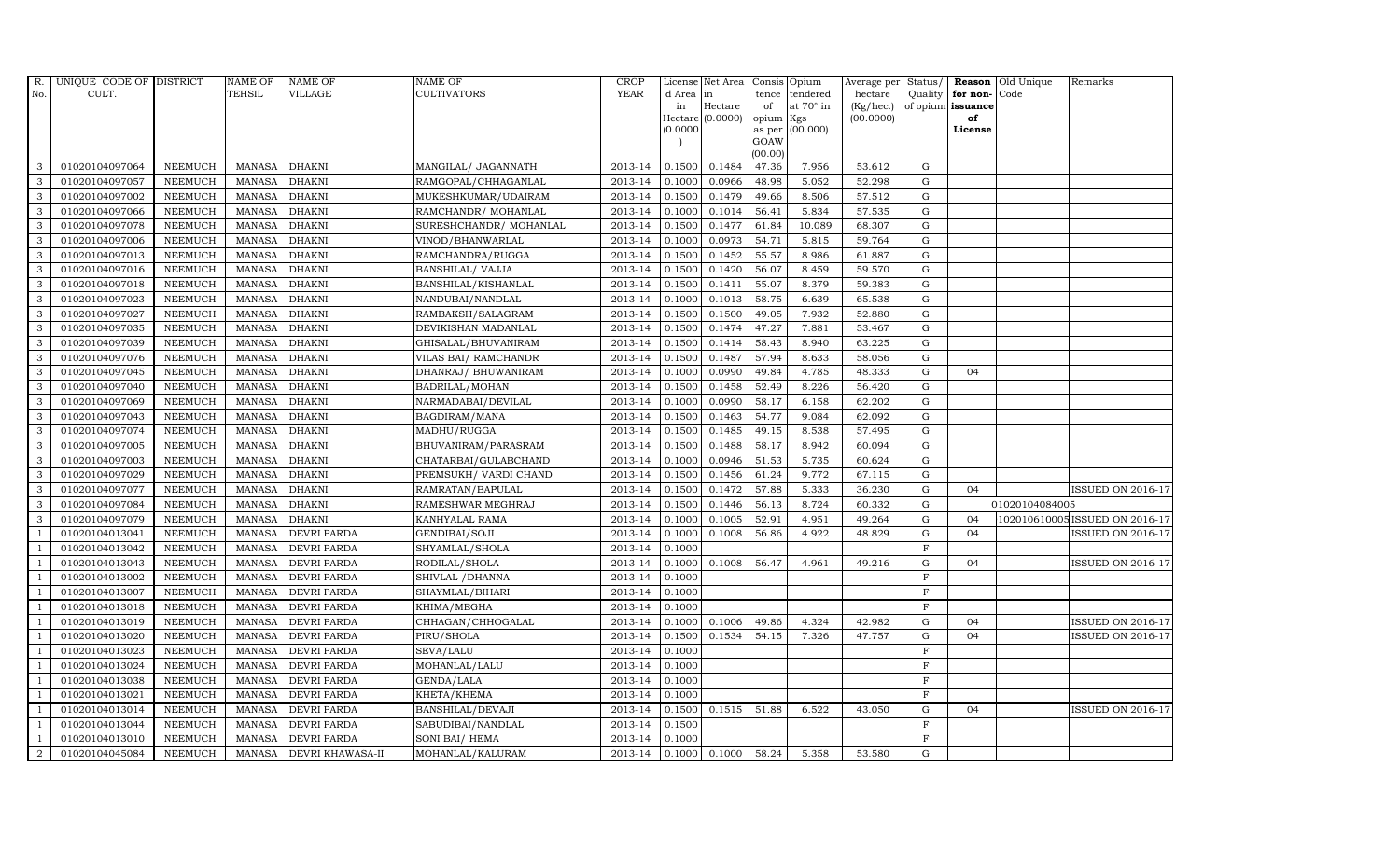| R.             | UNIQUE CODE OF DISTRICT |                | <b>NAME OF</b> | <b>NAME OF</b>          | <b>NAME OF</b>         | CROP        |           | License Net Area   Consis   Opium |           |                  | Average per | Status/     | Reason            | Old Unique     | Remarks                       |
|----------------|-------------------------|----------------|----------------|-------------------------|------------------------|-------------|-----------|-----------------------------------|-----------|------------------|-------------|-------------|-------------------|----------------|-------------------------------|
| No.            | CULT.                   |                | <b>TEHSIL</b>  | <b>VILLAGE</b>          | <b>CULTIVATORS</b>     | <b>YEAR</b> | d Area in |                                   |           | tence tendered   | hectare     | Quality     | for non-          | Code           |                               |
|                |                         |                |                |                         |                        |             | in        | Hectare                           | of        | at $70^\circ$ in | (Kg/hec.)   |             | of opium issuance |                |                               |
|                |                         |                |                |                         |                        |             |           | Hectare (0.0000)                  | opium Kgs |                  | (00.0000)   |             | of<br>License     |                |                               |
|                |                         |                |                |                         |                        |             | (0.0000)  |                                   | GOAW      | as per (00.000)  |             |             |                   |                |                               |
|                |                         |                |                |                         |                        |             |           |                                   | (00.00)   |                  |             |             |                   |                |                               |
| 3              | 01020104097064          | <b>NEEMUCH</b> | MANASA         | <b>DHAKNI</b>           | MANGILAL/ JAGANNATH    | 2013-14     | 0.1500    | 0.1484                            | 47.36     | 7.956            | 53.612      | ${\rm G}$   |                   |                |                               |
| 3              | 01020104097057          | <b>NEEMUCH</b> | MANASA         | <b>DHAKNI</b>           | RAMGOPAL/CHHAGANLAL    | 2013-14     | 0.1000    | 0.0966                            | 48.98     | 5.052            | 52.298      | ${\rm G}$   |                   |                |                               |
| 3              | 01020104097002          | <b>NEEMUCH</b> | <b>MANASA</b>  | <b>DHAKNI</b>           | MUKESHKUMAR/UDAIRAM    | 2013-14     | 0.1500    | 0.1479                            | 49.66     | 8.506            | 57.512      | G           |                   |                |                               |
| 3              | 01020104097066          | <b>NEEMUCH</b> | <b>MANASA</b>  | <b>DHAKNI</b>           | RAMCHANDR/ MOHANLAL    | 2013-14     | 0.1000    | 0.1014                            | 56.41     | 5.834            | 57.535      | $\mathbf G$ |                   |                |                               |
| 3              | 01020104097078          | <b>NEEMUCH</b> | <b>MANASA</b>  | <b>DHAKNI</b>           | SURESHCHANDR/ MOHANLAL | 2013-14     | 0.1500    | 0.1477                            | 61.84     | 10.089           | 68.307      | ${\rm G}$   |                   |                |                               |
| $\mathbf{3}$   | 01020104097006          | <b>NEEMUCH</b> | MANASA         | <b>DHAKNI</b>           | VINOD/BHANWARLAL       | 2013-14     | 0.1000    | 0.0973                            | 54.71     | 5.815            | 59.764      | ${\rm G}$   |                   |                |                               |
| 3              | 01020104097013          | <b>NEEMUCH</b> | <b>MANASA</b>  | <b>DHAKNI</b>           | RAMCHANDRA/RUGGA       | 2013-14     | 0.1500    | 0.1452                            | 55.57     | 8.986            | 61.887      | $\mathbf G$ |                   |                |                               |
| 3              | 01020104097016          | <b>NEEMUCH</b> | <b>MANASA</b>  | <b>DHAKNI</b>           | BANSHILAL/ VAJJA       | 2013-14     | 0.1500    | 0.1420                            | 56.07     | 8.459            | 59.570      | $\mathbf G$ |                   |                |                               |
| 3              | 01020104097018          | <b>NEEMUCH</b> | <b>MANASA</b>  | <b>DHAKNI</b>           | BANSHILAL/KISHANLAL    | 2013-14     | 0.1500    | 0.1411                            | 55.07     | 8.379            | 59.383      | $\mathbf G$ |                   |                |                               |
| 3              | 01020104097023          | <b>NEEMUCH</b> | <b>MANASA</b>  | <b>DHAKNI</b>           | NANDUBAI/NANDLAL       | 2013-14     | 0.1000    | 0.1013                            | 58.75     | 6.639            | 65.538      | ${\rm G}$   |                   |                |                               |
| $\mathbf{3}$   | 01020104097027          | <b>NEEMUCH</b> | <b>MANASA</b>  | <b>DHAKNI</b>           | RAMBAKSH/SALAGRAM      | 2013-14     | 0.1500    | 0.1500                            | 49.05     | 7.932            | 52.880      | ${\rm G}$   |                   |                |                               |
| 3              | 01020104097035          | <b>NEEMUCH</b> | <b>MANASA</b>  | <b>DHAKNI</b>           | DEVIKISHAN MADANLAL    | 2013-14     | 0.1500    | 0.1474                            | 47.27     | 7.881            | 53.467      | ${\rm G}$   |                   |                |                               |
| 3              | 01020104097039          | <b>NEEMUCH</b> | <b>MANASA</b>  | <b>DHAKNI</b>           | GHISALAL/BHUVANIRAM    | 2013-14     | 0.1500    | 0.1414                            | 58.43     | 8.940            | 63.225      | $\mathbf G$ |                   |                |                               |
| 3              | 01020104097076          | <b>NEEMUCH</b> | <b>MANASA</b>  | <b>DHAKNI</b>           | VILAS BAI/ RAMCHANDR   | 2013-14     | 0.1500    | 0.1487                            | 57.94     | 8.633            | 58.056      | $\mathbf G$ |                   |                |                               |
| 3              | 01020104097045          | <b>NEEMUCH</b> | <b>MANASA</b>  | <b>DHAKNI</b>           | DHANRAJ/ BHUWANIRAM    | 2013-14     | 0.1000    | 0.0990                            | 49.84     | 4.785            | 48.333      | G           | 04                |                |                               |
| 3              | 01020104097040          | <b>NEEMUCH</b> | <b>MANASA</b>  | <b>DHAKNI</b>           | BADRILAL/MOHAN         | 2013-14     | 0.1500    | 0.1458                            | 52.49     | 8.226            | 56.420      | ${\rm G}$   |                   |                |                               |
| 3              | 01020104097069          | <b>NEEMUCH</b> | <b>MANASA</b>  | <b>DHAKNI</b>           | NARMADABAI/DEVILAL     | 2013-14     | 0.1000    | 0.0990                            | 58.17     | 6.158            | 62.202      | ${\rm G}$   |                   |                |                               |
| 3              | 01020104097043          | <b>NEEMUCH</b> | MANASA         | <b>DHAKNI</b>           | BAGDIRAM/MANA          | 2013-14     | 0.1500    | 0.1463                            | 54.77     | 9.084            | 62.092      | G           |                   |                |                               |
| 3              | 01020104097074          | <b>NEEMUCH</b> | <b>MANASA</b>  | <b>DHAKNI</b>           | MADHU/RUGGA            | 2013-14     | 0.1500    | 0.1485                            | 49.15     | 8.538            | 57.495      | $\mathbf G$ |                   |                |                               |
| 3              | 01020104097005          | <b>NEEMUCH</b> | <b>MANASA</b>  | <b>DHAKNI</b>           | BHUVANIRAM/PARASRAM    | 2013-14     | 0.1500    | 0.1488                            | 58.17     | 8.942            | 60.094      | ${\rm G}$   |                   |                |                               |
| $\mathbf{3}$   | 01020104097003          | <b>NEEMUCH</b> | <b>MANASA</b>  | <b>DHAKNI</b>           | CHATARBAI/GULABCHAND   | 2013-14     | 0.1000    | 0.0946                            | 51.53     | 5.735            | 60.624      | G           |                   |                |                               |
| 3              | 01020104097029          | <b>NEEMUCH</b> | <b>MANASA</b>  | <b>DHAKNI</b>           | PREMSUKH/ VARDI CHAND  | 2013-14     | 0.1500    | 0.1456                            | 61.24     | 9.772            | 67.115      | ${\rm G}$   |                   |                |                               |
| $\mathbf{3}$   | 01020104097077          | <b>NEEMUCH</b> | MANASA         | <b>DHAKNI</b>           | RAMRATAN/BAPULAL       | 2013-14     | 0.1500    | 0.1472                            | 57.88     | 5.333            | 36.230      | G           | 04                |                | <b>ISSUED ON 2016-17</b>      |
| 3              | 01020104097084          | <b>NEEMUCH</b> | <b>MANASA</b>  | <b>DHAKNI</b>           | RAMESHWAR MEGHRAJ      | 2013-14     | 0.1500    | 0.1446                            | 56.13     | 8.724            | 60.332      | $\mathbf G$ |                   | 01020104084005 |                               |
| 3              | 01020104097079          | <b>NEEMUCH</b> | <b>MANASA</b>  | <b>DHAKNI</b>           | KANHYALAL RAMA         | 2013-14     | 0.1000    | 0.1005                            | 52.91     | 4.951            | 49.264      | $\mathbf G$ | 04                |                | 102010610005ISSUED ON 2016-17 |
| -1             | 01020104013041          | <b>NEEMUCH</b> | <b>MANASA</b>  | <b>DEVRI PARDA</b>      | GENDIBAI/SOJI          | 2013-14     | 0.1000    | 0.1008                            | 56.86     | 4.922            | 48.829      | G           | 04                |                | <b>ISSUED ON 2016-17</b>      |
| -1             | 01020104013042          | <b>NEEMUCH</b> | <b>MANASA</b>  | <b>DEVRI PARDA</b>      | SHYAMLAL/SHOLA         | 2013-14     | 0.1000    |                                   |           |                  |             | $\rm F$     |                   |                |                               |
| $\overline{1}$ | 01020104013043          | <b>NEEMUCH</b> | MANASA         | <b>DEVRI PARDA</b>      | RODILAL/SHOLA          | 2013-14     | 0.1000    | 0.1008                            | 56.47     | 4.961            | 49.216      | G           | 04                |                | <b>ISSUED ON 2016-17</b>      |
| $\overline{1}$ | 01020104013002          | <b>NEEMUCH</b> | <b>MANASA</b>  | <b>DEVRI PARDA</b>      | SHIVLAL / DHANNA       | 2013-14     | 0.1000    |                                   |           |                  |             | $\mathbf F$ |                   |                |                               |
|                | 01020104013007          | <b>NEEMUCH</b> | <b>MANASA</b>  | <b>DEVRI PARDA</b>      | SHAYMLAL/BIHARI        | 2013-14     | 0.1000    |                                   |           |                  |             | $\mathbf F$ |                   |                |                               |
| $\overline{1}$ | 01020104013018          | <b>NEEMUCH</b> | <b>MANASA</b>  | DEVRI PARDA             | KHIMA/MEGHA            | 2013-14     | 0.1000    |                                   |           |                  |             | $_{\rm F}$  |                   |                |                               |
|                | 01020104013019          | <b>NEEMUCH</b> | <b>MANASA</b>  | <b>DEVRI PARDA</b>      | CHHAGAN/CHHOGALAL      | 2013-14     | 0.1000    | 0.1006                            | 49.86     | 4.324            | 42.982      | $\mathbf G$ | 04                |                | <b>ISSUED ON 2016-17</b>      |
| $\overline{1}$ | 01020104013020          | <b>NEEMUCH</b> | <b>MANASA</b>  | <b>DEVRI PARDA</b>      | PIRU/SHOLA             | 2013-14     | 0.1500    | 0.1534                            | 54.15     | 7.326            | 47.757      | $\mathbf G$ | 04                |                | <b>ISSUED ON 2016-17</b>      |
| $\overline{1}$ | 01020104013023          | <b>NEEMUCH</b> | <b>MANASA</b>  | <b>DEVRI PARDA</b>      | SEVA/LALU              | 2013-14     | 0.1000    |                                   |           |                  |             | $\mathbf F$ |                   |                |                               |
|                | 01020104013024          | <b>NEEMUCH</b> | <b>MANASA</b>  | <b>DEVRI PARDA</b>      | MOHANLAL/LALU          | 2013-14     | 0.1000    |                                   |           |                  |             | $\mathbf F$ |                   |                |                               |
| $\overline{1}$ | 01020104013038          | <b>NEEMUCH</b> | <b>MANASA</b>  | <b>DEVRI PARDA</b>      | GENDA/LALA             | 2013-14     | 0.1000    |                                   |           |                  |             | $\mathbf F$ |                   |                |                               |
| $\overline{1}$ | 01020104013021          | <b>NEEMUCH</b> | <b>MANASA</b>  | <b>DEVRI PARDA</b>      | KHETA/KHEMA            | 2013-14     | 0.1000    |                                   |           |                  |             | $\mathbf F$ |                   |                |                               |
| $\mathbf{1}$   | 01020104013014          | <b>NEEMUCH</b> | <b>MANASA</b>  | <b>DEVRI PARDA</b>      | BANSHILAL/DEVAJI       | 2013-14     | 0.1500    | 0.1515                            | 51.88     | 6.522            | 43.050      | $\mathbf G$ | 04                |                | <b>ISSUED ON 2016-17</b>      |
| $\overline{1}$ | 01020104013044          | <b>NEEMUCH</b> | <b>MANASA</b>  | <b>DEVRI PARDA</b>      | SABUDIBAI/NANDLAL      | 2013-14     | 0.1500    |                                   |           |                  |             | $\mathbf F$ |                   |                |                               |
|                | 01020104013010          | <b>NEEMUCH</b> | <b>MANASA</b>  | <b>DEVRI PARDA</b>      | SONI BAI/ HEMA         | 2013-14     | 0.1000    |                                   |           |                  |             | $\mathbf F$ |                   |                |                               |
| $\overline{a}$ | 01020104045084          | <b>NEEMUCH</b> |                | MANASA DEVRI KHAWASA-II | MOHANLAL/KALURAM       | 2013-14     |           | $0.1000 \quad 0.1000$             | 58.24     | 5.358            | 53.580      | G           |                   |                |                               |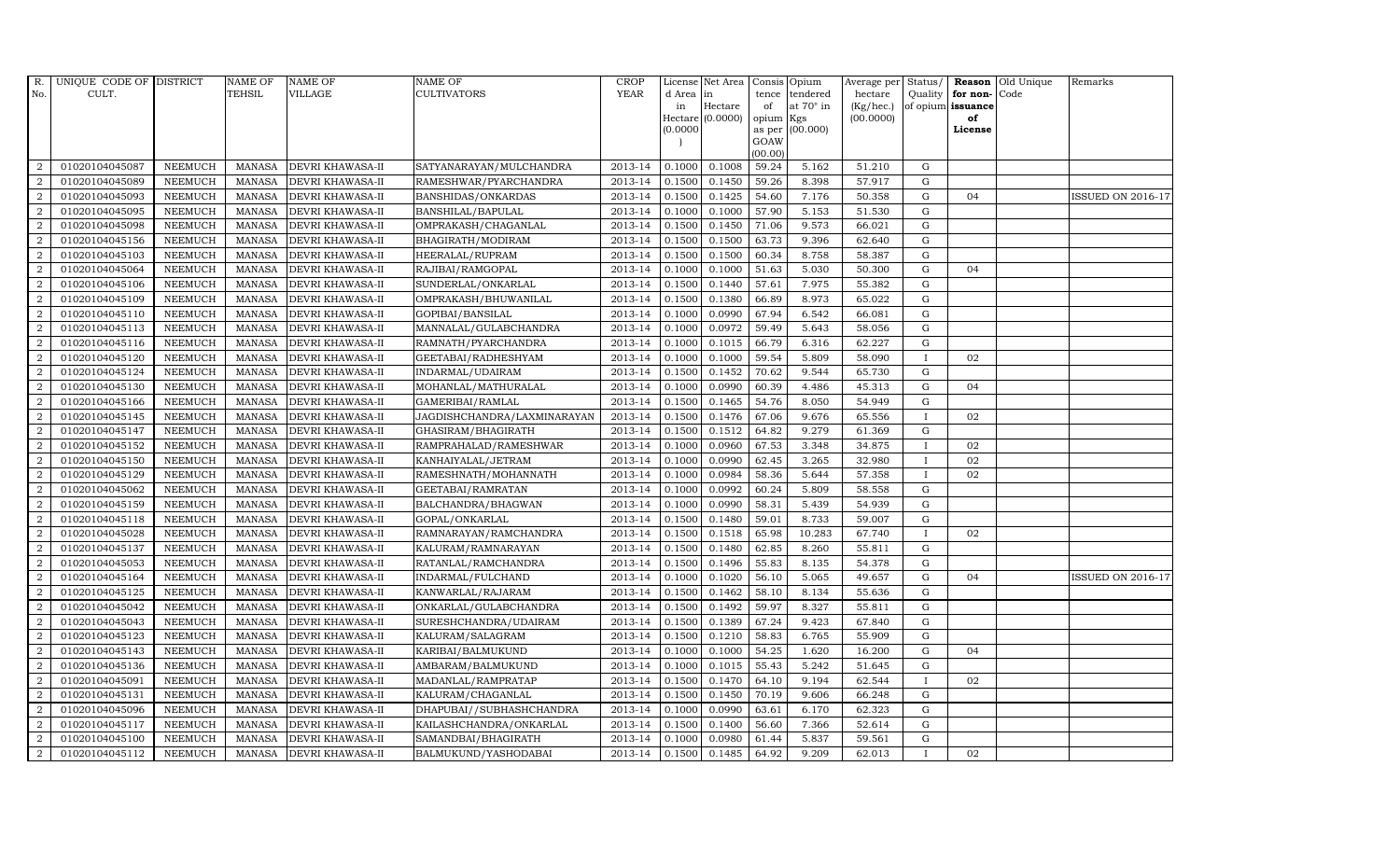| $R_{\cdot}$      | UNIQUE CODE OF DISTRICT |                | <b>NAME OF</b> | <b>NAME OF</b>          | <b>NAME OF</b>              | CROP    |           | License Net Area   Consis   Opium |           |                  | Average per Status/ |              |                   | <b>Reason</b> Old Unique | Remarks                  |
|------------------|-------------------------|----------------|----------------|-------------------------|-----------------------------|---------|-----------|-----------------------------------|-----------|------------------|---------------------|--------------|-------------------|--------------------------|--------------------------|
| No.              | CULT.                   |                | TEHSIL         | VILLAGE                 | <b>CULTIVATORS</b>          | YEAR    | d Area in |                                   |           | tence tendered   | hectare             | Quality      | for non-          | Code                     |                          |
|                  |                         |                |                |                         |                             |         | in        | Hectare                           | of        | at $70^\circ$ in | (Kg/hec.)           |              | of opium issuance |                          |                          |
|                  |                         |                |                |                         |                             |         |           | Hectare (0.0000)                  | opium Kgs |                  | (00.0000)           |              | of                |                          |                          |
|                  |                         |                |                |                         |                             |         | (0.0000)  |                                   | GOAW      | as per (00.000)  |                     |              | License           |                          |                          |
|                  |                         |                |                |                         |                             |         |           |                                   | (00.00)   |                  |                     |              |                   |                          |                          |
| 2                | 01020104045087          | <b>NEEMUCH</b> | MANASA         | <b>DEVRI KHAWASA-II</b> | SATYANARAYAN/MULCHANDRA     | 2013-14 | 0.1000    | 0.1008                            | 59.24     | 5.162            | 51.210              | G            |                   |                          |                          |
| 2                | 01020104045089          | <b>NEEMUCH</b> | <b>MANASA</b>  | DEVRI KHAWASA-II        | RAMESHWAR/PYARCHANDRA       | 2013-14 | 0.1500    | 0.1450                            | 59.26     | 8.398            | 57.917              | $\mathbf G$  |                   |                          |                          |
| 2                | 01020104045093          | <b>NEEMUCH</b> | <b>MANASA</b>  | DEVRI KHAWASA-II        | BANSHIDAS/ONKARDAS          | 2013-14 | 0.1500    | 0.1425                            | 54.60     | 7.176            | 50.358              | G            | 04                |                          | ISSUED ON 2016-17        |
| 2                | 01020104045095          | <b>NEEMUCH</b> | <b>MANASA</b>  | <b>DEVRI KHAWASA-II</b> | BANSHILAL/BAPULAL           | 2013-14 | 0.1000    | 0.1000                            | 57.90     | 5.153            | 51.530              | G            |                   |                          |                          |
| $\overline{2}$   | 01020104045098          | <b>NEEMUCH</b> | <b>MANASA</b>  | DEVRI KHAWASA-II        | OMPRAKASH/CHAGANLAL         | 2013-14 | 0.1500    | 0.1450                            | 71.06     | 9.573            | 66.021              | ${\bf G}$    |                   |                          |                          |
| $\overline{2}$   | 01020104045156          | <b>NEEMUCH</b> | <b>MANASA</b>  | DEVRI KHAWASA-II        | BHAGIRATH/MODIRAM           | 2013-14 | 0.1500    | 0.1500                            | 63.73     | 9.396            | 62.640              | ${\rm G}$    |                   |                          |                          |
| 2                | 01020104045103          | <b>NEEMUCH</b> | <b>MANASA</b>  | DEVRI KHAWASA-II        | HEERALAL/RUPRAM             | 2013-14 | 0.1500    | 0.1500                            | 60.34     | 8.758            | 58.387              | $\mathbf G$  |                   |                          |                          |
| 2                | 01020104045064          | <b>NEEMUCH</b> | <b>MANASA</b>  | DEVRI KHAWASA-II        | RAJIBAI/RAMGOPAL            | 2013-14 | 0.1000    | 0.1000                            | 51.63     | 5.030            | 50.300              | $\mathbf G$  | 04                |                          |                          |
| $\overline{2}$   | 01020104045106          | <b>NEEMUCH</b> | <b>MANASA</b>  | DEVRI KHAWASA-II        | SUNDERLAL/ONKARLAL          | 2013-14 | 0.1500    | 0.1440                            | 57.61     | 7.975            | 55.382              | G            |                   |                          |                          |
| 2                | 01020104045109          | <b>NEEMUCH</b> | <b>MANASA</b>  | DEVRI KHAWASA-II        | OMPRAKASH/BHUWANILAL        | 2013-14 | 0.1500    | 0.1380                            | 66.89     | 8.973            | 65.022              | G            |                   |                          |                          |
| $\overline{2}$   | 01020104045110          | <b>NEEMUCH</b> | <b>MANASA</b>  | DEVRI KHAWASA-II        | GOPIBAI/BANSILAL            | 2013-14 | 0.1000    | 0.0990                            | 67.94     | 6.542            | 66.081              | G            |                   |                          |                          |
| $\overline{2}$   | 01020104045113          | NEEMUCH        | <b>MANASA</b>  | DEVRI KHAWASA-II        | MANNALAL/GULABCHANDRA       | 2013-14 | 0.1000    | 0.0972                            | 59.49     | 5.643            | 58.056              | ${\rm G}$    |                   |                          |                          |
| 2                | 01020104045116          | <b>NEEMUCH</b> | MANASA         | DEVRI KHAWASA-II        | RAMNATH/PYARCHANDRA         | 2013-14 | 0.1000    | 0.1015                            | 66.79     | 6.316            | 62.227              | G            |                   |                          |                          |
| $\overline{2}$   | 01020104045120          | <b>NEEMUCH</b> | <b>MANASA</b>  | DEVRI KHAWASA-II        | GEETABAI/RADHESHYAM         | 2013-14 | 0.1000    | 0.1000                            | 59.54     | 5.809            | 58.090              | $\mathbf{I}$ | 02                |                          |                          |
| $\boldsymbol{2}$ | 01020104045124          | <b>NEEMUCH</b> | <b>MANASA</b>  | DEVRI KHAWASA-II        | INDARMAL/UDAIRAM            | 2013-14 | 0.1500    | 0.1452                            | 70.62     | 9.544            | 65.730              | ${\rm G}$    |                   |                          |                          |
| $\overline{2}$   | 01020104045130          | <b>NEEMUCH</b> | <b>MANASA</b>  | DEVRI KHAWASA-II        | MOHANLAL/MATHURALAL         | 2013-14 | 0.1000    | 0.0990                            | 60.39     | 4.486            | 45.313              | G            | 04                |                          |                          |
| 2                | 01020104045166          | <b>NEEMUCH</b> | <b>MANASA</b>  | DEVRI KHAWASA-II        | GAMERIBAI/RAMLAL            | 2013-14 | 0.1500    | 0.1465                            | 54.76     | 8.050            | 54.949              | $\mathbf G$  |                   |                          |                          |
| $\overline{2}$   | 01020104045145          | <b>NEEMUCH</b> | <b>MANASA</b>  | DEVRI KHAWASA-II        | JAGDISHCHANDRA/LAXMINARAYAN | 2013-14 | 0.1500    | 0.1476                            | 67.06     | 9.676            | 65.556              | $\mathbf{I}$ | 02                |                          |                          |
| 2                | 01020104045147          | <b>NEEMUCH</b> | <b>MANASA</b>  | DEVRI KHAWASA-II        | GHASIRAM/BHAGIRATH          | 2013-14 | 0.1500    | 0.1512                            | 64.82     | 9.279            | 61.369              | G            |                   |                          |                          |
| $\overline{2}$   | 01020104045152          | <b>NEEMUCH</b> | <b>MANASA</b>  | DEVRI KHAWASA-II        | RAMPRAHALAD/RAMESHWAR       | 2013-14 | 0.1000    | 0.0960                            | 67.53     | 3.348            | 34.875              | $\mathbf{I}$ | 02                |                          |                          |
| 2                | 01020104045150          | <b>NEEMUCH</b> | <b>MANASA</b>  | DEVRI KHAWASA-II        | KANHAIYALAL/JETRAM          | 2013-14 | 0.1000    | 0.0990                            | 62.45     | 3.265            | 32.980              | $\bf{I}$     | 02                |                          |                          |
| $\overline{2}$   | 01020104045129          | <b>NEEMUCH</b> | <b>MANASA</b>  | DEVRI KHAWASA-II        | RAMESHNATH/MOHANNATH        | 2013-14 | 0.1000    | 0.0984                            | 58.36     | 5.644            | 57.358              | $\mathbf{I}$ | 02                |                          |                          |
| $\overline{2}$   | 01020104045062          | <b>NEEMUCH</b> | <b>MANASA</b>  | DEVRI KHAWASA-II        | GEETABAI/RAMRATAN           | 2013-14 | 0.1000    | 0.0992                            | 60.24     | 5.809            | 58.558              | ${\rm G}$    |                   |                          |                          |
| 2                | 01020104045159          | <b>NEEMUCH</b> | <b>MANASA</b>  | <b>DEVRI KHAWASA-II</b> | BALCHANDRA/BHAGWAN          | 2013-14 | 0.1000    | 0.0990                            | 58.31     | 5.439            | 54.939              | $\mathbf G$  |                   |                          |                          |
| $\overline{2}$   | 01020104045118          | <b>NEEMUCH</b> | <b>MANASA</b>  | DEVRI KHAWASA-II        | GOPAL/ONKARLAL              | 2013-14 | 0.1500    | 0.1480                            | 59.01     | 8.733            | 59.007              | G            |                   |                          |                          |
| $\overline{2}$   | 01020104045028          | <b>NEEMUCH</b> | <b>MANASA</b>  | DEVRI KHAWASA-II        | RAMNARAYAN/RAMCHANDRA       | 2013-14 | 0.1500    | 0.1518                            | 65.98     | 10.283           | 67.740              | $\bf{I}$     | 02                |                          |                          |
| 2                | 01020104045137          | <b>NEEMUCH</b> | <b>MANASA</b>  | DEVRI KHAWASA-II        | KALURAM/RAMNARAYAN          | 2013-14 | 0.1500    | 0.1480                            | 62.85     | 8.260            | 55.811              | G            |                   |                          |                          |
| 2                | 01020104045053          | <b>NEEMUCH</b> | <b>MANASA</b>  | DEVRI KHAWASA-II        | RATANLAL/RAMCHANDRA         | 2013-14 | 0.1500    | 0.1496                            | 55.83     | 8.135            | 54.378              | $\mathbf G$  |                   |                          |                          |
| $\overline{2}$   | 01020104045164          | <b>NEEMUCH</b> | <b>MANASA</b>  | DEVRI KHAWASA-II        | INDARMAL/FULCHAND           | 2013-14 | 0.1000    | 0.1020                            | 56.10     | 5.065            | 49.657              | ${\rm G}$    | 0 <sub>4</sub>    |                          | <b>ISSUED ON 2016-17</b> |
| $\overline{2}$   | 01020104045125          | <b>NEEMUCH</b> | <b>MANASA</b>  | DEVRI KHAWASA-II        | KANWARLAL/RAJARAM           | 2013-14 | 0.1500    | 0.1462                            | 58.10     | 8.134            | 55.636              | G            |                   |                          |                          |
| $\overline{2}$   | 01020104045042          | <b>NEEMUCH</b> | <b>MANASA</b>  | DEVRI KHAWASA-II        | ONKARLAL/GULABCHANDRA       | 2013-14 | 0.1500    | 0.1492                            | 59.97     | 8.327            | 55.811              | $\mathbf G$  |                   |                          |                          |
| 2                | 01020104045043          | <b>NEEMUCH</b> | <b>MANASA</b>  | DEVRI KHAWASA-II        | SURESHCHANDRA/UDAIRAM       | 2013-14 | 0.1500    | 0.1389                            | 67.24     | 9.423            | 67.840              | G            |                   |                          |                          |
| $\overline{2}$   | 01020104045123          | <b>NEEMUCH</b> | <b>MANASA</b>  | DEVRI KHAWASA-II        | KALURAM/SALAGRAM            | 2013-14 | 0.1500    | 0.1210                            | 58.83     | 6.765            | 55.909              | $\mathbf G$  |                   |                          |                          |
| $\overline{2}$   | 01020104045143          | <b>NEEMUCH</b> | <b>MANASA</b>  | DEVRI KHAWASA-II        | KARIBAI/BALMUKUND           | 2013-14 | 0.1000    | 0.1000                            | 54.25     | 1.620            | 16.200              | ${\rm G}$    | 04                |                          |                          |
| 2                | 01020104045136          | <b>NEEMUCH</b> | <b>MANASA</b>  | DEVRI KHAWASA-II        | AMBARAM/BALMUKUND           | 2013-14 | 0.1000    | 0.1015                            | 55.43     | 5.242            | 51.645              | G            |                   |                          |                          |
| $\overline{2}$   | 01020104045091          | <b>NEEMUCH</b> | <b>MANASA</b>  | DEVRI KHAWASA-II        | MADANLAL/RAMPRATAP          | 2013-14 | 0.1500    | 0.1470                            | 64.10     | 9.194            | 62.544              |              | 02                |                          |                          |
| $\overline{a}$   | 01020104045131          | <b>NEEMUCH</b> | <b>MANASA</b>  | DEVRI KHAWASA-II        | KALURAM/CHAGANLAL           | 2013-14 | 0.1500    | 0.1450                            | 70.19     | 9.606            | 66.248              | G            |                   |                          |                          |
| $\overline{2}$   | 01020104045096          | <b>NEEMUCH</b> | <b>MANASA</b>  | DEVRI KHAWASA-II        | DHAPUBAI//SUBHASHCHANDRA    | 2013-14 | 0.1000    | 0.0990                            | 63.61     | 6.170            | 62.323              | ${\rm G}$    |                   |                          |                          |
| $\overline{2}$   | 01020104045117          | <b>NEEMUCH</b> | <b>MANASA</b>  | DEVRI KHAWASA-II        | KAILASHCHANDRA/ONKARLAL     | 2013-14 | 0.1500    | 0.1400                            | 56.60     | 7.366            | 52.614              | G            |                   |                          |                          |
| 2                | 01020104045100          | <b>NEEMUCH</b> | <b>MANASA</b>  | DEVRI KHAWASA-II        | SAMANDBAI/BHAGIRATH         | 2013-14 | 0.1000    | 0.0980                            | 61.44     | 5.837            | 59.561              | $\mathbf G$  |                   |                          |                          |
| $\overline{2}$   | 01020104045112          | <b>NEEMUCH</b> |                | MANASA DEVRI KHAWASA-II | BALMUKUND/YASHODABAI        | 2013-14 | 0.1500    | 0.1485                            | 64.92     | 9.209            | 62.013              | $\mathbf{I}$ | 02                |                          |                          |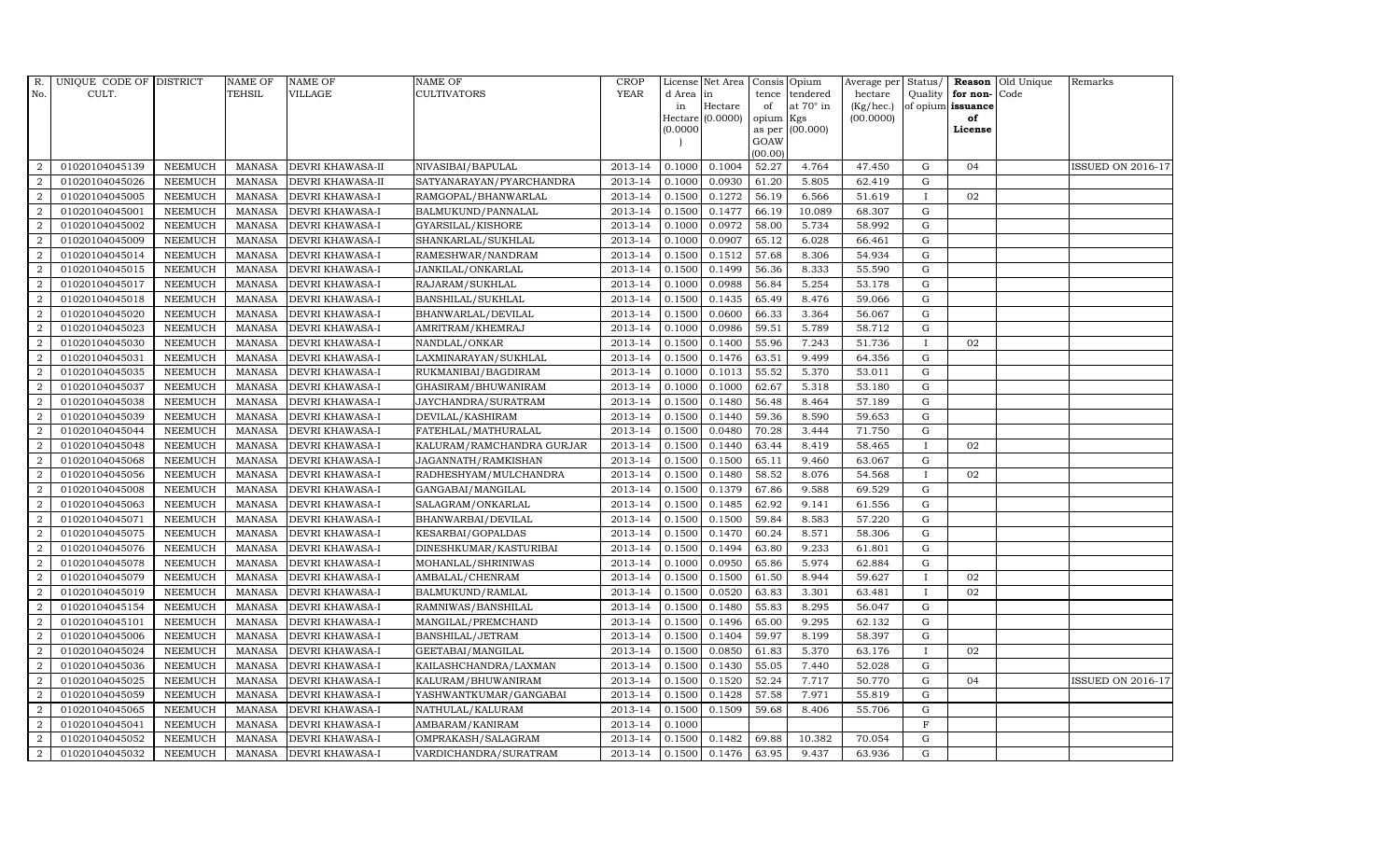| R.             | UNIQUE CODE OF DISTRICT |                | <b>NAME OF</b> | <b>NAME OF</b>          | <b>NAME OF</b>            | <b>CROP</b> |           | License Net Area | Consis Opium   |                  |           |              |                      | Average per Status/ Reason Old Unique | Remarks                  |
|----------------|-------------------------|----------------|----------------|-------------------------|---------------------------|-------------|-----------|------------------|----------------|------------------|-----------|--------------|----------------------|---------------------------------------|--------------------------|
| No.            | CULT.                   |                | <b>TEHSIL</b>  | <b>VILLAGE</b>          | CULTIVATORS               | <b>YEAR</b> | d Area in |                  | tence          | tendered         | hectare   |              | Quality for non-Code |                                       |                          |
|                |                         |                |                |                         |                           |             | in        | Hectare          | of             | at $70^\circ$ in | (Kg/hec.) |              | of opium issuance    |                                       |                          |
|                |                         |                |                |                         |                           |             |           | Hectare (0.0000) | opium          | Kgs              | (00.0000) |              | of                   |                                       |                          |
|                |                         |                |                |                         |                           |             | (0.0000)  |                  | as per<br>GOAW | (00.000)         |           |              | License              |                                       |                          |
|                |                         |                |                |                         |                           |             |           |                  | (00.00)        |                  |           |              |                      |                                       |                          |
| 2              | 01020104045139          | <b>NEEMUCH</b> | MANASA         | <b>DEVRI KHAWASA-II</b> | NIVASIBAI/BAPULAL         | 2013-14     | 0.1000    | 0.1004           | 52.27          | 4.764            | 47.450    | G            | 04                   |                                       | ISSUED ON 2016-17        |
| $\overline{2}$ | 01020104045026          | <b>NEEMUCH</b> | <b>MANASA</b>  | DEVRI KHAWASA-II        | SATYANARAYAN/PYARCHANDRA  | 2013-14     | 0.1000    | 0.0930           | 61.20          | 5.805            | 62.419    | G            |                      |                                       |                          |
| 2              | 01020104045005          | <b>NEEMUCH</b> | <b>MANASA</b>  | <b>DEVRI KHAWASA-I</b>  | RAMGOPAL/BHANWARLAL       | 2013-14     | 0.1500    | 0.1272           | 56.19          | 6.566            | 51.619    | $\mathbf{I}$ | 02                   |                                       |                          |
| $\overline{2}$ | 01020104045001          | <b>NEEMUCH</b> | <b>MANASA</b>  | <b>DEVRI KHAWASA-I</b>  | BALMUKUND/PANNALAL        | 2013-14     | 0.1500    | 0.1477           | 66.19          | 10.089           | 68.307    | G            |                      |                                       |                          |
| $\overline{a}$ | 01020104045002          | <b>NEEMUCH</b> | <b>MANASA</b>  | DEVRI KHAWASA-I         | GYARSILAL/KISHORE         | 2013-14     | 0.1000    | 0.0972           | 58.00          | 5.734            | 58.992    | G            |                      |                                       |                          |
| 2              | 01020104045009          | <b>NEEMUCH</b> | <b>MANASA</b>  | DEVRI KHAWASA-I         | SHANKARLAL/SUKHLAL        | 2013-14     | 0.1000    | 0.0907           | 65.12          | 6.028            | 66.461    | G            |                      |                                       |                          |
| 2              | 01020104045014          | <b>NEEMUCH</b> | <b>MANASA</b>  | <b>DEVRI KHAWASA-I</b>  | RAMESHWAR/NANDRAM         | 2013-14     | 0.1500    | 0.1512           | 57.68          | 8.306            | 54.934    | G            |                      |                                       |                          |
| 2              | 01020104045015          | <b>NEEMUCH</b> | <b>MANASA</b>  | DEVRI KHAWASA-I         | JANKILAL/ONKARLAL         | 2013-14     | 0.1500    | 0.1499           | 56.36          | 8.333            | 55.590    | G            |                      |                                       |                          |
| $\overline{2}$ | 01020104045017          | <b>NEEMUCH</b> | <b>MANASA</b>  | <b>DEVRI KHAWASA-I</b>  | RAJARAM/SUKHLAL           | 2013-14     | 0.1000    | 0.0988           | 56.84          | 5.254            | 53.178    | G            |                      |                                       |                          |
| $\overline{2}$ | 01020104045018          | <b>NEEMUCH</b> | <b>MANASA</b>  | <b>DEVRI KHAWASA-I</b>  | BANSHILAL/SUKHLAL         | 2013-14     | 0.1500    | 0.1435           | 65.49          | 8.476            | 59.066    | G            |                      |                                       |                          |
| $\overline{a}$ | 01020104045020          | <b>NEEMUCH</b> | <b>MANASA</b>  | <b>DEVRI KHAWASA-I</b>  | BHANWARLAL/DEVILAL        | 2013-14     | 0.1500    | 0.0600           | 66.33          | 3.364            | 56.067    | G            |                      |                                       |                          |
| $\overline{2}$ | 01020104045023          | <b>NEEMUCH</b> | MANASA         | <b>DEVRI KHAWASA-I</b>  | AMRITRAM/KHEMRAJ          | 2013-14     | 0.1000    | 0.0986           | 59.51          | 5.789            | 58.712    | $\mathbf G$  |                      |                                       |                          |
| 2              | 01020104045030          | <b>NEEMUCH</b> | <b>MANASA</b>  | <b>DEVRI KHAWASA-I</b>  | NANDLAL/ONKAR             | 2013-14     | 0.1500    | 0.1400           | 55.96          | 7.243            | 51.736    | $\mathbf{I}$ | 02                   |                                       |                          |
| $\overline{2}$ | 01020104045031          | <b>NEEMUCH</b> | <b>MANASA</b>  | <b>DEVRI KHAWASA-I</b>  | LAXMINARAYAN/SUKHLAL      | 2013-14     | 0.1500    | 0.1476           | 63.51          | 9.499            | 64.356    | G            |                      |                                       |                          |
| $\overline{2}$ | 01020104045035          | <b>NEEMUCH</b> | <b>MANASA</b>  | DEVRI KHAWASA-I         | RUKMANIBAI/BAGDIRAM       | 2013-14     | 0.1000    | 0.1013           | 55.52          | 5.370            | 53.011    | G            |                      |                                       |                          |
| $\overline{2}$ | 01020104045037          | <b>NEEMUCH</b> | <b>MANASA</b>  | <b>DEVRI KHAWASA-I</b>  | GHASIRAM/BHUWANIRAM       | 2013-14     | 0.1000    | 0.1000           | 62.67          | 5.318            | 53.180    | G            |                      |                                       |                          |
| $\overline{2}$ | 01020104045038          | <b>NEEMUCH</b> | <b>MANASA</b>  | <b>DEVRI KHAWASA-I</b>  | JAYCHANDRA/SURATRAM       | 2013-14     | 0.1500    | 0.1480           | 56.48          | 8.464            | 57.189    | G            |                      |                                       |                          |
| 2              | 01020104045039          | <b>NEEMUCH</b> | <b>MANASA</b>  | <b>DEVRI KHAWASA-I</b>  | DEVILAL/KASHIRAM          | 2013-14     | 0.1500    | 0.1440           | 59.36          | 8.590            | 59.653    | $\mathbf G$  |                      |                                       |                          |
| $\overline{2}$ | 01020104045044          | <b>NEEMUCH</b> | <b>MANASA</b>  | <b>DEVRI KHAWASA-I</b>  | FATEHLAL/MATHURALAL       | 2013-14     | 0.1500    | 0.0480           | 70.28          | 3.444            | 71.750    | G            |                      |                                       |                          |
| 2              | 01020104045048          | <b>NEEMUCH</b> | <b>MANASA</b>  | <b>DEVRI KHAWASA-I</b>  | KALURAM/RAMCHANDRA GURJAR | 2013-14     | 0.1500    | 0.1440           | 63.44          | 8.419            | 58.465    | $\mathbf{I}$ | 02                   |                                       |                          |
| $\overline{a}$ | 01020104045068          | <b>NEEMUCH</b> | <b>MANASA</b>  | DEVRI KHAWASA-I         | JAGANNATH/RAMKISHAN       | 2013-14     | 0.1500    | 0.1500           | 65.11          | 9.460            | 63.067    | G            |                      |                                       |                          |
| $\overline{a}$ | 01020104045056          | <b>NEEMUCH</b> | <b>MANASA</b>  | DEVRI KHAWASA-I         | RADHESHYAM/MULCHANDRA     | 2013-14     | 0.1500    | 0.1480           | 58.52          | 8.076            | 54.568    | $\mathbf{I}$ | 02                   |                                       |                          |
| $\overline{2}$ | 01020104045008          | <b>NEEMUCH</b> | MANASA         | <b>DEVRI KHAWASA-I</b>  | GANGABAI/MANGILAL         | 2013-14     | 0.1500    | 0.1379           | 67.86          | 9.588            | 69.529    | G            |                      |                                       |                          |
| $\overline{2}$ | 01020104045063          | <b>NEEMUCH</b> | <b>MANASA</b>  | <b>DEVRI KHAWASA-I</b>  | SALAGRAM/ONKARLAL         | 2013-14     | 0.1500    | 0.1485           | 62.92          | 9.141            | 61.556    | G            |                      |                                       |                          |
| $\sqrt{2}$     | 01020104045071          | <b>NEEMUCH</b> | <b>MANASA</b>  | DEVRI KHAWASA-I         | BHANWARBAI/DEVILAL        | 2013-14     | 0.1500    | 0.1500           | 59.84          | 8.583            | 57.220    | G            |                      |                                       |                          |
| 2              | 01020104045075          | <b>NEEMUCH</b> | <b>MANASA</b>  | <b>DEVRI KHAWASA-I</b>  | KESARBAI/GOPALDAS         | 2013-14     | 0.1500    | 0.1470           | 60.24          | 8.571            | 58.306    | G            |                      |                                       |                          |
| $\overline{a}$ | 01020104045076          | <b>NEEMUCH</b> | <b>MANASA</b>  | DEVRI KHAWASA-I         | DINESHKUMAR/KASTURIBAI    | 2013-14     | 0.1500    | 0.1494           | 63.80          | 9.233            | 61.801    | G            |                      |                                       |                          |
| $\overline{a}$ | 01020104045078          | <b>NEEMUCH</b> | <b>MANASA</b>  | <b>DEVRI KHAWASA-I</b>  | MOHANLAL/SHRINIWAS        | 2013-14     | 0.1000    | 0.0950           | 65.86          | 5.974            | 62.884    | G            |                      |                                       |                          |
| 2              | 01020104045079          | <b>NEEMUCH</b> | <b>MANASA</b>  | <b>DEVRI KHAWASA-I</b>  | AMBALAL/CHENRAM           | 2013-14     | 0.1500    | 0.1500           | 61.50          | 8.944            | 59.627    | $\mathbf{I}$ | 02                   |                                       |                          |
| $\overline{2}$ | 01020104045019          | <b>NEEMUCH</b> | <b>MANASA</b>  | DEVRI KHAWASA-I         | BALMUKUND/RAMLAL          | 2013-14     | 0.1500    | 0.0520           | 63.83          | 3.301            | 63.481    | $\mathbf I$  | 02                   |                                       |                          |
| $\overline{2}$ | 01020104045154          | <b>NEEMUCH</b> | <b>MANASA</b>  | DEVRI KHAWASA-I         | RAMNIWAS/BANSHILAL        | 2013-14     | 0.1500    | 0.1480           | 55.83          | 8.295            | 56.047    | G            |                      |                                       |                          |
| $\overline{2}$ | 01020104045101          | <b>NEEMUCH</b> | <b>MANASA</b>  | DEVRI KHAWASA-I         | MANGILAL/PREMCHAND        | 2013-14     | 0.1500    | 0.1496           | 65.00          | 9.295            | 62.132    | G            |                      |                                       |                          |
| $\overline{2}$ | 01020104045006          | <b>NEEMUCH</b> | <b>MANASA</b>  | DEVRI KHAWASA-I         | BANSHILAL/JETRAM          | 2013-14     | 0.1500    | 0.1404           | 59.97          | 8.199            | 58.397    | G            |                      |                                       |                          |
| $\overline{2}$ | 01020104045024          | <b>NEEMUCH</b> | <b>MANASA</b>  | <b>DEVRI KHAWASA-I</b>  | GEETABAI/MANGILAL         | 2013-14     | 0.1500    | 0.0850           | 61.83          | 5.370            | 63.176    | $\mathbf{I}$ | 02                   |                                       |                          |
| $\overline{2}$ | 01020104045036          | <b>NEEMUCH</b> | <b>MANASA</b>  | DEVRI KHAWASA-I         | KAILASHCHANDRA/LAXMAN     | 2013-14     | 0.1500    | 0.1430           | 55.05          | 7.440            | 52.028    | G            |                      |                                       |                          |
| $\overline{2}$ | 01020104045025          | <b>NEEMUCH</b> | <b>MANASA</b>  | DEVRI KHAWASA-I         | KALURAM/BHUWANIRAM        | 2013-14     | 0.1500    | 0.1520           | 52.24          | 7.717            | 50.770    | G            | 04                   |                                       | <b>ISSUED ON 2016-17</b> |
| $\overline{2}$ | 01020104045059          | <b>NEEMUCH</b> | <b>MANASA</b>  | DEVRI KHAWASA-I         | YASHWANTKUMAR/GANGABAI    | 2013-14     | 0.1500    | 0.1428           | 57.58          | 7.971            | 55.819    | G            |                      |                                       |                          |
| $\overline{a}$ | 01020104045065          | <b>NEEMUCH</b> | <b>MANASA</b>  | DEVRI KHAWASA-I         | NATHULAL/KALURAM          | 2013-14     | 0.1500    | 0.1509           | 59.68          | 8.406            | 55.706    | G            |                      |                                       |                          |
| $\overline{2}$ | 01020104045041          | <b>NEEMUCH</b> | <b>MANASA</b>  | <b>DEVRI KHAWASA-I</b>  | AMBARAM/KANIRAM           | 2013-14     | 0.1000    |                  |                |                  |           | $\mathbf{F}$ |                      |                                       |                          |
| 2              | 01020104045052          | <b>NEEMUCH</b> | <b>MANASA</b>  | <b>DEVRI KHAWASA-I</b>  | OMPRAKASH/SALAGRAM        | 2013-14     | 0.1500    | 0.1482           | 69.88          | 10.382           | 70.054    | G            |                      |                                       |                          |
| $\overline{a}$ | 01020104045032          | <b>NEEMUCH</b> | MANASA         | <b>DEVRI KHAWASA-I</b>  | VARDICHANDRA/SURATRAM     | 2013-14     | 0.1500    | 0.1476           | 63.95          | 9.437            | 63.936    | G            |                      |                                       |                          |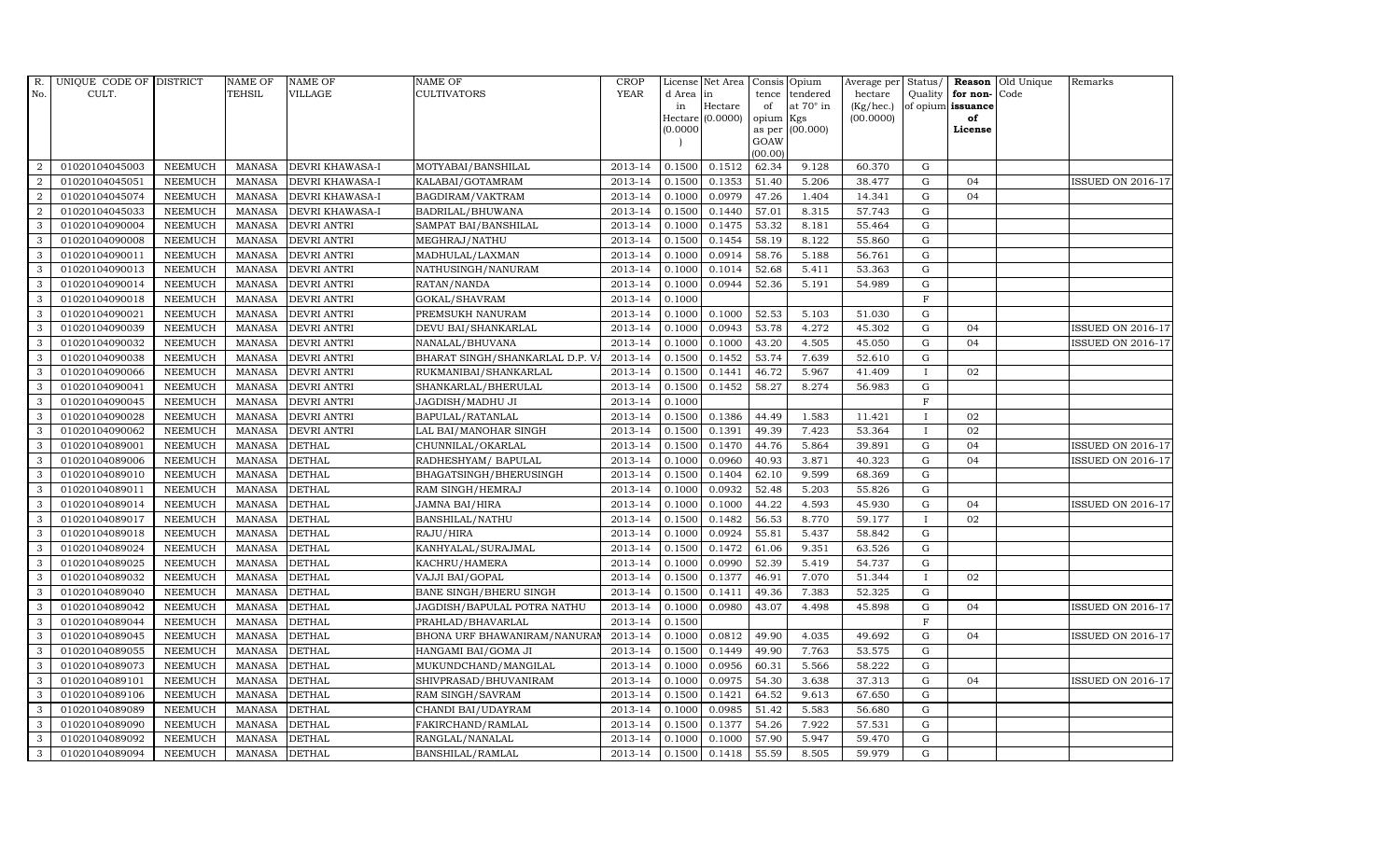| R.               | UNIQUE CODE OF DISTRICT |                | <b>NAME OF</b> | <b>NAME OF</b>         | <b>NAME OF</b>                 | CROP        |           | License Net Area   Consis   Opium |           |                  | Average per Status/ |              |                   | <b>Reason</b> Old Unique | Remarks                  |
|------------------|-------------------------|----------------|----------------|------------------------|--------------------------------|-------------|-----------|-----------------------------------|-----------|------------------|---------------------|--------------|-------------------|--------------------------|--------------------------|
| No.              | CULT.                   |                | <b>TEHSIL</b>  | VILLAGE                | <b>CULTIVATORS</b>             | <b>YEAR</b> | d Area in |                                   |           | tence tendered   | hectare             | Quality      | for non-          | Code                     |                          |
|                  |                         |                |                |                        |                                |             | in        | Hectare                           | of        | at $70^\circ$ in | (Kg/hec.)           |              | of opium issuance |                          |                          |
|                  |                         |                |                |                        |                                |             |           | $Hectare (0.0000)$                | opium Kgs |                  | (00.0000)           |              | of                |                          |                          |
|                  |                         |                |                |                        |                                |             | (0.0000)  |                                   | GOAW      | as per (00.000)  |                     |              | License           |                          |                          |
|                  |                         |                |                |                        |                                |             |           |                                   | (00.00)   |                  |                     |              |                   |                          |                          |
| 2                | 01020104045003          | <b>NEEMUCH</b> | MANASA         | DEVRI KHAWASA-I        | MOTYABAI/BANSHILAL             | 2013-14     | 0.1500    | 0.1512                            | 62.34     | 9.128            | 60.370              | G            |                   |                          |                          |
| 2                | 01020104045051          | <b>NEEMUCH</b> | <b>MANASA</b>  | <b>DEVRI KHAWASA-I</b> | KALABAI/GOTAMRAM               | 2013-14     | 0.1500    | 0.1353                            | 51.40     | 5.206            | 38.477              | ${\rm G}$    | 04                |                          | <b>ISSUED ON 2016-17</b> |
| $\overline{2}$   | 01020104045074          | <b>NEEMUCH</b> | <b>MANASA</b>  | <b>DEVRI KHAWASA-I</b> | BAGDIRAM/VAKTRAM               | 2013-14     | 0.1000    | 0.0979                            | 47.26     | 1.404            | 14.341              | G            | 04                |                          |                          |
| $\boldsymbol{2}$ | 01020104045033          | <b>NEEMUCH</b> | <b>MANASA</b>  | DEVRI KHAWASA-I        | BADRILAL/BHUWANA               | 2013-14     | 0.1500    | 0.1440                            | 57.01     | 8.315            | 57.743              | $\mathbf G$  |                   |                          |                          |
| 3                | 01020104090004          | <b>NEEMUCH</b> | <b>MANASA</b>  | DEVRI ANTRI            | SAMPAT BAI/BANSHILAL           | 2013-14     | 0.1000    | 0.1475                            | 53.32     | 8.181            | 55.464              | $\mathbf G$  |                   |                          |                          |
| 3                | 01020104090008          | <b>NEEMUCH</b> | <b>MANASA</b>  | <b>DEVRI ANTRI</b>     | MEGHRAJ/NATHU                  | 2013-14     | 0.1500    | 0.1454                            | 58.19     | 8.122            | 55.860              | G            |                   |                          |                          |
| 3                | 01020104090011          | <b>NEEMUCH</b> | <b>MANASA</b>  | <b>DEVRI ANTRI</b>     | MADHULAL/LAXMAN                | 2013-14     | 0.1000    | 0.0914                            | 58.76     | 5.188            | 56.761              | ${\rm G}$    |                   |                          |                          |
| 3                | 01020104090013          | <b>NEEMUCH</b> | <b>MANASA</b>  | <b>DEVRI ANTRI</b>     | NATHUSINGH/NANURAM             | 2013-14     | 0.1000    | 0.1014                            | 52.68     | 5.411            | 53.363              | $\mathbf G$  |                   |                          |                          |
| 3                | 01020104090014          | <b>NEEMUCH</b> | <b>MANASA</b>  | <b>DEVRI ANTRI</b>     | RATAN/NANDA                    | 2013-14     | 0.1000    | 0.0944                            | 52.36     | 5.191            | 54.989              | $\mathbf G$  |                   |                          |                          |
| 3                | 01020104090018          | <b>NEEMUCH</b> | <b>MANASA</b>  | <b>DEVRI ANTRI</b>     | GOKAL/SHAVRAM                  | 2013-14     | 0.1000    |                                   |           |                  |                     | $\mathbf F$  |                   |                          |                          |
| 3                | 01020104090021          | <b>NEEMUCH</b> | <b>MANASA</b>  | <b>DEVRI ANTRI</b>     | PREMSUKH NANURAM               | 2013-14     | 0.1000    | 0.1000                            | 52.53     | 5.103            | 51.030              | G            |                   |                          |                          |
| 3                | 01020104090039          | <b>NEEMUCH</b> | <b>MANASA</b>  | <b>DEVRI ANTRI</b>     | DEVU BAI/SHANKARLAL            | 2013-14     | 0.1000    | 0.0943                            | 53.78     | 4.272            | 45.302              | ${\rm G}$    | 04                |                          | <b>ISSUED ON 2016-17</b> |
| 3                | 01020104090032          | <b>NEEMUCH</b> | <b>MANASA</b>  | <b>DEVRI ANTRI</b>     | NANALAL/BHUVANA                | 2013-14     | 0.1000    | 0.1000                            | 43.20     | 4.505            | 45.050              | $\mathbf G$  | 04                |                          | <b>ISSUED ON 2016-17</b> |
| 3                | 01020104090038          | <b>NEEMUCH</b> | <b>MANASA</b>  | <b>DEVRI ANTRI</b>     | BHARAT SINGH/SHANKARLAL D.P. V | 2013-14     | 0.1500    | 0.1452                            | 53.74     | 7.639            | 52.610              | G            |                   |                          |                          |
| 3                | 01020104090066          | <b>NEEMUCH</b> | <b>MANASA</b>  | <b>DEVRI ANTRI</b>     | RUKMANIBAI/SHANKARLAL          | 2013-14     | 0.1500    | 0.1441                            | 46.72     | 5.967            | 41.409              | $\mathbf I$  | 02                |                          |                          |
| 3                | 01020104090041          | <b>NEEMUCH</b> | <b>MANASA</b>  | <b>DEVRI ANTRI</b>     | SHANKARLAL/BHERULAL            | 2013-14     | 0.1500    | 0.1452                            | 58.27     | 8.274            | 56.983              | $\mathbf G$  |                   |                          |                          |
| 3                | 01020104090045          | <b>NEEMUCH</b> | <b>MANASA</b>  | <b>DEVRI ANTRI</b>     | JAGDISH/MADHU JI               | 2013-14     | 0.1000    |                                   |           |                  |                     | $\mathbf F$  |                   |                          |                          |
| 3                | 01020104090028          | <b>NEEMUCH</b> | <b>MANASA</b>  | <b>DEVRI ANTRI</b>     | BAPULAL/RATANLAL               | 2013-14     | 0.1500    | 0.1386                            | 44.49     | 1.583            | 11.421              | $\bf{I}$     | 02                |                          |                          |
| 3                | 01020104090062          | <b>NEEMUCH</b> | <b>MANASA</b>  | DEVRI ANTRI            | LAL BAI/MANOHAR SINGH          | 2013-14     | 0.1500    | 0.1391                            | 49.39     | 7.423            | 53.364              | $\mathbf{I}$ | 02                |                          |                          |
| 3                | 01020104089001          | <b>NEEMUCH</b> | <b>MANASA</b>  | <b>DETHAL</b>          | CHUNNILAL/OKARLAL              | 2013-14     | 0.1500    | 0.1470                            | 44.76     | 5.864            | 39.891              | ${\bf G}$    | 04                |                          | <b>ISSUED ON 2016-17</b> |
| 3                | 01020104089006          | <b>NEEMUCH</b> | <b>MANASA</b>  | <b>DETHAL</b>          | RADHESHYAM / BAPULAL           | 2013-14     | 0.1000    | 0.0960                            | 40.93     | 3.871            | 40.323              | G            | 04                |                          | <b>ISSUED ON 2016-17</b> |
| 3                | 01020104089010          | <b>NEEMUCH</b> | <b>MANASA</b>  | <b>DETHAL</b>          | BHAGATSINGH/BHERUSINGH         | 2013-14     | 0.1500    | 0.1404                            | 62.10     | 9.599            | 68.369              | ${\bf G}$    |                   |                          |                          |
| 3                | 01020104089011          | <b>NEEMUCH</b> | <b>MANASA</b>  | <b>DETHAL</b>          | RAM SINGH/HEMRAJ               | 2013-14     | 0.1000    | 0.0932                            | 52.48     | 5.203            | 55.826              | ${\rm G}$    |                   |                          |                          |
| 3                | 01020104089014          | <b>NEEMUCH</b> | <b>MANASA</b>  | <b>DETHAL</b>          | <b>JAMNA BAI/HIRA</b>          | 2013-14     | 0.1000    | 0.1000                            | 44.22     | 4.593            | 45.930              | G            | 04                |                          | <b>ISSUED ON 2016-17</b> |
| 3                | 01020104089017          | <b>NEEMUCH</b> | <b>MANASA</b>  | <b>DETHAL</b>          | BANSHILAL/NATHU                | 2013-14     | 0.1500    | 0.1482                            | 56.53     | 8.770            | 59.177              | <b>I</b>     | 02                |                          |                          |
| $\mathbf{3}$     | 01020104089018          | <b>NEEMUCH</b> | <b>MANASA</b>  | <b>DETHAL</b>          | RAJU/HIRA                      | 2013-14     | 0.1000    | 0.0924                            | 55.81     | 5.437            | 58.842              | G            |                   |                          |                          |
| 3                | 01020104089024          | <b>NEEMUCH</b> | <b>MANASA</b>  | <b>DETHAL</b>          | KANHYALAL/SURAJMAL             | 2013-14     | 0.1500    | 0.1472                            | 61.06     | 9.351            | 63.526              | G            |                   |                          |                          |
| 3                | 01020104089025          | <b>NEEMUCH</b> | <b>MANASA</b>  | <b>DETHAL</b>          | KACHRU/HAMERA                  | 2013-14     | 0.1000    | 0.0990                            | 52.39     | 5.419            | 54.737              | ${\rm G}$    |                   |                          |                          |
| 3                | 01020104089032          | <b>NEEMUCH</b> | <b>MANASA</b>  | <b>DETHAL</b>          | VAJJI BAI/GOPAL                | 2013-14     | 0.1500    | 0.1377                            | 46.91     | 7.070            | 51.344              | $\mathbf{I}$ | 02                |                          |                          |
| 3                | 01020104089040          | <b>NEEMUCH</b> | <b>MANASA</b>  | <b>DETHAL</b>          | BANE SINGH/BHERU SINGH         | 2013-14     | 0.1500    | 0.1411                            | 49.36     | 7.383            | 52.325              | ${\bf G}$    |                   |                          |                          |
| 3                | 01020104089042          | <b>NEEMUCH</b> | <b>MANASA</b>  | <b>DETHAL</b>          | JAGDISH/BAPULAL POTRA NATHU    | 2013-14     | 0.1000    | 0.0980                            | 43.07     | 4.498            | 45.898              | ${\rm G}$    | 04                |                          | <b>ISSUED ON 2016-17</b> |
| 3                | 01020104089044          | <b>NEEMUCH</b> | <b>MANASA</b>  | <b>DETHAL</b>          | PRAHLAD/BHAVARLAL              | 2013-14     | 0.1500    |                                   |           |                  |                     | $\mathbf F$  |                   |                          |                          |
| 3                | 01020104089045          | <b>NEEMUCH</b> | <b>MANASA</b>  | <b>DETHAL</b>          | BHONA URF BHAWANIRAM/NANURAI   | 2013-14     | 0.1000    | 0.0812                            | 49.90     | 4.035            | 49.692              | ${\rm G}$    | 04                |                          | <b>ISSUED ON 2016-17</b> |
| 3                | 01020104089055          | <b>NEEMUCH</b> | <b>MANASA</b>  | <b>DETHAL</b>          | HANGAMI BAI/GOMA JI            | 2013-14     | 0.1500    | 0.1449                            | 49.90     | 7.763            | 53.575              | G            |                   |                          |                          |
| 3                | 01020104089073          | <b>NEEMUCH</b> | <b>MANASA</b>  | <b>DETHAL</b>          | MUKUNDCHAND/MANGILAL           | 2013-14     | 0.1000    | 0.0956                            | 60.31     | 5.566            | 58.222              | $\mathbf G$  |                   |                          |                          |
| 3                | 01020104089101          | <b>NEEMUCH</b> | <b>MANASA</b>  | <b>DETHAL</b>          | SHIVPRASAD/BHUVANIRAM          | 2013-14     | 0.1000    | 0.0975                            | 54.30     | 3.638            | 37.313              | G            | 04                |                          | <b>ISSUED ON 2016-17</b> |
| 3                | 01020104089106          | <b>NEEMUCH</b> | <b>MANASA</b>  | <b>DETHAL</b>          | RAM SINGH/SAVRAM               | 2013-14     | 0.1500    | 0.1421                            | 64.52     | 9.613            | 67.650              | G            |                   |                          |                          |
| 3                | 01020104089089          | <b>NEEMUCH</b> | <b>MANASA</b>  | <b>DETHAL</b>          | CHANDI BAI/UDAYRAM             | 2013-14     | 0.1000    | 0.0985                            | 51.42     | 5.583            | 56.680              | ${\rm G}$    |                   |                          |                          |
| 3                | 01020104089090          | <b>NEEMUCH</b> | <b>MANASA</b>  | <b>DETHAL</b>          | FAKIRCHAND/RAMLAL              | 2013-14     | 0.1500    | 0.1377                            | 54.26     | 7.922            | 57.531              | ${\rm G}$    |                   |                          |                          |
| 3                | 01020104089092          | <b>NEEMUCH</b> | <b>MANASA</b>  | <b>DETHAL</b>          | RANGLAL/NANALAL                | 2013-14     | 0.1000    | 0.1000                            | 57.90     | 5.947            | 59.470              | $\mathbf G$  |                   |                          |                          |
| 3                | 01020104089094          | <b>NEEMUCH</b> | MANASA DETHAL  |                        | BANSHILAL/RAMLAL               | 2013-14     | 0.1500    | 0.1418                            | 55.59     | 8.505            | 59.979              | G            |                   |                          |                          |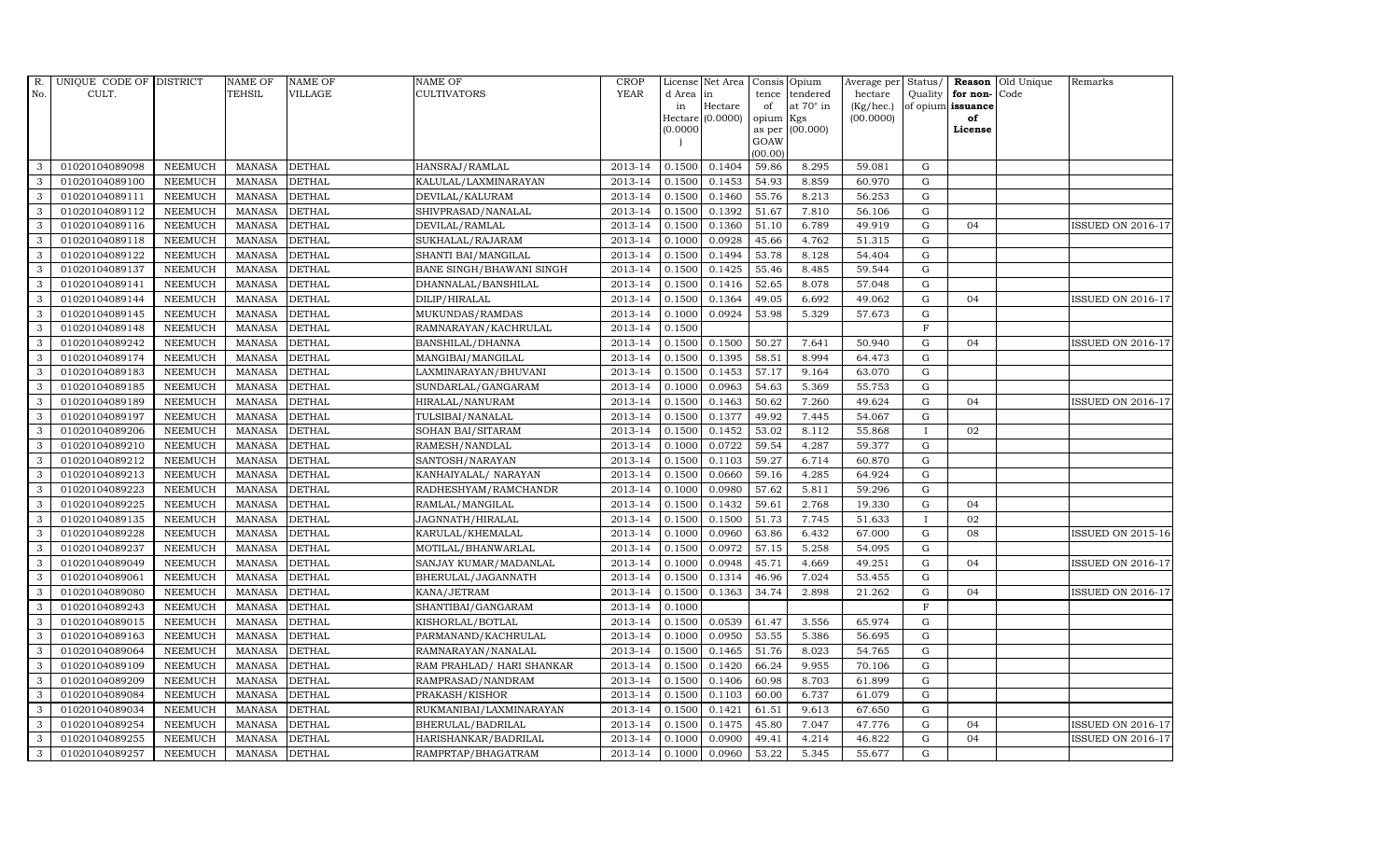| R.           | UNIQUE CODE OF DISTRICT |                | <b>NAME OF</b> | <b>NAME OF</b> | <b>NAME OF</b>            | <b>CROP</b> |          | License Net Area   |           | Consis Opium    | Average per | Status/      | Reason            | Old Unique | Remarks                  |
|--------------|-------------------------|----------------|----------------|----------------|---------------------------|-------------|----------|--------------------|-----------|-----------------|-------------|--------------|-------------------|------------|--------------------------|
| No.          | CULT.                   |                | <b>TEHSIL</b>  | VILLAGE        | CULTIVATORS               | <b>YEAR</b> | d Area   | in                 | tence     | tendered        | hectare     | Quality      | for non-          | Code       |                          |
|              |                         |                |                |                |                           |             | in       | Hectare            | of        | at 70° in       | (Kg/hec.)   |              | of opium issuance |            |                          |
|              |                         |                |                |                |                           |             | (0.0000) | $Hectare (0.0000)$ | opium Kgs | as per (00.000) | (00.0000)   |              | of<br>License     |            |                          |
|              |                         |                |                |                |                           |             |          |                    | GOAW      |                 |             |              |                   |            |                          |
|              |                         |                |                |                |                           |             |          |                    | (00.00)   |                 |             |              |                   |            |                          |
| 3            | 01020104089098          | <b>NEEMUCH</b> | <b>MANASA</b>  | <b>DETHAL</b>  | HANSRAJ/RAMLAL            | 2013-14     | 0.1500   | 0.1404             | 59.86     | 8.295           | 59.081      | G            |                   |            |                          |
| 3            | 01020104089100          | <b>NEEMUCH</b> | <b>MANASA</b>  | <b>DETHAL</b>  | KALULAL/LAXMINARAYAN      | 2013-14     | 0.1500   | 0.1453             | 54.93     | 8.859           | 60.970      | ${\rm G}$    |                   |            |                          |
| 3            | 01020104089111          | <b>NEEMUCH</b> | <b>MANASA</b>  | <b>DETHAL</b>  | DEVILAL/KALURAM           | 2013-14     | 0.1500   | 0.1460             | 55.76     | 8.213           | 56.253      | G            |                   |            |                          |
| 3            | 01020104089112          | <b>NEEMUCH</b> | <b>MANASA</b>  | <b>DETHAL</b>  | SHIVPRASAD/NANALAL        | 2013-14     | 0.1500   | 0.1392             | 51.67     | 7.810           | 56.106      | $\mathbf G$  |                   |            |                          |
| 3            | 01020104089116          | <b>NEEMUCH</b> | <b>MANASA</b>  | <b>DETHAL</b>  | DEVILAL/RAMLAL            | 2013-14     | 0.1500   | 0.1360             | 51.10     | 6.789           | 49.919      | ${\rm G}$    | 04                |            | ISSUED ON 2016-17        |
| $\mathbf{3}$ | 01020104089118          | <b>NEEMUCH</b> | <b>MANASA</b>  | <b>DETHAL</b>  | SUKHALAL/RAJARAM          | $2013-14$   | 0.1000   | 0.0928             | 45.66     | 4.762           | 51.315      | ${\rm G}$    |                   |            |                          |
| 3            | 01020104089122          | <b>NEEMUCH</b> | <b>MANASA</b>  | <b>DETHAL</b>  | SHANTI BAI/MANGILAL       | 2013-14     | 0.1500   | 0.1494             | 53.78     | 8.128           | 54.404      | G            |                   |            |                          |
| 3            | 01020104089137          | <b>NEEMUCH</b> | <b>MANASA</b>  | <b>DETHAL</b>  | BANE SINGH/BHAWANI SINGH  | 2013-14     | 0.1500   | 0.1425             | 55.46     | 8.485           | 59.544      | $\mathbf G$  |                   |            |                          |
| 3            | 01020104089141          | <b>NEEMUCH</b> | <b>MANASA</b>  | <b>DETHAL</b>  | DHANNALAL/BANSHILAL       | 2013-14     | 0.1500   | 0.1416             | 52.65     | 8.078           | 57.048      | G            |                   |            |                          |
| 3            | 01020104089144          | <b>NEEMUCH</b> | <b>MANASA</b>  | <b>DETHAL</b>  | DILIP/HIRALAL             | 2013-14     | 0.1500   | 0.1364             | 49.05     | 6.692           | 49.062      | $\mathbf G$  | 04                |            | ISSUED ON 2016-17        |
| 3            | 01020104089145          | <b>NEEMUCH</b> | <b>MANASA</b>  | <b>DETHAL</b>  | MUKUNDAS/RAMDAS           | 2013-14     | 0.1000   | 0.0924             | 53.98     | 5.329           | 57.673      | ${\rm G}$    |                   |            |                          |
| 3            | 01020104089148          | <b>NEEMUCH</b> | <b>MANASA</b>  | <b>DETHAL</b>  | RAMNARAYAN/KACHRULAL      | 2013-14     | 0.1500   |                    |           |                 |             | $\mathbf{F}$ |                   |            |                          |
| 3            | 01020104089242          | <b>NEEMUCH</b> | <b>MANASA</b>  | <b>DETHAL</b>  | BANSHILAL/DHANNA          | 2013-14     | 0.1500   | 0.1500             | 50.27     | 7.641           | 50.940      | G            | 04                |            | ISSUED ON 2016-17        |
| 3            | 01020104089174          | <b>NEEMUCH</b> | <b>MANASA</b>  | <b>DETHAL</b>  | MANGIBAI/MANGILAL         | 2013-14     | 0.1500   | 0.1395             | 58.51     | 8.994           | 64.473      | G            |                   |            |                          |
| 3            | 01020104089183          | <b>NEEMUCH</b> | <b>MANASA</b>  | <b>DETHAL</b>  | LAXMINARAYAN/BHUVANI      | 2013-14     | 0.1500   | 0.1453             | 57.17     | 9.164           | 63.070      | ${\rm G}$    |                   |            |                          |
| 3            | 01020104089185          | <b>NEEMUCH</b> | <b>MANASA</b>  | <b>DETHAL</b>  | SUNDARLAL/GANGARAM        | 2013-14     | 0.1000   | 0.0963             | 54.63     | 5.369           | 55.753      | ${\rm G}$    |                   |            |                          |
| 3            | 01020104089189          | <b>NEEMUCH</b> | <b>MANASA</b>  | <b>DETHAL</b>  | HIRALAL/NANURAM           | 2013-14     | 0.1500   | 0.1463             | 50.62     | 7.260           | 49.624      | ${\rm G}$    | 04                |            | <b>ISSUED ON 2016-17</b> |
| 3            | 01020104089197          | <b>NEEMUCH</b> | <b>MANASA</b>  | <b>DETHAL</b>  | TULSIBAI/NANALAL          | 2013-14     | 0.1500   | 0.1377             | 49.92     | 7.445           | 54.067      | G            |                   |            |                          |
| 3            | 01020104089206          | <b>NEEMUCH</b> | <b>MANASA</b>  | <b>DETHAL</b>  | SOHAN BAI/SITARAM         | 2013-14     | 0.1500   | 0.1452             | 53.02     | 8.112           | 55.868      | $\mathbf{I}$ | 02                |            |                          |
| 3            | 01020104089210          | <b>NEEMUCH</b> | <b>MANASA</b>  | <b>DETHAL</b>  | RAMESH/NANDLAL            | 2013-14     | 0.1000   | 0.0722             | 59.54     | 4.287           | 59.377      | $\mathbf G$  |                   |            |                          |
| 3            | 01020104089212          | <b>NEEMUCH</b> | <b>MANASA</b>  | <b>DETHAL</b>  | SANTOSH/NARAYAN           | 2013-14     | 0.1500   | 0.1103             | 59.27     | 6.714           | 60.870      | G            |                   |            |                          |
| 3            | 01020104089213          | <b>NEEMUCH</b> | <b>MANASA</b>  | <b>DETHAL</b>  | KANHAIYALAL/ NARAYAN      | 2013-14     | 0.1500   | 0.0660             | 59.16     | 4.285           | 64.924      | $\mathbf G$  |                   |            |                          |
| 3            | 01020104089223          | <b>NEEMUCH</b> | <b>MANASA</b>  | <b>DETHAL</b>  | RADHESHYAM/RAMCHANDR      | 2013-14     | 0.1000   | 0.0980             | 57.62     | 5.811           | 59.296      | ${\rm G}$    |                   |            |                          |
| 3            | 01020104089225          | <b>NEEMUCH</b> | <b>MANASA</b>  | <b>DETHAL</b>  | RAMLAL/MANGILAL           | 2013-14     | 0.1500   | 0.1432             | 59.61     | 2.768           | 19.330      | $\mathbf G$  | 04                |            |                          |
| 3            | 01020104089135          | <b>NEEMUCH</b> | <b>MANASA</b>  | <b>DETHAL</b>  | JAGNNATH/HIRALAL          | 2013-14     | 0.1500   | 0.1500             | 51.73     | 7.745           | 51.633      |              | 02                |            |                          |
| 3            | 01020104089228          | <b>NEEMUCH</b> | <b>MANASA</b>  | <b>DETHAL</b>  | KARULAL/KHEMALAL          | 2013-14     | 0.1000   | 0.0960             | 63.86     | 6.432           | 67.000      | ${\rm G}$    | 08                |            | <b>ISSUED ON 2015-16</b> |
| 3            | 01020104089237          | <b>NEEMUCH</b> | <b>MANASA</b>  | <b>DETHAL</b>  | MOTILAL/BHANWARLAL        | 2013-14     | 0.1500   | 0.0972             | 57.15     | 5.258           | 54.095      | $\mathbf G$  |                   |            |                          |
| 3            | 01020104089049          | <b>NEEMUCH</b> | <b>MANASA</b>  | <b>DETHAL</b>  | SANJAY KUMAR/MADANLAL     | 2013-14     | 0.1000   | 0.0948             | 45.71     | 4.669           | 49.251      | ${\rm G}$    | 04                |            | <b>ISSUED ON 2016-17</b> |
| 3            | 01020104089061          | <b>NEEMUCH</b> | <b>MANASA</b>  | <b>DETHAL</b>  | BHERULAL/JAGANNATH        | 2013-14     | 0.1500   | 0.1314             | 46.96     | 7.024           | 53.455      | ${\bf G}$    |                   |            |                          |
| 3            | 01020104089080          | <b>NEEMUCH</b> | <b>MANASA</b>  | <b>DETHAL</b>  | KANA/JETRAM               | 2013-14     | 0.1500   | 0.1363             | 34.74     | 2.898           | 21.262      | $\mathbf G$  | 04                |            | <b>ISSUED ON 2016-17</b> |
| 3            | 01020104089243          | <b>NEEMUCH</b> | <b>MANASA</b>  | <b>DETHAL</b>  | SHANTIBAI/GANGARAM        | 2013-14     | 0.1000   |                    |           |                 |             | $\mathbf F$  |                   |            |                          |
| 3            | 01020104089015          | <b>NEEMUCH</b> | <b>MANASA</b>  | <b>DETHAL</b>  | KISHORLAL/BOTLAL          | 2013-14     | 0.1500   | 0.0539             | 61.47     | 3.556           | 65.974      | ${\rm G}$    |                   |            |                          |
| 3            | 01020104089163          | <b>NEEMUCH</b> | <b>MANASA</b>  | <b>DETHAL</b>  | PARMANAND/KACHRULAL       | 2013-14     | 0.1000   | 0.0950             | 53.55     | 5.386           | 56.695      | $\mathbf G$  |                   |            |                          |
| 3            | 01020104089064          | <b>NEEMUCH</b> | <b>MANASA</b>  | <b>DETHAL</b>  | RAMNARAYAN/NANALAL        | 2013-14     | 0.1500   | 0.1465             | 51.76     | 8.023           | 54.765      | ${\bf G}$    |                   |            |                          |
| 3            | 01020104089109          | <b>NEEMUCH</b> | <b>MANASA</b>  | <b>DETHAL</b>  | RAM PRAHLAD/ HARI SHANKAR | 2013-14     | 0.1500   | 0.1420             | 66.24     | 9.955           | 70.106      | $\mathbf G$  |                   |            |                          |
| 3            | 01020104089209          | <b>NEEMUCH</b> | <b>MANASA</b>  | <b>DETHAL</b>  | RAMPRASAD/NANDRAM         | 2013-14     | 0.1500   | 0.1406             | 60.98     | 8.703           | 61.899      | G            |                   |            |                          |
| 3            | 01020104089084          | <b>NEEMUCH</b> | <b>MANASA</b>  | <b>DETHAL</b>  | PRAKASH/KISHOR            | 2013-14     | 0.1500   | 0.1103             | 60.00     | 6.737           | 61.079      | ${\rm G}$    |                   |            |                          |
| 3            | 01020104089034          | <b>NEEMUCH</b> | <b>MANASA</b>  | <b>DETHAL</b>  | RUKMANIBAI/LAXMINARAYAN   | 2013-14     | 0.1500   | 0.1421             | 61.51     | 9.613           | 67.650      | ${\rm G}$    |                   |            |                          |
| 3            | 01020104089254          | <b>NEEMUCH</b> | <b>MANASA</b>  | <b>DETHAL</b>  | BHERULAL/BADRILAL         | 2013-14     | 0.1500   | 0.1475             | 45.80     | 7.047           | 47.776      | $\mathbf G$  | 04                |            | <b>ISSUED ON 2016-17</b> |
| 3            | 01020104089255          | <b>NEEMUCH</b> | <b>MANASA</b>  | <b>DETHAL</b>  | HARISHANKAR/BADRILAL      | 2013-14     | 0.1000   | 0.0900             | 49.41     | 4.214           | 46.822      | $\mathbf G$  | 04                |            | <b>ISSUED ON 2016-17</b> |
| 3            | 01020104089257          | <b>NEEMUCH</b> | MANASA         | <b>DETHAL</b>  | RAMPRTAP/BHAGATRAM        | 2013-14     | 0.1000   | 0.0960             | 53.22     | 5.345           | 55.677      | G            |                   |            |                          |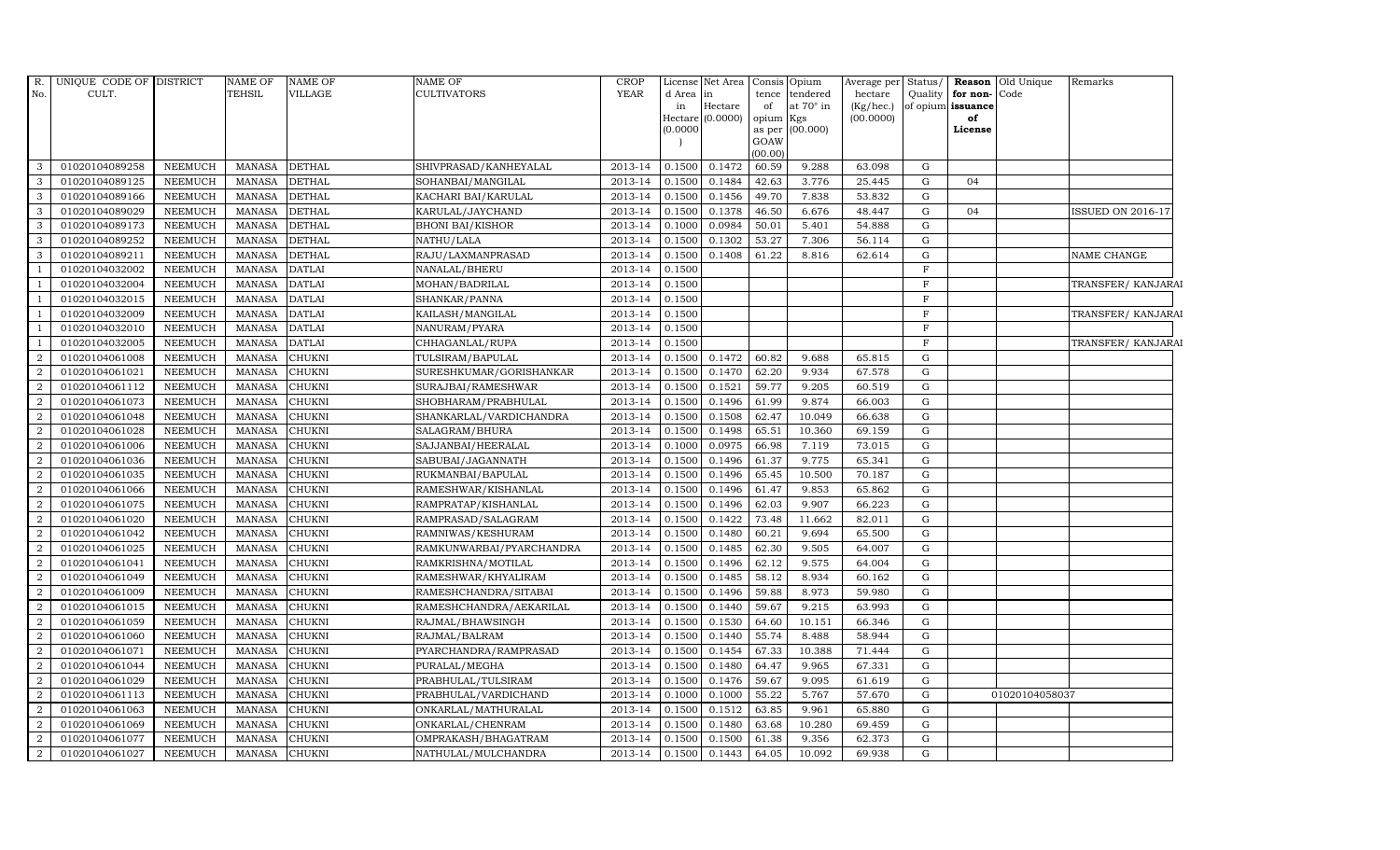| R.             | UNIQUE CODE OF DISTRICT |                | <b>NAME OF</b> | <b>NAME OF</b> | <b>NAME OF</b>           | <b>CROP</b> |          | License Net Area Consis Opium |                 |                  | Average per            | Status/      |                         | <b>Reason</b> Old Unique | Remarks                  |
|----------------|-------------------------|----------------|----------------|----------------|--------------------------|-------------|----------|-------------------------------|-----------------|------------------|------------------------|--------------|-------------------------|--------------------------|--------------------------|
| No.            | CULT.                   |                | <b>TEHSIL</b>  | <b>VILLAGE</b> | <b>CULTIVATORS</b>       | <b>YEAR</b> | d Area   | $\mathop{\text{in}}$          | tence           | tendered         | hectare                | Quality      | for non-Code            |                          |                          |
|                |                         |                |                |                |                          |             | in       | Hectare<br>Hectare (0.0000)   | of<br>opium Kgs | at $70^\circ$ in | (Kg/hec.)<br>(00.0000) |              | of opium issuance<br>of |                          |                          |
|                |                         |                |                |                |                          |             | (0.0000) |                               | as per          | (00.000)         |                        |              | License                 |                          |                          |
|                |                         |                |                |                |                          |             |          |                               | GOAW            |                  |                        |              |                         |                          |                          |
|                |                         |                |                |                |                          |             |          |                               | (00.00)         |                  |                        |              |                         |                          |                          |
| 3              | 01020104089258          | <b>NEEMUCH</b> | <b>MANASA</b>  | <b>DETHAL</b>  | SHIVPRASAD/KANHEYALAL    | 2013-14     | 0.1500   | 0.1472                        | 60.59           | 9.288            | 63.098                 | G            |                         |                          |                          |
| 3              | 01020104089125          | <b>NEEMUCH</b> | <b>MANASA</b>  | <b>DETHAL</b>  | SOHANBAI/MANGILAL        | 2013-14     | 0.1500   | 0.1484                        | 42.63           | 3.776            | 25.445                 | G            | 04                      |                          |                          |
| 3              | 01020104089166          | <b>NEEMUCH</b> | <b>MANASA</b>  | <b>DETHAL</b>  | KACHARI BAI/KARULAL      | 2013-14     | 0.1500   | 0.1456                        | 49.70           | 7.838            | 53.832                 | G            |                         |                          |                          |
| 3              | 01020104089029          | <b>NEEMUCH</b> | <b>MANASA</b>  | <b>DETHAL</b>  | KARULAL/JAYCHAND         | 2013-14     | 0.1500   | 0.1378                        | 46.50           | 6.676            | 48.447                 | G            | 04                      |                          | <b>ISSUED ON 2016-17</b> |
| 3              | 01020104089173          | <b>NEEMUCH</b> | <b>MANASA</b>  | <b>DETHAL</b>  | <b>BHONI BAI/KISHOR</b>  | 2013-14     | 0.1000   | 0.0984                        | 50.01           | 5.401            | 54.888                 | G            |                         |                          |                          |
| 3              | 01020104089252          | <b>NEEMUCH</b> | <b>MANASA</b>  | <b>DETHAL</b>  | NATHU/LALA               | 2013-14     | 0.1500   | 0.1302                        | 53.27           | 7.306            | 56.114                 | G            |                         |                          |                          |
| 3              | 01020104089211          | <b>NEEMUCH</b> | <b>MANASA</b>  | <b>DETHAL</b>  | RAJU/LAXMANPRASAD        | 2013-14     | 0.1500   | 0.1408                        | 61.22           | 8.816            | 62.614                 | G            |                         |                          | NAME CHANGE              |
| $\overline{1}$ | 01020104032002          | <b>NEEMUCH</b> | <b>MANASA</b>  | <b>DATLAI</b>  | NANALAL/BHERU            | 2013-14     | 0.1500   |                               |                 |                  |                        | $\mathbf{F}$ |                         |                          |                          |
|                | 01020104032004          | <b>NEEMUCH</b> | <b>MANASA</b>  | <b>DATLAI</b>  | MOHAN/BADRILAL           | 2013-14     | 0.1500   |                               |                 |                  |                        | $\mathbf F$  |                         |                          | TRANSFER/ KANJARAI       |
|                | 01020104032015          | <b>NEEMUCH</b> | <b>MANASA</b>  | <b>DATLAI</b>  | SHANKAR/PANNA            | 2013-14     | 0.1500   |                               |                 |                  |                        | $\mathbf F$  |                         |                          |                          |
| -1             | 01020104032009          | <b>NEEMUCH</b> | <b>MANASA</b>  | <b>DATLAI</b>  | KAILASH/MANGILAL         | 2013-14     | 0.1500   |                               |                 |                  |                        | $\mathbf F$  |                         |                          | TRANSFER/KANJARAI        |
|                | 01020104032010          | <b>NEEMUCH</b> | <b>MANASA</b>  | <b>DATLAI</b>  | NANURAM/PYARA            | 2013-14     | 0.1500   |                               |                 |                  |                        | $\mathbf F$  |                         |                          |                          |
| $\overline{1}$ | 01020104032005          | <b>NEEMUCH</b> | <b>MANASA</b>  | <b>DATLAI</b>  | CHHAGANLAL/RUPA          | 2013-14     | 0.1500   |                               |                 |                  |                        | $\mathbf F$  |                         |                          | TRANSFER/KANJARAI        |
| $\overline{2}$ | 01020104061008          | <b>NEEMUCH</b> | <b>MANASA</b>  | <b>CHUKNI</b>  | TULSIRAM/BAPULAL         | 2013-14     | 0.1500   | 0.1472                        | 60.82           | 9.688            | 65.815                 | ${\rm G}$    |                         |                          |                          |
| $\overline{2}$ | 01020104061021          | <b>NEEMUCH</b> | <b>MANASA</b>  | <b>CHUKNI</b>  | SURESHKUMAR/GORISHANKAR  | 2013-14     | 0.1500   | 0.1470                        | 62.20           | 9.934            | 67.578                 | G            |                         |                          |                          |
| $\overline{2}$ | 01020104061112          | <b>NEEMUCH</b> | <b>MANASA</b>  | <b>CHUKNI</b>  | SURAJBAI/RAMESHWAR       | 2013-14     | 0.1500   | 0.1521                        | 59.77           | 9.205            | 60.519                 | G            |                         |                          |                          |
| 2              | 01020104061073          | <b>NEEMUCH</b> | <b>MANASA</b>  | <b>CHUKNI</b>  | SHOBHARAM/PRABHULAL      | 2013-14     | 0.1500   | 0.1496                        | 61.99           | 9.874            | 66.003                 | G            |                         |                          |                          |
| 2              | 01020104061048          | <b>NEEMUCH</b> | <b>MANASA</b>  | <b>CHUKNI</b>  | SHANKARLAL/VARDICHANDRA  | 2013-14     | 0.1500   | 0.1508                        | 62.47           | 10.049           | 66.638                 | G            |                         |                          |                          |
| $\overline{2}$ | 01020104061028          | <b>NEEMUCH</b> | <b>MANASA</b>  | <b>CHUKNI</b>  | SALAGRAM/BHURA           | 2013-14     | 0.1500   | 0.1498                        | 65.51           | 10.360           | 69.159                 | ${\rm G}$    |                         |                          |                          |
| $\overline{2}$ | 01020104061006          | <b>NEEMUCH</b> | <b>MANASA</b>  | <b>CHUKNI</b>  | SAJJANBAI/HEERALAL       | 2013-14     | 0.1000   | 0.0975                        | 66.98           | 7.119            | 73.015                 | G            |                         |                          |                          |
| $\overline{2}$ | 01020104061036          | <b>NEEMUCH</b> | <b>MANASA</b>  | <b>CHUKNI</b>  | SABUBAI/JAGANNATH        | 2013-14     | 0.1500   | 0.1496                        | 61.37           | 9.775            | 65.341                 | G            |                         |                          |                          |
| 2              | 01020104061035          | <b>NEEMUCH</b> | <b>MANASA</b>  | <b>CHUKNI</b>  | RUKMANBAI/BAPULAL        | 2013-14     | 0.1500   | 0.1496                        | 65.45           | 10.500           | 70.187                 | G            |                         |                          |                          |
| $\overline{a}$ | 01020104061066          | <b>NEEMUCH</b> | <b>MANASA</b>  | <b>CHUKNI</b>  | RAMESHWAR/KISHANLAL      | 2013-14     | 0.1500   | 0.1496                        | 61.47           | 9.853            | 65.862                 | ${\rm G}$    |                         |                          |                          |
| $\overline{2}$ | 01020104061075          | <b>NEEMUCH</b> | <b>MANASA</b>  | <b>CHUKNI</b>  | RAMPRATAP/KISHANLAL      | 2013-14     | 0.1500   | 0.1496                        | 62.03           | 9.907            | 66.223                 | G            |                         |                          |                          |
| $\overline{2}$ | 01020104061020          | <b>NEEMUCH</b> | <b>MANASA</b>  | <b>CHUKNI</b>  | RAMPRASAD/SALAGRAM       | 2013-14     | 0.1500   | 0.1422                        | 73.48           | 11.662           | 82.011                 | G            |                         |                          |                          |
| 2              | 01020104061042          | <b>NEEMUCH</b> | <b>MANASA</b>  | <b>CHUKNI</b>  | RAMNIWAS/KESHURAM        | 2013-14     | 0.1500   | 0.1480                        | 60.21           | 9.694            | 65.500                 | G            |                         |                          |                          |
| 2              | 01020104061025          | <b>NEEMUCH</b> | <b>MANASA</b>  | <b>CHUKNI</b>  | RAMKUNWARBAI/PYARCHANDRA | 2013-14     | 0.1500   | 0.1485                        | 62.30           | 9.505            | 64.007                 | G            |                         |                          |                          |
| $\overline{2}$ | 01020104061041          | <b>NEEMUCH</b> | <b>MANASA</b>  | <b>CHUKNI</b>  | RAMKRISHNA/MOTILAL       | 2013-14     | 0.1500   | 0.1496                        | 62.12           | 9.575            | 64.004                 | ${\rm G}$    |                         |                          |                          |
| $\overline{2}$ | 01020104061049          | <b>NEEMUCH</b> | <b>MANASA</b>  | <b>CHUKNI</b>  | RAMESHWAR/KHYALIRAM      | 2013-14     | 0.1500   | 0.1485                        | 58.12           | 8.934            | 60.162                 | G            |                         |                          |                          |
| 2              | 01020104061009          | <b>NEEMUCH</b> | <b>MANASA</b>  | <b>CHUKNI</b>  | RAMESHCHANDRA/SITABAI    | 2013-14     | 0.1500   | 0.1496                        | 59.88           | 8.973            | 59.980                 | G            |                         |                          |                          |
| $\overline{2}$ | 01020104061015          | <b>NEEMUCH</b> | <b>MANASA</b>  | <b>CHUKNI</b>  | RAMESHCHANDRA/AEKARILAL  | 2013-14     | 0.1500   | 0.1440                        | 59.67           | 9.215            | 63.993                 | G            |                         |                          |                          |
| 2              | 01020104061059          | <b>NEEMUCH</b> | <b>MANASA</b>  | <b>CHUKNI</b>  | RAJMAL/BHAWSINGH         | 2013-14     | 0.1500   | 0.1530                        | 64.60           | 10.151           | 66.346                 | G            |                         |                          |                          |
| $\overline{2}$ | 01020104061060          | <b>NEEMUCH</b> | <b>MANASA</b>  | <b>CHUKNI</b>  | RAJMAL/BALRAM            | 2013-14     | 0.1500   | 0.1440                        | 55.74           | 8.488            | 58.944                 | G            |                         |                          |                          |
| 2              | 01020104061071          | <b>NEEMUCH</b> | <b>MANASA</b>  | <b>CHUKNI</b>  | PYARCHANDRA/RAMPRASAD    | 2013-14     | 0.1500   | 0.1454                        | 67.33           | 10.388           | 71.444                 | $\mathbf G$  |                         |                          |                          |
| $\overline{2}$ | 01020104061044          | <b>NEEMUCH</b> | <b>MANASA</b>  | <b>CHUKNI</b>  | PURALAL/MEGHA            | 2013-14     | 0.1500   | 0.1480                        | 64.47           | 9.965            | 67.331                 | G            |                         |                          |                          |
| $\overline{2}$ | 01020104061029          | <b>NEEMUCH</b> | <b>MANASA</b>  | <b>CHUKNI</b>  | PRABHULAL/TULSIRAM       | 2013-14     | 0.1500   | 0.1476                        | 59.67           | 9.095            | 61.619                 | ${\rm G}$    |                         |                          |                          |
| 2              | 01020104061113          | <b>NEEMUCH</b> | <b>MANASA</b>  | <b>CHUKNI</b>  | PRABHULAL/VARDICHAND     | 2013-14     | 0.1000   | 0.1000                        | 55.22           | 5.767            | 57.670                 | G            |                         | 01020104058037           |                          |
| $\overline{2}$ | 01020104061063          | <b>NEEMUCH</b> | <b>MANASA</b>  | <b>CHUKNI</b>  | ONKARLAL/MATHURALAL      | 2013-14     | 0.1500   | 0.1512                        | 63.85           | 9.961            | 65.880                 | G            |                         |                          |                          |
| 2              | 01020104061069          | <b>NEEMUCH</b> | <b>MANASA</b>  | <b>CHUKNI</b>  | ONKARLAL/CHENRAM         | 2013-14     | 0.1500   | 0.1480                        | 63.68           | 10.280           | 69.459                 | $\mathbf G$  |                         |                          |                          |
| 2              | 01020104061077          | <b>NEEMUCH</b> | <b>MANASA</b>  | <b>CHUKNI</b>  | OMPRAKASH/BHAGATRAM      | 2013-14     | 0.1500   | 0.1500                        | 61.38           | 9.356            | 62.373                 | $\mathbf G$  |                         |                          |                          |
| $\overline{a}$ | 01020104061027          | NEEMUCH        | MANASA         | <b>CHUKNI</b>  | NATHULAL/MULCHANDRA      | 2013-14     | 0.1500   | 0.1443                        | 64.05           | 10.092           | 69.938                 | G            |                         |                          |                          |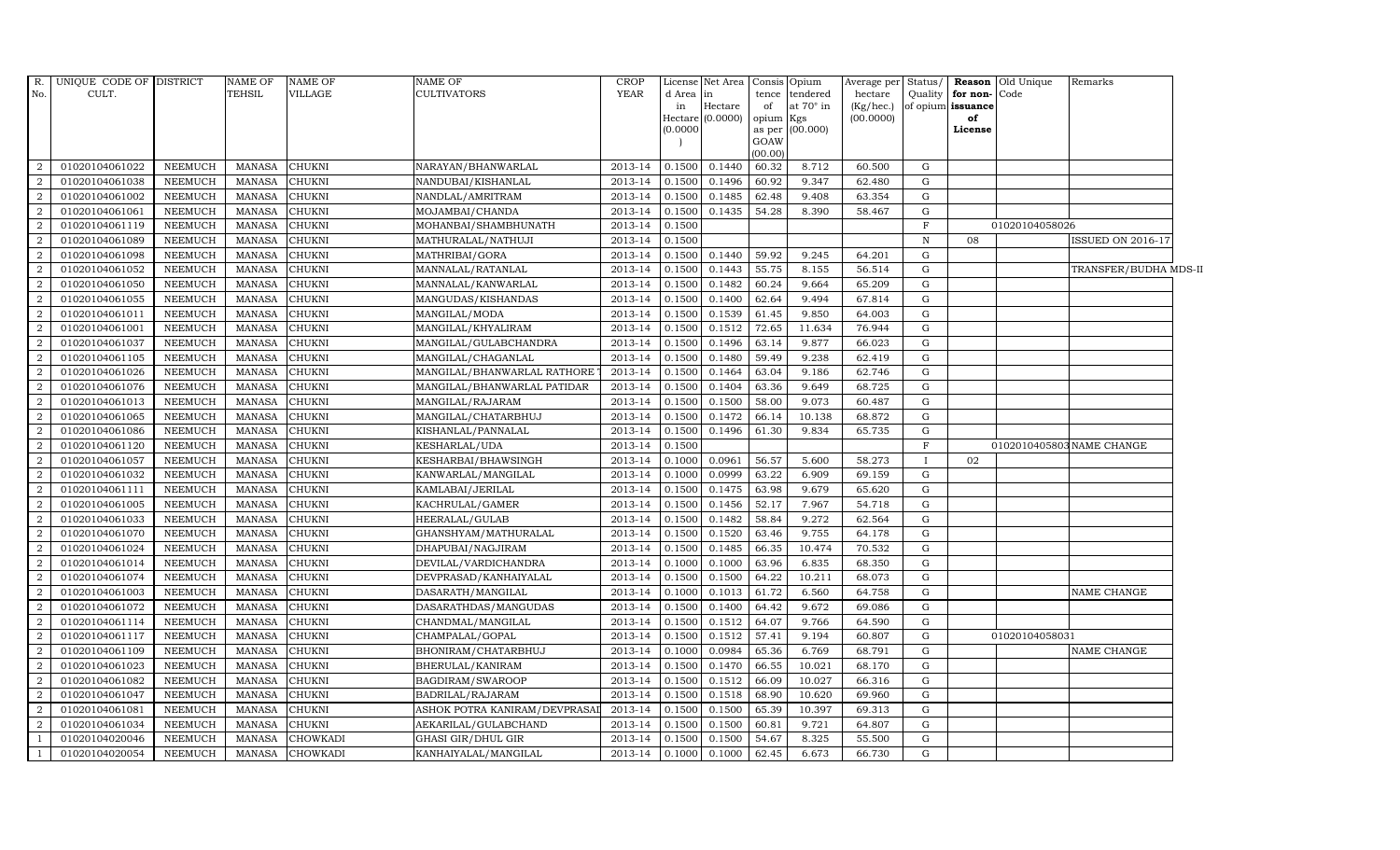| R.<br>No.      | UNIQUE CODE OF DISTRICT<br>CULT. |                | <b>NAME OF</b><br><b>TEHSIL</b> | <b>NAME OF</b><br><b>VILLAGE</b> | <b>NAME OF</b><br><b>CULTIVATORS</b> | <b>CROP</b><br><b>YEAR</b> | d Area<br>in<br>(0.0000) | License Net Area Consis<br>$\mathop{\text{in}}$<br>Hectare<br>Hectare (0.0000) | tence<br>of<br>opium<br>as per<br>GOAW<br>(00.00) | Opium<br>tendered<br>at 70° in<br>Kgs<br>(00.000) | Average per<br>hectare<br>(Kg/hec.)<br>(00.0000) | Status/<br>Quality | for non-<br>of opium issuance<br>of<br>License | Reason Old Unique<br>Code | Remarks                   |
|----------------|----------------------------------|----------------|---------------------------------|----------------------------------|--------------------------------------|----------------------------|--------------------------|--------------------------------------------------------------------------------|---------------------------------------------------|---------------------------------------------------|--------------------------------------------------|--------------------|------------------------------------------------|---------------------------|---------------------------|
| $\overline{2}$ | 01020104061022                   | <b>NEEMUCH</b> | MANASA                          | <b>CHUKNI</b>                    | NARAYAN/BHANWARLAL                   | 2013-14                    | 0.1500                   | 0.1440                                                                         | 60.32                                             | 8.712                                             | 60.500                                           | G                  |                                                |                           |                           |
| $\overline{2}$ | 01020104061038                   | <b>NEEMUCH</b> | <b>MANASA</b>                   | <b>CHUKNI</b>                    | NANDUBAI/KISHANLAL                   | 2013-14                    | 0.1500                   | 0.1496                                                                         | 60.92                                             | 9.347                                             | 62.480                                           | G                  |                                                |                           |                           |
| $\overline{2}$ | 01020104061002                   | <b>NEEMUCH</b> | <b>MANASA</b>                   | <b>CHUKNI</b>                    | NANDLAL/AMRITRAM                     | 2013-14                    | 0.1500                   | 0.1485                                                                         | 62.48                                             | 9.408                                             | 63.354                                           | G                  |                                                |                           |                           |
| $\overline{2}$ | 01020104061061                   | <b>NEEMUCH</b> | <b>MANASA</b>                   | <b>CHUKNI</b>                    | MOJAMBAI/CHANDA                      | 2013-14                    | 0.1500                   | 0.1435                                                                         | 54.28                                             | 8.390                                             | 58.467                                           | G                  |                                                |                           |                           |
| $\overline{2}$ | 01020104061119                   | <b>NEEMUCH</b> | <b>MANASA</b>                   | <b>CHUKNI</b>                    | MOHANBAI/SHAMBHUNATH                 | 2013-14                    | 0.1500                   |                                                                                |                                                   |                                                   |                                                  | $\mathbf F$        |                                                | 01020104058026            |                           |
| 2              | 01020104061089                   | NEEMUCH        | MANASA                          | CHUKNI                           | MATHURALAL/NATHUJI                   | 2013-14                    | 0.1500                   |                                                                                |                                                   |                                                   |                                                  | $\mathbb{N}$       | 08                                             |                           | <b>ISSUED ON 2016-17</b>  |
| $\overline{2}$ | 01020104061098                   | <b>NEEMUCH</b> | <b>MANASA</b>                   | <b>CHUKNI</b>                    | MATHRIBAI/GORA                       | 2013-14                    | 0.1500                   | 0.1440                                                                         | 59.92                                             | 9.245                                             | 64.201                                           | G                  |                                                |                           |                           |
| $\overline{2}$ | 01020104061052                   | <b>NEEMUCH</b> | <b>MANASA</b>                   | <b>CHUKNI</b>                    | MANNALAL/RATANLAL                    | 2013-14                    | 0.1500                   | 0.1443                                                                         | 55.75                                             | 8.155                                             | 56.514                                           | G                  |                                                |                           | TRANSFER/BUDHA MDS-II     |
| $\overline{2}$ | 01020104061050                   | <b>NEEMUCH</b> | <b>MANASA</b>                   | <b>CHUKNI</b>                    | MANNALAL/KANWARLAL                   | 2013-14                    | 0.1500                   | 0.1482                                                                         | 60.24                                             | 9.664                                             | 65.209                                           | G                  |                                                |                           |                           |
| $\overline{2}$ | 01020104061055                   | <b>NEEMUCH</b> | <b>MANASA</b>                   | <b>CHUKNI</b>                    | MANGUDAS/KISHANDAS                   | 2013-14                    | 0.1500                   | 0.1400                                                                         | 62.64                                             | 9.494                                             | 67.814                                           | G                  |                                                |                           |                           |
| 2              | 01020104061011                   | NEEMUCH        | <b>MANASA</b>                   | CHUKNI                           | MANGILAL/MODA                        | 2013-14                    | 0.1500                   | 0.1539                                                                         | 61.45                                             | 9.850                                             | 64.003                                           | G                  |                                                |                           |                           |
| $\overline{2}$ | 01020104061001                   | <b>NEEMUCH</b> | <b>MANASA</b>                   | <b>CHUKNI</b>                    | MANGILAL/KHYALIRAM                   | 2013-14                    | 0.1500                   | 0.1512                                                                         | 72.65                                             | 11.634                                            | 76.944                                           | G                  |                                                |                           |                           |
| $\overline{2}$ | 01020104061037                   | <b>NEEMUCH</b> | <b>MANASA</b>                   | <b>CHUKNI</b>                    | MANGILAL/GULABCHANDRA                | 2013-14                    | 0.1500                   | 0.1496                                                                         | 63.14                                             | 9.877                                             | 66.023                                           | G                  |                                                |                           |                           |
| $\mathcal{D}$  | 01020104061105                   | <b>NEEMUCH</b> | <b>MANASA</b>                   | CHUKNI                           | MANGILAL/CHAGANLAL                   | 2013-14                    | 0.1500                   | 0.1480                                                                         | 59.49                                             | 9.238                                             | 62.419                                           | G                  |                                                |                           |                           |
| 2              | 01020104061026                   | <b>NEEMUCH</b> | <b>MANASA</b>                   | <b>CHUKNI</b>                    | MANGILAL/BHANWARLAL RATHORE          | 2013-14                    | 0.1500                   | 0.1464                                                                         | 63.04                                             | 9.186                                             | 62.746                                           | G                  |                                                |                           |                           |
| 2              | 01020104061076                   | <b>NEEMUCH</b> | <b>MANASA</b>                   | <b>CHUKNI</b>                    | MANGILAL/BHANWARLAL PATIDAR          | 2013-14                    | 0.1500                   | 0.1404                                                                         | 63.36                                             | 9.649                                             | 68.725                                           | G                  |                                                |                           |                           |
| $\overline{2}$ | 01020104061013                   | <b>NEEMUCH</b> | <b>MANASA</b>                   | <b>CHUKNI</b>                    | MANGILAL/RAJARAM                     | 2013-14                    | 0.1500                   | 0.1500                                                                         | 58.00                                             | 9.073                                             | 60.487                                           | G                  |                                                |                           |                           |
| 2              | 01020104061065                   | <b>NEEMUCH</b> | <b>MANASA</b>                   | <b>CHUKNI</b>                    | MANGILAL/CHATARBHUJ                  | 2013-14                    | 0.1500                   | 0.1472                                                                         | 66.14                                             | 10.138                                            | 68.872                                           | G                  |                                                |                           |                           |
| $\overline{2}$ | 01020104061086                   | <b>NEEMUCH</b> | <b>MANASA</b>                   | <b>CHUKNI</b>                    | KISHANLAL/PANNALAL                   | 2013-14                    | 0.1500                   | 0.1496                                                                         | 61.30                                             | 9.834                                             | 65.735                                           | G                  |                                                |                           |                           |
| $\overline{2}$ | 01020104061120                   | <b>NEEMUCH</b> | <b>MANASA</b>                   | <b>CHUKNI</b>                    | KESHARLAL/UDA                        | 2013-14                    | 0.1500                   |                                                                                |                                                   |                                                   |                                                  | F                  |                                                |                           | 0102010405803 NAME CHANGE |
| 2              | 01020104061057                   | <b>NEEMUCH</b> | <b>MANASA</b>                   | <b>CHUKNI</b>                    | KESHARBAI/BHAWSINGH                  | 2013-14                    | 0.1000                   | 0.0961                                                                         | 56.57                                             | 5.600                                             | 58.273                                           | T                  | 02                                             |                           |                           |
| 2              | 01020104061032                   | <b>NEEMUCH</b> | <b>MANASA</b>                   | <b>CHUKNI</b>                    | KANWARLAL/MANGILAL                   | 2013-14                    | 0.1000                   | 0.0999                                                                         | 63.22                                             | 6.909                                             | 69.159                                           | G                  |                                                |                           |                           |
| 2              | 01020104061111                   | <b>NEEMUCH</b> | <b>MANASA</b>                   | <b>CHUKNI</b>                    | KAMLABAI/JERILAL                     | 2013-14                    | 0.1500                   | 0.1475                                                                         | 63.98                                             | 9.679                                             | 65.620                                           | G                  |                                                |                           |                           |
| 2              | 01020104061005                   | <b>NEEMUCH</b> | <b>MANASA</b>                   | <b>CHUKNI</b>                    | KACHRULAL/GAMER                      | 2013-14                    | 0.1500                   | 0.1456                                                                         | 52.17                                             | 7.967                                             | 54.718                                           | G                  |                                                |                           |                           |
| $\overline{2}$ | 01020104061033                   | <b>NEEMUCH</b> | <b>MANASA</b>                   | <b>CHUKNI</b>                    | HEERALAL/GULAB                       | 2013-14                    | 0.1500                   | 0.1482                                                                         | 58.84                                             | 9.272                                             | 62.564                                           | G                  |                                                |                           |                           |
| 2              | 01020104061070                   | <b>NEEMUCH</b> | <b>MANASA</b>                   | <b>CHUKNI</b>                    | GHANSHYAM/MATHURALAL                 | 2013-14                    | 0.1500                   | 0.1520                                                                         | 63.46                                             | 9.755                                             | 64.178                                           | G                  |                                                |                           |                           |
| $\overline{2}$ | 01020104061024                   | <b>NEEMUCH</b> | <b>MANASA</b>                   | <b>CHUKNI</b>                    | DHAPUBAI/NAGJIRAM                    | 2013-14                    | 0.1500                   | 0.1485                                                                         | 66.35                                             | 10.474                                            | 70.532                                           | G                  |                                                |                           |                           |
| 2              | 01020104061014                   | <b>NEEMUCH</b> | <b>MANASA</b>                   | <b>CHUKNI</b>                    | DEVILAL/VARDICHANDRA                 | 2013-14                    | 0.1000                   | 0.1000                                                                         | 63.96                                             | 6.835                                             | 68.350                                           | G                  |                                                |                           |                           |
| $\overline{2}$ | 01020104061074                   | <b>NEEMUCH</b> | <b>MANASA</b>                   | <b>CHUKNI</b>                    | DEVPRASAD/KANHAIYALAL                | 2013-14                    | 0.1500                   | 0.1500                                                                         | 64.22                                             | 10.211                                            | 68.073                                           | ${\rm G}$          |                                                |                           |                           |
| $\overline{2}$ | 01020104061003                   | <b>NEEMUCH</b> | <b>MANASA</b>                   | <b>CHUKNI</b>                    | DASARATH/MANGILAL                    | 2013-14                    | 0.1000                   | 0.1013                                                                         | 61.72                                             | 6.560                                             | 64.758                                           | G                  |                                                |                           | NAME CHANGE               |
| 2              | 01020104061072                   | <b>NEEMUCH</b> | <b>MANASA</b>                   | <b>CHUKNI</b>                    | DASARATHDAS/MANGUDAS                 | 2013-14                    | 0.1500                   | 0.1400                                                                         | 64.42                                             | 9.672                                             | 69.086                                           | G                  |                                                |                           |                           |
| 2              | 01020104061114                   | <b>NEEMUCH</b> | <b>MANASA</b>                   | <b>CHUKNI</b>                    | CHANDMAL/MANGILAL                    | 2013-14                    | 0.1500                   | 0.1512                                                                         | 64.07                                             | 9.766                                             | 64.590                                           | G                  |                                                |                           |                           |
| $\overline{2}$ | 01020104061117                   | NEEMUCH        | <b>MANASA</b>                   | <b>CHUKNI</b>                    | CHAMPALAL/GOPAL                      | 2013-14                    | 0.1500                   | 0.1512                                                                         | 57.41                                             | 9.194                                             | 60.807                                           | G                  |                                                | 01020104058031            |                           |
| $\overline{2}$ | 01020104061109                   | <b>NEEMUCH</b> | <b>MANASA</b>                   | <b>CHUKNI</b>                    | BHONIRAM/CHATARBHUJ                  | 2013-14                    | 0.1000                   | 0.0984                                                                         | 65.36                                             | 6.769                                             | 68.791                                           | G                  |                                                |                           | NAME CHANGE               |
| $\overline{2}$ | 01020104061023                   | <b>NEEMUCH</b> | <b>MANASA</b>                   | <b>CHUKNI</b>                    | BHERULAL/KANIRAM                     | 2013-14                    | 0.1500                   | 0.1470                                                                         | 66.55                                             | 10.021                                            | 68.170                                           | G                  |                                                |                           |                           |
| $\overline{2}$ | 01020104061082                   | <b>NEEMUCH</b> | <b>MANASA</b>                   | <b>CHUKNI</b>                    | BAGDIRAM/SWAROOP                     | 2013-14                    | 0.1500                   | 0.1512                                                                         | 66.09                                             | 10.027                                            | 66.316                                           | G                  |                                                |                           |                           |
| 2              | 01020104061047                   | <b>NEEMUCH</b> | <b>MANASA</b>                   | <b>CHUKNI</b>                    | BADRILAL/RAJARAM                     | 2013-14                    | 0.1500                   | 0.1518                                                                         | 68.90                                             | 10.620                                            | 69.960                                           | G                  |                                                |                           |                           |
| 2              | 01020104061081                   | <b>NEEMUCH</b> | MANASA                          | <b>CHUKNI</b>                    | ASHOK POTRA KANIRAM/DEVPRASA         | 2013-14                    | 0.1500                   | 0.1500                                                                         | 65.39                                             | 10.397                                            | 69.313                                           | G                  |                                                |                           |                           |
| 2              | 01020104061034                   | <b>NEEMUCH</b> | <b>MANASA</b>                   | <b>CHUKNI</b>                    | AEKARILAL/GULABCHAND                 | 2013-14                    | 0.1500                   | 0.1500                                                                         | 60.81                                             | 9.721                                             | 64.807                                           | G                  |                                                |                           |                           |
|                | 01020104020046                   | <b>NEEMUCH</b> | <b>MANASA</b>                   | <b>CHOWKADI</b>                  | <b>GHASI GIR/DHUL GIR</b>            | 2013-14                    | 0.1500                   | 0.1500                                                                         | 54.67                                             | 8.325                                             | 55.500                                           | G                  |                                                |                           |                           |
|                | 01020104020054                   | NEEMUCH        | MANASA                          | <b>CHOWKADI</b>                  | KANHAIYALAL/MANGILAL                 | 2013-14                    | 0.1000                   | 0.1000                                                                         | 62.45                                             | 6.673                                             | 66.730                                           | G                  |                                                |                           |                           |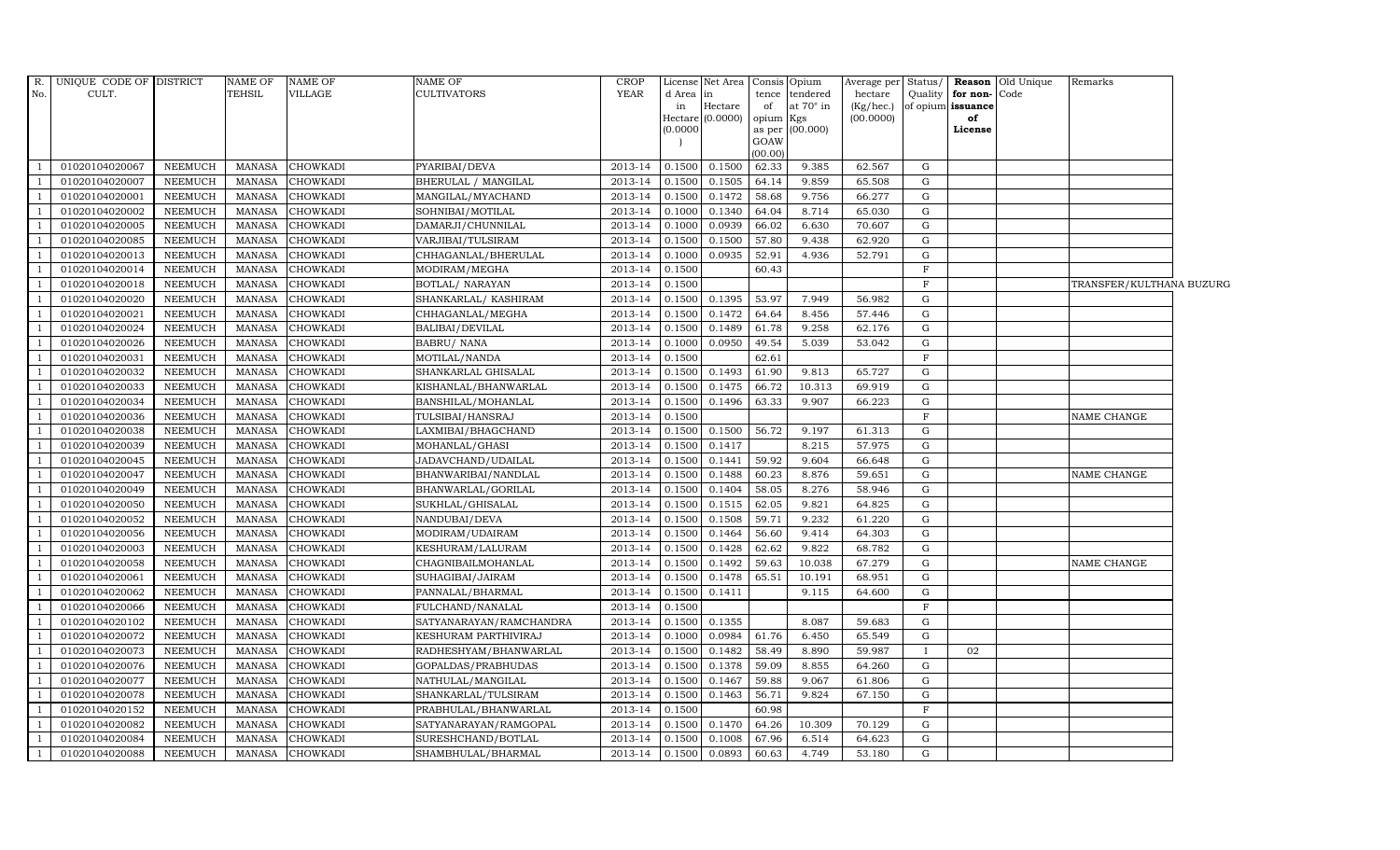| R.                       | UNIQUE CODE OF DISTRICT |                | <b>NAME OF</b> | <b>NAME OF</b>  | NAME OF                 | <b>CROP</b>    |           | License Net Area Consis Opium |           |                  | Average per | Status/     |                   | <b>Reason</b> Old Unique | Remarks                  |  |
|--------------------------|-------------------------|----------------|----------------|-----------------|-------------------------|----------------|-----------|-------------------------------|-----------|------------------|-------------|-------------|-------------------|--------------------------|--------------------------|--|
| No.                      | CULT.                   |                | TEHSIL         | VILLAGE         | <b>CULTIVATORS</b>      | <b>YEAR</b>    | d Area in |                               | tence     | tendered         | hectare     | Quality     | for non-Code      |                          |                          |  |
|                          |                         |                |                |                 |                         |                | in        | Hectare                       | of        | at $70^\circ$ in | (Kg/hec.)   |             | of opium issuance |                          |                          |  |
|                          |                         |                |                |                 |                         |                |           | $Hectare (0.0000)$            | opium Kgs | as per (00.000)  | (00.0000)   |             | of                |                          |                          |  |
|                          |                         |                |                |                 |                         |                | (0.0000)  |                               | GOAW      |                  |             |             | License           |                          |                          |  |
|                          |                         |                |                |                 |                         |                |           |                               | (00.00)   |                  |             |             |                   |                          |                          |  |
|                          | 01020104020067          | NEEMUCH        | MANASA         | <b>CHOWKADI</b> | PYARIBAI/DEVA           | 2013-14 0.1500 |           | 0.1500                        | 62.33     | 9.385            | 62.567      | G           |                   |                          |                          |  |
|                          | 01020104020007          | NEEMUCH        | <b>MANASA</b>  | <b>CHOWKADI</b> | BHERULAL / MANGILAL     | 2013-14        | 0.1500    | 0.1505                        | 64.14     | 9.859            | 65.508      | G           |                   |                          |                          |  |
| $\overline{1}$           | 01020104020001          | NEEMUCH        | <b>MANASA</b>  | <b>CHOWKADI</b> | MANGILAL/MYACHAND       | 2013-14        | 0.1500    | 0.1472                        | 58.68     | 9.756            | 66.277      | ${\rm G}$   |                   |                          |                          |  |
|                          | 01020104020002          | NEEMUCH        | MANASA         | <b>CHOWKADI</b> | SOHNIBAI/MOTILAL        | 2013-14        | 0.1000    | 0.1340                        | 64.04     | 8.714            | 65.030      | G           |                   |                          |                          |  |
|                          | 01020104020005          | NEEMUCH        | <b>MANASA</b>  | CHOWKADI        | DAMARJI/CHUNNILAL       | 2013-14        | 0.1000    | 0.0939                        | 66.02     | 6.630            | 70.607      | G           |                   |                          |                          |  |
|                          | 01020104020085          | <b>NEEMUCH</b> | <b>MANASA</b>  | <b>CHOWKADI</b> | VARJIBAI/TULSIRAM       | 2013-14        | 0.1500    | 0.1500                        | 57.80     | 9.438            | 62.920      | G           |                   |                          |                          |  |
|                          | 01020104020013          | NEEMUCH        | <b>MANASA</b>  | <b>CHOWKADI</b> | CHHAGANLAL/BHERULAL     | 2013-14        | 0.1000    | 0.0935                        | 52.91     | 4.936            | 52.791      | G           |                   |                          |                          |  |
| $\overline{1}$           | 01020104020014          | NEEMUCH        | <b>MANASA</b>  | <b>CHOWKADI</b> | MODIRAM/MEGHA           | 2013-14        | 0.1500    |                               | 60.43     |                  |             | $\mathbf F$ |                   |                          |                          |  |
|                          | 01020104020018          | <b>NEEMUCH</b> | <b>MANASA</b>  | <b>CHOWKADI</b> | <b>BOTLAL/ NARAYAN</b>  | 2013-14        | 0.1500    |                               |           |                  |             | $\mathbf F$ |                   |                          | TRANSFER/KULTHANA BUZURG |  |
|                          | 01020104020020          | NEEMUCH        | MANASA         | <b>CHOWKADI</b> | SHANKARLAL/KASHIRAM     | 2013-14        | 0.1500    | 0.1395                        | 53.97     | 7.949            | 56.982      | ${\rm G}$   |                   |                          |                          |  |
|                          | 01020104020021          | NEEMUCH        | MANASA         | <b>CHOWKADI</b> | CHHAGANLAL/MEGHA        | 2013-14        | 0.1500    | 0.1472                        | 64.64     | 8.456            | 57.446      | G           |                   |                          |                          |  |
|                          | 01020104020024          | NEEMUCH        | MANASA         | <b>CHOWKADI</b> | BALIBAI/DEVILAL         | 2013-14        | 0.1500    | 0.1489                        | 61.78     | 9.258            | 62.176      | G           |                   |                          |                          |  |
|                          | 01020104020026          | NEEMUCH        | MANASA         | CHOWKADI        | <b>BABRU/ NANA</b>      | 2013-14        | 0.1000    | 0.0950                        | 49.54     | 5.039            | 53.042      | G           |                   |                          |                          |  |
|                          | 01020104020031          | NEEMUCH        | MANASA         | CHOWKADI        | MOTILAL/NANDA           | 2013-14        | 0.1500    |                               | 62.61     |                  |             | $\mathbf F$ |                   |                          |                          |  |
|                          | 01020104020032          | <b>NEEMUCH</b> | <b>MANASA</b>  | CHOWKADI        | SHANKARLAL GHISALAL     | 2013-14        | 0.1500    | 0.1493                        | 61.90     | 9.813            | 65.727      | G           |                   |                          |                          |  |
|                          | 01020104020033          | NEEMUCH        | MANASA         | <b>CHOWKADI</b> | KISHANLAL/BHANWARLAL    | 2013-14        | 0.1500    | 0.1475                        | 66.72     | 10.313           | 69.919      | G           |                   |                          |                          |  |
|                          | 01020104020034          | NEEMUCH        | MANASA         | <b>CHOWKADI</b> | BANSHILAL/MOHANLAL      | 2013-14 0.1500 |           | 0.1496                        | 63.33     | 9.907            | 66.223      | G           |                   |                          |                          |  |
|                          | 01020104020036          | NEEMUCH        | MANASA         | <b>CHOWKADI</b> | TULSIBAI/HANSRAJ        | 2013-14        | 0.1500    |                               |           |                  |             | F           |                   |                          | NAME CHANGE              |  |
|                          | 01020104020038          | NEEMUCH        | <b>MANASA</b>  | <b>CHOWKADI</b> | LAXMIBAI/BHAGCHAND      | 2013-14        | 0.1500    | 0.1500                        | 56.72     | 9.197            | 61.313      | G           |                   |                          |                          |  |
|                          | 01020104020039          | <b>NEEMUCH</b> | <b>MANASA</b>  | <b>CHOWKADI</b> | MOHANLAL/GHASI          | 2013-14        | 0.1500    | 0.1417                        |           | 8.215            | 57.975      | $\mathbf G$ |                   |                          |                          |  |
|                          | 01020104020045          | NEEMUCH        | <b>MANASA</b>  | <b>CHOWKADI</b> | JADAVCHAND/UDAILAL      | 2013-14        | 0.1500    | 0.1441                        | 59.92     | 9.604            | 66.648      | $\mathbf G$ |                   |                          |                          |  |
|                          | 01020104020047          | <b>NEEMUCH</b> | <b>MANASA</b>  | <b>CHOWKADI</b> | BHANWARIBAI/NANDLAL     | 2013-14        | 0.1500    | 0.1488                        | 60.23     | 8.876            | 59.651      | G           |                   |                          | NAME CHANGE              |  |
|                          | 01020104020049          | NEEMUCH        | <b>MANASA</b>  | <b>CHOWKADI</b> | BHANWARLAL/GORILAL      | 2013-14 0.1500 |           | 0.1404                        | 58.05     | 8.276            | 58.946      | G           |                   |                          |                          |  |
|                          | 01020104020050          | NEEMUCH        | <b>MANASA</b>  | <b>CHOWKADI</b> | SUKHLAL/GHISALAL        | 2013-14        | 0.1500    | 0.1515                        | 62.05     | 9.821            | 64.825      | ${\rm G}$   |                   |                          |                          |  |
|                          | 01020104020052          | NEEMUCH        | MANASA         | CHOWKADI        | NANDUBAI/DEVA           | 2013-14        | 0.1500    | 0.1508                        | 59.71     | 9.232            | 61.220      | G           |                   |                          |                          |  |
|                          | 01020104020056          | <b>NEEMUCH</b> | <b>MANASA</b>  | <b>CHOWKADI</b> | MODIRAM/UDAIRAM         | 2013-14        | 0.1500    | 0.1464                        | 56.60     | 9.414            | 64.303      | G           |                   |                          |                          |  |
|                          | 01020104020003          | NEEMUCH        | <b>MANASA</b>  | <b>CHOWKADI</b> | KESHURAM/LALURAM        | 2013-14        | 0.1500    | 0.1428                        | 62.62     | 9.822            | 68.782      | G           |                   |                          |                          |  |
| $\overline{1}$           | 01020104020058          | <b>NEEMUCH</b> | <b>MANASA</b>  | <b>CHOWKADI</b> | CHAGNIBAILMOHANLAL      | 2013-14        | 0.1500    | 0.1492                        | 59.63     | 10.038           | 67.279      | G           |                   |                          | NAME CHANGE              |  |
|                          | 01020104020061          | <b>NEEMUCH</b> | <b>MANASA</b>  | <b>CHOWKADI</b> | SUHAGIBAI/JAIRAM        | 2013-14        | 0.1500    | 0.1478                        | 65.51     | 10.191           | 68.951      | G           |                   |                          |                          |  |
| $\overline{\phantom{0}}$ | 01020104020062          | NEEMUCH        | MANASA         | CHOWKADI        | PANNALAL/BHARMAL        | 2013-14        | 0.1500    | 0.1411                        |           | 9.115            | 64.600      | G           |                   |                          |                          |  |
|                          | 01020104020066          | <b>NEEMUCH</b> | <b>MANASA</b>  | <b>CHOWKADI</b> | FULCHAND/NANALAL        | 2013-14        | 0.1500    |                               |           |                  |             | $\mathbf F$ |                   |                          |                          |  |
|                          | 01020104020102          | <b>NEEMUCH</b> | <b>MANASA</b>  | <b>CHOWKADI</b> | SATYANARAYAN/RAMCHANDRA | 2013-14        | 0.1500    | 0.1355                        |           | 8.087            | 59.683      | ${\rm G}$   |                   |                          |                          |  |
| - 1                      | 01020104020072          | <b>NEEMUCH</b> | <b>MANASA</b>  | <b>CHOWKADI</b> | KESHURAM PARTHIVIRAJ    | 2013-14        | 0.1000    | 0.0984                        | 61.76     | 6.450            | 65.549      | G           |                   |                          |                          |  |
|                          | 01020104020073          | <b>NEEMUCH</b> | MANASA         | CHOWKADI        | RADHESHYAM/BHANWARLAL   | 2013-14        | 0.1500    | 0.1482                        | 58.49     | 8.890            | 59.987      |             | 02                |                          |                          |  |
|                          | 01020104020076          | NEEMUCH        | <b>MANASA</b>  | <b>CHOWKADI</b> | GOPALDAS/PRABHUDAS      | 2013-14        | 0.1500    | 0.1378                        | 59.09     | 8.855            | 64.260      | G           |                   |                          |                          |  |
|                          | 01020104020077          | <b>NEEMUCH</b> | <b>MANASA</b>  | <b>CHOWKADI</b> | NATHULAL/MANGILAL       | 2013-14        | 0.1500    | 0.1467                        | 59.88     | 9.067            | 61.806      | G           |                   |                          |                          |  |
|                          | 01020104020078          | NEEMUCH        | MANASA         | CHOWKADI        | SHANKARLAL/TULSIRAM     | 2013-14        | 0.1500    | 0.1463                        | 56.71     | 9.824            | 67.150      | G           |                   |                          |                          |  |
|                          | 01020104020152          | NEEMUCH        | <b>MANASA</b>  | <b>CHOWKADI</b> | PRABHULAL/BHANWARLAL    | 2013-14        | 0.1500    |                               | 60.98     |                  |             | $\mathbf F$ |                   |                          |                          |  |
|                          | 01020104020082          | NEEMUCH        | MANASA         | <b>CHOWKADI</b> | SATYANARAYAN/RAMGOPAL   | 2013-14        | 0.1500    | 0.1470                        | 64.26     | 10.309           | 70.129      | G           |                   |                          |                          |  |
|                          | 01020104020084          | NEEMUCH        | MANASA         | <b>CHOWKADI</b> | SURESHCHAND/BOTLAL      | 2013-14        | 0.1500    | 0.1008                        | 67.96     | 6.514            | 64.623      | G           |                   |                          |                          |  |
| $\overline{1}$           | 01020104020088          | NEEMUCH        | MANASA         | <b>CHOWKADI</b> | SHAMBHULAL/BHARMAL      | 2013-14 0.1500 |           | 0.0893                        | 60.63     | 4.749            | 53.180      | G           |                   |                          |                          |  |
|                          |                         |                |                |                 |                         |                |           |                               |           |                  |             |             |                   |                          |                          |  |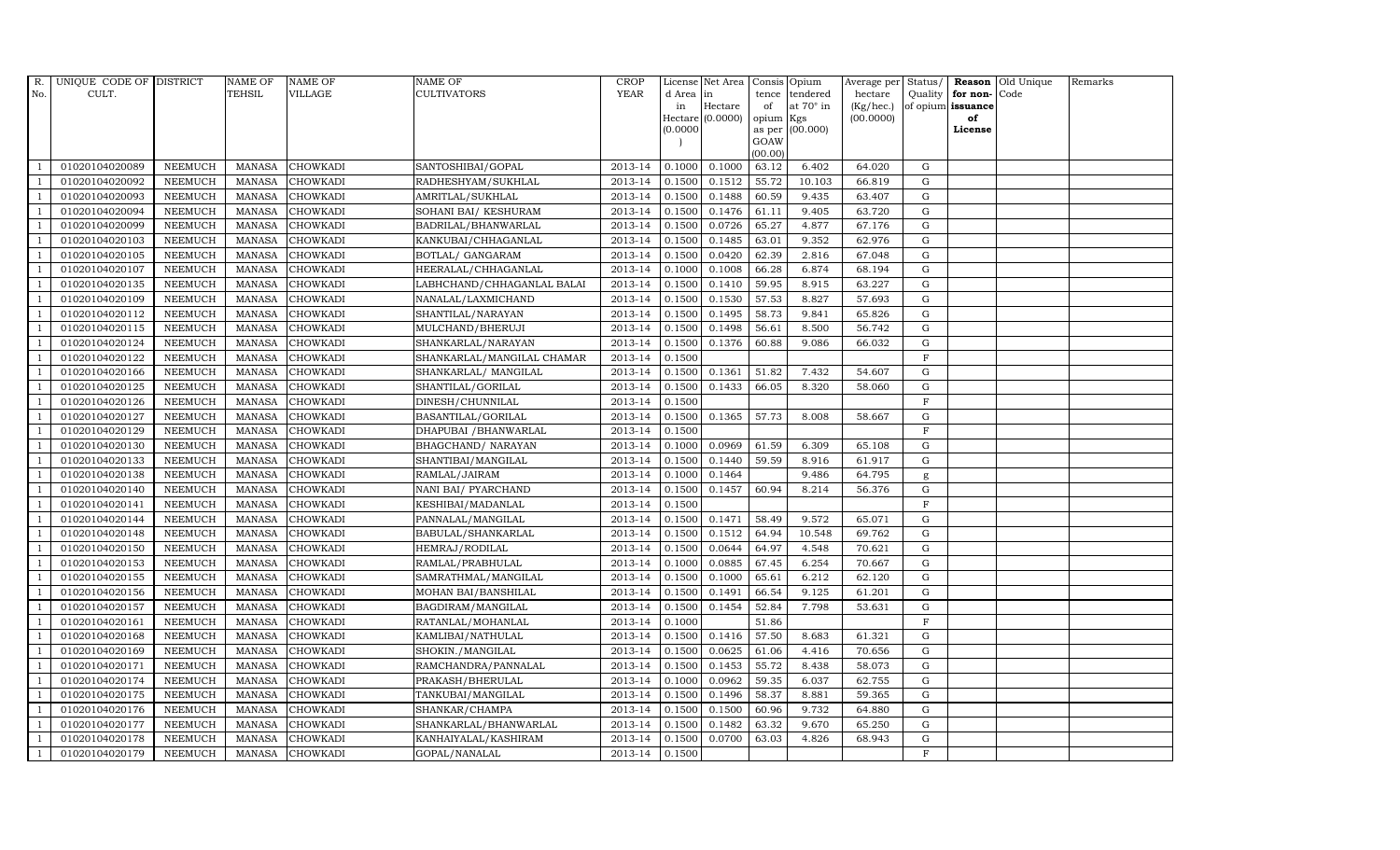| R.  | UNIQUE CODE OF DISTRICT |                | NAME OF       | <b>NAME OF</b>  | NAME OF                    | <b>CROP</b> |           | License Net Area Consis Opium |           |                  | Average per Status/ |             |                   | <b>Reason</b> Old Unique | Remarks |
|-----|-------------------------|----------------|---------------|-----------------|----------------------------|-------------|-----------|-------------------------------|-----------|------------------|---------------------|-------------|-------------------|--------------------------|---------|
| No. | CULT.                   |                | TEHSIL        | VILLAGE         | <b>CULTIVATORS</b>         | <b>YEAR</b> | d Area in |                               |           | tence tendered   | hectare             | Quality     | for non-          | Code                     |         |
|     |                         |                |               |                 |                            |             | in        | Hectare                       | of        | at $70^\circ$ in | (Kg/hec.)           |             | of opium issuance |                          |         |
|     |                         |                |               |                 |                            |             |           | Hectare (0.0000)              | opium Kgs |                  | (00.0000)           |             | of<br>License     |                          |         |
|     |                         |                |               |                 |                            |             | (0.0000)  |                               | GOAW      | as per (00.000)  |                     |             |                   |                          |         |
|     |                         |                |               |                 |                            |             |           |                               | (00.00)   |                  |                     |             |                   |                          |         |
|     | 01020104020089          | <b>NEEMUCH</b> | MANASA        | <b>CHOWKADI</b> | SANTOSHIBAI/GOPAL          | 2013-14     | 0.1000    | 0.1000                        | 63.12     | 6.402            | 64.020              | $\mathbf G$ |                   |                          |         |
|     | 01020104020092          | <b>NEEMUCH</b> | <b>MANASA</b> | <b>CHOWKADI</b> | RADHESHYAM/SUKHLAL         | 2013-14     | 0.1500    | 0.1512                        | 55.72     | 10.103           | 66.819              | $\mathbf G$ |                   |                          |         |
|     | 01020104020093          | <b>NEEMUCH</b> | <b>MANASA</b> | <b>CHOWKADI</b> | AMRITLAL/SUKHLAL           | 2013-14     | 0.1500    | 0.1488                        | 60.59     | 9.435            | 63.407              | G           |                   |                          |         |
|     | 01020104020094          | <b>NEEMUCH</b> | <b>MANASA</b> | <b>CHOWKADI</b> | SOHANI BAI/ KESHURAM       | 2013-14     | 0.1500    | 0.1476                        | 61.11     | 9.405            | 63.720              | $\mathbf G$ |                   |                          |         |
|     | 01020104020099          | <b>NEEMUCH</b> | <b>MANASA</b> | <b>CHOWKADI</b> | BADRILAL/BHANWARLAL        | 2013-14     | 0.1500    | 0.0726                        | 65.27     | 4.877            | 67.176              | ${\rm G}$   |                   |                          |         |
|     | 01020104020103          | NEEMUCH        | <b>MANASA</b> | CHOWKADI        | KANKUBAI/CHHAGANLAL        | 2013-14     | 0.1500    | 0.1485                        | 63.01     | 9.352            | 62.976              | ${\rm G}$   |                   |                          |         |
|     | 01020104020105          | <b>NEEMUCH</b> | <b>MANASA</b> | <b>CHOWKADI</b> | BOTLAL/ GANGARAM           | 2013-14     | 0.1500    | 0.0420                        | 62.39     | 2.816            | 67.048              | $\mathbf G$ |                   |                          |         |
|     | 01020104020107          | <b>NEEMUCH</b> | <b>MANASA</b> | <b>CHOWKADI</b> | HEERALAL/CHHAGANLAL        | 2013-14     | 0.1000    | 0.1008                        | 66.28     | 6.874            | 68.194              | $\mathbf G$ |                   |                          |         |
|     | 01020104020135          | <b>NEEMUCH</b> | <b>MANASA</b> | <b>CHOWKADI</b> | LABHCHAND/CHHAGANLAL BALAI | 2013-14     | 0.1500    | 0.1410                        | 59.95     | 8.915            | 63.227              | $\mathbf G$ |                   |                          |         |
|     | 01020104020109          | <b>NEEMUCH</b> | <b>MANASA</b> | CHOWKADI        | NANALAL/LAXMICHAND         | 2013-14     | 0.1500    | 0.1530                        | 57.53     | 8.827            | 57.693              | $\mathbf G$ |                   |                          |         |
|     | 01020104020112          | NEEMUCH        | <b>MANASA</b> | CHOWKADI        | SHANTILAL/NARAYAN          | 2013-14     | 0.1500    | 0.1495                        | 58.73     | 9.841            | 65.826              | ${\rm G}$   |                   |                          |         |
|     | 01020104020115          | <b>NEEMUCH</b> | <b>MANASA</b> | <b>CHOWKADI</b> | MULCHAND/BHERUJI           | 2013-14     | 0.1500    | 0.1498                        | 56.61     | 8.500            | 56.742              | ${\rm G}$   |                   |                          |         |
|     | 01020104020124          | <b>NEEMUCH</b> | <b>MANASA</b> | <b>CHOWKADI</b> | SHANKARLAL/NARAYAN         | 2013-14     | 0.1500    | 0.1376                        | 60.88     | 9.086            | 66.032              | $\mathbf G$ |                   |                          |         |
|     | 01020104020122          | <b>NEEMUCH</b> | <b>MANASA</b> | <b>CHOWKADI</b> | SHANKARLAL/MANGILAL CHAMAR | 2013-14     | 0.1500    |                               |           |                  |                     | $\mathbf F$ |                   |                          |         |
|     | 01020104020166          | <b>NEEMUCH</b> | <b>MANASA</b> | <b>CHOWKADI</b> | SHANKARLAL/MANGILAL        | 2013-14     | 0.1500    | 0.1361                        | 51.82     | 7.432            | 54.607              | G           |                   |                          |         |
|     | 01020104020125          | <b>NEEMUCH</b> | <b>MANASA</b> | CHOWKADI        | SHANTILAL/GORILAL          | 2013-14     | 0.1500    | 0.1433                        | 66.05     | 8.320            | 58.060              | ${\rm G}$   |                   |                          |         |
|     | 01020104020126          | <b>NEEMUCH</b> | <b>MANASA</b> | <b>CHOWKADI</b> | DINESH/CHUNNILAL           | 2013-14     | 0.1500    |                               |           |                  |                     | $\mathbf F$ |                   |                          |         |
|     | 01020104020127          | <b>NEEMUCH</b> | <b>MANASA</b> | <b>CHOWKADI</b> | BASANTILAL/GORILAL         | 2013-14     | 0.1500    | 0.1365                        | 57.73     | 8.008            | 58.667              | G           |                   |                          |         |
|     | 01020104020129          | <b>NEEMUCH</b> | <b>MANASA</b> | <b>CHOWKADI</b> | DHAPUBAI / BHANWARLAL      | 2013-14     | 0.1500    |                               |           |                  |                     | F           |                   |                          |         |
|     | 01020104020130          | <b>NEEMUCH</b> | <b>MANASA</b> | <b>CHOWKADI</b> | BHAGCHAND/ NARAYAN         | 2013-14     | 0.1000    | 0.0969                        | 61.59     | 6.309            | 65.108              | $\mathbf G$ |                   |                          |         |
|     | 01020104020133          | <b>NEEMUCH</b> | <b>MANASA</b> | <b>CHOWKADI</b> | SHANTIBAI/MANGILAL         | 2013-14     | 0.1500    | 0.1440                        | 59.59     | 8.916            | 61.917              | ${\rm G}$   |                   |                          |         |
|     | 01020104020138          | <b>NEEMUCH</b> | <b>MANASA</b> | CHOWKADI        | RAMLAL/JAIRAM              | 2013-14     | 0.1000    | 0.1464                        |           | 9.486            | 64.795              | g           |                   |                          |         |
|     | 01020104020140          | <b>NEEMUCH</b> | MANASA        | <b>CHOWKADI</b> | NANI BAI/ PYARCHAND        | 2013-14     | 0.1500    | 0.1457                        | 60.94     | 8.214            | 56.376              | G           |                   |                          |         |
|     | 01020104020141          | <b>NEEMUCH</b> | <b>MANASA</b> | <b>CHOWKADI</b> | KESHIBAI/MADANLAL          | 2013-14     | 0.1500    |                               |           |                  |                     | $\mathbf F$ |                   |                          |         |
|     | 01020104020144          | NEEMUCH        | <b>MANASA</b> | CHOWKADI        | PANNALAL/MANGILAL          | 2013-14     | 0.1500    | 0.1471                        | 58.49     | 9.572            | 65.071              | $\mathbf G$ |                   |                          |         |
|     | 01020104020148          | <b>NEEMUCH</b> | <b>MANASA</b> | <b>CHOWKADI</b> | BABULAL/SHANKARLAL         | 2013-14     | 0.1500    | 0.1512                        | 64.94     | 10.548           | 69.762              | G           |                   |                          |         |
|     | 01020104020150          | <b>NEEMUCH</b> | <b>MANASA</b> | <b>CHOWKADI</b> | HEMRAJ/RODILAL             | 2013-14     | 0.1500    | 0.0644                        | 64.97     | 4.548            | 70.621              | ${\rm G}$   |                   |                          |         |
|     | 01020104020153          | <b>NEEMUCH</b> | <b>MANASA</b> | <b>CHOWKADI</b> | RAMLAL/PRABHULAL           | 2013-14     | 0.1000    | 0.0885                        | 67.45     | 6.254            | 70.667              | $\mathbf G$ |                   |                          |         |
|     | 01020104020155          | <b>NEEMUCH</b> | <b>MANASA</b> | <b>CHOWKADI</b> | SAMRATHMAL/MANGILAL        | 2013-14     | 0.1500    | 0.1000                        | 65.61     | 6.212            | 62.120              | $\mathbf G$ |                   |                          |         |
|     | 01020104020156          | <b>NEEMUCH</b> | <b>MANASA</b> | <b>CHOWKADI</b> | MOHAN BAI/BANSHILAL        | 2013-14     | 0.1500    | 0.1491                        | 66.54     | 9.125            | 61.201              | $\mathbf G$ |                   |                          |         |
|     | 01020104020157          | <b>NEEMUCH</b> | <b>MANASA</b> | <b>CHOWKADI</b> | BAGDIRAM/MANGILAL          | 2013-14     | 0.1500    | 0.1454                        | 52.84     | 7.798            | 53.631              | G           |                   |                          |         |
|     | 01020104020161          | <b>NEEMUCH</b> | <b>MANASA</b> | <b>CHOWKADI</b> | RATANLAL/MOHANLAL          | 2013-14     | 0.1000    |                               | 51.86     |                  |                     | $\mathbf F$ |                   |                          |         |
|     | 01020104020168          | NEEMUCH        | <b>MANASA</b> | CHOWKADI        | KAMLIBAI/NATHULAL          | 2013-14     | 0.1500    | 0.1416                        | 57.50     | 8.683            | 61.321              | $\mathbf G$ |                   |                          |         |
|     | 01020104020169          | <b>NEEMUCH</b> | <b>MANASA</b> | <b>CHOWKADI</b> | SHOKIN./MANGILAL           | 2013-14     | 0.1500    | 0.0625                        | 61.06     | 4.416            | 70.656              | $\mathbf G$ |                   |                          |         |
|     | 01020104020171          | <b>NEEMUCH</b> | <b>MANASA</b> | CHOWKADI        | RAMCHANDRA/PANNALAL        | 2013-14     | 0.1500    | 0.1453                        | 55.72     | 8.438            | 58.073              | $\mathbf G$ |                   |                          |         |
|     | 01020104020174          | <b>NEEMUCH</b> | <b>MANASA</b> | CHOWKADI        | PRAKASH/BHERULAL           | 2013-14     | 0.1000    | 0.0962                        | 59.35     | 6.037            | 62.755              | ${\rm G}$   |                   |                          |         |
|     | 01020104020175          | <b>NEEMUCH</b> | <b>MANASA</b> | CHOWKADI        | TANKUBAI/MANGILAL          | 2013-14     | 0.1500    | 0.1496                        | 58.37     | 8.881            | 59.365              | ${\rm G}$   |                   |                          |         |
|     | 01020104020176          | <b>NEEMUCH</b> | <b>MANASA</b> | CHOWKADI        | SHANKAR/CHAMPA             | 2013-14     | 0.1500    | 0.1500                        | 60.96     | 9.732            | 64.880              | $\mathbf G$ |                   |                          |         |
|     | 01020104020177          | <b>NEEMUCH</b> | <b>MANASA</b> | <b>CHOWKADI</b> | SHANKARLAL/BHANWARLAL      | 2013-14     | 0.1500    | 0.1482                        | 63.32     | 9.670            | 65.250              | $\mathbf G$ |                   |                          |         |
|     | 01020104020178          | <b>NEEMUCH</b> | <b>MANASA</b> | <b>CHOWKADI</b> | KANHAIYALAL/KASHIRAM       | 2013-14     | 0.1500    | 0.0700                        | 63.03     | 4.826            | 68.943              | $\mathbf G$ |                   |                          |         |
|     | 01020104020179          | <b>NEEMUCH</b> | MANASA        | <b>CHOWKADI</b> | GOPAL/NANALAL              | 2013-14     | 0.1500    |                               |           |                  |                     | F           |                   |                          |         |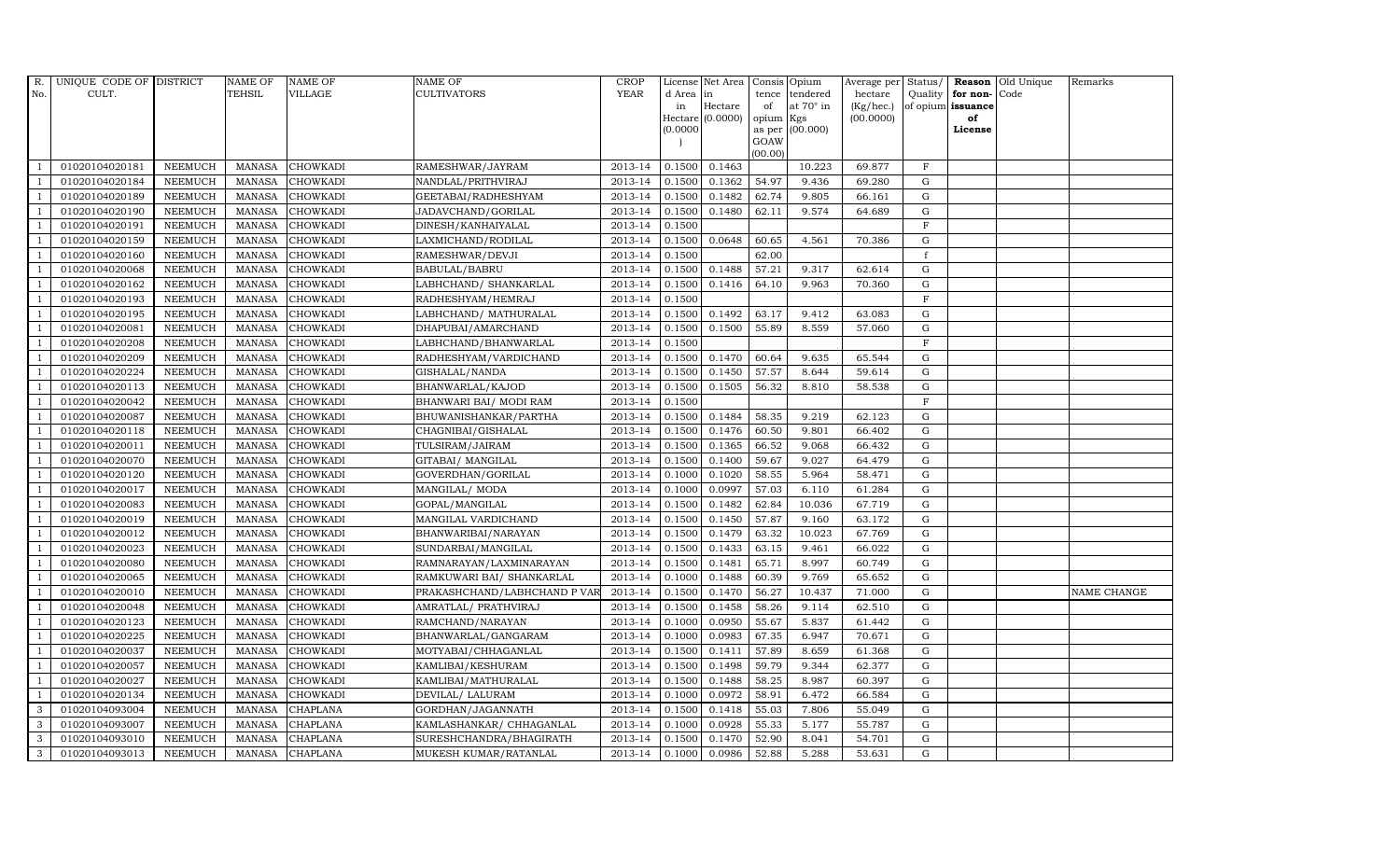| R.             | UNIQUE CODE OF DISTRICT |                | <b>NAME OF</b> | <b>NAME OF</b>  | <b>NAME OF</b>               | CROP    |           | License Net Area Consis Opium |           |                  | Average per Status/ |              | Reason            | Old Unique | Remarks     |
|----------------|-------------------------|----------------|----------------|-----------------|------------------------------|---------|-----------|-------------------------------|-----------|------------------|---------------------|--------------|-------------------|------------|-------------|
| No.            | CULT.                   |                | <b>TEHSIL</b>  | <b>VILLAGE</b>  | <b>CULTIVATORS</b>           | YEAR    | d Area in |                               |           | tence tendered   | hectare             | Quality      | for non-          | Code       |             |
|                |                         |                |                |                 |                              |         | in        | Hectare                       | of        | at $70^\circ$ in | (Kg/hec.)           |              | of opium issuance |            |             |
|                |                         |                |                |                 |                              |         |           | Hectare (0.0000)              | opium Kgs |                  | (00.0000)           |              | of                |            |             |
|                |                         |                |                |                 |                              |         | (0.0000)  |                               | GOAW      | as per (00.000)  |                     |              | License           |            |             |
|                |                         |                |                |                 |                              |         |           |                               | (00.00)   |                  |                     |              |                   |            |             |
|                | 01020104020181          | <b>NEEMUCH</b> | MANASA         | <b>CHOWKADI</b> | RAMESHWAR/JAYRAM             | 2013-14 | 0.1500    | 0.1463                        |           | 10.223           | 69.877              | $\mathbf F$  |                   |            |             |
| -1             | 01020104020184          | <b>NEEMUCH</b> | <b>MANASA</b>  | <b>CHOWKADI</b> | NANDLAL/PRITHVIRAJ           | 2013-14 | 0.1500    | 0.1362                        | 54.97     | 9.436            | 69.280              | $\mathbf G$  |                   |            |             |
|                | 01020104020189          | <b>NEEMUCH</b> | <b>MANASA</b>  | <b>CHOWKADI</b> | GEETABAI/RADHESHYAM          | 2013-14 | 0.1500    | 0.1482                        | 62.74     | 9.805            | 66.161              | G            |                   |            |             |
|                | 01020104020190          | <b>NEEMUCH</b> | <b>MANASA</b>  | <b>CHOWKADI</b> | JADAVCHAND/GORILAL           | 2013-14 | 0.1500    | 0.1480                        | 62.11     | 9.574            | 64.689              | $\mathbf G$  |                   |            |             |
| $\overline{1}$ | 01020104020191          | <b>NEEMUCH</b> | <b>MANASA</b>  | <b>CHOWKADI</b> | DINESH/KANHAIYALAL           | 2013-14 | 0.1500    |                               |           |                  |                     | $\mathbf F$  |                   |            |             |
| $\overline{1}$ | 01020104020159          | <b>NEEMUCH</b> | <b>MANASA</b>  | <b>CHOWKADI</b> | LAXMICHAND/RODILAL           | 2013-14 | 0.1500    | 0.0648                        | 60.65     | 4.561            | 70.386              | $\mathbf G$  |                   |            |             |
| $\overline{1}$ | 01020104020160          | <b>NEEMUCH</b> | <b>MANASA</b>  | <b>CHOWKADI</b> | RAMESHWAR/DEVJI              | 2013-14 | 0.1500    |                               | 62.00     |                  |                     | $\mathbf{f}$ |                   |            |             |
| $\overline{1}$ | 01020104020068          | <b>NEEMUCH</b> | <b>MANASA</b>  | <b>CHOWKADI</b> | BABULAL/BABRU                | 2013-14 | 0.1500    | 0.1488                        | 57.21     | 9.317            | 62.614              | $\mathbf G$  |                   |            |             |
|                | 01020104020162          | <b>NEEMUCH</b> | <b>MANASA</b>  | <b>CHOWKADI</b> | LABHCHAND/ SHANKARLAL        | 2013-14 | 0.1500    | 0.1416                        | 64.10     | 9.963            | 70.360              | G            |                   |            |             |
|                | 01020104020193          | <b>NEEMUCH</b> | <b>MANASA</b>  | <b>CHOWKADI</b> | RADHESHYAM/HEMRAJ            | 2013-14 | 0.1500    |                               |           |                  |                     | $\mathbf F$  |                   |            |             |
| $\overline{1}$ | 01020104020195          | <b>NEEMUCH</b> | <b>MANASA</b>  | <b>CHOWKADI</b> | LABHCHAND/ MATHURALAL        | 2013-14 | 0.1500    | 0.1492                        | 63.17     | 9.412            | 63.083              | G            |                   |            |             |
| $\overline{1}$ | 01020104020081          | <b>NEEMUCH</b> | <b>MANASA</b>  | <b>CHOWKADI</b> | DHAPUBAI/AMARCHAND           | 2013-14 | 0.1500    | 0.1500                        | 55.89     | 8.559            | 57.060              | ${\rm G}$    |                   |            |             |
| $\overline{1}$ | 01020104020208          | <b>NEEMUCH</b> | <b>MANASA</b>  | <b>CHOWKADI</b> | LABHCHAND/BHANWARLAL         | 2013-14 | 0.1500    |                               |           |                  |                     | $\mathbf F$  |                   |            |             |
|                | 01020104020209          | <b>NEEMUCH</b> | <b>MANASA</b>  | <b>CHOWKADI</b> | RADHESHYAM/VARDICHAND        | 2013-14 | 0.1500    | 0.1470                        | 60.64     | 9.635            | 65.544              | $\mathbf G$  |                   |            |             |
| $\overline{1}$ | 01020104020224          | <b>NEEMUCH</b> | <b>MANASA</b>  | <b>CHOWKADI</b> | GISHALAL/NANDA               | 2013-14 | 0.1500    | 0.1450                        | 57.57     | 8.644            | 59.614              | G            |                   |            |             |
| $\overline{1}$ | 01020104020113          | <b>NEEMUCH</b> | <b>MANASA</b>  | <b>CHOWKADI</b> | BHANWARLAL/KAJOD             | 2013-14 | 0.1500    | 0.1505                        | 56.32     | 8.810            | 58.538              | ${\rm G}$    |                   |            |             |
|                | 01020104020042          | <b>NEEMUCH</b> | <b>MANASA</b>  | <b>CHOWKADI</b> | BHANWARI BAI/ MODI RAM       | 2013-14 | 0.1500    |                               |           |                  |                     | $\mathbf F$  |                   |            |             |
| $\overline{1}$ | 01020104020087          | <b>NEEMUCH</b> | <b>MANASA</b>  | <b>CHOWKADI</b> | BHUWANISHANKAR/PARTHA        | 2013-14 | 0.1500    | 0.1484                        | 58.35     | 9.219            | 62.123              | G            |                   |            |             |
|                | 01020104020118          | <b>NEEMUCH</b> | <b>MANASA</b>  | <b>CHOWKADI</b> | CHAGNIBAI/GISHALAL           | 2013-14 | 0.1500    | 0.1476                        | 60.50     | 9.801            | 66.402              | $\mathbf G$  |                   |            |             |
|                | 01020104020011          | <b>NEEMUCH</b> | <b>MANASA</b>  | <b>CHOWKADI</b> | TULSIRAM/JAIRAM              | 2013-14 | 0.1500    | 0.1365                        | 66.52     | 9.068            | 66.432              | G            |                   |            |             |
| -1             | 01020104020070          | <b>NEEMUCH</b> | <b>MANASA</b>  | <b>CHOWKADI</b> | GITABAI/ MANGILAL            | 2013-14 | 0.1500    | 0.1400                        | 59.67     | 9.027            | 64.479              | ${\rm G}$    |                   |            |             |
| $\overline{1}$ | 01020104020120          | <b>NEEMUCH</b> | <b>MANASA</b>  | <b>CHOWKADI</b> | GOVERDHAN/GORILAL            | 2013-14 | 0.1000    | 0.1020                        | 58.55     | 5.964            | 58.471              | ${\rm G}$    |                   |            |             |
| $\overline{1}$ | 01020104020017          | <b>NEEMUCH</b> | MANASA         | <b>CHOWKADI</b> | MANGILAL/ MODA               | 2013-14 | 0.1000    | 0.0997                        | 57.03     | 6.110            | 61.284              | G            |                   |            |             |
|                | 01020104020083          | <b>NEEMUCH</b> | <b>MANASA</b>  | <b>CHOWKADI</b> | GOPAL/MANGILAL               | 2013-14 | 0.1500    | 0.1482                        | 62.84     | 10.036           | 67.719              | $\mathbf G$  |                   |            |             |
|                | 01020104020019          | <b>NEEMUCH</b> | <b>MANASA</b>  | <b>CHOWKADI</b> | MANGILAL VARDICHAND          | 2013-14 | 0.1500    | 0.1450                        | 57.87     | 9.160            | 63.172              | ${\rm G}$    |                   |            |             |
| -1             | 01020104020012          | <b>NEEMUCH</b> | <b>MANASA</b>  | <b>CHOWKADI</b> | BHANWARIBAI/NARAYAN          | 2013-14 | 0.1500    | 0.1479                        | 63.32     | 10.023           | 67.769              | G            |                   |            |             |
| $\overline{1}$ | 01020104020023          | <b>NEEMUCH</b> | <b>MANASA</b>  | <b>CHOWKADI</b> | SUNDARBAI/MANGILAL           | 2013-14 | 0.1500    | 0.1433                        | 63.15     | 9.461            | 66.022              | ${\rm G}$    |                   |            |             |
| $\overline{1}$ | 01020104020080          | <b>NEEMUCH</b> | <b>MANASA</b>  | <b>CHOWKADI</b> | RAMNARAYAN/LAXMINARAYAN      | 2013-14 | 0.1500    | 0.1481                        | 65.71     | 8.997            | 60.749              | $\mathbf G$  |                   |            |             |
| $\overline{1}$ | 01020104020065          | <b>NEEMUCH</b> | <b>MANASA</b>  | <b>CHOWKADI</b> | RAMKUWARI BAI/ SHANKARLAL    | 2013-14 | 0.1000    | 0.1488                        | 60.39     | 9.769            | 65.652              | $\mathbf G$  |                   |            |             |
|                | 01020104020010          | <b>NEEMUCH</b> | <b>MANASA</b>  | <b>CHOWKADI</b> | PRAKASHCHAND/LABHCHAND P VAR | 2013-14 | 0.1500    | 0.1470                        | 56.27     | 10.437           | 71.000              | $\mathbf G$  |                   |            | NAME CHANGE |
| -1             | 01020104020048          | <b>NEEMUCH</b> | <b>MANASA</b>  | <b>CHOWKADI</b> | AMRATLAL/ PRATHVIRAJ         | 2013-14 | 0.1500    | 0.1458                        | 58.26     | 9.114            | 62.510              | G            |                   |            |             |
|                | 01020104020123          | <b>NEEMUCH</b> | <b>MANASA</b>  | <b>CHOWKADI</b> | RAMCHAND/NARAYAN             | 2013-14 | 0.1000    | 0.0950                        | 55.67     | 5.837            | 61.442              | ${\rm G}$    |                   |            |             |
| $\overline{1}$ | 01020104020225          | <b>NEEMUCH</b> | MANASA         | CHOWKADI        | BHANWARLAL/GANGARAM          | 2013-14 | 0.1000    | 0.0983                        | 67.35     | 6.947            | 70.671              | $\mathbf G$  |                   |            |             |
| $\overline{1}$ | 01020104020037          | <b>NEEMUCH</b> | <b>MANASA</b>  | <b>CHOWKADI</b> | MOTYABAI/CHHAGANLAL          | 2013-14 | 0.1500    | 0.1411                        | 57.89     | 8.659            | 61.368              | $\mathbf G$  |                   |            |             |
|                | 01020104020057          | <b>NEEMUCH</b> | <b>MANASA</b>  | <b>CHOWKADI</b> | KAMLIBAI/KESHURAM            | 2013-14 | 0.1500    | 0.1498                        | 59.79     | 9.344            | 62.377              | $\mathbf G$  |                   |            |             |
| $\overline{1}$ | 01020104020027          | <b>NEEMUCH</b> | <b>MANASA</b>  | <b>CHOWKADI</b> | KAMLIBAI/MATHURALAL          | 2013-14 | 0.1500    | 0.1488                        | 58.25     | 8.987            | 60.397              | ${\rm G}$    |                   |            |             |
|                | 01020104020134          | <b>NEEMUCH</b> | <b>MANASA</b>  | <b>CHOWKADI</b> | DEVILAL/ LALURAM             | 2013-14 | 0.1000    | 0.0972                        | 58.91     | 6.472            | 66.584              | ${\rm G}$    |                   |            |             |
| 3              | 01020104093004          | <b>NEEMUCH</b> | <b>MANASA</b>  | CHAPLANA        | GORDHAN/JAGANNATH            | 2013-14 | 0.1500    | 0.1418                        | 55.03     | 7.806            | 55.049              | $\mathbf G$  |                   |            |             |
| 3              | 01020104093007          | <b>NEEMUCH</b> | <b>MANASA</b>  | <b>CHAPLANA</b> | KAMLASHANKAR/ CHHAGANLAL     | 2013-14 | 0.1000    | 0.0928                        | 55.33     | 5.177            | 55.787              | G            |                   |            |             |
| 3              | 01020104093010          | <b>NEEMUCH</b> | <b>MANASA</b>  | <b>CHAPLANA</b> | SURESHCHANDRA/BHAGIRATH      | 2013-14 | 0.1500    | 0.1470                        | 52.90     | 8.041            | 54.701              | $\mathbf G$  |                   |            |             |
| 3              | 01020104093013          | <b>NEEMUCH</b> | MANASA         | <b>CHAPLANA</b> | MUKESH KUMAR/RATANLAL        | 2013-14 | 0.1000    | 0.0986                        | 52.88     | 5.288            | 53.631              | G            |                   |            |             |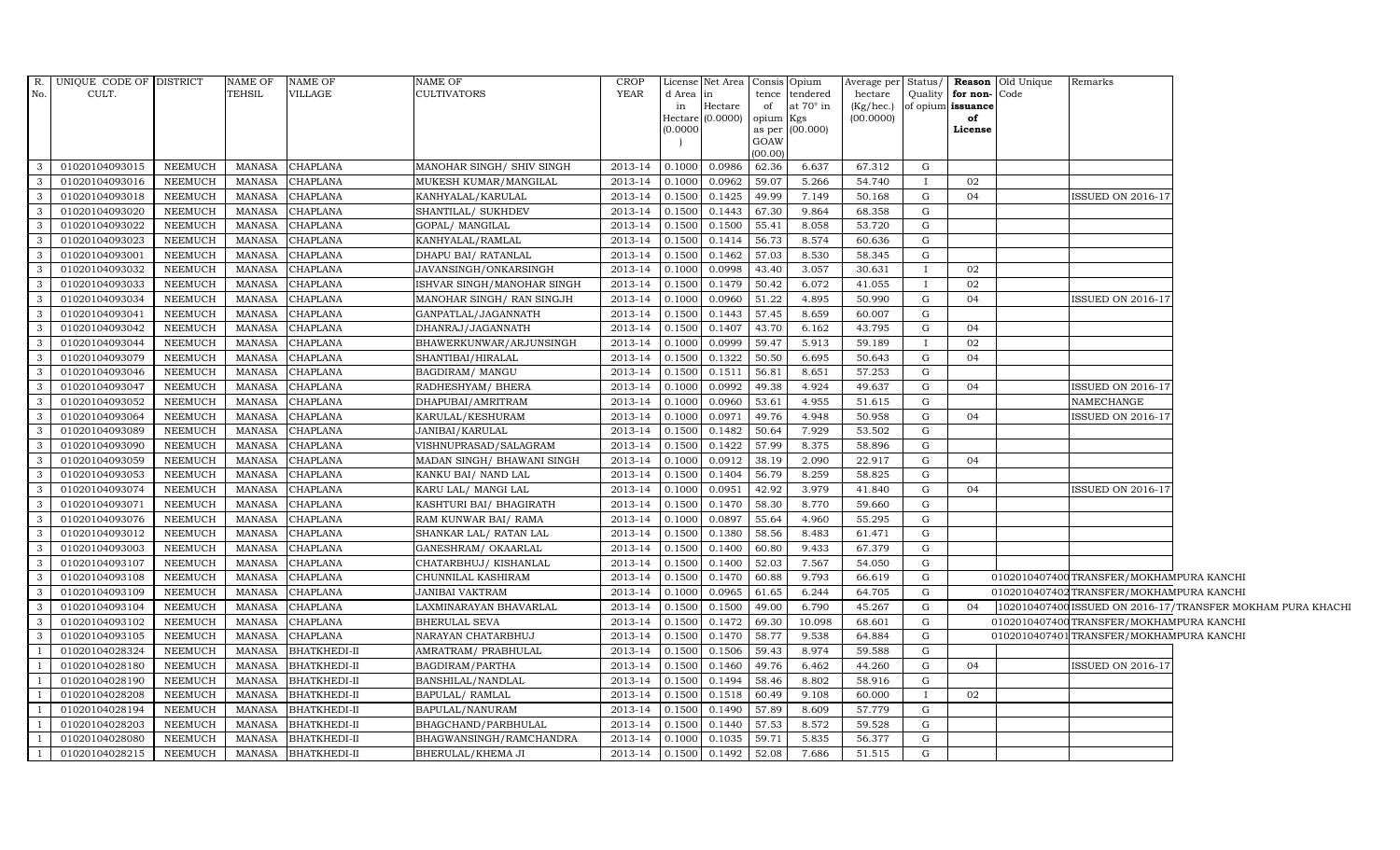| No.            | R. UNIQUE CODE OF DISTRICT<br>CULT. |                | NAME OF<br>TEHSIL | NAME OF<br>VILLAGE  | NAME OF<br><b>CULTIVATORS</b> | <b>CROP</b><br>YEAR | d Area<br>in | License Net Area   Consis   Opium<br>$\ln$<br>Hectare | of              | tence tendered<br>at $70^\circ$ in | hectare<br>(Kg/hec.) |   | Quality for non-Code<br>of opium issuance | Average per Status/ Reason Old Unique | Remarks                                  |                                                            |
|----------------|-------------------------------------|----------------|-------------------|---------------------|-------------------------------|---------------------|--------------|-------------------------------------------------------|-----------------|------------------------------------|----------------------|---|-------------------------------------------|---------------------------------------|------------------------------------------|------------------------------------------------------------|
|                |                                     |                |                   |                     |                               |                     | (0.0000)     | Hectare $(0.0000)$ opium Kgs                          | GOAW<br>(00.00) | as per (00.000)                    | (00.0000)            |   | of<br>License                             |                                       |                                          |                                                            |
| 3              | 01020104093015                      | NEEMUCH        | MANASA            | <b>CHAPLANA</b>     | MANOHAR SINGH/ SHIV SINGH     | 2013-14             | 0.1000       | 0.0986                                                | 62.36           | 6.637                              | 67.312               | G |                                           |                                       |                                          |                                                            |
| 3              | 01020104093016                      | <b>NEEMUCH</b> | <b>MANASA</b>     | <b>CHAPLANA</b>     | MUKESH KUMAR/MANGILAL         | 2013-14             | 0.1000       | 0.0962                                                | 59.07           | 5.266                              | 54.740               |   | 02                                        |                                       |                                          |                                                            |
| $\mathbf{3}$   | 01020104093018                      | <b>NEEMUCH</b> | <b>MANASA</b>     | CHAPLANA            | KANHYALAL/KARULAL             | 2013-14             | 0.1500       | 0.1425                                                | 49.99           | 7.149                              | 50.168               | G | 04                                        |                                       | <b>ISSUED ON 2016-17</b>                 |                                                            |
| 3              | 01020104093020                      | <b>NEEMUCH</b> | MANASA            | <b>CHAPLANA</b>     | SHANTILAL/ SUKHDEV            | 2013-14             | 0.1500       | 0.1443                                                | 67.30           | 9.864                              | 68.358               | G |                                           |                                       |                                          |                                                            |
| 3              | 01020104093022                      | <b>NEEMUCH</b> | <b>MANASA</b>     | <b>CHAPLANA</b>     | GOPAL/ MANGILAL               | 2013-14             | 0.1500       | 0.1500                                                | 55.41           | 8.058                              | 53.720               | G |                                           |                                       |                                          |                                                            |
| $\mathbf{3}$   | 01020104093023                      | <b>NEEMUCH</b> | MANASA            | CHAPLANA            | KANHYALAL/RAMLAL              | 2013-14             | 0.1500       | 0.1414                                                | 56.73           | 8.574                              | 60.636               | G |                                           |                                       |                                          |                                                            |
| $\mathbf{3}$   | 01020104093001                      | <b>NEEMUCH</b> | <b>MANASA</b>     | CHAPLANA            | DHAPU BAI / RATANLAL          | 2013-14             | 0.1500       | 0.1462                                                | 57.03           | 8.530                              | 58.345               | G |                                           |                                       |                                          |                                                            |
| 3              | 01020104093032                      | <b>NEEMUCH</b> | <b>MANASA</b>     | CHAPLANA            | JAVANSINGH/ONKARSINGH         | 2013-14             | 0.1000       | 0.0998                                                | 43.40           | 3.057                              | 30.631               |   | 02                                        |                                       |                                          |                                                            |
| 3              | 01020104093033                      | <b>NEEMUCH</b> | <b>MANASA</b>     | CHAPLANA            | ISHVAR SINGH/MANOHAR SINGH    | 2013-14             | 0.1500       | 0.1479                                                | 50.42           | 6.072                              | 41.055               |   | 02                                        |                                       |                                          |                                                            |
| $\mathbf{3}$   | 01020104093034                      | <b>NEEMUCH</b> | <b>MANASA</b>     | <b>CHAPLANA</b>     | MANOHAR SINGH/ RAN SINGJH     | 2013-14             | 0.1000       | 0.0960                                                | 51.22           | 4.895                              | 50.990               | G | 04                                        |                                       | ISSUED ON 2016-17                        |                                                            |
| 3              | 01020104093041                      | <b>NEEMUCH</b> | <b>MANASA</b>     | <b>CHAPLANA</b>     | GANPATLAL/JAGANNATH           | 2013-14             | 0.1500       | 0.1443                                                | 57.45           | 8.659                              | 60.007               | G |                                           |                                       |                                          |                                                            |
| $\mathbf{3}$   | 01020104093042                      | <b>NEEMUCH</b> | <b>MANASA</b>     | CHAPLANA            | DHANRAJ/JAGANNATH             | 2013-14             | 0.1500       | 0.1407                                                | 43.70           | 6.162                              | 43.795               | G | 04                                        |                                       |                                          |                                                            |
| $\mathbf{3}$   | 01020104093044                      | <b>NEEMUCH</b> | MANASA            | CHAPLANA            | BHAWERKUNWAR/ARJUNSINGH       | 2013-14             | 0.1000       | 0.0999                                                | 59.47           | 5.913                              | 59.189               |   | 02                                        |                                       |                                          |                                                            |
| 3              | 01020104093079                      | <b>NEEMUCH</b> | <b>MANASA</b>     | CHAPLANA            | SHANTIBAI/HIRALAL             | 2013-14             | 0.1500       | 0.1322                                                | 50.50           | 6.695                              | 50.643               | G | 04                                        |                                       |                                          |                                                            |
| 3              | 01020104093046                      | <b>NEEMUCH</b> | <b>MANASA</b>     | <b>CHAPLANA</b>     | BAGDIRAM/ MANGU               | 2013-14             | 0.1500       | 0.1511                                                | 56.81           | 8.651                              | 57.253               | G |                                           |                                       |                                          |                                                            |
| 3              | 01020104093047                      | NEEMUCH        | <b>MANASA</b>     | <b>CHAPLANA</b>     | RADHESHYAM/ BHERA             | 2013-14             | 0.1000       | 0.0992                                                | 49.38           | 4.924                              | 49.637               | G | 04                                        |                                       | ISSUED ON 2016-17                        |                                                            |
| 3              | 01020104093052                      | <b>NEEMUCH</b> | <b>MANASA</b>     | <b>CHAPLANA</b>     | DHAPUBAI/AMRITRAM             | 2013-14             | 0.1000       | 0.0960                                                | 53.61           | 4.955                              | 51.615               | G |                                           |                                       | NAMECHANGE                               |                                                            |
| $\mathbf{3}$   | 01020104093064                      | <b>NEEMUCH</b> | MANASA            | CHAPLANA            | KARULAL/KESHURAM              | 2013-14             | 0.1000       | 0.0971                                                | 49.76           | 4.948                              | 50.958               | G | 04                                        |                                       | ISSUED ON 2016-17                        |                                                            |
| $\mathbf{3}$   | 01020104093089                      | <b>NEEMUCH</b> | <b>MANASA</b>     | CHAPLANA            | JANIBAI/KARULAL               | 2013-14             | 0.1500       | 0.1482                                                | 50.64           | 7.929                              | 53.502               | G |                                           |                                       |                                          |                                                            |
| $\mathbf{3}$   | 01020104093090                      | <b>NEEMUCH</b> | <b>MANASA</b>     | CHAPLANA            | VISHNUPRASAD/SALAGRAM         | 2013-14             | 0.1500       | 0.1422                                                | 57.99           | 8.375                              | 58.896               | G |                                           |                                       |                                          |                                                            |
| 3              | 01020104093059                      | <b>NEEMUCH</b> | <b>MANASA</b>     | <b>CHAPLANA</b>     | MADAN SINGH/ BHAWANI SINGH    | 2013-14             | 0.1000       | 0.0912                                                | 38.19           | 2.090                              | 22.917               | G | 04                                        |                                       |                                          |                                                            |
| $\mathbf{3}$   | 01020104093053                      | <b>NEEMUCH</b> | <b>MANASA</b>     | <b>CHAPLANA</b>     | KANKU BAI/ NAND LAL           | 2013-14             | 0.1500       | 0.1404                                                | 56.79           | 8.259                              | 58.825               | G |                                           |                                       |                                          |                                                            |
| $\mathbf{3}$   | 01020104093074                      | <b>NEEMUCH</b> | <b>MANASA</b>     | CHAPLANA            | KARU LAL/ MANGI LAL           | 2013-14             | 0.1000       | 0.0951                                                | 42.92           | 3.979                              | 41.840               | G | 04                                        |                                       | <b>ISSUED ON 2016-17</b>                 |                                                            |
| $\mathbf{3}$   | 01020104093071                      | <b>NEEMUCH</b> | <b>MANASA</b>     | <b>CHAPLANA</b>     | KASHTURI BAI/ BHAGIRATH       | 2013-14             | 0.1500       | 0.1470                                                | 58.30           | 8.770                              | 59.660               | G |                                           |                                       |                                          |                                                            |
| 3              | 01020104093076                      | <b>NEEMUCH</b> | <b>MANASA</b>     | CHAPLANA            | RAM KUNWAR BAI/ RAMA          | 2013-14             | 0.1000       | 0.0897                                                | 55.64           | 4.960                              | 55.295               | G |                                           |                                       |                                          |                                                            |
| $\mathbf{3}$   | 01020104093012                      | <b>NEEMUCH</b> | <b>MANASA</b>     | CHAPLANA            | SHANKAR LAL/ RATAN LAL        | 2013-14             | 0.1500       | 0.1380                                                | 58.56           | 8.483                              | 61.471               | G |                                           |                                       |                                          |                                                            |
| $\mathbf{3}$   | 01020104093003                      | <b>NEEMUCH</b> | <b>MANASA</b>     | <b>CHAPLANA</b>     | GANESHRAM/ OKAARLAL           | 2013-14             | 0.1500       | 0.1400                                                | 60.80           | 9.433                              | 67.379               | G |                                           |                                       |                                          |                                                            |
| $\mathbf{3}$   | 01020104093107                      | <b>NEEMUCH</b> | <b>MANASA</b>     | CHAPLANA            | CHATARBHUJ/ KISHANLAL         | 2013-14             | 0.1500       | 0.1400                                                | 52.03           | 7.567                              | 54.050               | G |                                           |                                       |                                          |                                                            |
| 3              | 01020104093108                      | <b>NEEMUCH</b> | <b>MANASA</b>     | CHAPLANA            | CHUNNILAL KASHIRAM            | 2013-14             | 0.1500       | 0.1470                                                | 60.88           | 9.793                              | 66.619               | G |                                           |                                       | 0102010407400 TRANSFER/MOKHAMPURA KANCHI |                                                            |
| $\mathbf{3}$   | 01020104093109                      | <b>NEEMUCH</b> | <b>MANASA</b>     | <b>CHAPLANA</b>     | <b>JANIBAI VAKTRAM</b>        | 2013-14             | 0.1000       | 0.0965                                                | 61.65           | 6.244                              | 64.705               | G |                                           |                                       | 0102010407402 TRANSFER/MOKHAMPURA KANCHI |                                                            |
| $\mathbf{3}$   | 01020104093104                      | <b>NEEMUCH</b> | <b>MANASA</b>     | CHAPLANA            | LAXMINARAYAN BHAVARLAL        | 2013-14             | 0.1500       | 0.1500                                                | 49.00           | 6.790                              | 45.267               | G | 04                                        |                                       |                                          | 102010407400 ISSUED ON 2016-17/TRANSFER MOKHAM PURA KHACHI |
| $\mathbf{3}$   | 01020104093102                      | <b>NEEMUCH</b> | <b>MANASA</b>     | <b>CHAPLANA</b>     | <b>BHERULAL SEVA</b>          | 2013-14             | 0.1500       | 0.1472                                                | 69.30           | 10.098                             | 68.601               | G |                                           |                                       | 0102010407400TRANSFER/MOKHAMPURA KANCHI  |                                                            |
| 3              | 01020104093105                      | <b>NEEMUCH</b> | <b>MANASA</b>     | <b>CHAPLANA</b>     | NARAYAN CHATARBHUJ            | 2013-14             | 0.1500       | 0.1470                                                | 58.77           | 9.538                              | 64.884               | G |                                           |                                       | 0102010407401 TRANSFER/MOKHAMPURA KANCHI |                                                            |
| $\overline{1}$ | 01020104028324                      | <b>NEEMUCH</b> | <b>MANASA</b>     | <b>BHATKHEDI-II</b> | AMRATRAM/ PRABHULAL           | 2013-14             | 0.1500       | 0.1506                                                | 59.43           | 8.974                              | 59.588               | G |                                           |                                       |                                          |                                                            |
| $\overline{1}$ | 01020104028180                      | <b>NEEMUCH</b> | <b>MANASA</b>     | <b>BHATKHEDI-II</b> | BAGDIRAM/PARTHA               | 2013-14             | 0.1500       | 0.1460                                                | 49.76           | 6.462                              | 44.260               | G | 04                                        |                                       | ISSUED ON 2016-17                        |                                                            |
|                | 01020104028190                      | <b>NEEMUCH</b> | <b>MANASA</b>     | <b>BHATKHEDI-II</b> | BANSHILAL/NANDLAL             | 2013-14             | 0.1500       | 0.1494                                                | 58.46           | 8.802                              | 58.916               | G |                                           |                                       |                                          |                                                            |
|                | 01020104028208                      | <b>NEEMUCH</b> | <b>MANASA</b>     | <b>BHATKHEDI-II</b> | BAPULAL/ RAMLAL               | 2013-14             | 0.1500       | 0.1518                                                | 60.49           | 9.108                              | 60.000               |   | 02                                        |                                       |                                          |                                                            |
| -1             | 01020104028194                      | <b>NEEMUCH</b> | MANASA            | <b>BHATKHEDI-II</b> | BAPULAL/NANURAM               | 2013-14             | 0.1500       | 0.1490                                                | 57.89           | 8.609                              | 57.779               | G |                                           |                                       |                                          |                                                            |
| -1             | 01020104028203                      | <b>NEEMUCH</b> | <b>MANASA</b>     | <b>BHATKHEDI-II</b> | BHAGCHAND/PARBHULAL           | 2013-14             | 0.1500       | 0.1440                                                | 57.53           | 8.572                              | 59.528               | G |                                           |                                       |                                          |                                                            |
|                | 01020104028080                      | <b>NEEMUCH</b> | MANASA            | BHATKHEDI-II        | BHAGWANSINGH/RAMCHANDRA       | 2013-14             | 0.1000       | 0.1035                                                | 59.71           | 5.835                              | 56.377               | G |                                           |                                       |                                          |                                                            |
|                | 01020104028215                      | <b>NEEMUCH</b> | MANASA            | <b>BHATKHEDI-II</b> | BHERULAL/KHEMA JI             | 2013-14 0.1500      |              | 0.1492                                                | 52.08           | 7.686                              | 51.515               | G |                                           |                                       |                                          |                                                            |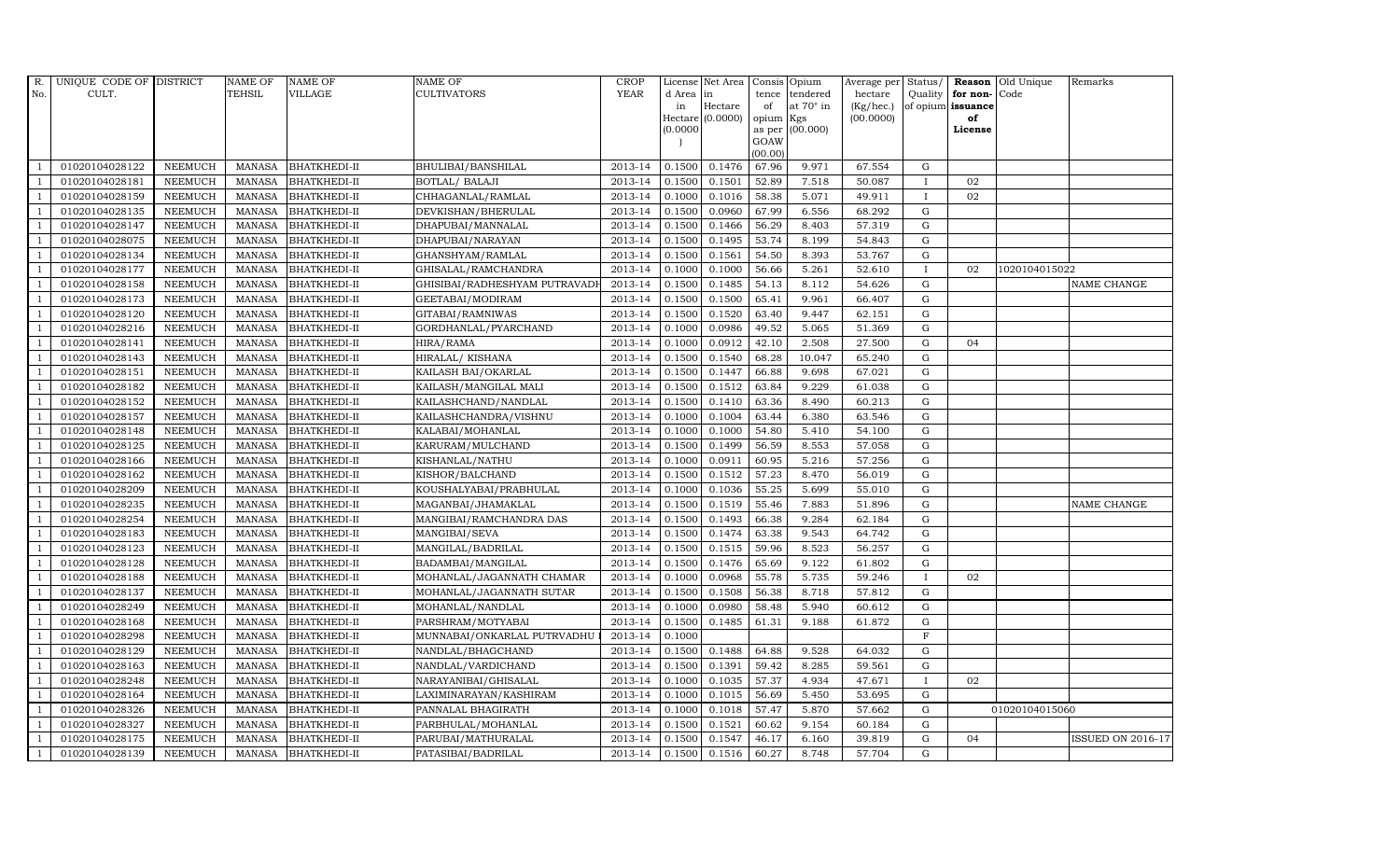| R.             | UNIQUE CODE OF DISTRICT |                | <b>NAME OF</b> | <b>NAME OF</b>      | <b>NAME OF</b>                | <b>CROP</b> |           | License Net Area Consis Opium |           |                 | Average per Status/    |              |                         | <b>Reason</b> Old Unique | Remarks                  |
|----------------|-------------------------|----------------|----------------|---------------------|-------------------------------|-------------|-----------|-------------------------------|-----------|-----------------|------------------------|--------------|-------------------------|--------------------------|--------------------------|
| No.            | CULT.                   |                | <b>TEHSIL</b>  | <b>VILLAGE</b>      | <b>CULTIVATORS</b>            | <b>YEAR</b> | d Area in |                               |           | tence tendered  | hectare                |              | Quality   for non- Code |                          |                          |
|                |                         |                |                |                     |                               |             | in        | Hectare<br>$Hectare (0.0000)$ | of        | at 70° in       | (Kg/hec.)<br>(00.0000) |              | of opium issuance<br>of |                          |                          |
|                |                         |                |                |                     |                               |             | 0.0000    |                               | opium Kgs | as per (00.000) |                        |              | License                 |                          |                          |
|                |                         |                |                |                     |                               |             |           |                               | GOAW      |                 |                        |              |                         |                          |                          |
|                |                         |                |                |                     |                               |             |           |                               | (00.00)   |                 |                        |              |                         |                          |                          |
|                | 01020104028122          | <b>NEEMUCH</b> | MANASA         | <b>BHATKHEDI-II</b> | BHULIBAI/BANSHILAL            | 2013-14     | 0.1500    | 0.1476                        | 67.96     | 9.971           | 67.554                 | G            |                         |                          |                          |
| -1             | 01020104028181          | <b>NEEMUCH</b> | <b>MANASA</b>  | <b>BHATKHEDI-II</b> | <b>BOTLAL/ BALAJI</b>         | 2013-14     | 0.1500    | 0.1501                        | 52.89     | 7.518           | 50.087                 | $\mathbf{I}$ | 02                      |                          |                          |
|                | 01020104028159          | <b>NEEMUCH</b> | <b>MANASA</b>  | <b>BHATKHEDI-II</b> | CHHAGANLAL/RAMLAL             | 2013-14     | 0.1000    | 0.1016                        | 58.38     | 5.071           | 49.911                 | $\mathbf{I}$ | 02                      |                          |                          |
|                | 01020104028135          | <b>NEEMUCH</b> | <b>MANASA</b>  | <b>BHATKHEDI-II</b> | DEVKISHAN/BHERULAL            | 2013-14     | 0.1500    | 0.0960                        | 67.99     | 6.556           | 68.292                 | $\mathbf G$  |                         |                          |                          |
| $\overline{1}$ | 01020104028147          | <b>NEEMUCH</b> | <b>MANASA</b>  | <b>BHATKHEDI-II</b> | DHAPUBAI/MANNALAL             | 2013-14     | 0.1500    | 0.1466                        | 56.29     | 8.403           | 57.319                 | $\mathbf G$  |                         |                          |                          |
| $\overline{1}$ | 01020104028075          | <b>NEEMUCH</b> | <b>MANASA</b>  | <b>BHATKHEDI-II</b> | DHAPUBAI/NARAYAN              | 2013-14     | 0.1500    | 0.1495                        | 53.74     | 8.199           | 54.843                 | G            |                         |                          |                          |
| $\overline{1}$ | 01020104028134          | <b>NEEMUCH</b> | <b>MANASA</b>  | <b>BHATKHEDI-II</b> | GHANSHYAM/RAMLAL              | 2013-14     | 0.1500    | 0.1561                        | 54.50     | 8.393           | 53.767                 | ${\bf G}$    |                         |                          |                          |
| $\overline{1}$ | 01020104028177          | <b>NEEMUCH</b> | <b>MANASA</b>  | <b>BHATKHEDI-II</b> | GHISALAL/RAMCHANDRA           | 2013-14     | 0.1000    | 0.1000                        | 56.66     | 5.261           | 52.610                 | $\bf{I}$     | 02                      | 1020104015022            |                          |
|                | 01020104028158          | <b>NEEMUCH</b> | <b>MANASA</b>  | <b>BHATKHEDI-II</b> | GHISIBAI/RADHESHYAM PUTRAVADI | 2013-14     | 0.1500    | 0.1485                        | 54.13     | 8.112           | 54.626                 | $\mathbf G$  |                         |                          | <b>NAME CHANGE</b>       |
| $\overline{1}$ | 01020104028173          | <b>NEEMUCH</b> | <b>MANASA</b>  | <b>BHATKHEDI-II</b> | GEETABAI/MODIRAM              | 2013-14     | 0.1500    | 0.1500                        | 65.41     | 9.961           | 66.407                 | $\mathbf G$  |                         |                          |                          |
| -1             | 01020104028120          | <b>NEEMUCH</b> | <b>MANASA</b>  | <b>BHATKHEDI-II</b> | GITABAI/RAMNIWAS              | 2013-14     | 0.1500    | 0.1520                        | 63.40     | 9.447           | 62.151                 | G            |                         |                          |                          |
| $\overline{1}$ | 01020104028216          | <b>NEEMUCH</b> | <b>MANASA</b>  | <b>BHATKHEDI-II</b> | GORDHANLAL/PYARCHAND          | 2013-14     | 0.1000    | 0.0986                        | 49.52     | 5.065           | 51.369                 | $\mathbf G$  |                         |                          |                          |
| $\overline{1}$ | 01020104028141          | <b>NEEMUCH</b> | <b>MANASA</b>  | <b>BHATKHEDI-II</b> | HIRA/RAMA                     | 2013-14     | 0.1000    | 0.0912                        | 42.10     | 2.508           | 27.500                 | G            | 04                      |                          |                          |
|                | 01020104028143          | <b>NEEMUCH</b> | <b>MANASA</b>  | <b>BHATKHEDI-II</b> | HIRALAL/ KISHANA              | 2013-14     | 0.1500    | 0.1540                        | 68.28     | 10.047          | 65.240                 | $\mathbf G$  |                         |                          |                          |
|                | 01020104028151          | <b>NEEMUCH</b> | <b>MANASA</b>  | <b>BHATKHEDI-II</b> | KAILASH BAI/OKARLAL           | 2013-14     | 0.1500    | 0.1447                        | 66.88     | 9.698           | 67.021                 | $\mathbf G$  |                         |                          |                          |
| $\overline{1}$ | 01020104028182          | <b>NEEMUCH</b> | <b>MANASA</b>  | <b>BHATKHEDI-II</b> | KAILASH/MANGILAL MALI         | 2013-14     | 0.1500    | 0.1512                        | 63.84     | 9.229           | 61.038                 | G            |                         |                          |                          |
| $\overline{1}$ | 01020104028152          | <b>NEEMUCH</b> | <b>MANASA</b>  | <b>BHATKHEDI-II</b> | KAILASHCHAND/NANDLAL          | 2013-14     | 0.1500    | 0.1410                        | 63.36     | 8.490           | 60.213                 | $\mathbf G$  |                         |                          |                          |
| $\overline{1}$ | 01020104028157          | <b>NEEMUCH</b> | <b>MANASA</b>  | <b>BHATKHEDI-II</b> | KAILASHCHANDRA/VISHNU         | 2013-14     | 0.1000    | 0.1004                        | 63.44     | 6.380           | 63.546                 | $\mathbf G$  |                         |                          |                          |
|                | 01020104028148          | <b>NEEMUCH</b> | <b>MANASA</b>  | <b>BHATKHEDI-II</b> | KALABAI/MOHANLAL              | 2013-14     | 0.1000    | 0.1000                        | 54.80     | 5.410           | 54.100                 | $\mathbf G$  |                         |                          |                          |
| $\overline{1}$ | 01020104028125          | <b>NEEMUCH</b> | <b>MANASA</b>  | <b>BHATKHEDI-II</b> | KARURAM/MULCHAND              | 2013-14     | 0.1500    | 0.1499                        | 56.59     | 8.553           | 57.058                 | $\mathbf G$  |                         |                          |                          |
| $\overline{1}$ | 01020104028166          | <b>NEEMUCH</b> | <b>MANASA</b>  | <b>BHATKHEDI-II</b> | KISHANLAL/NATHU               | 2013-14     | 0.1000    | 0.0911                        | 60.95     | 5.216           | 57.256                 | $\mathbf G$  |                         |                          |                          |
| $\overline{1}$ | 01020104028162          | <b>NEEMUCH</b> | <b>MANASA</b>  | <b>BHATKHEDI-II</b> | KISHOR/BALCHAND               | 2013-14     | 0.1500    | 0.1512                        | 57.23     | 8.470           | 56.019                 | ${\rm G}$    |                         |                          |                          |
| -1             | 01020104028209          | <b>NEEMUCH</b> | MANASA         | <b>BHATKHEDI-II</b> | KOUSHALYABAI/PRABHULAL        | 2013-14     | 0.1000    | 0.1036                        | 55.25     | 5.699           | 55.010                 | G            |                         |                          |                          |
|                | 01020104028235          | <b>NEEMUCH</b> | <b>MANASA</b>  | <b>BHATKHEDI-II</b> | MAGANBAI/JHAMAKLAL            | 2013-14     | 0.1500    | 0.1519                        | 55.46     | 7.883           | 51.896                 | $\mathbf G$  |                         |                          | NAME CHANGE              |
|                | 01020104028254          | <b>NEEMUCH</b> | <b>MANASA</b>  | <b>BHATKHEDI-II</b> | MANGIBAI/RAMCHANDRA DAS       | 2013-14     | 0.1500    | 0.1493                        | 66.38     | 9.284           | 62.184                 | ${\rm G}$    |                         |                          |                          |
| $\overline{1}$ | 01020104028183          | <b>NEEMUCH</b> | <b>MANASA</b>  | <b>BHATKHEDI-II</b> | MANGIBAI/SEVA                 | 2013-14     | 0.1500    | 0.1474                        | 63.38     | 9.543           | 64.742                 | G            |                         |                          |                          |
| -1             | 01020104028123          | <b>NEEMUCH</b> | <b>MANASA</b>  | <b>BHATKHEDI-II</b> | MANGILAL/BADRILAL             | 2013-14     | 0.1500    | 0.1515                        | 59.96     | 8.523           | 56.257                 | ${\rm G}$    |                         |                          |                          |
| $\overline{1}$ | 01020104028128          | <b>NEEMUCH</b> | <b>MANASA</b>  | <b>BHATKHEDI-II</b> | BADAMBAI/MANGILAL             | 2013-14     | 0.1500    | 0.1476                        | 65.69     | 9.122           | 61.802                 | G            |                         |                          |                          |
| $\overline{1}$ | 01020104028188          | <b>NEEMUCH</b> | <b>MANASA</b>  | <b>BHATKHEDI-II</b> | MOHANLAL/JAGANNATH CHAMAR     | 2013-14     | 0.1000    | 0.0968                        | 55.78     | 5.735           | 59.246                 | $\bf{I}$     | 02                      |                          |                          |
|                | 01020104028137          | <b>NEEMUCH</b> | <b>MANASA</b>  | <b>BHATKHEDI-II</b> | MOHANLAL/JAGANNATH SUTAR      | 2013-14     | 0.1500    | 0.1508                        | 56.38     | 8.718           | 57.812                 | $\mathbf G$  |                         |                          |                          |
| $\overline{1}$ | 01020104028249          | <b>NEEMUCH</b> | <b>MANASA</b>  | <b>BHATKHEDI-II</b> | MOHANLAL/NANDLAL              | 2013-14     | 0.1000    | 0.0980                        | 58.48     | 5.940           | 60.612                 | G            |                         |                          |                          |
| $\overline{1}$ | 01020104028168          | <b>NEEMUCH</b> | <b>MANASA</b>  | <b>BHATKHEDI-II</b> | PARSHRAM/MOTYABAI             | 2013-14     | 0.1500    | 0.1485                        | 61.31     | 9.188           | 61.872                 | ${\bf G}$    |                         |                          |                          |
| $\overline{1}$ | 01020104028298          | <b>NEEMUCH</b> | <b>MANASA</b>  | <b>BHATKHEDI-II</b> | MUNNABAI/ONKARLAL PUTRVADHU   | 2013-14     | 0.1000    |                               |           |                 |                        | F            |                         |                          |                          |
| $\overline{1}$ | 01020104028129          | <b>NEEMUCH</b> | <b>MANASA</b>  | <b>BHATKHEDI-II</b> | NANDLAL/BHAGCHAND             | 2013-14     | 0.1500    | 0.1488                        | 64.88     | 9.528           | 64.032                 | $\mathbf G$  |                         |                          |                          |
|                | 01020104028163          | <b>NEEMUCH</b> | <b>MANASA</b>  | <b>BHATKHEDI-II</b> | NANDLAL/VARDICHAND            | 2013-14     | 0.1500    | 0.1391                        | 59.42     | 8.285           | 59.561                 | $\mathbf G$  |                         |                          |                          |
| $\overline{1}$ | 01020104028248          | <b>NEEMUCH</b> | <b>MANASA</b>  | <b>BHATKHEDI-II</b> | NARAYANIBAI/GHISALAL          | 2013-14     | 0.1000    | 0.1035                        | 57.37     | 4.934           | 47.671                 | $\mathbf{I}$ | 02                      |                          |                          |
| $\overline{1}$ | 01020104028164          | <b>NEEMUCH</b> | <b>MANASA</b>  | <b>BHATKHEDI-II</b> | LAXIMINARAYAN/KASHIRAM        | 2013-14     | 0.1000    | 0.1015                        | 56.69     | 5.450           | 53.695                 | ${\rm G}$    |                         |                          |                          |
| $\mathbf{1}$   | 01020104028326          | <b>NEEMUCH</b> | <b>MANASA</b>  | <b>BHATKHEDI-II</b> | PANNALAL BHAGIRATH            | 2013-14     | 0.1000    | 0.1018                        | 57.47     | 5.870           | 57.662                 | ${\rm G}$    |                         | 01020104015060           |                          |
| $\overline{1}$ | 01020104028327          | <b>NEEMUCH</b> | <b>MANASA</b>  | <b>BHATKHEDI-II</b> | PARBHULAL/MOHANLAL            | 2013-14     | 0.1500    | 0.1521                        | 60.62     | 9.154           | 60.184                 | $\mathbf G$  |                         |                          |                          |
|                | 01020104028175          | <b>NEEMUCH</b> | <b>MANASA</b>  | <b>BHATKHEDI-II</b> | PARUBAI/MATHURALAL            | 2013-14     | 0.1500    | 0.1547                        | 46.17     | 6.160           | 39.819                 | G            | 04                      |                          | <b>ISSUED ON 2016-17</b> |
| $\mathbf{1}$   | 01020104028139          | <b>NEEMUCH</b> |                | MANASA BHATKHEDI-II | PATASIBAI/BADRILAL            | 2013-14     | 0.1500    | 0.1516                        | 60.27     | 8.748           | 57.704                 | G            |                         |                          |                          |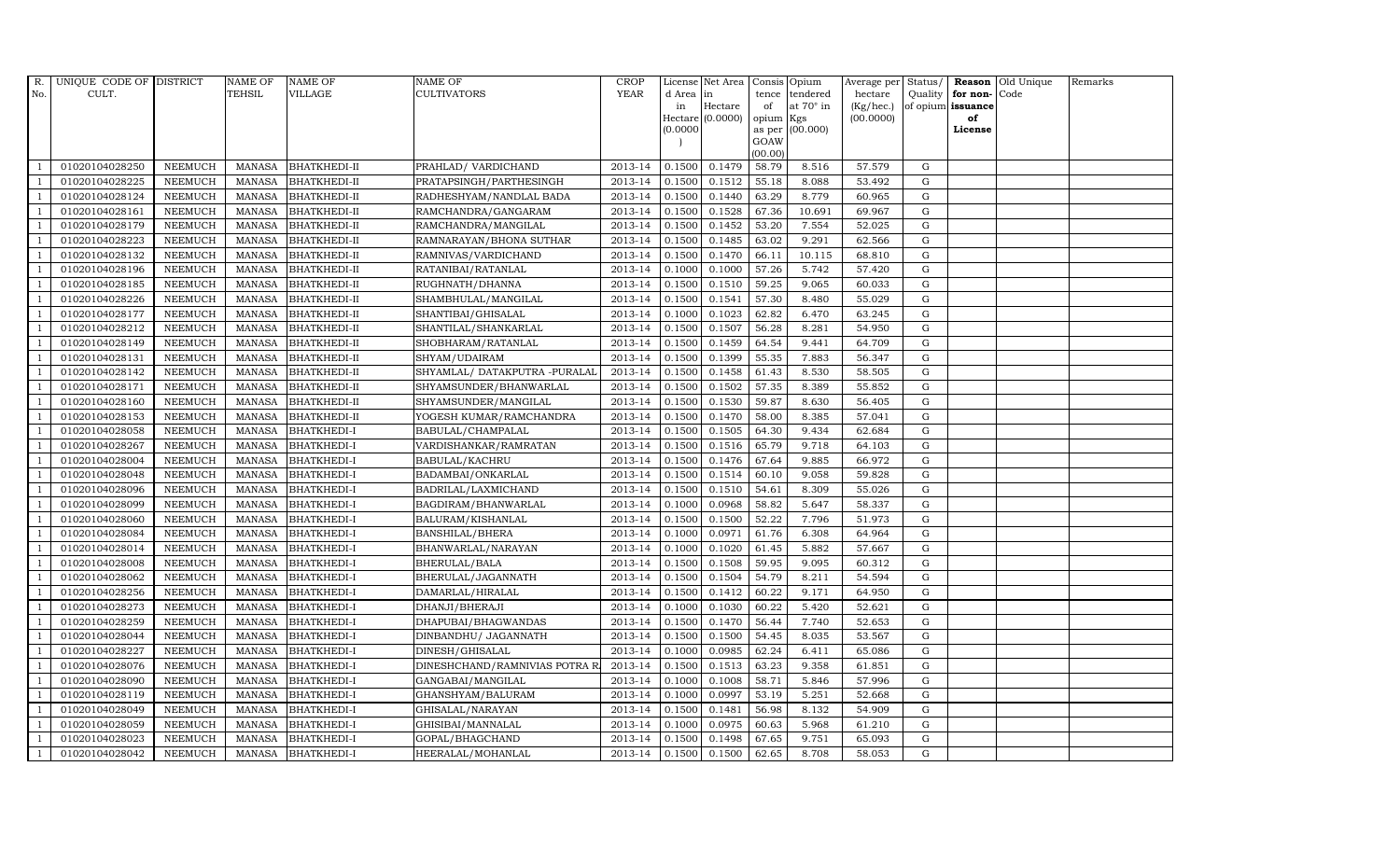| TEHSIL<br><b>VILLAGE</b><br><b>CULTIVATORS</b><br><b>YEAR</b><br>No.<br>CULT.<br>d Area in<br>tence tendered<br>hectare<br>Quality<br>for non-<br>Code<br>Hectare<br>at $70^\circ$ in<br>(Kg/hec.)<br>of opium issuance<br>in<br>of<br>Hectare (0.0000)<br>opium Kgs<br>(00.0000)<br>of<br>(0.0000)<br>as per (00.000)<br>License<br>GOAW<br>(00.00)<br>0.1479<br>01020104028250<br><b>NEEMUCH</b><br>2013-14<br>0.1500<br>58.79<br>8.516<br>57.579<br>G<br>MANASA<br><b>BHATKHEDI-II</b><br>PRAHLAD/ VARDICHAND<br>01020104028225<br>2013-14<br>0.1512<br>55.18<br>53.492<br>$\mathbf G$<br><b>NEEMUCH</b><br><b>MANASA</b><br><b>BHATKHEDI-II</b><br>PRATAPSINGH/PARTHESINGH<br>0.1500<br>8.088<br>2013-14<br>0.1440<br>63.29<br>01020104028124<br><b>NEEMUCH</b><br><b>MANASA</b><br><b>BHATKHEDI-II</b><br>RADHESHYAM/NANDLAL BADA<br>0.1500<br>8.779<br>60.965<br>G<br><b>NEEMUCH</b><br>01020104028161<br><b>MANASA</b><br><b>BHATKHEDI-II</b><br>2013-14<br>0.1500<br>0.1528<br>67.36<br>10.691<br>69.967<br>$\mathbf G$<br>RAMCHANDRA/GANGARAM<br>01020104028179<br><b>MANASA</b><br>2013-14<br>0.1500<br>0.1452<br>53.20<br>7.554<br>52.025<br>${\rm G}$<br><b>NEEMUCH</b><br><b>BHATKHEDI-II</b><br>RAMCHANDRA/MANGILAL<br>NEEMUCH<br>2013-14<br>0.1500<br>0.1485<br>9.291<br>62.566<br>${\rm G}$<br>01020104028223<br><b>MANASA</b><br><b>BHATKHEDI-II</b><br>RAMNARAYAN/BHONA SUTHAR<br>63.02<br>2013-14<br>$\mathbf G$<br>01020104028132<br><b>NEEMUCH</b><br><b>MANASA</b><br><b>BHATKHEDI-II</b><br>0.1500<br>0.1470<br>66.11<br>10.115<br>68.810<br>RAMNIVAS/VARDICHAND<br>01020104028196<br><b>NEEMUCH</b><br>2013-14<br>0.1000<br>57.26<br>$\mathbf G$<br><b>MANASA</b><br><b>BHATKHEDI-II</b><br>RATANIBAI/RATANLAL<br>0.1000<br>5.742<br>57.420<br><b>NEEMUCH</b><br>59.25<br>$\mathbf G$<br>01020104028185<br><b>MANASA</b><br><b>BHATKHEDI-II</b><br>RUGHNATH/DHANNA<br>2013-14<br>0.1500<br>0.1510<br>9.065<br>60.033<br>$\mathbf G$<br><b>MANASA</b><br>2013-14<br>0.1500<br>0.1541<br>57.30<br>8.480<br>55.029<br>01020104028226<br><b>NEEMUCH</b><br><b>BHATKHEDI-II</b><br>SHAMBHULAL/MANGILAL<br>NEEMUCH<br>2013-14<br>0.1023<br>62.82<br>63.245<br>${\rm G}$<br>01020104028177<br><b>MANASA</b><br><b>BHATKHEDI-II</b><br>SHANTIBAI/GHISALAL<br>0.1000<br>6.470<br>01020104028212<br><b>NEEMUCH</b><br>2013-14<br>0.1507<br>54.950<br>${\rm G}$<br><b>MANASA</b><br><b>BHATKHEDI-II</b><br>SHANTILAL/SHANKARLAL<br>0.1500<br>56.28<br>8.281<br>01020104028149<br><b>NEEMUCH</b><br><b>BHATKHEDI-II</b><br>SHOBHARAM/RATANLAL<br>2013-14<br>0.1500<br>0.1459<br>64.54<br>9.441<br>64.709<br>$\mathbf G$<br><b>MANASA</b><br>01020104028131<br><b>NEEMUCH</b><br><b>MANASA</b><br><b>BHATKHEDI-II</b><br>SHYAM/UDAIRAM<br>2013-14<br>0.1500<br>0.1399<br>55.35<br>7.883<br>$\mathbf G$<br>56.347<br>01020104028142<br><b>NEEMUCH</b><br><b>MANASA</b><br><b>BHATKHEDI-II</b><br>SHYAMLAL/ DATAKPUTRA -PURALAL<br>2013-14<br>0.1500<br>0.1458<br>61.43<br>8.530<br>58.505<br>G<br>01020104028171<br><b>NEEMUCH</b><br><b>MANASA</b><br>2013-14<br>0.1500<br>0.1502<br>57.35<br>8.389<br>55.852<br>${\rm G}$<br><b>BHATKHEDI-II</b><br>SHYAMSUNDER/BHANWARLAL<br>01020104028160<br><b>NEEMUCH</b><br><b>MANASA</b><br><b>BHATKHEDI-II</b><br>2013-14<br>0.1500<br>0.1530<br>59.87<br>8.630<br>56.405<br>${\rm G}$<br>SHYAMSUNDER/MANGILAL<br>01020104028153<br><b>NEEMUCH</b><br><b>BHATKHEDI-II</b><br>2013-14<br>0.1500<br>0.1470<br>58.00<br>8.385<br>MANASA<br>YOGESH KUMAR/RAMCHANDRA<br>57.041<br>G<br>01020104028058<br><b>NEEMUCH</b><br><b>MANASA</b><br><b>BHATKHEDI-I</b><br>BABULAL/CHAMPALAL<br>2013-14<br>0.1500<br>0.1505<br>64.30<br>9.434<br>$\mathbf G$<br>62.684<br>0.1516<br>65.79<br>9.718<br>$\mathbf G$<br>01020104028267<br><b>NEEMUCH</b><br><b>MANASA</b><br><b>BHATKHEDI-I</b><br>2013-14<br>0.1500<br>64.103<br>VARDISHANKAR/RAMRATAN<br>01020104028004<br><b>NEEMUCH</b><br><b>MANASA</b><br><b>BHATKHEDI-I</b><br>2013-14<br>0.1500<br>0.1476<br>67.64<br>9.885<br>66.972<br>${\rm G}$<br>BABULAL/KACHRU<br>-1<br>01020104028048<br>NEEMUCH<br><b>MANASA</b><br><b>BHATKHEDI-I</b><br>2013-14<br>0.1500<br>0.1514<br>60.10<br>9.058<br>59.828<br>${\rm G}$<br>BADAMBAI/ONKARLAL<br>0.1510<br>01020104028096<br><b>NEEMUCH</b><br>BADRILAL/LAXMICHAND<br>2013-14<br>0.1500<br>54.61<br>8.309<br>55.026<br>G<br>MANASA<br><b>BHATKHEDI-I</b><br>01020104028099<br><b>NEEMUCH</b><br><b>MANASA</b><br><b>BHATKHEDI-I</b><br>BAGDIRAM/BHANWARLAL<br>2013-14<br>0.1000<br>0.0968<br>58.82<br>5.647<br>58.337<br>$\mathbf G$<br>2013-14<br>0.1500<br>52.22<br>7.796<br>$\mathbf G$<br>01020104028060<br><b>NEEMUCH</b><br><b>MANASA</b><br>BHATKHEDI-I<br>BALURAM/KISHANLAL<br>0.1500<br>51.973<br><b>NEEMUCH</b><br><b>MANASA</b><br>2013-14<br>0.1000<br>0.0971<br>61.76<br>6.308<br>64.964<br>G<br>01020104028084<br><b>BHATKHEDI-I</b><br>BANSHILAL/BHERA<br>01020104028014<br><b>NEEMUCH</b><br><b>MANASA</b><br><b>BHATKHEDI-I</b><br>BHANWARLAL/NARAYAN<br>2013-14<br>0.1000<br>0.1020<br>61.45<br>5.882<br>57.667<br>${\rm G}$<br>2013-14<br>0.1508<br>01020104028008<br><b>NEEMUCH</b><br><b>MANASA</b><br><b>BHATKHEDI-I</b><br>BHERULAL/BALA<br>0.1500<br>59.95<br>9.095<br>60.312<br>G<br>01020104028062<br><b>NEEMUCH</b><br><b>MANASA</b><br><b>BHATKHEDI-I</b><br>BHERULAL/JAGANNATH<br>2013-14<br>0.1500<br>0.1504<br>54.79<br>8.211<br>54.594<br>$\mathbf G$<br>01020104028256<br><b>NEEMUCH</b><br><b>MANASA</b><br><b>BHATKHEDI-I</b><br>DAMARLAL/HIRALAL<br>2013-14<br>0.1500<br>0.1412<br>60.22<br>9.171<br>64.950<br>$\mathbf G$<br>01020104028273<br><b>NEEMUCH</b><br><b>MANASA</b><br><b>BHATKHEDI-I</b><br>2013-14<br>0.1000<br>0.1030<br>60.22<br>5.420<br>52.621<br>G<br>DHANJI/BHERAJI<br><b>NEEMUCH</b><br>2013-14<br>0.1470<br>7.740<br>52.653<br>${\rm G}$<br>01020104028259<br><b>MANASA</b><br><b>BHATKHEDI-I</b><br>DHAPUBAI/BHAGWANDAS<br>0.1500<br>56.44<br>01020104028044<br>NEEMUCH<br>2013-14<br>0.1500<br>0.1500<br>8.035<br>53.567<br>$\mathbf G$<br><b>MANASA</b><br><b>BHATKHEDI-I</b><br>DINBANDHU/ JAGANNATH<br>54.45<br>2013-14<br>0.0985<br>$\mathbf G$<br>01020104028227<br><b>NEEMUCH</b><br><b>MANASA</b><br><b>BHATKHEDI-I</b><br>DINESH/GHISALAL<br>0.1000<br>62.24<br>6.411<br>65.086<br>01020104028076<br><b>NEEMUCH</b><br><b>MANASA</b><br><b>BHATKHEDI-I</b><br>DINESHCHAND/RAMNIVIAS POTRA R<br>2013-14<br>0.1500<br>0.1513<br>63.23<br>9.358<br>61.851<br>$\mathbf G$<br>$\mathbf G$<br>01020104028090<br><b>NEEMUCH</b><br><b>MANASA</b><br>BHATKHEDI-I<br>GANGABAI/MANGILAL<br>2013-14<br>0.1000<br>0.1008<br>58.71<br>5.846<br>57.996<br>01020104028119<br>2013-14<br>0.0997<br>${\rm G}$<br><b>NEEMUCH</b><br><b>MANASA</b><br><b>BHATKHEDI-I</b><br>GHANSHYAM/BALURAM<br>0.1000<br>53.19<br>5.251<br>52.668<br>01020104028049<br><b>NEEMUCH</b><br>2013-14<br>0.1500<br>0.1481<br>56.98<br>$\mathbf G$<br><b>MANASA</b><br>BHATKHEDI-I<br>GHISALAL/NARAYAN<br>8.132<br>54.909<br>2013-14<br>0.0975<br>$\mathbf G$<br>01020104028059<br><b>NEEMUCH</b><br><b>MANASA</b><br><b>BHATKHEDI-I</b><br>GHISIBAI/MANNALAL<br>0.1000<br>60.63<br>5.968<br>61.210<br>01020104028023<br><b>NEEMUCH</b><br><b>MANASA</b><br><b>BHATKHEDI-I</b><br>GOPAL/BHAGCHAND<br>2013-14<br>0.1500<br>0.1498<br>67.65<br>9.751<br>65.093<br>$\mathbf G$ | R. | UNIQUE CODE OF DISTRICT |                | NAME OF       | <b>NAME OF</b>     | NAME OF           | <b>CROP</b> |        | License Net Area   Consis   Opium |       |       | Average per Status/ |   | <b>Reason</b> Old Unique | Remarks |
|---------------------------------------------------------------------------------------------------------------------------------------------------------------------------------------------------------------------------------------------------------------------------------------------------------------------------------------------------------------------------------------------------------------------------------------------------------------------------------------------------------------------------------------------------------------------------------------------------------------------------------------------------------------------------------------------------------------------------------------------------------------------------------------------------------------------------------------------------------------------------------------------------------------------------------------------------------------------------------------------------------------------------------------------------------------------------------------------------------------------------------------------------------------------------------------------------------------------------------------------------------------------------------------------------------------------------------------------------------------------------------------------------------------------------------------------------------------------------------------------------------------------------------------------------------------------------------------------------------------------------------------------------------------------------------------------------------------------------------------------------------------------------------------------------------------------------------------------------------------------------------------------------------------------------------------------------------------------------------------------------------------------------------------------------------------------------------------------------------------------------------------------------------------------------------------------------------------------------------------------------------------------------------------------------------------------------------------------------------------------------------------------------------------------------------------------------------------------------------------------------------------------------------------------------------------------------------------------------------------------------------------------------------------------------------------------------------------------------------------------------------------------------------------------------------------------------------------------------------------------------------------------------------------------------------------------------------------------------------------------------------------------------------------------------------------------------------------------------------------------------------------------------------------------------------------------------------------------------------------------------------------------------------------------------------------------------------------------------------------------------------------------------------------------------------------------------------------------------------------------------------------------------------------------------------------------------------------------------------------------------------------------------------------------------------------------------------------------------------------------------------------------------------------------------------------------------------------------------------------------------------------------------------------------------------------------------------------------------------------------------------------------------------------------------------------------------------------------------------------------------------------------------------------------------------------------------------------------------------------------------------------------------------------------------------------------------------------------------------------------------------------------------------------------------------------------------------------------------------------------------------------------------------------------------------------------------------------------------------------------------------------------------------------------------------------------------------------------------------------------------------------------------------------------------------------------------------------------------------------------------------------------------------------------------------------------------------------------------------------------------------------------------------------------------------------------------------------------------------------------------------------------------------------------------------------------------------------------------------------------------------------------------------------------------------------------------------------------------------------------------------------------------------------------------------------------------------------------------------------------------------------------------------------------------------------------------------------------------------------------------------------------------------------------------------------------------------------------------------------------------------------------------------------------------------------------------------------------------------------------------------------------------------------------------------------------------------------------------------------------------------------------------------------------------------------------------------------------------------------------------------------------------------------------------------------------------------------------------------------------------------------------------------------------------------------------------------------------------------------------------------------------------------------------------------------------------------------------------------------------------------------------------------------------------------------------------------------------------------------------------------------------------------------------------------------------------------------------------------------------------------------------------------------------------------------------------------------------------------------------------------------------------------------------------------------------------------------------------------------------------------------------------------------------------------------------------------------------------------------------------------------------------------------------------------------------------------------------------------------------------------------------------------------------------------------------------------------------------|----|-------------------------|----------------|---------------|--------------------|-------------------|-------------|--------|-----------------------------------|-------|-------|---------------------|---|--------------------------|---------|
|                                                                                                                                                                                                                                                                                                                                                                                                                                                                                                                                                                                                                                                                                                                                                                                                                                                                                                                                                                                                                                                                                                                                                                                                                                                                                                                                                                                                                                                                                                                                                                                                                                                                                                                                                                                                                                                                                                                                                                                                                                                                                                                                                                                                                                                                                                                                                                                                                                                                                                                                                                                                                                                                                                                                                                                                                                                                                                                                                                                                                                                                                                                                                                                                                                                                                                                                                                                                                                                                                                                                                                                                                                                                                                                                                                                                                                                                                                                                                                                                                                                                                                                                                                                                                                                                                                                                                                                                                                                                                                                                                                                                                                                                                                                                                                                                                                                                                                                                                                                                                                                                                                                                                                                                                                                                                                                                                                                                                                                                                                                                                                                                                                                                                                                                                                                                                                                                                                                                                                                                                                                                                                                                                                                                                                                                                                                                                                                                                                                                                                                                                                                                                                                                                                                                                                                                                                                                                                                                                                                                                                                                                                                                                                                                                                                                                                                                                   |    |                         |                |               |                    |                   |             |        |                                   |       |       |                     |   |                          |         |
|                                                                                                                                                                                                                                                                                                                                                                                                                                                                                                                                                                                                                                                                                                                                                                                                                                                                                                                                                                                                                                                                                                                                                                                                                                                                                                                                                                                                                                                                                                                                                                                                                                                                                                                                                                                                                                                                                                                                                                                                                                                                                                                                                                                                                                                                                                                                                                                                                                                                                                                                                                                                                                                                                                                                                                                                                                                                                                                                                                                                                                                                                                                                                                                                                                                                                                                                                                                                                                                                                                                                                                                                                                                                                                                                                                                                                                                                                                                                                                                                                                                                                                                                                                                                                                                                                                                                                                                                                                                                                                                                                                                                                                                                                                                                                                                                                                                                                                                                                                                                                                                                                                                                                                                                                                                                                                                                                                                                                                                                                                                                                                                                                                                                                                                                                                                                                                                                                                                                                                                                                                                                                                                                                                                                                                                                                                                                                                                                                                                                                                                                                                                                                                                                                                                                                                                                                                                                                                                                                                                                                                                                                                                                                                                                                                                                                                                                                   |    |                         |                |               |                    |                   |             |        |                                   |       |       |                     |   |                          |         |
|                                                                                                                                                                                                                                                                                                                                                                                                                                                                                                                                                                                                                                                                                                                                                                                                                                                                                                                                                                                                                                                                                                                                                                                                                                                                                                                                                                                                                                                                                                                                                                                                                                                                                                                                                                                                                                                                                                                                                                                                                                                                                                                                                                                                                                                                                                                                                                                                                                                                                                                                                                                                                                                                                                                                                                                                                                                                                                                                                                                                                                                                                                                                                                                                                                                                                                                                                                                                                                                                                                                                                                                                                                                                                                                                                                                                                                                                                                                                                                                                                                                                                                                                                                                                                                                                                                                                                                                                                                                                                                                                                                                                                                                                                                                                                                                                                                                                                                                                                                                                                                                                                                                                                                                                                                                                                                                                                                                                                                                                                                                                                                                                                                                                                                                                                                                                                                                                                                                                                                                                                                                                                                                                                                                                                                                                                                                                                                                                                                                                                                                                                                                                                                                                                                                                                                                                                                                                                                                                                                                                                                                                                                                                                                                                                                                                                                                                                   |    |                         |                |               |                    |                   |             |        |                                   |       |       |                     |   |                          |         |
|                                                                                                                                                                                                                                                                                                                                                                                                                                                                                                                                                                                                                                                                                                                                                                                                                                                                                                                                                                                                                                                                                                                                                                                                                                                                                                                                                                                                                                                                                                                                                                                                                                                                                                                                                                                                                                                                                                                                                                                                                                                                                                                                                                                                                                                                                                                                                                                                                                                                                                                                                                                                                                                                                                                                                                                                                                                                                                                                                                                                                                                                                                                                                                                                                                                                                                                                                                                                                                                                                                                                                                                                                                                                                                                                                                                                                                                                                                                                                                                                                                                                                                                                                                                                                                                                                                                                                                                                                                                                                                                                                                                                                                                                                                                                                                                                                                                                                                                                                                                                                                                                                                                                                                                                                                                                                                                                                                                                                                                                                                                                                                                                                                                                                                                                                                                                                                                                                                                                                                                                                                                                                                                                                                                                                                                                                                                                                                                                                                                                                                                                                                                                                                                                                                                                                                                                                                                                                                                                                                                                                                                                                                                                                                                                                                                                                                                                                   |    |                         |                |               |                    |                   |             |        |                                   |       |       |                     |   |                          |         |
|                                                                                                                                                                                                                                                                                                                                                                                                                                                                                                                                                                                                                                                                                                                                                                                                                                                                                                                                                                                                                                                                                                                                                                                                                                                                                                                                                                                                                                                                                                                                                                                                                                                                                                                                                                                                                                                                                                                                                                                                                                                                                                                                                                                                                                                                                                                                                                                                                                                                                                                                                                                                                                                                                                                                                                                                                                                                                                                                                                                                                                                                                                                                                                                                                                                                                                                                                                                                                                                                                                                                                                                                                                                                                                                                                                                                                                                                                                                                                                                                                                                                                                                                                                                                                                                                                                                                                                                                                                                                                                                                                                                                                                                                                                                                                                                                                                                                                                                                                                                                                                                                                                                                                                                                                                                                                                                                                                                                                                                                                                                                                                                                                                                                                                                                                                                                                                                                                                                                                                                                                                                                                                                                                                                                                                                                                                                                                                                                                                                                                                                                                                                                                                                                                                                                                                                                                                                                                                                                                                                                                                                                                                                                                                                                                                                                                                                                                   |    |                         |                |               |                    |                   |             |        |                                   |       |       |                     |   |                          |         |
|                                                                                                                                                                                                                                                                                                                                                                                                                                                                                                                                                                                                                                                                                                                                                                                                                                                                                                                                                                                                                                                                                                                                                                                                                                                                                                                                                                                                                                                                                                                                                                                                                                                                                                                                                                                                                                                                                                                                                                                                                                                                                                                                                                                                                                                                                                                                                                                                                                                                                                                                                                                                                                                                                                                                                                                                                                                                                                                                                                                                                                                                                                                                                                                                                                                                                                                                                                                                                                                                                                                                                                                                                                                                                                                                                                                                                                                                                                                                                                                                                                                                                                                                                                                                                                                                                                                                                                                                                                                                                                                                                                                                                                                                                                                                                                                                                                                                                                                                                                                                                                                                                                                                                                                                                                                                                                                                                                                                                                                                                                                                                                                                                                                                                                                                                                                                                                                                                                                                                                                                                                                                                                                                                                                                                                                                                                                                                                                                                                                                                                                                                                                                                                                                                                                                                                                                                                                                                                                                                                                                                                                                                                                                                                                                                                                                                                                                                   |    |                         |                |               |                    |                   |             |        |                                   |       |       |                     |   |                          |         |
|                                                                                                                                                                                                                                                                                                                                                                                                                                                                                                                                                                                                                                                                                                                                                                                                                                                                                                                                                                                                                                                                                                                                                                                                                                                                                                                                                                                                                                                                                                                                                                                                                                                                                                                                                                                                                                                                                                                                                                                                                                                                                                                                                                                                                                                                                                                                                                                                                                                                                                                                                                                                                                                                                                                                                                                                                                                                                                                                                                                                                                                                                                                                                                                                                                                                                                                                                                                                                                                                                                                                                                                                                                                                                                                                                                                                                                                                                                                                                                                                                                                                                                                                                                                                                                                                                                                                                                                                                                                                                                                                                                                                                                                                                                                                                                                                                                                                                                                                                                                                                                                                                                                                                                                                                                                                                                                                                                                                                                                                                                                                                                                                                                                                                                                                                                                                                                                                                                                                                                                                                                                                                                                                                                                                                                                                                                                                                                                                                                                                                                                                                                                                                                                                                                                                                                                                                                                                                                                                                                                                                                                                                                                                                                                                                                                                                                                                                   |    |                         |                |               |                    |                   |             |        |                                   |       |       |                     |   |                          |         |
|                                                                                                                                                                                                                                                                                                                                                                                                                                                                                                                                                                                                                                                                                                                                                                                                                                                                                                                                                                                                                                                                                                                                                                                                                                                                                                                                                                                                                                                                                                                                                                                                                                                                                                                                                                                                                                                                                                                                                                                                                                                                                                                                                                                                                                                                                                                                                                                                                                                                                                                                                                                                                                                                                                                                                                                                                                                                                                                                                                                                                                                                                                                                                                                                                                                                                                                                                                                                                                                                                                                                                                                                                                                                                                                                                                                                                                                                                                                                                                                                                                                                                                                                                                                                                                                                                                                                                                                                                                                                                                                                                                                                                                                                                                                                                                                                                                                                                                                                                                                                                                                                                                                                                                                                                                                                                                                                                                                                                                                                                                                                                                                                                                                                                                                                                                                                                                                                                                                                                                                                                                                                                                                                                                                                                                                                                                                                                                                                                                                                                                                                                                                                                                                                                                                                                                                                                                                                                                                                                                                                                                                                                                                                                                                                                                                                                                                                                   |    |                         |                |               |                    |                   |             |        |                                   |       |       |                     |   |                          |         |
|                                                                                                                                                                                                                                                                                                                                                                                                                                                                                                                                                                                                                                                                                                                                                                                                                                                                                                                                                                                                                                                                                                                                                                                                                                                                                                                                                                                                                                                                                                                                                                                                                                                                                                                                                                                                                                                                                                                                                                                                                                                                                                                                                                                                                                                                                                                                                                                                                                                                                                                                                                                                                                                                                                                                                                                                                                                                                                                                                                                                                                                                                                                                                                                                                                                                                                                                                                                                                                                                                                                                                                                                                                                                                                                                                                                                                                                                                                                                                                                                                                                                                                                                                                                                                                                                                                                                                                                                                                                                                                                                                                                                                                                                                                                                                                                                                                                                                                                                                                                                                                                                                                                                                                                                                                                                                                                                                                                                                                                                                                                                                                                                                                                                                                                                                                                                                                                                                                                                                                                                                                                                                                                                                                                                                                                                                                                                                                                                                                                                                                                                                                                                                                                                                                                                                                                                                                                                                                                                                                                                                                                                                                                                                                                                                                                                                                                                                   |    |                         |                |               |                    |                   |             |        |                                   |       |       |                     |   |                          |         |
|                                                                                                                                                                                                                                                                                                                                                                                                                                                                                                                                                                                                                                                                                                                                                                                                                                                                                                                                                                                                                                                                                                                                                                                                                                                                                                                                                                                                                                                                                                                                                                                                                                                                                                                                                                                                                                                                                                                                                                                                                                                                                                                                                                                                                                                                                                                                                                                                                                                                                                                                                                                                                                                                                                                                                                                                                                                                                                                                                                                                                                                                                                                                                                                                                                                                                                                                                                                                                                                                                                                                                                                                                                                                                                                                                                                                                                                                                                                                                                                                                                                                                                                                                                                                                                                                                                                                                                                                                                                                                                                                                                                                                                                                                                                                                                                                                                                                                                                                                                                                                                                                                                                                                                                                                                                                                                                                                                                                                                                                                                                                                                                                                                                                                                                                                                                                                                                                                                                                                                                                                                                                                                                                                                                                                                                                                                                                                                                                                                                                                                                                                                                                                                                                                                                                                                                                                                                                                                                                                                                                                                                                                                                                                                                                                                                                                                                                                   |    |                         |                |               |                    |                   |             |        |                                   |       |       |                     |   |                          |         |
|                                                                                                                                                                                                                                                                                                                                                                                                                                                                                                                                                                                                                                                                                                                                                                                                                                                                                                                                                                                                                                                                                                                                                                                                                                                                                                                                                                                                                                                                                                                                                                                                                                                                                                                                                                                                                                                                                                                                                                                                                                                                                                                                                                                                                                                                                                                                                                                                                                                                                                                                                                                                                                                                                                                                                                                                                                                                                                                                                                                                                                                                                                                                                                                                                                                                                                                                                                                                                                                                                                                                                                                                                                                                                                                                                                                                                                                                                                                                                                                                                                                                                                                                                                                                                                                                                                                                                                                                                                                                                                                                                                                                                                                                                                                                                                                                                                                                                                                                                                                                                                                                                                                                                                                                                                                                                                                                                                                                                                                                                                                                                                                                                                                                                                                                                                                                                                                                                                                                                                                                                                                                                                                                                                                                                                                                                                                                                                                                                                                                                                                                                                                                                                                                                                                                                                                                                                                                                                                                                                                                                                                                                                                                                                                                                                                                                                                                                   |    |                         |                |               |                    |                   |             |        |                                   |       |       |                     |   |                          |         |
|                                                                                                                                                                                                                                                                                                                                                                                                                                                                                                                                                                                                                                                                                                                                                                                                                                                                                                                                                                                                                                                                                                                                                                                                                                                                                                                                                                                                                                                                                                                                                                                                                                                                                                                                                                                                                                                                                                                                                                                                                                                                                                                                                                                                                                                                                                                                                                                                                                                                                                                                                                                                                                                                                                                                                                                                                                                                                                                                                                                                                                                                                                                                                                                                                                                                                                                                                                                                                                                                                                                                                                                                                                                                                                                                                                                                                                                                                                                                                                                                                                                                                                                                                                                                                                                                                                                                                                                                                                                                                                                                                                                                                                                                                                                                                                                                                                                                                                                                                                                                                                                                                                                                                                                                                                                                                                                                                                                                                                                                                                                                                                                                                                                                                                                                                                                                                                                                                                                                                                                                                                                                                                                                                                                                                                                                                                                                                                                                                                                                                                                                                                                                                                                                                                                                                                                                                                                                                                                                                                                                                                                                                                                                                                                                                                                                                                                                                   |    |                         |                |               |                    |                   |             |        |                                   |       |       |                     |   |                          |         |
|                                                                                                                                                                                                                                                                                                                                                                                                                                                                                                                                                                                                                                                                                                                                                                                                                                                                                                                                                                                                                                                                                                                                                                                                                                                                                                                                                                                                                                                                                                                                                                                                                                                                                                                                                                                                                                                                                                                                                                                                                                                                                                                                                                                                                                                                                                                                                                                                                                                                                                                                                                                                                                                                                                                                                                                                                                                                                                                                                                                                                                                                                                                                                                                                                                                                                                                                                                                                                                                                                                                                                                                                                                                                                                                                                                                                                                                                                                                                                                                                                                                                                                                                                                                                                                                                                                                                                                                                                                                                                                                                                                                                                                                                                                                                                                                                                                                                                                                                                                                                                                                                                                                                                                                                                                                                                                                                                                                                                                                                                                                                                                                                                                                                                                                                                                                                                                                                                                                                                                                                                                                                                                                                                                                                                                                                                                                                                                                                                                                                                                                                                                                                                                                                                                                                                                                                                                                                                                                                                                                                                                                                                                                                                                                                                                                                                                                                                   |    |                         |                |               |                    |                   |             |        |                                   |       |       |                     |   |                          |         |
|                                                                                                                                                                                                                                                                                                                                                                                                                                                                                                                                                                                                                                                                                                                                                                                                                                                                                                                                                                                                                                                                                                                                                                                                                                                                                                                                                                                                                                                                                                                                                                                                                                                                                                                                                                                                                                                                                                                                                                                                                                                                                                                                                                                                                                                                                                                                                                                                                                                                                                                                                                                                                                                                                                                                                                                                                                                                                                                                                                                                                                                                                                                                                                                                                                                                                                                                                                                                                                                                                                                                                                                                                                                                                                                                                                                                                                                                                                                                                                                                                                                                                                                                                                                                                                                                                                                                                                                                                                                                                                                                                                                                                                                                                                                                                                                                                                                                                                                                                                                                                                                                                                                                                                                                                                                                                                                                                                                                                                                                                                                                                                                                                                                                                                                                                                                                                                                                                                                                                                                                                                                                                                                                                                                                                                                                                                                                                                                                                                                                                                                                                                                                                                                                                                                                                                                                                                                                                                                                                                                                                                                                                                                                                                                                                                                                                                                                                   |    |                         |                |               |                    |                   |             |        |                                   |       |       |                     |   |                          |         |
|                                                                                                                                                                                                                                                                                                                                                                                                                                                                                                                                                                                                                                                                                                                                                                                                                                                                                                                                                                                                                                                                                                                                                                                                                                                                                                                                                                                                                                                                                                                                                                                                                                                                                                                                                                                                                                                                                                                                                                                                                                                                                                                                                                                                                                                                                                                                                                                                                                                                                                                                                                                                                                                                                                                                                                                                                                                                                                                                                                                                                                                                                                                                                                                                                                                                                                                                                                                                                                                                                                                                                                                                                                                                                                                                                                                                                                                                                                                                                                                                                                                                                                                                                                                                                                                                                                                                                                                                                                                                                                                                                                                                                                                                                                                                                                                                                                                                                                                                                                                                                                                                                                                                                                                                                                                                                                                                                                                                                                                                                                                                                                                                                                                                                                                                                                                                                                                                                                                                                                                                                                                                                                                                                                                                                                                                                                                                                                                                                                                                                                                                                                                                                                                                                                                                                                                                                                                                                                                                                                                                                                                                                                                                                                                                                                                                                                                                                   |    |                         |                |               |                    |                   |             |        |                                   |       |       |                     |   |                          |         |
|                                                                                                                                                                                                                                                                                                                                                                                                                                                                                                                                                                                                                                                                                                                                                                                                                                                                                                                                                                                                                                                                                                                                                                                                                                                                                                                                                                                                                                                                                                                                                                                                                                                                                                                                                                                                                                                                                                                                                                                                                                                                                                                                                                                                                                                                                                                                                                                                                                                                                                                                                                                                                                                                                                                                                                                                                                                                                                                                                                                                                                                                                                                                                                                                                                                                                                                                                                                                                                                                                                                                                                                                                                                                                                                                                                                                                                                                                                                                                                                                                                                                                                                                                                                                                                                                                                                                                                                                                                                                                                                                                                                                                                                                                                                                                                                                                                                                                                                                                                                                                                                                                                                                                                                                                                                                                                                                                                                                                                                                                                                                                                                                                                                                                                                                                                                                                                                                                                                                                                                                                                                                                                                                                                                                                                                                                                                                                                                                                                                                                                                                                                                                                                                                                                                                                                                                                                                                                                                                                                                                                                                                                                                                                                                                                                                                                                                                                   |    |                         |                |               |                    |                   |             |        |                                   |       |       |                     |   |                          |         |
|                                                                                                                                                                                                                                                                                                                                                                                                                                                                                                                                                                                                                                                                                                                                                                                                                                                                                                                                                                                                                                                                                                                                                                                                                                                                                                                                                                                                                                                                                                                                                                                                                                                                                                                                                                                                                                                                                                                                                                                                                                                                                                                                                                                                                                                                                                                                                                                                                                                                                                                                                                                                                                                                                                                                                                                                                                                                                                                                                                                                                                                                                                                                                                                                                                                                                                                                                                                                                                                                                                                                                                                                                                                                                                                                                                                                                                                                                                                                                                                                                                                                                                                                                                                                                                                                                                                                                                                                                                                                                                                                                                                                                                                                                                                                                                                                                                                                                                                                                                                                                                                                                                                                                                                                                                                                                                                                                                                                                                                                                                                                                                                                                                                                                                                                                                                                                                                                                                                                                                                                                                                                                                                                                                                                                                                                                                                                                                                                                                                                                                                                                                                                                                                                                                                                                                                                                                                                                                                                                                                                                                                                                                                                                                                                                                                                                                                                                   |    |                         |                |               |                    |                   |             |        |                                   |       |       |                     |   |                          |         |
|                                                                                                                                                                                                                                                                                                                                                                                                                                                                                                                                                                                                                                                                                                                                                                                                                                                                                                                                                                                                                                                                                                                                                                                                                                                                                                                                                                                                                                                                                                                                                                                                                                                                                                                                                                                                                                                                                                                                                                                                                                                                                                                                                                                                                                                                                                                                                                                                                                                                                                                                                                                                                                                                                                                                                                                                                                                                                                                                                                                                                                                                                                                                                                                                                                                                                                                                                                                                                                                                                                                                                                                                                                                                                                                                                                                                                                                                                                                                                                                                                                                                                                                                                                                                                                                                                                                                                                                                                                                                                                                                                                                                                                                                                                                                                                                                                                                                                                                                                                                                                                                                                                                                                                                                                                                                                                                                                                                                                                                                                                                                                                                                                                                                                                                                                                                                                                                                                                                                                                                                                                                                                                                                                                                                                                                                                                                                                                                                                                                                                                                                                                                                                                                                                                                                                                                                                                                                                                                                                                                                                                                                                                                                                                                                                                                                                                                                                   |    |                         |                |               |                    |                   |             |        |                                   |       |       |                     |   |                          |         |
|                                                                                                                                                                                                                                                                                                                                                                                                                                                                                                                                                                                                                                                                                                                                                                                                                                                                                                                                                                                                                                                                                                                                                                                                                                                                                                                                                                                                                                                                                                                                                                                                                                                                                                                                                                                                                                                                                                                                                                                                                                                                                                                                                                                                                                                                                                                                                                                                                                                                                                                                                                                                                                                                                                                                                                                                                                                                                                                                                                                                                                                                                                                                                                                                                                                                                                                                                                                                                                                                                                                                                                                                                                                                                                                                                                                                                                                                                                                                                                                                                                                                                                                                                                                                                                                                                                                                                                                                                                                                                                                                                                                                                                                                                                                                                                                                                                                                                                                                                                                                                                                                                                                                                                                                                                                                                                                                                                                                                                                                                                                                                                                                                                                                                                                                                                                                                                                                                                                                                                                                                                                                                                                                                                                                                                                                                                                                                                                                                                                                                                                                                                                                                                                                                                                                                                                                                                                                                                                                                                                                                                                                                                                                                                                                                                                                                                                                                   |    |                         |                |               |                    |                   |             |        |                                   |       |       |                     |   |                          |         |
|                                                                                                                                                                                                                                                                                                                                                                                                                                                                                                                                                                                                                                                                                                                                                                                                                                                                                                                                                                                                                                                                                                                                                                                                                                                                                                                                                                                                                                                                                                                                                                                                                                                                                                                                                                                                                                                                                                                                                                                                                                                                                                                                                                                                                                                                                                                                                                                                                                                                                                                                                                                                                                                                                                                                                                                                                                                                                                                                                                                                                                                                                                                                                                                                                                                                                                                                                                                                                                                                                                                                                                                                                                                                                                                                                                                                                                                                                                                                                                                                                                                                                                                                                                                                                                                                                                                                                                                                                                                                                                                                                                                                                                                                                                                                                                                                                                                                                                                                                                                                                                                                                                                                                                                                                                                                                                                                                                                                                                                                                                                                                                                                                                                                                                                                                                                                                                                                                                                                                                                                                                                                                                                                                                                                                                                                                                                                                                                                                                                                                                                                                                                                                                                                                                                                                                                                                                                                                                                                                                                                                                                                                                                                                                                                                                                                                                                                                   |    |                         |                |               |                    |                   |             |        |                                   |       |       |                     |   |                          |         |
|                                                                                                                                                                                                                                                                                                                                                                                                                                                                                                                                                                                                                                                                                                                                                                                                                                                                                                                                                                                                                                                                                                                                                                                                                                                                                                                                                                                                                                                                                                                                                                                                                                                                                                                                                                                                                                                                                                                                                                                                                                                                                                                                                                                                                                                                                                                                                                                                                                                                                                                                                                                                                                                                                                                                                                                                                                                                                                                                                                                                                                                                                                                                                                                                                                                                                                                                                                                                                                                                                                                                                                                                                                                                                                                                                                                                                                                                                                                                                                                                                                                                                                                                                                                                                                                                                                                                                                                                                                                                                                                                                                                                                                                                                                                                                                                                                                                                                                                                                                                                                                                                                                                                                                                                                                                                                                                                                                                                                                                                                                                                                                                                                                                                                                                                                                                                                                                                                                                                                                                                                                                                                                                                                                                                                                                                                                                                                                                                                                                                                                                                                                                                                                                                                                                                                                                                                                                                                                                                                                                                                                                                                                                                                                                                                                                                                                                                                   |    |                         |                |               |                    |                   |             |        |                                   |       |       |                     |   |                          |         |
|                                                                                                                                                                                                                                                                                                                                                                                                                                                                                                                                                                                                                                                                                                                                                                                                                                                                                                                                                                                                                                                                                                                                                                                                                                                                                                                                                                                                                                                                                                                                                                                                                                                                                                                                                                                                                                                                                                                                                                                                                                                                                                                                                                                                                                                                                                                                                                                                                                                                                                                                                                                                                                                                                                                                                                                                                                                                                                                                                                                                                                                                                                                                                                                                                                                                                                                                                                                                                                                                                                                                                                                                                                                                                                                                                                                                                                                                                                                                                                                                                                                                                                                                                                                                                                                                                                                                                                                                                                                                                                                                                                                                                                                                                                                                                                                                                                                                                                                                                                                                                                                                                                                                                                                                                                                                                                                                                                                                                                                                                                                                                                                                                                                                                                                                                                                                                                                                                                                                                                                                                                                                                                                                                                                                                                                                                                                                                                                                                                                                                                                                                                                                                                                                                                                                                                                                                                                                                                                                                                                                                                                                                                                                                                                                                                                                                                                                                   |    |                         |                |               |                    |                   |             |        |                                   |       |       |                     |   |                          |         |
|                                                                                                                                                                                                                                                                                                                                                                                                                                                                                                                                                                                                                                                                                                                                                                                                                                                                                                                                                                                                                                                                                                                                                                                                                                                                                                                                                                                                                                                                                                                                                                                                                                                                                                                                                                                                                                                                                                                                                                                                                                                                                                                                                                                                                                                                                                                                                                                                                                                                                                                                                                                                                                                                                                                                                                                                                                                                                                                                                                                                                                                                                                                                                                                                                                                                                                                                                                                                                                                                                                                                                                                                                                                                                                                                                                                                                                                                                                                                                                                                                                                                                                                                                                                                                                                                                                                                                                                                                                                                                                                                                                                                                                                                                                                                                                                                                                                                                                                                                                                                                                                                                                                                                                                                                                                                                                                                                                                                                                                                                                                                                                                                                                                                                                                                                                                                                                                                                                                                                                                                                                                                                                                                                                                                                                                                                                                                                                                                                                                                                                                                                                                                                                                                                                                                                                                                                                                                                                                                                                                                                                                                                                                                                                                                                                                                                                                                                   |    |                         |                |               |                    |                   |             |        |                                   |       |       |                     |   |                          |         |
|                                                                                                                                                                                                                                                                                                                                                                                                                                                                                                                                                                                                                                                                                                                                                                                                                                                                                                                                                                                                                                                                                                                                                                                                                                                                                                                                                                                                                                                                                                                                                                                                                                                                                                                                                                                                                                                                                                                                                                                                                                                                                                                                                                                                                                                                                                                                                                                                                                                                                                                                                                                                                                                                                                                                                                                                                                                                                                                                                                                                                                                                                                                                                                                                                                                                                                                                                                                                                                                                                                                                                                                                                                                                                                                                                                                                                                                                                                                                                                                                                                                                                                                                                                                                                                                                                                                                                                                                                                                                                                                                                                                                                                                                                                                                                                                                                                                                                                                                                                                                                                                                                                                                                                                                                                                                                                                                                                                                                                                                                                                                                                                                                                                                                                                                                                                                                                                                                                                                                                                                                                                                                                                                                                                                                                                                                                                                                                                                                                                                                                                                                                                                                                                                                                                                                                                                                                                                                                                                                                                                                                                                                                                                                                                                                                                                                                                                                   |    |                         |                |               |                    |                   |             |        |                                   |       |       |                     |   |                          |         |
|                                                                                                                                                                                                                                                                                                                                                                                                                                                                                                                                                                                                                                                                                                                                                                                                                                                                                                                                                                                                                                                                                                                                                                                                                                                                                                                                                                                                                                                                                                                                                                                                                                                                                                                                                                                                                                                                                                                                                                                                                                                                                                                                                                                                                                                                                                                                                                                                                                                                                                                                                                                                                                                                                                                                                                                                                                                                                                                                                                                                                                                                                                                                                                                                                                                                                                                                                                                                                                                                                                                                                                                                                                                                                                                                                                                                                                                                                                                                                                                                                                                                                                                                                                                                                                                                                                                                                                                                                                                                                                                                                                                                                                                                                                                                                                                                                                                                                                                                                                                                                                                                                                                                                                                                                                                                                                                                                                                                                                                                                                                                                                                                                                                                                                                                                                                                                                                                                                                                                                                                                                                                                                                                                                                                                                                                                                                                                                                                                                                                                                                                                                                                                                                                                                                                                                                                                                                                                                                                                                                                                                                                                                                                                                                                                                                                                                                                                   |    |                         |                |               |                    |                   |             |        |                                   |       |       |                     |   |                          |         |
|                                                                                                                                                                                                                                                                                                                                                                                                                                                                                                                                                                                                                                                                                                                                                                                                                                                                                                                                                                                                                                                                                                                                                                                                                                                                                                                                                                                                                                                                                                                                                                                                                                                                                                                                                                                                                                                                                                                                                                                                                                                                                                                                                                                                                                                                                                                                                                                                                                                                                                                                                                                                                                                                                                                                                                                                                                                                                                                                                                                                                                                                                                                                                                                                                                                                                                                                                                                                                                                                                                                                                                                                                                                                                                                                                                                                                                                                                                                                                                                                                                                                                                                                                                                                                                                                                                                                                                                                                                                                                                                                                                                                                                                                                                                                                                                                                                                                                                                                                                                                                                                                                                                                                                                                                                                                                                                                                                                                                                                                                                                                                                                                                                                                                                                                                                                                                                                                                                                                                                                                                                                                                                                                                                                                                                                                                                                                                                                                                                                                                                                                                                                                                                                                                                                                                                                                                                                                                                                                                                                                                                                                                                                                                                                                                                                                                                                                                   |    |                         |                |               |                    |                   |             |        |                                   |       |       |                     |   |                          |         |
|                                                                                                                                                                                                                                                                                                                                                                                                                                                                                                                                                                                                                                                                                                                                                                                                                                                                                                                                                                                                                                                                                                                                                                                                                                                                                                                                                                                                                                                                                                                                                                                                                                                                                                                                                                                                                                                                                                                                                                                                                                                                                                                                                                                                                                                                                                                                                                                                                                                                                                                                                                                                                                                                                                                                                                                                                                                                                                                                                                                                                                                                                                                                                                                                                                                                                                                                                                                                                                                                                                                                                                                                                                                                                                                                                                                                                                                                                                                                                                                                                                                                                                                                                                                                                                                                                                                                                                                                                                                                                                                                                                                                                                                                                                                                                                                                                                                                                                                                                                                                                                                                                                                                                                                                                                                                                                                                                                                                                                                                                                                                                                                                                                                                                                                                                                                                                                                                                                                                                                                                                                                                                                                                                                                                                                                                                                                                                                                                                                                                                                                                                                                                                                                                                                                                                                                                                                                                                                                                                                                                                                                                                                                                                                                                                                                                                                                                                   |    |                         |                |               |                    |                   |             |        |                                   |       |       |                     |   |                          |         |
|                                                                                                                                                                                                                                                                                                                                                                                                                                                                                                                                                                                                                                                                                                                                                                                                                                                                                                                                                                                                                                                                                                                                                                                                                                                                                                                                                                                                                                                                                                                                                                                                                                                                                                                                                                                                                                                                                                                                                                                                                                                                                                                                                                                                                                                                                                                                                                                                                                                                                                                                                                                                                                                                                                                                                                                                                                                                                                                                                                                                                                                                                                                                                                                                                                                                                                                                                                                                                                                                                                                                                                                                                                                                                                                                                                                                                                                                                                                                                                                                                                                                                                                                                                                                                                                                                                                                                                                                                                                                                                                                                                                                                                                                                                                                                                                                                                                                                                                                                                                                                                                                                                                                                                                                                                                                                                                                                                                                                                                                                                                                                                                                                                                                                                                                                                                                                                                                                                                                                                                                                                                                                                                                                                                                                                                                                                                                                                                                                                                                                                                                                                                                                                                                                                                                                                                                                                                                                                                                                                                                                                                                                                                                                                                                                                                                                                                                                   |    |                         |                |               |                    |                   |             |        |                                   |       |       |                     |   |                          |         |
|                                                                                                                                                                                                                                                                                                                                                                                                                                                                                                                                                                                                                                                                                                                                                                                                                                                                                                                                                                                                                                                                                                                                                                                                                                                                                                                                                                                                                                                                                                                                                                                                                                                                                                                                                                                                                                                                                                                                                                                                                                                                                                                                                                                                                                                                                                                                                                                                                                                                                                                                                                                                                                                                                                                                                                                                                                                                                                                                                                                                                                                                                                                                                                                                                                                                                                                                                                                                                                                                                                                                                                                                                                                                                                                                                                                                                                                                                                                                                                                                                                                                                                                                                                                                                                                                                                                                                                                                                                                                                                                                                                                                                                                                                                                                                                                                                                                                                                                                                                                                                                                                                                                                                                                                                                                                                                                                                                                                                                                                                                                                                                                                                                                                                                                                                                                                                                                                                                                                                                                                                                                                                                                                                                                                                                                                                                                                                                                                                                                                                                                                                                                                                                                                                                                                                                                                                                                                                                                                                                                                                                                                                                                                                                                                                                                                                                                                                   |    |                         |                |               |                    |                   |             |        |                                   |       |       |                     |   |                          |         |
|                                                                                                                                                                                                                                                                                                                                                                                                                                                                                                                                                                                                                                                                                                                                                                                                                                                                                                                                                                                                                                                                                                                                                                                                                                                                                                                                                                                                                                                                                                                                                                                                                                                                                                                                                                                                                                                                                                                                                                                                                                                                                                                                                                                                                                                                                                                                                                                                                                                                                                                                                                                                                                                                                                                                                                                                                                                                                                                                                                                                                                                                                                                                                                                                                                                                                                                                                                                                                                                                                                                                                                                                                                                                                                                                                                                                                                                                                                                                                                                                                                                                                                                                                                                                                                                                                                                                                                                                                                                                                                                                                                                                                                                                                                                                                                                                                                                                                                                                                                                                                                                                                                                                                                                                                                                                                                                                                                                                                                                                                                                                                                                                                                                                                                                                                                                                                                                                                                                                                                                                                                                                                                                                                                                                                                                                                                                                                                                                                                                                                                                                                                                                                                                                                                                                                                                                                                                                                                                                                                                                                                                                                                                                                                                                                                                                                                                                                   |    |                         |                |               |                    |                   |             |        |                                   |       |       |                     |   |                          |         |
|                                                                                                                                                                                                                                                                                                                                                                                                                                                                                                                                                                                                                                                                                                                                                                                                                                                                                                                                                                                                                                                                                                                                                                                                                                                                                                                                                                                                                                                                                                                                                                                                                                                                                                                                                                                                                                                                                                                                                                                                                                                                                                                                                                                                                                                                                                                                                                                                                                                                                                                                                                                                                                                                                                                                                                                                                                                                                                                                                                                                                                                                                                                                                                                                                                                                                                                                                                                                                                                                                                                                                                                                                                                                                                                                                                                                                                                                                                                                                                                                                                                                                                                                                                                                                                                                                                                                                                                                                                                                                                                                                                                                                                                                                                                                                                                                                                                                                                                                                                                                                                                                                                                                                                                                                                                                                                                                                                                                                                                                                                                                                                                                                                                                                                                                                                                                                                                                                                                                                                                                                                                                                                                                                                                                                                                                                                                                                                                                                                                                                                                                                                                                                                                                                                                                                                                                                                                                                                                                                                                                                                                                                                                                                                                                                                                                                                                                                   |    |                         |                |               |                    |                   |             |        |                                   |       |       |                     |   |                          |         |
|                                                                                                                                                                                                                                                                                                                                                                                                                                                                                                                                                                                                                                                                                                                                                                                                                                                                                                                                                                                                                                                                                                                                                                                                                                                                                                                                                                                                                                                                                                                                                                                                                                                                                                                                                                                                                                                                                                                                                                                                                                                                                                                                                                                                                                                                                                                                                                                                                                                                                                                                                                                                                                                                                                                                                                                                                                                                                                                                                                                                                                                                                                                                                                                                                                                                                                                                                                                                                                                                                                                                                                                                                                                                                                                                                                                                                                                                                                                                                                                                                                                                                                                                                                                                                                                                                                                                                                                                                                                                                                                                                                                                                                                                                                                                                                                                                                                                                                                                                                                                                                                                                                                                                                                                                                                                                                                                                                                                                                                                                                                                                                                                                                                                                                                                                                                                                                                                                                                                                                                                                                                                                                                                                                                                                                                                                                                                                                                                                                                                                                                                                                                                                                                                                                                                                                                                                                                                                                                                                                                                                                                                                                                                                                                                                                                                                                                                                   |    |                         |                |               |                    |                   |             |        |                                   |       |       |                     |   |                          |         |
|                                                                                                                                                                                                                                                                                                                                                                                                                                                                                                                                                                                                                                                                                                                                                                                                                                                                                                                                                                                                                                                                                                                                                                                                                                                                                                                                                                                                                                                                                                                                                                                                                                                                                                                                                                                                                                                                                                                                                                                                                                                                                                                                                                                                                                                                                                                                                                                                                                                                                                                                                                                                                                                                                                                                                                                                                                                                                                                                                                                                                                                                                                                                                                                                                                                                                                                                                                                                                                                                                                                                                                                                                                                                                                                                                                                                                                                                                                                                                                                                                                                                                                                                                                                                                                                                                                                                                                                                                                                                                                                                                                                                                                                                                                                                                                                                                                                                                                                                                                                                                                                                                                                                                                                                                                                                                                                                                                                                                                                                                                                                                                                                                                                                                                                                                                                                                                                                                                                                                                                                                                                                                                                                                                                                                                                                                                                                                                                                                                                                                                                                                                                                                                                                                                                                                                                                                                                                                                                                                                                                                                                                                                                                                                                                                                                                                                                                                   |    |                         |                |               |                    |                   |             |        |                                   |       |       |                     |   |                          |         |
|                                                                                                                                                                                                                                                                                                                                                                                                                                                                                                                                                                                                                                                                                                                                                                                                                                                                                                                                                                                                                                                                                                                                                                                                                                                                                                                                                                                                                                                                                                                                                                                                                                                                                                                                                                                                                                                                                                                                                                                                                                                                                                                                                                                                                                                                                                                                                                                                                                                                                                                                                                                                                                                                                                                                                                                                                                                                                                                                                                                                                                                                                                                                                                                                                                                                                                                                                                                                                                                                                                                                                                                                                                                                                                                                                                                                                                                                                                                                                                                                                                                                                                                                                                                                                                                                                                                                                                                                                                                                                                                                                                                                                                                                                                                                                                                                                                                                                                                                                                                                                                                                                                                                                                                                                                                                                                                                                                                                                                                                                                                                                                                                                                                                                                                                                                                                                                                                                                                                                                                                                                                                                                                                                                                                                                                                                                                                                                                                                                                                                                                                                                                                                                                                                                                                                                                                                                                                                                                                                                                                                                                                                                                                                                                                                                                                                                                                                   |    |                         |                |               |                    |                   |             |        |                                   |       |       |                     |   |                          |         |
|                                                                                                                                                                                                                                                                                                                                                                                                                                                                                                                                                                                                                                                                                                                                                                                                                                                                                                                                                                                                                                                                                                                                                                                                                                                                                                                                                                                                                                                                                                                                                                                                                                                                                                                                                                                                                                                                                                                                                                                                                                                                                                                                                                                                                                                                                                                                                                                                                                                                                                                                                                                                                                                                                                                                                                                                                                                                                                                                                                                                                                                                                                                                                                                                                                                                                                                                                                                                                                                                                                                                                                                                                                                                                                                                                                                                                                                                                                                                                                                                                                                                                                                                                                                                                                                                                                                                                                                                                                                                                                                                                                                                                                                                                                                                                                                                                                                                                                                                                                                                                                                                                                                                                                                                                                                                                                                                                                                                                                                                                                                                                                                                                                                                                                                                                                                                                                                                                                                                                                                                                                                                                                                                                                                                                                                                                                                                                                                                                                                                                                                                                                                                                                                                                                                                                                                                                                                                                                                                                                                                                                                                                                                                                                                                                                                                                                                                                   |    |                         |                |               |                    |                   |             |        |                                   |       |       |                     |   |                          |         |
|                                                                                                                                                                                                                                                                                                                                                                                                                                                                                                                                                                                                                                                                                                                                                                                                                                                                                                                                                                                                                                                                                                                                                                                                                                                                                                                                                                                                                                                                                                                                                                                                                                                                                                                                                                                                                                                                                                                                                                                                                                                                                                                                                                                                                                                                                                                                                                                                                                                                                                                                                                                                                                                                                                                                                                                                                                                                                                                                                                                                                                                                                                                                                                                                                                                                                                                                                                                                                                                                                                                                                                                                                                                                                                                                                                                                                                                                                                                                                                                                                                                                                                                                                                                                                                                                                                                                                                                                                                                                                                                                                                                                                                                                                                                                                                                                                                                                                                                                                                                                                                                                                                                                                                                                                                                                                                                                                                                                                                                                                                                                                                                                                                                                                                                                                                                                                                                                                                                                                                                                                                                                                                                                                                                                                                                                                                                                                                                                                                                                                                                                                                                                                                                                                                                                                                                                                                                                                                                                                                                                                                                                                                                                                                                                                                                                                                                                                   |    |                         |                |               |                    |                   |             |        |                                   |       |       |                     |   |                          |         |
|                                                                                                                                                                                                                                                                                                                                                                                                                                                                                                                                                                                                                                                                                                                                                                                                                                                                                                                                                                                                                                                                                                                                                                                                                                                                                                                                                                                                                                                                                                                                                                                                                                                                                                                                                                                                                                                                                                                                                                                                                                                                                                                                                                                                                                                                                                                                                                                                                                                                                                                                                                                                                                                                                                                                                                                                                                                                                                                                                                                                                                                                                                                                                                                                                                                                                                                                                                                                                                                                                                                                                                                                                                                                                                                                                                                                                                                                                                                                                                                                                                                                                                                                                                                                                                                                                                                                                                                                                                                                                                                                                                                                                                                                                                                                                                                                                                                                                                                                                                                                                                                                                                                                                                                                                                                                                                                                                                                                                                                                                                                                                                                                                                                                                                                                                                                                                                                                                                                                                                                                                                                                                                                                                                                                                                                                                                                                                                                                                                                                                                                                                                                                                                                                                                                                                                                                                                                                                                                                                                                                                                                                                                                                                                                                                                                                                                                                                   |    |                         |                |               |                    |                   |             |        |                                   |       |       |                     |   |                          |         |
|                                                                                                                                                                                                                                                                                                                                                                                                                                                                                                                                                                                                                                                                                                                                                                                                                                                                                                                                                                                                                                                                                                                                                                                                                                                                                                                                                                                                                                                                                                                                                                                                                                                                                                                                                                                                                                                                                                                                                                                                                                                                                                                                                                                                                                                                                                                                                                                                                                                                                                                                                                                                                                                                                                                                                                                                                                                                                                                                                                                                                                                                                                                                                                                                                                                                                                                                                                                                                                                                                                                                                                                                                                                                                                                                                                                                                                                                                                                                                                                                                                                                                                                                                                                                                                                                                                                                                                                                                                                                                                                                                                                                                                                                                                                                                                                                                                                                                                                                                                                                                                                                                                                                                                                                                                                                                                                                                                                                                                                                                                                                                                                                                                                                                                                                                                                                                                                                                                                                                                                                                                                                                                                                                                                                                                                                                                                                                                                                                                                                                                                                                                                                                                                                                                                                                                                                                                                                                                                                                                                                                                                                                                                                                                                                                                                                                                                                                   |    |                         |                |               |                    |                   |             |        |                                   |       |       |                     |   |                          |         |
|                                                                                                                                                                                                                                                                                                                                                                                                                                                                                                                                                                                                                                                                                                                                                                                                                                                                                                                                                                                                                                                                                                                                                                                                                                                                                                                                                                                                                                                                                                                                                                                                                                                                                                                                                                                                                                                                                                                                                                                                                                                                                                                                                                                                                                                                                                                                                                                                                                                                                                                                                                                                                                                                                                                                                                                                                                                                                                                                                                                                                                                                                                                                                                                                                                                                                                                                                                                                                                                                                                                                                                                                                                                                                                                                                                                                                                                                                                                                                                                                                                                                                                                                                                                                                                                                                                                                                                                                                                                                                                                                                                                                                                                                                                                                                                                                                                                                                                                                                                                                                                                                                                                                                                                                                                                                                                                                                                                                                                                                                                                                                                                                                                                                                                                                                                                                                                                                                                                                                                                                                                                                                                                                                                                                                                                                                                                                                                                                                                                                                                                                                                                                                                                                                                                                                                                                                                                                                                                                                                                                                                                                                                                                                                                                                                                                                                                                                   |    |                         |                |               |                    |                   |             |        |                                   |       |       |                     |   |                          |         |
|                                                                                                                                                                                                                                                                                                                                                                                                                                                                                                                                                                                                                                                                                                                                                                                                                                                                                                                                                                                                                                                                                                                                                                                                                                                                                                                                                                                                                                                                                                                                                                                                                                                                                                                                                                                                                                                                                                                                                                                                                                                                                                                                                                                                                                                                                                                                                                                                                                                                                                                                                                                                                                                                                                                                                                                                                                                                                                                                                                                                                                                                                                                                                                                                                                                                                                                                                                                                                                                                                                                                                                                                                                                                                                                                                                                                                                                                                                                                                                                                                                                                                                                                                                                                                                                                                                                                                                                                                                                                                                                                                                                                                                                                                                                                                                                                                                                                                                                                                                                                                                                                                                                                                                                                                                                                                                                                                                                                                                                                                                                                                                                                                                                                                                                                                                                                                                                                                                                                                                                                                                                                                                                                                                                                                                                                                                                                                                                                                                                                                                                                                                                                                                                                                                                                                                                                                                                                                                                                                                                                                                                                                                                                                                                                                                                                                                                                                   |    |                         |                |               |                    |                   |             |        |                                   |       |       |                     |   |                          |         |
|                                                                                                                                                                                                                                                                                                                                                                                                                                                                                                                                                                                                                                                                                                                                                                                                                                                                                                                                                                                                                                                                                                                                                                                                                                                                                                                                                                                                                                                                                                                                                                                                                                                                                                                                                                                                                                                                                                                                                                                                                                                                                                                                                                                                                                                                                                                                                                                                                                                                                                                                                                                                                                                                                                                                                                                                                                                                                                                                                                                                                                                                                                                                                                                                                                                                                                                                                                                                                                                                                                                                                                                                                                                                                                                                                                                                                                                                                                                                                                                                                                                                                                                                                                                                                                                                                                                                                                                                                                                                                                                                                                                                                                                                                                                                                                                                                                                                                                                                                                                                                                                                                                                                                                                                                                                                                                                                                                                                                                                                                                                                                                                                                                                                                                                                                                                                                                                                                                                                                                                                                                                                                                                                                                                                                                                                                                                                                                                                                                                                                                                                                                                                                                                                                                                                                                                                                                                                                                                                                                                                                                                                                                                                                                                                                                                                                                                                                   |    |                         |                |               |                    |                   |             |        |                                   |       |       |                     |   |                          |         |
|                                                                                                                                                                                                                                                                                                                                                                                                                                                                                                                                                                                                                                                                                                                                                                                                                                                                                                                                                                                                                                                                                                                                                                                                                                                                                                                                                                                                                                                                                                                                                                                                                                                                                                                                                                                                                                                                                                                                                                                                                                                                                                                                                                                                                                                                                                                                                                                                                                                                                                                                                                                                                                                                                                                                                                                                                                                                                                                                                                                                                                                                                                                                                                                                                                                                                                                                                                                                                                                                                                                                                                                                                                                                                                                                                                                                                                                                                                                                                                                                                                                                                                                                                                                                                                                                                                                                                                                                                                                                                                                                                                                                                                                                                                                                                                                                                                                                                                                                                                                                                                                                                                                                                                                                                                                                                                                                                                                                                                                                                                                                                                                                                                                                                                                                                                                                                                                                                                                                                                                                                                                                                                                                                                                                                                                                                                                                                                                                                                                                                                                                                                                                                                                                                                                                                                                                                                                                                                                                                                                                                                                                                                                                                                                                                                                                                                                                                   |    |                         |                |               |                    |                   |             |        |                                   |       |       |                     |   |                          |         |
|                                                                                                                                                                                                                                                                                                                                                                                                                                                                                                                                                                                                                                                                                                                                                                                                                                                                                                                                                                                                                                                                                                                                                                                                                                                                                                                                                                                                                                                                                                                                                                                                                                                                                                                                                                                                                                                                                                                                                                                                                                                                                                                                                                                                                                                                                                                                                                                                                                                                                                                                                                                                                                                                                                                                                                                                                                                                                                                                                                                                                                                                                                                                                                                                                                                                                                                                                                                                                                                                                                                                                                                                                                                                                                                                                                                                                                                                                                                                                                                                                                                                                                                                                                                                                                                                                                                                                                                                                                                                                                                                                                                                                                                                                                                                                                                                                                                                                                                                                                                                                                                                                                                                                                                                                                                                                                                                                                                                                                                                                                                                                                                                                                                                                                                                                                                                                                                                                                                                                                                                                                                                                                                                                                                                                                                                                                                                                                                                                                                                                                                                                                                                                                                                                                                                                                                                                                                                                                                                                                                                                                                                                                                                                                                                                                                                                                                                                   |    |                         |                |               |                    |                   |             |        |                                   |       |       |                     |   |                          |         |
|                                                                                                                                                                                                                                                                                                                                                                                                                                                                                                                                                                                                                                                                                                                                                                                                                                                                                                                                                                                                                                                                                                                                                                                                                                                                                                                                                                                                                                                                                                                                                                                                                                                                                                                                                                                                                                                                                                                                                                                                                                                                                                                                                                                                                                                                                                                                                                                                                                                                                                                                                                                                                                                                                                                                                                                                                                                                                                                                                                                                                                                                                                                                                                                                                                                                                                                                                                                                                                                                                                                                                                                                                                                                                                                                                                                                                                                                                                                                                                                                                                                                                                                                                                                                                                                                                                                                                                                                                                                                                                                                                                                                                                                                                                                                                                                                                                                                                                                                                                                                                                                                                                                                                                                                                                                                                                                                                                                                                                                                                                                                                                                                                                                                                                                                                                                                                                                                                                                                                                                                                                                                                                                                                                                                                                                                                                                                                                                                                                                                                                                                                                                                                                                                                                                                                                                                                                                                                                                                                                                                                                                                                                                                                                                                                                                                                                                                                   |    |                         |                |               |                    |                   |             |        |                                   |       |       |                     |   |                          |         |
|                                                                                                                                                                                                                                                                                                                                                                                                                                                                                                                                                                                                                                                                                                                                                                                                                                                                                                                                                                                                                                                                                                                                                                                                                                                                                                                                                                                                                                                                                                                                                                                                                                                                                                                                                                                                                                                                                                                                                                                                                                                                                                                                                                                                                                                                                                                                                                                                                                                                                                                                                                                                                                                                                                                                                                                                                                                                                                                                                                                                                                                                                                                                                                                                                                                                                                                                                                                                                                                                                                                                                                                                                                                                                                                                                                                                                                                                                                                                                                                                                                                                                                                                                                                                                                                                                                                                                                                                                                                                                                                                                                                                                                                                                                                                                                                                                                                                                                                                                                                                                                                                                                                                                                                                                                                                                                                                                                                                                                                                                                                                                                                                                                                                                                                                                                                                                                                                                                                                                                                                                                                                                                                                                                                                                                                                                                                                                                                                                                                                                                                                                                                                                                                                                                                                                                                                                                                                                                                                                                                                                                                                                                                                                                                                                                                                                                                                                   |    |                         |                |               |                    |                   |             |        |                                   |       |       |                     |   |                          |         |
|                                                                                                                                                                                                                                                                                                                                                                                                                                                                                                                                                                                                                                                                                                                                                                                                                                                                                                                                                                                                                                                                                                                                                                                                                                                                                                                                                                                                                                                                                                                                                                                                                                                                                                                                                                                                                                                                                                                                                                                                                                                                                                                                                                                                                                                                                                                                                                                                                                                                                                                                                                                                                                                                                                                                                                                                                                                                                                                                                                                                                                                                                                                                                                                                                                                                                                                                                                                                                                                                                                                                                                                                                                                                                                                                                                                                                                                                                                                                                                                                                                                                                                                                                                                                                                                                                                                                                                                                                                                                                                                                                                                                                                                                                                                                                                                                                                                                                                                                                                                                                                                                                                                                                                                                                                                                                                                                                                                                                                                                                                                                                                                                                                                                                                                                                                                                                                                                                                                                                                                                                                                                                                                                                                                                                                                                                                                                                                                                                                                                                                                                                                                                                                                                                                                                                                                                                                                                                                                                                                                                                                                                                                                                                                                                                                                                                                                                                   |    | 01020104028042          | <b>NEEMUCH</b> | <b>MANASA</b> | <b>BHATKHEDI-I</b> | HEERALAL/MOHANLAL | 2013-14     | 0.1500 | 0.1500                            | 62.65 | 8.708 | 58.053              | G |                          |         |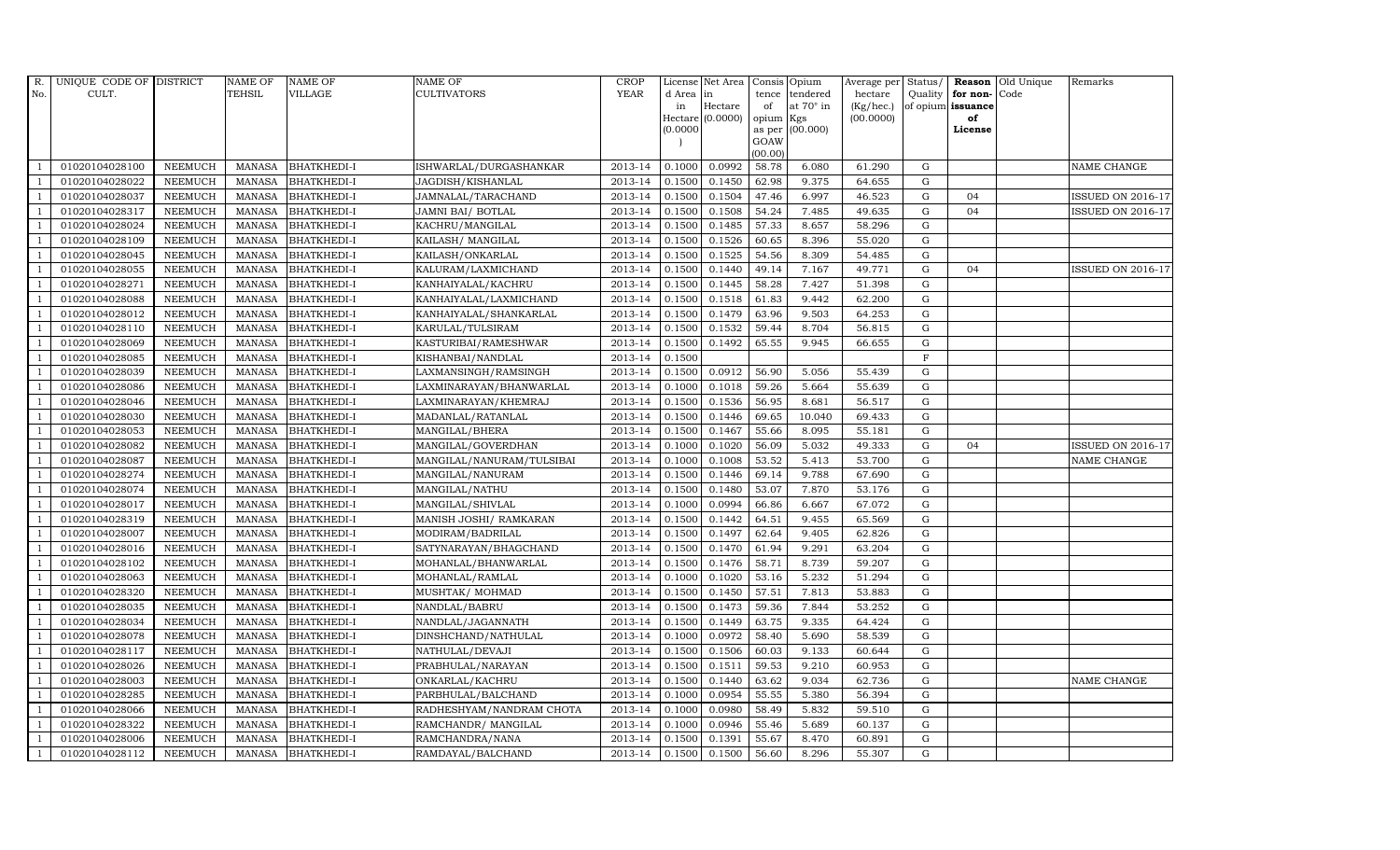| R.             | UNIQUE CODE OF DISTRICT |                | <b>NAME OF</b> | <b>NAME OF</b>     | <b>NAME OF</b>            | CROP        |           | License Net Area |           | Consis Opium     | Average per Status/ |                |                         | <b>Reason</b> Old Unique | Remarks                  |
|----------------|-------------------------|----------------|----------------|--------------------|---------------------------|-------------|-----------|------------------|-----------|------------------|---------------------|----------------|-------------------------|--------------------------|--------------------------|
| No.            | CULT.                   |                | TEHSIL         | <b>VILLAGE</b>     | <b>CULTIVATORS</b>        | <b>YEAR</b> | d Area in |                  |           | tence tendered   | hectare             |                | Quality   for non- Code |                          |                          |
|                |                         |                |                |                    |                           |             | in        | Hectare          | of        | at $70^\circ$ in | $(Kg/$ hec. $)$     |                | of opium issuance       |                          |                          |
|                |                         |                |                |                    |                           |             | 0.0000    | Hectare (0.0000) | opium Kgs | as per (00.000)  | (00.0000)           |                | of<br>License           |                          |                          |
|                |                         |                |                |                    |                           |             |           |                  | GOAW      |                  |                     |                |                         |                          |                          |
|                |                         |                |                |                    |                           |             |           |                  | (00.00)   |                  |                     |                |                         |                          |                          |
|                | 01020104028100          | <b>NEEMUCH</b> | <b>MANASA</b>  | <b>BHATKHEDI-I</b> | ISHWARLAL/DURGASHANKAR    | 2013-14     | 0.1000    | 0.0992           | 58.78     | 6.080            | 61.290              | $\mathbf G$    |                         |                          | <b>NAME CHANGE</b>       |
| $\overline{1}$ | 01020104028022          | <b>NEEMUCH</b> | <b>MANASA</b>  | <b>BHATKHEDI-I</b> | JAGDISH/KISHANLAL         | 2013-14     | 0.1500    | 0.1450           | 62.98     | 9.375            | 64.655              | ${\rm G}$      |                         |                          |                          |
| $\overline{1}$ | 01020104028037          | <b>NEEMUCH</b> | <b>MANASA</b>  | <b>BHATKHEDI-I</b> | JAMNALAL/TARACHAND        | 2013-14     | 0.1500    | 0.1504           | 47.46     | 6.997            | 46.523              | G              | 04                      |                          | <b>ISSUED ON 2016-17</b> |
|                | 01020104028317          | <b>NEEMUCH</b> | <b>MANASA</b>  | <b>BHATKHEDI-I</b> | JAMNI BAI/ BOTLAL         | 2013-14     | 0.1500    | 0.1508           | 54.24     | 7.485            | 49.635              | $\mathbf G$    | 04                      |                          | <b>ISSUED ON 2016-17</b> |
| $\overline{1}$ | 01020104028024          | <b>NEEMUCH</b> | <b>MANASA</b>  | <b>BHATKHEDI-I</b> | KACHRU/MANGILAL           | 2013-14     | 0.1500    | 0.1485           | 57.33     | 8.657            | 58.296              | $\mathbf G$    |                         |                          |                          |
| $\overline{1}$ | 01020104028109          | <b>NEEMUCH</b> | <b>MANASA</b>  | <b>BHATKHEDI-I</b> | KAILASH/ MANGILAL         | 2013-14     | 0.1500    | 0.1526           | 60.65     | 8.396            | 55.020              | G              |                         |                          |                          |
| $\overline{1}$ | 01020104028045          | <b>NEEMUCH</b> | <b>MANASA</b>  | <b>BHATKHEDI-I</b> | KAILASH/ONKARLAL          | 2013-14     | 0.1500    | 0.1525           | 54.56     | 8.309            | 54.485              | ${\rm G}$      |                         |                          |                          |
| $\overline{1}$ | 01020104028055          | <b>NEEMUCH</b> | <b>MANASA</b>  | <b>BHATKHEDI-I</b> | KALURAM/LAXMICHAND        | 2013-14     | 0.1500    | 0.1440           | 49.14     | 7.167            | 49.771              | G              | 04                      |                          | <b>ISSUED ON 2016-17</b> |
|                | 01020104028271          | <b>NEEMUCH</b> | <b>MANASA</b>  | <b>BHATKHEDI-I</b> | KANHAIYALAL/KACHRU        | 2013-14     | 0.1500    | 0.1445           | 58.28     | 7.427            | 51.398              | $\mathbf G$    |                         |                          |                          |
|                | 01020104028088          | <b>NEEMUCH</b> | <b>MANASA</b>  | <b>BHATKHEDI-I</b> | KANHAIYALAL/LAXMICHAND    | 2013-14     | 0.1500    | 0.1518           | 61.83     | 9.442            | 62.200              | ${\rm G}$      |                         |                          |                          |
| - 1            | 01020104028012          | <b>NEEMUCH</b> | <b>MANASA</b>  | <b>BHATKHEDI-I</b> | KANHAIYALAL/SHANKARLAL    | 2013-14     | 0.1500    | 0.1479           | 63.96     | 9.503            | 64.253              | G              |                         |                          |                          |
| $\overline{1}$ | 01020104028110          | <b>NEEMUCH</b> | <b>MANASA</b>  | <b>BHATKHEDI-I</b> | KARULAL/TULSIRAM          | 2013-14     | 0.1500    | 0.1532           | 59.44     | 8.704            | 56.815              | ${\rm G}$      |                         |                          |                          |
| $\overline{1}$ | 01020104028069          | <b>NEEMUCH</b> | <b>MANASA</b>  | <b>BHATKHEDI-I</b> | KASTURIBAI/RAMESHWAR      | 2013-14     | 0.1500    | 0.1492           | 65.55     | 9.945            | 66.655              | G              |                         |                          |                          |
|                | 01020104028085          | <b>NEEMUCH</b> | <b>MANASA</b>  | <b>BHATKHEDI-I</b> | KISHANBAI/NANDLAL         | 2013-14     | 0.1500    |                  |           |                  |                     | $\overline{F}$ |                         |                          |                          |
|                | 01020104028039          | <b>NEEMUCH</b> | <b>MANASA</b>  | <b>BHATKHEDI-I</b> | LAXMANSINGH/RAMSINGH      | 2013-14     | 0.1500    | 0.0912           | 56.90     | 5.056            | 55.439              | ${\rm G}$      |                         |                          |                          |
| $\overline{1}$ | 01020104028086          | <b>NEEMUCH</b> | <b>MANASA</b>  | <b>BHATKHEDI-I</b> | LAXMINARAYAN/BHANWARLAL   | 2013-14     | 0.1000    | 0.1018           | 59.26     | 5.664            | 55.639              | $\mathbf G$    |                         |                          |                          |
| -1             | 01020104028046          | <b>NEEMUCH</b> | <b>MANASA</b>  | <b>BHATKHEDI-I</b> | LAXMINARAYAN/KHEMRAJ      | 2013-14     | 0.1500    | 0.1536           | 56.95     | 8.681            | 56.517              | ${\rm G}$      |                         |                          |                          |
| $\overline{1}$ | 01020104028030          | <b>NEEMUCH</b> | MANASA         | <b>BHATKHEDI-I</b> | MADANLAL/RATANLAL         | 2013-14     | 0.1500    | 0.1446           | 69.65     | 10.040           | 69.433              | G              |                         |                          |                          |
|                | 01020104028053          | <b>NEEMUCH</b> | <b>MANASA</b>  | <b>BHATKHEDI-I</b> | MANGILAL/BHERA            | 2013-14     | 0.1500    | 0.1467           | 55.66     | 8.095            | 55.181              | $\mathbf G$    |                         |                          |                          |
|                | 01020104028082          | NEEMUCH        | <b>MANASA</b>  | <b>BHATKHEDI-I</b> | MANGILAL/GOVERDHAN        | 2013-14     | 0.1000    | 0.1020           | 56.09     | 5.032            | 49.333              | ${\rm G}$      | 04                      |                          | <b>ISSUED ON 2016-17</b> |
| $\overline{1}$ | 01020104028087          | <b>NEEMUCH</b> | <b>MANASA</b>  | <b>BHATKHEDI-I</b> | MANGILAL/NANURAM/TULSIBAI | 2013-14     | 0.1000    | 0.1008           | 53.52     | 5.413            | 53.700              | G              |                         |                          | NAME CHANGE              |
|                | 01020104028274          | <b>NEEMUCH</b> | <b>MANASA</b>  | <b>BHATKHEDI-I</b> | MANGILAL/NANURAM          | 2013-14     | 0.1500    | 0.1446           | 69.14     | 9.788            | 67.690              | ${\rm G}$      |                         |                          |                          |
| $\overline{1}$ | 01020104028074          | <b>NEEMUCH</b> | MANASA         | <b>BHATKHEDI-I</b> | MANGILAL/NATHU            | 2013-14     | 0.1500    | 0.1480           | 53.07     | 7.870            | 53.176              | ${\rm G}$      |                         |                          |                          |
|                | 01020104028017          | <b>NEEMUCH</b> | <b>MANASA</b>  | <b>BHATKHEDI-I</b> | MANGILAL/SHIVLAL          | 2013-14     | 0.1000    | 0.0994           | 66.86     | 6.667            | 67.072              | $\mathbf G$    |                         |                          |                          |
|                | 01020104028319          | NEEMUCH        | <b>MANASA</b>  | <b>BHATKHEDI-I</b> | MANISH JOSHI/ RAMKARAN    | 2013-14     | 0.1500    | 0.1442           | 64.51     | 9.455            | 65.569              | $\mathbf G$    |                         |                          |                          |
| -1             | 01020104028007          | <b>NEEMUCH</b> | <b>MANASA</b>  | <b>BHATKHEDI-I</b> | MODIRAM/BADRILAL          | 2013-14     | 0.1500    | 0.1497           | 62.64     | 9.405            | 62.826              | $\mathbf G$    |                         |                          |                          |
| -1             | 01020104028016          | <b>NEEMUCH</b> | <b>MANASA</b>  | <b>BHATKHEDI-I</b> | SATYNARAYAN/BHAGCHAND     | 2013-14     | 0.1500    | 0.1470           | 61.94     | 9.291            | 63.204              | ${\rm G}$      |                         |                          |                          |
| $\overline{1}$ | 01020104028102          | <b>NEEMUCH</b> | <b>MANASA</b>  | <b>BHATKHEDI-I</b> | MOHANLAL/BHANWARLAL       | 2013-14     | 0.1500    | 0.1476           | 58.71     | 8.739            | 59.207              | ${\rm G}$      |                         |                          |                          |
| $\overline{1}$ | 01020104028063          | <b>NEEMUCH</b> | <b>MANASA</b>  | <b>BHATKHEDI-I</b> | MOHANLAL/RAMLAL           | 2013-14     | 0.1000    | 0.1020           | 53.16     | 5.232            | 51.294              | $\mathbf G$    |                         |                          |                          |
|                | 01020104028320          | <b>NEEMUCH</b> | <b>MANASA</b>  | <b>BHATKHEDI-I</b> | MUSHTAK/ MOHMAD           | 2013-14     | 0.1500    | 0.1450           | 57.51     | 7.813            | 53.883              | $\mathbf G$    |                         |                          |                          |
| $\overline{1}$ | 01020104028035          | <b>NEEMUCH</b> | MANASA         | <b>BHATKHEDI-I</b> | NANDLAL/BABRU             | 2013-14     | 0.1500    | 0.1473           | 59.36     | 7.844            | 53.252              | G              |                         |                          |                          |
|                | 01020104028034          | <b>NEEMUCH</b> | <b>MANASA</b>  | <b>BHATKHEDI-I</b> | NANDLAL/JAGANNATH         | 2013-14     | 0.1500    | 0.1449           | 63.75     | 9.335            | 64.424              | $\mathbf G$    |                         |                          |                          |
| $\overline{1}$ | 01020104028078          | <b>NEEMUCH</b> | <b>MANASA</b>  | <b>BHATKHEDI-I</b> | DINSHCHAND/NATHULAL       | 2013-14     | 0.1000    | 0.0972           | 58.40     | 5.690            | 58.539              | ${\rm G}$      |                         |                          |                          |
| $\overline{1}$ | 01020104028117          | <b>NEEMUCH</b> | <b>MANASA</b>  | <b>BHATKHEDI-I</b> | NATHULAL/DEVAJI           | 2013-14     | 0.1500    | 0.1506           | 60.03     | 9.133            | 60.644              | $\mathbf G$    |                         |                          |                          |
|                | 01020104028026          | <b>NEEMUCH</b> | <b>MANASA</b>  | <b>BHATKHEDI-I</b> | PRABHULAL/NARAYAN         | 2013-14     | 0.1500    | 0.1511           | 59.53     | 9.210            | 60.953              | $\mathbf G$    |                         |                          |                          |
| $\overline{1}$ | 01020104028003          | <b>NEEMUCH</b> | <b>MANASA</b>  | <b>BHATKHEDI-I</b> | ONKARLAL/KACHRU           | 2013-14     | 0.1500    | 0.1440           | 63.62     | 9.034            | 62.736              | ${\rm G}$      |                         |                          | NAME CHANGE              |
| $\overline{1}$ | 01020104028285          | <b>NEEMUCH</b> | <b>MANASA</b>  | <b>BHATKHEDI-I</b> | PARBHULAL/BALCHAND        | 2013-14     | 0.1000    | 0.0954           | 55.55     | 5.380            | 56.394              | ${\rm G}$      |                         |                          |                          |
| $\mathbf{1}$   | 01020104028066          | <b>NEEMUCH</b> | <b>MANASA</b>  | <b>BHATKHEDI-I</b> | RADHESHYAM/NANDRAM CHOTA  | 2013-14     | 0.1000    | 0.0980           | 58.49     | 5.832            | 59.510              | ${\rm G}$      |                         |                          |                          |
| $\overline{1}$ | 01020104028322          | <b>NEEMUCH</b> | <b>MANASA</b>  | <b>BHATKHEDI-I</b> | RAMCHANDR/ MANGILAL       | 2013-14     | 0.1000    | 0.0946           | 55.46     | 5.689            | 60.137              | $\mathbf G$    |                         |                          |                          |
|                | 01020104028006          | <b>NEEMUCH</b> | <b>MANASA</b>  | <b>BHATKHEDI-I</b> | RAMCHANDRA/NANA           | 2013-14     | 0.1500    | 0.1391           | 55.67     | 8.470            | 60.891              | $\mathbf G$    |                         |                          |                          |
| $\mathbf{1}$   | 01020104028112          | <b>NEEMUCH</b> |                | MANASA BHATKHEDI-I | RAMDAYAL/BALCHAND         | 2013-14     | 0.1500    | 0.1500           | 56.60     | 8.296            | 55.307              | G              |                         |                          |                          |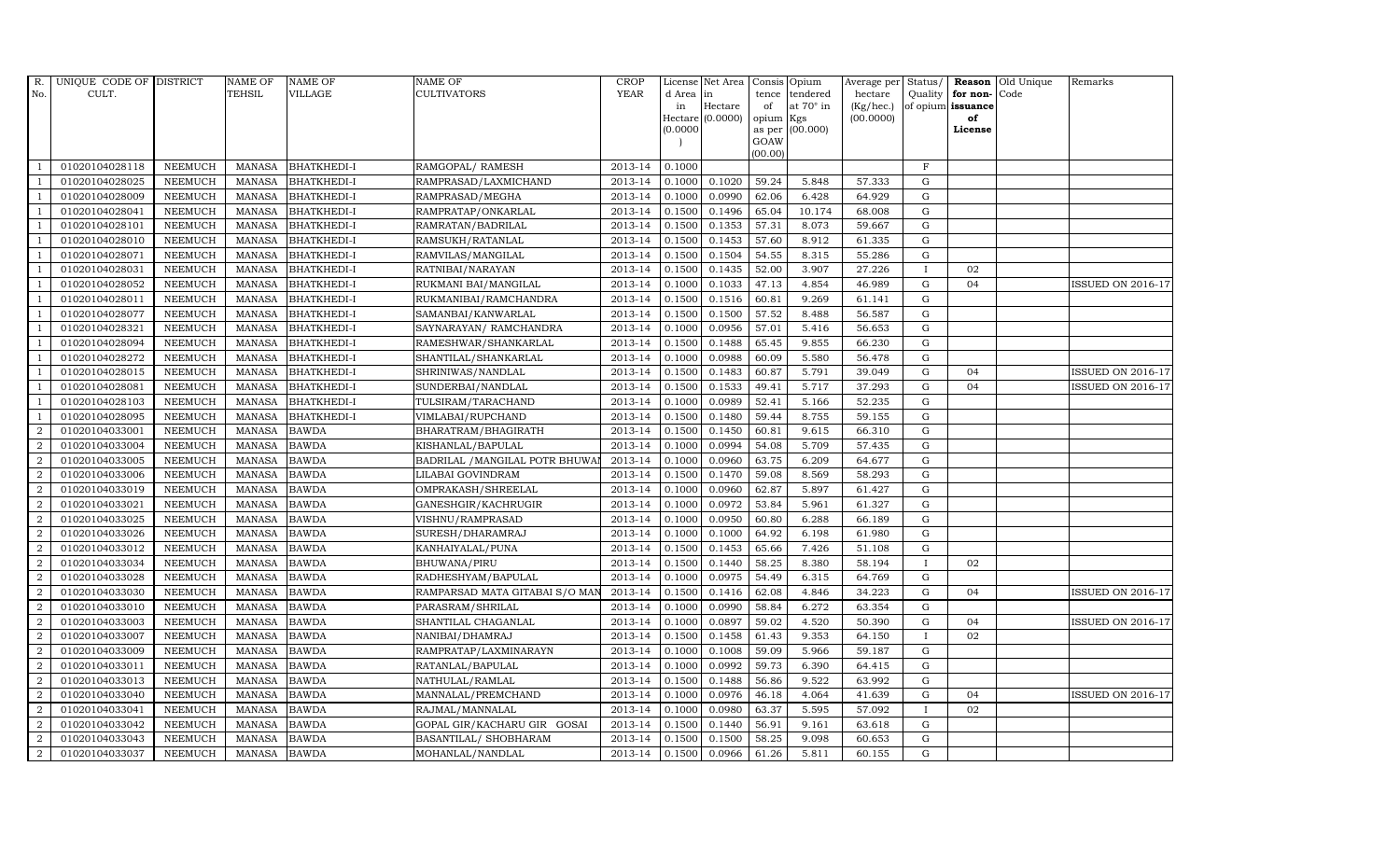| R.             | UNIQUE CODE OF DISTRICT |                | <b>NAME OF</b> | <b>NAME OF</b>     | <b>NAME OF</b>                 | CROP        |           | License Net Area   Consis   Opium |           |                  | Average per | Status/      | Reason            | Old Unique | Remarks                  |
|----------------|-------------------------|----------------|----------------|--------------------|--------------------------------|-------------|-----------|-----------------------------------|-----------|------------------|-------------|--------------|-------------------|------------|--------------------------|
| No.            | CULT.                   |                | <b>TEHSIL</b>  | <b>VILLAGE</b>     | <b>CULTIVATORS</b>             | <b>YEAR</b> | d Area in |                                   |           | tence tendered   | hectare     | Quality      | for non-          | Code       |                          |
|                |                         |                |                |                    |                                |             | in        | Hectare                           | of        | at $70^\circ$ in | (Kg/hec.)   |              | of opium issuance |            |                          |
|                |                         |                |                |                    |                                |             |           | Hectare (0.0000)                  | opium Kgs |                  | (00.0000)   |              | of<br>License     |            |                          |
|                |                         |                |                |                    |                                |             | (0.0000)  |                                   | GOAW      | as per (00.000)  |             |              |                   |            |                          |
|                |                         |                |                |                    |                                |             |           |                                   | (00.00)   |                  |             |              |                   |            |                          |
|                | 01020104028118          | <b>NEEMUCH</b> | MANASA         | <b>BHATKHEDI-I</b> | RAMGOPAL/ RAMESH               | 2013-14     | 0.1000    |                                   |           |                  |             | $\mathbf F$  |                   |            |                          |
| -1             | 01020104028025          | <b>NEEMUCH</b> | MANASA         | <b>BHATKHEDI-I</b> | RAMPRASAD/LAXMICHAND           | 2013-14     | 0.1000    | 0.1020                            | 59.24     | 5.848            | 57.333      | $\mathbf G$  |                   |            |                          |
|                | 01020104028009          | <b>NEEMUCH</b> | <b>MANASA</b>  | <b>BHATKHEDI-I</b> | RAMPRASAD/MEGHA                | 2013-14     | 0.1000    | 0.0990                            | 62.06     | 6.428            | 64.929      | G            |                   |            |                          |
|                | 01020104028041          | <b>NEEMUCH</b> | MANASA         | <b>BHATKHEDI-I</b> | RAMPRATAP/ONKARLAL             | 2013-14     | 0.1500    | 0.1496                            | 65.04     | 10.174           | 68.008      | $\mathbf G$  |                   |            |                          |
| $\overline{1}$ | 01020104028101          | <b>NEEMUCH</b> | <b>MANASA</b>  | <b>BHATKHEDI-I</b> | RAMRATAN/BADRILAL              | 2013-14     | 0.1500    | 0.1353                            | 57.31     | 8.073            | 59.667      | ${\rm G}$    |                   |            |                          |
| $\overline{1}$ | 01020104028010          | <b>NEEMUCH</b> | <b>MANASA</b>  | <b>BHATKHEDI-I</b> | RAMSUKH/RATANLAL               | 2013-14     | 0.1500    | 0.1453                            | 57.60     | 8.912            | 61.335      | $\mathbf G$  |                   |            |                          |
| $\overline{1}$ | 01020104028071          | <b>NEEMUCH</b> | <b>MANASA</b>  | <b>BHATKHEDI-I</b> | RAMVILAS/MANGILAL              | 2013-14     | 0.1500    | 0.1504                            | 54.55     | 8.315            | 55.286      | $\mathbf G$  |                   |            |                          |
| $\overline{1}$ | 01020104028031          | <b>NEEMUCH</b> | <b>MANASA</b>  | <b>BHATKHEDI-I</b> | RATNIBAI/NARAYAN               | 2013-14     | 0.1500    | 0.1435                            | 52.00     | 3.907            | 27.226      | $\mathbf{I}$ | 02                |            |                          |
|                | 01020104028052          | <b>NEEMUCH</b> | <b>MANASA</b>  | <b>BHATKHEDI-I</b> | RUKMANI BAI/MANGILAL           | 2013-14     | 0.1000    | 0.1033                            | 47.13     | 4.854            | 46.989      | G            | 04                |            | <b>ISSUED ON 2016-17</b> |
|                | 01020104028011          | <b>NEEMUCH</b> | <b>MANASA</b>  | <b>BHATKHEDI-I</b> | RUKMANIBAI/RAMCHANDRA          | 2013-14     | 0.1500    | 0.1516                            | 60.81     | 9.269            | 61.141      | $\mathbf G$  |                   |            |                          |
| $\overline{1}$ | 01020104028077          | <b>NEEMUCH</b> | <b>MANASA</b>  | <b>BHATKHEDI-I</b> | SAMANBAI/KANWARLAL             | 2013-14     | 0.1500    | 0.1500                            | 57.52     | 8.488            | 56.587      | ${\rm G}$    |                   |            |                          |
| $\overline{1}$ | 01020104028321          | <b>NEEMUCH</b> | <b>MANASA</b>  | <b>BHATKHEDI-I</b> | SAYNARAYAN / RAMCHANDRA        | 2013-14     | 0.1000    | 0.0956                            | 57.01     | 5.416            | 56.653      | ${\rm G}$    |                   |            |                          |
| $\overline{1}$ | 01020104028094          | <b>NEEMUCH</b> | <b>MANASA</b>  | <b>BHATKHEDI-I</b> | RAMESHWAR/SHANKARLAL           | 2013-14     | 0.1500    | 0.1488                            | 65.45     | 9.855            | 66.230      | $\mathbf G$  |                   |            |                          |
|                | 01020104028272          | <b>NEEMUCH</b> | <b>MANASA</b>  | <b>BHATKHEDI-I</b> | SHANTILAL/SHANKARLAL           | 2013-14     | 0.1000    | 0.0988                            | 60.09     | 5.580            | 56.478      | $\mathbf G$  |                   |            |                          |
| $\overline{1}$ | 01020104028015          | <b>NEEMUCH</b> | <b>MANASA</b>  | <b>BHATKHEDI-I</b> | SHRINIWAS/NANDLAL              | 2013-14     | 0.1500    | 0.1483                            | 60.87     | 5.791            | 39.049      | G            | 04                |            | ISSUED ON 2016-17        |
| -1             | 01020104028081          | <b>NEEMUCH</b> | <b>MANASA</b>  | <b>BHATKHEDI-I</b> | SUNDERBAI/NANDLAL              | 2013-14     | 0.1500    | 0.1533                            | 49.41     | 5.717            | 37.293      | ${\rm G}$    | 04                |            | <b>ISSUED ON 2016-17</b> |
| $\overline{1}$ | 01020104028103          | <b>NEEMUCH</b> | <b>MANASA</b>  | <b>BHATKHEDI-I</b> | TULSIRAM/TARACHAND             | 2013-14     | 0.1000    | 0.0989                            | 52.41     | 5.166            | 52.235      | $\mathbf G$  |                   |            |                          |
| $\overline{1}$ | 01020104028095          | <b>NEEMUCH</b> | MANASA         | <b>BHATKHEDI-I</b> | VIMLABAI/RUPCHAND              | 2013-14     | 0.1500    | 0.1480                            | 59.44     | 8.755            | 59.155      | G            |                   |            |                          |
| $\overline{2}$ | 01020104033001          | <b>NEEMUCH</b> | <b>MANASA</b>  | <b>BAWDA</b>       | BHARATRAM/BHAGIRATH            | 2013-14     | 0.1500    | 0.1450                            | 60.81     | 9.615            | 66.310      | $\mathbf G$  |                   |            |                          |
| $\overline{2}$ | 01020104033004          | <b>NEEMUCH</b> | <b>MANASA</b>  | <b>BAWDA</b>       | KISHANLAL/BAPULAL              | 2013-14     | 0.1000    | 0.0994                            | 54.08     | 5.709            | 57.435      | G            |                   |            |                          |
| $\overline{2}$ | 01020104033005          | <b>NEEMUCH</b> | <b>MANASA</b>  | <b>BAWDA</b>       | BADRILAL / MANGILAL POTR BHUWA | 2013-14     | 0.1000    | 0.0960                            | 63.75     | 6.209            | 64.677      | ${\rm G}$    |                   |            |                          |
| $\overline{a}$ | 01020104033006          | <b>NEEMUCH</b> | <b>MANASA</b>  | <b>BAWDA</b>       | LILABAI GOVINDRAM              | 2013-14     | 0.1500    | 0.1470                            | 59.08     | 8.569            | 58.293      | ${\rm G}$    |                   |            |                          |
| $\overline{a}$ | 01020104033019          | <b>NEEMUCH</b> | MANASA         | <b>BAWDA</b>       | OMPRAKASH/SHREELAL             | 2013-14     | 0.1000    | 0.0960                            | 62.87     | 5.897            | 61.427      | G            |                   |            |                          |
| $\overline{2}$ | 01020104033021          | <b>NEEMUCH</b> | <b>MANASA</b>  | <b>BAWDA</b>       | GANESHGIR/KACHRUGIR            | 2013-14     | 0.1000    | 0.0972                            | 53.84     | 5.961            | 61.327      | $\mathbf G$  |                   |            |                          |
| $\sqrt{2}$     | 01020104033025          | <b>NEEMUCH</b> | <b>MANASA</b>  | <b>BAWDA</b>       | VISHNU/RAMPRASAD               | 2013-14     | 0.1000    | 0.0950                            | 60.80     | 6.288            | 66.189      | ${\rm G}$    |                   |            |                          |
| $\overline{2}$ | 01020104033026          | <b>NEEMUCH</b> | <b>MANASA</b>  | <b>BAWDA</b>       | SURESH/DHARAMRAJ               | 2013-14     | 0.1000    | 0.1000                            | 64.92     | 6.198            | 61.980      | G            |                   |            |                          |
| $\overline{a}$ | 01020104033012          | <b>NEEMUCH</b> | <b>MANASA</b>  | <b>BAWDA</b>       | KANHAIYALAL/PUNA               | 2013-14     | 0.1500    | 0.1453                            | 65.66     | 7.426            | 51.108      | ${\rm G}$    |                   |            |                          |
| 2              | 01020104033034          | <b>NEEMUCH</b> | MANASA         | <b>BAWDA</b>       | BHUWANA/PIRU                   | 2013-14     | 0.1500    | 0.1440                            | 58.25     | 8.380            | 58.194      | $\mathbf{I}$ | 02                |            |                          |
| 2              | 01020104033028          | <b>NEEMUCH</b> | <b>MANASA</b>  | <b>BAWDA</b>       | RADHESHYAM/BAPULAL             | 2013-14     | 0.1000    | 0.0975                            | 54.49     | 6.315            | 64.769      | $\mathbf G$  |                   |            |                          |
| $\overline{2}$ | 01020104033030          | <b>NEEMUCH</b> | <b>MANASA</b>  | <b>BAWDA</b>       | RAMPARSAD MATA GITABAI S/O MAN | 2013-14     | 0.1500    | 0.1416                            | 62.08     | 4.846            | 34.223      | $\mathbf G$  | 04                |            | <b>ISSUED ON 2016-17</b> |
| $\overline{2}$ | 01020104033010          | <b>NEEMUCH</b> | <b>MANASA</b>  | <b>BAWDA</b>       | PARASRAM/SHRILAL               | 2013-14     | 0.1000    | 0.0990                            | 58.84     | 6.272            | 63.354      | G            |                   |            |                          |
| $\overline{a}$ | 01020104033003          | <b>NEEMUCH</b> | <b>MANASA</b>  | <b>BAWDA</b>       | SHANTILAL CHAGANLAL            | 2013-14     | 0.1000    | 0.0897                            | 59.02     | 4.520            | 50.390      | ${\rm G}$    | 04                |            | <b>ISSUED ON 2016-17</b> |
| $\overline{a}$ | 01020104033007          | <b>NEEMUCH</b> | MANASA         | <b>BAWDA</b>       | NANIBAI/DHAMRAJ                | 2013-14     | 0.1500    | 0.1458                            | 61.43     | 9.353            | 64.150      | $\mathbf{I}$ | 02                |            |                          |
| $\overline{2}$ | 01020104033009          | <b>NEEMUCH</b> | <b>MANASA</b>  | <b>BAWDA</b>       | RAMPRATAP/LAXMINARAYN          | 2013-14     | 0.1000    | 0.1008                            | 59.09     | 5.966            | 59.187      | $\mathbf G$  |                   |            |                          |
| $\overline{2}$ | 01020104033011          | <b>NEEMUCH</b> | <b>MANASA</b>  | <b>BAWDA</b>       | RATANLAL/BAPULAL               | 2013-14     | 0.1000    | 0.0992                            | 59.73     | 6.390            | 64.415      | $\mathbf G$  |                   |            |                          |
| $\overline{a}$ | 01020104033013          | <b>NEEMUCH</b> | <b>MANASA</b>  | <b>BAWDA</b>       | NATHULAL/RAMLAL                | 2013-14     | 0.1500    | 0.1488                            | 56.86     | 9.522            | 63.992      | $\mathbf G$  |                   |            |                          |
| $\overline{2}$ | 01020104033040          | <b>NEEMUCH</b> | <b>MANASA</b>  | <b>BAWDA</b>       | MANNALAL/PREMCHAND             | 2013-14     | 0.1000    | 0.0976                            | 46.18     | 4.064            | 41.639      | ${\bf G}$    | 04                |            | <b>ISSUED ON 2016-17</b> |
| $\overline{a}$ | 01020104033041          | <b>NEEMUCH</b> | <b>MANASA</b>  | <b>BAWDA</b>       | RAJMAL/MANNALAL                | 2013-14     | 0.1000    | 0.0980                            | 63.37     | 5.595            | 57.092      | $\mathbf{I}$ | 02                |            |                          |
| 2              | 01020104033042          | <b>NEEMUCH</b> | <b>MANASA</b>  | <b>BAWDA</b>       | GOPAL GIR/KACHARU GIR GOSAI    | 2013-14     | 0.1500    | 0.1440                            | 56.91     | 9.161            | 63.618      | G            |                   |            |                          |
| 2              | 01020104033043          | <b>NEEMUCH</b> | <b>MANASA</b>  | <b>BAWDA</b>       | BASANTILAL/ SHOBHARAM          | 2013-14     | 0.1500    | 0.1500                            | 58.25     | 9.098            | 60.653      | $\mathbf G$  |                   |            |                          |
| $\overline{a}$ | 01020104033037          | <b>NEEMUCH</b> | MANASA BAWDA   |                    | MOHANLAL/NANDLAL               | 2013-14     | 0.1500    | 0.0966                            | 61.26     | 5.811            | 60.155      | G            |                   |            |                          |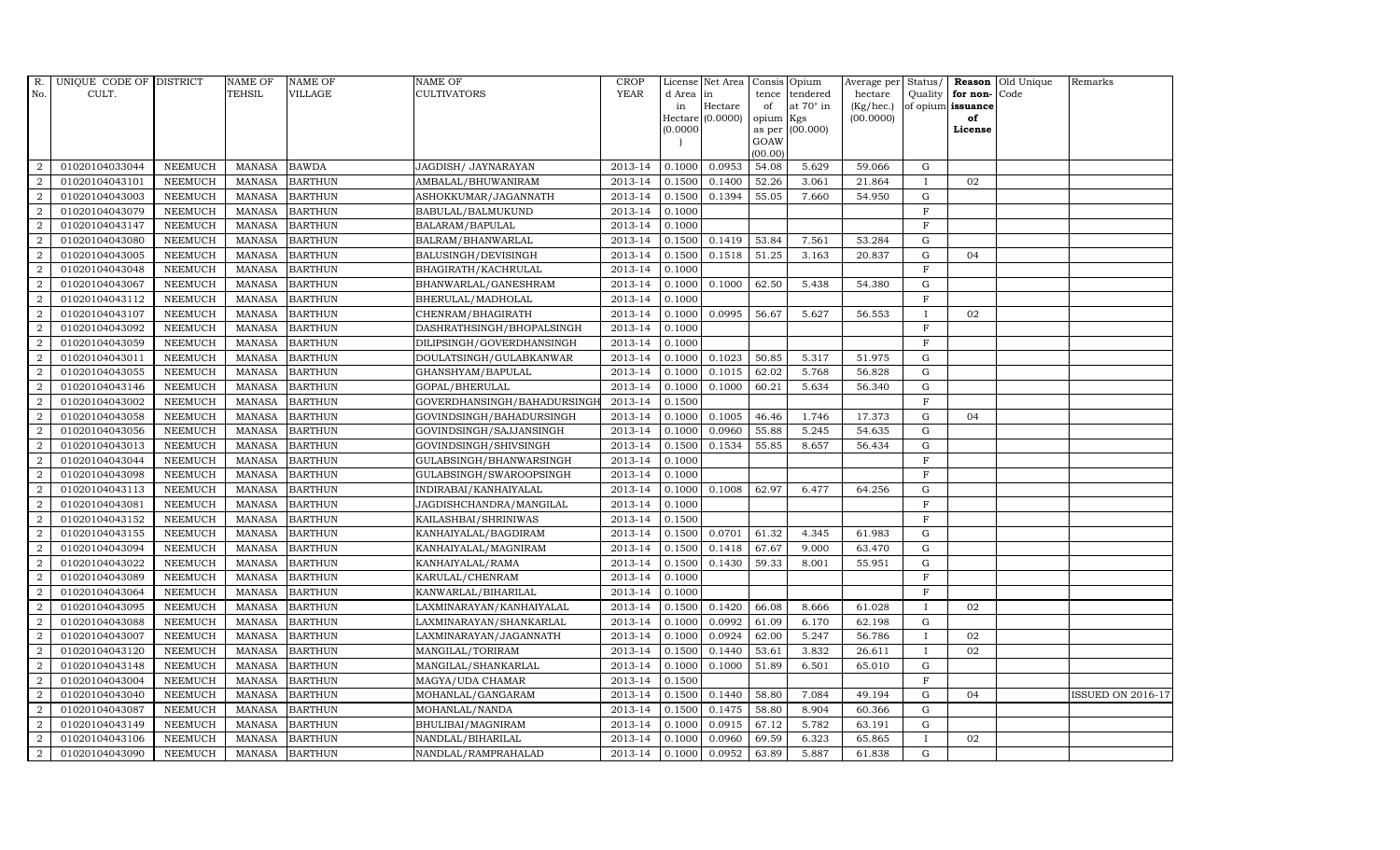| R.             | UNIQUE CODE OF DISTRICT |                | <b>NAME OF</b> | <b>NAME OF</b> | <b>NAME OF</b>              | <b>CROP</b> |           | License Net Area   |           | Consis Opium     | Average per | Status/      |                   | Reason Old Unique | Remarks                  |
|----------------|-------------------------|----------------|----------------|----------------|-----------------------------|-------------|-----------|--------------------|-----------|------------------|-------------|--------------|-------------------|-------------------|--------------------------|
| No.            | CULT.                   |                | <b>TEHSIL</b>  | VILLAGE        | <b>CULTIVATORS</b>          | <b>YEAR</b> | d Area in |                    | tence     | tendered         | hectare     |              | Quality for non-  | Code              |                          |
|                |                         |                |                |                |                             |             | in        | Hectare            | of        | at $70^\circ$ in | (Kg/hec.)   |              | of opium issuance |                   |                          |
|                |                         |                |                |                |                             |             |           | $Hectare (0.0000)$ | opium Kgs |                  | (00.0000)   |              | of                |                   |                          |
|                |                         |                |                |                |                             |             | (0.0000)  |                    | GOAW      | as per (00.000)  |             |              | License           |                   |                          |
|                |                         |                |                |                |                             |             |           |                    | (00.00)   |                  |             |              |                   |                   |                          |
| $\overline{2}$ | 01020104033044          | <b>NEEMUCH</b> | MANASA BAWDA   |                | JAGDISH/ JAYNARAYAN         | 2013-14     | 0.1000    | 0.0953             | 54.08     | 5.629            | 59.066      | G            |                   |                   |                          |
| $\overline{2}$ | 01020104043101          | <b>NEEMUCH</b> | MANASA         | <b>BARTHUN</b> | AMBALAL/BHUWANIRAM          | 2013-14     | 0.1500    | 0.1400             | 52.26     | 3.061            | 21.864      | $\mathbf{I}$ | 02                |                   |                          |
| 2              | 01020104043003          | <b>NEEMUCH</b> | <b>MANASA</b>  | <b>BARTHUN</b> | ASHOKKUMAR/JAGANNATH        | 2013-14     | 0.1500    | 0.1394             | 55.05     | 7.660            | 54.950      | G            |                   |                   |                          |
| $\overline{2}$ | 01020104043079          | <b>NEEMUCH</b> | MANASA         | <b>BARTHUN</b> | BABULAL/BALMUKUND           | 2013-14     | 0.1000    |                    |           |                  |             | $\mathbf F$  |                   |                   |                          |
| $\overline{a}$ | 01020104043147          | <b>NEEMUCH</b> | <b>MANASA</b>  | <b>BARTHUN</b> | BALARAM/BAPULAL             | 2013-14     | 0.1000    |                    |           |                  |             | $\rm F$      |                   |                   |                          |
| $\overline{2}$ | 01020104043080          | <b>NEEMUCH</b> | MANASA         | <b>BARTHUN</b> | BALRAM/BHANWARLAL           | 2013-14     | 0.1500    | 0.1419             | 53.84     | 7.561            | 53.284      | G            |                   |                   |                          |
| $\overline{a}$ | 01020104043005          | <b>NEEMUCH</b> | MANASA         | <b>BARTHUN</b> | BALUSINGH/DEVISINGH         | 2013-14     | 0.1500    | 0.1518             | 51.25     | 3.163            | 20.837      | ${\rm G}$    | 04                |                   |                          |
| $\overline{2}$ | 01020104043048          | <b>NEEMUCH</b> | <b>MANASA</b>  | <b>BARTHUN</b> | BHAGIRATH/KACHRULAL         | 2013-14     | 0.1000    |                    |           |                  |             | $\rm F$      |                   |                   |                          |
| $\overline{2}$ | 01020104043067          | <b>NEEMUCH</b> | <b>MANASA</b>  | <b>BARTHUN</b> | BHANWARLAL/GANESHRAM        | 2013-14     | 0.1000    | 0.1000             | 62.50     | 5.438            | 54.380      | G            |                   |                   |                          |
| $\overline{2}$ | 01020104043112          | <b>NEEMUCH</b> | <b>MANASA</b>  | <b>BARTHUN</b> | BHERULAL/MADHOLAL           | 2013-14     | 0.1000    |                    |           |                  |             | $\mathbf F$  |                   |                   |                          |
| $\overline{a}$ | 01020104043107          | <b>NEEMUCH</b> | <b>MANASA</b>  | <b>BARTHUN</b> | CHENRAM/BHAGIRATH           | 2013-14     | 0.1000    | 0.0995             | 56.67     | 5.627            | 56.553      | $\mathbf I$  | 02                |                   |                          |
| $\overline{2}$ | 01020104043092          | <b>NEEMUCH</b> | MANASA         | <b>BARTHUN</b> | DASHRATHSINGH/BHOPALSINGH   | 2013-14     | 0.1000    |                    |           |                  |             | $\mathbf{F}$ |                   |                   |                          |
| 2              | 01020104043059          | <b>NEEMUCH</b> | <b>MANASA</b>  | <b>BARTHUN</b> | DILIPSINGH/GOVERDHANSINGH   | 2013-14     | 0.1000    |                    |           |                  |             | $\mathbf F$  |                   |                   |                          |
| $\overline{2}$ | 01020104043011          | <b>NEEMUCH</b> | <b>MANASA</b>  | <b>BARTHUN</b> | DOULATSINGH/GULABKANWAR     | 2013-14     | 0.1000    | 0.1023             | 50.85     | 5.317            | 51.975      | G            |                   |                   |                          |
| $\overline{2}$ | 01020104043055          | <b>NEEMUCH</b> | MANASA         | <b>BARTHUN</b> | GHANSHYAM/BAPULAL           | 2013-14     | 0.1000    | 0.1015             | 62.02     | 5.768            | 56.828      | G            |                   |                   |                          |
| $\overline{a}$ | 01020104043146          | <b>NEEMUCH</b> | MANASA         | <b>BARTHUN</b> | GOPAL/BHERULAL              | 2013-14     | 0.1000    | 0.1000             | 60.21     | 5.634            | 56.340      | G            |                   |                   |                          |
| 2              | 01020104043002          | <b>NEEMUCH</b> | <b>MANASA</b>  | <b>BARTHUN</b> | GOVERDHANSINGH/BAHADURSINGI | 2013-14     | 0.1500    |                    |           |                  |             | F            |                   |                   |                          |
| 2              | 01020104043058          | <b>NEEMUCH</b> | MANASA         | <b>BARTHUN</b> | GOVINDSINGH/BAHADURSINGH    | 2013-14     | 0.1000    | 0.1005             | 46.46     | 1.746            | 17.373      | G            | 04                |                   |                          |
| $\overline{2}$ | 01020104043056          | <b>NEEMUCH</b> | MANASA         | <b>BARTHUN</b> | GOVINDSINGH/SAJJANSINGH     | 2013-14     | 0.1000    | 0.0960             | 55.88     | 5.245            | 54.635      | G            |                   |                   |                          |
| $\overline{2}$ | 01020104043013          | <b>NEEMUCH</b> | <b>MANASA</b>  | <b>BARTHUN</b> | GOVINDSINGH/SHIVSINGH       | 2013-14     | 0.1500    | 0.1534             | 55.85     | 8.657            | 56.434      | G            |                   |                   |                          |
| $\overline{2}$ | 01020104043044          | <b>NEEMUCH</b> | <b>MANASA</b>  | <b>BARTHUN</b> | GULABSINGH/BHANWARSINGH     | 2013-14     | 0.1000    |                    |           |                  |             | $\mathbf F$  |                   |                   |                          |
| $\overline{a}$ | 01020104043098          | <b>NEEMUCH</b> | MANASA         | <b>BARTHUN</b> | GULABSINGH/SWAROOPSINGH     | 2013-14     | 0.1000    |                    |           |                  |             | F            |                   |                   |                          |
| $\overline{a}$ | 01020104043113          | <b>NEEMUCH</b> | MANASA         | <b>BARTHUN</b> | INDIRABAI/KANHAIYALAL       | 2013-14     | 0.1000    | 0.1008             | 62.97     | 6.477            | 64.256      | G            |                   |                   |                          |
| $\overline{2}$ | 01020104043081          | <b>NEEMUCH</b> | <b>MANASA</b>  | <b>BARTHUN</b> | JAGDISHCHANDRA/MANGILAL     | 2013-14     | 0.1000    |                    |           |                  |             | $\mathbf F$  |                   |                   |                          |
| 2              | 01020104043152          | <b>NEEMUCH</b> | <b>MANASA</b>  | <b>BARTHUN</b> | KAILASHBAI/SHRINIWAS        | 2013-14     | 0.1500    |                    |           |                  |             | $\mathbf{F}$ |                   |                   |                          |
| $\overline{2}$ | 01020104043155          | <b>NEEMUCH</b> | <b>MANASA</b>  | <b>BARTHUN</b> | KANHAIYALAL/BAGDIRAM        | 2013-14     | 0.1500    | 0.0701             | 61.32     | 4.345            | 61.983      | G            |                   |                   |                          |
| $\overline{a}$ | 01020104043094          | <b>NEEMUCH</b> | <b>MANASA</b>  | <b>BARTHUN</b> | KANHAIYALAL/MAGNIRAM        | 2013-14     | 0.1500    | 0.1418             | 67.67     | 9.000            | 63.470      | G            |                   |                   |                          |
| 2              | 01020104043022          | <b>NEEMUCH</b> | MANASA         | <b>BARTHUN</b> | KANHAIYALAL/RAMA            | 2013-14     | 0.1500    | 0.1430             | 59.33     | 8.001            | 55.951      | G            |                   |                   |                          |
| 2              | 01020104043089          | <b>NEEMUCH</b> | MANASA         | <b>BARTHUN</b> | KARULAL/CHENRAM             | 2013-14     | 0.1000    |                    |           |                  |             | $\mathbf F$  |                   |                   |                          |
| $\overline{2}$ | 01020104043064          | <b>NEEMUCH</b> | MANASA         | <b>BARTHUN</b> | KANWARLAL/BIHARILAL         | 2013-14     | 0.1000    |                    |           |                  |             | $\mathbf{F}$ |                   |                   |                          |
| $\overline{2}$ | 01020104043095          | <b>NEEMUCH</b> | MANASA         | <b>BARTHUN</b> | LAXMINARAYAN/KANHAIYALAL    | 2013-14     | 0.1500    | 0.1420             | 66.08     | 8.666            | 61.028      | $\mathbf I$  | 02                |                   |                          |
| $\overline{a}$ | 01020104043088          | <b>NEEMUCH</b> | MANASA         | <b>BARTHUN</b> | LAXMINARAYAN/SHANKARLAL     | 2013-14     | 0.1000    | 0.0992             | 61.09     | 6.170            | 62.198      | G            |                   |                   |                          |
| $\overline{a}$ | 01020104043007          | <b>NEEMUCH</b> | MANASA         | <b>BARTHUN</b> | LAXMINARAYAN/JAGANNATH      | 2013-14     | 0.1000    | 0.0924             | 62.00     | 5.247            | 56.786      | $\mathbf{I}$ | 02                |                   |                          |
| 2              | 01020104043120          | <b>NEEMUCH</b> | <b>MANASA</b>  | <b>BARTHUN</b> | MANGILAL/TORIRAM            | 2013-14     | 0.1500    | 0.1440             | 53.61     | 3.832            | 26.611      | $\mathbf{I}$ | 02                |                   |                          |
| $\overline{2}$ | 01020104043148          | <b>NEEMUCH</b> | <b>MANASA</b>  | <b>BARTHUN</b> | MANGILAL/SHANKARLAL         | 2013-14     | 0.1000    | 0.1000             | 51.89     | 6.501            | 65.010      | $\mathbf G$  |                   |                   |                          |
| $\overline{a}$ | 01020104043004          | <b>NEEMUCH</b> | <b>MANASA</b>  | <b>BARTHUN</b> | MAGYA/UDA CHAMAR            | 2013-14     | 0.1500    |                    |           |                  |             | $\mathbf F$  |                   |                   |                          |
| $\overline{2}$ | 01020104043040          | <b>NEEMUCH</b> | <b>MANASA</b>  | <b>BARTHUN</b> | MOHANLAL/GANGARAM           | 2013-14     | 0.1500    | 0.1440             | 58.80     | 7.084            | 49.194      | G            | 04                |                   | <b>ISSUED ON 2016-17</b> |
| $\overline{a}$ | 01020104043087          | <b>NEEMUCH</b> | MANASA         | <b>BARTHUN</b> | MOHANLAL/NANDA              | 2013-14     | 0.1500    | 0.1475             | 58.80     | 8.904            | 60.366      | G            |                   |                   |                          |
| $\overline{2}$ | 01020104043149          | <b>NEEMUCH</b> | <b>MANASA</b>  | <b>BARTHUN</b> | BHULIBAI/MAGNIRAM           | 2013-14     | 0.1000    | 0.0915             | 67.12     | 5.782            | 63.191      | G            |                   |                   |                          |
| 2              | 01020104043106          | <b>NEEMUCH</b> | <b>MANASA</b>  | <b>BARTHUN</b> | NANDLAL/BIHARILAL           | 2013-14     | 0.1000    | 0.0960             | 69.59     | 6.323            | 65.865      | $\mathbf{I}$ | 02                |                   |                          |
| $\overline{a}$ | 01020104043090          | <b>NEEMUCH</b> |                | MANASA BARTHUN | NANDLAL/RAMPRAHALAD         | 2013-14     | 0.1000    | 0.0952             | 63.89     | 5.887            | 61.838      | G            |                   |                   |                          |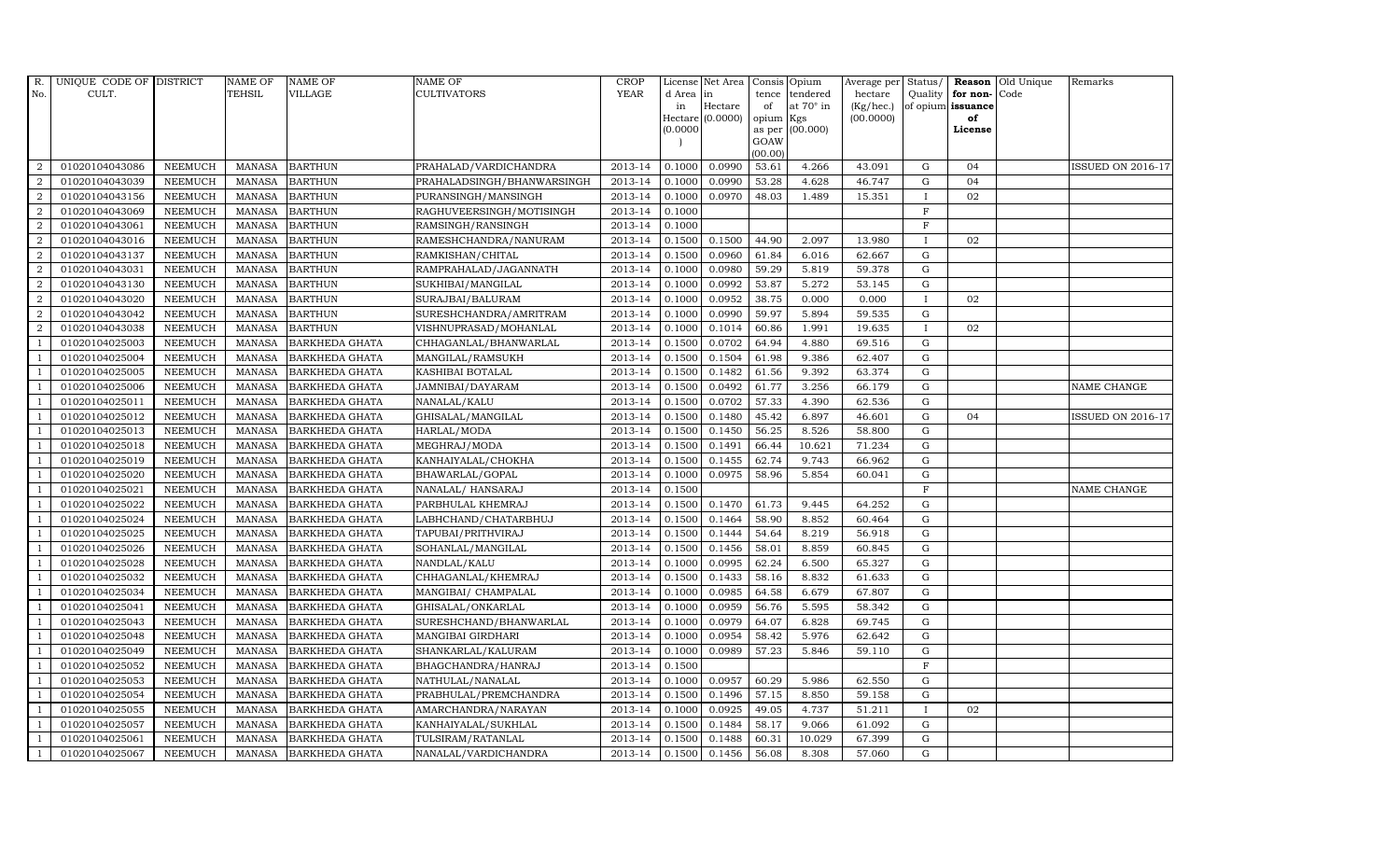| R.             | UNIQUE CODE OF DISTRICT |                | <b>NAME OF</b> | <b>NAME OF</b>        | NAME OF                    | <b>CROP</b> |           | License Net Area            | Consis Opium    |                  |           |              |                      | Average per Status/ Reason Old Unique | Remarks           |
|----------------|-------------------------|----------------|----------------|-----------------------|----------------------------|-------------|-----------|-----------------------------|-----------------|------------------|-----------|--------------|----------------------|---------------------------------------|-------------------|
| No.            | CULT.                   |                | <b>TEHSIL</b>  | VILLAGE               | <b>CULTIVATORS</b>         | <b>YEAR</b> | d Area in |                             | tence           | tendered         | hectare   |              | Quality for non-Code |                                       |                   |
|                |                         |                |                |                       |                            |             | in        | Hectare<br>Hectare (0.0000) | of              | at $70^\circ$ in | (Kg/hec.) |              | of opium issuance    |                                       |                   |
|                |                         |                |                |                       |                            |             | (0.0000)  |                             | opium<br>as per | Kgs<br>(00.000)  | (00.0000) |              | of<br>License        |                                       |                   |
|                |                         |                |                |                       |                            |             |           |                             | GOAW            |                  |           |              |                      |                                       |                   |
|                |                         |                |                |                       |                            |             |           |                             | (00.00)         |                  |           |              |                      |                                       |                   |
| 2              | 01020104043086          | <b>NEEMUCH</b> | MANASA         | <b>BARTHUN</b>        | PRAHALAD/VARDICHANDRA      | 2013-14     | 0.1000    | 0.0990                      | 53.61           | 4.266            | 43.091    | G            | 04                   |                                       | ISSUED ON 2016-17 |
| $\overline{2}$ | 01020104043039          | <b>NEEMUCH</b> | <b>MANASA</b>  | <b>BARTHUN</b>        | PRAHALADSINGH/BHANWARSINGH | 2013-14     | 0.1000    | 0.0990                      | 53.28           | 4.628            | 46.747    | G            | 04                   |                                       |                   |
| 2              | 01020104043156          | <b>NEEMUCH</b> | <b>MANASA</b>  | <b>BARTHUN</b>        | PURANSINGH/MANSINGH        | 2013-14     | 0.1000    | 0.0970                      | 48.03           | 1.489            | 15.351    | $\mathbf{I}$ | 02                   |                                       |                   |
| $\overline{2}$ | 01020104043069          | <b>NEEMUCH</b> | <b>MANASA</b>  | <b>BARTHUN</b>        | RAGHUVEERSINGH/MOTISINGH   | 2013-14     | 0.1000    |                             |                 |                  |           | $\mathbf F$  |                      |                                       |                   |
| $\overline{a}$ | 01020104043061          | <b>NEEMUCH</b> | <b>MANASA</b>  | <b>BARTHUN</b>        | RAMSINGH/RANSINGH          | 2013-14     | 0.1000    |                             |                 |                  |           | $\mathbf F$  |                      |                                       |                   |
| 2              | 01020104043016          | <b>NEEMUCH</b> | <b>MANASA</b>  | <b>BARTHUN</b>        | RAMESHCHANDRA/NANURAM      | 2013-14     | 0.1500    | 0.1500                      | 44.90           | 2.097            | 13.980    | $\mathbf{I}$ | 02                   |                                       |                   |
| 2              | 01020104043137          | <b>NEEMUCH</b> | <b>MANASA</b>  | <b>BARTHUN</b>        | RAMKISHAN/CHITAL           | 2013-14     | 0.1500    | 0.0960                      | 61.84           | 6.016            | 62.667    | G            |                      |                                       |                   |
| 2              | 01020104043031          | <b>NEEMUCH</b> | <b>MANASA</b>  | <b>BARTHUN</b>        | RAMPRAHALAD/JAGANNATH      | 2013-14     | 0.1000    | 0.0980                      | 59.29           | 5.819            | 59.378    | G            |                      |                                       |                   |
| $\overline{2}$ | 01020104043130          | <b>NEEMUCH</b> | <b>MANASA</b>  | <b>BARTHUN</b>        | SUKHIBAI/MANGILAL          | 2013-14     | 0.1000    | 0.0992                      | 53.87           | 5.272            | 53.145    | G            |                      |                                       |                   |
| $\overline{2}$ | 01020104043020          | <b>NEEMUCH</b> | <b>MANASA</b>  | <b>BARTHUN</b>        | SURAJBAI/BALURAM           | 2013-14     | 0.1000    | 0.0952                      | 38.75           | 0.000            | 0.000     | $\mathbf{I}$ | 02                   |                                       |                   |
| $\overline{a}$ | 01020104043042          | <b>NEEMUCH</b> | <b>MANASA</b>  | <b>BARTHUN</b>        | SURESHCHANDRA/AMRITRAM     | 2013-14     | 0.1000    | 0.0990                      | 59.97           | 5.894            | 59.535    | G            |                      |                                       |                   |
| $\overline{2}$ | 01020104043038          | <b>NEEMUCH</b> | <b>MANASA</b>  | <b>BARTHUN</b>        | VISHNUPRASAD/MOHANLAL      | 2013-14     | 0.1000    | 0.1014                      | 60.86           | 1.991            | 19.635    | $\mathbf{I}$ | 02                   |                                       |                   |
| $\mathbf{1}$   | 01020104025003          | <b>NEEMUCH</b> | <b>MANASA</b>  | <b>BARKHEDA GHATA</b> | CHHAGANLAL/BHANWARLAL      | 2013-14     | 0.1500    | 0.0702                      | 64.94           | 4.880            | 69.516    | G            |                      |                                       |                   |
|                | 01020104025004          | <b>NEEMUCH</b> | <b>MANASA</b>  | <b>BARKHEDA GHATA</b> | MANGILAL/RAMSUKH           | 2013-14     | 0.1500    | 0.1504                      | 61.98           | 9.386            | 62.407    | G            |                      |                                       |                   |
|                | 01020104025005          | <b>NEEMUCH</b> | <b>MANASA</b>  | <b>BARKHEDA GHATA</b> | KASHIBAI BOTALAL           | 2013-14     | 0.1500    | 0.1482                      | 61.56           | 9.392            | 63.374    | ${\rm G}$    |                      |                                       |                   |
| $\overline{1}$ | 01020104025006          | <b>NEEMUCH</b> | <b>MANASA</b>  | <b>BARKHEDA GHATA</b> | JAMNIBAI/DAYARAM           | 2013-14     | 0.1500    | 0.0492                      | 61.77           | 3.256            | 66.179    | G            |                      |                                       | NAME CHANGE       |
| $\overline{1}$ | 01020104025011          | <b>NEEMUCH</b> | <b>MANASA</b>  | <b>BARKHEDA GHATA</b> | NANALAL/KALU               | 2013-14     | 0.1500    | 0.0702                      | 57.33           | 4.390            | 62.536    | G            |                      |                                       |                   |
| $\overline{1}$ | 01020104025012          | <b>NEEMUCH</b> | <b>MANASA</b>  | <b>BARKHEDA GHATA</b> | GHISALAL/MANGILAL          | 2013-14     | 0.1500    | 0.1480                      | 45.42           | 6.897            | 46.601    | $\mathbf G$  | 04                   |                                       | ISSUED ON 2016-17 |
|                | 01020104025013          | <b>NEEMUCH</b> | <b>MANASA</b>  | <b>BARKHEDA GHATA</b> | HARLAL/MODA                | 2013-14     | 0.1500    | 0.1450                      | 56.25           | 8.526            | 58.800    | G            |                      |                                       |                   |
| $\mathbf{1}$   | 01020104025018          | <b>NEEMUCH</b> | <b>MANASA</b>  | <b>BARKHEDA GHATA</b> | MEGHRAJ/MODA               | 2013-14     | 0.1500    | 0.1491                      | 66.44           | 10.621           | 71.234    | G            |                      |                                       |                   |
| $\overline{1}$ | 01020104025019          | <b>NEEMUCH</b> | <b>MANASA</b>  | <b>BARKHEDA GHATA</b> | KANHAIYALAL/CHOKHA         | 2013-14     | 0.1500    | 0.1455                      | 62.74           | 9.743            | 66.962    | G            |                      |                                       |                   |
| $\overline{1}$ | 01020104025020          | <b>NEEMUCH</b> | <b>MANASA</b>  | BARKHEDA GHATA        | BHAWARLAL/GOPAL            | 2013-14     | 0.1000    | 0.0975                      | 58.96           | 5.854            | 60.041    | G            |                      |                                       |                   |
| $\overline{1}$ | 01020104025021          | <b>NEEMUCH</b> | MANASA         | <b>BARKHEDA GHATA</b> | NANALAL/ HANSARAJ          | 2013-14     | 0.1500    |                             |                 |                  |           | $\, {\rm F}$ |                      |                                       | NAME CHANGE       |
|                | 01020104025022          | <b>NEEMUCH</b> | <b>MANASA</b>  | <b>BARKHEDA GHATA</b> | PARBHULAL KHEMRAJ          | 2013-14     | 0.1500    | 0.1470                      | 61.73           | 9.445            | 64.252    | G            |                      |                                       |                   |
|                | 01020104025024          | <b>NEEMUCH</b> | <b>MANASA</b>  | <b>BARKHEDA GHATA</b> | LABHCHAND/CHATARBHUJ       | 2013-14     | 0.1500    | 0.1464                      | 58.90           | 8.852            | 60.464    | G            |                      |                                       |                   |
| $\overline{1}$ | 01020104025025          | <b>NEEMUCH</b> | <b>MANASA</b>  | <b>BARKHEDA GHATA</b> | TAPUBAI/PRITHVIRAJ         | 2013-14     | 0.1500    | 0.1444                      | 54.64           | 8.219            | 56.918    | G            |                      |                                       |                   |
| $\mathbf{1}$   | 01020104025026          | <b>NEEMUCH</b> | <b>MANASA</b>  | <b>BARKHEDA GHATA</b> | SOHANLAL/MANGILAL          | 2013-14     | 0.1500    | 0.1456                      | 58.01           | 8.859            | 60.845    | G            |                      |                                       |                   |
| $\overline{1}$ | 01020104025028          | <b>NEEMUCH</b> | <b>MANASA</b>  | <b>BARKHEDA GHATA</b> | NANDLAL/KALU               | 2013-14     | 0.1000    | 0.0995                      | 62.24           | 6.500            | 65.327    | G            |                      |                                       |                   |
| $\overline{1}$ | 01020104025032          | <b>NEEMUCH</b> | <b>MANASA</b>  | <b>BARKHEDA GHATA</b> | CHHAGANLAL/KHEMRAJ         | 2013-14     | 0.1500    | 0.1433                      | 58.16           | 8.832            | 61.633    | $\mathbf G$  |                      |                                       |                   |
|                | 01020104025034          | <b>NEEMUCH</b> | <b>MANASA</b>  | <b>BARKHEDA GHATA</b> | MANGIBAI / CHAMPALAL       | 2013-14     | 0.1000    | 0.0985                      | 64.58           | 6.679            | 67.807    | G            |                      |                                       |                   |
| -1             | 01020104025041          | <b>NEEMUCH</b> | <b>MANASA</b>  | <b>BARKHEDA GHATA</b> | GHISALAL/ONKARLAL          | 2013-14     | 0.1000    | 0.0959                      | 56.76           | 5.595            | 58.342    | G            |                      |                                       |                   |
|                | 01020104025043          | <b>NEEMUCH</b> | <b>MANASA</b>  | <b>BARKHEDA GHATA</b> | SURESHCHAND/BHANWARLAL     | 2013-14     | 0.1000    | 0.0979                      | 64.07           | 6.828            | 69.745    | G            |                      |                                       |                   |
| $\overline{1}$ | 01020104025048          | <b>NEEMUCH</b> | <b>MANASA</b>  | <b>BARKHEDA GHATA</b> | MANGIBAI GIRDHARI          | 2013-14     | 0.1000    | 0.0954                      | 58.42           | 5.976            | 62.642    | G            |                      |                                       |                   |
| $\overline{1}$ | 01020104025049          | <b>NEEMUCH</b> | <b>MANASA</b>  | <b>BARKHEDA GHATA</b> | SHANKARLAL/KALURAM         | 2013-14     | 0.1000    | 0.0989                      | 57.23           | 5.846            | 59.110    | G            |                      |                                       |                   |
|                | 01020104025052          | <b>NEEMUCH</b> | <b>MANASA</b>  | <b>BARKHEDA GHATA</b> | BHAGCHANDRA/HANRAJ         | 2013-14     | 0.1500    |                             |                 |                  |           | F            |                      |                                       |                   |
| $\overline{1}$ | 01020104025053          | <b>NEEMUCH</b> | <b>MANASA</b>  | <b>BARKHEDA GHATA</b> | NATHULAL/NANALAL           | 2013-14     | 0.1000    | 0.0957                      | 60.29           | 5.986            | 62.550    | G            |                      |                                       |                   |
| -1             | 01020104025054          | <b>NEEMUCH</b> | <b>MANASA</b>  | BARKHEDA GHATA        | PRABHULAL/PREMCHANDRA      | 2013-14     | 0.1500    | 0.1496                      | 57.15           | 8.850            | 59.158    | G            |                      |                                       |                   |
| $\overline{1}$ | 01020104025055          | <b>NEEMUCH</b> | <b>MANASA</b>  | <b>BARKHEDA GHATA</b> | AMARCHANDRA/NARAYAN        | 2013-14     | 0.1000    | 0.0925                      | 49.05           | 4.737            | 51.211    | $\mathbf{I}$ | 02                   |                                       |                   |
| $\overline{1}$ | 01020104025057          | <b>NEEMUCH</b> | <b>MANASA</b>  | <b>BARKHEDA GHATA</b> | KANHAIYALAL/SUKHLAL        | 2013-14     | 0.1500    | 0.1484                      | 58.17           | 9.066            | 61.092    | G            |                      |                                       |                   |
|                | 01020104025061          | <b>NEEMUCH</b> | <b>MANASA</b>  | <b>BARKHEDA GHATA</b> | TULSIRAM/RATANLAL          | 2013-14     | 0.1500    | 0.1488                      | 60.31           | 10.029           | 67.399    | G            |                      |                                       |                   |
| $\mathbf{1}$   | 01020104025067          | NEEMUCH        | MANASA         | <b>BARKHEDA GHATA</b> | NANALAL/VARDICHANDRA       | 2013-14     | 0.1500    | 0.1456                      | 56.08           | 8.308            | 57.060    | G            |                      |                                       |                   |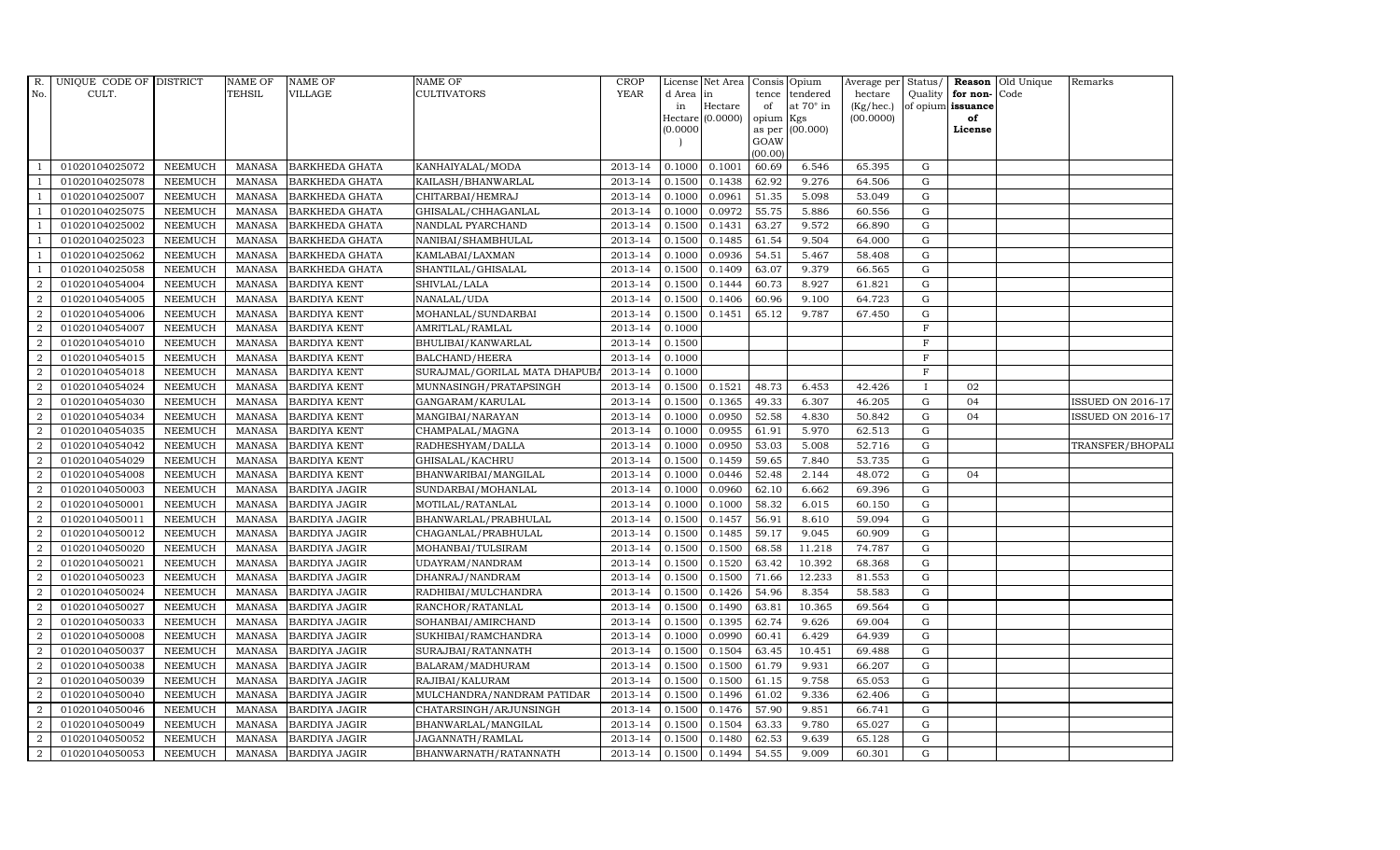| R.               | UNIQUE CODE OF DISTRICT |                | NAME OF       | <b>NAME OF</b>        | <b>NAME OF</b>               | CROP    |           | License Net Area   Consis   Opium |           |                  | Average per | Status/        | Reason            | Old Unique | Remarks                  |
|------------------|-------------------------|----------------|---------------|-----------------------|------------------------------|---------|-----------|-----------------------------------|-----------|------------------|-------------|----------------|-------------------|------------|--------------------------|
| No.              | CULT.                   |                | TEHSIL        | <b>VILLAGE</b>        | <b>CULTIVATORS</b>           | YEAR    | d Area in |                                   |           | tence tendered   | hectare     | Quality        | for non-          | Code       |                          |
|                  |                         |                |               |                       |                              |         | in        | Hectare                           | of        | at $70^\circ$ in | (Kg/hec.)   |                | of opium issuance |            |                          |
|                  |                         |                |               |                       |                              |         |           | Hectare (0.0000)                  | opium Kgs |                  | (00.0000)   |                | of<br>License     |            |                          |
|                  |                         |                |               |                       |                              |         | (0.0000)  |                                   | GOAW      | as per (00.000)  |             |                |                   |            |                          |
|                  |                         |                |               |                       |                              |         |           |                                   | (00.00)   |                  |             |                |                   |            |                          |
|                  | 01020104025072          | <b>NEEMUCH</b> | MANASA        | <b>BARKHEDA GHATA</b> | KANHAIYALAL/MODA             | 2013-14 | 0.1000    | 0.1001                            | 60.69     | 6.546            | 65.395      | ${\rm G}$      |                   |            |                          |
| -1               | 01020104025078          | <b>NEEMUCH</b> | MANASA        | <b>BARKHEDA GHATA</b> | KAILASH/BHANWARLAL           | 2013-14 | 0.1500    | 0.1438                            | 62.92     | 9.276            | 64.506      | $\mathbf G$    |                   |            |                          |
|                  | 01020104025007          | <b>NEEMUCH</b> | <b>MANASA</b> | <b>BARKHEDA GHATA</b> | CHITARBAI/HEMRAJ             | 2013-14 | 0.1000    | 0.0961                            | 51.35     | 5.098            | 53.049      | G              |                   |            |                          |
|                  | 01020104025075          | <b>NEEMUCH</b> | <b>MANASA</b> | <b>BARKHEDA GHATA</b> | GHISALAL/CHHAGANLAL          | 2013-14 | 0.1000    | 0.0972                            | 55.75     | 5.886            | 60.556      | $\mathbf G$    |                   |            |                          |
| $\overline{1}$   | 01020104025002          | <b>NEEMUCH</b> | <b>MANASA</b> | <b>BARKHEDA GHATA</b> | NANDLAL PYARCHAND            | 2013-14 | 0.1500    | 0.1431                            | 63.27     | 9.572            | 66.890      | ${\rm G}$      |                   |            |                          |
| $\overline{1}$   | 01020104025023          | <b>NEEMUCH</b> | <b>MANASA</b> | <b>BARKHEDA GHATA</b> | NANIBAI/SHAMBHULAL           | 2013-14 | 0.1500    | 0.1485                            | 61.54     | 9.504            | 64.000      | $\mathbf G$    |                   |            |                          |
| $\overline{1}$   | 01020104025062          | <b>NEEMUCH</b> | <b>MANASA</b> | <b>BARKHEDA GHATA</b> | KAMLABAI/LAXMAN              | 2013-14 | 0.1000    | 0.0936                            | 54.51     | 5.467            | 58.408      | $\mathbf G$    |                   |            |                          |
| $\overline{1}$   | 01020104025058          | <b>NEEMUCH</b> | <b>MANASA</b> | <b>BARKHEDA GHATA</b> | SHANTILAL/GHISALAL           | 2013-14 | 0.1500    | 0.1409                            | 63.07     | 9.379            | 66.565      | $\mathbf G$    |                   |            |                          |
| $\overline{2}$   | 01020104054004          | <b>NEEMUCH</b> | <b>MANASA</b> | <b>BARDIYA KENT</b>   | SHIVLAL/LALA                 | 2013-14 | 0.1500    | 0.1444                            | 60.73     | 8.927            | 61.821      | $\mathbf G$    |                   |            |                          |
| $\overline{2}$   | 01020104054005          | <b>NEEMUCH</b> | <b>MANASA</b> | <b>BARDIYA KENT</b>   | NANALAL/UDA                  | 2013-14 | 0.1500    | 0.1406                            | 60.96     | 9.100            | 64.723      | ${\bf G}$      |                   |            |                          |
| $\overline{a}$   | 01020104054006          | <b>NEEMUCH</b> | <b>MANASA</b> | <b>BARDIYA KENT</b>   | MOHANLAL/SUNDARBAI           | 2013-14 | 0.1500    | 0.1451                            | 65.12     | 9.787            | 67.450      | ${\rm G}$      |                   |            |                          |
| $\overline{2}$   | 01020104054007          | <b>NEEMUCH</b> | MANASA        | <b>BARDIYA KENT</b>   | AMRITLAL/RAMLAL              | 2013-14 | 0.1000    |                                   |           |                  |             | $\mathbf F$    |                   |            |                          |
| 2                | 01020104054010          | <b>NEEMUCH</b> | <b>MANASA</b> | <b>BARDIYA KENT</b>   | BHULIBAI/KANWARLAL           | 2013-14 | 0.1500    |                                   |           |                  |             | $\mathbf F$    |                   |            |                          |
| $\overline{2}$   | 01020104054015          | <b>NEEMUCH</b> | <b>MANASA</b> | <b>BARDIYA KENT</b>   | <b>BALCHAND/HEERA</b>        | 2013-14 | 0.1000    |                                   |           |                  |             | $\overline{F}$ |                   |            |                          |
| $\overline{2}$   | 01020104054018          | <b>NEEMUCH</b> | <b>MANASA</b> | <b>BARDIYA KENT</b>   | SURAJMAL/GORILAL MATA DHAPUB | 2013-14 | 0.1000    |                                   |           |                  |             | $_{\rm F}$     |                   |            |                          |
| $\overline{2}$   | 01020104054024          | <b>NEEMUCH</b> | <b>MANASA</b> | <b>BARDIYA KENT</b>   | MUNNASINGH/PRATAPSINGH       | 2013-14 | 0.1500    | 0.1521                            | 48.73     | 6.453            | 42.426      | <b>I</b>       | 02                |            |                          |
| 2                | 01020104054030          | <b>NEEMUCH</b> | MANASA        | <b>BARDIYA KENT</b>   | GANGARAM/KARULAL             | 2013-14 | 0.1500    | 0.1365                            | 49.33     | 6.307            | 46.205      | $\mathbf G$    | 04                |            | <b>ISSUED ON 2016-17</b> |
| 2                | 01020104054034          | <b>NEEMUCH</b> | MANASA        | <b>BARDIYA KENT</b>   | MANGIBAI/NARAYAN             | 2013-14 | 0.1000    | 0.0950                            | 52.58     | 4.830            | 50.842      | G              | 04                |            | ISSUED ON 2016-17        |
| $\overline{2}$   | 01020104054035          | <b>NEEMUCH</b> | <b>MANASA</b> | <b>BARDIYA KENT</b>   | CHAMPALAL/MAGNA              | 2013-14 | 0.1000    | 0.0955                            | 61.91     | 5.970            | 62.513      | $\mathbf G$    |                   |            |                          |
| $\overline{2}$   | 01020104054042          | <b>NEEMUCH</b> | <b>MANASA</b> | <b>BARDIYA KENT</b>   | RADHESHYAM/DALLA             | 2013-14 | 0.1000    | 0.0950                            | 53.03     | 5.008            | 52.716      | G              |                   |            | TRANSFER/BHOPALI         |
| $\overline{2}$   | 01020104054029          | <b>NEEMUCH</b> | <b>MANASA</b> | <b>BARDIYA KENT</b>   | GHISALAL/KACHRU              | 2013-14 | 0.1500    | 0.1459                            | 59.65     | 7.840            | 53.735      | ${\rm G}$      |                   |            |                          |
| $\overline{a}$   | 01020104054008          | <b>NEEMUCH</b> | <b>MANASA</b> | <b>BARDIYA KENT</b>   | BHANWARIBAI/MANGILAL         | 2013-14 | 0.1000    | 0.0446                            | 52.48     | 2.144            | 48.072      | ${\rm G}$      | 04                |            |                          |
| $\overline{a}$   | 01020104050003          | <b>NEEMUCH</b> | MANASA        | <b>BARDIYA JAGIR</b>  | SUNDARBAI/MOHANLAL           | 2013-14 | 0.1000    | 0.0960                            | 62.10     | 6.662            | 69.396      | G              |                   |            |                          |
| $\overline{2}$   | 01020104050001          | <b>NEEMUCH</b> | <b>MANASA</b> | <b>BARDIYA JAGIR</b>  | MOTILAL/RATANLAL             | 2013-14 | 0.1000    | 0.1000                            | 58.32     | 6.015            | 60.150      | $\mathbf G$    |                   |            |                          |
| $\boldsymbol{2}$ | 01020104050011          | <b>NEEMUCH</b> | <b>MANASA</b> | <b>BARDIYA JAGIR</b>  | BHANWARLAL/PRABHULAL         | 2013-14 | 0.1500    | 0.1457                            | 56.91     | 8.610            | 59.094      | $\mathbf G$    |                   |            |                          |
| $\overline{2}$   | 01020104050012          | <b>NEEMUCH</b> | <b>MANASA</b> | <b>BARDIYA JAGIR</b>  | CHAGANLAL/PRABHULAL          | 2013-14 | 0.1500    | 0.1485                            | 59.17     | 9.045            | 60.909      | G              |                   |            |                          |
| $\overline{a}$   | 01020104050020          | <b>NEEMUCH</b> | <b>MANASA</b> | <b>BARDIYA JAGIR</b>  | MOHANBAI/TULSIRAM            | 2013-14 | 0.1500    | 0.1500                            | 68.58     | 11.218           | 74.787      | ${\rm G}$      |                   |            |                          |
| 2                | 01020104050021          | <b>NEEMUCH</b> | MANASA        | <b>BARDIYA JAGIR</b>  | UDAYRAM/NANDRAM              | 2013-14 | 0.1500    | 0.1520                            | 63.42     | 10.392           | 68.368      | G              |                   |            |                          |
| 2                | 01020104050023          | <b>NEEMUCH</b> | <b>MANASA</b> | <b>BARDIYA JAGIR</b>  | DHANRAJ/NANDRAM              | 2013-14 | 0.1500    | 0.1500                            | 71.66     | 12.233           | 81.553      | $\mathbf G$    |                   |            |                          |
| $\overline{2}$   | 01020104050024          | <b>NEEMUCH</b> | <b>MANASA</b> | <b>BARDIYA JAGIR</b>  | RADHIBAI/MULCHANDRA          | 2013-14 | 0.1500    | 0.1426                            | 54.96     | 8.354            | 58.583      | $\mathbf G$    |                   |            |                          |
| $\overline{2}$   | 01020104050027          | <b>NEEMUCH</b> | <b>MANASA</b> | <b>BARDIYA JAGIR</b>  | RANCHOR/RATANLAL             | 2013-14 | 0.1500    | 0.1490                            | 63.81     | 10.365           | 69.564      | G              |                   |            |                          |
| $\overline{a}$   | 01020104050033          | <b>NEEMUCH</b> | <b>MANASA</b> | <b>BARDIYA JAGIR</b>  | SOHANBAI/AMIRCHAND           | 2013-14 | 0.1500    | 0.1395                            | 62.74     | 9.626            | 69.004      | ${\rm G}$      |                   |            |                          |
| $\overline{a}$   | 01020104050008          | <b>NEEMUCH</b> | <b>MANASA</b> | <b>BARDIYA JAGIR</b>  | SUKHIBAI/RAMCHANDRA          | 2013-14 | 0.1000    | 0.0990                            | 60.41     | 6.429            | 64.939      | $\mathbf G$    |                   |            |                          |
| $\overline{2}$   | 01020104050037          | <b>NEEMUCH</b> | <b>MANASA</b> | <b>BARDIYA JAGIR</b>  | SURAJBAI/RATANNATH           | 2013-14 | 0.1500    | 0.1504                            | 63.45     | 10.451           | 69.488      | $\mathbf G$    |                   |            |                          |
| $\overline{2}$   | 01020104050038          | <b>NEEMUCH</b> | <b>MANASA</b> | <b>BARDIYA JAGIR</b>  | BALARAM/MADHURAM             | 2013-14 | 0.1500    | 0.1500                            | 61.79     | 9.931            | 66.207      | $\mathbf G$    |                   |            |                          |
| $\overline{a}$   | 01020104050039          | <b>NEEMUCH</b> | <b>MANASA</b> | <b>BARDIYA JAGIR</b>  | RAJIBAI/KALURAM              | 2013-14 | 0.1500    | 0.1500                            | 61.15     | 9.758            | 65.053      | ${\rm G}$      |                   |            |                          |
| $\overline{2}$   | 01020104050040          | <b>NEEMUCH</b> | <b>MANASA</b> | <b>BARDIYA JAGIR</b>  | MULCHANDRA/NANDRAM PATIDAR   | 2013-14 | 0.1500    | 0.1496                            | 61.02     | 9.336            | 62.406      | ${\rm G}$      |                   |            |                          |
| $\overline{a}$   | 01020104050046          | <b>NEEMUCH</b> | <b>MANASA</b> | <b>BARDIYA JAGIR</b>  | CHATARSINGH/ARJUNSINGH       | 2013-14 | 0.1500    | 0.1476                            | 57.90     | 9.851            | 66.741      | $\mathbf G$    |                   |            |                          |
| $\overline{2}$   | 01020104050049          | <b>NEEMUCH</b> | <b>MANASA</b> | <b>BARDIYA JAGIR</b>  | BHANWARLAL/MANGILAL          | 2013-14 | 0.1500    | 0.1504                            | 63.33     | 9.780            | 65.027      | $\mathbf G$    |                   |            |                          |
| 2                | 01020104050052          | <b>NEEMUCH</b> | <b>MANASA</b> | <b>BARDIYA JAGIR</b>  | JAGANNATH/RAMLAL             | 2013-14 | 0.1500    | 0.1480                            | 62.53     | 9.639            | 65.128      | $\mathbf G$    |                   |            |                          |
| $\overline{a}$   | 01020104050053          | <b>NEEMUCH</b> |               | MANASA BARDIYA JAGIR  | BHANWARNATH/RATANNATH        | 2013-14 | 0.1500    | 0.1494                            | 54.55     | 9.009            | 60.301      | G              |                   |            |                          |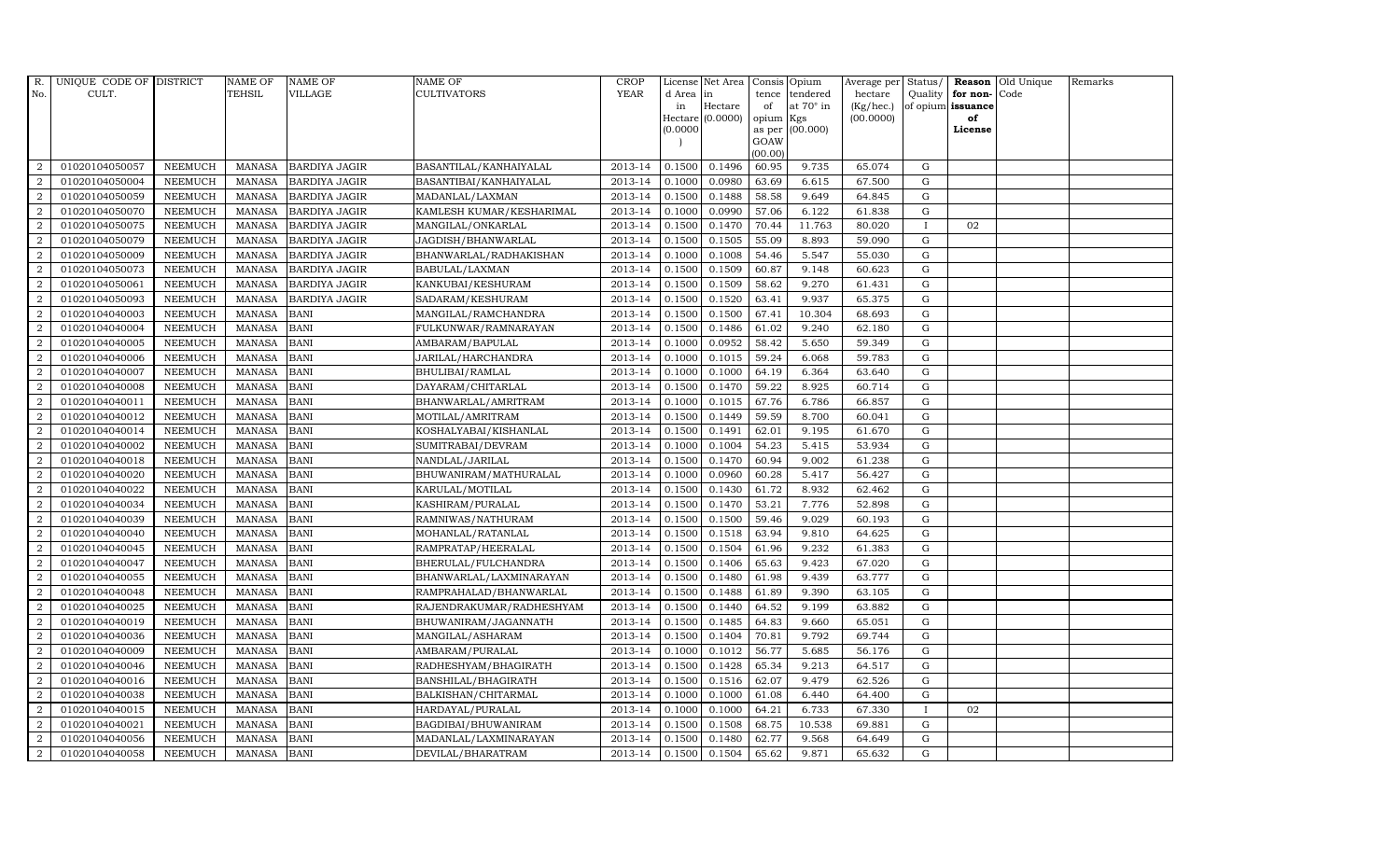| R.               | UNIQUE CODE OF DISTRICT |                | <b>NAME OF</b> | <b>NAME OF</b>       | NAME OF                  | <b>CROP</b> |           | License Net Area   |                | Consis Opium     | Average per Status/ |              |                   | Reason Old Unique | Remarks |
|------------------|-------------------------|----------------|----------------|----------------------|--------------------------|-------------|-----------|--------------------|----------------|------------------|---------------------|--------------|-------------------|-------------------|---------|
| No.              | CULT.                   |                | <b>TEHSIL</b>  | <b>VILLAGE</b>       | CULTIVATORS              | <b>YEAR</b> | d Area in |                    | tence          | tendered         | hectare             | Quality      | for non-          | Code              |         |
|                  |                         |                |                |                      |                          |             | in        | Hectare            | of             | at $70^\circ$ in | (Kg/hec.)           |              | of opium issuance |                   |         |
|                  |                         |                |                |                      |                          |             |           | Hectare $(0.0000)$ | opium          | Kgs              | (00.0000)           |              | of                |                   |         |
|                  |                         |                |                |                      |                          |             | (0.0000)  |                    | as per<br>GOAW | (00.000)         |                     |              | License           |                   |         |
|                  |                         |                |                |                      |                          |             |           |                    | (00.00)        |                  |                     |              |                   |                   |         |
| 2                | 01020104050057          | <b>NEEMUCH</b> | <b>MANASA</b>  | <b>BARDIYA JAGIR</b> | BASANTILAL/KANHAIYALAL   | 2013-14     | 0.1500    | 0.1496             | 60.95          | 9.735            | 65.074              | G            |                   |                   |         |
| $\overline{2}$   | 01020104050004          | <b>NEEMUCH</b> | <b>MANASA</b>  | <b>BARDIYA JAGIR</b> | BASANTIBAI/KANHAIYALAL   | 2013-14     | 0.1000    | 0.0980             | 63.69          | 6.615            | 67.500              | G            |                   |                   |         |
| 2                | 01020104050059          | <b>NEEMUCH</b> | <b>MANASA</b>  | <b>BARDIYA JAGIR</b> | MADANLAL/LAXMAN          | 2013-14     | 0.1500    | 0.1488             | 58.58          | 9.649            | 64.845              | G            |                   |                   |         |
| $\overline{2}$   | 01020104050070          | <b>NEEMUCH</b> | <b>MANASA</b>  | <b>BARDIYA JAGIR</b> | KAMLESH KUMAR/KESHARIMAL | 2013-14     | 0.1000    | 0.0990             | 57.06          | 6.122            | 61.838              | G            |                   |                   |         |
| $\overline{2}$   | 01020104050075          | <b>NEEMUCH</b> | <b>MANASA</b>  | <b>BARDIYA JAGIR</b> | MANGILAL/ONKARLAL        | 2013-14     | 0.1500    | 0.1470             | 70.44          | 11.763           | 80.020              | $\mathbf I$  | 02                |                   |         |
| $\overline{2}$   | 01020104050079          | <b>NEEMUCH</b> | <b>MANASA</b>  | <b>BARDIYA JAGIR</b> | JAGDISH/BHANWARLAL       | 2013-14     | 0.1500    | 0.1505             | 55.09          | 8.893            | 59.090              | G            |                   |                   |         |
| $\overline{2}$   | 01020104050009          | <b>NEEMUCH</b> | <b>MANASA</b>  | <b>BARDIYA JAGIR</b> | BHANWARLAL/RADHAKISHAN   | 2013-14     | 0.1000    | 0.1008             | 54.46          | 5.547            | 55.030              | G            |                   |                   |         |
| $\overline{2}$   | 01020104050073          | <b>NEEMUCH</b> | <b>MANASA</b>  | <b>BARDIYA JAGIR</b> | BABULAL/LAXMAN           | 2013-14     | 0.1500    | 0.1509             | 60.87          | 9.148            | 60.623              | $\mathbf G$  |                   |                   |         |
| $\overline{2}$   | 01020104050061          | <b>NEEMUCH</b> | <b>MANASA</b>  | <b>BARDIYA JAGIR</b> | KANKUBAI/KESHURAM        | 2013-14     | 0.1500    | 0.1509             | 58.62          | 9.270            | 61.431              | $\mathbf G$  |                   |                   |         |
| $\overline{a}$   | 01020104050093          | <b>NEEMUCH</b> | <b>MANASA</b>  | <b>BARDIYA JAGIR</b> | SADARAM/KESHURAM         | 2013-14     | 0.1500    | 0.1520             | 63.41          | 9.937            | 65.375              | G            |                   |                   |         |
| $\overline{2}$   | 01020104040003          | <b>NEEMUCH</b> | <b>MANASA</b>  | <b>BANI</b>          | MANGILAL/RAMCHANDRA      | 2013-14     | 0.1500    | 0.1500             | 67.41          | 10.304           | 68.693              | G            |                   |                   |         |
| $\overline{2}$   | 01020104040004          | <b>NEEMUCH</b> | <b>MANASA</b>  | <b>BANI</b>          | FULKUNWAR/RAMNARAYAN     | 2013-14     | 0.1500    | 0.1486             | 61.02          | 9.240            | 62.180              | G            |                   |                   |         |
| $\overline{2}$   | 01020104040005          | <b>NEEMUCH</b> | <b>MANASA</b>  | <b>BANI</b>          | AMBARAM/BAPULAL          | 2013-14     | 0.1000    | 0.0952             | 58.42          | 5.650            | 59.349              | $\mathbf G$  |                   |                   |         |
| $\overline{2}$   | 01020104040006          | <b>NEEMUCH</b> | <b>MANASA</b>  | <b>BANI</b>          | JARILAL/HARCHANDRA       | 2013-14     | 0.1000    | 0.1015             | 59.24          | 6.068            | 59.783              | G            |                   |                   |         |
| $\overline{2}$   | 01020104040007          | <b>NEEMUCH</b> | <b>MANASA</b>  | <b>BANI</b>          | BHULIBAI/RAMLAL          | 2013-14     | 0.1000    | 0.1000             | 64.19          | 6.364            | 63.640              | G            |                   |                   |         |
| $\overline{2}$   | 01020104040008          | <b>NEEMUCH</b> | <b>MANASA</b>  | <b>BANI</b>          | DAYARAM/CHITARLAL        | 2013-14     | 0.1500    | 0.1470             | 59.22          | 8.925            | 60.714              | G            |                   |                   |         |
| $\overline{2}$   | 01020104040011          | <b>NEEMUCH</b> | <b>MANASA</b>  | <b>BANI</b>          | BHANWARLAL/AMRITRAM      | 2013-14     | 0.1000    | 0.1015             | 67.76          | 6.786            | 66.857              | G            |                   |                   |         |
| $\overline{2}$   | 01020104040012          | <b>NEEMUCH</b> | <b>MANASA</b>  | <b>BANI</b>          | MOTILAL/AMRITRAM         | 2013-14     | 0.1500    | 0.1449             | 59.59          | 8.700            | 60.041              | G            |                   |                   |         |
| $\overline{2}$   | 01020104040014          | <b>NEEMUCH</b> | <b>MANASA</b>  | <b>BANI</b>          | KOSHALYABAI/KISHANLAL    | 2013-14     | 0.1500    | 0.1491             | 62.01          | 9.195            | 61.670              | G            |                   |                   |         |
| $\overline{2}$   | 01020104040002          | <b>NEEMUCH</b> | <b>MANASA</b>  | <b>BANI</b>          | SUMITRABAI/DEVRAM        | 2013-14     | 0.1000    | 0.1004             | 54.23          | 5.415            | 53.934              | G            |                   |                   |         |
| $\overline{2}$   | 01020104040018          | <b>NEEMUCH</b> | <b>MANASA</b>  | <b>BANI</b>          | NANDLAL/JARILAL          | 2013-14     | 0.1500    | 0.1470             | 60.94          | 9.002            | 61.238              | G            |                   |                   |         |
| $\boldsymbol{2}$ | 01020104040020          | <b>NEEMUCH</b> | <b>MANASA</b>  | <b>BANI</b>          | BHUWANIRAM/MATHURALAL    | 2013-14     | 0.1000    | 0.0960             | 60.28          | 5.417            | 56.427              | G            |                   |                   |         |
| $\overline{2}$   | 01020104040022          | <b>NEEMUCH</b> | <b>MANASA</b>  | <b>BANI</b>          | KARULAL/MOTILAL          | 2013-14     | 0.1500    | 0.1430             | 61.72          | 8.932            | 62.462              | G            |                   |                   |         |
| $\overline{2}$   | 01020104040034          | <b>NEEMUCH</b> | <b>MANASA</b>  | <b>BANI</b>          | KASHIRAM/PURALAL         | 2013-14     | 0.1500    | 0.1470             | 53.21          | 7.776            | 52.898              | $\mathbf G$  |                   |                   |         |
| $\overline{2}$   | 01020104040039          | <b>NEEMUCH</b> | <b>MANASA</b>  | <b>BANI</b>          | RAMNIWAS/NATHURAM        | 2013-14     | 0.1500    | 0.1500             | 59.46          | 9.029            | 60.193              | G            |                   |                   |         |
| 2                | 01020104040040          | <b>NEEMUCH</b> | <b>MANASA</b>  | <b>BANI</b>          | MOHANLAL/RATANLAL        | 2013-14     | 0.1500    | 0.1518             | 63.94          | 9.810            | 64.625              | G            |                   |                   |         |
| 2                | 01020104040045          | <b>NEEMUCH</b> | <b>MANASA</b>  | <b>BANI</b>          | RAMPRATAP/HEERALAL       | 2013-14     | 0.1500    | 0.1504             | 61.96          | 9.232            | 61.383              | G            |                   |                   |         |
| 2                | 01020104040047          | <b>NEEMUCH</b> | <b>MANASA</b>  | <b>BANI</b>          | BHERULAL/FULCHANDRA      | 2013-14     | 0.1500    | 0.1406             | 65.63          | 9.423            | 67.020              | G            |                   |                   |         |
| 2                | 01020104040055          | <b>NEEMUCH</b> | <b>MANASA</b>  | <b>BANI</b>          | BHANWARLAL/LAXMINARAYAN  | 2013-14     | 0.1500    | 0.1480             | 61.98          | 9.439            | 63.777              | $\mathbf G$  |                   |                   |         |
| $\overline{2}$   | 01020104040048          | <b>NEEMUCH</b> | <b>MANASA</b>  | <b>BANI</b>          | RAMPRAHALAD/BHANWARLAL   | 2013-14     | 0.1500    | 0.1488             | 61.89          | 9.390            | 63.105              | G            |                   |                   |         |
| 2                | 01020104040025          | <b>NEEMUCH</b> | <b>MANASA</b>  | <b>BANI</b>          | RAJENDRAKUMAR/RADHESHYAM | 2013-14     | 0.1500    | 0.1440             | 64.52          | 9.199            | 63.882              | G            |                   |                   |         |
| $\overline{2}$   | 01020104040019          | <b>NEEMUCH</b> | <b>MANASA</b>  | <b>BANI</b>          | BHUWANIRAM/JAGANNATH     | 2013-14     | 0.1500    | 0.1485             | 64.83          | 9.660            | 65.051              | G            |                   |                   |         |
| $\overline{2}$   | 01020104040036          | <b>NEEMUCH</b> | <b>MANASA</b>  | <b>BANI</b>          | MANGILAL/ASHARAM         | 2013-14     | 0.1500    | 0.1404             | 70.81          | 9.792            | 69.744              | G            |                   |                   |         |
| 2                | 01020104040009          | <b>NEEMUCH</b> | <b>MANASA</b>  | <b>BANI</b>          | AMBARAM/PURALAL          | 2013-14     | 0.1000    | 0.1012             | 56.77          | 5.685            | 56.176              | G            |                   |                   |         |
| 2                | 01020104040046          | <b>NEEMUCH</b> | <b>MANASA</b>  | <b>BANI</b>          | RADHESHYAM/BHAGIRATH     | 2013-14     | 0.1500    | 0.1428             | 65.34          | 9.213            | 64.517              | $\mathbf G$  |                   |                   |         |
| $\overline{2}$   | 01020104040016          | <b>NEEMUCH</b> | <b>MANASA</b>  | <b>BANI</b>          | BANSHILAL/BHAGIRATH      | 2013-14     | 0.1500    | 0.1516             | 62.07          | 9.479            | 62.526              | G            |                   |                   |         |
| $\overline{2}$   | 01020104040038          | <b>NEEMUCH</b> | <b>MANASA</b>  | <b>BANI</b>          | BALKISHAN/CHITARMAL      | 2013-14     | 0.1000    | 0.1000             | 61.08          | 6.440            | 64.400              | G            |                   |                   |         |
| $\overline{2}$   | 01020104040015          | <b>NEEMUCH</b> | <b>MANASA</b>  | <b>BANI</b>          | HARDAYAL/PURALAL         | 2013-14     | 0.1000    | 0.1000             | 64.21          | 6.733            | 67.330              | $\mathbf{I}$ | 02                |                   |         |
| 2                | 01020104040021          | <b>NEEMUCH</b> | <b>MANASA</b>  | <b>BANI</b>          | BAGDIBAI/BHUWANIRAM      | 2013-14     | 0.1500    | 0.1508             | 68.75          | 10.538           | 69.881              | G            |                   |                   |         |
| 2                | 01020104040056          | <b>NEEMUCH</b> | <b>MANASA</b>  | <b>BANI</b>          | MADANLAL/LAXMINARAYAN    | 2013-14     | 0.1500    | 0.1480             | 62.77          | 9.568            | 64.649              | $\mathbf G$  |                   |                   |         |
| $\overline{2}$   | 01020104040058          | <b>NEEMUCH</b> | MANASA         | <b>BANI</b>          | DEVILAL/BHARATRAM        | 2013-14     | 0.1500    | 0.1504             | 65.62          | 9.871            | 65.632              | G            |                   |                   |         |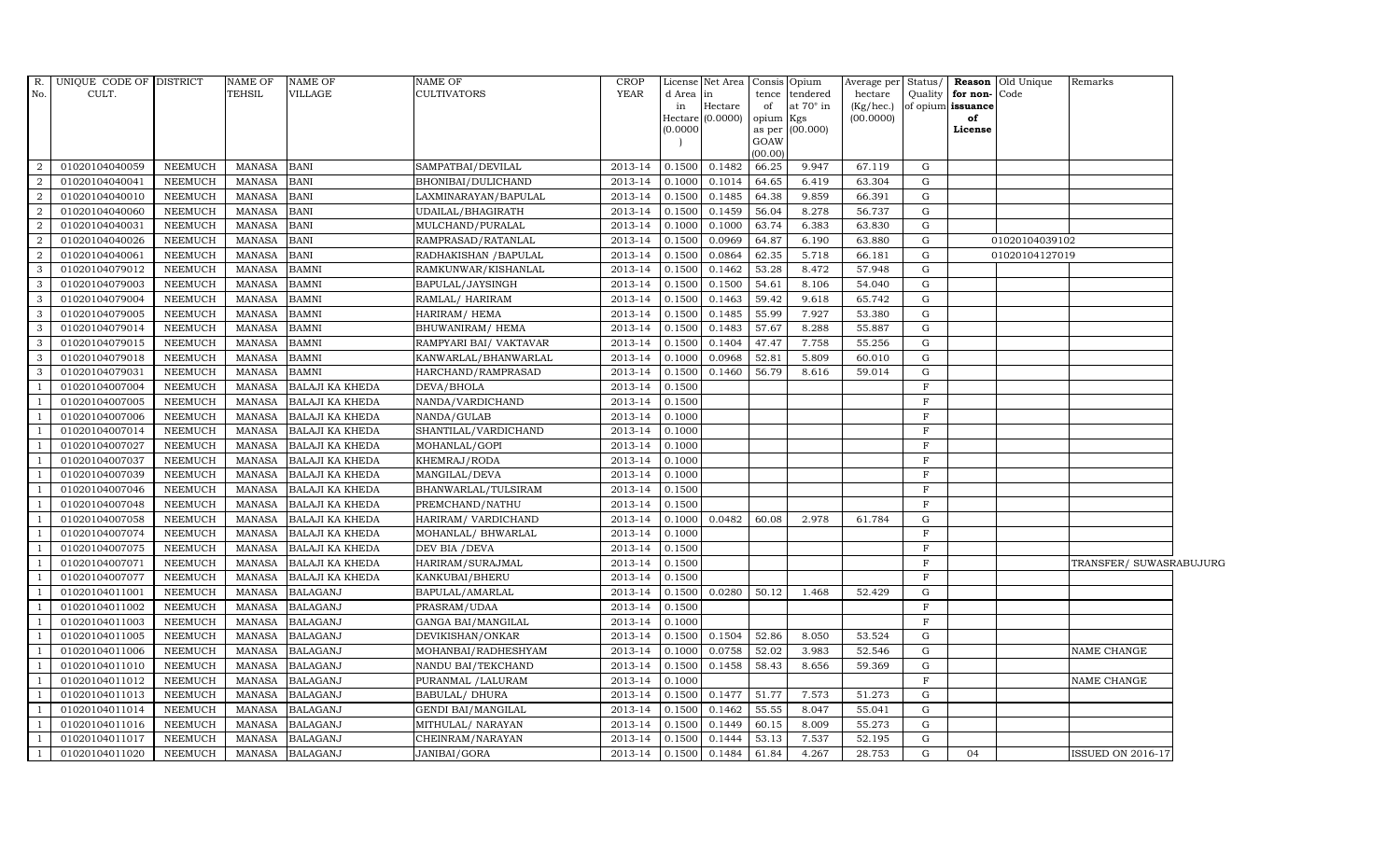| R.             | UNIQUE CODE OF DISTRICT |                | <b>NAME OF</b> | <b>NAME OF</b>         | <b>NAME OF</b>         | <b>CROP</b>    |           | License Net Area Consis Opium |           |                 | Average per Status/ |              |                   | Reason Old Unique | Remarks                  |  |
|----------------|-------------------------|----------------|----------------|------------------------|------------------------|----------------|-----------|-------------------------------|-----------|-----------------|---------------------|--------------|-------------------|-------------------|--------------------------|--|
| No.            | CULT.                   |                | TEHSIL         | VILLAGE                | <b>CULTIVATORS</b>     | <b>YEAR</b>    | d Area in |                               | tence     | tendered        | hectare             | Quality      | for non-Code      |                   |                          |  |
|                |                         |                |                |                        |                        |                | in        | Hectare                       | of        | at 70° in       | (Kg/hec.)           |              | of opium issuance |                   |                          |  |
|                |                         |                |                |                        |                        |                | (0.0000)  | Hectare (0.0000)              | opium Kgs | as per (00.000) | (00.0000)           |              | of<br>License     |                   |                          |  |
|                |                         |                |                |                        |                        |                |           |                               | GOAW      |                 |                     |              |                   |                   |                          |  |
|                |                         |                |                |                        |                        |                |           |                               | (00.00)   |                 |                     |              |                   |                   |                          |  |
| 2              | 01020104040059          | NEEMUCH        | MANASA         | <b>BANI</b>            | SAMPATBAI/DEVILAL      | 2013-14        | 0.1500    | 0.1482                        | 66.25     | 9.947           | 67.119              | G            |                   |                   |                          |  |
| 2              | 01020104040041          | <b>NEEMUCH</b> | MANASA         | <b>BANI</b>            | BHONIBAI/DULICHAND     | 2013-14        | 0.1000    | 0.1014                        | 64.65     | 6.419           | 63.304              | G            |                   |                   |                          |  |
| 2              | 01020104040010          | <b>NEEMUCH</b> | <b>MANASA</b>  | <b>BANI</b>            | LAXMINARAYAN/BAPULAL   | 2013-14        | 0.1500    | 0.1485                        | 64.38     | 9.859           | 66.391              | ${\rm G}$    |                   |                   |                          |  |
| $\overline{2}$ | 01020104040060          | <b>NEEMUCH</b> | <b>MANASA</b>  | <b>BANI</b>            | UDAILAL/BHAGIRATH      | 2013-14        | 0.1500    | 0.1459                        | 56.04     | 8.278           | 56.737              | G            |                   |                   |                          |  |
| $\overline{2}$ | 01020104040031          | <b>NEEMUCH</b> | <b>MANASA</b>  | <b>BANI</b>            | MULCHAND/PURALAL       | 2013-14        | 0.1000    | 0.1000                        | 63.74     | 6.383           | 63.830              | G            |                   |                   |                          |  |
| 2              | 01020104040026          | <b>NEEMUCH</b> | MANASA         | <b>BANI</b>            | RAMPRASAD/RATANLAL     | 2013-14        | 0.1500    | 0.0969                        | 64.87     | 6.190           | 63.880              | ${\rm G}$    |                   | 01020104039102    |                          |  |
| $\overline{2}$ | 01020104040061          | <b>NEEMUCH</b> | <b>MANASA</b>  | <b>BANI</b>            | RADHAKISHAN / BAPULAL  | 2013-14        | 0.1500    | 0.0864                        | 62.35     | 5.718           | 66.181              | G            |                   | 01020104127019    |                          |  |
| 3              | 01020104079012          | <b>NEEMUCH</b> | <b>MANASA</b>  | <b>BAMNI</b>           | RAMKUNWAR/KISHANLAL    | 2013-14        | 0.1500    | 0.1462                        | 53.28     | 8.472           | 57.948              | G            |                   |                   |                          |  |
| 3              | 01020104079003          | <b>NEEMUCH</b> | <b>MANASA</b>  | <b>BAMNI</b>           | BAPULAL/JAYSINGH       | 2013-14        | 0.1500    | 0.1500                        | 54.61     | 8.106           | 54.040              | ${\rm G}$    |                   |                   |                          |  |
| 3              | 01020104079004          | NEEMUCH        | MANASA         | <b>BAMNI</b>           | RAMLAL/ HARIRAM        | 2013-14        | 0.1500    | 0.1463                        | 59.42     | 9.618           | 65.742              | ${\rm G}$    |                   |                   |                          |  |
| 3              | 01020104079005          | <b>NEEMUCH</b> | <b>MANASA</b>  | <b>BAMNI</b>           | HARIRAM/ HEMA          | 2013-14        | 0.1500    | 0.1485                        | 55.99     | 7.927           | 53.380              | G            |                   |                   |                          |  |
| 3              | 01020104079014          | <b>NEEMUCH</b> | <b>MANASA</b>  | <b>BAMNI</b>           | BHUWANIRAM/HEMA        | 2013-14        | 0.1500    | 0.1483                        | 57.67     | 8.288           | 55.887              | G            |                   |                   |                          |  |
| 3              | 01020104079015          | <b>NEEMUCH</b> | MANASA         | <b>BAMNI</b>           | RAMPYARI BAI/ VAKTAVAR | 2013-14        | 0.1500    | 0.1404                        | 47.47     | 7.758           | 55.256              | ${\rm G}$    |                   |                   |                          |  |
| 3              | 01020104079018          | <b>NEEMUCH</b> | <b>MANASA</b>  | <b>BAMNI</b>           | KANWARLAL/BHANWARLAL   | 2013-14        | 0.1000    | 0.0968                        | 52.81     | 5.809           | 60.010              | ${\rm G}$    |                   |                   |                          |  |
| 3              | 01020104079031          | <b>NEEMUCH</b> | <b>MANASA</b>  | <b>BAMNI</b>           | HARCHAND/RAMPRASAD     | 2013-14        | 0.1500    | 0.1460                        | 56.79     | 8.616           | 59.014              | G            |                   |                   |                          |  |
|                | 01020104007004          | <b>NEEMUCH</b> | MANASA         | <b>BALAJI KA KHEDA</b> | DEVA/BHOLA             | 2013-14        | 0.1500    |                               |           |                 |                     | $\mathbf F$  |                   |                   |                          |  |
| $\overline{1}$ | 01020104007005          | <b>NEEMUCH</b> | <b>MANASA</b>  | <b>BALAJI KA KHEDA</b> | NANDA/VARDICHAND       | 2013-14        | 0.1500    |                               |           |                 |                     | $\mathbf F$  |                   |                   |                          |  |
|                | 01020104007006          | NEEMUCH        | MANASA         | <b>BALAJI KA KHEDA</b> | NANDA/GULAB            | 2013-14        | 0.1000    |                               |           |                 |                     | $\mathbf{F}$ |                   |                   |                          |  |
| $\overline{1}$ | 01020104007014          | <b>NEEMUCH</b> | <b>MANASA</b>  | <b>BALAJI KA KHEDA</b> | SHANTILAL/VARDICHAND   | 2013-14        | 0.1000    |                               |           |                 |                     | $\mathbf F$  |                   |                   |                          |  |
|                | 01020104007027          | <b>NEEMUCH</b> | <b>MANASA</b>  | <b>BALAJI KA KHEDA</b> | MOHANLAL/GOPI          | 2013-14        | 0.1000    |                               |           |                 |                     | $\mathbf F$  |                   |                   |                          |  |
|                | 01020104007037          | NEEMUCH        | MANASA         | <b>BALAJI KA KHEDA</b> | KHEMRAJ/RODA           | 2013-14        | 0.1000    |                               |           |                 |                     | $\mathbf{F}$ |                   |                   |                          |  |
|                | 01020104007039          | <b>NEEMUCH</b> | <b>MANASA</b>  | <b>BALAJI KA KHEDA</b> | MANGILAL/DEVA          | 2013-14        | 0.1000    |                               |           |                 |                     | $\mathbf{F}$ |                   |                   |                          |  |
|                | 01020104007046          | <b>NEEMUCH</b> | MANASA         | <b>BALAJI KA KHEDA</b> | BHANWARLAL/TULSIRAM    | 2013-14        | 0.1500    |                               |           |                 |                     | $\mathbf{F}$ |                   |                   |                          |  |
|                | 01020104007048          | NEEMUCH        | <b>MANASA</b>  | <b>BALAJI KA KHEDA</b> | PREMCHAND/NATHU        | 2013-14        | 0.1500    |                               |           |                 |                     | $\mathbf F$  |                   |                   |                          |  |
|                | 01020104007058          | <b>NEEMUCH</b> | <b>MANASA</b>  | <b>BALAJI KA KHEDA</b> | HARIRAM/ VARDICHAND    | 2013-14        | 0.1000    | 0.0482                        | 60.08     | 2.978           | 61.784              | G            |                   |                   |                          |  |
|                | 01020104007074          | <b>NEEMUCH</b> | <b>MANASA</b>  | <b>BALAJI KA KHEDA</b> | MOHANLAL/ BHWARLAL     | 2013-14        | 0.1000    |                               |           |                 |                     | $\mathbf F$  |                   |                   |                          |  |
|                | 01020104007075          | <b>NEEMUCH</b> | <b>MANASA</b>  | <b>BALAJI KA KHEDA</b> | DEV BIA / DEVA         | 2013-14        | 0.1500    |                               |           |                 |                     | $\mathbf F$  |                   |                   |                          |  |
|                | 01020104007071          | <b>NEEMUCH</b> | <b>MANASA</b>  | <b>BALAJI KA KHEDA</b> | HARIRAM/SURAJMAL       | 2013-14        | 0.1500    |                               |           |                 |                     | $\mathbf{F}$ |                   |                   | TRANSFER/ SUWASRABUJURG  |  |
|                | 01020104007077          | <b>NEEMUCH</b> | <b>MANASA</b>  | <b>BALAJI KA KHEDA</b> | KANKUBAI/BHERU         | 2013-14        | 0.1500    |                               |           |                 |                     | $\mathbf F$  |                   |                   |                          |  |
| $\overline{1}$ | 01020104011001          | <b>NEEMUCH</b> | <b>MANASA</b>  | <b>BALAGANJ</b>        | BAPULAL/AMARLAL        | 2013-14        | 0.1500    | 0.0280                        | 50.12     | 1.468           | 52.429              | G            |                   |                   |                          |  |
|                | 01020104011002          | <b>NEEMUCH</b> | <b>MANASA</b>  | <b>BALAGANJ</b>        | PRASRAM/UDAA           | 2013-14        | 0.1500    |                               |           |                 |                     | $\mathbf{F}$ |                   |                   |                          |  |
|                | 01020104011003          | <b>NEEMUCH</b> | <b>MANASA</b>  | <b>BALAGANJ</b>        | GANGA BAI/MANGILAL     | 2013-14        | 0.1000    |                               |           |                 |                     | $\mathbf F$  |                   |                   |                          |  |
| - 1            | 01020104011005          | <b>NEEMUCH</b> | <b>MANASA</b>  | <b>BALAGANJ</b>        | DEVIKISHAN/ONKAR       | 2013-14        |           | 0.1500 0.1504                 | 52.86     | 8.050           | 53.524              | G            |                   |                   |                          |  |
|                | 01020104011006          | NEEMUCH        | <b>MANASA</b>  | <b>BALAGANJ</b>        | MOHANBAI/RADHESHYAM    | 2013-14        | 0.1000    | 0.0758                        | 52.02     | 3.983           | 52.546              | G            |                   |                   | NAME CHANGE              |  |
|                | 01020104011010          | <b>NEEMUCH</b> | MANASA         | <b>BALAGANJ</b>        | NANDU BAI/TEKCHAND     | 2013-14        | 0.1500    | 0.1458                        | 58.43     | 8.656           | 59.369              | G            |                   |                   |                          |  |
|                | 01020104011012          | <b>NEEMUCH</b> | <b>MANASA</b>  | <b>BALAGANJ</b>        | PURANMAL / LALURAM     | 2013-14        | 0.1000    |                               |           |                 |                     | $\mathbf F$  |                   |                   | NAME CHANGE              |  |
|                | 01020104011013          | NEEMUCH        | <b>MANASA</b>  | <b>BALAGANJ</b>        | <b>BABULAL/ DHURA</b>  | 2013-14        | 0.1500    | 0.1477                        | 51.77     | 7.573           | 51.273              | G            |                   |                   |                          |  |
|                | 01020104011014          | <b>NEEMUCH</b> | <b>MANASA</b>  | <b>BALAGANJ</b>        | GENDI BAI/MANGILAL     | 2013-14        | 0.1500    | 0.1462                        | 55.55     | 8.047           | 55.041              | G            |                   |                   |                          |  |
|                | 01020104011016          | <b>NEEMUCH</b> | <b>MANASA</b>  | <b>BALAGANJ</b>        | MITHULAL/ NARAYAN      | 2013-14        | 0.1500    | 0.1449                        | 60.15     | 8.009           | 55.273              | G            |                   |                   |                          |  |
|                | 01020104011017          | <b>NEEMUCH</b> | MANASA         | <b>BALAGANJ</b>        | CHEINRAM/NARAYAN       | 2013-14        | 0.1500    | 0.1444                        | 53.13     | 7.537           | 52.195              | G            |                   |                   |                          |  |
| -1             | 01020104011020          | <b>NEEMUCH</b> | MANASA         | <b>BALAGANJ</b>        | JANIBAI/GORA           | 2013-14 0.1500 |           | 0.1484                        | 61.84     | 4.267           | 28.753              | G            | 04                |                   | <b>ISSUED ON 2016-17</b> |  |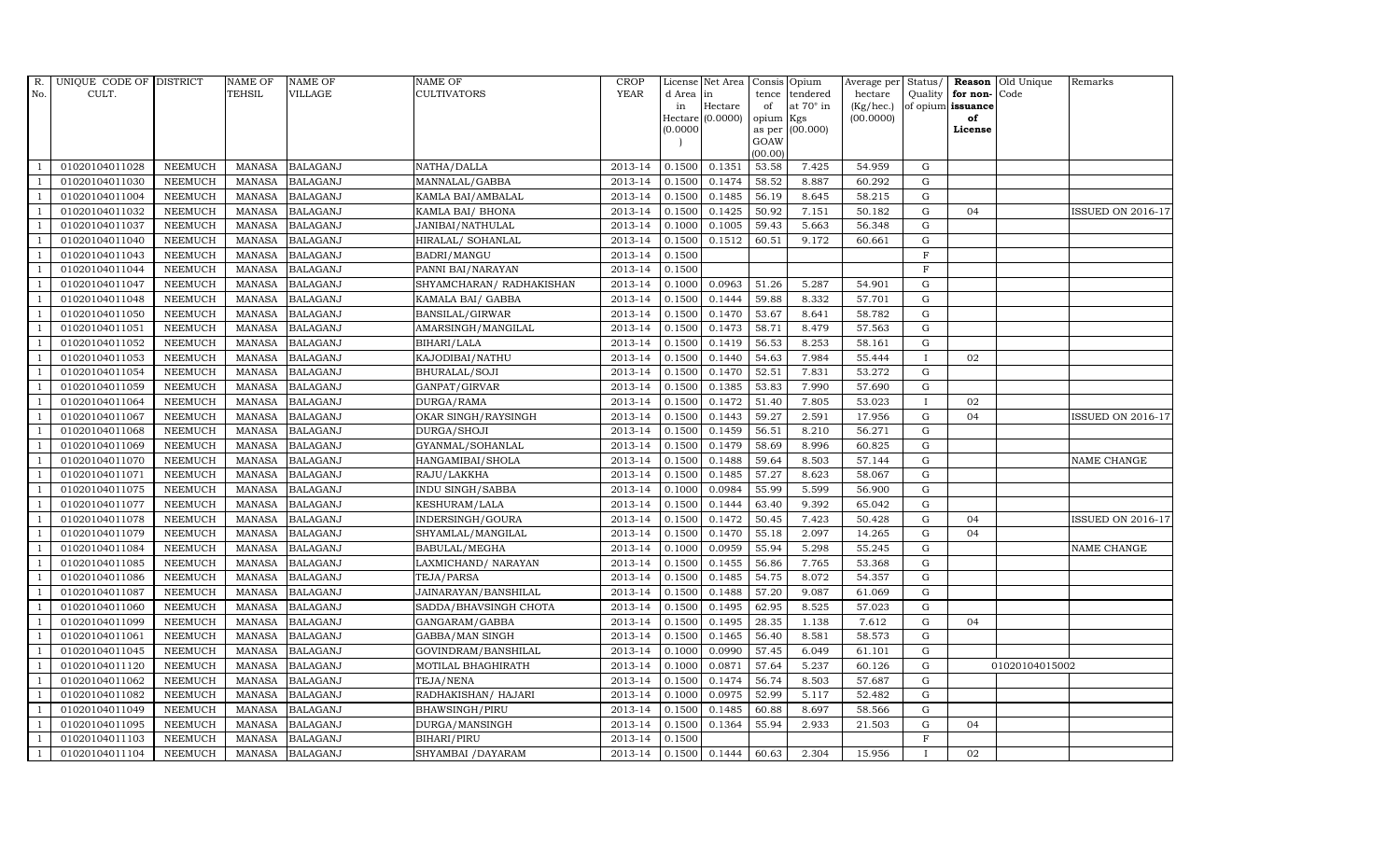| R.  | UNIQUE CODE OF DISTRICT |                | NAME OF       | <b>NAME OF</b>  | NAME OF                 | <b>CROP</b> |           | License Net Area   Consis   Opium |                 |                  | Average per Status/    |              | Reason                  | Old Unique     | Remarks                  |
|-----|-------------------------|----------------|---------------|-----------------|-------------------------|-------------|-----------|-----------------------------------|-----------------|------------------|------------------------|--------------|-------------------------|----------------|--------------------------|
| No. | CULT.                   |                | TEHSIL        | <b>VILLAGE</b>  | <b>CULTIVATORS</b>      | <b>YEAR</b> | d Area in |                                   |                 | tence tendered   | hectare                | Quality      | for non-                | Code           |                          |
|     |                         |                |               |                 |                         |             | in        | Hectare<br>Hectare (0.0000)       | of<br>opium Kgs | at $70^\circ$ in | (Kg/hec.)<br>(00.0000) |              | of opium issuance<br>of |                |                          |
|     |                         |                |               |                 |                         |             | (0.0000)  |                                   |                 | as per (00.000)  |                        |              | License                 |                |                          |
|     |                         |                |               |                 |                         |             |           |                                   | GOAW            |                  |                        |              |                         |                |                          |
|     |                         |                |               |                 |                         |             |           |                                   | (00.00)         |                  |                        |              |                         |                |                          |
|     | 01020104011028          | <b>NEEMUCH</b> | MANASA        | <b>BALAGANJ</b> | NATHA/DALLA             | 2013-14     | 0.1500    | 0.1351                            | 53.58           | 7.425            | 54.959                 | ${\rm G}$    |                         |                |                          |
|     | 01020104011030          | <b>NEEMUCH</b> | <b>MANASA</b> | <b>BALAGANJ</b> | MANNALAL/GABBA          | 2013-14     | 0.1500    | 0.1474                            | 58.52           | 8.887            | 60.292                 | $\mathbf G$  |                         |                |                          |
|     | 01020104011004          | <b>NEEMUCH</b> | <b>MANASA</b> | <b>BALAGANJ</b> | KAMLA BAI/AMBALAL       | 2013-14     | 0.1500    | 0.1485                            | 56.19           | 8.645            | 58.215                 | G            |                         |                |                          |
|     | 01020104011032          | <b>NEEMUCH</b> | <b>MANASA</b> | <b>BALAGANJ</b> | KAMLA BAI/ BHONA        | 2013-14     | 0.1500    | 0.1425                            | 50.92           | 7.151            | 50.182                 | $\mathbf G$  | 04                      |                | <b>ISSUED ON 2016-17</b> |
|     | 01020104011037          | NEEMUCH        | <b>MANASA</b> | <b>BALAGANJ</b> | JANIBAI/NATHULAL        | 2013-14     | 0.1000    | 0.1005                            | 59.43           | 5.663            | 56.348                 | $\mathbf G$  |                         |                |                          |
|     | 01020104011040          | NEEMUCH        | <b>MANASA</b> | <b>BALAGANJ</b> | HIRALAL/ SOHANLAL       | 2013-14     | 0.1500    | 0.1512                            | 60.51           | 9.172            | 60.661                 | ${\rm G}$    |                         |                |                          |
|     | 01020104011043          | <b>NEEMUCH</b> | <b>MANASA</b> | <b>BALAGANJ</b> | BADRI/MANGU             | 2013-14     | 0.1500    |                                   |                 |                  |                        | $\mathbf F$  |                         |                |                          |
|     | 01020104011044          | <b>NEEMUCH</b> | <b>MANASA</b> | <b>BALAGANJ</b> | PANNI BAI/NARAYAN       | 2013-14     | 0.1500    |                                   |                 |                  |                        | $\mathbf F$  |                         |                |                          |
|     | 01020104011047          | <b>NEEMUCH</b> | <b>MANASA</b> | <b>BALAGANJ</b> | SHYAMCHARAN/RADHAKISHAN | 2013-14     | 0.1000    | 0.0963                            | 51.26           | 5.287            | 54.901                 | G            |                         |                |                          |
|     | 01020104011048          | <b>NEEMUCH</b> | <b>MANASA</b> | <b>BALAGANJ</b> | KAMALA BAI/ GABBA       | 2013-14     | 0.1500    | 0.1444                            | 59.88           | 8.332            | 57.701                 | $\mathbf G$  |                         |                |                          |
|     | 01020104011050          | NEEMUCH        | <b>MANASA</b> | <b>BALAGANJ</b> | BANSILAL/GIRWAR         | 2013-14     | 0.1500    | 0.1470                            | 53.67           | 8.641            | 58.782                 | ${\rm G}$    |                         |                |                          |
|     | 01020104011051          | <b>NEEMUCH</b> | <b>MANASA</b> | <b>BALAGANJ</b> | AMARSINGH/MANGILAL      | 2013-14     | 0.1500    | 0.1473                            | 58.71           | 8.479            | 57.563                 | ${\rm G}$    |                         |                |                          |
|     | 01020104011052          | <b>NEEMUCH</b> | <b>MANASA</b> | <b>BALAGANJ</b> | BIHARI/LALA             | 2013-14     | 0.1500    | 0.1419                            | 56.53           | 8.253            | 58.161                 | $\mathbf G$  |                         |                |                          |
|     | 01020104011053          | <b>NEEMUCH</b> | <b>MANASA</b> | <b>BALAGANJ</b> | KAJODIBAI/NATHU         | 2013-14     | 0.1500    | 0.1440                            | 54.63           | 7.984            | 55.444                 | $\mathbf{I}$ | 02                      |                |                          |
|     | 01020104011054          | <b>NEEMUCH</b> | <b>MANASA</b> | <b>BALAGANJ</b> | BHURALAL/SOJI           | 2013-14     | 0.1500    | 0.1470                            | 52.51           | 7.831            | 53.272                 | G            |                         |                |                          |
|     | 01020104011059          | <b>NEEMUCH</b> | <b>MANASA</b> | <b>BALAGANJ</b> | GANPAT/GIRVAR           | 2013-14     | 0.1500    | 0.1385                            | 53.83           | 7.990            | 57.690                 | ${\rm G}$    |                         |                |                          |
|     | 01020104011064          | <b>NEEMUCH</b> | <b>MANASA</b> | <b>BALAGANJ</b> | DURGA/RAMA              | 2013-14     | 0.1500    | 0.1472                            | 51.40           | 7.805            | 53.023                 | $\mathbf{I}$ | 02                      |                |                          |
|     | 01020104011067          | <b>NEEMUCH</b> | <b>MANASA</b> | <b>BALAGANJ</b> | OKAR SINGH/RAYSINGH     | 2013-14     | 0.1500    | 0.1443                            | 59.27           | 2.591            | 17.956                 | $\mathbf G$  | 04                      |                | <b>ISSUED ON 2016-17</b> |
|     | 01020104011068          | <b>NEEMUCH</b> | <b>MANASA</b> | <b>BALAGANJ</b> | DURGA/SHOJI             | 2013-14     | 0.1500    | 0.1459                            | 56.51           | 8.210            | 56.271                 | $\mathbf G$  |                         |                |                          |
|     | 01020104011069          | <b>NEEMUCH</b> | <b>MANASA</b> | <b>BALAGANJ</b> | GYANMAL/SOHANLAL        | 2013-14     | 0.1500    | 0.1479                            | 58.69           | 8.996            | 60.825                 | $\mathbf G$  |                         |                |                          |
|     | 01020104011070          | <b>NEEMUCH</b> | <b>MANASA</b> | <b>BALAGANJ</b> | HANGAMIBAI/SHOLA        | 2013-14     | 0.1500    | 0.1488                            | 59.64           | 8.503            | 57.144                 | ${\rm G}$    |                         |                | NAME CHANGE              |
|     | 01020104011071          | NEEMUCH        | <b>MANASA</b> | <b>BALAGANJ</b> | RAJU/LAKKHA             | 2013-14     | 0.1500    | 0.1485                            | 57.27           | 8.623            | 58.067                 | $\mathbf G$  |                         |                |                          |
|     | 01020104011075          | <b>NEEMUCH</b> | MANASA        | <b>BALAGANJ</b> | <b>INDU SINGH/SABBA</b> | 2013-14     | 0.1000    | 0.0984                            | 55.99           | 5.599            | 56.900                 | G            |                         |                |                          |
|     | 01020104011077          | <b>NEEMUCH</b> | <b>MANASA</b> | <b>BALAGANJ</b> | KESHURAM/LALA           | 2013-14     | 0.1500    | 0.1444                            | 63.40           | 9.392            | 65.042                 | $\mathbf G$  |                         |                |                          |
|     | 01020104011078          | NEEMUCH        | <b>MANASA</b> | <b>BALAGANJ</b> | INDERSINGH/GOURA        | 2013-14     | 0.1500    | 0.1472                            | 50.45           | 7.423            | 50.428                 | $\mathbf G$  | 04                      |                | <b>ISSUED ON 2016-17</b> |
|     | 01020104011079          | <b>NEEMUCH</b> | <b>MANASA</b> | <b>BALAGANJ</b> | SHYAMLAL/MANGILAL       | 2013-14     | 0.1500    | 0.1470                            | 55.18           | 2.097            | 14.265                 | G            | 04                      |                |                          |
|     | 01020104011084          | <b>NEEMUCH</b> | <b>MANASA</b> | <b>BALAGANJ</b> | BABULAL/MEGHA           | 2013-14     | 0.1000    | 0.0959                            | 55.94           | 5.298            | 55.245                 | ${\rm G}$    |                         |                | NAME CHANGE              |
|     | 01020104011085          | <b>NEEMUCH</b> | <b>MANASA</b> | <b>BALAGANJ</b> | LAXMICHAND/ NARAYAN     | 2013-14     | 0.1500    | 0.1455                            | 56.86           | 7.765            | 53.368                 | $\mathbf G$  |                         |                |                          |
|     | 01020104011086          | <b>NEEMUCH</b> | <b>MANASA</b> | <b>BALAGANJ</b> | TEJA/PARSA              | 2013-14     | 0.1500    | 0.1485                            | 54.75           | 8.072            | 54.357                 | $\mathbf G$  |                         |                |                          |
|     | 01020104011087          | <b>NEEMUCH</b> | <b>MANASA</b> | <b>BALAGANJ</b> | JAINARAYAN/BANSHILAL    | 2013-14     | 0.1500    | 0.1488                            | 57.20           | 9.087            | 61.069                 | $\mathbf G$  |                         |                |                          |
|     | 01020104011060          | <b>NEEMUCH</b> | <b>MANASA</b> | <b>BALAGANJ</b> | SADDA/BHAVSINGH CHOTA   | 2013-14     | 0.1500    | 0.1495                            | 62.95           | 8.525            | 57.023                 | G            |                         |                |                          |
|     | 01020104011099          | <b>NEEMUCH</b> | <b>MANASA</b> | <b>BALAGANJ</b> | GANGARAM/GABBA          | 2013-14     | 0.1500    | 0.1495                            | 28.35           | 1.138            | 7.612                  | ${\rm G}$    | 04                      |                |                          |
|     | 01020104011061          | <b>NEEMUCH</b> | <b>MANASA</b> | <b>BALAGANJ</b> | GABBA/MAN SINGH         | 2013-14     | 0.1500    | 0.1465                            | 56.40           | 8.581            | 58.573                 | $\mathbf G$  |                         |                |                          |
|     | 01020104011045          | <b>NEEMUCH</b> | <b>MANASA</b> | <b>BALAGANJ</b> | GOVINDRAM/BANSHILAL     | 2013-14     | 0.1000    | 0.0990                            | 57.45           | 6.049            | 61.101                 | $\mathbf G$  |                         |                |                          |
|     | 01020104011120          | <b>NEEMUCH</b> | <b>MANASA</b> | <b>BALAGANJ</b> | MOTILAL BHAGHIRATH      | 2013-14     | 0.1000    | 0.0871                            | 57.64           | 5.237            | 60.126                 | $\mathbf G$  |                         | 01020104015002 |                          |
|     | 01020104011062          | <b>NEEMUCH</b> | <b>MANASA</b> | <b>BALAGANJ</b> | TEJA/NENA               | 2013-14     | 0.1500    | 0.1474                            | 56.74           | 8.503            | 57.687                 | ${\rm G}$    |                         |                |                          |
|     | 01020104011082          | <b>NEEMUCH</b> | <b>MANASA</b> | <b>BALAGANJ</b> | RADHAKISHAN/ HAJARI     | 2013-14     | 0.1000    | 0.0975                            | 52.99           | 5.117            | 52.482                 | ${\rm G}$    |                         |                |                          |
|     | 01020104011049          | <b>NEEMUCH</b> | <b>MANASA</b> | <b>BALAGANJ</b> | BHAWSINGH/PIRU          | 2013-14     | 0.1500    | 0.1485                            | 60.88           | 8.697            | 58.566                 | $\mathbf G$  |                         |                |                          |
|     | 01020104011095          | <b>NEEMUCH</b> | <b>MANASA</b> | <b>BALAGANJ</b> | DURGA/MANSINGH          | 2013-14     | 0.1500    | 0.1364                            | 55.94           | 2.933            | 21.503                 | $\mathbf G$  | 04                      |                |                          |
|     | 01020104011103          | <b>NEEMUCH</b> | <b>MANASA</b> | <b>BALAGANJ</b> | BIHARI/PIRU             | 2013-14     | 0.1500    |                                   |                 |                  |                        | $\mathbf F$  |                         |                |                          |
|     | 01020104011104          | <b>NEEMUCH</b> | <b>MANASA</b> | <b>BALAGANJ</b> | SHYAMBAI / DAYARAM      | 2013-14     | 0.1500    | 0.1444                            | 60.63           | 2.304            | 15.956                 |              | 02                      |                |                          |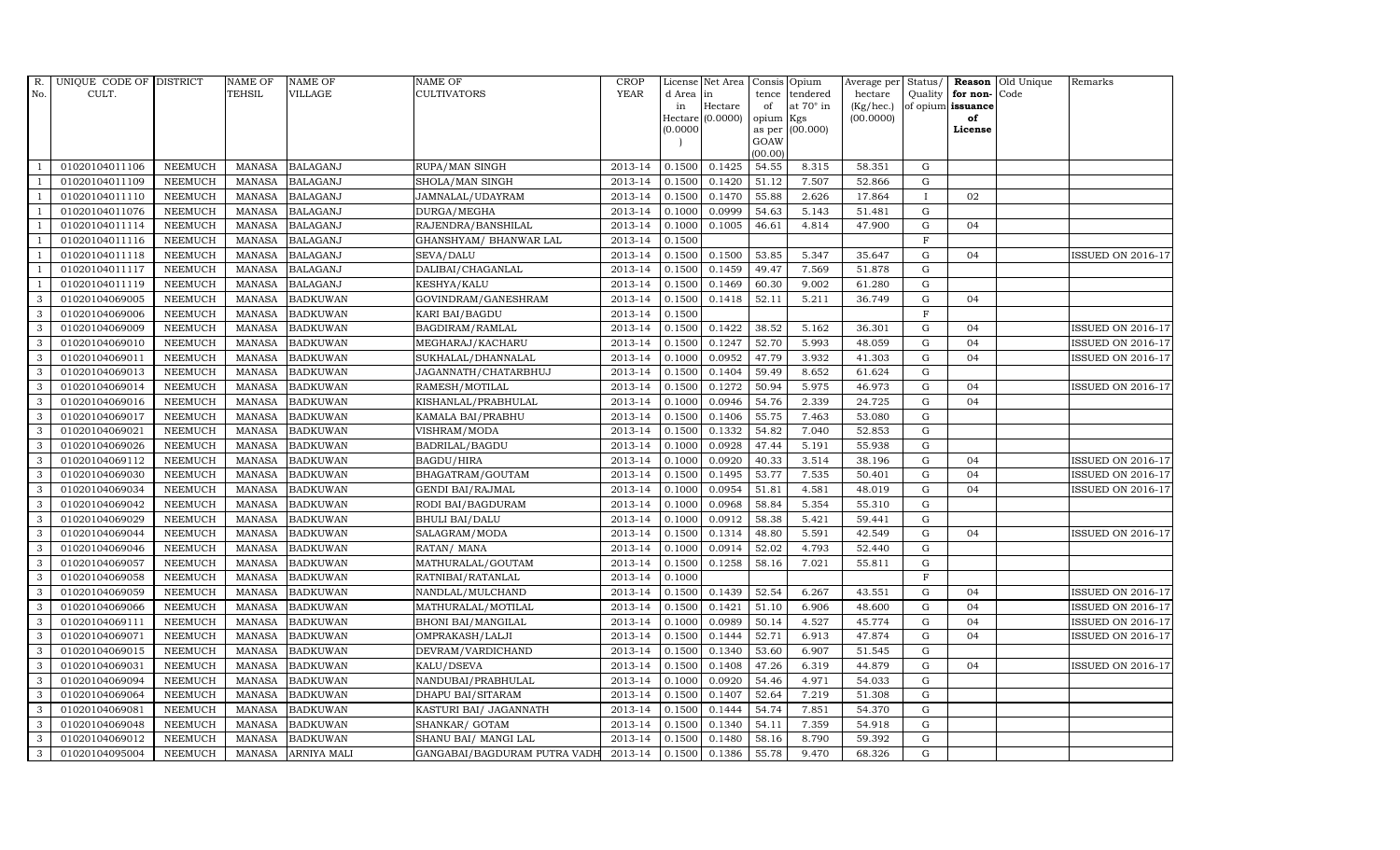| R.             | UNIQUE CODE OF DISTRICT |                | <b>NAME OF</b> | <b>NAME OF</b>     | <b>NAME OF</b>               | CROP        |          | License Net Area   Consis   Opium |           |                  | Average per | Status/      | Reason            | Old Unique | Remarks                  |
|----------------|-------------------------|----------------|----------------|--------------------|------------------------------|-------------|----------|-----------------------------------|-----------|------------------|-------------|--------------|-------------------|------------|--------------------------|
| No.            | CULT.                   |                | <b>TEHSIL</b>  | <b>VILLAGE</b>     | <b>CULTIVATORS</b>           | <b>YEAR</b> | d Area   | in                                | tence     | tendered         | hectare     | Quality      | for non-          | Code       |                          |
|                |                         |                |                |                    |                              |             | in       | Hectare                           | of        | at $70^\circ$ in | (Kg/hec.)   |              | of opium issuance |            |                          |
|                |                         |                |                |                    |                              |             |          | Hectare (0.0000)                  | opium Kgs |                  | (00.0000)   |              | of<br>License     |            |                          |
|                |                         |                |                |                    |                              |             | (0.0000) |                                   | GOAW      | as per (00.000)  |             |              |                   |            |                          |
|                |                         |                |                |                    |                              |             |          |                                   | (00.00)   |                  |             |              |                   |            |                          |
|                | 01020104011106          | <b>NEEMUCH</b> | MANASA         | <b>BALAGANJ</b>    | RUPA/MAN SINGH               | 2013-14     | 0.1500   | 0.1425                            | 54.55     | 8.315            | 58.351      | ${\rm G}$    |                   |            |                          |
| $\overline{1}$ | 01020104011109          | <b>NEEMUCH</b> | <b>MANASA</b>  | <b>BALAGANJ</b>    | SHOLA/MAN SINGH              | 2013-14     | 0.1500   | 0.1420                            | 51.12     | 7.507            | 52.866      | $\mathbf G$  |                   |            |                          |
|                | 01020104011110          | <b>NEEMUCH</b> | <b>MANASA</b>  | <b>BALAGANJ</b>    | JAMNALAL/UDAYRAM             | 2013-14     | 0.1500   | 0.1470                            | 55.88     | 2.626            | 17.864      | $\mathbf{I}$ | 02                |            |                          |
|                | 01020104011076          | <b>NEEMUCH</b> | <b>MANASA</b>  | <b>BALAGANJ</b>    | DURGA/MEGHA                  | 2013-14     | 0.1000   | 0.0999                            | 54.63     | 5.143            | 51.481      | $\mathbf G$  |                   |            |                          |
| $\overline{1}$ | 01020104011114          | <b>NEEMUCH</b> | <b>MANASA</b>  | <b>BALAGANJ</b>    | RAJENDRA/BANSHILAL           | 2013-14     | 0.1000   | 0.1005                            | 46.61     | 4.814            | 47.900      | ${\rm G}$    | 04                |            |                          |
| -1             | 01020104011116          | <b>NEEMUCH</b> | <b>MANASA</b>  | <b>BALAGANJ</b>    | GHANSHYAM/ BHANWAR LAL       | 2013-14     | 0.1500   |                                   |           |                  |             | F            |                   |            |                          |
| $\overline{1}$ | 01020104011118          | <b>NEEMUCH</b> | <b>MANASA</b>  | <b>BALAGANJ</b>    | SEVA/DALU                    | 2013-14     | 0.1500   | 0.1500                            | 53.85     | 5.347            | 35.647      | $\mathbf G$  | 04                |            | <b>ISSUED ON 2016-17</b> |
| $\overline{1}$ | 01020104011117          | <b>NEEMUCH</b> | <b>MANASA</b>  | <b>BALAGANJ</b>    | DALIBAI/CHAGANLAL            | 2013-14     | 0.1500   | 0.1459                            | 49.47     | 7.569            | 51.878      | G            |                   |            |                          |
| $\overline{1}$ | 01020104011119          | <b>NEEMUCH</b> | <b>MANASA</b>  | <b>BALAGANJ</b>    | KESHYA/KALU                  | 2013-14     | 0.1500   | 0.1469                            | 60.30     | 9.002            | 61.280      | $\mathbf G$  |                   |            |                          |
| 3              | 01020104069005          | <b>NEEMUCH</b> | <b>MANASA</b>  | <b>BADKUWAN</b>    | GOVINDRAM/GANESHRAM          | 2013-14     | 0.1500   | 0.1418                            | 52.11     | 5.211            | 36.749      | ${\rm G}$    | 04                |            |                          |
| 3              | 01020104069006          | <b>NEEMUCH</b> | <b>MANASA</b>  | <b>BADKUWAN</b>    | KARI BAI/BAGDU               | 2013-14     | 0.1500   |                                   |           |                  |             | $\mathbf F$  |                   |            |                          |
| 3              | 01020104069009          | <b>NEEMUCH</b> | <b>MANASA</b>  | <b>BADKUWAN</b>    | BAGDIRAM/RAMLAL              | 2013-14     | 0.1500   | 0.1422                            | 38.52     | 5.162            | 36.301      | $\mathbf G$  | 04                |            | <b>ISSUED ON 2016-17</b> |
| 3              | 01020104069010          | <b>NEEMUCH</b> | MANASA         | <b>BADKUWAN</b>    | MEGHARAJ/KACHARU             | 2013-14     | 0.1500   | 0.1247                            | 52.70     | 5.993            | 48.059      | G            | 04                |            | <b>ISSUED ON 2016-17</b> |
| 3              | 01020104069011          | <b>NEEMUCH</b> | <b>MANASA</b>  | <b>BADKUWAN</b>    | SUKHALAL/DHANNALAL           | 2013-14     | 0.1000   | 0.0952                            | 47.79     | 3.932            | 41.303      | G            | 04                |            | <b>ISSUED ON 2016-17</b> |
| 3              | 01020104069013          | <b>NEEMUCH</b> | <b>MANASA</b>  | <b>BADKUWAN</b>    | JAGANNATH/CHATARBHUJ         | 2013-14     | 0.1500   | 0.1404                            | 59.49     | 8.652            | 61.624      | $\mathbf G$  |                   |            |                          |
| 3              | 01020104069014          | <b>NEEMUCH</b> | <b>MANASA</b>  | <b>BADKUWAN</b>    | RAMESH/MOTILAL               | 2013-14     | 0.1500   | 0.1272                            | 50.94     | 5.975            | 46.973      | G            | 04                |            | <b>ISSUED ON 2016-17</b> |
| 3              | 01020104069016          | <b>NEEMUCH</b> | <b>MANASA</b>  | <b>BADKUWAN</b>    | KISHANLAL/PRABHULAL          | 2013-14     | 0.1000   | 0.0946                            | 54.76     | 2.339            | 24.725      | $\mathbf G$  | 04                |            |                          |
| 3              | 01020104069017          | <b>NEEMUCH</b> | <b>MANASA</b>  | <b>BADKUWAN</b>    | KAMALA BAI/PRABHU            | 2013-14     | 0.1500   | 0.1406                            | 55.75     | 7.463            | 53.080      | $\mathbf G$  |                   |            |                          |
| 3              | 01020104069021          | <b>NEEMUCH</b> | <b>MANASA</b>  | <b>BADKUWAN</b>    | VISHRAM/MODA                 | 2013-14     | 0.1500   | 0.1332                            | 54.82     | 7.040            | 52.853      | G            |                   |            |                          |
| 3              | 01020104069026          | <b>NEEMUCH</b> | <b>MANASA</b>  | <b>BADKUWAN</b>    | BADRILAL/BAGDU               | 2013-14     | 0.1000   | 0.0928                            | 47.44     | 5.191            | 55.938      | ${\rm G}$    |                   |            |                          |
| $\mathbf{3}$   | 01020104069112          | <b>NEEMUCH</b> | <b>MANASA</b>  | <b>BADKUWAN</b>    | <b>BAGDU/HIRA</b>            | 2013-14     | 0.1000   | 0.0920                            | 40.33     | 3.514            | 38.196      | $\mathbf G$  | 04                |            | <b>ISSUED ON 2016-17</b> |
| 3              | 01020104069030          | <b>NEEMUCH</b> | <b>MANASA</b>  | <b>BADKUWAN</b>    | BHAGATRAM/GOUTAM             | 2013-14     | 0.1500   | 0.1495                            | 53.77     | 7.535            | 50.401      | ${\rm G}$    | 04                |            | <b>ISSUED ON 2016-17</b> |
| 3              | 01020104069034          | <b>NEEMUCH</b> | <b>MANASA</b>  | <b>BADKUWAN</b>    | <b>GENDI BAI/RAJMAL</b>      | 2013-14     | 0.1000   | 0.0954                            | 51.81     | 4.581            | 48.019      | $\mathbf G$  | 04                |            | <b>ISSUED ON 2016-17</b> |
| 3              | 01020104069042          | <b>NEEMUCH</b> | <b>MANASA</b>  | <b>BADKUWAN</b>    | RODI BAI/BAGDURAM            | 2013-14     | 0.1000   | 0.0968                            | 58.84     | 5.354            | 55.310      | $\mathbf G$  |                   |            |                          |
| 3              | 01020104069029          | <b>NEEMUCH</b> | <b>MANASA</b>  | <b>BADKUWAN</b>    | <b>BHULI BAI/DALU</b>        | 2013-14     | 0.1000   | 0.0912                            | 58.38     | 5.421            | 59.441      | $\mathbf G$  |                   |            |                          |
| $\mathbf{3}$   | 01020104069044          | <b>NEEMUCH</b> | <b>MANASA</b>  | <b>BADKUWAN</b>    | SALAGRAM/MODA                | 2013-14     | 0.1500   | 0.1314                            | 48.80     | 5.591            | 42.549      | ${\rm G}$    | 04                |            | <b>ISSUED ON 2016-17</b> |
| 3              | 01020104069046          | <b>NEEMUCH</b> | <b>MANASA</b>  | <b>BADKUWAN</b>    | RATAN/ MANA                  | 2013-14     | 0.1000   | 0.0914                            | 52.02     | 4.793            | 52.440      | ${\rm G}$    |                   |            |                          |
| 3              | 01020104069057          | <b>NEEMUCH</b> | <b>MANASA</b>  | <b>BADKUWAN</b>    | MATHURALAL/GOUTAM            | 2013-14     | 0.1500   | 0.1258                            | 58.16     | 7.021            | 55.811      | $\mathbf G$  |                   |            |                          |
| 3              | 01020104069058          | <b>NEEMUCH</b> | <b>MANASA</b>  | <b>BADKUWAN</b>    | RATNIBAI/RATANLAL            | 2013-14     | 0.1000   |                                   |           |                  |             | $_{\rm F}$   |                   |            |                          |
| 3              | 01020104069059          | <b>NEEMUCH</b> | <b>MANASA</b>  | <b>BADKUWAN</b>    | NANDLAL/MULCHAND             | 2013-14     | 0.1500   | 0.1439                            | 52.54     | 6.267            | 43.551      | $\mathbf G$  | 04                |            | <b>ISSUED ON 2016-17</b> |
| $\mathbf{3}$   | 01020104069066          | <b>NEEMUCH</b> | <b>MANASA</b>  | <b>BADKUWAN</b>    | MATHURALAL/MOTILAL           | 2013-14     | 0.1500   | 0.1421                            | 51.10     | 6.906            | 48.600      | ${\rm G}$    | 04                |            | <b>ISSUED ON 2016-17</b> |
| 3              | 01020104069111          | <b>NEEMUCH</b> | <b>MANASA</b>  | <b>BADKUWAN</b>    | <b>BHONI BAI/MANGILAL</b>    | 2013-14     | 0.1000   | 0.0989                            | 50.14     | 4.527            | 45.774      | $\mathbf G$  | 04                |            | <b>ISSUED ON 2016-17</b> |
| $\mathbf{3}$   | 01020104069071          | <b>NEEMUCH</b> | <b>MANASA</b>  | <b>BADKUWAN</b>    | OMPRAKASH/LALJI              | 2013-14     | 0.1500   | 0.1444                            | 52.71     | 6.913            | 47.874      | $\mathbf G$  | 04                |            | <b>ISSUED ON 2016-17</b> |
| 3              | 01020104069015          | <b>NEEMUCH</b> | <b>MANASA</b>  | <b>BADKUWAN</b>    | DEVRAM/VARDICHAND            | 2013-14     | 0.1500   | 0.1340                            | 53.60     | 6.907            | 51.545      | $\mathbf G$  |                   |            |                          |
| 3              | 01020104069031          | <b>NEEMUCH</b> | <b>MANASA</b>  | <b>BADKUWAN</b>    | KALU/DSEVA                   | 2013-14     | 0.1500   | 0.1408                            | 47.26     | 6.319            | 44.879      | $\mathbf G$  | 04                |            | <b>ISSUED ON 2016-17</b> |
| $\mathbf{3}$   | 01020104069094          | <b>NEEMUCH</b> | <b>MANASA</b>  | <b>BADKUWAN</b>    | NANDUBAI/PRABHULAL           | 2013-14     | 0.1000   | 0.0920                            | 54.46     | 4.971            | 54.033      | ${\rm G}$    |                   |            |                          |
| 3              | 01020104069064          | <b>NEEMUCH</b> | <b>MANASA</b>  | <b>BADKUWAN</b>    | DHAPU BAI/SITARAM            | 2013-14     | 0.1500   | 0.1407                            | 52.64     | 7.219            | 51.308      | ${\rm G}$    |                   |            |                          |
| $\mathbf{3}$   | 01020104069081          | <b>NEEMUCH</b> | <b>MANASA</b>  | <b>BADKUWAN</b>    | KASTURI BAI/ JAGANNATH       | 2013-14     | 0.1500   | 0.1444                            | 54.74     | 7.851            | 54.370      | $\mathbf G$  |                   |            |                          |
| 3              | 01020104069048          | <b>NEEMUCH</b> | <b>MANASA</b>  | <b>BADKUWAN</b>    | SHANKAR/ GOTAM               | 2013-14     | 0.1500   | 0.1340                            | 54.11     | 7.359            | 54.918      | $\mathbf G$  |                   |            |                          |
| 3              | 01020104069012          | <b>NEEMUCH</b> | <b>MANASA</b>  | <b>BADKUWAN</b>    | SHANU BAI / MANGI LAL        | 2013-14     | 0.1500   | 0.1480                            | 58.16     | 8.790            | 59.392      | G            |                   |            |                          |
| $\mathbf{3}$   | 01020104095004          | <b>NEEMUCH</b> |                | MANASA ARNIYA MALI | GANGABAI/BAGDURAM PUTRA VADH | 2013-14     | 0.1500   | 0.1386                            | 55.78     | 9.470            | 68.326      | $\mathbf G$  |                   |            |                          |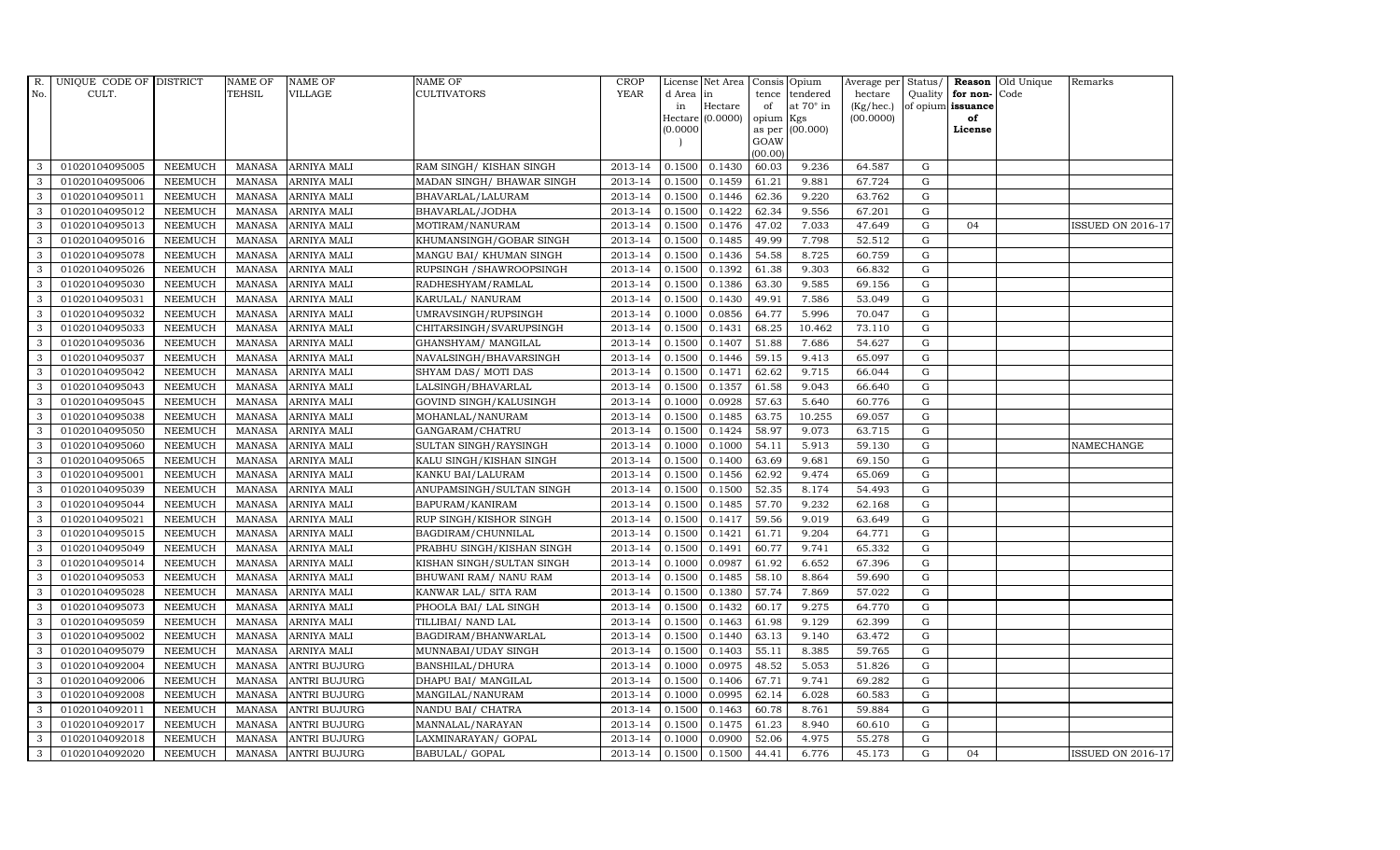| R.           | UNIQUE CODE OF DISTRICT |                | NAME OF       | <b>NAME OF</b>      | <b>NAME OF</b>            | CROP        |           | License Net Area Consis Opium |                     |                  | Average per     | Status/     |                   | <b>Reason</b> Old Unique | Remarks                  |
|--------------|-------------------------|----------------|---------------|---------------------|---------------------------|-------------|-----------|-------------------------------|---------------------|------------------|-----------------|-------------|-------------------|--------------------------|--------------------------|
| No.          | CULT.                   |                | TEHSIL        | <b>VILLAGE</b>      | <b>CULTIVATORS</b>        | <b>YEAR</b> | d Area in |                               | tence               | tendered         | hectare         | Quality     | for non-          | Code                     |                          |
|              |                         |                |               |                     |                           |             | in        | Hectare                       | of                  | at $70^\circ$ in | $(Kg/$ hec. $)$ |             | of opium issuance |                          |                          |
|              |                         |                |               |                     |                           |             | (0.0000)  | Hectare (0.0000)              | opium Kgs<br>as per | (00.000)         | (00.0000)       |             | of<br>License     |                          |                          |
|              |                         |                |               |                     |                           |             |           |                               | GOAW                |                  |                 |             |                   |                          |                          |
|              |                         |                |               |                     |                           |             |           |                               | (00.00)             |                  |                 |             |                   |                          |                          |
| 3            | 01020104095005          | <b>NEEMUCH</b> | <b>MANASA</b> | <b>ARNIYA MALI</b>  | RAM SINGH/KISHAN SINGH    | 2013-14     | 0.1500    | 0.1430                        | 60.03               | 9.236            | 64.587          | G           |                   |                          |                          |
| 3            | 01020104095006          | <b>NEEMUCH</b> | MANASA        | <b>ARNIYA MALI</b>  | MADAN SINGH/ BHAWAR SINGH | 2013-14     | 0.1500    | 0.1459                        | 61.21               | 9.881            | 67.724          | ${\rm G}$   |                   |                          |                          |
| 3            | 01020104095011          | <b>NEEMUCH</b> | <b>MANASA</b> | <b>ARNIYA MALI</b>  | BHAVARLAL/LALURAM         | 2013-14     | 0.1500    | 0.1446                        | 62.36               | 9.220            | 63.762          | G           |                   |                          |                          |
| 3            | 01020104095012          | <b>NEEMUCH</b> | MANASA        | <b>ARNIYA MALI</b>  | BHAVARLAL/JODHA           | 2013-14     | 0.1500    | 0.1422                        | 62.34               | 9.556            | 67.201          | $\mathbf G$ |                   |                          |                          |
| 3            | 01020104095013          | <b>NEEMUCH</b> | MANASA        | <b>ARNIYA MALI</b>  | MOTIRAM/NANURAM           | 2013-14     | 0.1500    | 0.1476                        | 47.02               | 7.033            | 47.649          | ${\rm G}$   | 04                |                          | <b>ISSUED ON 2016-17</b> |
| $\mathbf{3}$ | 01020104095016          | <b>NEEMUCH</b> | <b>MANASA</b> | <b>ARNIYA MALI</b>  | KHUMANSINGH/GOBAR SINGH   | 2013-14     | 0.1500    | 0.1485                        | 49.99               | 7.798            | 52.512          | G           |                   |                          |                          |
| 3            | 01020104095078          | <b>NEEMUCH</b> | MANASA        | <b>ARNIYA MALI</b>  | MANGU BAI/ KHUMAN SINGH   | 2013-14     | 0.1500    | 0.1436                        | 54.58               | 8.725            | 60.759          | ${\rm G}$   |                   |                          |                          |
| 3            | 01020104095026          | <b>NEEMUCH</b> | MANASA        | <b>ARNIYA MALI</b>  | RUPSINGH / SHAWROOPSINGH  | 2013-14     | 0.1500    | 0.1392                        | 61.38               | 9.303            | 66.832          | G           |                   |                          |                          |
| 3            | 01020104095030          | <b>NEEMUCH</b> | <b>MANASA</b> | <b>ARNIYA MALI</b>  | RADHESHYAM/RAMLAL         | 2013-14     | 0.1500    | 0.1386                        | 63.30               | 9.585            | 69.156          | $\mathbf G$ |                   |                          |                          |
| 3            | 01020104095031          | <b>NEEMUCH</b> | MANASA        | ARNIYA MALI         | KARULAL/ NANURAM          | 2013-14     | 0.1500    | 0.1430                        | 49.91               | 7.586            | 53.049          | $\mathbf G$ |                   |                          |                          |
| 3            | 01020104095032          | <b>NEEMUCH</b> | <b>MANASA</b> | <b>ARNIYA MALI</b>  | UMRAVSINGH/RUPSINGH       | 2013-14     | 0.1000    | 0.0856                        | 64.77               | 5.996            | 70.047          | ${\rm G}$   |                   |                          |                          |
| 3            | 01020104095033          | <b>NEEMUCH</b> | MANASA        | <b>ARNIYA MALI</b>  | CHITARSINGH/SVARUPSINGH   | 2013-14     | 0.1500    | 0.1431                        | 68.25               | 10.462           | 73.110          | ${\rm G}$   |                   |                          |                          |
| $\mathbf{3}$ | 01020104095036          | <b>NEEMUCH</b> | MANASA        | <b>ARNIYA MALI</b>  | GHANSHYAM/ MANGILAL       | 2013-14     | 0.1500    | 0.1407                        | 51.88               | 7.686            | 54.627          | G           |                   |                          |                          |
| 3            | 01020104095037          | <b>NEEMUCH</b> | <b>MANASA</b> | <b>ARNIYA MALI</b>  | NAVALSINGH/BHAVARSINGH    | 2013-14     | 0.1500    | 0.1446                        | 59.15               | 9.413            | 65.097          | $\mathbf G$ |                   |                          |                          |
| 3            | 01020104095042          | <b>NEEMUCH</b> | <b>MANASA</b> | ARNIYA MALI         | SHYAM DAS/ MOTI DAS       | 2013-14     | 0.1500    | 0.1471                        | 62.62               | 9.715            | 66.044          | $\mathbf G$ |                   |                          |                          |
| 3            | 01020104095043          | <b>NEEMUCH</b> | <b>MANASA</b> | <b>ARNIYA MALI</b>  | LALSINGH/BHAVARLAL        | 2013-14     | 0.1500    | 0.1357                        | 61.58               | 9.043            | 66.640          | $\mathbf G$ |                   |                          |                          |
| 3            | 01020104095045          | <b>NEEMUCH</b> | MANASA        | <b>ARNIYA MALI</b>  | GOVIND SINGH/KALUSINGH    | 2013-14     | 0.1000    | 0.0928                        | 57.63               | 5.640            | 60.776          | ${\rm G}$   |                   |                          |                          |
| 3            | 01020104095038          | <b>NEEMUCH</b> | MANASA        | <b>ARNIYA MALI</b>  | MOHANLAL/NANURAM          | 2013-14     | 0.1500    | 0.1485                        | 63.75               | 10.255           | 69.057          | G           |                   |                          |                          |
| 3            | 01020104095050          | <b>NEEMUCH</b> | <b>MANASA</b> | <b>ARNIYA MALI</b>  | GANGARAM/CHATRU           | 2013-14     | 0.1500    | 0.1424                        | 58.97               | 9.073            | 63.715          | $\mathbf G$ |                   |                          |                          |
| 3            | 01020104095060          | <b>NEEMUCH</b> | <b>MANASA</b> | <b>ARNIYA MALI</b>  | SULTAN SINGH/RAYSINGH     | 2013-14     | 0.1000    | 0.1000                        | 54.11               | 5.913            | 59.130          | ${\rm G}$   |                   |                          | NAMECHANGE               |
| 3            | 01020104095065          | <b>NEEMUCH</b> | <b>MANASA</b> | <b>ARNIYA MALI</b>  | KALU SINGH/KISHAN SINGH   | 2013-14     | 0.1500    | 0.1400                        | 63.69               | 9.681            | 69.150          | $\mathbf G$ |                   |                          |                          |
| 3            | 01020104095001          | <b>NEEMUCH</b> | <b>MANASA</b> | ARNIYA MALI         | KANKU BAI/LALURAM         | 2013-14     | 0.1500    | 0.1456                        | 62.92               | 9.474            | 65.069          | ${\rm G}$   |                   |                          |                          |
| 3            | 01020104095039          | <b>NEEMUCH</b> | MANASA        | ARNIYA MALI         | ANUPAMSINGH/SULTAN SINGH  | 2013-14     | 0.1500    | 0.1500                        | 52.35               | 8.174            | 54.493          | $\mathbf G$ |                   |                          |                          |
| 3            | 01020104095044          | <b>NEEMUCH</b> | <b>MANASA</b> | <b>ARNIYA MALI</b>  | BAPURAM/KANIRAM           | 2013-14     | 0.1500    | 0.1485                        | 57.70               | 9.232            | 62.168          | $\mathbf G$ |                   |                          |                          |
| 3            | 01020104095021          | <b>NEEMUCH</b> | <b>MANASA</b> | <b>ARNIYA MALI</b>  | RUP SINGH/KISHOR SINGH    | 2013-14     | 0.1500    | 0.1417                        | 59.56               | 9.019            | 63.649          | $\mathbf G$ |                   |                          |                          |
| $\mathbf{3}$ | 01020104095015          | <b>NEEMUCH</b> | <b>MANASA</b> | ARNIYA MALI         | BAGDIRAM/CHUNNILAL        | 2013-14     | 0.1500    | 0.1421                        | 61.71               | 9.204            | 64.771          | $\mathbf G$ |                   |                          |                          |
| 3            | 01020104095049          | <b>NEEMUCH</b> | <b>MANASA</b> | <b>ARNIYA MALI</b>  | PRABHU SINGH/KISHAN SINGH | 2013-14     | 0.1500    | 0.1491                        | 60.77               | 9.741            | 65.332          | ${\rm G}$   |                   |                          |                          |
| 3            | 01020104095014          | <b>NEEMUCH</b> | MANASA        | ARNIYA MALI         | KISHAN SINGH/SULTAN SINGH | 2013-14     | 0.1000    | 0.0987                        | 61.92               | 6.652            | 67.396          | $\mathbf G$ |                   |                          |                          |
| 3            | 01020104095053          | <b>NEEMUCH</b> | <b>MANASA</b> | <b>ARNIYA MALI</b>  | BHUWANI RAM/ NANU RAM     | 2013-14     | 0.1500    | 0.1485                        | 58.10               | 8.864            | 59.690          | $\mathbf G$ |                   |                          |                          |
| 3            | 01020104095028          | <b>NEEMUCH</b> | <b>MANASA</b> | <b>ARNIYA MALI</b>  | KANWAR LAL/ SITA RAM      | 2013-14     | 0.1500    | 0.1380                        | 57.74               | 7.869            | 57.022          | $\mathbf G$ |                   |                          |                          |
| 3            | 01020104095073          | <b>NEEMUCH</b> | MANASA        | <b>ARNIYA MALI</b>  | PHOOLA BAI/ LAL SINGH     | 2013-14     | 0.1500    | 0.1432                        | 60.17               | 9.275            | 64.770          | G           |                   |                          |                          |
| $\mathbf{3}$ | 01020104095059          | <b>NEEMUCH</b> | <b>MANASA</b> | <b>ARNIYA MALI</b>  | TILLIBAI/ NAND LAL        | 2013-14     | 0.1500    | 0.1463                        | 61.98               | 9.129            | 62.399          | ${\rm G}$   |                   |                          |                          |
| 3            | 01020104095002          | <b>NEEMUCH</b> | MANASA        | <b>ARNIYA MALI</b>  | BAGDIRAM/BHANWARLAL       | 2013-14     | 0.1500    | 0.1440                        | 63.13               | 9.140            | 63.472          | ${\rm G}$   |                   |                          |                          |
| 3            | 01020104095079          | <b>NEEMUCH</b> | <b>MANASA</b> | <b>ARNIYA MALI</b>  | MUNNABAI/UDAY SINGH       | 2013-14     | 0.1500    | 0.1403                        | 55.11               | 8.385            | 59.765          | $\mathbf G$ |                   |                          |                          |
| 3            | 01020104092004          | <b>NEEMUCH</b> | <b>MANASA</b> | <b>ANTRI BUJURG</b> | BANSHILAL/DHURA           | 2013-14     | 0.1000    | 0.0975                        | 48.52               | 5.053            | 51.826          | $\mathbf G$ |                   |                          |                          |
| 3            | 01020104092006          | <b>NEEMUCH</b> | <b>MANASA</b> | <b>ANTRI BUJURG</b> | DHAPU BAI / MANGILAL      | 2013-14     | 0.1500    | 0.1406                        | 67.71               | 9.741            | 69.282          | ${\rm G}$   |                   |                          |                          |
| 3            | 01020104092008          | <b>NEEMUCH</b> | <b>MANASA</b> | <b>ANTRI BUJURG</b> | MANGILAL/NANURAM          | 2013-14     | 0.1000    | 0.0995                        | 62.14               | 6.028            | 60.583          | ${\rm G}$   |                   |                          |                          |
| 3            | 01020104092011          | <b>NEEMUCH</b> | <b>MANASA</b> | <b>ANTRI BUJURG</b> | NANDU BAI/ CHATRA         | 2013-14     | 0.1500    | 0.1463                        | 60.78               | 8.761            | 59.884          | $\mathbf G$ |                   |                          |                          |
| 3            | 01020104092017          | <b>NEEMUCH</b> | <b>MANASA</b> | <b>ANTRI BUJURG</b> | MANNALAL/NARAYAN          | 2013-14     | 0.1500    | 0.1475                        | 61.23               | 8.940            | 60.610          | G           |                   |                          |                          |
| 3            | 01020104092018          | <b>NEEMUCH</b> | <b>MANASA</b> | <b>ANTRI BUJURG</b> | LAXMINARAYAN / GOPAL      | 2013-14     | 0.1000    | 0.0900                        | 52.06               | 4.975            | 55.278          | $\mathbf G$ |                   |                          |                          |
| 3            | 01020104092020          | <b>NEEMUCH</b> |               | MANASA ANTRI BUJURG | BABULAL/ GOPAL            | 2013-14     | 0.1500    | 0.1500                        | 44.41               | 6.776            | 45.173          | G           | 04                |                          | <b>ISSUED ON 2016-17</b> |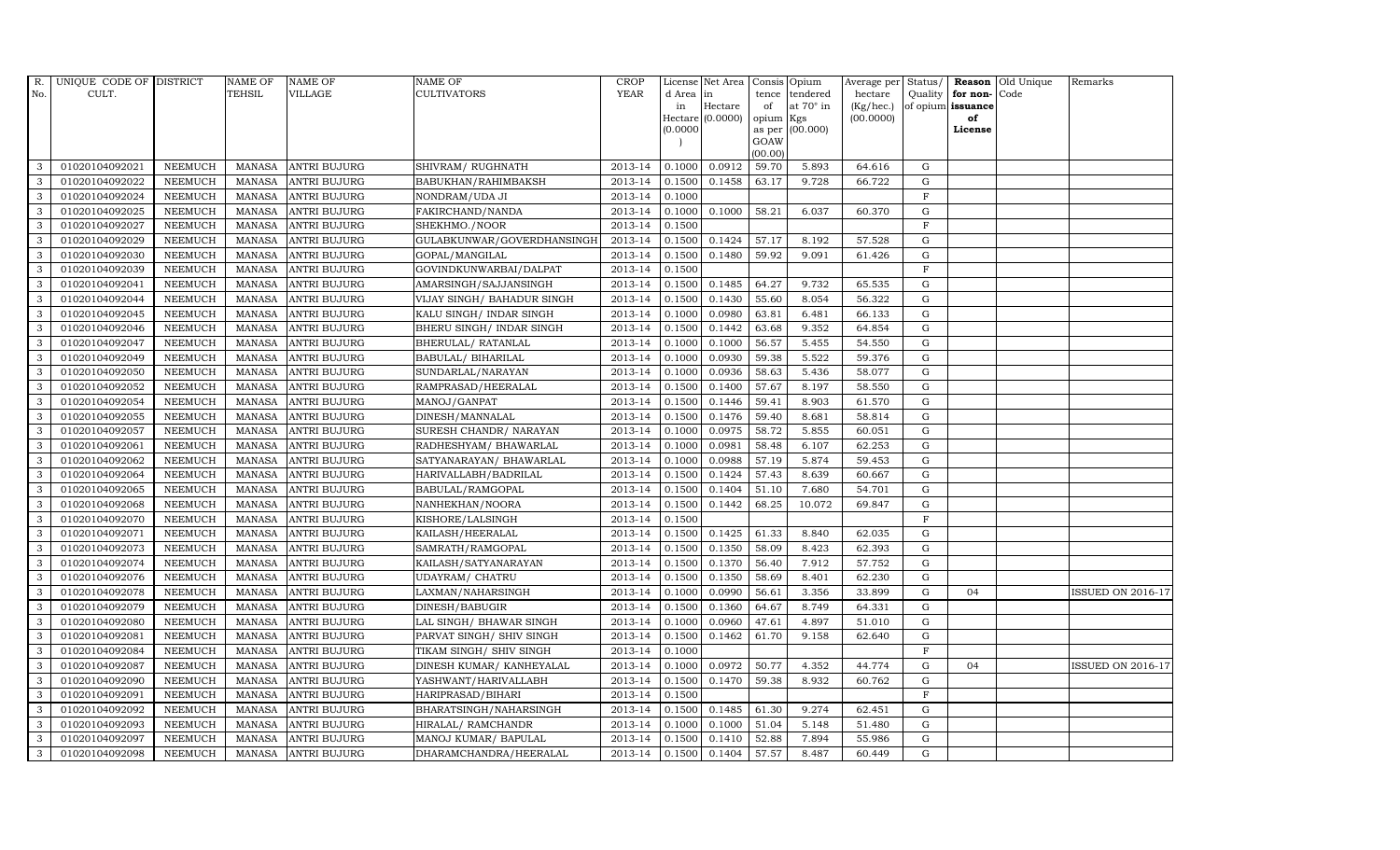| <b>YEAR</b><br>TEHSIL<br>VILLAGE<br><b>CULTIVATORS</b><br>No.<br>CULT.<br>d Area in<br>tendered<br>hectare<br>Quality $ $ for non-<br>Code<br>tence<br>Hectare<br>at $70^\circ$ in<br>(Kg/hec.)<br>of opium issuance<br>in<br>of<br>Hectare $(0.0000)$<br>opium Kgs<br>(00.0000)<br>of<br>as per (00.000)<br>(0.0000)<br>License<br>GOAW<br>(00.00)<br>0.0912<br>3<br>01020104092021<br>2013-14<br>0.1000<br>59.70<br>5.893<br>64.616<br>G<br><b>NEEMUCH</b><br>MANASA ANTRI BUJURG<br>SHIVRAM/RUGHNATH<br>01020104092022<br>2013-14<br>0.1458<br>3<br><b>NEEMUCH</b><br>MANASA ANTRI BUJURG<br>BABUKHAN/RAHIMBAKSH<br>0.1500<br>63.17<br>9.728<br>66.722<br>G<br>3<br>2013-14<br>01020104092024<br><b>NEEMUCH</b><br>MANASA<br><b>ANTRI BUJURG</b><br>NONDRAM/UDA JI<br>0.1000<br>$_{\rm F}$<br>3<br>01020104092025<br><b>NEEMUCH</b><br>MANASA ANTRI BUJURG<br>FAKIRCHAND/NANDA<br>2013-14<br>0.1000<br>0.1000<br>58.21<br>6.037<br>60.370<br>$\mathbf G$<br>01020104092027<br>MANASA<br>2013-14<br>0.1500<br>$\mathbf F$<br>3<br><b>NEEMUCH</b><br><b>ANTRI BUJURG</b><br>SHEKHMO./NOOR<br>$\mathbf{3}$<br>2013-14<br>0.1500<br>0.1424<br>57.17<br>01020104092029<br><b>NEEMUCH</b><br>MANASA<br><b>ANTRI BUJURG</b><br>GULABKUNWAR/GOVERDHANSINGH<br>8.192<br>57.528<br>G<br>3<br>01020104092030<br><b>NEEMUCH</b><br>MANASA<br>GOPAL/MANGILAL<br>2013-14<br>0.1500<br>0.1480<br>59.92<br>9.091<br>61.426<br>G<br><b>ANTRI BUJURG</b><br>3<br>01020104092039<br>2013-14<br>$\mathbf F$<br><b>NEEMUCH</b><br><b>MANASA</b><br><b>ANTRI BUJURG</b><br>GOVINDKUNWARBAI/DALPAT<br>0.1500<br>3<br>01020104092041<br><b>NEEMUCH</b><br>MANASA<br><b>ANTRI BUJURG</b><br>AMARSINGH/SAJJANSINGH<br>2013-14<br>0.1500<br>0.1485<br>64.27<br>9.732<br>65.535<br>G<br>3<br><b>MANASA</b><br>2013-14<br>0.1500<br>0.1430<br>55.60<br>8.054<br>56.322<br>G<br>01020104092044<br><b>NEEMUCH</b><br><b>ANTRI BUJURG</b><br>VIJAY SINGH/ BAHADUR SINGH<br>$\mathbf{3}$<br>2013-14<br>0.0980<br>01020104092045<br><b>NEEMUCH</b><br><b>MANASA</b><br><b>ANTRI BUJURG</b><br>KALU SINGH/ INDAR SINGH<br>0.1000<br>63.81<br>6.481<br>66.133<br>G<br>01020104092046<br>2013-14<br>0.1442<br>G<br>3<br><b>NEEMUCH</b><br>MANASA<br><b>ANTRI BUJURG</b><br>BHERU SINGH / INDAR SINGH<br>0.1500<br>63.68<br>9.352<br>64.854<br>3<br>01020104092047<br><b>NEEMUCH</b><br>2013-14<br>0.1000<br>56.57<br>5.455<br><b>MANASA</b><br><b>ANTRI BUJURG</b><br>BHERULAL/ RATANLAL<br>0.1000<br>54.550<br>G<br>3<br>01020104092049<br><b>NEEMUCH</b><br>MANASA<br>2013-14<br>0.0930<br>5.522<br>59.376<br>G<br><b>ANTRI BUJURG</b><br>BABULAL/ BIHARILAL<br>0.1000<br>59.38<br>3<br>01020104092050<br>MANASA<br>2013-14<br>0.0936<br>58.63<br>5.436<br>58.077<br>G<br><b>NEEMUCH</b><br><b>ANTRI BUJURG</b><br>SUNDARLAL/NARAYAN<br>0.1000 | Remarks                  |
|----------------------------------------------------------------------------------------------------------------------------------------------------------------------------------------------------------------------------------------------------------------------------------------------------------------------------------------------------------------------------------------------------------------------------------------------------------------------------------------------------------------------------------------------------------------------------------------------------------------------------------------------------------------------------------------------------------------------------------------------------------------------------------------------------------------------------------------------------------------------------------------------------------------------------------------------------------------------------------------------------------------------------------------------------------------------------------------------------------------------------------------------------------------------------------------------------------------------------------------------------------------------------------------------------------------------------------------------------------------------------------------------------------------------------------------------------------------------------------------------------------------------------------------------------------------------------------------------------------------------------------------------------------------------------------------------------------------------------------------------------------------------------------------------------------------------------------------------------------------------------------------------------------------------------------------------------------------------------------------------------------------------------------------------------------------------------------------------------------------------------------------------------------------------------------------------------------------------------------------------------------------------------------------------------------------------------------------------------------------------------------------------------------------------------------------------------------------------------------------------------------------------------------------------------------------------------------------------------------------------------------------------------------------------------------------------------------------------------------------------------------------------------------------------------------------|--------------------------|
|                                                                                                                                                                                                                                                                                                                                                                                                                                                                                                                                                                                                                                                                                                                                                                                                                                                                                                                                                                                                                                                                                                                                                                                                                                                                                                                                                                                                                                                                                                                                                                                                                                                                                                                                                                                                                                                                                                                                                                                                                                                                                                                                                                                                                                                                                                                                                                                                                                                                                                                                                                                                                                                                                                                                                                                                                |                          |
|                                                                                                                                                                                                                                                                                                                                                                                                                                                                                                                                                                                                                                                                                                                                                                                                                                                                                                                                                                                                                                                                                                                                                                                                                                                                                                                                                                                                                                                                                                                                                                                                                                                                                                                                                                                                                                                                                                                                                                                                                                                                                                                                                                                                                                                                                                                                                                                                                                                                                                                                                                                                                                                                                                                                                                                                                |                          |
|                                                                                                                                                                                                                                                                                                                                                                                                                                                                                                                                                                                                                                                                                                                                                                                                                                                                                                                                                                                                                                                                                                                                                                                                                                                                                                                                                                                                                                                                                                                                                                                                                                                                                                                                                                                                                                                                                                                                                                                                                                                                                                                                                                                                                                                                                                                                                                                                                                                                                                                                                                                                                                                                                                                                                                                                                |                          |
|                                                                                                                                                                                                                                                                                                                                                                                                                                                                                                                                                                                                                                                                                                                                                                                                                                                                                                                                                                                                                                                                                                                                                                                                                                                                                                                                                                                                                                                                                                                                                                                                                                                                                                                                                                                                                                                                                                                                                                                                                                                                                                                                                                                                                                                                                                                                                                                                                                                                                                                                                                                                                                                                                                                                                                                                                |                          |
|                                                                                                                                                                                                                                                                                                                                                                                                                                                                                                                                                                                                                                                                                                                                                                                                                                                                                                                                                                                                                                                                                                                                                                                                                                                                                                                                                                                                                                                                                                                                                                                                                                                                                                                                                                                                                                                                                                                                                                                                                                                                                                                                                                                                                                                                                                                                                                                                                                                                                                                                                                                                                                                                                                                                                                                                                |                          |
|                                                                                                                                                                                                                                                                                                                                                                                                                                                                                                                                                                                                                                                                                                                                                                                                                                                                                                                                                                                                                                                                                                                                                                                                                                                                                                                                                                                                                                                                                                                                                                                                                                                                                                                                                                                                                                                                                                                                                                                                                                                                                                                                                                                                                                                                                                                                                                                                                                                                                                                                                                                                                                                                                                                                                                                                                |                          |
|                                                                                                                                                                                                                                                                                                                                                                                                                                                                                                                                                                                                                                                                                                                                                                                                                                                                                                                                                                                                                                                                                                                                                                                                                                                                                                                                                                                                                                                                                                                                                                                                                                                                                                                                                                                                                                                                                                                                                                                                                                                                                                                                                                                                                                                                                                                                                                                                                                                                                                                                                                                                                                                                                                                                                                                                                |                          |
|                                                                                                                                                                                                                                                                                                                                                                                                                                                                                                                                                                                                                                                                                                                                                                                                                                                                                                                                                                                                                                                                                                                                                                                                                                                                                                                                                                                                                                                                                                                                                                                                                                                                                                                                                                                                                                                                                                                                                                                                                                                                                                                                                                                                                                                                                                                                                                                                                                                                                                                                                                                                                                                                                                                                                                                                                |                          |
|                                                                                                                                                                                                                                                                                                                                                                                                                                                                                                                                                                                                                                                                                                                                                                                                                                                                                                                                                                                                                                                                                                                                                                                                                                                                                                                                                                                                                                                                                                                                                                                                                                                                                                                                                                                                                                                                                                                                                                                                                                                                                                                                                                                                                                                                                                                                                                                                                                                                                                                                                                                                                                                                                                                                                                                                                |                          |
|                                                                                                                                                                                                                                                                                                                                                                                                                                                                                                                                                                                                                                                                                                                                                                                                                                                                                                                                                                                                                                                                                                                                                                                                                                                                                                                                                                                                                                                                                                                                                                                                                                                                                                                                                                                                                                                                                                                                                                                                                                                                                                                                                                                                                                                                                                                                                                                                                                                                                                                                                                                                                                                                                                                                                                                                                |                          |
|                                                                                                                                                                                                                                                                                                                                                                                                                                                                                                                                                                                                                                                                                                                                                                                                                                                                                                                                                                                                                                                                                                                                                                                                                                                                                                                                                                                                                                                                                                                                                                                                                                                                                                                                                                                                                                                                                                                                                                                                                                                                                                                                                                                                                                                                                                                                                                                                                                                                                                                                                                                                                                                                                                                                                                                                                |                          |
|                                                                                                                                                                                                                                                                                                                                                                                                                                                                                                                                                                                                                                                                                                                                                                                                                                                                                                                                                                                                                                                                                                                                                                                                                                                                                                                                                                                                                                                                                                                                                                                                                                                                                                                                                                                                                                                                                                                                                                                                                                                                                                                                                                                                                                                                                                                                                                                                                                                                                                                                                                                                                                                                                                                                                                                                                |                          |
|                                                                                                                                                                                                                                                                                                                                                                                                                                                                                                                                                                                                                                                                                                                                                                                                                                                                                                                                                                                                                                                                                                                                                                                                                                                                                                                                                                                                                                                                                                                                                                                                                                                                                                                                                                                                                                                                                                                                                                                                                                                                                                                                                                                                                                                                                                                                                                                                                                                                                                                                                                                                                                                                                                                                                                                                                |                          |
|                                                                                                                                                                                                                                                                                                                                                                                                                                                                                                                                                                                                                                                                                                                                                                                                                                                                                                                                                                                                                                                                                                                                                                                                                                                                                                                                                                                                                                                                                                                                                                                                                                                                                                                                                                                                                                                                                                                                                                                                                                                                                                                                                                                                                                                                                                                                                                                                                                                                                                                                                                                                                                                                                                                                                                                                                |                          |
|                                                                                                                                                                                                                                                                                                                                                                                                                                                                                                                                                                                                                                                                                                                                                                                                                                                                                                                                                                                                                                                                                                                                                                                                                                                                                                                                                                                                                                                                                                                                                                                                                                                                                                                                                                                                                                                                                                                                                                                                                                                                                                                                                                                                                                                                                                                                                                                                                                                                                                                                                                                                                                                                                                                                                                                                                |                          |
|                                                                                                                                                                                                                                                                                                                                                                                                                                                                                                                                                                                                                                                                                                                                                                                                                                                                                                                                                                                                                                                                                                                                                                                                                                                                                                                                                                                                                                                                                                                                                                                                                                                                                                                                                                                                                                                                                                                                                                                                                                                                                                                                                                                                                                                                                                                                                                                                                                                                                                                                                                                                                                                                                                                                                                                                                |                          |
|                                                                                                                                                                                                                                                                                                                                                                                                                                                                                                                                                                                                                                                                                                                                                                                                                                                                                                                                                                                                                                                                                                                                                                                                                                                                                                                                                                                                                                                                                                                                                                                                                                                                                                                                                                                                                                                                                                                                                                                                                                                                                                                                                                                                                                                                                                                                                                                                                                                                                                                                                                                                                                                                                                                                                                                                                |                          |
|                                                                                                                                                                                                                                                                                                                                                                                                                                                                                                                                                                                                                                                                                                                                                                                                                                                                                                                                                                                                                                                                                                                                                                                                                                                                                                                                                                                                                                                                                                                                                                                                                                                                                                                                                                                                                                                                                                                                                                                                                                                                                                                                                                                                                                                                                                                                                                                                                                                                                                                                                                                                                                                                                                                                                                                                                |                          |
|                                                                                                                                                                                                                                                                                                                                                                                                                                                                                                                                                                                                                                                                                                                                                                                                                                                                                                                                                                                                                                                                                                                                                                                                                                                                                                                                                                                                                                                                                                                                                                                                                                                                                                                                                                                                                                                                                                                                                                                                                                                                                                                                                                                                                                                                                                                                                                                                                                                                                                                                                                                                                                                                                                                                                                                                                |                          |
|                                                                                                                                                                                                                                                                                                                                                                                                                                                                                                                                                                                                                                                                                                                                                                                                                                                                                                                                                                                                                                                                                                                                                                                                                                                                                                                                                                                                                                                                                                                                                                                                                                                                                                                                                                                                                                                                                                                                                                                                                                                                                                                                                                                                                                                                                                                                                                                                                                                                                                                                                                                                                                                                                                                                                                                                                |                          |
| 3<br><b>NEEMUCH</b><br>MANASA<br>2013-14<br>0.1500<br>0.1400<br>57.67<br>58.550<br>01020104092052<br><b>ANTRI BUJURG</b><br>RAMPRASAD/HEERALAL<br>8.197<br>G                                                                                                                                                                                                                                                                                                                                                                                                                                                                                                                                                                                                                                                                                                                                                                                                                                                                                                                                                                                                                                                                                                                                                                                                                                                                                                                                                                                                                                                                                                                                                                                                                                                                                                                                                                                                                                                                                                                                                                                                                                                                                                                                                                                                                                                                                                                                                                                                                                                                                                                                                                                                                                                   |                          |
| 3<br>01020104092054<br>MANASA<br>2013-14<br>0.1500<br>0.1446<br>59.41<br>8.903<br>61.570<br>G<br><b>NEEMUCH</b><br><b>ANTRI BUJURG</b><br>MANOJ/GANPAT                                                                                                                                                                                                                                                                                                                                                                                                                                                                                                                                                                                                                                                                                                                                                                                                                                                                                                                                                                                                                                                                                                                                                                                                                                                                                                                                                                                                                                                                                                                                                                                                                                                                                                                                                                                                                                                                                                                                                                                                                                                                                                                                                                                                                                                                                                                                                                                                                                                                                                                                                                                                                                                         |                          |
| 3<br>01020104092055<br><b>NEEMUCH</b><br>2013-14<br>0.1500<br>0.1476<br>59.40<br>8.681<br>58.814<br>MANASA<br><b>ANTRI BUJURG</b><br>DINESH/MANNALAL<br>G                                                                                                                                                                                                                                                                                                                                                                                                                                                                                                                                                                                                                                                                                                                                                                                                                                                                                                                                                                                                                                                                                                                                                                                                                                                                                                                                                                                                                                                                                                                                                                                                                                                                                                                                                                                                                                                                                                                                                                                                                                                                                                                                                                                                                                                                                                                                                                                                                                                                                                                                                                                                                                                      |                          |
| 3<br>01020104092057<br><b>NEEMUCH</b><br>MANASA<br>SURESH CHANDR/ NARAYAN<br>2013-14<br>0.0975<br>58.72<br>5.855<br>60.051<br>G<br><b>ANTRI BUJURG</b><br>0.1000                                                                                                                                                                                                                                                                                                                                                                                                                                                                                                                                                                                                                                                                                                                                                                                                                                                                                                                                                                                                                                                                                                                                                                                                                                                                                                                                                                                                                                                                                                                                                                                                                                                                                                                                                                                                                                                                                                                                                                                                                                                                                                                                                                                                                                                                                                                                                                                                                                                                                                                                                                                                                                               |                          |
| 3<br>G<br>01020104092061<br><b>NEEMUCH</b><br><b>MANASA</b><br><b>ANTRI BUJURG</b><br>RADHESHYAM/ BHAWARLAL<br>2013-14<br>0.1000<br>0.0981<br>58.48<br>6.107<br>62.253                                                                                                                                                                                                                                                                                                                                                                                                                                                                                                                                                                                                                                                                                                                                                                                                                                                                                                                                                                                                                                                                                                                                                                                                                                                                                                                                                                                                                                                                                                                                                                                                                                                                                                                                                                                                                                                                                                                                                                                                                                                                                                                                                                                                                                                                                                                                                                                                                                                                                                                                                                                                                                         |                          |
| $\mathbf{3}$<br>01020104092062<br><b>NEEMUCH</b><br>MANASA<br>2013-14<br>0.1000<br>0.0988<br>57.19<br>5.874<br>59.453<br>G<br><b>ANTRI BUJURG</b><br>SATYANARAYAN/ BHAWARLAL                                                                                                                                                                                                                                                                                                                                                                                                                                                                                                                                                                                                                                                                                                                                                                                                                                                                                                                                                                                                                                                                                                                                                                                                                                                                                                                                                                                                                                                                                                                                                                                                                                                                                                                                                                                                                                                                                                                                                                                                                                                                                                                                                                                                                                                                                                                                                                                                                                                                                                                                                                                                                                   |                          |
| 01020104092064<br>MANASA<br>2013-14<br>0.1424<br>57.43<br>8.639<br>60.667<br>3<br><b>NEEMUCH</b><br><b>ANTRI BUJURG</b><br>HARIVALLABH/BADRILAL<br>0.1500<br>G                                                                                                                                                                                                                                                                                                                                                                                                                                                                                                                                                                                                                                                                                                                                                                                                                                                                                                                                                                                                                                                                                                                                                                                                                                                                                                                                                                                                                                                                                                                                                                                                                                                                                                                                                                                                                                                                                                                                                                                                                                                                                                                                                                                                                                                                                                                                                                                                                                                                                                                                                                                                                                                 |                          |
| $\mathbf{3}$<br>01020104092065<br>2013-14<br>0.1500<br>0.1404<br>51.10<br>7.680<br>54.701<br><b>NEEMUCH</b><br>MANASA<br><b>ANTRI BUJURG</b><br>BABULAL/RAMGOPAL<br>G                                                                                                                                                                                                                                                                                                                                                                                                                                                                                                                                                                                                                                                                                                                                                                                                                                                                                                                                                                                                                                                                                                                                                                                                                                                                                                                                                                                                                                                                                                                                                                                                                                                                                                                                                                                                                                                                                                                                                                                                                                                                                                                                                                                                                                                                                                                                                                                                                                                                                                                                                                                                                                          |                          |
| 2013-14<br>0.1442<br>3<br>01020104092068<br><b>NEEMUCH</b><br>MANASA<br><b>ANTRI BUJURG</b><br>NANHEKHAN/NOORA<br>0.1500<br>68.25<br>10.072<br>69.847<br>$\mathbf G$                                                                                                                                                                                                                                                                                                                                                                                                                                                                                                                                                                                                                                                                                                                                                                                                                                                                                                                                                                                                                                                                                                                                                                                                                                                                                                                                                                                                                                                                                                                                                                                                                                                                                                                                                                                                                                                                                                                                                                                                                                                                                                                                                                                                                                                                                                                                                                                                                                                                                                                                                                                                                                           |                          |
| 3<br><b>MANASA</b><br>2013-14<br>$\mathbf{F}$<br>01020104092070<br><b>NEEMUCH</b><br><b>ANTRI BUJURG</b><br>KISHORE/LALSINGH<br>0.1500                                                                                                                                                                                                                                                                                                                                                                                                                                                                                                                                                                                                                                                                                                                                                                                                                                                                                                                                                                                                                                                                                                                                                                                                                                                                                                                                                                                                                                                                                                                                                                                                                                                                                                                                                                                                                                                                                                                                                                                                                                                                                                                                                                                                                                                                                                                                                                                                                                                                                                                                                                                                                                                                         |                          |
| 0.1425<br>3<br><b>NEEMUCH</b><br><b>MANASA</b><br>2013-14<br>0.1500<br>61.33<br>62.035<br>G<br>01020104092071<br><b>ANTRI BUJURG</b><br>KAILASH/HEERALAL<br>8.840                                                                                                                                                                                                                                                                                                                                                                                                                                                                                                                                                                                                                                                                                                                                                                                                                                                                                                                                                                                                                                                                                                                                                                                                                                                                                                                                                                                                                                                                                                                                                                                                                                                                                                                                                                                                                                                                                                                                                                                                                                                                                                                                                                                                                                                                                                                                                                                                                                                                                                                                                                                                                                              |                          |
| 01020104092073<br><b>NEEMUCH</b><br>MANASA<br><b>ANTRI BUJURG</b><br>SAMRATH/RAMGOPAL<br>2013-14<br>0.1500<br>0.1350<br>58.09<br>8.423<br>62.393<br>G<br>3                                                                                                                                                                                                                                                                                                                                                                                                                                                                                                                                                                                                                                                                                                                                                                                                                                                                                                                                                                                                                                                                                                                                                                                                                                                                                                                                                                                                                                                                                                                                                                                                                                                                                                                                                                                                                                                                                                                                                                                                                                                                                                                                                                                                                                                                                                                                                                                                                                                                                                                                                                                                                                                     |                          |
| $\mathbf{3}$<br>01020104092074<br><b>NEEMUCH</b><br>MANASA<br><b>ANTRI BUJURG</b><br>2013-14<br>0.1500<br>0.1370<br>56.40<br>7.912<br>57.752<br>G<br>KAILASH/SATYANARAYAN                                                                                                                                                                                                                                                                                                                                                                                                                                                                                                                                                                                                                                                                                                                                                                                                                                                                                                                                                                                                                                                                                                                                                                                                                                                                                                                                                                                                                                                                                                                                                                                                                                                                                                                                                                                                                                                                                                                                                                                                                                                                                                                                                                                                                                                                                                                                                                                                                                                                                                                                                                                                                                      |                          |
| 3<br>01020104092076<br><b>NEEMUCH</b><br>MANASA<br><b>ANTRI BUJURG</b><br>2013-14<br>0.1500<br>0.1350<br>58.69<br>8.401<br>62.230<br>$\mathbf G$<br>UDAYRAM/ CHATRU                                                                                                                                                                                                                                                                                                                                                                                                                                                                                                                                                                                                                                                                                                                                                                                                                                                                                                                                                                                                                                                                                                                                                                                                                                                                                                                                                                                                                                                                                                                                                                                                                                                                                                                                                                                                                                                                                                                                                                                                                                                                                                                                                                                                                                                                                                                                                                                                                                                                                                                                                                                                                                            |                          |
| 3<br>01020104092078<br><b>NEEMUCH</b><br>MANASA<br><b>ANTRI BUJURG</b><br>LAXMAN/NAHARSINGH<br>2013-14<br>0.0990<br>56.61<br>3.356<br>${\rm G}$<br>0.1000<br>33.899<br>04                                                                                                                                                                                                                                                                                                                                                                                                                                                                                                                                                                                                                                                                                                                                                                                                                                                                                                                                                                                                                                                                                                                                                                                                                                                                                                                                                                                                                                                                                                                                                                                                                                                                                                                                                                                                                                                                                                                                                                                                                                                                                                                                                                                                                                                                                                                                                                                                                                                                                                                                                                                                                                      | <b>ISSUED ON 2016-17</b> |
| 3<br>01020104092079<br><b>NEEMUCH</b><br>MANASA<br>2013-14<br>0.1500<br>0.1360<br>64.67<br>8.749<br>64.331<br>G<br><b>ANTRI BUJURG</b><br>DINESH/BABUGIR                                                                                                                                                                                                                                                                                                                                                                                                                                                                                                                                                                                                                                                                                                                                                                                                                                                                                                                                                                                                                                                                                                                                                                                                                                                                                                                                                                                                                                                                                                                                                                                                                                                                                                                                                                                                                                                                                                                                                                                                                                                                                                                                                                                                                                                                                                                                                                                                                                                                                                                                                                                                                                                       |                          |
| 2013-14<br>0.0960<br>3<br>01020104092080<br><b>NEEMUCH</b><br>MANASA<br><b>ANTRI BUJURG</b><br>LAL SINGH/ BHAWAR SINGH<br>0.1000<br>47.61<br>4.897<br>51.010<br>G                                                                                                                                                                                                                                                                                                                                                                                                                                                                                                                                                                                                                                                                                                                                                                                                                                                                                                                                                                                                                                                                                                                                                                                                                                                                                                                                                                                                                                                                                                                                                                                                                                                                                                                                                                                                                                                                                                                                                                                                                                                                                                                                                                                                                                                                                                                                                                                                                                                                                                                                                                                                                                              |                          |
| 3<br>01020104092081<br>2013-14<br>0.1462<br><b>NEEMUCH</b><br>MANASA<br><b>ANTRI BUJURG</b><br>PARVAT SINGH/ SHIV SINGH<br>0.1500<br>61.70<br>9.158<br>62.640<br>G                                                                                                                                                                                                                                                                                                                                                                                                                                                                                                                                                                                                                                                                                                                                                                                                                                                                                                                                                                                                                                                                                                                                                                                                                                                                                                                                                                                                                                                                                                                                                                                                                                                                                                                                                                                                                                                                                                                                                                                                                                                                                                                                                                                                                                                                                                                                                                                                                                                                                                                                                                                                                                             |                          |
| 2013-14<br>$\mathbf{F}$<br>3<br>01020104092084<br><b>NEEMUCH</b><br>MANASA<br><b>ANTRI BUJURG</b><br>TIKAM SINGH / SHIV SINGH<br>0.1000                                                                                                                                                                                                                                                                                                                                                                                                                                                                                                                                                                                                                                                                                                                                                                                                                                                                                                                                                                                                                                                                                                                                                                                                                                                                                                                                                                                                                                                                                                                                                                                                                                                                                                                                                                                                                                                                                                                                                                                                                                                                                                                                                                                                                                                                                                                                                                                                                                                                                                                                                                                                                                                                        |                          |
| 3<br>01020104092087<br><b>MANASA</b><br>DINESH KUMAR/ KANHEYALAL<br>2013-14<br>0.0972<br>50.77<br>4.352<br>44.774<br>$\mathbf G$<br><b>NEEMUCH</b><br><b>ANTRI BUJURG</b><br>0.1000<br>04                                                                                                                                                                                                                                                                                                                                                                                                                                                                                                                                                                                                                                                                                                                                                                                                                                                                                                                                                                                                                                                                                                                                                                                                                                                                                                                                                                                                                                                                                                                                                                                                                                                                                                                                                                                                                                                                                                                                                                                                                                                                                                                                                                                                                                                                                                                                                                                                                                                                                                                                                                                                                      | <b>ISSUED ON 2016-17</b> |
| 3<br>0.1470<br>8.932<br>01020104092090<br><b>NEEMUCH</b><br>MANASA<br><b>ANTRI BUJURG</b><br>YASHWANT/HARIVALLABH<br>2013-14<br>0.1500<br>59.38<br>60.762<br>G                                                                                                                                                                                                                                                                                                                                                                                                                                                                                                                                                                                                                                                                                                                                                                                                                                                                                                                                                                                                                                                                                                                                                                                                                                                                                                                                                                                                                                                                                                                                                                                                                                                                                                                                                                                                                                                                                                                                                                                                                                                                                                                                                                                                                                                                                                                                                                                                                                                                                                                                                                                                                                                 |                          |
| 01020104092091<br>2013-14<br>3<br><b>NEEMUCH</b><br><b>MANASA</b><br><b>ANTRI BUJURG</b><br>HARIPRASAD/BIHARI<br>0.1500<br>$_{\rm F}$                                                                                                                                                                                                                                                                                                                                                                                                                                                                                                                                                                                                                                                                                                                                                                                                                                                                                                                                                                                                                                                                                                                                                                                                                                                                                                                                                                                                                                                                                                                                                                                                                                                                                                                                                                                                                                                                                                                                                                                                                                                                                                                                                                                                                                                                                                                                                                                                                                                                                                                                                                                                                                                                          |                          |
| 3<br>01020104092092<br>2013-14<br>0.1500<br>0.1485<br>61.30<br>${\rm G}$<br><b>NEEMUCH</b><br>MANASA<br><b>ANTRI BUJURG</b><br>BHARATSINGH/NAHARSINGH<br>9.274<br>62.451                                                                                                                                                                                                                                                                                                                                                                                                                                                                                                                                                                                                                                                                                                                                                                                                                                                                                                                                                                                                                                                                                                                                                                                                                                                                                                                                                                                                                                                                                                                                                                                                                                                                                                                                                                                                                                                                                                                                                                                                                                                                                                                                                                                                                                                                                                                                                                                                                                                                                                                                                                                                                                       |                          |
| 3<br>2013-14<br>0.1000<br>G<br>01020104092093<br><b>NEEMUCH</b><br><b>MANASA</b><br><b>ANTRI BUJURG</b><br>HIRALAL/ RAMCHANDR<br>0.1000<br>51.04<br>5.148<br>51.480                                                                                                                                                                                                                                                                                                                                                                                                                                                                                                                                                                                                                                                                                                                                                                                                                                                                                                                                                                                                                                                                                                                                                                                                                                                                                                                                                                                                                                                                                                                                                                                                                                                                                                                                                                                                                                                                                                                                                                                                                                                                                                                                                                                                                                                                                                                                                                                                                                                                                                                                                                                                                                            |                          |
| 3<br>01020104092097<br><b>NEEMUCH</b><br><b>MANASA</b><br><b>ANTRI BUJURG</b><br>MANOJ KUMAR/ BAPULAL<br>2013-14<br>0.1410<br>52.88<br>7.894<br>55.986<br>$\mathbf G$<br>0.1500                                                                                                                                                                                                                                                                                                                                                                                                                                                                                                                                                                                                                                                                                                                                                                                                                                                                                                                                                                                                                                                                                                                                                                                                                                                                                                                                                                                                                                                                                                                                                                                                                                                                                                                                                                                                                                                                                                                                                                                                                                                                                                                                                                                                                                                                                                                                                                                                                                                                                                                                                                                                                                |                          |
| 3<br>01020104092098<br><b>NEEMUCH</b><br>MANASA ANTRI BUJURG<br>2013-14<br>0.1500<br>0.1404<br>57.57<br>8.487<br>60.449<br>G<br>DHARAMCHANDRA/HEERALAL                                                                                                                                                                                                                                                                                                                                                                                                                                                                                                                                                                                                                                                                                                                                                                                                                                                                                                                                                                                                                                                                                                                                                                                                                                                                                                                                                                                                                                                                                                                                                                                                                                                                                                                                                                                                                                                                                                                                                                                                                                                                                                                                                                                                                                                                                                                                                                                                                                                                                                                                                                                                                                                         |                          |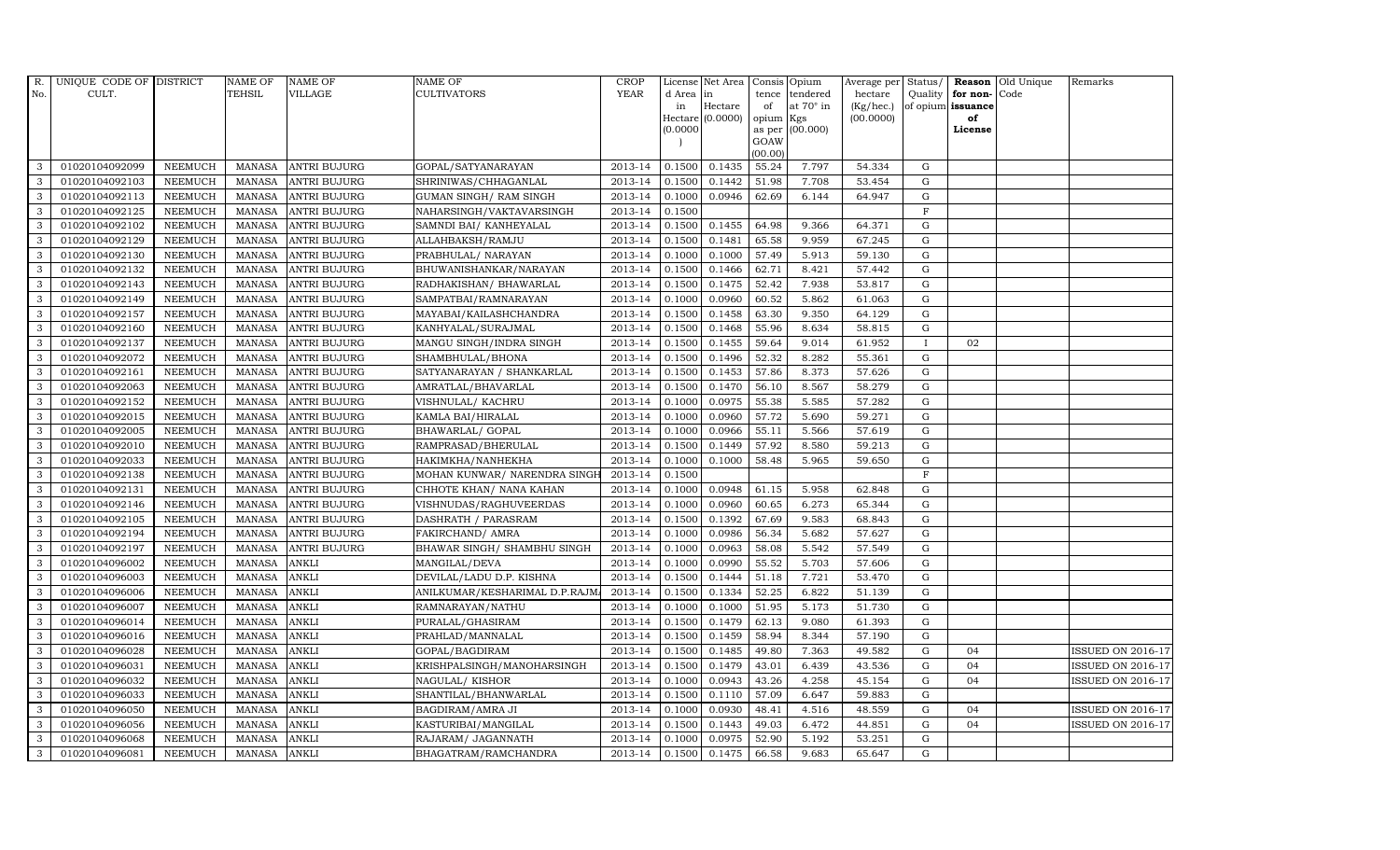| R.           | UNIQUE CODE OF DISTRICT |                | <b>NAME OF</b> | <b>NAME OF</b>      | <b>NAME OF</b>                 | CROP        |           | License Net Area Consis Opium |           |                  | Average per | Status/      | Reason            | Old Unique | Remarks                  |
|--------------|-------------------------|----------------|----------------|---------------------|--------------------------------|-------------|-----------|-------------------------------|-----------|------------------|-------------|--------------|-------------------|------------|--------------------------|
| No.          | CULT.                   |                | <b>TEHSIL</b>  | <b>VILLAGE</b>      | <b>CULTIVATORS</b>             | <b>YEAR</b> | d Area in |                               |           | tence tendered   | hectare     | Quality      | for non-          | Code       |                          |
|              |                         |                |                |                     |                                |             | in        | Hectare                       | of        | at $70^\circ$ in | (Kg/hec.)   |              | of opium issuance |            |                          |
|              |                         |                |                |                     |                                |             |           | Hectare (0.0000)              | opium Kgs |                  | (00.0000)   |              | of                |            |                          |
|              |                         |                |                |                     |                                |             | (0.0000)  |                               | GOAW      | as per (00.000)  |             |              | License           |            |                          |
|              |                         |                |                |                     |                                |             |           |                               | (00.00)   |                  |             |              |                   |            |                          |
| 3            | 01020104092099          | <b>NEEMUCH</b> |                | MANASA ANTRI BUJURG | GOPAL/SATYANARAYAN             | 2013-14     | 0.1500    | 0.1435                        | 55.24     | 7.797            | 54.334      | $\mathbf G$  |                   |            |                          |
| 3            | 01020104092103          | <b>NEEMUCH</b> | MANASA         | <b>ANTRI BUJURG</b> | SHRINIWAS/CHHAGANLAL           | 2013-14     | 0.1500    | 0.1442                        | 51.98     | 7.708            | 53.454      | $\mathbf G$  |                   |            |                          |
| 3            | 01020104092113          | <b>NEEMUCH</b> | <b>MANASA</b>  | <b>ANTRI BUJURG</b> | GUMAN SINGH/ RAM SINGH         | 2013-14     | 0.1000    | 0.0946                        | 62.69     | 6.144            | 64.947      | G            |                   |            |                          |
| 3            | 01020104092125          | <b>NEEMUCH</b> |                | MANASA ANTRI BUJURG | NAHARSINGH/VAKTAVARSINGH       | 2013-14     | 0.1500    |                               |           |                  |             | $\mathbf F$  |                   |            |                          |
| 3            | 01020104092102          | <b>NEEMUCH</b> | <b>MANASA</b>  | <b>ANTRI BUJURG</b> | SAMNDI BAI/ KANHEYALAL         | 2013-14     | 0.1500    | 0.1455                        | 64.98     | 9.366            | 64.371      | ${\rm G}$    |                   |            |                          |
| $\mathbf{3}$ | 01020104092129          | <b>NEEMUCH</b> | MANASA         | <b>ANTRI BUJURG</b> | ALLAHBAKSH/RAMJU               | 2013-14     | 0.1500    | 0.1481                        | 65.58     | 9.959            | 67.245      | $\mathbf G$  |                   |            |                          |
| 3            | 01020104092130          | <b>NEEMUCH</b> | MANASA         | <b>ANTRI BUJURG</b> | PRABHULAL/ NARAYAN             | 2013-14     | 0.1000    | 0.1000                        | 57.49     | 5.913            | 59.130      | ${\rm G}$    |                   |            |                          |
| 3            | 01020104092132          | <b>NEEMUCH</b> | <b>MANASA</b>  | <b>ANTRI BUJURG</b> | BHUWANISHANKAR/NARAYAN         | 2013-14     | 0.1500    | 0.1466                        | 62.71     | 8.421            | 57.442      | $\mathbf G$  |                   |            |                          |
| 3            | 01020104092143          | <b>NEEMUCH</b> | MANASA         | <b>ANTRI BUJURG</b> | RADHAKISHAN/ BHAWARLAL         | 2013-14     | 0.1500    | 0.1475                        | 52.42     | 7.938            | 53.817      | $\mathbf G$  |                   |            |                          |
| 3            | 01020104092149          | <b>NEEMUCH</b> | <b>MANASA</b>  | <b>ANTRI BUJURG</b> | SAMPATBAI/RAMNARAYAN           | 2013-14     | 0.1000    | 0.0960                        | 60.52     | 5.862            | 61.063      | ${\rm G}$    |                   |            |                          |
| 3            | 01020104092157          | <b>NEEMUCH</b> | <b>MANASA</b>  | <b>ANTRI BUJURG</b> | MAYABAI/KAILASHCHANDRA         | 2013-14     | 0.1500    | 0.1458                        | 63.30     | 9.350            | 64.129      | ${\rm G}$    |                   |            |                          |
| 3            | 01020104092160          | <b>NEEMUCH</b> | MANASA         | <b>ANTRI BUJURG</b> | KANHYALAL/SURAJMAL             | 2013-14     | 0.1500    | 0.1468                        | 55.96     | 8.634            | 58.815      | $\mathbf G$  |                   |            |                          |
| 3            | 01020104092137          | <b>NEEMUCH</b> | <b>MANASA</b>  | <b>ANTRI BUJURG</b> | MANGU SINGH/INDRA SINGH        | 2013-14     | 0.1500    | 0.1455                        | 59.64     | 9.014            | 61.952      | $\mathbf{I}$ | 02                |            |                          |
| 3            | 01020104092072          | <b>NEEMUCH</b> | MANASA         | <b>ANTRI BUJURG</b> | SHAMBHULAL/BHONA               | 2013-14     | 0.1500    | 0.1496                        | 52.32     | 8.282            | 55.361      | G            |                   |            |                          |
| 3            | 01020104092161          | <b>NEEMUCH</b> | MANASA         | <b>ANTRI BUJURG</b> | SATYANARAYAN / SHANKARLAL      | 2013-14     | 0.1500    | 0.1453                        | 57.86     | 8.373            | 57.626      | G            |                   |            |                          |
| 3            | 01020104092063          | <b>NEEMUCH</b> | MANASA         | <b>ANTRI BUJURG</b> | AMRATLAL/BHAVARLAL             | 2013-14     | 0.1500    | 0.1470                        | 56.10     | 8.567            | 58.279      | ${\rm G}$    |                   |            |                          |
| 3            | 01020104092152          | <b>NEEMUCH</b> | MANASA         | <b>ANTRI BUJURG</b> | VISHNULAL/ KACHRU              | 2013-14     | 0.1000    | 0.0975                        | 55.38     | 5.585            | 57.282      | $\mathbf G$  |                   |            |                          |
| 3            | 01020104092015          | <b>NEEMUCH</b> | MANASA         | <b>ANTRI BUJURG</b> | KAMLA BAI/HIRALAL              | 2013-14     | 0.1000    | 0.0960                        | 57.72     | 5.690            | 59.271      | G            |                   |            |                          |
| 3            | 01020104092005          | <b>NEEMUCH</b> | MANASA         | <b>ANTRI BUJURG</b> | BHAWARLAL/ GOPAL               | 2013-14     | 0.1000    | 0.0966                        | 55.11     | 5.566            | 57.619      | $\mathbf G$  |                   |            |                          |
| 3            | 01020104092010          | <b>NEEMUCH</b> | <b>MANASA</b>  | <b>ANTRI BUJURG</b> | RAMPRASAD/BHERULAL             | 2013-14     | 0.1500    | 0.1449                        | 57.92     | 8.580            | 59.213      | $\mathbf G$  |                   |            |                          |
| $\mathbf{3}$ | 01020104092033          | <b>NEEMUCH</b> | <b>MANASA</b>  | <b>ANTRI BUJURG</b> | HAKIMKHA/NANHEKHA              | 2013-14     | 0.1000    | 0.1000                        | 58.48     | 5.965            | 59.650      | ${\rm G}$    |                   |            |                          |
| 3            | 01020104092138          | <b>NEEMUCH</b> | MANASA         | <b>ANTRI BUJURG</b> | MOHAN KUNWAR/ NARENDRA SINGH   | 2013-14     | 0.1500    |                               |           |                  |             | $\mathbf F$  |                   |            |                          |
| $\mathbf{3}$ | 01020104092131          | <b>NEEMUCH</b> | MANASA         | <b>ANTRI BUJURG</b> | CHHOTE KHAN/ NANA KAHAN        | 2013-14     | 0.1000    | 0.0948                        | 61.15     | 5.958            | 62.848      | G            |                   |            |                          |
| 3            | 01020104092146          | <b>NEEMUCH</b> | <b>MANASA</b>  | <b>ANTRI BUJURG</b> | VISHNUDAS/RAGHUVEERDAS         | 2013-14     | 0.1000    | 0.0960                        | 60.65     | 6.273            | 65.344      | $\mathbf G$  |                   |            |                          |
| 3            | 01020104092105          | <b>NEEMUCH</b> | <b>MANASA</b>  | <b>ANTRI BUJURG</b> | DASHRATH / PARASRAM            | 2013-14     | 0.1500    | 0.1392                        | 67.69     | 9.583            | 68.843      | ${\rm G}$    |                   |            |                          |
| 3            | 01020104092194          | <b>NEEMUCH</b> | <b>MANASA</b>  | <b>ANTRI BUJURG</b> | FAKIRCHAND/ AMRA               | 2013-14     | 0.1000    | 0.0986                        | 56.34     | 5.682            | 57.627      | G            |                   |            |                          |
| 3            | 01020104092197          | <b>NEEMUCH</b> | <b>MANASA</b>  | <b>ANTRI BUJURG</b> | BHAWAR SINGH/ SHAMBHU SINGH    | 2013-14     | 0.1000    | 0.0963                        | 58.08     | 5.542            | 57.549      | ${\rm G}$    |                   |            |                          |
| $\mathbf{3}$ | 01020104096002          | <b>NEEMUCH</b> | MANASA         | <b>ANKLI</b>        | MANGILAL/DEVA                  | 2013-14     | 0.1000    | 0.0990                        | 55.52     | 5.703            | 57.606      | $\mathbf G$  |                   |            |                          |
| 3            | 01020104096003          | <b>NEEMUCH</b> | <b>MANASA</b>  | <b>ANKLI</b>        | DEVILAL/LADU D.P. KISHNA       | 2013-14     | 0.1500    | 0.1444                        | 51.18     | 7.721            | 53.470      | $\mathbf G$  |                   |            |                          |
| 3            | 01020104096006          | <b>NEEMUCH</b> | <b>MANASA</b>  | <b>ANKLI</b>        | ANILKUMAR/KESHARIMAL D.P.RAJM. | 2013-14     | 0.1500    | 0.1334                        | 52.25     | 6.822            | 51.139      | $\mathbf G$  |                   |            |                          |
| 3            | 01020104096007          | <b>NEEMUCH</b> | <b>MANASA</b>  | <b>ANKLI</b>        | RAMNARAYAN/NATHU               | 2013-14     | 0.1000    | 0.1000                        | 51.95     | 5.173            | 51.730      | G            |                   |            |                          |
| 3            | 01020104096014          | <b>NEEMUCH</b> | <b>MANASA</b>  | <b>ANKLI</b>        | PURALAL/GHASIRAM               | 2013-14     | 0.1500    | 0.1479                        | 62.13     | 9.080            | 61.393      | ${\rm G}$    |                   |            |                          |
| 3            | 01020104096016          | <b>NEEMUCH</b> | MANASA         | <b>ANKLI</b>        | PRAHLAD/MANNALAL               | 2013-14     | 0.1500    | 0.1459                        | 58.94     | 8.344            | 57.190      | $\mathbf G$  |                   |            |                          |
| 3            | 01020104096028          | <b>NEEMUCH</b> | <b>MANASA</b>  | <b>ANKLI</b>        | GOPAL/BAGDIRAM                 | 2013-14     | 0.1500    | 0.1485                        | 49.80     | 7.363            | 49.582      | $\mathbf G$  | 04                |            | <b>ISSUED ON 2016-17</b> |
| 3            | 01020104096031          | <b>NEEMUCH</b> | <b>MANASA</b>  | <b>ANKLI</b>        | KRISHPALSINGH/MANOHARSINGH     | 2013-14     | 0.1500    | 0.1479                        | 43.01     | 6.439            | 43.536      | $\mathbf G$  | 04                |            | <b>ISSUED ON 2016-17</b> |
| 3            | 01020104096032          | <b>NEEMUCH</b> | <b>MANASA</b>  | <b>ANKLI</b>        | NAGULAL/KISHOR                 | 2013-14     | 0.1000    | 0.0943                        | 43.26     | 4.258            | 45.154      | ${\rm G}$    | 04                |            | <b>ISSUED ON 2016-17</b> |
| 3            | 01020104096033          | <b>NEEMUCH</b> | <b>MANASA</b>  | <b>ANKLI</b>        | SHANTILAL/BHANWARLAL           | 2013-14     | 0.1500    | 0.1110                        | 57.09     | 6.647            | 59.883      | ${\rm G}$    |                   |            |                          |
| 3            | 01020104096050          | <b>NEEMUCH</b> | <b>MANASA</b>  | <b>ANKLI</b>        | BAGDIRAM/AMRA JI               | 2013-14     | 0.1000    | 0.0930                        | 48.41     | 4.516            | 48.559      | $\mathbf G$  | 04                |            | <b>ISSUED ON 2016-17</b> |
| 3            | 01020104096056          | <b>NEEMUCH</b> | <b>MANASA</b>  | <b>ANKLI</b>        | KASTURIBAI/MANGILAL            | 2013-14     | 0.1500    | 0.1443                        | 49.03     | 6.472            | 44.851      | $\mathbf G$  | 0 <sub>4</sub>    |            | <b>ISSUED ON 2016-17</b> |
| 3            | 01020104096068          | <b>NEEMUCH</b> | <b>MANASA</b>  | <b>ANKLI</b>        | RAJARAM / JAGANNATH            | 2013-14     | 0.1000    | 0.0975                        | 52.90     | 5.192            | 53.251      | $\mathbf G$  |                   |            |                          |
| 3            | 01020104096081          | <b>NEEMUCH</b> | MANASA ANKLI   |                     | BHAGATRAM/RAMCHANDRA           | 2013-14     | 0.1500    | 0.1475                        | 66.58     | 9.683            | 65.647      | G            |                   |            |                          |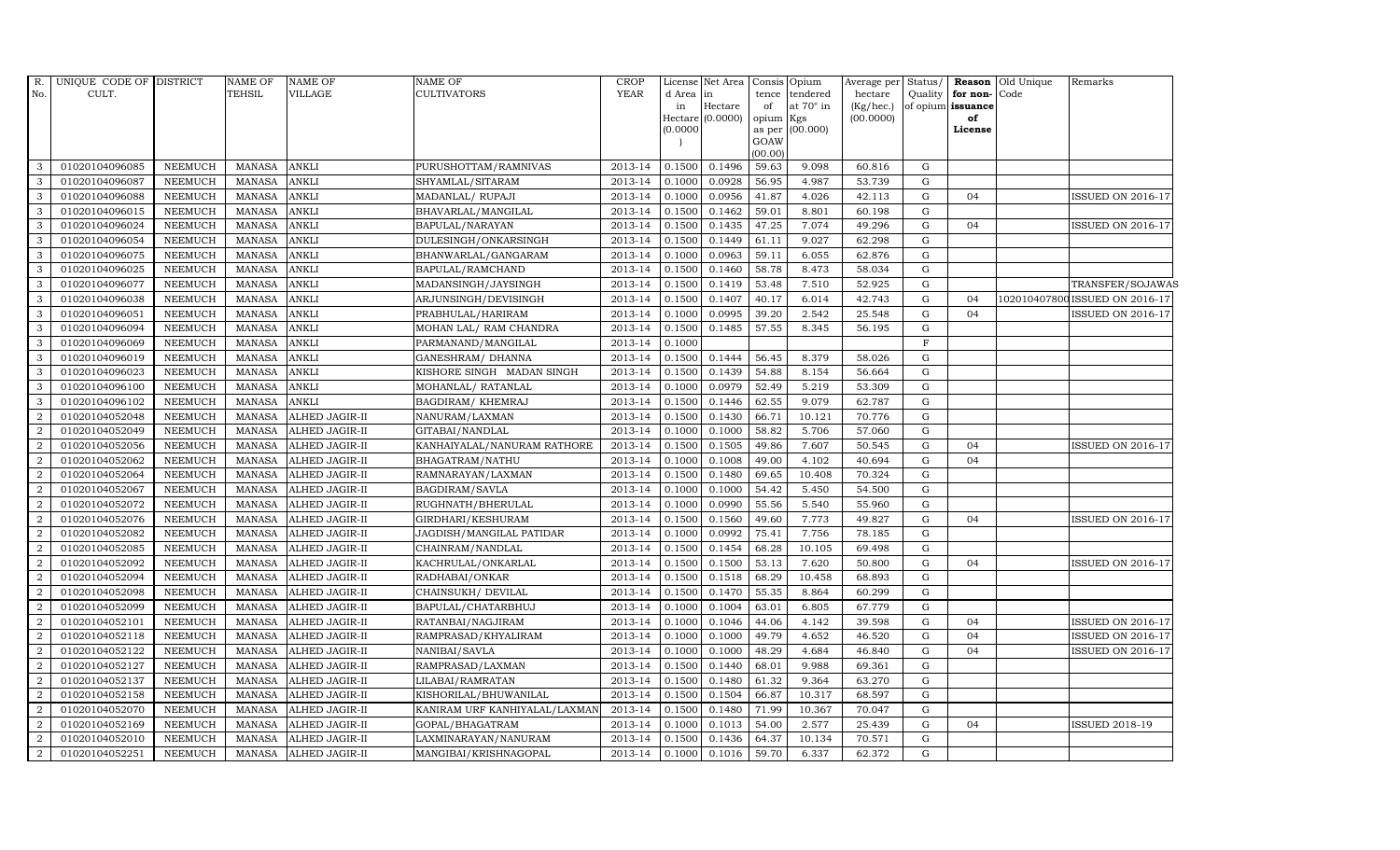| R.               | UNIQUE CODE OF DISTRICT |                | NAME OF       | <b>NAME OF</b>        | NAME OF                       | <b>CROP</b> |           | License Net Area Consis |                     | Opium            | Average per | Status/ |                   | <b>Reason</b> Old Unique | Remarks                        |
|------------------|-------------------------|----------------|---------------|-----------------------|-------------------------------|-------------|-----------|-------------------------|---------------------|------------------|-------------|---------|-------------------|--------------------------|--------------------------------|
| No.              | CULT.                   |                | <b>TEHSIL</b> | <b>VILLAGE</b>        | <b>CULTIVATORS</b>            | <b>YEAR</b> | d Area in |                         | tence               | tendered         | hectare     | Quality | for non-Code      |                          |                                |
|                  |                         |                |               |                       |                               |             | in        | Hectare                 | of                  | at $70^\circ$ in | (Kg/hec.)   |         | of opium issuance |                          |                                |
|                  |                         |                |               |                       |                               |             | (0.0000)  | Hectare (0.0000)        | opium Kgs<br>as per | (00.000)         | (00.0000)   |         | of<br>License     |                          |                                |
|                  |                         |                |               |                       |                               |             |           |                         | GOAW                |                  |             |         |                   |                          |                                |
|                  |                         |                |               |                       |                               |             |           |                         | (00.00)             |                  |             |         |                   |                          |                                |
| 3                | 01020104096085          | <b>NEEMUCH</b> | <b>MANASA</b> | ANKLI                 | PURUSHOTTAM/RAMNIVAS          | 2013-14     | 0.1500    | 0.1496                  | 59.63               | 9.098            | 60.816      | G       |                   |                          |                                |
| 3                | 01020104096087          | <b>NEEMUCH</b> | <b>MANASA</b> | ANKLI                 | SHYAMLAL/SITARAM              | 2013-14     | 0.1000    | 0.0928                  | 56.95               | 4.987            | 53.739      | G       |                   |                          |                                |
| 3                | 01020104096088          | <b>NEEMUCH</b> | <b>MANASA</b> | ANKLI                 | MADANLAL/ RUPAJI              | 2013-14     | 0.1000    | 0.0956                  | 41.87               | 4.026            | 42.113      | G       | 04                |                          | <b>ISSUED ON 2016-17</b>       |
| 3                | 01020104096015          | <b>NEEMUCH</b> | <b>MANASA</b> | <b>ANKLI</b>          | BHAVARLAL/MANGILAL            | 2013-14     | 0.1500    | 0.1462                  | 59.01               | 8.801            | 60.198      | G       |                   |                          |                                |
| 3                | 01020104096024          | <b>NEEMUCH</b> | <b>MANASA</b> | ANKLI                 | BAPULAL/NARAYAN               | 2013-14     | 0.1500    | 0.1435                  | 47.25               | 7.074            | 49.296      | G       | 04                |                          | <b>ISSUED ON 2016-17</b>       |
| 3                | 01020104096054          | <b>NEEMUCH</b> | <b>MANASA</b> | ANKLI                 | DULESINGH/ONKARSINGH          | 2013-14     | 0.1500    | 0.1449                  | 61.11               | 9.027            | 62.298      | G       |                   |                          |                                |
| 3                | 01020104096075          | <b>NEEMUCH</b> | <b>MANASA</b> | ANKLI                 | BHANWARLAL/GANGARAM           | 2013-14     | 0.1000    | 0.0963                  | 59.11               | 6.055            | 62.876      | G       |                   |                          |                                |
| 3                | 01020104096025          | <b>NEEMUCH</b> | <b>MANASA</b> | ANKLI                 | BAPULAL/RAMCHAND              | 2013-14     | 0.1500    | 0.1460                  | 58.78               | 8.473            | 58.034      | G       |                   |                          |                                |
| 3                | 01020104096077          | <b>NEEMUCH</b> | <b>MANASA</b> | ANKLI                 | MADANSINGH/JAYSINGH           | 2013-14     | 0.1500    | 0.1419                  | 53.48               | 7.510            | 52.925      | G       |                   |                          | TRANSFER/SOJAWAS               |
| 3                | 01020104096038          | NEEMUCH        | <b>MANASA</b> | ANKLI                 | ARJUNSINGH/DEVISINGH          | 2013-14     | 0.1500    | 0.1407                  | 40.17               | 6.014            | 42.743      | G       | 04                |                          | 102010407800 ISSUED ON 2016-17 |
| 3                | 01020104096051          | <b>NEEMUCH</b> | <b>MANASA</b> | <b>ANKLI</b>          | PRABHULAL/HARIRAM             | 2013-14     | 0.1000    | 0.0995                  | 39.20               | 2.542            | 25.548      | G       | 04                |                          | <b>ISSUED ON 2016-17</b>       |
| 3                | 01020104096094          | <b>NEEMUCH</b> | <b>MANASA</b> | ANKLI                 | MOHAN LAL/ RAM CHANDRA        | 2013-14     | 0.1500    | 0.1485                  | 57.55               | 8.345            | 56.195      | G       |                   |                          |                                |
| 3                | 01020104096069          | <b>NEEMUCH</b> | <b>MANASA</b> | ANKLI                 | PARMANAND/MANGILAL            | 2013-14     | 0.1000    |                         |                     |                  |             | F       |                   |                          |                                |
| 3                | 01020104096019          | <b>NEEMUCH</b> | <b>MANASA</b> | ANKLI                 | <b>GANESHRAM/ DHANNA</b>      | 2013-14     | 0.1500    | 0.1444                  | 56.45               | 8.379            | 58.026      | G       |                   |                          |                                |
| 3                | 01020104096023          | NEEMUCH        | <b>MANASA</b> | <b>ANKLI</b>          | KISHORE SINGH MADAN SINGH     | 2013-14     | 0.1500    | 0.1439                  | 54.88               | 8.154            | 56.664      | G       |                   |                          |                                |
| 3                | 01020104096100          | <b>NEEMUCH</b> | <b>MANASA</b> | ANKLI                 | MOHANLAL/ RATANLAL            | 2013-14     | 0.1000    | 0.0979                  | 52.49               | 5.219            | 53.309      | G       |                   |                          |                                |
| 3                | 01020104096102          | <b>NEEMUCH</b> | <b>MANASA</b> | <b>ANKLI</b>          | BAGDIRAM/KHEMRAJ              | 2013-14     | 0.1500    | 0.1446                  | 62.55               | 9.079            | 62.787      | G       |                   |                          |                                |
| 2                | 01020104052048          | <b>NEEMUCH</b> | <b>MANASA</b> | ALHED JAGIR-II        | NANURAM/LAXMAN                | 2013-14     | 0.1500    | 0.1430                  | 66.71               | 10.121           | 70.776      | G       |                   |                          |                                |
| 2                | 01020104052049          | <b>NEEMUCH</b> | <b>MANASA</b> | ALHED JAGIR-II        | GITABAI/NANDLAL               | 2013-14     | 0.1000    | 0.1000                  | 58.82               | 5.706            | 57.060      | G       |                   |                          |                                |
| $\overline{2}$   | 01020104052056          | NEEMUCH        | <b>MANASA</b> | ALHED JAGIR-II        | KANHAIYALAL/NANURAM RATHORE   | 2013-14     | 0.1500    | 0.1505                  | 49.86               | 7.607            | 50.545      | G       | 04                |                          | <b>ISSUED ON 2016-17</b>       |
| $\overline{2}$   | 01020104052062          | <b>NEEMUCH</b> | <b>MANASA</b> | ALHED JAGIR-II        | BHAGATRAM/NATHU               | 2013-14     | 0.1000    | 0.1008                  | 49.00               | 4.102            | 40.694      | G       | 04                |                          |                                |
| 2                | 01020104052064          | <b>NEEMUCH</b> | <b>MANASA</b> | ALHED JAGIR-II        | RAMNARAYAN/LAXMAN             | 2013-14     | 0.1500    | 0.1480                  | 69.65               | 10.408           | 70.324      | G       |                   |                          |                                |
| $\overline{2}$   | 01020104052067          | <b>NEEMUCH</b> | <b>MANASA</b> | ALHED JAGIR-II        | BAGDIRAM/SAVLA                | 2013-14     | 0.1000    | 0.1000                  | 54.42               | 5.450            | 54.500      | G       |                   |                          |                                |
| $\overline{2}$   | 01020104052072          | <b>NEEMUCH</b> | <b>MANASA</b> | ALHED JAGIR-II        | RUGHNATH/BHERULAL             | 2013-14     | 0.1000    | 0.0990                  | 55.56               | 5.540            | 55.960      | G       |                   |                          |                                |
| $\overline{2}$   | 01020104052076          | NEEMUCH        | <b>MANASA</b> | ALHED JAGIR-II        | GIRDHARI/KESHURAM             | 2013-14     | 0.1500    | 0.1560                  | 49.60               | 7.773            | 49.827      | G       | 04                |                          | <b>ISSUED ON 2016-17</b>       |
| $\overline{2}$   | 01020104052082          | <b>NEEMUCH</b> | <b>MANASA</b> | ALHED JAGIR-II        | JAGDISH/MANGILAL PATIDAR      | 2013-14     | 0.1000    | 0.0992                  | 75.41               | 7.756            | 78.185      | G       |                   |                          |                                |
| $\overline{2}$   | 01020104052085          | <b>NEEMUCH</b> | <b>MANASA</b> | ALHED JAGIR-II        | CHAINRAM/NANDLAL              | 2013-14     | 0.1500    | 0.1454                  | 68.28               | 10.105           | 69.498      | G       |                   |                          |                                |
| $\overline{2}$   | 01020104052092          | <b>NEEMUCH</b> | <b>MANASA</b> | ALHED JAGIR-II        | KACHRULAL/ONKARLAL            | 2013-14     | 0.1500    | 0.1500                  | 53.13               | 7.620            | 50.800      | G       | 04                |                          | <b>ISSUED ON 2016-17</b>       |
| 2                | 01020104052094          | <b>NEEMUCH</b> | <b>MANASA</b> | ALHED JAGIR-II        | RADHABAI/ONKAR                | 2013-14     | 0.1500    | 0.1518                  | 68.29               | 10.458           | 68.893      | G       |                   |                          |                                |
| $\overline{2}$   | 01020104052098          | <b>NEEMUCH</b> | <b>MANASA</b> | ALHED JAGIR-II        | CHAINSUKH / DEVILAL           | 2013-14     | 0.1500    | 0.1470                  | 55.35               | 8.864            | 60.299      | G       |                   |                          |                                |
| $\overline{2}$   | 01020104052099          | <b>NEEMUCH</b> | <b>MANASA</b> | ALHED JAGIR-II        | BAPULAL/CHATARBHUJ            | 2013-14     | 0.1000    | 0.1004                  | 63.01               | 6.805            | 67.779      | G       |                   |                          |                                |
| $\overline{2}$   | 01020104052101          | <b>NEEMUCH</b> | <b>MANASA</b> | ALHED JAGIR-II        | RATANBAI/NAGJIRAM             | 2013-14     | 0.1000    | 0.1046                  | 44.06               | 4.142            | 39.598      | G       | 04                |                          | <b>ISSUED ON 2016-17</b>       |
| $\overline{2}$   | 01020104052118          | <b>NEEMUCH</b> | <b>MANASA</b> | ALHED JAGIR-II        | RAMPRASAD/KHYALIRAM           | 2013-14     | 0.1000    | 0.1000                  | 49.79               | 4.652            | 46.520      | G       | 04                |                          | <b>ISSUED ON 2016-17</b>       |
| 2                | 01020104052122          | <b>NEEMUCH</b> | <b>MANASA</b> | ALHED JAGIR-II        | NANIBAI/SAVLA                 | 2013-14     | 0.1000    | 0.1000                  | 48.29               | 4.684            | 46.840      | G       | 04                |                          | <b>ISSUED ON 2016-17</b>       |
| $\overline{2}$   | 01020104052127          | <b>NEEMUCH</b> | <b>MANASA</b> | ALHED JAGIR-II        | RAMPRASAD/LAXMAN              | 2013-14     | 0.1500    | 0.1440                  | 68.01               | 9.988            | 69.361      | G       |                   |                          |                                |
| $\overline{2}$   | 01020104052137          | <b>NEEMUCH</b> | <b>MANASA</b> | ALHED JAGIR-II        | LILABAI/RAMRATAN              | 2013-14     | 0.1500    | 0.1480                  | 61.32               | 9.364            | 63.270      | G       |                   |                          |                                |
| $\overline{2}$   | 01020104052158          | <b>NEEMUCH</b> | <b>MANASA</b> | ALHED JAGIR-II        | KISHORILAL/BHUWANILAL         | 2013-14     | 0.1500    | 0.1504                  | 66.87               | 10.317           | 68.597      | G       |                   |                          |                                |
| $\boldsymbol{2}$ | 01020104052070          | <b>NEEMUCH</b> | <b>MANASA</b> | ALHED JAGIR-II        | KANIRAM URF KANHIYALAL/LAXMAN | 2013-14     | 0.1500    | 0.1480                  | 71.99               | 10.367           | 70.047      | G       |                   |                          |                                |
| 2                | 01020104052169          | <b>NEEMUCH</b> | <b>MANASA</b> | <b>ALHED JAGIR-II</b> | GOPAL/BHAGATRAM               | 2013-14     | 0.1000    | 0.1013                  | 54.00               | 2.577            | 25.439      | G       | 04                |                          | <b>ISSUED 2018-19</b>          |
| $\overline{2}$   | 01020104052010          | <b>NEEMUCH</b> | <b>MANASA</b> | ALHED JAGIR-II        | LAXMINARAYAN / NANURAM        | 2013-14     | 0.1500    | 0.1436                  | 64.37               | 10.134           | 70.571      | G       |                   |                          |                                |
| $\overline{2}$   | 01020104052251          | <b>NEEMUCH</b> | <b>MANASA</b> | ALHED JAGIR-II        | MANGIBAI/KRISHNAGOPAL         | 2013-14     | 0.1000    | 0.1016                  | 59.70               | 6.337            | 62.372      | G       |                   |                          |                                |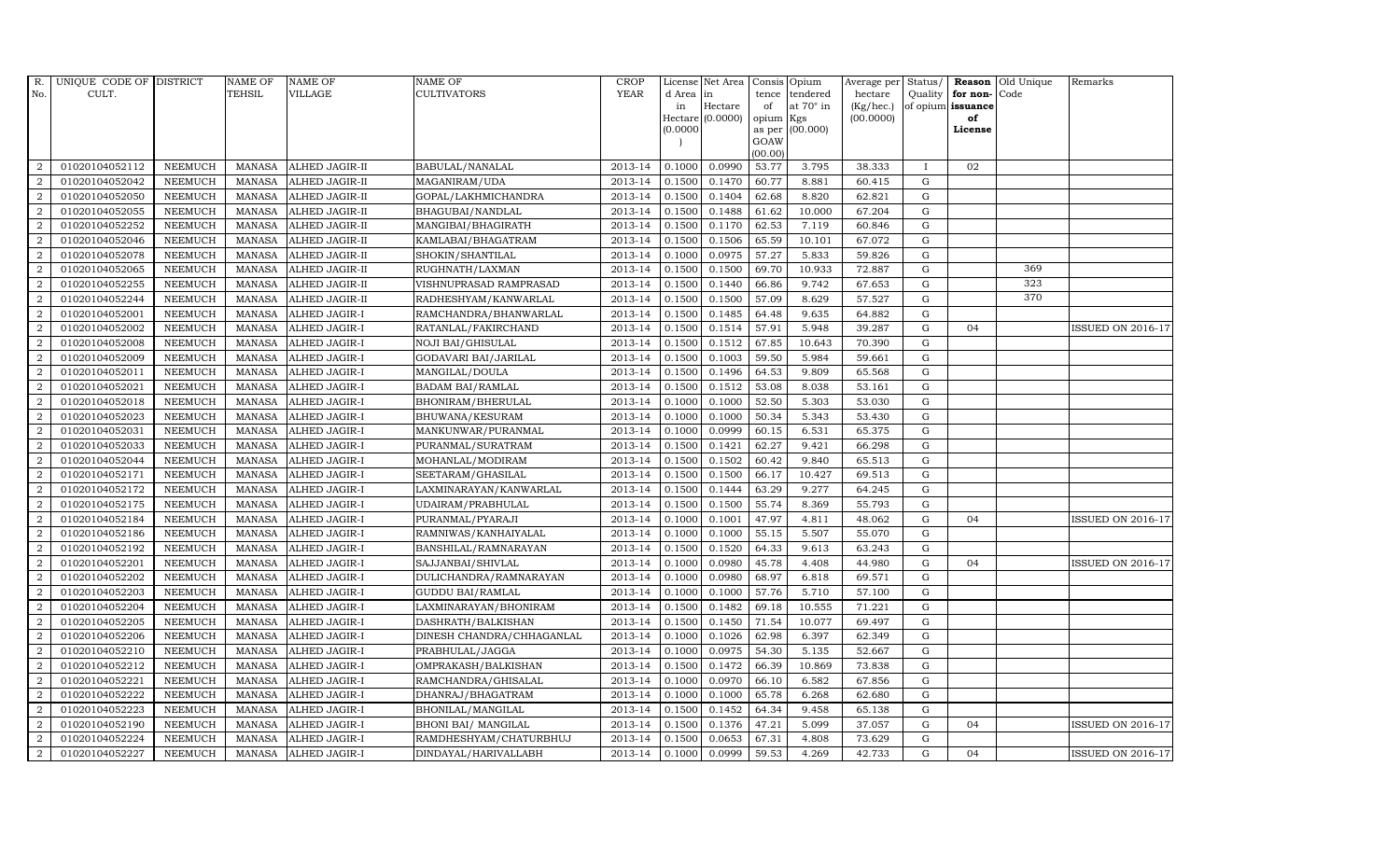| R.             | UNIQUE CODE OF DISTRICT |                | <b>NAME OF</b> | <b>NAME OF</b>       | NAME OF                    | <b>CROP</b> |           | License Net Area | Consis Opium   |                  | Average per Status/ |              |                      | <b>Reason</b> Old Unique | Remarks                  |
|----------------|-------------------------|----------------|----------------|----------------------|----------------------------|-------------|-----------|------------------|----------------|------------------|---------------------|--------------|----------------------|--------------------------|--------------------------|
| No.            | CULT.                   |                | TEHSIL         | <b>VILLAGE</b>       | CULTIVATORS                | <b>YEAR</b> | d Area in |                  | tence          | tendered         | hectare             |              | Quality $ $ for non- | Code                     |                          |
|                |                         |                |                |                      |                            |             | in        | Hectare          | of             | at $70^\circ$ in | (Kg/hec.)           |              | of opium issuance    |                          |                          |
|                |                         |                |                |                      |                            |             |           | Hectare (0.0000) | opium          | Kgs              | (00.0000)           |              | of                   |                          |                          |
|                |                         |                |                |                      |                            |             | (0.0000)  |                  | as per<br>GOAW | (00.000)         |                     |              | License              |                          |                          |
|                |                         |                |                |                      |                            |             |           |                  | (00.00)        |                  |                     |              |                      |                          |                          |
| 2              | 01020104052112          | <b>NEEMUCH</b> | MANASA         | ALHED JAGIR-II       | BABULAL/NANALAL            | 2013-14     | 0.1000    | 0.0990           | 53.77          | 3.795            | 38.333              | $\mathbf{I}$ | 02                   |                          |                          |
| $\overline{2}$ | 01020104052042          | <b>NEEMUCH</b> | <b>MANASA</b>  | ALHED JAGIR-II       | MAGANIRAM/UDA              | 2013-14     | 0.1500    | 0.1470           | 60.77          | 8.881            | 60.415              | G            |                      |                          |                          |
| $\overline{2}$ | 01020104052050          | <b>NEEMUCH</b> | <b>MANASA</b>  | ALHED JAGIR-II       | GOPAL/LAKHMICHANDRA        | 2013-14     | 0.1500    | 0.1404           | 62.68          | 8.820            | 62.821              | G            |                      |                          |                          |
| $\overline{2}$ | 01020104052055          | <b>NEEMUCH</b> | <b>MANASA</b>  | ALHED JAGIR-II       | BHAGUBAI/NANDLAL           | 2013-14     | 0.1500    | 0.1488           | 61.62          | 10.000           | 67.204              | G            |                      |                          |                          |
| $\overline{2}$ | 01020104052252          | <b>NEEMUCH</b> | <b>MANASA</b>  | ALHED JAGIR-II       | MANGIBAI/BHAGIRATH         | 2013-14     | 0.1500    | 0.1170           | 62.53          | 7.119            | 60.846              | ${\rm G}$    |                      |                          |                          |
| $\overline{a}$ | 01020104052046          | <b>NEEMUCH</b> | <b>MANASA</b>  | ALHED JAGIR-II       | KAMLABAI/BHAGATRAM         | 2013-14     | 0.1500    | 0.1506           | 65.59          | 10.101           | 67.072              | G            |                      |                          |                          |
| $\overline{2}$ | 01020104052078          | <b>NEEMUCH</b> | <b>MANASA</b>  | ALHED JAGIR-II       | SHOKIN/SHANTILAL           | 2013-14     | 0.1000    | 0.0975           | 57.27          | 5.833            | 59.826              | G            |                      |                          |                          |
| 2              | 01020104052065          | <b>NEEMUCH</b> | <b>MANASA</b>  | ALHED JAGIR-II       | RUGHNATH/LAXMAN            | 2013-14     | 0.1500    | 0.1500           | 69.70          | 10.933           | 72.887              | G            |                      | 369                      |                          |
| $\overline{2}$ | 01020104052255          | <b>NEEMUCH</b> | <b>MANASA</b>  | ALHED JAGIR-II       | VISHNUPRASAD RAMPRASAD     | 2013-14     | 0.1500    | 0.1440           | 66.86          | 9.742            | 67.653              | G            |                      | 323                      |                          |
| $\overline{2}$ | 01020104052244          | <b>NEEMUCH</b> | <b>MANASA</b>  | ALHED JAGIR-II       | RADHESHYAM/KANWARLAL       | 2013-14     | 0.1500    | 0.1500           | 57.09          | 8.629            | 57.527              | G            |                      | 370                      |                          |
| $\overline{2}$ | 01020104052001          | <b>NEEMUCH</b> | <b>MANASA</b>  | ALHED JAGIR-I        | RAMCHANDRA/BHANWARLAL      | 2013-14     | 0.1500    | 0.1485           | 64.48          | 9.635            | 64.882              | G            |                      |                          |                          |
| $\overline{a}$ | 01020104052002          | <b>NEEMUCH</b> | <b>MANASA</b>  | ALHED JAGIR-I        | RATANLAL/FAKIRCHAND        | 2013-14     | 0.1500    | 0.1514           | 57.91          | 5.948            | 39.287              | G            | 04                   |                          | <b>ISSUED ON 2016-17</b> |
| 2              | 01020104052008          | <b>NEEMUCH</b> | <b>MANASA</b>  | ALHED JAGIR-I        | <b>NOJI BAI/GHISULAL</b>   | 2013-14     | 0.1500    | 0.1512           | 67.85          | 10.643           | 70.390              | G            |                      |                          |                          |
| $\overline{2}$ | 01020104052009          | <b>NEEMUCH</b> | <b>MANASA</b>  | ALHED JAGIR-I        | GODAVARI BAI/JARILAL       | 2013-14     | 0.1500    | 0.1003           | 59.50          | 5.984            | 59.661              | G            |                      |                          |                          |
| $\overline{a}$ | 01020104052011          | <b>NEEMUCH</b> | <b>MANASA</b>  | ALHED JAGIR-I        | MANGILAL/DOULA             | 2013-14     | 0.1500    | 0.1496           | 64.53          | 9.809            | 65.568              | ${\rm G}$    |                      |                          |                          |
| $\overline{2}$ | 01020104052021          | <b>NEEMUCH</b> | <b>MANASA</b>  | ALHED JAGIR-I        | <b>BADAM BAI/RAMLAL</b>    | 2013-14     | 0.1500    | 0.1512           | 53.08          | 8.038            | 53.161              | G            |                      |                          |                          |
| $\overline{a}$ | 01020104052018          | <b>NEEMUCH</b> | <b>MANASA</b>  | ALHED JAGIR-I        | BHONIRAM/BHERULAL          | 2013-14     | 0.1000    | 0.1000           | 52.50          | 5.303            | 53.030              | G            |                      |                          |                          |
| $\overline{a}$ | 01020104052023          | <b>NEEMUCH</b> | <b>MANASA</b>  | ALHED JAGIR-I        | BHUWANA/KESURAM            | 2013-14     | 0.1000    | 0.1000           | 50.34          | 5.343            | 53.430              | G            |                      |                          |                          |
| $\overline{2}$ | 01020104052031          | <b>NEEMUCH</b> | <b>MANASA</b>  | ALHED JAGIR-I        | MANKUNWAR/PURANMAL         | 2013-14     | 0.1000    | 0.0999           | 60.15          | 6.531            | 65.375              | ${\bf G}$    |                      |                          |                          |
| $\overline{2}$ | 01020104052033          | <b>NEEMUCH</b> | <b>MANASA</b>  | ALHED JAGIR-I        | PURANMAL/SURATRAM          | 2013-14     | 0.1500    | 0.1421           | 62.27          | 9.421            | 66.298              | ${\bf G}$    |                      |                          |                          |
| $\overline{2}$ | 01020104052044          | <b>NEEMUCH</b> | <b>MANASA</b>  | ALHED JAGIR-I        | MOHANLAL/MODIRAM           | 2013-14     | 0.1500    | 0.1502           | 60.42          | 9.840            | 65.513              | G            |                      |                          |                          |
| 2              | 01020104052171          | <b>NEEMUCH</b> | <b>MANASA</b>  | ALHED JAGIR-I        | SEETARAM/GHASILAL          | 2013-14     | 0.1500    | 0.1500           | 66.17          | 10.427           | 69.513              | G            |                      |                          |                          |
| $\overline{a}$ | 01020104052172          | <b>NEEMUCH</b> | <b>MANASA</b>  | ALHED JAGIR-I        | LAXMINARAYAN/KANWARLAL     | 2013-14     | 0.1500    | 0.1444           | 63.29          | 9.277            | 64.245              | G            |                      |                          |                          |
| 2              | 01020104052175          | <b>NEEMUCH</b> | <b>MANASA</b>  | ALHED JAGIR-I        | UDAIRAM/PRABHULAL          | 2013-14     | 0.1500    | 0.1500           | 55.74          | 8.369            | 55.793              | G            |                      |                          |                          |
| $\overline{2}$ | 01020104052184          | <b>NEEMUCH</b> | <b>MANASA</b>  | ALHED JAGIR-I        | PURANMAL/PYARAJI           | 2013-14     | 0.1000    | 0.1001           | 47.97          | 4.811            | 48.062              | G            | 04                   |                          | <b>ISSUED ON 2016-17</b> |
| $\overline{a}$ | 01020104052186          | <b>NEEMUCH</b> | <b>MANASA</b>  | ALHED JAGIR-I        | RAMNIWAS/KANHAIYALAL       | 2013-14     | 0.1000    | 0.1000           | 55.15          | 5.507            | 55.070              | G            |                      |                          |                          |
| 2              | 01020104052192          | <b>NEEMUCH</b> | <b>MANASA</b>  | ALHED JAGIR-I        | BANSHILAL/RAMNARAYAN       | 2013-14     | 0.1500    | 0.1520           | 64.33          | 9.613            | 63.243              | G            |                      |                          |                          |
| 2              | 01020104052201          | <b>NEEMUCH</b> | <b>MANASA</b>  | ALHED JAGIR-I        | SAJJANBAI/SHIVLAL          | 2013-14     | 0.1000    | 0.0980           | 45.78          | 4.408            | 44.980              | G            | 04                   |                          | <b>ISSUED ON 2016-17</b> |
| $\overline{2}$ | 01020104052202          | <b>NEEMUCH</b> | <b>MANASA</b>  | ALHED JAGIR-I        | DULICHANDRA/RAMNARAYAN     | 2013-14     | 0.1000    | 0.0980           | 68.97          | 6.818            | 69.571              | G            |                      |                          |                          |
| 2              | 01020104052203          | <b>NEEMUCH</b> | <b>MANASA</b>  | ALHED JAGIR-I        | <b>GUDDU BAI/RAMLAL</b>    | 2013-14     | 0.1000    | 0.1000           | 57.76          | 5.710            | 57.100              | G            |                      |                          |                          |
| $\overline{2}$ | 01020104052204          | <b>NEEMUCH</b> | <b>MANASA</b>  | ALHED JAGIR-I        | LAXMINARAYAN/BHONIRAM      | 2013-14     | 0.1500    | 0.1482           | 69.18          | 10.555           | 71.221              | G            |                      |                          |                          |
| 2              | 01020104052205          | <b>NEEMUCH</b> | <b>MANASA</b>  | ALHED JAGIR-I        | DASHRATH/BALKISHAN         | 2013-14     | 0.1500    | 0.1450           | 71.54          | 10.077           | 69.497              | G            |                      |                          |                          |
| $\overline{a}$ | 01020104052206          | <b>NEEMUCH</b> | <b>MANASA</b>  | ALHED JAGIR-I        | DINESH CHANDRA/CHHAGANLAL  | 2013-14     | 0.1000    | 0.1026           | 62.98          | 6.397            | 62.349              | G            |                      |                          |                          |
| $\overline{2}$ | 01020104052210          | <b>NEEMUCH</b> | <b>MANASA</b>  | ALHED JAGIR-I        | PRABHULAL/JAGGA            | 2013-14     | 0.1000    | 0.0975           | 54.30          | 5.135            | 52.667              | G            |                      |                          |                          |
| $\overline{2}$ | 01020104052212          | <b>NEEMUCH</b> | <b>MANASA</b>  | ALHED JAGIR-I        | OMPRAKASH/BALKISHAN        | 2013-14     | 0.1500    | 0.1472           | 66.39          | 10.869           | 73.838              | G            |                      |                          |                          |
| $\overline{2}$ | 01020104052221          | <b>NEEMUCH</b> | <b>MANASA</b>  | ALHED JAGIR-I        | RAMCHANDRA/GHISALAL        | 2013-14     | 0.1000    | 0.0970           | 66.10          | 6.582            | 67.856              | G            |                      |                          |                          |
| $\overline{2}$ | 01020104052222          | <b>NEEMUCH</b> | <b>MANASA</b>  | ALHED JAGIR-I        | DHANRAJ/BHAGATRAM          | 2013-14     | 0.1000    | 0.1000           | 65.78          | 6.268            | 62.680              | G            |                      |                          |                          |
| $\overline{a}$ | 01020104052223          | <b>NEEMUCH</b> | <b>MANASA</b>  | ALHED JAGIR-I        | BHONILAL/MANGILAL          | 2013-14     | 0.1500    | 0.1452           | 64.34          | 9.458            | 65.138              | G            |                      |                          |                          |
| $\overline{2}$ | 01020104052190          | <b>NEEMUCH</b> | <b>MANASA</b>  | ALHED JAGIR-I        | <b>BHONI BAI/ MANGILAL</b> | 2013-14     | 0.1500    | 0.1376           | 47.21          | 5.099            | 37.057              | G            | 04                   |                          | <b>ISSUED ON 2016-17</b> |
| 2              | 01020104052224          | <b>NEEMUCH</b> | <b>MANASA</b>  | ALHED JAGIR-I        | RAMDHESHYAM/CHATURBHUJ     | 2013-14     | 0.1500    | 0.0653           | 67.31          | 4.808            | 73.629              | G            |                      |                          |                          |
| $\overline{a}$ | 01020104052227          | NEEMUCH        | <b>MANASA</b>  | <b>ALHED JAGIR-I</b> | DINDAYAL/HARIVALLABH       | 2013-14     | 0.1000    | 0.0999           | 59.53          | 4.269            | 42.733              | G            | 04                   |                          | <b>ISSUED ON 2016-17</b> |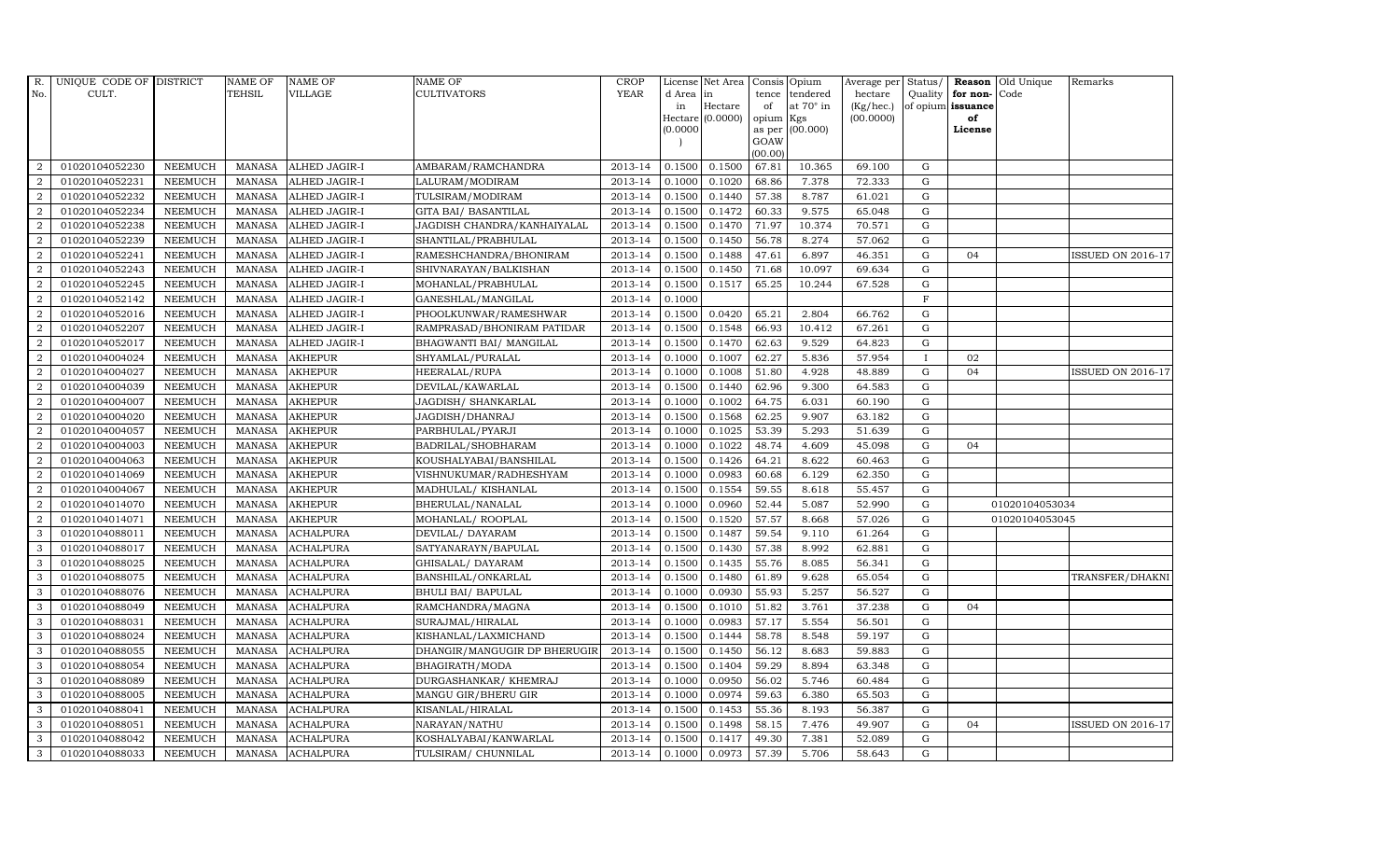| R.               | UNIQUE CODE OF DISTRICT |                | <b>NAME OF</b> | <b>NAME OF</b>   | NAME OF                      | <b>CROP</b> |          | License Net Area   |           | Consis Opium    | Average per | Status/      | <b>Reason</b>     | Old Unique     | Remarks                  |
|------------------|-------------------------|----------------|----------------|------------------|------------------------------|-------------|----------|--------------------|-----------|-----------------|-------------|--------------|-------------------|----------------|--------------------------|
| No.              | CULT.                   |                | <b>TEHSIL</b>  | VILLAGE          | <b>CULTIVATORS</b>           | <b>YEAR</b> | d Area   | in                 | tence     | tendered        | hectare     | Quality      | for non-          | Code           |                          |
|                  |                         |                |                |                  |                              |             | in       | Hectare            | of        | at 70° in       | (Kg/hec.)   |              | of opium issuance |                |                          |
|                  |                         |                |                |                  |                              |             | (0.0000) | $Hectare (0.0000)$ | opium Kgs | as per (00.000) | (00.0000)   |              | of<br>License     |                |                          |
|                  |                         |                |                |                  |                              |             |          |                    | GOAW      |                 |             |              |                   |                |                          |
|                  |                         |                |                |                  |                              |             |          |                    | (00.00)   |                 |             |              |                   |                |                          |
| 2                | 01020104052230          | <b>NEEMUCH</b> | <b>MANASA</b>  | ALHED JAGIR-I    | AMBARAM/RAMCHANDRA           | 2013-14     | 0.1500   | 0.1500             | 67.81     | 10.365          | 69.100      | G            |                   |                |                          |
| 2                | 01020104052231          | <b>NEEMUCH</b> | <b>MANASA</b>  | ALHED JAGIR-I    | LALURAM/MODIRAM              | 2013-14     | 0.1000   | 0.1020             | 68.86     | 7.378           | 72.333      | ${\rm G}$    |                   |                |                          |
| 2                | 01020104052232          | <b>NEEMUCH</b> | <b>MANASA</b>  | ALHED JAGIR-I    | TULSIRAM/MODIRAM             | 2013-14     | 0.1500   | 0.1440             | 57.38     | 8.787           | 61.021      | G            |                   |                |                          |
| $\overline{2}$   | 01020104052234          | <b>NEEMUCH</b> | <b>MANASA</b>  | ALHED JAGIR-I    | <b>GITA BAI/ BASANTILAL</b>  | 2013-14     | 0.1500   | 0.1472             | 60.33     | 9.575           | 65.048      | $\mathbf G$  |                   |                |                          |
| $\overline{2}$   | 01020104052238          | <b>NEEMUCH</b> | <b>MANASA</b>  | ALHED JAGIR-I    | JAGDISH CHANDRA/KANHAIYALAL  | 2013-14     | 0.1500   | 0.1470             | 71.97     | 10.374          | 70.571      | ${\rm G}$    |                   |                |                          |
| $\overline{2}$   | 01020104052239          | <b>NEEMUCH</b> | <b>MANASA</b>  | ALHED JAGIR-I    | SHANTILAL/PRABHULAL          | 2013-14     | 0.1500   | 0.1450             | 56.78     | 8.274           | 57.062      | $\mathbf G$  |                   |                |                          |
| $\overline{2}$   | 01020104052241          | <b>NEEMUCH</b> | <b>MANASA</b>  | ALHED JAGIR-I    | RAMESHCHANDRA/BHONIRAM       | 2013-14     | 0.1500   | 0.1488             | 47.61     | 6.897           | 46.351      | ${\rm G}$    | 04                |                | <b>ISSUED ON 2016-17</b> |
| $\overline{2}$   | 01020104052243          | <b>NEEMUCH</b> | <b>MANASA</b>  | ALHED JAGIR-I    | SHIVNARAYAN/BALKISHAN        | 2013-14     | 0.1500   | 0.1450             | 71.68     | 10.097          | 69.634      | $\mathbf G$  |                   |                |                          |
| $\overline{2}$   | 01020104052245          | <b>NEEMUCH</b> | <b>MANASA</b>  | ALHED JAGIR-I    | MOHANLAL/PRABHULAL           | 2013-14     | 0.1500   | 0.1517             | 65.25     | 10.244          | 67.528      | G            |                   |                |                          |
| 2                | 01020104052142          | <b>NEEMUCH</b> | <b>MANASA</b>  | ALHED JAGIR-I    | GANESHLAL/MANGILAL           | 2013-14     | 0.1000   |                    |           |                 |             | $\mathbf F$  |                   |                |                          |
| $\overline{2}$   | 01020104052016          | <b>NEEMUCH</b> | <b>MANASA</b>  | ALHED JAGIR-I    | PHOOLKUNWAR/RAMESHWAR        | 2013-14     | 0.1500   | 0.0420             | 65.21     | 2.804           | 66.762      | ${\rm G}$    |                   |                |                          |
| 2                | 01020104052207          | <b>NEEMUCH</b> | <b>MANASA</b>  | ALHED JAGIR-I    | RAMPRASAD/BHONIRAM PATIDAR   | 2013-14     | 0.1500   | 0.1548             | 66.93     | 10.412          | 67.261      | G            |                   |                |                          |
| 2                | 01020104052017          | <b>NEEMUCH</b> | <b>MANASA</b>  | ALHED JAGIR-I    | BHAGWANTI BAI/ MANGILAL      | 2013-14     | 0.1500   | 0.1470             | 62.63     | 9.529           | 64.823      | G            |                   |                |                          |
| 2                | 01020104004024          | <b>NEEMUCH</b> | <b>MANASA</b>  | <b>AKHEPUR</b>   | SHYAMLAL/PURALAL             | 2013-14     | 0.1000   | 0.1007             | 62.27     | 5.836           | 57.954      | $\mathbf{I}$ | 02                |                |                          |
| $\overline{2}$   | 01020104004027          | <b>NEEMUCH</b> | <b>MANASA</b>  | <b>AKHEPUR</b>   | HEERALAL/RUPA                | 2013-14     | 0.1000   | 0.1008             | 51.80     | 4.928           | 48.889      | ${\rm G}$    | 04                |                | <b>ISSUED ON 2016-17</b> |
| $\overline{2}$   | 01020104004039          | <b>NEEMUCH</b> | <b>MANASA</b>  | <b>AKHEPUR</b>   | DEVILAL/KAWARLAL             | 2013-14     | 0.1500   | 0.1440             | 62.96     | 9.300           | 64.583      | ${\rm G}$    |                   |                |                          |
| 2                | 01020104004007          | <b>NEEMUCH</b> | <b>MANASA</b>  | <b>AKHEPUR</b>   | JAGDISH / SHANKARLAL         | 2013-14     | 0.1000   | 0.1002             | 64.75     | 6.031           | 60.190      | G            |                   |                |                          |
| 2                | 01020104004020          | <b>NEEMUCH</b> | <b>MANASA</b>  | <b>AKHEPUR</b>   | JAGDISH/DHANRAJ              | 2013-14     | 0.1500   | 0.1568             | 62.25     | 9.907           | 63.182      | $\mathbf G$  |                   |                |                          |
| $\overline{2}$   | 01020104004057          | <b>NEEMUCH</b> | <b>MANASA</b>  | <b>AKHEPUR</b>   | PARBHULAL/PYARJI             | 2013-14     | 0.1000   | 0.1025             | 53.39     | 5.293           | 51.639      | $\mathbf G$  |                   |                |                          |
| $\overline{2}$   | 01020104004003          | <b>NEEMUCH</b> | MANASA         | <b>AKHEPUR</b>   | BADRILAL/SHOBHARAM           | 2013-14     | 0.1000   | 0.1022             | 48.74     | 4.609           | 45.098      | $\mathbf G$  | 04                |                |                          |
| $\overline{2}$   | 01020104004063          | <b>NEEMUCH</b> | <b>MANASA</b>  | <b>AKHEPUR</b>   | KOUSHALYABAI/BANSHILAL       | 2013-14     | 0.1500   | 0.1426             | 64.21     | 8.622           | 60.463      | $\mathbf G$  |                   |                |                          |
| $\boldsymbol{2}$ | 01020104014069          | <b>NEEMUCH</b> | <b>MANASA</b>  | <b>AKHEPUR</b>   | VISHNUKUMAR/RADHESHYAM       | 2013-14     | 0.1000   | 0.0983             | 60.68     | 6.129           | 62.350      | G            |                   |                |                          |
| $\overline{2}$   | 01020104004067          | <b>NEEMUCH</b> | <b>MANASA</b>  | <b>AKHEPUR</b>   | MADHULAL/KISHANLAL           | 2013-14     | 0.1500   | 0.1554             | 59.55     | 8.618           | 55.457      | G            |                   |                |                          |
| $\overline{2}$   | 01020104014070          | <b>NEEMUCH</b> | <b>MANASA</b>  | <b>AKHEPUR</b>   | BHERULAL/NANALAL             | 2013-14     | 0.1000   | 0.0960             | 52.44     | 5.087           | 52.990      | ${\rm G}$    |                   | 01020104053034 |                          |
| $\overline{2}$   | 01020104014071          | <b>NEEMUCH</b> | <b>MANASA</b>  | <b>AKHEPUR</b>   | MOHANLAL/ ROOPLAL            | 2013-14     | 0.1500   | 0.1520             | 57.57     | 8.668           | 57.026      | ${\rm G}$    |                   | 01020104053045 |                          |
| 3                | 01020104088011          | <b>NEEMUCH</b> | <b>MANASA</b>  | <b>ACHALPURA</b> | DEVILAL/ DAYARAM             | 2013-14     | 0.1500   | 0.1487             | 59.54     | 9.110           | 61.264      | G            |                   |                |                          |
| 3                | 01020104088017          | <b>NEEMUCH</b> | <b>MANASA</b>  | <b>ACHALPURA</b> | SATYANARAYN/BAPULAL          | 2013-14     | 0.1500   | 0.1430             | 57.38     | 8.992           | 62.881      | ${\rm G}$    |                   |                |                          |
| 3                | 01020104088025          | <b>NEEMUCH</b> | <b>MANASA</b>  | <b>ACHALPURA</b> | GHISALAL/ DAYARAM            | 2013-14     | 0.1500   | 0.1435             | 55.76     | 8.085           | 56.341      | $\mathbf G$  |                   |                |                          |
| 3                | 01020104088075          | <b>NEEMUCH</b> | <b>MANASA</b>  | <b>ACHALPURA</b> | BANSHILAL/ONKARLAL           | 2013-14     | 0.1500   | 0.1480             | 61.89     | 9.628           | 65.054      | $\mathbf G$  |                   |                | TRANSFER/DHAKNI          |
| 3                | 01020104088076          | <b>NEEMUCH</b> | <b>MANASA</b>  | <b>ACHALPURA</b> | <b>BHULI BAI/ BAPULAL</b>    | 2013-14     | 0.1000   | 0.0930             | 55.93     | 5.257           | 56.527      | $\mathbf G$  |                   |                |                          |
| 3                | 01020104088049          | <b>NEEMUCH</b> | <b>MANASA</b>  | <b>ACHALPURA</b> | RAMCHANDRA/MAGNA             | 2013-14     | 0.1500   | 0.1010             | 51.82     | 3.761           | 37.238      | G            | 04                |                |                          |
| 3                | 01020104088031          | <b>NEEMUCH</b> | <b>MANASA</b>  | <b>ACHALPURA</b> | SURAJMAL/HIRALAL             | 2013-14     | 0.1000   | 0.0983             | 57.17     | 5.554           | 56.501      | ${\rm G}$    |                   |                |                          |
| 3                | 01020104088024          | NEEMUCH        | <b>MANASA</b>  | <b>ACHALPURA</b> | KISHANLAL/LAXMICHAND         | 2013-14     | 0.1500   | 0.1444             | 58.78     | 8.548           | 59.197      | ${\rm G}$    |                   |                |                          |
| 3                | 01020104088055          | <b>NEEMUCH</b> | <b>MANASA</b>  | <b>ACHALPURA</b> | DHANGIR/MANGUGIR DP BHERUGIR | 2013-14     | 0.1500   | 0.1450             | 56.12     | 8.683           | 59.883      | $\mathbf G$  |                   |                |                          |
| 3                | 01020104088054          | <b>NEEMUCH</b> | <b>MANASA</b>  | <b>ACHALPURA</b> | BHAGIRATH/MODA               | 2013-14     | 0.1500   | 0.1404             | 59.29     | 8.894           | 63.348      | $\mathbf G$  |                   |                |                          |
| 3                | 01020104088089          | <b>NEEMUCH</b> | <b>MANASA</b>  | <b>ACHALPURA</b> | DURGASHANKAR/ KHEMRAJ        | 2013-14     | 0.1000   | 0.0950             | 56.02     | 5.746           | 60.484      | ${\rm G}$    |                   |                |                          |
| 3                | 01020104088005          | <b>NEEMUCH</b> | <b>MANASA</b>  | <b>ACHALPURA</b> | MANGU GIR/BHERU GIR          | 2013-14     | 0.1000   | 0.0974             | 59.63     | 6.380           | 65.503      | ${\rm G}$    |                   |                |                          |
| 3                | 01020104088041          | NEEMUCH        | <b>MANASA</b>  | <b>ACHALPURA</b> | KISANLAL/HIRALAL             | 2013-14     | 0.1500   | 0.1453             | 55.36     | 8.193           | 56.387      | ${\rm G}$    |                   |                |                          |
| 3                | 01020104088051          | <b>NEEMUCH</b> | <b>MANASA</b>  | <b>ACHALPURA</b> | NARAYAN/NATHU                | 2013-14     | 0.1500   | 0.1498             | 58.15     | 7.476           | 49.907      | $\mathbf G$  | 04                |                | <b>ISSUED ON 2016-17</b> |
| 3                | 01020104088042          | <b>NEEMUCH</b> | <b>MANASA</b>  | <b>ACHALPURA</b> | KOSHALYABAI/KANWARLAL        | 2013-14     | 0.1500   | 0.1417             | 49.30     | 7.381           | 52.089      | G            |                   |                |                          |
| 3                | 01020104088033          | <b>NEEMUCH</b> | MANASA         | <b>ACHALPURA</b> | TULSIRAM/ CHUNNILAL          | 2013-14     | 0.1000   | 0.0973             | 57.39     | 5.706           | 58.643      | G            |                   |                |                          |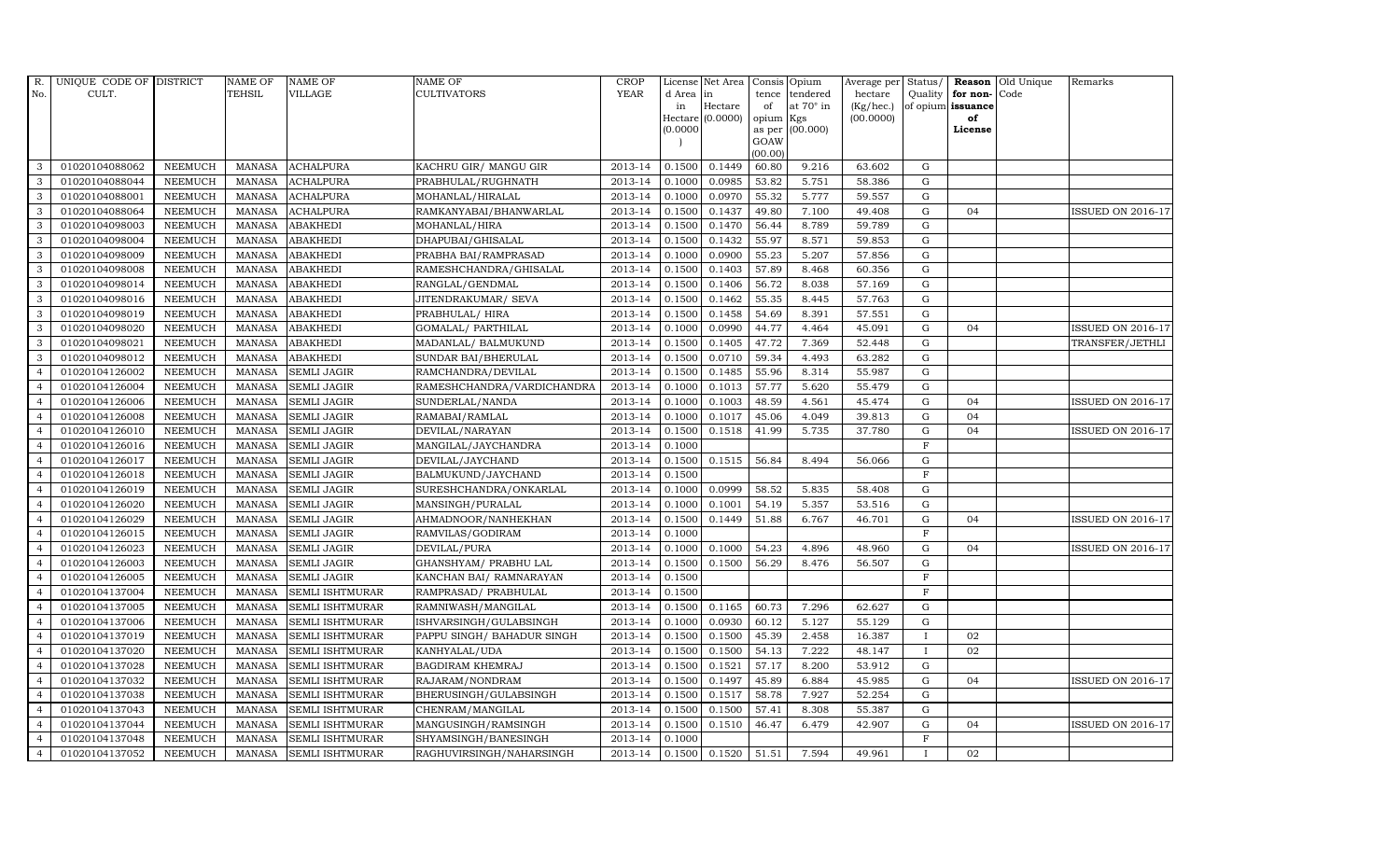| R.             | UNIQUE CODE OF DISTRICT |                | <b>NAME OF</b> | <b>NAME OF</b>         | NAME OF                    | <b>CROP</b> |          | License Net Area   |           | Consis Opium    | Average per | Status/      | Reason            | Old Unique | Remarks                  |
|----------------|-------------------------|----------------|----------------|------------------------|----------------------------|-------------|----------|--------------------|-----------|-----------------|-------------|--------------|-------------------|------------|--------------------------|
| No.            | CULT.                   |                | <b>TEHSIL</b>  | VILLAGE                | <b>CULTIVATORS</b>         | <b>YEAR</b> | d Area   | in                 | tence     | tendered        | hectare     | Quality      | for non-          | Code       |                          |
|                |                         |                |                |                        |                            |             | in       | Hectare            | of        | at 70° in       | (Kg/hec.)   |              | of opium issuance |            |                          |
|                |                         |                |                |                        |                            |             |          | $Hectare (0.0000)$ | opium Kgs |                 | (00.0000)   |              | of<br>License     |            |                          |
|                |                         |                |                |                        |                            |             | (0.0000) |                    | GOAW      | as per (00.000) |             |              |                   |            |                          |
|                |                         |                |                |                        |                            |             |          |                    | (00.00)   |                 |             |              |                   |            |                          |
| 3              | 01020104088062          | <b>NEEMUCH</b> | MANASA         | <b>ACHALPURA</b>       | KACHRU GIR/ MANGU GIR      | 2013-14     | 0.1500   | 0.1449             | 60.80     | 9.216           | 63.602      | G            |                   |            |                          |
| 3              | 01020104088044          | <b>NEEMUCH</b> | <b>MANASA</b>  | <b>ACHALPURA</b>       | PRABHULAL/RUGHNATH         | 2013-14     | 0.1000   | 0.0985             | 53.82     | 5.751           | 58.386      | ${\rm G}$    |                   |            |                          |
| 3              | 01020104088001          | <b>NEEMUCH</b> | <b>MANASA</b>  | <b>ACHALPURA</b>       | MOHANLAL/HIRALAL           | 2013-14     | 0.1000   | 0.0970             | 55.32     | 5.777           | 59.557      | G            |                   |            |                          |
| 3              | 01020104088064          | <b>NEEMUCH</b> | <b>MANASA</b>  | <b>ACHALPURA</b>       | RAMKANYABAI/BHANWARLAL     | 2013-14     | 0.1500   | 0.1437             | 49.80     | 7.100           | 49.408      | $\mathbf G$  | 04                |            | ISSUED ON 2016-17        |
| 3              | 01020104098003          | <b>NEEMUCH</b> | <b>MANASA</b>  | <b>ABAKHEDI</b>        | MOHANLAL/HIRA              | 2013-14     | 0.1500   | 0.1470             | 56.44     | 8.789           | 59.789      | ${\rm G}$    |                   |            |                          |
| 3              | 01020104098004          | <b>NEEMUCH</b> | <b>MANASA</b>  | <b>ABAKHEDI</b>        | DHAPUBAI/GHISALAL          | 2013-14     | 0.1500   | 0.1432             | 55.97     | 8.571           | 59.853      | $\mathbf G$  |                   |            |                          |
| 3              | 01020104098009          | <b>NEEMUCH</b> | <b>MANASA</b>  | <b>ABAKHEDI</b>        | PRABHA BAI/RAMPRASAD       | 2013-14     | 0.1000   | 0.0900             | 55.23     | 5.207           | 57.856      | ${\rm G}$    |                   |            |                          |
| 3              | 01020104098008          | <b>NEEMUCH</b> | <b>MANASA</b>  | <b>ABAKHEDI</b>        | RAMESHCHANDRA/GHISALAL     | 2013-14     | 0.1500   | 0.1403             | 57.89     | 8.468           | 60.356      | $\mathbf G$  |                   |            |                          |
| 3              | 01020104098014          | <b>NEEMUCH</b> | <b>MANASA</b>  | <b>ABAKHEDI</b>        | RANGLAL/GENDMAL            | 2013-14     | 0.1500   | 0.1406             | 56.72     | 8.038           | 57.169      | G            |                   |            |                          |
| 3              | 01020104098016          | <b>NEEMUCH</b> | <b>MANASA</b>  | <b>ABAKHEDI</b>        | JITENDRAKUMAR / SEVA       | 2013-14     | 0.1500   | 0.1462             | 55.35     | 8.445           | 57.763      | ${\rm G}$    |                   |            |                          |
| 3              | 01020104098019          | <b>NEEMUCH</b> | <b>MANASA</b>  | <b>ABAKHEDI</b>        | PRABHULAL/HIRA             | 2013-14     | 0.1500   | 0.1458             | 54.69     | 8.391           | 57.551      | ${\rm G}$    |                   |            |                          |
| 3              | 01020104098020          | <b>NEEMUCH</b> | <b>MANASA</b>  | <b>ABAKHEDI</b>        | GOMALAL/ PARTHILAL         | 2013-14     | 0.1000   | 0.0990             | 44.77     | 4.464           | 45.091      | $\mathbf G$  | 04                |            | <b>ISSUED ON 2016-17</b> |
| 3              | 01020104098021          | <b>NEEMUCH</b> | <b>MANASA</b>  | <b>ABAKHEDI</b>        | MADANLAL/ BALMUKUND        | 2013-14     | 0.1500   | 0.1405             | 47.72     | 7.369           | 52.448      | $\mathbf G$  |                   |            | TRANSFER/JETHLI          |
| 3              | 01020104098012          | <b>NEEMUCH</b> | <b>MANASA</b>  | <b>ABAKHEDI</b>        | SUNDAR BAI/BHERULAL        | 2013-14     | 0.1500   | 0.0710             | 59.34     | 4.493           | 63.282      | $\mathbf G$  |                   |            |                          |
| $\overline{4}$ | 01020104126002          | <b>NEEMUCH</b> | <b>MANASA</b>  | <b>SEMLI JAGIR</b>     | RAMCHANDRA/DEVILAL         | 2013-14     | 0.1500   | 0.1485             | 55.96     | 8.314           | 55.987      | ${\rm G}$    |                   |            |                          |
| $\overline{4}$ | 01020104126004          | <b>NEEMUCH</b> | <b>MANASA</b>  | <b>SEMLI JAGIR</b>     | RAMESHCHANDRA/VARDICHANDRA | 2013-14     | 0.1000   | 0.1013             | 57.77     | 5.620           | 55.479      | ${\rm G}$    |                   |            |                          |
| $\overline{4}$ | 01020104126006          | <b>NEEMUCH</b> | <b>MANASA</b>  | <b>SEMLI JAGIR</b>     | SUNDERLAL/NANDA            | 2013-14     | 0.1000   | 0.1003             | 48.59     | 4.561           | 45.474      | G            | 04                |            | <b>ISSUED ON 2016-17</b> |
| $\overline{4}$ | 01020104126008          | <b>NEEMUCH</b> | <b>MANASA</b>  | <b>SEMLI JAGIR</b>     | RAMABAI/RAMLAL             | 2013-14     | 0.1000   | 0.1017             | 45.06     | 4.049           | 39.813      | $\mathbf G$  | 04                |            |                          |
| $\overline{4}$ | 01020104126010          | <b>NEEMUCH</b> | <b>MANASA</b>  | <b>SEMLI JAGIR</b>     | DEVILAL/NARAYAN            | 2013-14     | 0.1500   | 0.1518             | 41.99     | 5.735           | 37.780      | $\mathbf G$  | 0 <sub>4</sub>    |            | <b>ISSUED ON 2016-17</b> |
| $\overline{4}$ | 01020104126016          | <b>NEEMUCH</b> | MANASA         | <b>SEMLI JAGIR</b>     | MANGILAL/JAYCHANDRA        | 2013-14     | 0.1000   |                    |           |                 |             | $\mathbf F$  |                   |            |                          |
| $\overline{4}$ | 01020104126017          | <b>NEEMUCH</b> | <b>MANASA</b>  | <b>SEMLI JAGIR</b>     | DEVILAL/JAYCHAND           | 2013-14     | 0.1500   | 0.1515             | 56.84     | 8.494           | 56.066      | $\mathbf G$  |                   |            |                          |
| $\overline{4}$ | 01020104126018          | <b>NEEMUCH</b> | <b>MANASA</b>  | <b>SEMLI JAGIR</b>     | BALMUKUND/JAYCHAND         | 2013-14     | 0.1500   |                    |           |                 |             | F            |                   |            |                          |
| $\overline{4}$ | 01020104126019          | <b>NEEMUCH</b> | <b>MANASA</b>  | <b>SEMLI JAGIR</b>     | SURESHCHANDRA/ONKARLAL     | 2013-14     | 0.1000   | 0.0999             | 58.52     | 5.835           | 58.408      | G            |                   |            |                          |
| $\overline{4}$ | 01020104126020          | <b>NEEMUCH</b> | <b>MANASA</b>  | <b>SEMLI JAGIR</b>     | MANSINGH/PURALAL           | 2013-14     | 0.1000   | 0.1001             | 54.19     | 5.357           | 53.516      | $\mathbf G$  |                   |            |                          |
| $\overline{4}$ | 01020104126029          | <b>NEEMUCH</b> | <b>MANASA</b>  | <b>SEMLI JAGIR</b>     | AHMADNOOR/NANHEKHAN        | 2013-14     | 0.1500   | 0.1449             | 51.88     | 6.767           | 46.701      | $\mathbf G$  | 04                |            | <b>ISSUED ON 2016-17</b> |
| $\overline{4}$ | 01020104126015          | <b>NEEMUCH</b> | <b>MANASA</b>  | <b>SEMLI JAGIR</b>     | RAMVILAS/GODIRAM           | 2013-14     | 0.1000   |                    |           |                 |             | $\mathbf F$  |                   |            |                          |
| $\overline{4}$ | 01020104126023          | <b>NEEMUCH</b> | <b>MANASA</b>  | <b>SEMLI JAGIR</b>     | DEVILAL/PURA               | 2013-14     | 0.1000   | 0.1000             | 54.23     | 4.896           | 48.960      | ${\rm G}$    | 04                |            | <b>ISSUED ON 2016-17</b> |
| $\overline{4}$ | 01020104126003          | <b>NEEMUCH</b> | <b>MANASA</b>  | <b>SEMLI JAGIR</b>     | GHANSHYAM/ PRABHU LAL      | 2013-14     | 0.1500   | 0.1500             | 56.29     | 8.476           | 56.507      | $\mathbf G$  |                   |            |                          |
| $\overline{4}$ | 01020104126005          | <b>NEEMUCH</b> | <b>MANASA</b>  | <b>SEMLI JAGIR</b>     | KANCHAN BAI/ RAMNARAYAN    | 2013-14     | 0.1500   |                    |           |                 |             | $\mathbf F$  |                   |            |                          |
| $\overline{4}$ | 01020104137004          | <b>NEEMUCH</b> | <b>MANASA</b>  | SEMLI ISHTMURAR        | RAMPRASAD/ PRABHULAL       | 2013-14     | 0.1500   |                    |           |                 |             | $\mathbf F$  |                   |            |                          |
| $\overline{4}$ | 01020104137005          | <b>NEEMUCH</b> | <b>MANASA</b>  | SEMLI ISHTMURAR        | RAMNIWASH/MANGILAL         | 2013-14     | 0.1500   | 0.1165             | 60.73     | 7.296           | 62.627      | G            |                   |            |                          |
| $\overline{4}$ | 01020104137006          | <b>NEEMUCH</b> | <b>MANASA</b>  | SEMLI ISHTMURAR        | ISHVARSINGH/GULABSINGH     | 2013-14     | 0.1000   | 0.0930             | 60.12     | 5.127           | 55.129      | ${\rm G}$    |                   |            |                          |
| $\overline{4}$ | 01020104137019          | NEEMUCH        | <b>MANASA</b>  | SEMLI ISHTMURAR        | PAPPU SINGH/ BAHADUR SINGH | 2013-14     | 0.1500   | 0.1500             | 45.39     | 2.458           | 16.387      | $\mathbf{I}$ | 02                |            |                          |
| $\overline{4}$ | 01020104137020          | <b>NEEMUCH</b> | <b>MANASA</b>  | SEMLI ISHTMURAR        | KANHYALAL/UDA              | 2013-14     | 0.1500   | 0.1500             | 54.13     | 7.222           | 48.147      | $\mathbf{I}$ | 02                |            |                          |
| $\overline{4}$ | 01020104137028          | <b>NEEMUCH</b> | <b>MANASA</b>  | SEMLI ISHTMURAR        | BAGDIRAM KHEMRAJ           | 2013-14     | 0.1500   | 0.1521             | 57.17     | 8.200           | 53.912      | $\mathbf G$  |                   |            |                          |
| $\overline{4}$ | 01020104137032          | <b>NEEMUCH</b> | <b>MANASA</b>  | SEMLI ISHTMURAR        | RAJARAM/NONDRAM            | 2013-14     | 0.1500   | 0.1497             | 45.89     | 6.884           | 45.985      | ${\rm G}$    | 04                |            | <b>ISSUED ON 2016-17</b> |
| $\overline{4}$ | 01020104137038          | <b>NEEMUCH</b> | <b>MANASA</b>  | SEMLI ISHTMURAR        | BHERUSINGH/GULABSINGH      | 2013-14     | 0.1500   | 0.1517             | 58.78     | 7.927           | 52.254      | ${\rm G}$    |                   |            |                          |
| $\overline{4}$ | 01020104137043          | NEEMUCH        | <b>MANASA</b>  | SEMLI ISHTMURAR        | CHENRAM/MANGILAL           | 2013-14     | 0.1500   | 0.1500             | 57.41     | 8.308           | 55.387      | ${\rm G}$    |                   |            |                          |
| $\overline{4}$ | 01020104137044          | <b>NEEMUCH</b> | <b>MANASA</b>  | SEMLI ISHTMURAR        | MANGUSINGH/RAMSINGH        | 2013-14     | 0.1500   | 0.1510             | 46.47     | 6.479           | 42.907      | $\mathbf G$  | 04                |            | <b>ISSUED ON 2016-17</b> |
| $\overline{4}$ | 01020104137048          | <b>NEEMUCH</b> | <b>MANASA</b>  | SEMLI ISHTMURAR        | SHYAMSINGH/BANESINGH       | 2013-14     | 0.1000   |                    |           |                 |             | $\mathbf F$  |                   |            |                          |
| $\overline{4}$ | 01020104137052          | <b>NEEMUCH</b> | MANASA         | <b>SEMLI ISHTMURAR</b> | RAGHUVIRSINGH/NAHARSINGH   | 2013-14     | 0.1500   | 0.1520             | 51.51     | 7.594           | 49.961      |              | 02                |            |                          |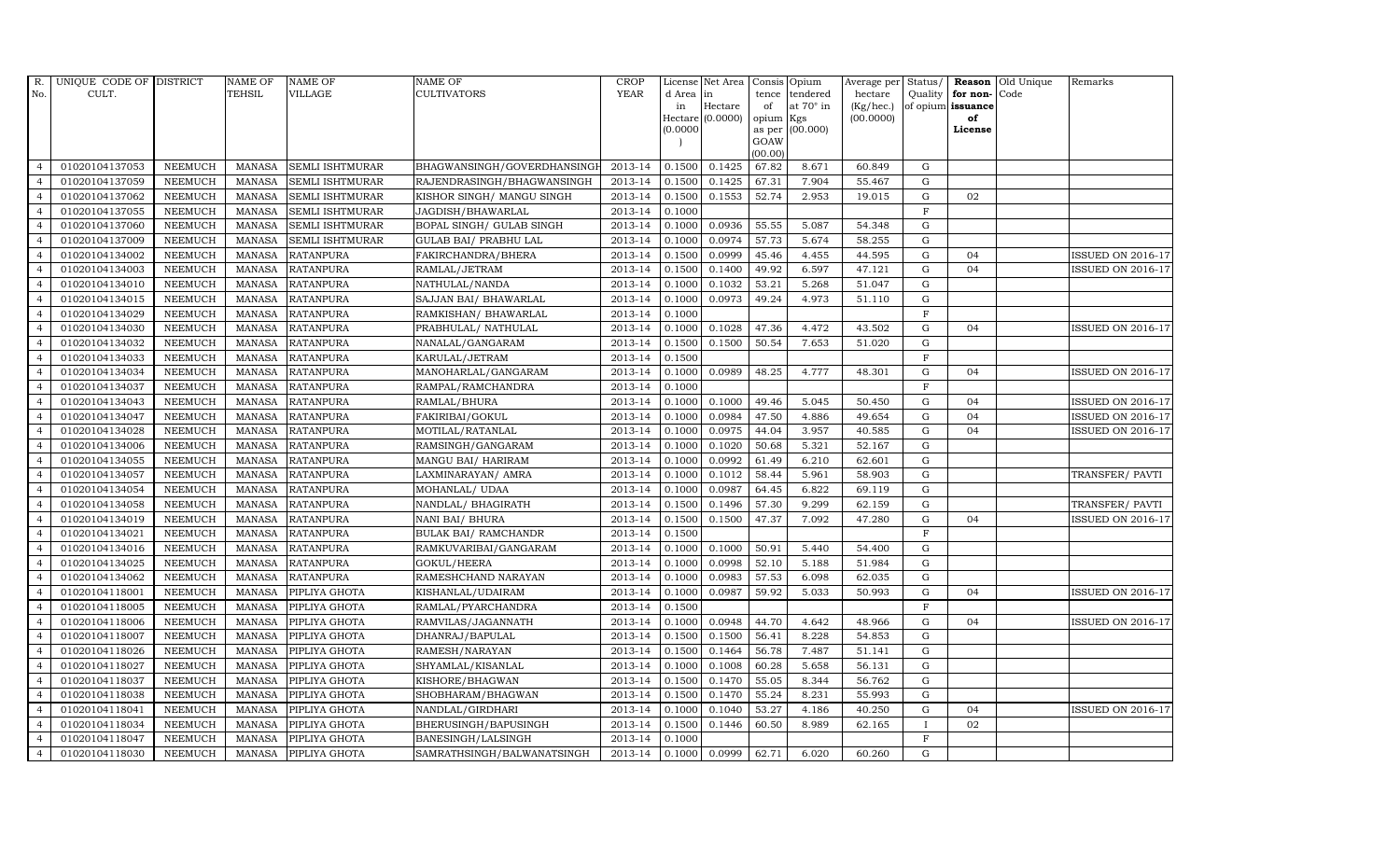| R.             | UNIQUE CODE OF DISTRICT |                | <b>NAME OF</b> | <b>NAME OF</b>         | <b>NAME OF</b>              | CROP        |          | License Net Area   |         | Consis Opium           | Average per | Status/      |                      | <b>Reason</b> Old Unique | Remarks                  |
|----------------|-------------------------|----------------|----------------|------------------------|-----------------------------|-------------|----------|--------------------|---------|------------------------|-------------|--------------|----------------------|--------------------------|--------------------------|
| No.            | CULT.                   |                | <b>TEHSIL</b>  | VILLAGE                | <b>CULTIVATORS</b>          | <b>YEAR</b> | d Area   | in                 | tence   | tendered               | hectare     |              | Quality $ $ for non- | Code                     |                          |
|                |                         |                |                |                        |                             |             | in       | Hectare            | of      | at 70° in              | (Kg/hec.)   |              | of opium issuance    |                          |                          |
|                |                         |                |                |                        |                             |             | (0.0000) | Hectare $(0.0000)$ | opium   | Kgs<br>as per (00.000) | (00.0000)   |              | of<br>License        |                          |                          |
|                |                         |                |                |                        |                             |             |          |                    | GOAW    |                        |             |              |                      |                          |                          |
|                |                         |                |                |                        |                             |             |          |                    | (00.00) |                        |             |              |                      |                          |                          |
| $\overline{4}$ | 01020104137053          | <b>NEEMUCH</b> | MANASA         | <b>SEMLI ISHTMURAR</b> | BHAGWANSINGH/GOVERDHANSINGI | 2013-14     | 0.1500   | 0.1425             | 67.82   | 8.671                  | 60.849      | G            |                      |                          |                          |
| $\overline{a}$ | 01020104137059          | <b>NEEMUCH</b> | MANASA         | <b>SEMLI ISHTMURAR</b> | RAJENDRASINGH/BHAGWANSINGH  | 2013-14     | 0.1500   | 0.1425             | 67.31   | 7.904                  | 55.467      | $\mathbf G$  |                      |                          |                          |
| $\overline{4}$ | 01020104137062          | <b>NEEMUCH</b> | <b>MANASA</b>  | <b>SEMLI ISHTMURAR</b> | KISHOR SINGH/ MANGU SINGH   | 2013-14     | 0.1500   | 0.1553             | 52.74   | 2.953                  | 19.015      | G            | 02                   |                          |                          |
|                | 01020104137055          | <b>NEEMUCH</b> | <b>MANASA</b>  | <b>SEMLI ISHTMURAR</b> | JAGDISH/BHAWARLAL           | 2013-14     | 0.1000   |                    |         |                        |             | $\mathbf F$  |                      |                          |                          |
| $\overline{4}$ | 01020104137060          | <b>NEEMUCH</b> | <b>MANASA</b>  | <b>SEMLI ISHTMURAR</b> | BOPAL SINGH/ GULAB SINGH    | 2013-14     | 0.1000   | 0.0936             | 55.55   | 5.087                  | 54.348      | G            |                      |                          |                          |
| $\overline{4}$ | 01020104137009          | <b>NEEMUCH</b> | <b>MANASA</b>  | <b>SEMLI ISHTMURAR</b> | GULAB BAI/ PRABHU LAL       | 2013-14     | 0.1000   | 0.0974             | 57.73   | 5.674                  | 58.255      | G            |                      |                          |                          |
| $\overline{4}$ | 01020104134002          | <b>NEEMUCH</b> | <b>MANASA</b>  | <b>RATANPURA</b>       | FAKIRCHANDRA/BHERA          | 2013-14     | 0.1500   | 0.0999             | 45.46   | 4.455                  | 44.595      | ${\rm G}$    | 04                   |                          | ISSUED ON 2016-17        |
| $\overline{4}$ | 01020104134003          | <b>NEEMUCH</b> | <b>MANASA</b>  | <b>RATANPURA</b>       | RAMLAL/JETRAM               | 2013-14     | 0.1500   | 0.1400             | 49.92   | 6.597                  | 47.121      | ${\rm G}$    | 04                   |                          | <b>ISSUED ON 2016-17</b> |
|                | 01020104134010          | <b>NEEMUCH</b> | <b>MANASA</b>  | <b>RATANPURA</b>       | NATHULAL/NANDA              | 2013-14     | 0.1000   | 0.1032             | 53.21   | 5.268                  | 51.047      | $\mathbf G$  |                      |                          |                          |
| $\overline{4}$ | 01020104134015          | <b>NEEMUCH</b> | <b>MANASA</b>  | <b>RATANPURA</b>       | SAJJAN BAI / BHAWARLAL      | 2013-14     | 0.1000   | 0.0973             | 49.24   | 4.973                  | 51.110      | ${\rm G}$    |                      |                          |                          |
| $\overline{4}$ | 01020104134029          | <b>NEEMUCH</b> | <b>MANASA</b>  | <b>RATANPURA</b>       | RAMKISHAN/ BHAWARLAL        | 2013-14     | 0.1000   |                    |         |                        |             | $\mathbf{F}$ |                      |                          |                          |
| $\overline{4}$ | 01020104134030          | <b>NEEMUCH</b> | <b>MANASA</b>  | <b>RATANPURA</b>       | PRABHULAL/ NATHULAL         | 2013-14     | 0.1000   | 0.1028             | 47.36   | 4.472                  | 43.502      | G            | 04                   |                          | ISSUED ON 2016-17        |
| $\overline{4}$ | 01020104134032          | <b>NEEMUCH</b> | <b>MANASA</b>  | <b>RATANPURA</b>       | NANALAL/GANGARAM            | 2013-14     | 0.1500   | 0.1500             | 50.54   | 7.653                  | 51.020      | $\mathbf G$  |                      |                          |                          |
| $\overline{4}$ | 01020104134033          | <b>NEEMUCH</b> | <b>MANASA</b>  | <b>RATANPURA</b>       | KARULAL/JETRAM              | 2013-14     | 0.1500   |                    |         |                        |             | $\mathbf{F}$ |                      |                          |                          |
| $\overline{4}$ | 01020104134034          | <b>NEEMUCH</b> | <b>MANASA</b>  | <b>RATANPURA</b>       | MANOHARLAL/GANGARAM         | 2013-14     | 0.1000   | 0.0989             | 48.25   | 4.777                  | 48.301      | G            | 04                   |                          | <b>ISSUED ON 2016-17</b> |
| $\overline{4}$ | 01020104134037          | <b>NEEMUCH</b> | <b>MANASA</b>  | <b>RATANPURA</b>       | RAMPAL/RAMCHANDRA           | 2013-14     | 0.1000   |                    |         |                        |             | $\mathbf F$  |                      |                          |                          |
| $\overline{4}$ | 01020104134043          | <b>NEEMUCH</b> | <b>MANASA</b>  | <b>RATANPURA</b>       | RAMLAL/BHURA                | 2013-14     | 0.1000   | 0.1000             | 49.46   | 5.045                  | 50.450      | ${\rm G}$    | 04                   |                          | <b>ISSUED ON 2016-17</b> |
| $\overline{4}$ | 01020104134047          | <b>NEEMUCH</b> | MANASA         | <b>RATANPURA</b>       | FAKIRIBAI/GOKUL             | 2013-14     | 0.1000   | 0.0984             | 47.50   | 4.886                  | 49.654      | G            | 04                   |                          | <b>ISSUED ON 2016-17</b> |
| $\overline{4}$ | 01020104134028          | <b>NEEMUCH</b> | <b>MANASA</b>  | <b>RATANPURA</b>       | MOTILAL/RATANLAL            | 2013-14     | 0.1000   | 0.0975             | 44.04   | 3.957                  | 40.585      | ${\rm G}$    | 04                   |                          | <b>ISSUED ON 2016-17</b> |
| $\overline{4}$ | 01020104134006          | <b>NEEMUCH</b> | <b>MANASA</b>  | <b>RATANPURA</b>       | RAMSINGH/GANGARAM           | 2013-14     | 0.1000   | 0.1020             | 50.68   | 5.321                  | 52.167      | $\mathbf G$  |                      |                          |                          |
| 4              | 01020104134055          | <b>NEEMUCH</b> | <b>MANASA</b>  | <b>RATANPURA</b>       | MANGU BAI/ HARIRAM          | 2013-14     | 0.1000   | 0.0992             | 61.49   | 6.210                  | 62.601      | G            |                      |                          |                          |
| $\overline{4}$ | 01020104134057          | <b>NEEMUCH</b> | <b>MANASA</b>  | <b>RATANPURA</b>       | LAXMINARAYAN / AMRA         | 2013-14     | 0.1000   | 0.1012             | 58.44   | 5.961                  | 58.903      | ${\rm G}$    |                      |                          | TRANSFER/PAVTI           |
| $\overline{4}$ | 01020104134054          | <b>NEEMUCH</b> | MANASA         | <b>RATANPURA</b>       | MOHANLAL/ UDAA              | 2013-14     | 0.1000   | 0.0987             | 64.45   | 6.822                  | 69.119      | G            |                      |                          |                          |
| $\overline{4}$ | 01020104134058          | <b>NEEMUCH</b> | <b>MANASA</b>  | <b>RATANPURA</b>       | NANDLAL/ BHAGIRATH          | 2013-14     | 0.1500   | 0.1496             | 57.30   | 9.299                  | 62.159      | $\mathbf G$  |                      |                          | TRANSFER/ PAVTI          |
| $\overline{4}$ | 01020104134019          | <b>NEEMUCH</b> | <b>MANASA</b>  | <b>RATANPURA</b>       | NANI BAI/ BHURA             | 2013-14     | 0.1500   | 0.1500             | 47.37   | 7.092                  | 47.280      | G            | 04                   |                          | ISSUED ON 2016-17        |
| $\overline{4}$ | 01020104134021          | <b>NEEMUCH</b> | <b>MANASA</b>  | <b>RATANPURA</b>       | <b>BULAK BAI/ RAMCHANDR</b> | 2013-14     | 0.1500   |                    |         |                        |             | $\mathbf F$  |                      |                          |                          |
| $\overline{4}$ | 01020104134016          | <b>NEEMUCH</b> | <b>MANASA</b>  | <b>RATANPURA</b>       | RAMKUVARIBAI/GANGARAM       | 2013-14     | 0.1000   | 0.1000             | 50.91   | 5.440                  | 54.400      | G            |                      |                          |                          |
| $\overline{4}$ | 01020104134025          | <b>NEEMUCH</b> | MANASA         | <b>RATANPURA</b>       | GOKUL/HEERA                 | 2013-14     | 0.1000   | 0.0998             | 52.10   | 5.188                  | 51.984      | G            |                      |                          |                          |
| $\overline{4}$ | 01020104134062          | <b>NEEMUCH</b> | <b>MANASA</b>  | <b>RATANPURA</b>       | RAMESHCHAND NARAYAN         | 2013-14     | 0.1000   | 0.0983             | 57.53   | 6.098                  | 62.035      | ${\bf G}$    |                      |                          |                          |
| $\overline{4}$ | 01020104118001          | <b>NEEMUCH</b> | <b>MANASA</b>  | PIPLIYA GHOTA          | KISHANLAL/UDAIRAM           | 2013-14     | 0.1000   | 0.0987             | 59.92   | 5.033                  | 50.993      | G            | 04                   |                          | <b>ISSUED ON 2016-17</b> |
| $\overline{4}$ | 01020104118005          | <b>NEEMUCH</b> | <b>MANASA</b>  | PIPLIYA GHOTA          | RAMLAL/PYARCHANDRA          | 2013-14     | 0.1500   |                    |         |                        |             | $\mathbf{F}$ |                      |                          |                          |
| $\overline{4}$ | 01020104118006          | <b>NEEMUCH</b> | MANASA         | PIPLIYA GHOTA          | RAMVILAS/JAGANNATH          | 2013-14     | 0.1000   | 0.0948             | 44.70   | 4.642                  | 48.966      | G            | 04                   |                          | <b>ISSUED ON 2016-17</b> |
| $\overline{4}$ | 01020104118007          | <b>NEEMUCH</b> | <b>MANASA</b>  | PIPLIYA GHOTA          | DHANRAJ/BAPULAL             | 2013-14     | 0.1500   | 0.1500             | 56.41   | 8.228                  | 54.853      | ${\rm G}$    |                      |                          |                          |
| $\overline{4}$ | 01020104118026          | <b>NEEMUCH</b> | <b>MANASA</b>  | PIPLIYA GHOTA          | RAMESH/NARAYAN              | 2013-14     | 0.1500   | 0.1464             | 56.78   | 7.487                  | 51.141      | $\mathbf G$  |                      |                          |                          |
| $\overline{4}$ | 01020104118027          | <b>NEEMUCH</b> | <b>MANASA</b>  | PIPLIYA GHOTA          | SHYAMLAL/KISANLAL           | 2013-14     | 0.1000   | 0.1008             | 60.28   | 5.658                  | 56.131      | $\mathbf G$  |                      |                          |                          |
| $\overline{4}$ | 01020104118037          | <b>NEEMUCH</b> | <b>MANASA</b>  | PIPLIYA GHOTA          | KISHORE/BHAGWAN             | 2013-14     | 0.1500   | 0.1470             | 55.05   | 8.344                  | 56.762      | G            |                      |                          |                          |
| $\overline{4}$ | 01020104118038          | <b>NEEMUCH</b> | <b>MANASA</b>  | PIPLIYA GHOTA          | SHOBHARAM/BHAGWAN           | 2013-14     | 0.1500   | 0.1470             | 55.24   | 8.231                  | 55.993      | ${\bf G}$    |                      |                          |                          |
| $\overline{4}$ | 01020104118041          | NEEMUCH        | <b>MANASA</b>  | PIPLIYA GHOTA          | NANDLAL/GIRDHARI            | 2013-14     | 0.1000   | 0.1040             | 53.27   | 4.186                  | 40.250      | ${\rm G}$    | 04                   |                          | <b>ISSUED ON 2016-17</b> |
| $\overline{4}$ | 01020104118034          | <b>NEEMUCH</b> | <b>MANASA</b>  | PIPLIYA GHOTA          | BHERUSINGH/BAPUSINGH        | 2013-14     | 0.1500   | 0.1446             | 60.50   | 8.989                  | 62.165      | $\mathbf{I}$ | 02                   |                          |                          |
| $\overline{4}$ | 01020104118047          | <b>NEEMUCH</b> | <b>MANASA</b>  | PIPLIYA GHOTA          | BANESINGH/LALSINGH          | 2013-14     | 0.1000   |                    |         |                        |             | $\mathbf{F}$ |                      |                          |                          |
| $\overline{4}$ | 01020104118030          | <b>NEEMUCH</b> |                | MANASA PIPLIYA GHOTA   | SAMRATHSINGH/BALWANATSINGH  | 2013-14     | 0.1000   | 0.0999             | 62.71   | 6.020                  | 60.260      | G            |                      |                          |                          |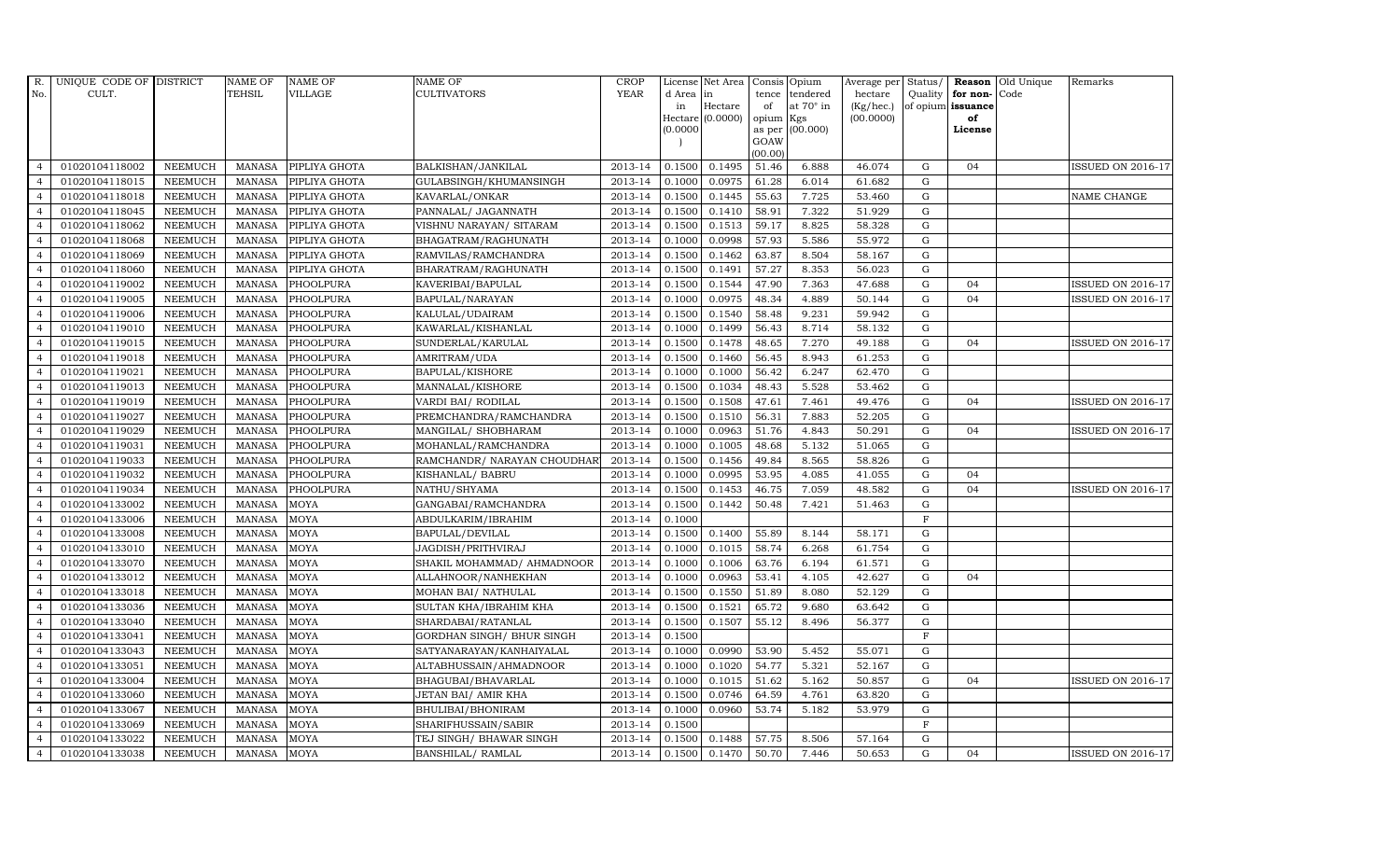| R.             | UNIQUE CODE OF DISTRICT |                | <b>NAME OF</b> | <b>NAME OF</b> | NAME OF                     | <b>CROP</b> |           | License Net Area | Consis Opium   |                  | Average per Status/ |              |                   | <b>Reason</b> Old Unique | Remarks                  |
|----------------|-------------------------|----------------|----------------|----------------|-----------------------------|-------------|-----------|------------------|----------------|------------------|---------------------|--------------|-------------------|--------------------------|--------------------------|
| No.            | CULT.                   |                | <b>TEHSIL</b>  | <b>VILLAGE</b> | <b>CULTIVATORS</b>          | <b>YEAR</b> | d Area in |                  | tence          | tendered         | hectare             |              | Quality for non-  | Code                     |                          |
|                |                         |                |                |                |                             |             | in        | Hectare          | of             | at $70^\circ$ in | (Kg/hec.)           |              | of opium issuance |                          |                          |
|                |                         |                |                |                |                             |             |           | Hectare (0.0000) | opium          | Kgs              | (00.0000)           |              | of                |                          |                          |
|                |                         |                |                |                |                             |             | (0.0000)  |                  | as per<br>GOAW | (00.000)         |                     |              | License           |                          |                          |
|                |                         |                |                |                |                             |             |           |                  | (00.00)        |                  |                     |              |                   |                          |                          |
| $\overline{4}$ | 01020104118002          | <b>NEEMUCH</b> | MANASA         | PIPLIYA GHOTA  | BALKISHAN/JANKILAL          | 2013-14     | 0.1500    | 0.1495           | 51.46          | 6.888            | 46.074              | G            | 04                |                          | <b>ISSUED ON 2016-17</b> |
| $\overline{a}$ | 01020104118015          | <b>NEEMUCH</b> | <b>MANASA</b>  | PIPLIYA GHOTA  | GULABSINGH/KHUMANSINGH      | 2013-14     | 0.1000    | 0.0975           | 61.28          | 6.014            | 61.682              | G            |                   |                          |                          |
| $\overline{4}$ | 01020104118018          | <b>NEEMUCH</b> | <b>MANASA</b>  | PIPLIYA GHOTA  | KAVARLAL/ONKAR              | 2013-14     | 0.1500    | 0.1445           | 55.63          | 7.725            | 53.460              | G            |                   |                          | NAME CHANGE              |
|                | 01020104118045          | <b>NEEMUCH</b> | <b>MANASA</b>  | PIPLIYA GHOTA  | PANNALAL/ JAGANNATH         | 2013-14     | 0.1500    | 0.1410           | 58.91          | 7.322            | 51.929              | G            |                   |                          |                          |
| $\overline{4}$ | 01020104118062          | <b>NEEMUCH</b> | <b>MANASA</b>  | PIPLIYA GHOTA  | VISHNU NARAYAN/ SITARAM     | 2013-14     | 0.1500    | 0.1513           | 59.17          | 8.825            | 58.328              | ${\rm G}$    |                   |                          |                          |
| $\overline{4}$ | 01020104118068          | <b>NEEMUCH</b> | <b>MANASA</b>  | PIPLIYA GHOTA  | BHAGATRAM/RAGHUNATH         | 2013-14     | 0.1000    | 0.0998           | 57.93          | 5.586            | 55.972              | G            |                   |                          |                          |
| $\overline{4}$ | 01020104118069          | <b>NEEMUCH</b> | <b>MANASA</b>  | PIPLIYA GHOTA  | RAMVILAS/RAMCHANDRA         | 2013-14     | 0.1500    | 0.1462           | 63.87          | 8.504            | 58.167              | G            |                   |                          |                          |
| $\overline{4}$ | 01020104118060          | <b>NEEMUCH</b> | <b>MANASA</b>  | PIPLIYA GHOTA  | BHARATRAM/RAGHUNATH         | 2013-14     | 0.1500    | 0.1491           | 57.27          | 8.353            | 56.023              | $\mathbf G$  |                   |                          |                          |
| $\overline{4}$ | 01020104119002          | <b>NEEMUCH</b> | <b>MANASA</b>  | PHOOLPURA      | KAVERIBAI/BAPULAL           | 2013-14     | 0.1500    | 0.1544           | 47.90          | 7.363            | 47.688              | G            | 04                |                          | <b>ISSUED ON 2016-17</b> |
| $\overline{4}$ | 01020104119005          | <b>NEEMUCH</b> | <b>MANASA</b>  | PHOOLPURA      | BAPULAL/NARAYAN             | 2013-14     | 0.1000    | 0.0975           | 48.34          | 4.889            | 50.144              | G            | 04                |                          | <b>ISSUED ON 2016-17</b> |
| $\overline{4}$ | 01020104119006          | <b>NEEMUCH</b> | <b>MANASA</b>  | PHOOLPURA      | KALULAL/UDAIRAM             | 2013-14     | 0.1500    | 0.1540           | 58.48          | 9.231            | 59.942              | G            |                   |                          |                          |
| $\overline{4}$ | 01020104119010          | <b>NEEMUCH</b> | <b>MANASA</b>  | PHOOLPURA      | KAWARLAL/KISHANLAL          | 2013-14     | 0.1000    | 0.1499           | 56.43          | 8.714            | 58.132              | G            |                   |                          |                          |
| $\overline{4}$ | 01020104119015          | <b>NEEMUCH</b> | <b>MANASA</b>  | PHOOLPURA      | SUNDERLAL/KARULAL           | 2013-14     | 0.1500    | 0.1478           | 48.65          | 7.270            | 49.188              | G            | 04                |                          | <b>ISSUED ON 2016-17</b> |
| $\overline{4}$ | 01020104119018          | <b>NEEMUCH</b> | <b>MANASA</b>  | PHOOLPURA      | AMRITRAM/UDA                | 2013-14     | 0.1500    | 0.1460           | 56.45          | 8.943            | 61.253              | G            |                   |                          |                          |
| $\overline{4}$ | 01020104119021          | <b>NEEMUCH</b> | <b>MANASA</b>  | PHOOLPURA      | BAPULAL/KISHORE             | 2013-14     | 0.1000    | 0.1000           | 56.42          | 6.247            | 62.470              | G            |                   |                          |                          |
| $\overline{4}$ | 01020104119013          | <b>NEEMUCH</b> | <b>MANASA</b>  | PHOOLPURA      | MANNALAL/KISHORE            | 2013-14     | 0.1500    | 0.1034           | 48.43          | 5.528            | 53.462              | G            |                   |                          |                          |
| $\overline{4}$ | 01020104119019          | <b>NEEMUCH</b> | <b>MANASA</b>  | PHOOLPURA      | VARDI BAI/ RODILAL          | 2013-14     | 0.1500    | 0.1508           | 47.61          | 7.461            | 49.476              | G            | 04                |                          | <b>ISSUED ON 2016-17</b> |
| $\overline{4}$ | 01020104119027          | <b>NEEMUCH</b> | <b>MANASA</b>  | PHOOLPURA      | PREMCHANDRA/RAMCHANDRA      | 2013-14     | 0.1500    | 0.1510           | 56.31          | 7.883            | 52.205              | $\mathbf G$  |                   |                          |                          |
| $\overline{4}$ | 01020104119029          | <b>NEEMUCH</b> | <b>MANASA</b>  | PHOOLPURA      | MANGILAL/ SHOBHARAM         | 2013-14     | 0.1000    | 0.0963           | 51.76          | 4.843            | 50.291              | G            | 04                |                          | <b>ISSUED ON 2016-17</b> |
| $\overline{4}$ | 01020104119031          | <b>NEEMUCH</b> | <b>MANASA</b>  | PHOOLPURA      | MOHANLAL/RAMCHANDRA         | 2013-14     | 0.1000    | 0.1005           | 48.68          | 5.132            | 51.065              | G            |                   |                          |                          |
| $\overline{4}$ | 01020104119033          | <b>NEEMUCH</b> | <b>MANASA</b>  | PHOOLPURA      | RAMCHANDR/ NARAYAN CHOUDHAR | 2013-14     | 0.1500    | 0.1456           | 49.84          | 8.565            | 58.826              | $\mathbf G$  |                   |                          |                          |
| $\overline{4}$ | 01020104119032          | <b>NEEMUCH</b> | <b>MANASA</b>  | PHOOLPURA      | KISHANLAL/ BABRU            | 2013-14     | 0.1000    | 0.0995           | 53.95          | 4.085            | 41.055              | G            | 04                |                          |                          |
| $\overline{4}$ | 01020104119034          | <b>NEEMUCH</b> | MANASA         | PHOOLPURA      | NATHU/SHYAMA                | 2013-14     | 0.1500    | 0.1453           | 46.75          | 7.059            | 48.582              | G            | 04                |                          | ISSUED ON 2016-17        |
| $\overline{4}$ | 01020104133002          | <b>NEEMUCH</b> | <b>MANASA</b>  | <b>MOYA</b>    | GANGABAI/RAMCHANDRA         | 2013-14     | 0.1500    | 0.1442           | 50.48          | 7.421            | 51.463              | G            |                   |                          |                          |
|                | 01020104133006          | <b>NEEMUCH</b> | <b>MANASA</b>  | MOYA           | ABDULKARIM/IBRAHIM          | 2013-14     | 0.1000    |                  |                |                  |                     | $\mathbf{F}$ |                   |                          |                          |
| $\overline{4}$ | 01020104133008          | <b>NEEMUCH</b> | <b>MANASA</b>  | MOYA           | BAPULAL/DEVILAL             | 2013-14     | 0.1500    | 0.1400           | 55.89          | 8.144            | 58.171              | G            |                   |                          |                          |
| $\overline{4}$ | 01020104133010          | <b>NEEMUCH</b> | <b>MANASA</b>  | <b>MOYA</b>    | JAGDISH/PRITHVIRAJ          | 2013-14     | 0.1000    | 0.1015           | 58.74          | 6.268            | 61.754              | G            |                   |                          |                          |
| $\overline{4}$ | 01020104133070          | <b>NEEMUCH</b> | <b>MANASA</b>  | MOYA           | SHAKIL MOHAMMAD/ AHMADNOOR  | 2013-14     | 0.1000    | 0.1006           | 63.76          | 6.194            | 61.571              | G            |                   |                          |                          |
| $\overline{4}$ | 01020104133012          | <b>NEEMUCH</b> | <b>MANASA</b>  | <b>MOYA</b>    | ALLAHNOOR/NANHEKHAN         | 2013-14     | 0.1000    | 0.0963           | 53.41          | 4.105            | 42.627              | G            | 04                |                          |                          |
|                | 01020104133018          | <b>NEEMUCH</b> | <b>MANASA</b>  | <b>MOYA</b>    | MOHAN BAI/ NATHULAL         | 2013-14     | 0.1500    | 0.1550           | 51.89          | 8.080            | 52.129              | G            |                   |                          |                          |
| $\overline{4}$ | 01020104133036          | <b>NEEMUCH</b> | <b>MANASA</b>  | <b>MOYA</b>    | SULTAN KHA/IBRAHIM KHA      | 2013-14     | 0.1500    | 0.1521           | 65.72          | 9.680            | 63.642              | G            |                   |                          |                          |
| $\overline{4}$ | 01020104133040          | <b>NEEMUCH</b> | <b>MANASA</b>  | <b>MOYA</b>    | SHARDABAI/RATANLAL          | 2013-14     | 0.1500    | 0.1507           | 55.12          | 8.496            | 56.377              | G            |                   |                          |                          |
| $\overline{4}$ | 01020104133041          | <b>NEEMUCH</b> | <b>MANASA</b>  | MOYA           | GORDHAN SINGH/ BHUR SINGH   | 2013-14     | 0.1500    |                  |                |                  |                     | $\mathbf{F}$ |                   |                          |                          |
| $\overline{4}$ | 01020104133043          | <b>NEEMUCH</b> | <b>MANASA</b>  | <b>MOYA</b>    | SATYANARAYAN/KANHAIYALAL    | 2013-14     | 0.1000    | 0.0990           | 53.90          | 5.452            | 55.071              | G            |                   |                          |                          |
| $\overline{4}$ | 01020104133051          | <b>NEEMUCH</b> | <b>MANASA</b>  | <b>MOYA</b>    | ALTABHUSSAIN/AHMADNOOR      | 2013-14     | 0.1000    | 0.1020           | 54.77          | 5.321            | 52.167              | G            |                   |                          |                          |
| $\overline{4}$ | 01020104133004          | <b>NEEMUCH</b> | <b>MANASA</b>  | MOYA           | BHAGUBAI/BHAVARLAL          | 2013-14     | 0.1000    | 0.1015           | 51.62          | 5.162            | 50.857              | G            | 04                |                          | <b>ISSUED ON 2016-17</b> |
| $\overline{4}$ | 01020104133060          | <b>NEEMUCH</b> | <b>MANASA</b>  | <b>MOYA</b>    | JETAN BAI/ AMIR KHA         | 2013-14     | 0.1500    | 0.0746           | 64.59          | 4.761            | 63.820              | G            |                   |                          |                          |
| $\overline{4}$ | 01020104133067          | <b>NEEMUCH</b> | <b>MANASA</b>  | MOYA           | BHULIBAI/BHONIRAM           | 2013-14     | 0.1000    | 0.0960           | 53.74          | 5.182            | 53.979              | G            |                   |                          |                          |
| $\overline{4}$ | 01020104133069          | <b>NEEMUCH</b> | <b>MANASA</b>  | MOYA           | SHARIFHUSSAIN/SABIR         | 2013-14     | 0.1500    |                  |                |                  |                     | $\mathbf{F}$ |                   |                          |                          |
| $\overline{4}$ | 01020104133022          | <b>NEEMUCH</b> | <b>MANASA</b>  | <b>MOYA</b>    | TEJ SINGH/ BHAWAR SINGH     | 2013-14     | 0.1500    | 0.1488           | 57.75          | 8.506            | 57.164              | G            |                   |                          |                          |
| $\overline{4}$ | 01020104133038          | NEEMUCH        | MANASA         | <b>MOYA</b>    | <b>BANSHILAL/ RAMLAL</b>    | 2013-14     | 0.1500    | 0.1470           | 50.70          | 7.446            | 50.653              | G            | 04                |                          | <b>ISSUED ON 2016-17</b> |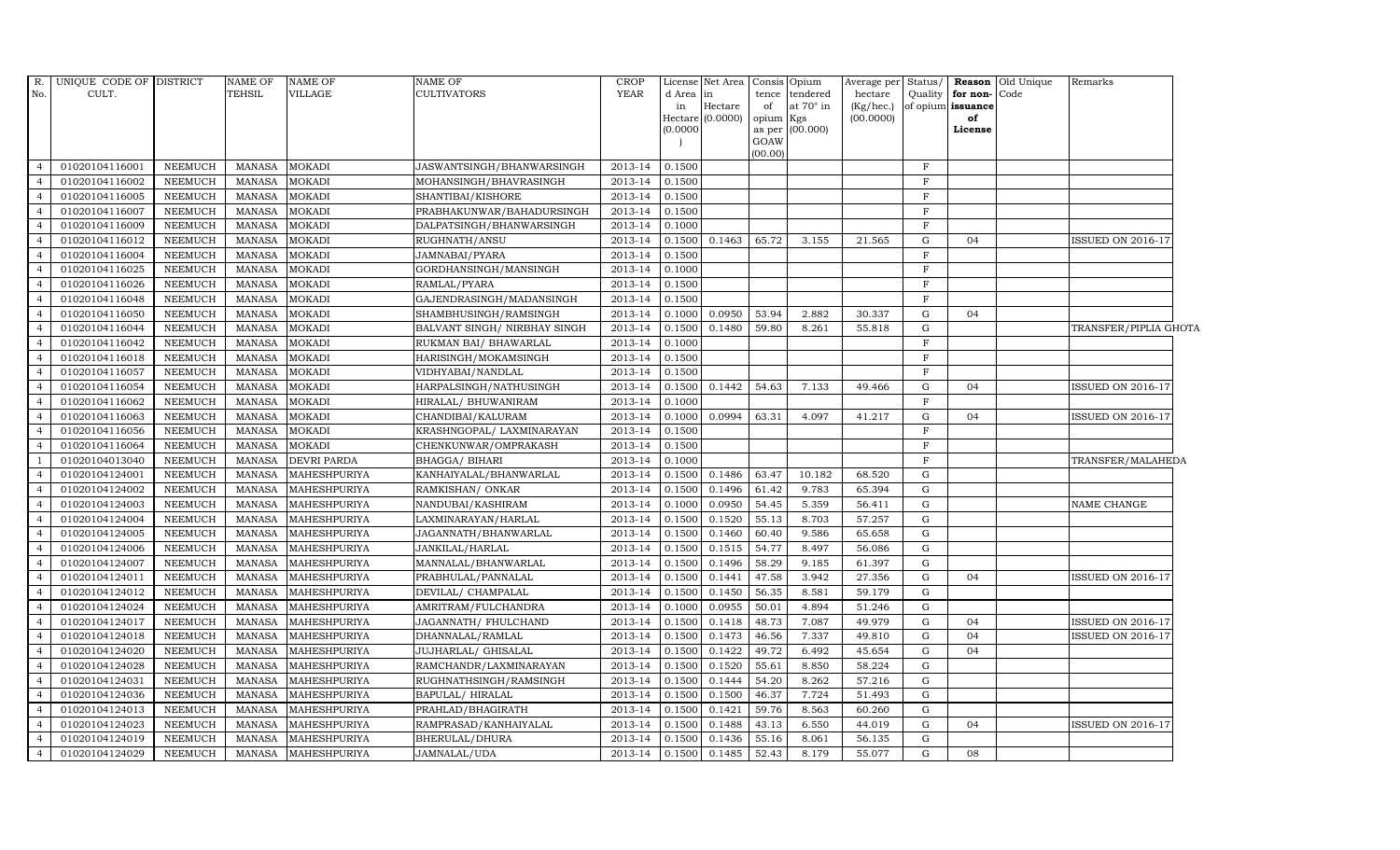| R.               | UNIQUE CODE OF DISTRICT |                | NAME OF       | <b>NAME OF</b>     | NAME OF                      | CROP        |           | License Net Area | Consis                      | Opium                        | Average per            | Status/      |                         | <b>Reason</b> Old Unique | Remarks                  |  |
|------------------|-------------------------|----------------|---------------|--------------------|------------------------------|-------------|-----------|------------------|-----------------------------|------------------------------|------------------------|--------------|-------------------------|--------------------------|--------------------------|--|
| No.              | CULT.                   |                | TEHSIL        | VILLAGE            | <b>CULTIVATORS</b>           | <b>YEAR</b> | d Area in | Hectare          | tence<br>of                 | tendered<br>at $70^\circ$ in | hectare                | Quality      | for non-Code            |                          |                          |  |
|                  |                         |                |               |                    |                              |             | in        | Hectare (0.0000) | $\ensuremath{\text{opium}}$ | Kgs                          | (Kg/hec.)<br>(00.0000) |              | of opium issuance<br>of |                          |                          |  |
|                  |                         |                |               |                    |                              |             | (0.0000)  |                  | as per                      | (00.000)                     |                        |              | License                 |                          |                          |  |
|                  |                         |                |               |                    |                              |             |           |                  | GOAW                        |                              |                        |              |                         |                          |                          |  |
| $\overline{4}$   | 01020104116001          | <b>NEEMUCH</b> | MANASA        | <b>MOKADI</b>      | JASWANTSINGH/BHANWARSINGH    | 2013-14     | 0.1500    |                  | (00.00)                     |                              |                        | $_{\rm F}$   |                         |                          |                          |  |
| $\overline{4}$   | 01020104116002          | <b>NEEMUCH</b> | <b>MANASA</b> | <b>MOKADI</b>      | MOHANSINGH/BHAVRASINGH       | 2013-14     | 0.1500    |                  |                             |                              |                        | $\mathbf{F}$ |                         |                          |                          |  |
| $\overline{4}$   | 01020104116005          | <b>NEEMUCH</b> | MANASA        | <b>MOKADI</b>      | SHANTIBAI/KISHORE            | 2013-14     | 0.1500    |                  |                             |                              |                        | $_{\rm F}$   |                         |                          |                          |  |
|                  | 01020104116007          | <b>NEEMUCH</b> | <b>MANASA</b> | <b>MOKADI</b>      | PRABHAKUNWAR/BAHADURSINGH    | 2013-14     | 0.1500    |                  |                             |                              |                        | $\mathbf F$  |                         |                          |                          |  |
|                  | 01020104116009          | <b>NEEMUCH</b> | MANASA        | <b>MOKADI</b>      | DALPATSINGH/BHANWARSINGH     | 2013-14     | 0.1000    |                  |                             |                              |                        | $\mathbf F$  |                         |                          |                          |  |
| $\overline{a}$   | 01020104116012          | <b>NEEMUCH</b> | MANASA        | <b>MOKADI</b>      | RUGHNATH/ANSU                | 2013-14     | 0.1500    | 0.1463           | 65.72                       | 3.155                        | 21.565                 | G            | 04                      |                          | <b>ISSUED ON 2016-17</b> |  |
| $\overline{4}$   | 01020104116004          | <b>NEEMUCH</b> | <b>MANASA</b> | <b>MOKADI</b>      | JAMNABAI/PYARA               | 2013-14     | 0.1500    |                  |                             |                              |                        | $\mathbf{F}$ |                         |                          |                          |  |
|                  | 01020104116025          | <b>NEEMUCH</b> | MANASA        | <b>MOKADI</b>      | GORDHANSINGH/MANSINGH        | 2013-14     | 0.1000    |                  |                             |                              |                        | $\, {\rm F}$ |                         |                          |                          |  |
|                  | 01020104116026          | <b>NEEMUCH</b> | <b>MANASA</b> | <b>MOKADI</b>      | RAMLAL/PYARA                 | 2013-14     | 0.1500    |                  |                             |                              |                        | $\, {\rm F}$ |                         |                          |                          |  |
|                  | 01020104116048          | <b>NEEMUCH</b> | <b>MANASA</b> | <b>MOKADI</b>      | GAJENDRASINGH/MADANSINGH     | 2013-14     | 0.1500    |                  |                             |                              |                        | $\mathbf{F}$ |                         |                          |                          |  |
|                  | 01020104116050          | <b>NEEMUCH</b> | MANASA        | <b>MOKADI</b>      | SHAMBHUSINGH/RAMSINGH        | 2013-14     | 0.1000    | 0.0950           | 53.94                       | 2.882                        | 30.337                 | G            | 04                      |                          |                          |  |
| $\overline{4}$   | 01020104116044          | <b>NEEMUCH</b> | MANASA        | <b>MOKADI</b>      | BALVANT SINGH/ NIRBHAY SINGH | 2013-14     | 0.1500    | 0.1480           | 59.80                       | 8.261                        | 55.818                 | G            |                         |                          | TRANSFER/PIPLIA GHOTA    |  |
|                  | 01020104116042          | <b>NEEMUCH</b> | MANASA        | <b>MOKADI</b>      | RUKMAN BAI/ BHAWARLAL        | 2013-14     | 0.1000    |                  |                             |                              |                        | $\, {\rm F}$ |                         |                          |                          |  |
|                  | 01020104116018          | <b>NEEMUCH</b> | <b>MANASA</b> | <b>MOKADI</b>      | HARISINGH/MOKAMSINGH         | 2013-14     | 0.1500    |                  |                             |                              |                        | $\mathbf{F}$ |                         |                          |                          |  |
|                  | 01020104116057          | <b>NEEMUCH</b> | <b>MANASA</b> | <b>MOKADI</b>      | VIDHYABAI/NANDLAL            | 2013-14     | 0.1500    |                  |                             |                              |                        | $\mathbf{F}$ |                         |                          |                          |  |
|                  | 01020104116054          | <b>NEEMUCH</b> | MANASA        | <b>MOKADI</b>      | HARPALSINGH/NATHUSINGH       | 2013-14     | 0.1500    | 0.1442           | 54.63                       | 7.133                        | 49.466                 | G            | 04                      |                          | <b>ISSUED ON 2016-17</b> |  |
| $\overline{4}$   | 01020104116062          | <b>NEEMUCH</b> | MANASA        | <b>MOKADI</b>      | HIRALAL/ BHUWANIRAM          | 2013-14     | 0.1000    |                  |                             |                              |                        | $_{\rm F}$   |                         |                          |                          |  |
|                  | 01020104116063          | <b>NEEMUCH</b> | <b>MANASA</b> | <b>MOKADI</b>      | CHANDIBAI/KALURAM            | 2013-14     | 0.1000    | 0.0994           | 63.31                       | 4.097                        | 41.217                 | G            | 04                      |                          | <b>ISSUED ON 2016-17</b> |  |
|                  | 01020104116056          | <b>NEEMUCH</b> | <b>MANASA</b> | <b>MOKADI</b>      | KRASHNGOPAL/ LAXMINARAYAN    | 2013-14     | 0.1500    |                  |                             |                              |                        | $\mathbf{F}$ |                         |                          |                          |  |
|                  | 01020104116064          | <b>NEEMUCH</b> | <b>MANASA</b> | <b>MOKADI</b>      | CHENKUNWAR/OMPRAKASH         | 2013-14     | 0.1500    |                  |                             |                              |                        | $\mathbf{F}$ |                         |                          |                          |  |
|                  | 01020104013040          | <b>NEEMUCH</b> | MANASA        | <b>DEVRI PARDA</b> | BHAGGA/ BIHARI               | 2013-14     | 0.1000    |                  |                             |                              |                        | $\mathbf F$  |                         |                          | TRANSFER/MALAHEDA        |  |
| $\boldsymbol{A}$ | 01020104124001          | <b>NEEMUCH</b> | <b>MANASA</b> | MAHESHPURIYA       | KANHAIYALAL/BHANWARLAL       | 2013-14     | 0.1500    | 0.1486           | 63.47                       | 10.182                       | 68.520                 | G            |                         |                          |                          |  |
| $\overline{4}$   | 01020104124002          | <b>NEEMUCH</b> | <b>MANASA</b> | MAHESHPURIYA       | RAMKISHAN/ONKAR              | 2013-14     | 0.1500    | 0.1496           | 61.42                       | 9.783                        | 65.394                 | G            |                         |                          |                          |  |
|                  | 01020104124003          | <b>NEEMUCH</b> | <b>MANASA</b> | MAHESHPURIYA       | NANDUBAI/KASHIRAM            | 2013-14     | 0.1000    | 0.0950           | 54.45                       | 5.359                        | 56.411                 | G            |                         |                          | NAME CHANGE              |  |
|                  | 01020104124004          | <b>NEEMUCH</b> | <b>MANASA</b> | MAHESHPURIYA       | LAXMINARAYAN / HARLAL        | 2013-14     | 0.1500    | 0.1520           | 55.13                       | 8.703                        | 57.257                 | G            |                         |                          |                          |  |
|                  | 01020104124005          | <b>NEEMUCH</b> | <b>MANASA</b> | MAHESHPURIYA       | JAGANNATH/BHANWARLAL         | 2013-14     | 0.1500    | 0.1460           | 60.40                       | 9.586                        | 65.658                 | G            |                         |                          |                          |  |
|                  | 01020104124006          | <b>NEEMUCH</b> | <b>MANASA</b> | MAHESHPURIYA       | JANKILAL/HARLAL              | 2013-14     | 0.1500    | 0.1515           | 54.77                       | 8.497                        | 56.086                 | G            |                         |                          |                          |  |
| $\overline{4}$   | 01020104124007          | <b>NEEMUCH</b> | MANASA        | MAHESHPURIYA       | MANNALAL/BHANWARLAL          | $2013 - 14$ | 0.1500    | 0.1496           | 58.29                       | 9.185                        | 61.397                 | G            |                         |                          |                          |  |
| $\Delta$         | 01020104124011          | <b>NEEMUCH</b> | MANASA        | MAHESHPURIYA       | PRABHULAL/PANNALAL           | 2013-14     | 0.1500    | 0.1441           | 47.58                       | 3.942                        | 27.356                 | G            | 04                      |                          | <b>ISSUED ON 2016-17</b> |  |
|                  | 01020104124012          | <b>NEEMUCH</b> | <b>MANASA</b> | MAHESHPURIYA       | DEVILAL/ CHAMPALAL           | 2013-14     | 0.1500    | 0.1450           | 56.35                       | 8.581                        | 59.179                 | G            |                         |                          |                          |  |
|                  | 01020104124024          | <b>NEEMUCH</b> | MANASA        | MAHESHPURIYA       | AMRITRAM/FULCHANDRA          | 2013-14     | 0.1000    | 0.0955           | 50.01                       | 4.894                        | 51.246                 | G            |                         |                          |                          |  |
| 4                | 01020104124017          | <b>NEEMUCH</b> | <b>MANASA</b> | MAHESHPURIYA       | JAGANNATH / FHULCHAND        | 2013-14     | 0.1500    | 0.1418           | 48.73                       | 7.087                        | 49.979                 | G            | 04                      |                          | <b>ISSUED ON 2016-17</b> |  |
| $\overline{4}$   | 01020104124018          | <b>NEEMUCH</b> | MANASA        | MAHESHPURIYA       | DHANNALAL/RAMLAL             | 2013-14     | 0.1500    | 0.1473           | 46.56                       | 7.337                        | 49.810                 | G            | 04                      |                          | <b>ISSUED ON 2016-17</b> |  |
| $\overline{a}$   | 01020104124020          | <b>NEEMUCH</b> | MANASA        | MAHESHPURIYA       | JUJHARLAL/ GHISALAL          | 2013-14     | 0.1500    | 0.1422           | 49.72                       | 6.492                        | 45.654                 | G            | 04                      |                          |                          |  |
|                  | 01020104124028          | <b>NEEMUCH</b> | <b>MANASA</b> | MAHESHPURIYA       | RAMCHANDR/LAXMINARAYAN       | 2013-14     | 0.1500    | 0.1520           | 55.61                       | 8.850                        | 58.224                 | G            |                         |                          |                          |  |
|                  | 01020104124031          | <b>NEEMUCH</b> | <b>MANASA</b> | MAHESHPURIYA       | RUGHNATHSINGH/RAMSINGH       | 2013-14     | 0.1500    | 0.1444           | 54.20                       | 8.262                        | 57.216                 | G            |                         |                          |                          |  |
| 4                | 01020104124036          | <b>NEEMUCH</b> | MANASA        | MAHESHPURIYA       | BAPULAL/HIRALAL              | 2013-14     | 0.1500    | 0.1500           | 46.37                       | 7.724                        | 51.493                 | G            |                         |                          |                          |  |
| $\overline{4}$   | 01020104124013          | <b>NEEMUCH</b> | MANASA        | MAHESHPURIYA       | PRAHLAD/BHAGIRATH            | 2013-14     | 0.1500    | 0.1421           | 59.76                       | 8.563                        | 60.260                 | G            |                         |                          |                          |  |
| $\overline{4}$   | 01020104124023          | <b>NEEMUCH</b> | MANASA        | MAHESHPURIYA       | RAMPRASAD/KANHAIYALAL        | 2013-14     | 0.1500    | 0.1488           | 43.13                       | 6.550                        | 44.019                 | G            | 04                      |                          | <b>ISSUED ON 2016-17</b> |  |
|                  | 01020104124019          | <b>NEEMUCH</b> | <b>MANASA</b> | MAHESHPURIYA       | BHERULAL/DHURA               | 2013-14     | 0.1500    | 0.1436           | 55.16                       | 8.061                        | 56.135                 | G            |                         |                          |                          |  |
| $\overline{4}$   | 01020104124029          | <b>NEEMUCH</b> | MANASA        | MAHESHPURIYA       | JAMNALAL/UDA                 | 2013-14     | 0.1500    | 0.1485           | 52.43                       | 8.179                        | 55.077                 | G            | 08                      |                          |                          |  |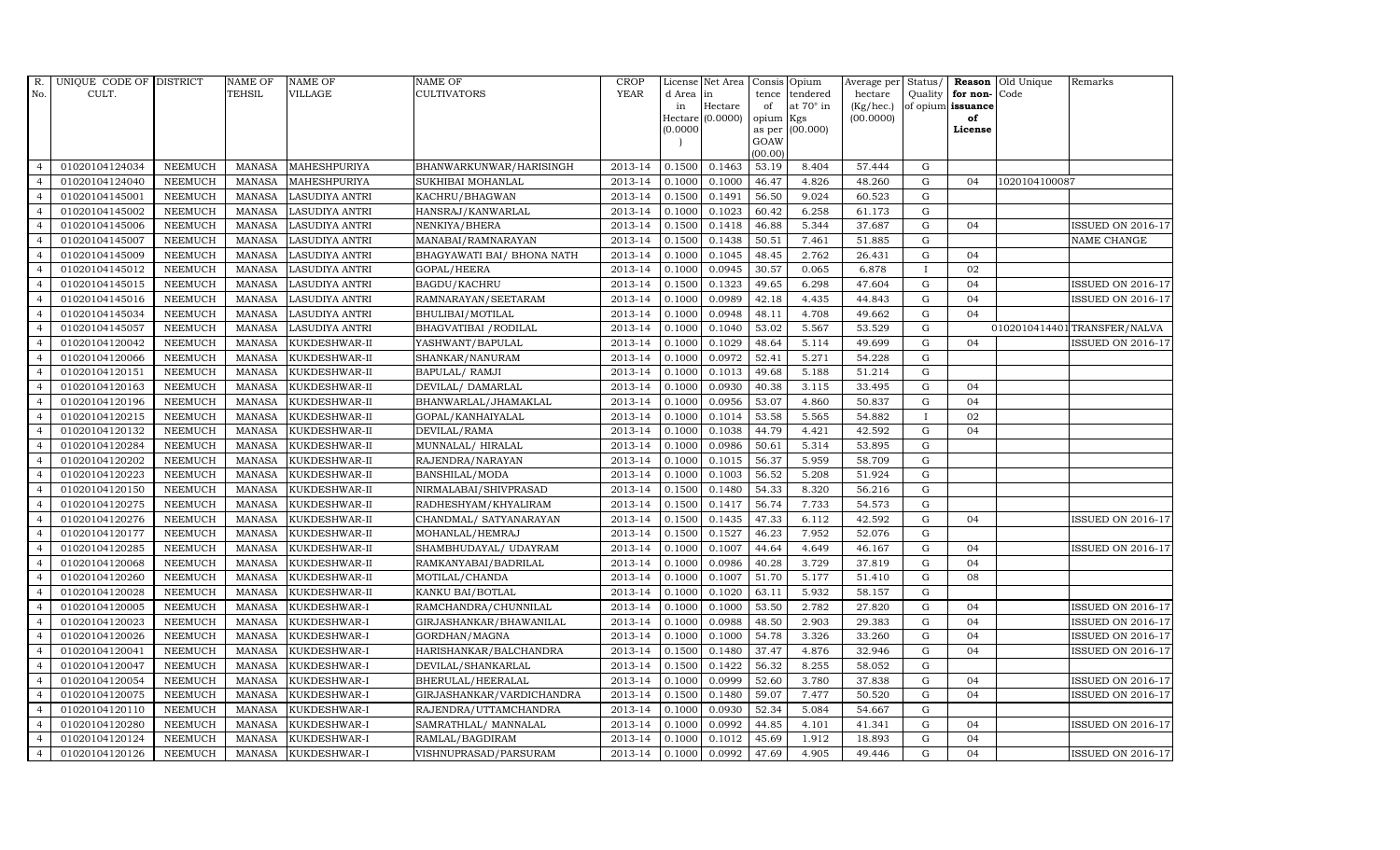| R.             | UNIQUE CODE OF DISTRICT |                | <b>NAME OF</b> | <b>NAME OF</b>        | <b>NAME OF</b>             | <b>CROP</b>            |           | License Net Area   |                | Consis Opium     | Average per Status/ |              |                   | <b>Reason</b> Old Unique | Remarks                      |
|----------------|-------------------------|----------------|----------------|-----------------------|----------------------------|------------------------|-----------|--------------------|----------------|------------------|---------------------|--------------|-------------------|--------------------------|------------------------------|
| No.            | CULT.                   |                | <b>TEHSIL</b>  | <b>VILLAGE</b>        | <b>CULTIVATORS</b>         | <b>YEAR</b>            | d Area in |                    |                | tence tendered   | hectare             | Quality      | for non-Code      |                          |                              |
|                |                         |                |                |                       |                            |                        | in        | Hectare            | of             | at $70^\circ$ in | (Kg/hec.)           |              | of opium issuance |                          |                              |
|                |                         |                |                |                       |                            |                        | (0.0000)  | $Hectare (0.0000)$ | opium Kgs      | (00.000)         | (00.0000)           |              | of<br>License     |                          |                              |
|                |                         |                |                |                       |                            |                        |           |                    | as per<br>GOAW |                  |                     |              |                   |                          |                              |
|                |                         |                |                |                       |                            |                        |           |                    | (00.00)        |                  |                     |              |                   |                          |                              |
| $\overline{4}$ | 01020104124034          | <b>NEEMUCH</b> | <b>MANASA</b>  | MAHESHPURIYA          | BHANWARKUNWAR/HARISINGH    | 2013-14                | 0.1500    | 0.1463             | 53.19          | 8.404            | 57.444              | G            |                   |                          |                              |
| $\overline{4}$ | 01020104124040          | <b>NEEMUCH</b> | <b>MANASA</b>  | MAHESHPURIYA          | SUKHIBAI MOHANLAL          | 2013-14                | 0.1000    | 0.1000             | 46.47          | 4.826            | 48.260              | ${\rm G}$    | 04                | 1020104100087            |                              |
| $\overline{4}$ | 01020104145001          | <b>NEEMUCH</b> | <b>MANASA</b>  | <b>LASUDIYA ANTRI</b> | KACHRU/BHAGWAN             | 2013-14                | 0.1500    | 0.1491             | 56.50          | 9.024            | 60.523              | $\mathbf G$  |                   |                          |                              |
| $\overline{4}$ | 01020104145002          | <b>NEEMUCH</b> | <b>MANASA</b>  | <b>LASUDIYA ANTRI</b> | HANSRAJ/KANWARLAL          | 2013-14                | 0.1000    | 0.1023             | 60.42          | 6.258            | 61.173              | $\mathbf G$  |                   |                          |                              |
| $\overline{4}$ | 01020104145006          | <b>NEEMUCH</b> | <b>MANASA</b>  | <b>LASUDIYA ANTRI</b> | NENKIYA/BHERA              | 2013-14                | 0.1500    | 0.1418             | 46.88          | 5.344            | 37.687              | $\mathbf G$  | 04                |                          | <b>ISSUED ON 2016-17</b>     |
| $\overline{4}$ | 01020104145007          | <b>NEEMUCH</b> | <b>MANASA</b>  | LASUDIYA ANTRI        | MANABAI/RAMNARAYAN         | 2013-14                | 0.1500    | 0.1438             | 50.51          | 7.461            | 51.885              | G            |                   |                          | $\operatorname{NAME}$ CHANGE |
| $\overline{4}$ | 01020104145009          | <b>NEEMUCH</b> | <b>MANASA</b>  | <b>LASUDIYA ANTRI</b> | BHAGYAWATI BAI/ BHONA NATH | 2013-14                | 0.1000    | 0.1045             | 48.45          | 2.762            | 26.431              | ${\bf G}$    | 04                |                          |                              |
| $\overline{4}$ | 01020104145012          | <b>NEEMUCH</b> | <b>MANASA</b>  | <b>LASUDIYA ANTRI</b> | <b>GOPAL/HEERA</b>         | 2013-14                | 0.1000    | 0.0945             | 30.57          | 0.065            | 6.878               | $\mathbf{I}$ | 02                |                          |                              |
| $\overline{4}$ | 01020104145015          | <b>NEEMUCH</b> | <b>MANASA</b>  | <b>LASUDIYA ANTRI</b> | BAGDU/KACHRU               | $\overline{2013} - 14$ | 0.1500    | 0.1323             | 49.65          | 6.298            | 47.604              | $\mathbf G$  | 04                |                          | <b>ISSUED ON 2016-17</b>     |
| $\overline{4}$ | 01020104145016          | NEEMUCH        | <b>MANASA</b>  | <b>LASUDIYA ANTRI</b> | RAMNARAYAN/SEETARAM        | 2013-14                | 0.1000    | 0.0989             | 42.18          | 4.435            | 44.843              | ${\rm G}$    | 04                |                          | <b>ISSUED ON 2016-17</b>     |
| $\overline{4}$ | 01020104145034          | <b>NEEMUCH</b> | <b>MANASA</b>  | <b>LASUDIYA ANTRI</b> | BHULIBAI/MOTILAL           | 2013-14                | 0.1000    | 0.0948             | 48.11          | 4.708            | 49.662              | G            | 04                |                          |                              |
| $\overline{4}$ | 01020104145057          | <b>NEEMUCH</b> | <b>MANASA</b>  | LASUDIYA ANTRI        | BHAGVATIBAI / RODILAL      | 2013-14                | 0.1000    | 0.1040             | 53.02          | 5.567            | 53.529              | ${\bf G}$    |                   |                          | 0102010414401 TRANSFER/NALVA |
| $\overline{4}$ | 01020104120042          | <b>NEEMUCH</b> | <b>MANASA</b>  | KUKDESHWAR-II         | YASHWANT/BAPULAL           | 2013-14                | 0.1000    | 0.1029             | 48.64          | 5.114            | 49.699              | $\mathbf G$  | 0 <sub>4</sub>    |                          | <b>ISSUED ON 2016-17</b>     |
| $\overline{4}$ | 01020104120066          | <b>NEEMUCH</b> | <b>MANASA</b>  | KUKDESHWAR-II         | SHANKAR/NANURAM            | 2013-14                | 0.1000    | 0.0972             | 52.41          | 5.271            | 54.228              | $\mathbf G$  |                   |                          |                              |
| $\overline{4}$ | 01020104120151          | NEEMUCH        | <b>MANASA</b>  | KUKDESHWAR-II         | BAPULAL/ RAMJI             | 2013-14                | 0.1000    | 0.1013             | 49.68          | 5.188            | 51.214              | ${\rm G}$    |                   |                          |                              |
| $\overline{4}$ | 01020104120163          | <b>NEEMUCH</b> | <b>MANASA</b>  | KUKDESHWAR-II         | DEVILAL/ DAMARLAL          | 2013-14                | 0.1000    | 0.0930             | 40.38          | 3.115            | 33.495              | G            | 04                |                          |                              |
| $\overline{4}$ | 01020104120196          | <b>NEEMUCH</b> | <b>MANASA</b>  | KUKDESHWAR-II         | BHANWARLAL/JHAMAKLAL       | 2013-14                | 0.1000    | 0.0956             | 53.07          | 4.860            | 50.837              | $\mathbf G$  | 04                |                          |                              |
| $\overline{4}$ | 01020104120215          | <b>NEEMUCH</b> | MANASA         | KUKDESHWAR-II         | GOPAL/KANHAIYALAL          | 2013-14                | 0.1000    | 0.1014             | 53.58          | 5.565            | 54.882              | $\mathbf{I}$ | 02                |                          |                              |
| $\overline{4}$ | 01020104120132          | <b>NEEMUCH</b> | <b>MANASA</b>  | KUKDESHWAR-II         | DEVILAL/RAMA               | 2013-14                | 0.1000    | 0.1038             | 44.79          | 4.421            | 42.592              | $\mathbf G$  | 04                |                          |                              |
| $\overline{4}$ | 01020104120284          | NEEMUCH        | <b>MANASA</b>  | KUKDESHWAR-II         | MUNNALAL/HIRALAL           | 2013-14                | 0.1000    | 0.0986             | 50.61          | 5.314            | 53.895              | ${\rm G}$    |                   |                          |                              |
| $\overline{4}$ | 01020104120202          | <b>NEEMUCH</b> | <b>MANASA</b>  | KUKDESHWAR-II         | RAJENDRA/NARAYAN           | 2013-14                | 0.1000    | 0.1015             | 56.37          | 5.959            | 58.709              | $\mathbf G$  |                   |                          |                              |
| $\overline{4}$ | 01020104120223          | <b>NEEMUCH</b> | <b>MANASA</b>  | KUKDESHWAR-II         | <b>BANSHILAL/MODA</b>      | 2013-14                | 0.1000    | 0.1003             | 56.52          | 5.208            | 51.924              | ${\bf G}$    |                   |                          |                              |
| $\overline{4}$ | 01020104120150          | <b>NEEMUCH</b> | <b>MANASA</b>  | KUKDESHWAR-II         | NIRMALABAI/SHIVPRASAD      | 2013-14                | 0.1500    | 0.1480             | 54.33          | 8.320            | 56.216              | ${\rm G}$    |                   |                          |                              |
| $\overline{4}$ | 01020104120275          | <b>NEEMUCH</b> | <b>MANASA</b>  | KUKDESHWAR-II         | RADHESHYAM/KHYALIRAM       | 2013-14                | 0.1500    | 0.1417             | 56.74          | 7.733            | 54.573              | $\mathbf G$  |                   |                          |                              |
|                | 01020104120276          | NEEMUCH        | <b>MANASA</b>  | KUKDESHWAR-II         | CHANDMAL/ SATYANARAYAN     | 2013-14                | 0.1500    | 0.1435             | 47.33          | 6.112            | 42.592              | $\mathbf G$  | 04                |                          | <b>ISSUED ON 2016-17</b>     |
| $\overline{4}$ | 01020104120177          | <b>NEEMUCH</b> | <b>MANASA</b>  | KUKDESHWAR-II         | MOHANLAL/HEMRAJ            | 2013-14                | 0.1500    | 0.1527             | 46.23          | 7.952            | 52.076              | $\mathbf G$  |                   |                          |                              |
| $\overline{4}$ | 01020104120285          | <b>NEEMUCH</b> | <b>MANASA</b>  | KUKDESHWAR-II         | SHAMBHUDAYAL/ UDAYRAM      | 2013-14                | 0.1000    | 0.1007             | 44.64          | 4.649            | 46.167              | $\mathbf G$  | 04                |                          | <b>ISSUED ON 2016-17</b>     |
| $\overline{4}$ | 01020104120068          | <b>NEEMUCH</b> | <b>MANASA</b>  | KUKDESHWAR-II         | RAMKANYABAI/BADRILAL       | 2013-14                | 0.1000    | 0.0986             | 40.28          | 3.729            | 37.819              | ${\rm G}$    | 04                |                          |                              |
| $\overline{4}$ | 01020104120260          | <b>NEEMUCH</b> | <b>MANASA</b>  | KUKDESHWAR-II         | MOTILAL/CHANDA             | 2013-14                | 0.1000    | 0.1007             | 51.70          | 5.177            | 51.410              | $\mathbf G$  | 08                |                          |                              |
| $\overline{4}$ | 01020104120028          | <b>NEEMUCH</b> | <b>MANASA</b>  | KUKDESHWAR-II         | KANKU BAI/BOTLAL           | 2013-14                | 0.1000    | 0.1020             | 63.11          | 5.932            | 58.157              | $\mathbf G$  |                   |                          |                              |
| $\overline{4}$ | 01020104120005          | <b>NEEMUCH</b> | MANASA         | KUKDESHWAR-I          | RAMCHANDRA/CHUNNILAL       | 2013-14                | 0.1000    | 0.1000             | 53.50          | 2.782            | 27.820              | G            | 04                |                          | <b>ISSUED ON 2016-17</b>     |
| $\overline{4}$ | 01020104120023          | <b>NEEMUCH</b> | <b>MANASA</b>  | KUKDESHWAR-I          | GIRJASHANKAR/BHAWANILAL    | 2013-14                | 0.1000    | 0.0988             | 48.50          | 2.903            | 29.383              | $\mathbf G$  | 04                |                          | <b>ISSUED ON 2016-17</b>     |
| $\overline{4}$ | 01020104120026          | <b>NEEMUCH</b> | <b>MANASA</b>  | KUKDESHWAR-I          | GORDHAN/MAGNA              | 2013-14                | 0.1000    | 0.1000             | 54.78          | 3.326            | 33.260              | ${\rm G}$    | 04                |                          | <b>ISSUED ON 2016-17</b>     |
| $\overline{4}$ | 01020104120041          | <b>NEEMUCH</b> | <b>MANASA</b>  | KUKDESHWAR-I          | HARISHANKAR/BALCHANDRA     | 2013-14                | 0.1500    | 0.1480             | 37.47          | 4.876            | 32.946              | $\mathbf G$  | 04                |                          | <b>ISSUED ON 2016-17</b>     |
| $\overline{4}$ | 01020104120047          | <b>NEEMUCH</b> | <b>MANASA</b>  | KUKDESHWAR-I          | DEVILAL/SHANKARLAL         | 2013-14                | 0.1500    | 0.1422             | 56.32          | 8.255            | 58.052              | $\mathbf G$  |                   |                          |                              |
| $\overline{4}$ | 01020104120054          | <b>NEEMUCH</b> | <b>MANASA</b>  | KUKDESHWAR-I          | BHERULAL/HEERALAL          | 2013-14                | 0.1000    | 0.0999             | 52.60          | 3.780            | 37.838              | ${\rm G}$    | 04                |                          | <b>ISSUED ON 2016-17</b>     |
| $\overline{4}$ | 01020104120075          | <b>NEEMUCH</b> | <b>MANASA</b>  | KUKDESHWAR-I          | GIRJASHANKAR/VARDICHANDRA  | 2013-14                | 0.1500    | 0.1480             | 59.07          | 7.477            | 50.520              | $\mathbf G$  | 04                |                          | <b>ISSUED ON 2016-17</b>     |
| $\overline{4}$ | 01020104120110          | <b>NEEMUCH</b> | <b>MANASA</b>  | KUKDESHWAR-I          | RAJENDRA/UTTAMCHANDRA      | 2013-14                | 0.1000    | 0.0930             | 52.34          | 5.084            | 54.667              | $\mathbf G$  |                   |                          |                              |
| $\overline{4}$ | 01020104120280          | <b>NEEMUCH</b> | <b>MANASA</b>  | KUKDESHWAR-I          | SAMRATHLAL/ MANNALAL       | 2013-14                | 0.1000    | 0.0992             | 44.85          | 4.101            | 41.341              | $\mathbf G$  | 04                |                          | <b>ISSUED ON 2016-17</b>     |
| $\overline{4}$ | 01020104120124          | <b>NEEMUCH</b> | <b>MANASA</b>  | KUKDESHWAR-I          | RAMLAL/BAGDIRAM            | 2013-14                | 0.1000    | 0.1012             | 45.69          | 1.912            | 18.893              | G            | 04                |                          |                              |
| $\overline{4}$ | 01020104120126          | <b>NEEMUCH</b> | MANASA         | KUKDESHWAR-I          | VISHNUPRASAD/PARSURAM      | 2013-14                | 0.1000    | 0.0992             | 47.69          | 4.905            | 49.446              | G            | 04                |                          | <b>ISSUED ON 2016-17</b>     |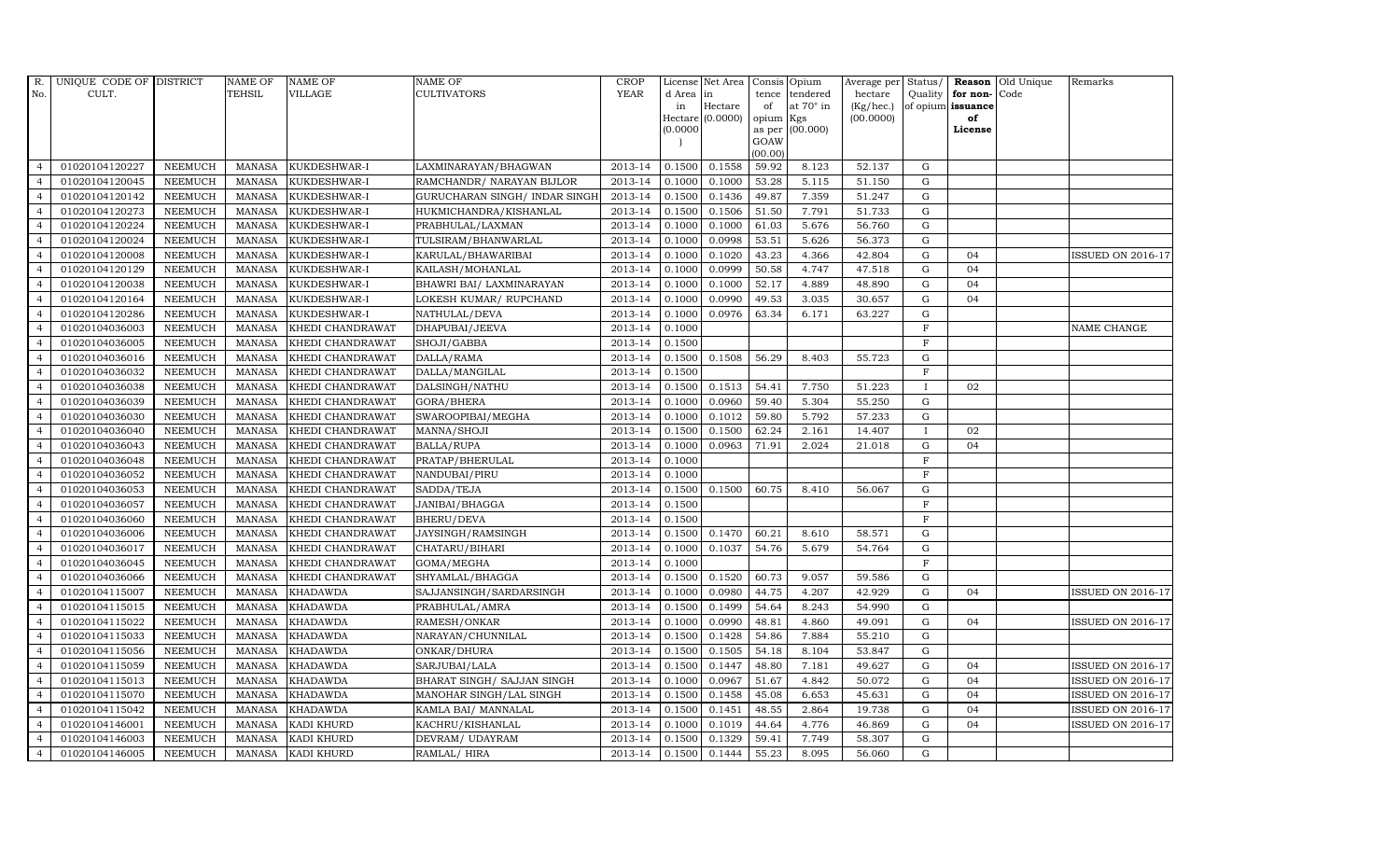| R.             | UNIQUE CODE OF DISTRICT |                | <b>NAME OF</b>  | <b>NAME OF</b>    | <b>NAME OF</b>                 | CROP        |           | License Net Area |                     | Consis Opium     | Average per     | Status/        | Reason            | Old Unique | Remarks                  |
|----------------|-------------------------|----------------|-----------------|-------------------|--------------------------------|-------------|-----------|------------------|---------------------|------------------|-----------------|----------------|-------------------|------------|--------------------------|
| No.            | CULT.                   |                | <b>TEHSIL</b>   | <b>VILLAGE</b>    | <b>CULTIVATORS</b>             | <b>YEAR</b> | d Area in |                  | tence               | tendered         | hectare         | Quality        | for non-          | Code       |                          |
|                |                         |                |                 |                   |                                |             | in        | Hectare          | of                  | at $70^\circ$ in | $(Kg/$ hec. $)$ |                | of opium issuance |            |                          |
|                |                         |                |                 |                   |                                |             | (0.0000)  | Hectare (0.0000) | opium Kgs<br>as per | (00.000)         | (00.0000)       |                | of<br>License     |            |                          |
|                |                         |                |                 |                   |                                |             |           |                  | GOAW                |                  |                 |                |                   |            |                          |
|                |                         |                |                 |                   |                                |             |           |                  | (00.00)             |                  |                 |                |                   |            |                          |
| $\overline{4}$ | 01020104120227          | <b>NEEMUCH</b> | <b>MANASA</b>   | KUKDESHWAR-I      | LAXMINARAYAN/BHAGWAN           | 2013-14     | 0.1500    | 0.1558           | 59.92               | 8.123            | 52.137          | G              |                   |            |                          |
| $\overline{4}$ | 01020104120045          | <b>NEEMUCH</b> | MANASA          | KUKDESHWAR-I      | RAMCHANDR/ NARAYAN BIJLOR      | 2013-14     | 0.1000    | 0.1000           | 53.28               | 5.115            | 51.150          | ${\rm G}$      |                   |            |                          |
| $\overline{4}$ | 01020104120142          | <b>NEEMUCH</b> | <b>MANASA</b>   | KUKDESHWAR-I      | GURUCHARAN SINGH / INDAR SINGH | 2013-14     | 0.1500    | 0.1436           | 49.87               | 7.359            | 51.247          | G              |                   |            |                          |
| $\overline{4}$ | 01020104120273          | <b>NEEMUCH</b> | <b>MANASA</b>   | KUKDESHWAR-I      | HUKMICHANDRA/KISHANLAL         | 2013-14     | 0.1500    | 0.1506           | 51.50               | 7.791            | 51.733          | $\mathbf G$    |                   |            |                          |
| $\overline{4}$ | 01020104120224          | <b>NEEMUCH</b> | $\mbox{MANASA}$ | KUKDESHWAR-I      | PRABHULAL/LAXMAN               | 2013-14     | 0.1000    | 0.1000           | 61.03               | 5.676            | 56.760          | ${\rm G}$      |                   |            |                          |
| $\overline{4}$ | 01020104120024          | <b>NEEMUCH</b> | <b>MANASA</b>   | KUKDESHWAR-I      | TULSIRAM/BHANWARLAL            | 2013-14     | 0.1000    | 0.0998           | 53.51               | 5.626            | 56.373          | ${\rm G}$      |                   |            |                          |
| $\overline{4}$ | 01020104120008          | <b>NEEMUCH</b> | MANASA          | KUKDESHWAR-I      | KARULAL/BHAWARIBAI             | 2013-14     | 0.1000    | 0.1020           | 43.23               | 4.366            | 42.804          | $\mathbf G$    | 04                |            | <b>ISSUED ON 2016-17</b> |
| $\overline{4}$ | 01020104120129          | <b>NEEMUCH</b> | <b>MANASA</b>   | KUKDESHWAR-I      | KAILASH/MOHANLAL               | 2013-14     | 0.1000    | 0.0999           | 50.58               | 4.747            | 47.518          | G              | 04                |            |                          |
| $\overline{4}$ | 01020104120038          | <b>NEEMUCH</b> | <b>MANASA</b>   | KUKDESHWAR-I      | BHAWRI BAI/ LAXMINARAYAN       | 2013-14     | 0.1000    | 0.1000           | 52.17               | 4.889            | 48.890          | $\mathbf G$    | 04                |            |                          |
| $\overline{4}$ | 01020104120164          | NEEMUCH        | <b>MANASA</b>   | KUKDESHWAR-I      | LOKESH KUMAR/ RUPCHAND         | 2013-14     | 0.1000    | 0.0990           | 49.53               | 3.035            | 30.657          | $\mathbf G$    | 04                |            |                          |
| $\overline{4}$ | 01020104120286          | <b>NEEMUCH</b> | <b>MANASA</b>   | KUKDESHWAR-I      | NATHULAL/DEVA                  | 2013-14     | 0.1000    | 0.0976           | 63.34               | 6.171            | 63.227          | ${\rm G}$      |                   |            |                          |
| $\overline{4}$ | 01020104036003          | <b>NEEMUCH</b> | <b>MANASA</b>   | KHEDI CHANDRAWAT  | DHAPUBAI/JEEVA                 | 2013-14     | 0.1000    |                  |                     |                  |                 | $\mathbf F$    |                   |            | NAME CHANGE              |
| $\overline{4}$ | 01020104036005          | <b>NEEMUCH</b> | <b>MANASA</b>   | KHEDI CHANDRAWAT  | SHOJI/GABBA                    | 2013-14     | 0.1500    |                  |                     |                  |                 | $\mathbf F$    |                   |            |                          |
| $\overline{4}$ | 01020104036016          | <b>NEEMUCH</b> | <b>MANASA</b>   | KHEDI CHANDRAWAT  | DALLA/RAMA                     | 2013-14     | 0.1500    | 0.1508           | 56.29               | 8.403            | 55.723          | $\mathbf G$    |                   |            |                          |
| $\overline{4}$ | 01020104036032          | NEEMUCH        | <b>MANASA</b>   | KHEDI CHANDRAWAT  | DALLA/MANGILAL                 | 2013-14     | 0.1500    |                  |                     |                  |                 | $\overline{F}$ |                   |            |                          |
| $\overline{4}$ | 01020104036038          | <b>NEEMUCH</b> | <b>MANASA</b>   | KHEDI CHANDRAWAT  | DALSINGH/NATHU                 | 2013-14     | 0.1500    | 0.1513           | 54.41               | 7.750            | 51.223          |                | 02                |            |                          |
| $\overline{4}$ | 01020104036039          | <b>NEEMUCH</b> | <b>MANASA</b>   | KHEDI CHANDRAWAT  | GORA/BHERA                     | 2013-14     | 0.1000    | 0.0960           | 59.40               | 5.304            | 55.250          | ${\rm G}$      |                   |            |                          |
| $\overline{4}$ | 01020104036030          | <b>NEEMUCH</b> | MANASA          | KHEDI CHANDRAWAT  | SWAROOPIBAI/MEGHA              | 2013-14     | 0.1000    | 0.1012           | 59.80               | 5.792            | 57.233          | G              |                   |            |                          |
| $\overline{4}$ | 01020104036040          | <b>NEEMUCH</b> | <b>MANASA</b>   | KHEDI CHANDRAWAT  | MANNA/SHOJI                    | 2013-14     | 0.1500    | 0.1500           | 62.24               | 2.161            | 14.407          | $\mathbf{I}$   | 02                |            |                          |
| $\overline{4}$ | 01020104036043          | NEEMUCH        | <b>MANASA</b>   | KHEDI CHANDRAWAT  | <b>BALLA/RUPA</b>              | 2013-14     | 0.1000    | 0.0963           | 71.91               | 2.024            | $21.018\,$      | $\mathbf G$    | 04                |            |                          |
| $\overline{4}$ | 01020104036048          | <b>NEEMUCH</b> | <b>MANASA</b>   | KHEDI CHANDRAWAT  | PRATAP/BHERULAL                | 2013-14     | 0.1000    |                  |                     |                  |                 | $\mathbf F$    |                   |            |                          |
| $\overline{4}$ | 01020104036052          | <b>NEEMUCH</b> | <b>MANASA</b>   | KHEDI CHANDRAWAT  | NANDUBAI/PIRU                  | 2013-14     | 0.1000    |                  |                     |                  |                 | $\mathbf F$    |                   |            |                          |
| $\overline{4}$ | 01020104036053          | <b>NEEMUCH</b> | MANASA          | KHEDI CHANDRAWAT  | SADDA/TEJA                     | 2013-14     | 0.1500    | 0.1500           | 60.75               | 8.410            | 56.067          | $\mathbf G$    |                   |            |                          |
| $\overline{4}$ | 01020104036057          | <b>NEEMUCH</b> | <b>MANASA</b>   | KHEDI CHANDRAWAT  | JANIBAI/BHAGGA                 | 2013-14     | 0.1500    |                  |                     |                  |                 | $\mathbf F$    |                   |            |                          |
|                | 01020104036060          | NEEMUCH        | <b>MANASA</b>   | KHEDI CHANDRAWAT  | <b>BHERU/DEVA</b>              | 2013-14     | 0.1500    |                  |                     |                  |                 | $\mathbf F$    |                   |            |                          |
| $\overline{4}$ | 01020104036006          | <b>NEEMUCH</b> | <b>MANASA</b>   | KHEDI CHANDRAWAT  | JAYSINGH/RAMSINGH              | 2013-14     | 0.1500    | 0.1470           | 60.21               | 8.610            | 58.571          | $\mathbf G$    |                   |            |                          |
| $\overline{4}$ | 01020104036017          | <b>NEEMUCH</b> | <b>MANASA</b>   | KHEDI CHANDRAWAT  | CHATARU/BIHARI                 | 2013-14     | 0.1000    | 0.1037           | 54.76               | 5.679            | 54.764          | ${\rm G}$      |                   |            |                          |
| $\overline{4}$ | 01020104036045          | <b>NEEMUCH</b> | <b>MANASA</b>   | KHEDI CHANDRAWAT  | GOMA/MEGHA                     | 2013-14     | 0.1000    |                  |                     |                  |                 | F              |                   |            |                          |
| $\overline{4}$ | 01020104036066          | <b>NEEMUCH</b> | <b>MANASA</b>   | KHEDI CHANDRAWAT  | SHYAMLAL/BHAGGA                | 2013-14     | 0.1500    | 0.1520           | 60.73               | 9.057            | 59.586          | $\mathbf G$    |                   |            |                          |
| $\overline{4}$ | 01020104115007          | <b>NEEMUCH</b> | <b>MANASA</b>   | <b>KHADAWDA</b>   | SAJJANSINGH/SARDARSINGH        | 2013-14     | 0.1000    | 0.0980           | 44.75               | 4.207            | 42.929          | $\mathbf G$    | 04                |            | <b>ISSUED ON 2016-17</b> |
| $\overline{4}$ | 01020104115015          | <b>NEEMUCH</b> | MANASA          | <b>KHADAWDA</b>   | PRABHULAL/AMRA                 | 2013-14     | 0.1500    | 0.1499           | 54.64               | 8.243            | 54.990          | ${\rm G}$      |                   |            |                          |
| $\overline{4}$ | 01020104115022          | <b>NEEMUCH</b> | <b>MANASA</b>   | <b>KHADAWDA</b>   | RAMESH/ONKAR                   | 2013-14     | 0.1000    | 0.0990           | 48.81               | 4.860            | 49.091          | ${\rm G}$      | 04                |            | <b>ISSUED ON 2016-17</b> |
| $\overline{4}$ | 01020104115033          | <b>NEEMUCH</b> | <b>MANASA</b>   | <b>KHADAWDA</b>   | NARAYAN/CHUNNILAL              | 2013-14     | 0.1500    | 0.1428           | 54.86               | 7.884            | 55.210          | ${\rm G}$      |                   |            |                          |
| $\overline{4}$ | 01020104115056          | <b>NEEMUCH</b> | <b>MANASA</b>   | <b>KHADAWDA</b>   | ONKAR/DHURA                    | 2013-14     | 0.1500    | 0.1505           | 54.18               | 8.104            | 53.847          | $\mathbf G$    |                   |            |                          |
| $\overline{4}$ | 01020104115059          | <b>NEEMUCH</b> | <b>MANASA</b>   | <b>KHADAWDA</b>   | SARJUBAI/LALA                  | 2013-14     | 0.1500    | 0.1447           | 48.80               | 7.181            | 49.627          | $\mathbf G$    | 04                |            | <b>ISSUED ON 2016-17</b> |
| $\overline{4}$ | 01020104115013          | <b>NEEMUCH</b> | <b>MANASA</b>   | <b>KHADAWDA</b>   | BHARAT SINGH/ SAJJAN SINGH     | 2013-14     | 0.1000    | 0.0967           | 51.67               | 4.842            | 50.072          | $\mathbf G$    | 04                |            | <b>ISSUED ON 2016-17</b> |
| $\overline{4}$ | 01020104115070          | <b>NEEMUCH</b> | <b>MANASA</b>   | <b>KHADAWDA</b>   | MANOHAR SINGH/LAL SINGH        | 2013-14     | 0.1500    | 0.1458           | 45.08               | 6.653            | 45.631          | ${\rm G}$      | 04                |            | <b>ISSUED ON 2016-17</b> |
| $\overline{4}$ | 01020104115042          | <b>NEEMUCH</b> | <b>MANASA</b>   | <b>KHADAWDA</b>   | KAMLA BAI/ MANNALAL            | 2013-14     | 0.1500    | 0.1451           | 48.55               | 2.864            | 19.738          | $\mathbf G$    | 04                |            | <b>ISSUED ON 2016-17</b> |
| $\overline{4}$ | 01020104146001          | <b>NEEMUCH</b> | <b>MANASA</b>   | KADI KHURD        | KACHRU/KISHANLAL               | 2013-14     | 0.1000    | 0.1019           | 44.64               | 4.776            | 46.869          | $\mathbf G$    | 0 <sub>4</sub>    |            | <b>ISSUED ON 2016-17</b> |
| $\overline{4}$ | 01020104146003          | <b>NEEMUCH</b> | <b>MANASA</b>   | KADI KHURD        | DEVRAM/ UDAYRAM                | 2013-14     | 0.1500    | 0.1329           | 59.41               | 7.749            | 58.307          | $\mathbf G$    |                   |            |                          |
| $\overline{4}$ | 01020104146005          | <b>NEEMUCH</b> |                 | MANASA KADI KHURD | RAMLAL/HIRA                    | 2013-14     | 0.1500    | 0.1444           | 55.23               | 8.095            | 56.060          | G              |                   |            |                          |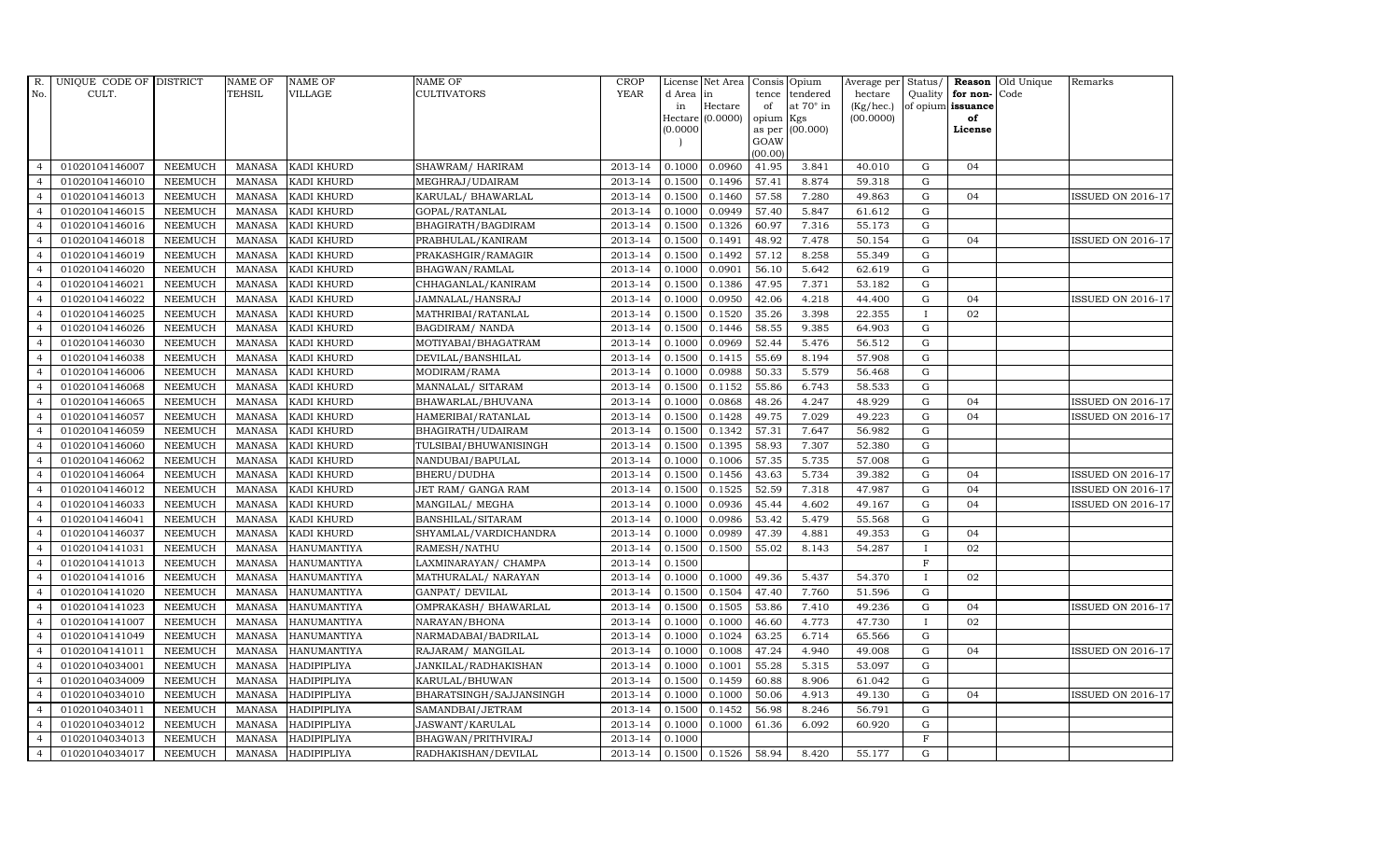| R.             | UNIQUE CODE OF DISTRICT |                | <b>NAME OF</b> | <b>NAME OF</b>     | <b>NAME OF</b>          | CROP    |          | License Net Area   Consis   Opium |           |                  | Average per | Status/      | Reason            | Old Unique | Remarks                  |
|----------------|-------------------------|----------------|----------------|--------------------|-------------------------|---------|----------|-----------------------------------|-----------|------------------|-------------|--------------|-------------------|------------|--------------------------|
| No.            | CULT.                   |                | <b>TEHSIL</b>  | <b>VILLAGE</b>     | <b>CULTIVATORS</b>      | YEAR    | d Area   | in                                | tence     | tendered         | hectare     | Quality      | for non-          | Code       |                          |
|                |                         |                |                |                    |                         |         | in       | Hectare                           | of        | at $70^\circ$ in | (Kg/hec.)   |              | of opium issuance |            |                          |
|                |                         |                |                |                    |                         |         |          | Hectare (0.0000)                  | opium Kgs |                  | (00.0000)   |              | of<br>License     |            |                          |
|                |                         |                |                |                    |                         |         | (0.0000) |                                   | GOAW      | as per (00.000)  |             |              |                   |            |                          |
|                |                         |                |                |                    |                         |         |          |                                   | (00.00)   |                  |             |              |                   |            |                          |
| $\overline{4}$ | 01020104146007          | <b>NEEMUCH</b> | MANASA         | <b>KADI KHURD</b>  | SHAWRAM/HARIRAM         | 2013-14 | 0.1000   | 0.0960                            | 41.95     | 3.841            | 40.010      | ${\rm G}$    | 04                |            |                          |
| $\overline{a}$ | 01020104146010          | <b>NEEMUCH</b> | MANASA         | <b>KADI KHURD</b>  | MEGHRAJ/UDAIRAM         | 2013-14 | 0.1500   | 0.1496                            | 57.41     | 8.874            | 59.318      | $\mathbf G$  |                   |            |                          |
| $\overline{4}$ | 01020104146013          | <b>NEEMUCH</b> | <b>MANASA</b>  | <b>KADI KHURD</b>  | KARULAL/ BHAWARLAL      | 2013-14 | 0.1500   | 0.1460                            | 57.58     | 7.280            | 49.863      | G            | 04                |            | <b>ISSUED ON 2016-17</b> |
|                | 01020104146015          | <b>NEEMUCH</b> | MANASA         | KADI KHURD         | GOPAL/RATANLAL          | 2013-14 | 0.1000   | 0.0949                            | 57.40     | 5.847            | 61.612      | $\mathbf G$  |                   |            |                          |
| $\overline{4}$ | 01020104146016          | <b>NEEMUCH</b> | <b>MANASA</b>  | KADI KHURD         | BHAGIRATH/BAGDIRAM      | 2013-14 | 0.1500   | 0.1326                            | 60.97     | 7.316            | 55.173      | ${\rm G}$    |                   |            |                          |
| $\overline{4}$ | 01020104146018          | <b>NEEMUCH</b> | MANASA         | KADI KHURD         | PRABHULAL/KANIRAM       | 2013-14 | 0.1500   | 0.1491                            | 48.92     | 7.478            | 50.154      | ${\rm G}$    | 04                |            | <b>ISSUED ON 2016-17</b> |
| $\overline{4}$ | 01020104146019          | <b>NEEMUCH</b> | <b>MANASA</b>  | KADI KHURD         | PRAKASHGIR/RAMAGIR      | 2013-14 | 0.1500   | 0.1492                            | 57.12     | 8.258            | 55.349      | $\mathbf G$  |                   |            |                          |
| $\overline{4}$ | 01020104146020          | <b>NEEMUCH</b> | <b>MANASA</b>  | KADI KHURD         | BHAGWAN/RAMLAL          | 2013-14 | 0.1000   | 0.0901                            | 56.10     | 5.642            | 62.619      | $\mathbf G$  |                   |            |                          |
|                | 01020104146021          | <b>NEEMUCH</b> | <b>MANASA</b>  | <b>KADI KHURD</b>  | CHHAGANLAL/KANIRAM      | 2013-14 | 0.1500   | 0.1386                            | 47.95     | 7.371            | 53.182      | $\mathbf G$  |                   |            |                          |
| $\overline{4}$ | 01020104146022          | <b>NEEMUCH</b> | <b>MANASA</b>  | KADI KHURD         | JAMNALAL/HANSRAJ        | 2013-14 | 0.1000   | 0.0950                            | 42.06     | 4.218            | 44.400      | $\mathbf G$  | 04                |            | ISSUED ON 2016-17        |
| $\overline{4}$ | 01020104146025          | <b>NEEMUCH</b> | <b>MANASA</b>  | <b>KADI KHURD</b>  | MATHRIBAI/RATANLAL      | 2013-14 | 0.1500   | 0.1520                            | 35.26     | 3.398            | 22.355      | $\mathbf{I}$ | 02                |            |                          |
| $\overline{4}$ | 01020104146026          | <b>NEEMUCH</b> | <b>MANASA</b>  | <b>KADI KHURD</b>  | <b>BAGDIRAM/ NANDA</b>  | 2013-14 | 0.1500   | 0.1446                            | 58.55     | 9.385            | 64.903      | ${\rm G}$    |                   |            |                          |
| $\overline{4}$ | 01020104146030          | <b>NEEMUCH</b> | <b>MANASA</b>  | KADI KHURD         | MOTIYABAI/BHAGATRAM     | 2013-14 | 0.1000   | 0.0969                            | 52.44     | 5.476            | 56.512      | $\mathbf G$  |                   |            |                          |
| $\overline{4}$ | 01020104146038          | <b>NEEMUCH</b> | <b>MANASA</b>  | <b>KADI KHURD</b>  | DEVILAL/BANSHILAL       | 2013-14 | 0.1500   | 0.1415                            | 55.69     | 8.194            | 57.908      | $\mathbf G$  |                   |            |                          |
| $\overline{4}$ | 01020104146006          | <b>NEEMUCH</b> | <b>MANASA</b>  | <b>KADI KHURD</b>  | MODIRAM/RAMA            | 2013-14 | 0.1000   | 0.0988                            | 50.33     | 5.579            | 56.468      | G            |                   |            |                          |
| $\overline{4}$ | 01020104146068          | <b>NEEMUCH</b> | <b>MANASA</b>  | KADI KHURD         | MANNALAL/ SITARAM       | 2013-14 | 0.1500   | 0.1152                            | 55.86     | 6.743            | 58.533      | ${\rm G}$    |                   |            |                          |
| $\overline{4}$ | 01020104146065          | <b>NEEMUCH</b> | <b>MANASA</b>  | KADI KHURD         | BHAWARLAL/BHUVANA       | 2013-14 | 0.1000   | 0.0868                            | 48.26     | 4.247            | 48.929      | $\mathbf G$  | 04                |            | <b>ISSUED ON 2016-17</b> |
| $\overline{4}$ | 01020104146057          | <b>NEEMUCH</b> | MANASA         | KADI KHURD         | HAMERIBAI/RATANLAL      | 2013-14 | 0.1500   | 0.1428                            | 49.75     | 7.029            | 49.223      | G            | 04                |            | <b>ISSUED ON 2016-17</b> |
| $\overline{4}$ | 01020104146059          | <b>NEEMUCH</b> | <b>MANASA</b>  | <b>KADI KHURD</b>  | BHAGIRATH/UDAIRAM       | 2013-14 | 0.1500   | 0.1342                            | 57.31     | 7.647            | 56.982      | $\mathbf G$  |                   |            |                          |
| $\overline{4}$ | 01020104146060          | <b>NEEMUCH</b> | <b>MANASA</b>  | <b>KADI KHURD</b>  | TULSIBAI/BHUWANISINGH   | 2013-14 | 0.1500   | 0.1395                            | 58.93     | 7.307            | 52.380      | $\mathbf G$  |                   |            |                          |
| 4              | 01020104146062          | <b>NEEMUCH</b> | <b>MANASA</b>  | <b>KADI KHURD</b>  | NANDUBAI/BAPULAL        | 2013-14 | 0.1000   | 0.1006                            | 57.35     | 5.735            | 57.008      | ${\rm G}$    |                   |            |                          |
| $\overline{4}$ | 01020104146064          | <b>NEEMUCH</b> | <b>MANASA</b>  | KADI KHURD         | BHERU/DUDHA             | 2013-14 | 0.1500   | 0.1456                            | 43.63     | 5.734            | 39.382      | ${\rm G}$    | 04                |            | <b>ISSUED ON 2016-17</b> |
| $\overline{4}$ | 01020104146012          | <b>NEEMUCH</b> | MANASA         | <b>KADI KHURD</b>  | JET RAM/ GANGA RAM      | 2013-14 | 0.1500   | 0.1525                            | 52.59     | 7.318            | 47.987      | G            | 04                |            | ISSUED ON 2016-17        |
| $\overline{4}$ | 01020104146033          | <b>NEEMUCH</b> | <b>MANASA</b>  | <b>KADI KHURD</b>  | MANGILAL/ MEGHA         | 2013-14 | 0.1000   | 0.0936                            | 45.44     | 4.602            | 49.167      | $\mathbf G$  | 04                |            | <b>ISSUED ON 2016-17</b> |
| $\overline{4}$ | 01020104146041          | <b>NEEMUCH</b> | <b>MANASA</b>  | <b>KADI KHURD</b>  | BANSHILAL/SITARAM       | 2013-14 | 0.1000   | 0.0986                            | 53.42     | 5.479            | 55.568      | $\mathbf G$  |                   |            |                          |
| $\overline{4}$ | 01020104146037          | <b>NEEMUCH</b> | <b>MANASA</b>  | <b>KADI KHURD</b>  | SHYAMLAL/VARDICHANDRA   | 2013-14 | 0.1000   | 0.0989                            | 47.39     | 4.881            | 49.353      | G            | 04                |            |                          |
| $\overline{4}$ | 01020104141031          | <b>NEEMUCH</b> | <b>MANASA</b>  | <b>HANUMANTIYA</b> | RAMESH/NATHU            | 2013-14 | 0.1500   | 0.1500                            | 55.02     | 8.143            | 54.287      | $\mathbf{I}$ | 02                |            |                          |
| $\overline{4}$ | 01020104141013          | <b>NEEMUCH</b> | MANASA         | <b>HANUMANTIYA</b> | LAXMINARAYAN / CHAMPA   | 2013-14 | 0.1500   |                                   |           |                  |             | $\mathbf F$  |                   |            |                          |
| $\overline{4}$ | 01020104141016          | <b>NEEMUCH</b> | <b>MANASA</b>  | <b>HANUMANTIYA</b> | MATHURALAL/ NARAYAN     | 2013-14 | 0.1000   | 0.1000                            | 49.36     | 5.437            | 54.370      | $\mathbf{I}$ | 02                |            |                          |
| $\overline{4}$ | 01020104141020          | <b>NEEMUCH</b> | <b>MANASA</b>  | <b>HANUMANTIYA</b> | GANPAT/ DEVILAL         | 2013-14 | 0.1500   | 0.1504                            | 47.40     | 7.760            | 51.596      | $\mathbf G$  |                   |            |                          |
| $\overline{4}$ | 01020104141023          | <b>NEEMUCH</b> | <b>MANASA</b>  | HANUMANTIYA        | OMPRAKASH / BHAWARLAL   | 2013-14 | 0.1500   | 0.1505                            | 53.86     | 7.410            | 49.236      | G            | 04                |            | <b>ISSUED ON 2016-17</b> |
| $\overline{4}$ | 01020104141007          | <b>NEEMUCH</b> | <b>MANASA</b>  | <b>HANUMANTIYA</b> | NARAYAN/BHONA           | 2013-14 | 0.1000   | 0.1000                            | 46.60     | 4.773            | 47.730      | $\mathbf{I}$ | 02                |            |                          |
| $\overline{4}$ | 01020104141049          | <b>NEEMUCH</b> | <b>MANASA</b>  | HANUMANTIYA        | NARMADABAI/BADRILAL     | 2013-14 | 0.1000   | 0.1024                            | 63.25     | 6.714            | 65.566      | $\mathbf G$  |                   |            |                          |
| $\overline{4}$ | 01020104141011          | <b>NEEMUCH</b> | <b>MANASA</b>  | <b>HANUMANTIYA</b> | RAJARAM / MANGILAL      | 2013-14 | 0.1000   | 0.1008                            | 47.24     | 4.940            | 49.008      | $\mathbf G$  | 04                |            | <b>ISSUED ON 2016-17</b> |
| $\overline{4}$ | 01020104034001          | <b>NEEMUCH</b> | <b>MANASA</b>  | <b>HADIPIPLIYA</b> | JANKILAL/RADHAKISHAN    | 2013-14 | 0.1000   | 0.1001                            | 55.28     | 5.315            | 53.097      | $\mathbf G$  |                   |            |                          |
| $\overline{4}$ | 01020104034009          | <b>NEEMUCH</b> | <b>MANASA</b>  | HADIPIPLIYA        | KARULAL/BHUWAN          | 2013-14 | 0.1500   | 0.1459                            | 60.88     | 8.906            | 61.042      | $\mathbf G$  |                   |            |                          |
| $\overline{4}$ | 01020104034010          | <b>NEEMUCH</b> | <b>MANASA</b>  | HADIPIPLIYA        | BHARATSINGH/SAJJANSINGH | 2013-14 | 0.1000   | 0.1000                            | 50.06     | 4.913            | 49.130      | ${\rm G}$    | 04                |            | <b>ISSUED ON 2016-17</b> |
| $\overline{4}$ | 01020104034011          | <b>NEEMUCH</b> | <b>MANASA</b>  | HADIPIPLIYA        | SAMANDBAI/JETRAM        | 2013-14 | 0.1500   | 0.1452                            | 56.98     | 8.246            | 56.791      | $\mathbf G$  |                   |            |                          |
| $\overline{4}$ | 01020104034012          | <b>NEEMUCH</b> | <b>MANASA</b>  | HADIPIPLIYA        | JASWANT/KARULAL         | 2013-14 | 0.1000   | 0.1000                            | 61.36     | 6.092            | 60.920      | $\mathbf G$  |                   |            |                          |
| $\overline{4}$ | 01020104034013          | <b>NEEMUCH</b> | <b>MANASA</b>  | <b>HADIPIPLIYA</b> | BHAGWAN/PRITHVIRAJ      | 2013-14 | 0.1000   |                                   |           |                  |             | $\mathbf F$  |                   |            |                          |
| $\overline{4}$ | 01020104034017          | <b>NEEMUCH</b> |                | MANASA HADIPIPLIYA | RADHAKISHAN/DEVILAL     | 2013-14 | 0.1500   | 0.1526                            | 58.94     | 8.420            | 55.177      | $\mathbf G$  |                   |            |                          |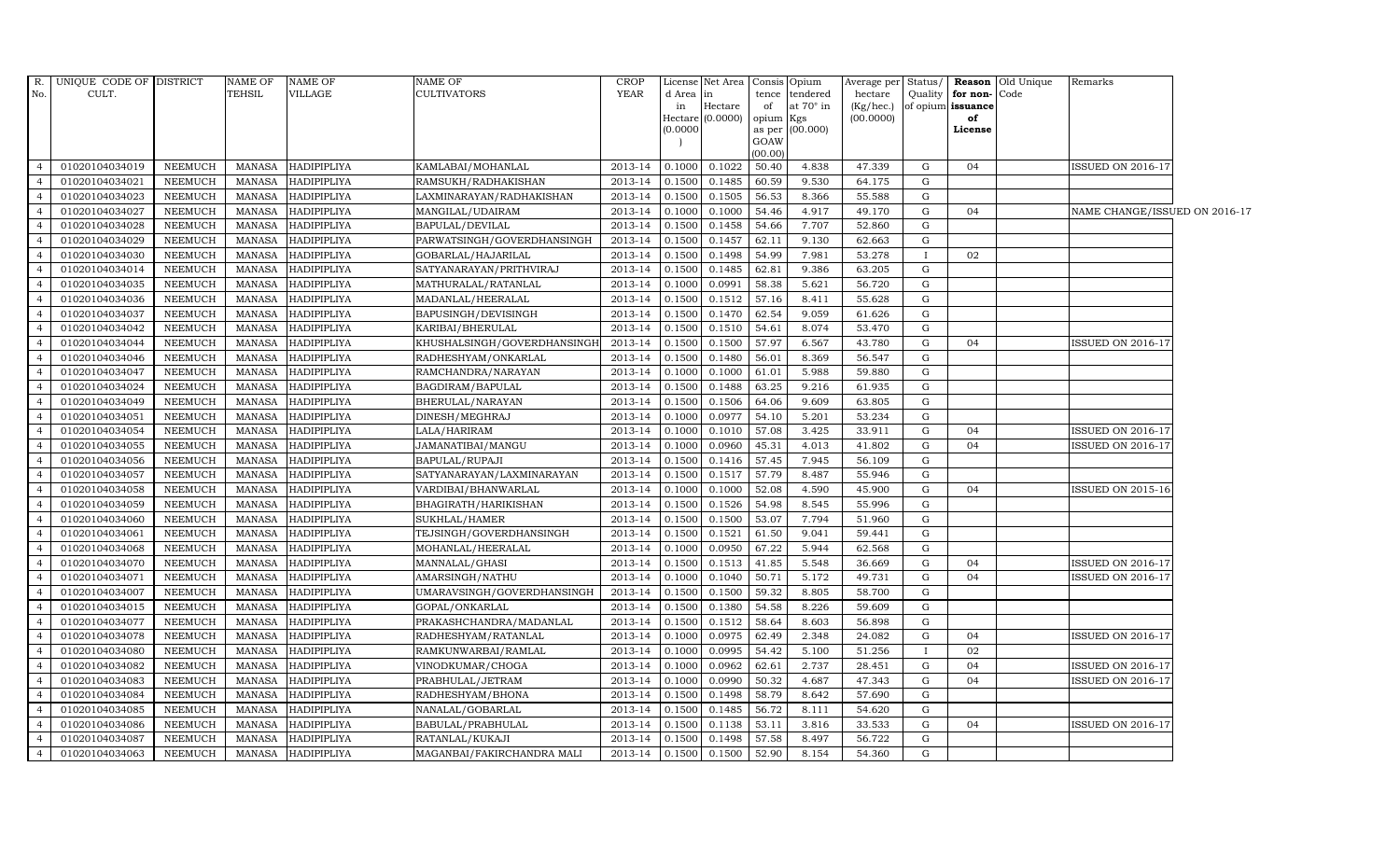| R.             | UNIQUE CODE OF DISTRICT |                 | <b>NAME OF</b> | NAME OF            | NAME OF                     | <b>CROP</b> |           | License Net Area   |                     | Consis Opium     | Average per  | Status/ |                   | <b>Reason</b> Old Unique | Remarks                       |  |
|----------------|-------------------------|-----------------|----------------|--------------------|-----------------------------|-------------|-----------|--------------------|---------------------|------------------|--------------|---------|-------------------|--------------------------|-------------------------------|--|
| No.            | CULT.                   |                 | <b>TEHSIL</b>  | VILLAGE            | <b>CULTIVATORS</b>          | YEAR        | d Area in |                    |                     | tence tendered   | hectare      | Quality | for non-          | Code                     |                               |  |
|                |                         |                 |                |                    |                             |             | in        | Hectare            | of                  | at $70^\circ$ in | $(Kg/$ hec.) |         | of opium issuance |                          |                               |  |
|                |                         |                 |                |                    |                             |             | (0.0000)  | Hectare $(0.0000)$ | opium Kgs<br>as per | (00.000)         | (00.0000)    |         | of<br>License     |                          |                               |  |
|                |                         |                 |                |                    |                             |             |           |                    | GOAW                |                  |              |         |                   |                          |                               |  |
|                |                         |                 |                |                    |                             |             |           |                    | (00.00)             |                  |              |         |                   |                          |                               |  |
| $\overline{4}$ | 01020104034019          | NEEMUCH         | MANASA         | <b>HADIPIPLIYA</b> | KAMLABAI/MOHANLAL           | 2013-14     | 0.1000    | 0.1022             | 50.40               | 4.838            | 47.339       | G       | 04                |                          | <b>ISSUED ON 2016-17</b>      |  |
| $\overline{4}$ | 01020104034021          | NEEMUCH         | <b>MANASA</b>  | <b>HADIPIPLIYA</b> | RAMSUKH/RADHAKISHAN         | 2013-14     | 0.1500    | 0.1485             | 60.59               | 9.530            | 64.175       | G       |                   |                          |                               |  |
| $\overline{4}$ | 01020104034023          | <b>NEEMUCH</b>  | <b>MANASA</b>  | <b>HADIPIPLIYA</b> | LAXMINARAYAN/RADHAKISHAN    | 2013-14     | 0.1500    | 0.1505             | 56.53               | 8.366            | 55.588       | G       |                   |                          |                               |  |
| $\overline{4}$ | 01020104034027          | <b>NEEMUCH</b>  | <b>MANASA</b>  | <b>HADIPIPLIYA</b> | MANGILAL/UDAIRAM            | 2013-14     | 0.1000    | 0.1000             | 54.46               | 4.917            | 49.170       | G       | 04                |                          | NAME CHANGE/ISSUED ON 2016-17 |  |
| $\overline{4}$ | 01020104034028          | NEEMUCH         | <b>MANASA</b>  | HADIPIPLIYA        | BAPULAL/DEVILAL             | 2013-14     | 0.1500    | 0.1458             | 54.66               | 7.707            | 52.860       | G       |                   |                          |                               |  |
| $\overline{4}$ | 01020104034029          | NEEMUCH         | <b>MANASA</b>  | <b>HADIPIPLIYA</b> | PARWATSINGH/GOVERDHANSINGH  | 2013-14     | 0.1500    | 0.1457             | 62.11               | 9.130            | 62.663       | G       |                   |                          |                               |  |
| $\overline{4}$ | 01020104034030          | <b>NEEMUCH</b>  | <b>MANASA</b>  | <b>HADIPIPLIYA</b> | GOBARLAL/HAJARILAL          | 2013-14     | 0.1500    | 0.1498             | 54.99               | 7.981            | 53.278       |         | 02                |                          |                               |  |
| $\overline{4}$ | 01020104034014          | NEEMUCH         | <b>MANASA</b>  | HADIPIPLIYA        | SATYANARAYAN/PRITHVIRAJ     | 2013-14     | 0.1500    | 0.1485             | 62.81               | 9.386            | 63.205       | G       |                   |                          |                               |  |
|                | 01020104034035          | <b>NEEMUCH</b>  | <b>MANASA</b>  | HADIPIPLIYA        | MATHURALAL/RATANLAL         | 2013-14     | 0.1000    | 0.0991             | 58.38               | 5.621            | 56.720       | G       |                   |                          |                               |  |
| $\overline{4}$ | 01020104034036          | NEEMUCH         | <b>MANASA</b>  | HADIPIPLIYA        | MADANLAL/HEERALAL           | 2013-14     | 0.1500    | 0.1512             | 57.16               | 8.411            | 55.628       | G       |                   |                          |                               |  |
| $\overline{4}$ | 01020104034037          | NEEMUCH         | <b>MANASA</b>  | HADIPIPLIYA        | BAPUSINGH/DEVISINGH         | 2013-14     | 0.1500    | 0.1470             | 62.54               | 9.059            | 61.626       | G       |                   |                          |                               |  |
| $\overline{4}$ | 01020104034042          | NEEMUCH         | <b>MANASA</b>  | <b>HADIPIPLIYA</b> | KARIBAI/BHERULAL            | 2013-14     | 0.1500    | 0.1510             | 54.61               | 8.074            | 53.470       | G       |                   |                          |                               |  |
| $\overline{4}$ | 01020104034044          | NEEMUCH         | <b>MANASA</b>  | <b>HADIPIPLIYA</b> | KHUSHALSINGH/GOVERDHANSINGH | 2013-14     | 0.1500    | 0.1500             | 57.97               | 6.567            | 43.780       | G       | 04                |                          | <b>ISSUED ON 2016-17</b>      |  |
|                | 01020104034046          | NEEMUCH         | <b>MANASA</b>  | <b>HADIPIPLIYA</b> | RADHESHYAM/ONKARLAL         | 2013-14     | 0.1500    | 0.1480             | 56.01               | 8.369            | 56.547       | G       |                   |                          |                               |  |
| $\overline{4}$ | 01020104034047          | <b>NEEMUCH</b>  | <b>MANASA</b>  | <b>HADIPIPLIYA</b> | RAMCHANDRA/NARAYAN          | 2013-14     | 0.1000    | 0.1000             | 61.01               | 5.988            | 59.880       | G       |                   |                          |                               |  |
| $\overline{4}$ | 01020104034024          | <b>NEEMUCH</b>  | <b>MANASA</b>  | HADIPIPLIYA        | BAGDIRAM/BAPULAL            | 2013-14     | 0.1500    | 0.1488             | 63.25               | 9.216            | 61.935       | G       |                   |                          |                               |  |
| $\overline{4}$ | 01020104034049          | NEEMUCH         | <b>MANASA</b>  | <b>HADIPIPLIYA</b> | BHERULAL/NARAYAN            | 2013-14     | 0.1500    | 0.1506             | 64.06               | 9.609            | 63.805       | G       |                   |                          |                               |  |
| $\overline{4}$ | 01020104034051          | NEEMUCH         | <b>MANASA</b>  | <b>HADIPIPLIYA</b> | DINESH/MEGHRAJ              | 2013-14     | 0.1000    | 0.0977             | 54.10               | 5.201            | 53.234       | G       |                   |                          |                               |  |
| $\overline{4}$ | 01020104034054          | <b>NEEMUCH</b>  | <b>MANASA</b>  | <b>HADIPIPLIYA</b> | LALA/HARIRAM                | 2013-14     | 0.1000    | 0.1010             | 57.08               | 3.425            | 33.911       | G       | 04                |                          | <b>ISSUED ON 2016-17</b>      |  |
| $\overline{4}$ | 01020104034055          | NEEMUCH         | <b>MANASA</b>  | <b>HADIPIPLIYA</b> | JAMANATIBAI/MANGU           | 2013-14     | 0.1000    | 0.0960             | 45.31               | 4.013            | 41.802       | G       | 04                |                          | <b>ISSUED ON 2016-17</b>      |  |
| $\overline{4}$ | 01020104034056          | <b>NEEMUCH</b>  | <b>MANASA</b>  | <b>HADIPIPLIYA</b> | BAPULAL/RUPAJI              | 2013-14     | 0.1500    | 0.1416             | 57.45               | 7.945            | 56.109       | G       |                   |                          |                               |  |
| $\overline{4}$ | 01020104034057          | NEEMUCH         | <b>MANASA</b>  | HADIPIPLIYA        | SATYANARAYAN/LAXMINARAYAN   | 2013-14     | 0.1500    | 0.1517             | 57.79               | 8.487            | 55.946       | G       |                   |                          |                               |  |
| $\overline{4}$ | 01020104034058          | NEEMUCH         | <b>MANASA</b>  | <b>HADIPIPLIYA</b> | VARDIBAI/BHANWARLAL         | 2013-14     | 0.1000    | 0.1000             | 52.08               | 4.590            | 45.900       | G       | 04                |                          | <b>ISSUED ON 2015-16</b>      |  |
| $\overline{4}$ | 01020104034059          | <b>NEEMUCH</b>  | <b>MANASA</b>  | <b>HADIPIPLIYA</b> | BHAGIRATH/HARIKISHAN        | 2013-14     | 0.1500    | 0.1526             | 54.98               | 8.545            | 55.996       | G       |                   |                          |                               |  |
|                | 01020104034060          | NEEMUCH         | <b>MANASA</b>  | HADIPIPLIYA        | SUKHLAL/HAMER               | 2013-14     | 0.1500    | 0.1500             | 53.07               | 7.794            | 51.960       | G       |                   |                          |                               |  |
| $\overline{4}$ | 01020104034061          | NEEMUCH         | <b>MANASA</b>  | HADIPIPLIYA        | TEJSINGH/GOVERDHANSINGH     | 2013-14     | 0.1500    | 0.1521             | 61.50               | 9.041            | 59.441       | G       |                   |                          |                               |  |
| $\overline{4}$ | 01020104034068          | <b>NEEMUCH</b>  | <b>MANASA</b>  | HADIPIPLIYA        | MOHANLAL/HEERALAL           | 2013-14     | 0.1000    | 0.0950             | 67.22               | 5.944            | 62.568       | G       |                   |                          |                               |  |
| $\overline{4}$ | 01020104034070          | NEEMUCH         | <b>MANASA</b>  | <b>HADIPIPLIYA</b> | MANNALAL/GHASI              | 2013-14     | 0.1500    | 0.1513             | 41.85               | 5.548            | 36.669       | G       | 04                |                          | <b>ISSUED ON 2016-17</b>      |  |
| $\overline{4}$ | 01020104034071          | NEEMUCH         | <b>MANASA</b>  | <b>HADIPIPLIYA</b> | AMARSINGH/NATHU             | 2013-14     | 0.1000    | 0.1040             | 50.71               | 5.172            | 49.731       | G       | 04                |                          | <b>ISSUED ON 2016-17</b>      |  |
|                | 01020104034007          | NEEMUCH         | <b>MANASA</b>  | <b>HADIPIPLIYA</b> | UMARAVSINGH/GOVERDHANSINGH  | 2013-14     | 0.1500    | 0.1500             | 59.32               | 8.805            | 58.700       | G       |                   |                          |                               |  |
| $\overline{4}$ | 01020104034015          | NEEMUCH         | <b>MANASA</b>  | <b>HADIPIPLIYA</b> | GOPAL/ONKARLAL              | 2013-14     | 0.1500    | 0.1380             | 54.58               | 8.226            | 59.609       | G       |                   |                          |                               |  |
| $\overline{4}$ | 01020104034077          | <b>NEEMUCH</b>  | <b>MANASA</b>  | <b>HADIPIPLIYA</b> | PRAKASHCHANDRA/MADANLAL     | 2013-14     | 0.1500    | 0.1512             | 58.64               | 8.603            | 56.898       | G       |                   |                          |                               |  |
| $\overline{4}$ | 01020104034078          | NEEMUCH         | <b>MANASA</b>  | HADIPIPLIYA        | RADHESHYAM/RATANLAL         | 2013-14     | 0.1000    | 0.0975             | 62.49               | 2.348            | 24.082       | G       | 04                |                          | <b>ISSUED ON 2016-17</b>      |  |
| $\overline{4}$ | 01020104034080          | NEEMUCH         | <b>MANASA</b>  | <b>HADIPIPLIYA</b> | RAMKUNWARBAI/RAMLAL         | 2013-14     | 0.1000    | 0.0995             | 54.42               | 5.100            | 51.256       |         | 02                |                          |                               |  |
|                | 01020104034082          | <b>NEEMUCH</b>  | <b>MANASA</b>  | <b>HADIPIPLIYA</b> | VINODKUMAR/CHOGA            | 2013-14     | 0.1000    | 0.0962             | 62.61               | 2.737            | 28.451       | G       | 04                |                          | <b>ISSUED ON 2016-17</b>      |  |
| $\overline{4}$ | 01020104034083          | ${\tt NEEMUCH}$ | <b>MANASA</b>  | HADIPIPLIYA        | PRABHULAL/JETRAM            | 2013-14     | 0.1000    | 0.0990             | 50.32               | 4.687            | 47.343       | G       | 04                |                          | <b>ISSUED ON 2016-17</b>      |  |
| $\overline{4}$ | 01020104034084          | NEEMUCH         | <b>MANASA</b>  | HADIPIPLIYA        | RADHESHYAM/BHONA            | 2013-14     | 0.1500    | 0.1498             | 58.79               | 8.642            | 57.690       | G       |                   |                          |                               |  |
| $\overline{4}$ | 01020104034085          | NEEMUCH         | <b>MANASA</b>  | HADIPIPLIYA        | NANALAL/GOBARLAL            | 2013-14     | 0.1500    | 0.1485             | 56.72               | 8.111            | 54.620       | G       |                   |                          |                               |  |
| $\overline{4}$ | 01020104034086          | <b>NEEMUCH</b>  | <b>MANASA</b>  | <b>HADIPIPLIYA</b> | BABULAL/PRABHULAL           | 2013-14     | 0.1500    | 0.1138             | 53.11               | 3.816            | 33.533       | G       | 04                |                          | <b>ISSUED ON 2016-17</b>      |  |
| $\overline{4}$ | 01020104034087          | <b>NEEMUCH</b>  | <b>MANASA</b>  | <b>HADIPIPLIYA</b> | RATANLAL/KUKAJI             | 2013-14     | 0.1500    | 0.1498             | 57.58               | 8.497            | 56.722       | G       |                   |                          |                               |  |
| $\overline{4}$ | 01020104034063          | NEEMUCH         | <b>MANASA</b>  | <b>HADIPIPLIYA</b> | MAGANBAI/FAKIRCHANDRA MALI  | 2013-14     | 0.1500    | 0.1500             | 52.90               | 8.154            | 54.360       | G       |                   |                          |                               |  |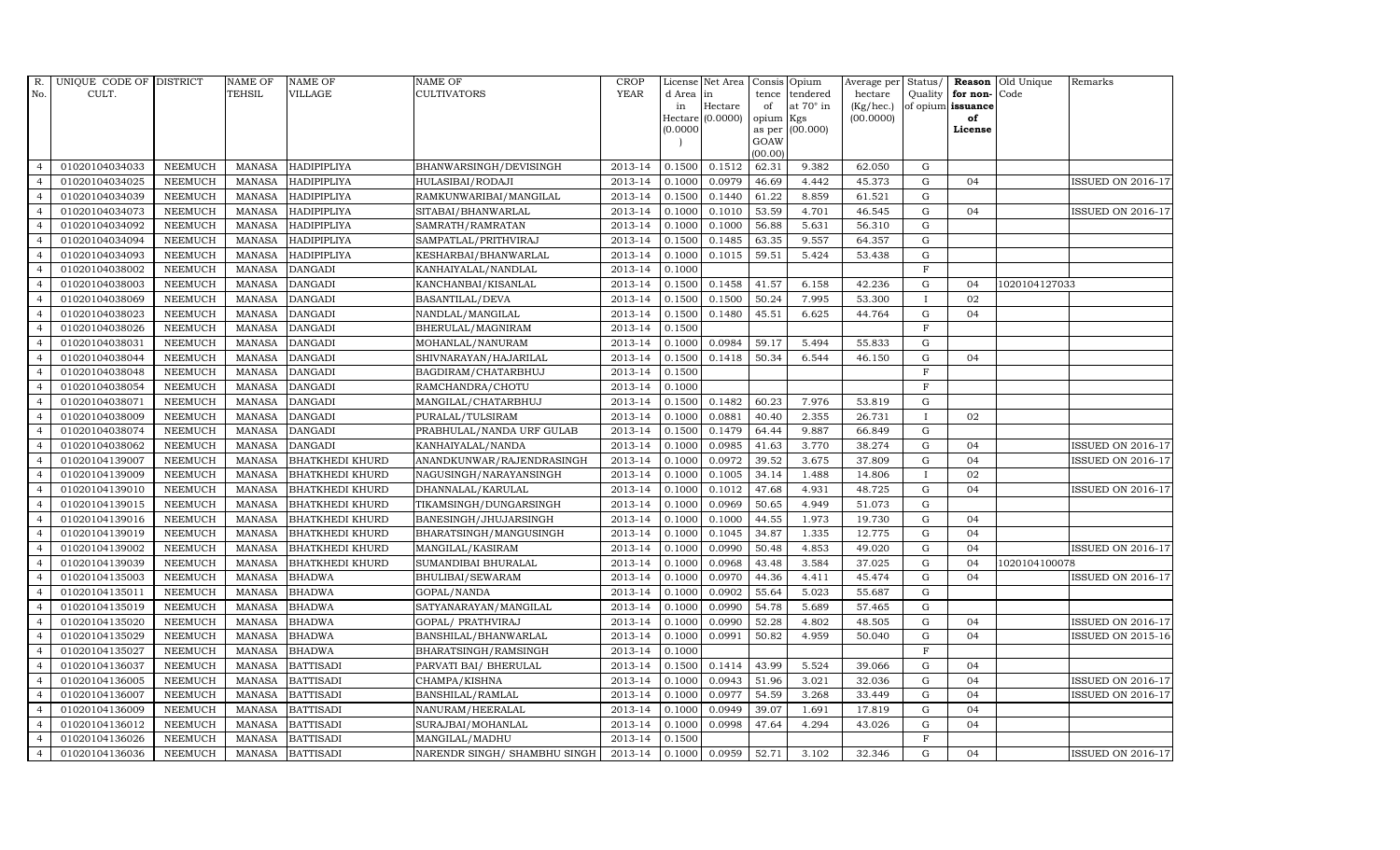| R.             | UNIQUE CODE OF DISTRICT |                | <b>NAME OF</b> | <b>NAME OF</b>         | <b>NAME OF</b>               | <b>CROP</b> |           | License Net Area   |           | Consis Opium     | Average per Status/ |                |                   | <b>Reason</b> Old Unique | Remarks                  |
|----------------|-------------------------|----------------|----------------|------------------------|------------------------------|-------------|-----------|--------------------|-----------|------------------|---------------------|----------------|-------------------|--------------------------|--------------------------|
| No.            | CULT.                   |                | <b>TEHSIL</b>  | <b>VILLAGE</b>         | <b>CULTIVATORS</b>           | <b>YEAR</b> | d Area in |                    |           | tence tendered   | hectare             | Quality        | for non-Code      |                          |                          |
|                |                         |                |                |                        |                              |             | in        | Hectare            | of        | at $70^\circ$ in | (Kg/hec.)           |                | of opium issuance |                          |                          |
|                |                         |                |                |                        |                              |             | 0.0000    | $Hectare (0.0000)$ | opium Kgs | as per (00.000)  | (00.0000)           |                | of<br>License     |                          |                          |
|                |                         |                |                |                        |                              |             |           |                    | GOAW      |                  |                     |                |                   |                          |                          |
|                |                         |                |                |                        |                              |             |           |                    | (00.00)   |                  |                     |                |                   |                          |                          |
| $\overline{4}$ | 01020104034033          | <b>NEEMUCH</b> | <b>MANASA</b>  | <b>HADIPIPLIYA</b>     | BHANWARSINGH/DEVISINGH       | 2013-14     | 0.1500    | 0.1512             | 62.31     | 9.382            | 62.050              | G              |                   |                          |                          |
| $\overline{4}$ | 01020104034025          | <b>NEEMUCH</b> | <b>MANASA</b>  | HADIPIPLIYA            | HULASIBAI/RODAJI             | 2013-14     | 0.1000    | 0.0979             | 46.69     | 4.442            | 45.373              | $\mathbf G$    | 04                |                          | <b>ISSUED ON 2016-17</b> |
| $\overline{4}$ | 01020104034039          | <b>NEEMUCH</b> | <b>MANASA</b>  | <b>HADIPIPLIYA</b>     | RAMKUNWARIBAI/MANGILAL       | 2013-14     | 0.1500    | 0.1440             | 61.22     | 8.859            | 61.521              | $\mathbf G$    |                   |                          |                          |
| $\overline{4}$ | 01020104034073          | <b>NEEMUCH</b> | <b>MANASA</b>  | <b>HADIPIPLIYA</b>     | SITABAI/BHANWARLAL           | 2013-14     | 0.1000    | 0.1010             | 53.59     | 4.701            | 46.545              | $\mathbf G$    | 04                |                          | <b>ISSUED ON 2016-17</b> |
| $\overline{4}$ | 01020104034092          | <b>NEEMUCH</b> | <b>MANASA</b>  | <b>HADIPIPLIYA</b>     | SAMRATH/RAMRATAN             | 2013-14     | 0.1000    | 0.1000             | 56.88     | 5.631            | 56.310              | G              |                   |                          |                          |
| $\overline{4}$ | 01020104034094          | <b>NEEMUCH</b> | <b>MANASA</b>  | HADIPIPLIYA            | SAMPATLAL/PRITHVIRAJ         | 2013-14     | 0.1500    | 0.1485             | 63.35     | 9.557            | 64.357              | $\mathbf G$    |                   |                          |                          |
| $\overline{4}$ | 01020104034093          | <b>NEEMUCH</b> | <b>MANASA</b>  | HADIPIPLIYA            | KESHARBAI/BHANWARLAL         | 2013-14     | 0.1000    | 0.1015             | 59.51     | 5.424            | 53.438              | $\mathbf G$    |                   |                          |                          |
| $\overline{4}$ | 01020104038002          | <b>NEEMUCH</b> | MANASA         | <b>DANGADI</b>         | KANHAIYALAL/NANDLAL          | 2013-14     | 0.1000    |                    |           |                  |                     | $\mathbf{F}$   |                   |                          |                          |
| $\overline{4}$ | 01020104038003          | <b>NEEMUCH</b> | <b>MANASA</b>  | <b>DANGADI</b>         | KANCHANBAI/KISANLAL          | 2013-14     | 0.1500    | 0.1458             | 41.57     | 6.158            | 42.236              | $\mathbf G$    | 04                | 1020104127033            |                          |
| $\overline{4}$ | 01020104038069          | <b>NEEMUCH</b> | <b>MANASA</b>  | <b>DANGADI</b>         | BASANTILAL/DEVA              | 2013-14     | 0.1500    | 0.1500             | 50.24     | 7.995            | 53.300              |                | 02                |                          |                          |
| $\overline{4}$ | 01020104038023          | <b>NEEMUCH</b> | <b>MANASA</b>  | <b>DANGADI</b>         | NANDLAL/MANGILAL             | 2013-14     | 0.1500    | 0.1480             | 45.51     | 6.625            | 44.764              | G              | 04                |                          |                          |
| $\overline{4}$ | 01020104038026          | <b>NEEMUCH</b> | MANASA         | <b>DANGADI</b>         | BHERULAL/MAGNIRAM            | 2013-14     | 0.1500    |                    |           |                  |                     | F              |                   |                          |                          |
| $\overline{4}$ | 01020104038031          | <b>NEEMUCH</b> | MANASA         | <b>DANGADI</b>         | MOHANLAL/NANURAM             | 2013-14     | 0.1000    | 0.0984             | 59.17     | 5.494            | 55.833              | $\mathbf G$    |                   |                          |                          |
| $\overline{4}$ | 01020104038044          | <b>NEEMUCH</b> | <b>MANASA</b>  | <b>DANGADI</b>         | SHIVNARAYAN/HAJARILAL        | 2013-14     | 0.1500    | 0.1418             | 50.34     | 6.544            | 46.150              | $\mathbf G$    | 04                |                          |                          |
| $\overline{4}$ | 01020104038048          | <b>NEEMUCH</b> | <b>MANASA</b>  | <b>DANGADI</b>         | BAGDIRAM/CHATARBHUJ          | 2013-14     | 0.1500    |                    |           |                  |                     | $\overline{F}$ |                   |                          |                          |
| $\overline{4}$ | 01020104038054          | <b>NEEMUCH</b> | <b>MANASA</b>  | <b>DANGADI</b>         | RAMCHANDRA/CHOTU             | 2013-14     | 0.1000    |                    |           |                  |                     | $\mathbf F$    |                   |                          |                          |
| $\overline{4}$ | 01020104038071          | <b>NEEMUCH</b> | <b>MANASA</b>  | <b>DANGADI</b>         | MANGILAL/CHATARBHUJ          | 2013-14     | 0.1500    | 0.1482             | 60.23     | 7.976            | 53.819              | $\mathbf G$    |                   |                          |                          |
| $\overline{4}$ | 01020104038009          | <b>NEEMUCH</b> | <b>MANASA</b>  | <b>DANGADI</b>         | PURALAL/TULSIRAM             | 2013-14     | 0.1000    | 0.0881             | 40.40     | 2.355            | 26.731              | $\mathbf{I}$   | 02                |                          |                          |
| $\overline{4}$ | 01020104038074          | <b>NEEMUCH</b> | <b>MANASA</b>  | <b>DANGADI</b>         | PRABHULAL/NANDA URF GULAB    | 2013-14     | 0.1500    | 0.1479             | 64.44     | 9.887            | 66.849              | ${\rm G}$      |                   |                          |                          |
| $\overline{4}$ | 01020104038062          | <b>NEEMUCH</b> | <b>MANASA</b>  | <b>DANGADI</b>         | KANHAIYALAL/NANDA            | 2013-14     | 0.1000    | 0.0985             | 41.63     | 3.770            | 38.274              | $\mathbf G$    | 04                |                          | <b>ISSUED ON 2016-17</b> |
| $\overline{4}$ | 01020104139007          | <b>NEEMUCH</b> | <b>MANASA</b>  | <b>BHATKHEDI KHURD</b> | ANANDKUNWAR/RAJENDRASINGH    | 2013-14     | 0.1000    | 0.0972             | 39.52     | 3.675            | 37.809              | ${\rm G}$      | 04                |                          | <b>ISSUED ON 2016-17</b> |
| $\overline{4}$ | 01020104139009          | <b>NEEMUCH</b> | <b>MANASA</b>  | <b>BHATKHEDI KHURD</b> | NAGUSINGH/NARAYANSINGH       | 2013-14     | 0.1000    | 0.1005             | 34.14     | 1.488            | 14.806              | $\mathbf{I}$   | 02                |                          |                          |
| $\overline{4}$ | 01020104139010          | <b>NEEMUCH</b> | <b>MANASA</b>  | <b>BHATKHEDI KHURD</b> | DHANNALAL/KARULAL            | 2013-14     | 0.1000    | 0.1012             | 47.68     | 4.931            | 48.725              | $\mathbf G$    | 04                |                          | <b>ISSUED ON 2016-17</b> |
| $\overline{4}$ | 01020104139015          | <b>NEEMUCH</b> | <b>MANASA</b>  | <b>BHATKHEDI KHURD</b> | TIKAMSINGH/DUNGARSINGH       | 2013-14     | 0.1000    | 0.0969             | 50.65     | 4.949            | 51.073              | $\mathbf G$    |                   |                          |                          |
| $\overline{4}$ | 01020104139016          | <b>NEEMUCH</b> | <b>MANASA</b>  | <b>BHATKHEDI KHURD</b> | BANESINGH/JHUJARSINGH        | 2013-14     | 0.1000    | 0.1000             | 44.55     | 1.973            | 19.730              | $\mathbf G$    | 04                |                          |                          |
| $\overline{4}$ | 01020104139019          | <b>NEEMUCH</b> | <b>MANASA</b>  | <b>BHATKHEDI KHURD</b> | BHARATSINGH/MANGUSINGH       | 2013-14     | 0.1000    | 0.1045             | 34.87     | 1.335            | 12.775              | ${\rm G}$      | 04                |                          |                          |
| $\overline{4}$ | 01020104139002          | <b>NEEMUCH</b> | <b>MANASA</b>  | <b>BHATKHEDI KHURD</b> | MANGILAL/KASIRAM             | 2013-14     | 0.1000    | 0.0990             | 50.48     | 4.853            | 49.020              | $\mathbf G$    | 04                |                          | <b>ISSUED ON 2016-17</b> |
| $\overline{4}$ | 01020104139039          | <b>NEEMUCH</b> | <b>MANASA</b>  | <b>BHATKHEDI KHURD</b> | SUMANDIBAI BHURALAL          | 2013-14     | 0.1000    | 0.0968             | 43.48     | 3.584            | 37.025              | $\mathbf G$    | 04                | 1020104100078            |                          |
| $\overline{4}$ | 01020104135003          | <b>NEEMUCH</b> | <b>MANASA</b>  | <b>BHADWA</b>          | <b>BHULIBAI/SEWARAM</b>      | 2013-14     | 0.1000    | 0.0970             | 44.36     | 4.411            | 45.474              | ${\rm G}$      | 04                |                          | <b>ISSUED ON 2016-17</b> |
| $\overline{4}$ | 01020104135011          | <b>NEEMUCH</b> | <b>MANASA</b>  | <b>BHADWA</b>          | GOPAL/NANDA                  | 2013-14     | 0.1000    | 0.0902             | 55.64     | 5.023            | 55.687              | G              |                   |                          |                          |
| $\overline{4}$ | 01020104135019          | <b>NEEMUCH</b> | <b>MANASA</b>  | <b>BHADWA</b>          | SATYANARAYAN/MANGILAL        | 2013-14     | 0.1000    | 0.0990             | 54.78     | 5.689            | 57.465              | $\mathbf G$    |                   |                          |                          |
| $\overline{4}$ | 01020104135020          | <b>NEEMUCH</b> | <b>MANASA</b>  | <b>BHADWA</b>          | GOPAL/ PRATHVIRAJ            | 2013-14     | 0.1000    | 0.0990             | 52.28     | 4.802            | 48.505              | ${\rm G}$      | 04                |                          | <b>ISSUED ON 2016-17</b> |
| $\overline{4}$ | 01020104135029          | <b>NEEMUCH</b> | MANASA         | <b>BHADWA</b>          | BANSHILAL/BHANWARLAL         | 2013-14     | 0.1000    | 0.0991             | 50.82     | 4.959            | 50.040              | $\mathbf G$    | 04                |                          | <b>ISSUED ON 2015-16</b> |
| $\overline{4}$ | 01020104135027          | <b>NEEMUCH</b> | <b>MANASA</b>  | <b>BHADWA</b>          | BHARATSINGH/RAMSINGH         | 2013-14     | 0.1000    |                    |           |                  |                     | $\mathbf{F}$   |                   |                          |                          |
|                | 01020104136037          | <b>NEEMUCH</b> | <b>MANASA</b>  | <b>BATTISADI</b>       | PARVATI BAI/ BHERULAL        | 2013-14     | 0.1500    | 0.1414             | 43.99     | 5.524            | 39.066              | G              | 04                |                          |                          |
| $\overline{4}$ | 01020104136005          | <b>NEEMUCH</b> | <b>MANASA</b>  | <b>BATTISADI</b>       | CHAMPA/KISHNA                | 2013-14     | 0.1000    | 0.0943             | 51.96     | 3.021            | 32.036              | ${\rm G}$      | 04                |                          | ISSUED ON 2016-17        |
| $\overline{4}$ | 01020104136007          | <b>NEEMUCH</b> | MANASA         | <b>BATTISADI</b>       | BANSHILAL/RAMLAL             | 2013-14     | 0.1000    | 0.0977             | 54.59     | 3.268            | 33.449              | $\mathbf G$    | 04                |                          | <b>ISSUED ON 2016-17</b> |
| $\overline{4}$ | 01020104136009          | <b>NEEMUCH</b> | MANASA         | <b>BATTISADI</b>       | NANURAM/HEERALAL             | 2013-14     | 0.1000    | 0.0949             | 39.07     | 1.691            | 17.819              | $\mathbf G$    | 04                |                          |                          |
| $\overline{4}$ | 01020104136012          | <b>NEEMUCH</b> | <b>MANASA</b>  | <b>BATTISADI</b>       | SURAJBAI/MOHANLAL            | 2013-14     | 0.1000    | 0.0998             | 47.64     | 4.294            | 43.026              | G              | 04                |                          |                          |
| $\overline{4}$ | 01020104136026          | <b>NEEMUCH</b> | <b>MANASA</b>  | <b>BATTISADI</b>       | MANGILAL/MADHU               | 2013-14     | 0.1500    |                    |           |                  |                     | F              |                   |                          |                          |
| $\overline{4}$ | 01020104136036          | <b>NEEMUCH</b> |                | MANASA BATTISADI       | NARENDR SINGH/ SHAMBHU SINGH | 2013-14     |           | $0.1000$ 0.0959    | 52.71     | 3.102            | 32.346              | G              | 04                |                          | <b>ISSUED ON 2016-17</b> |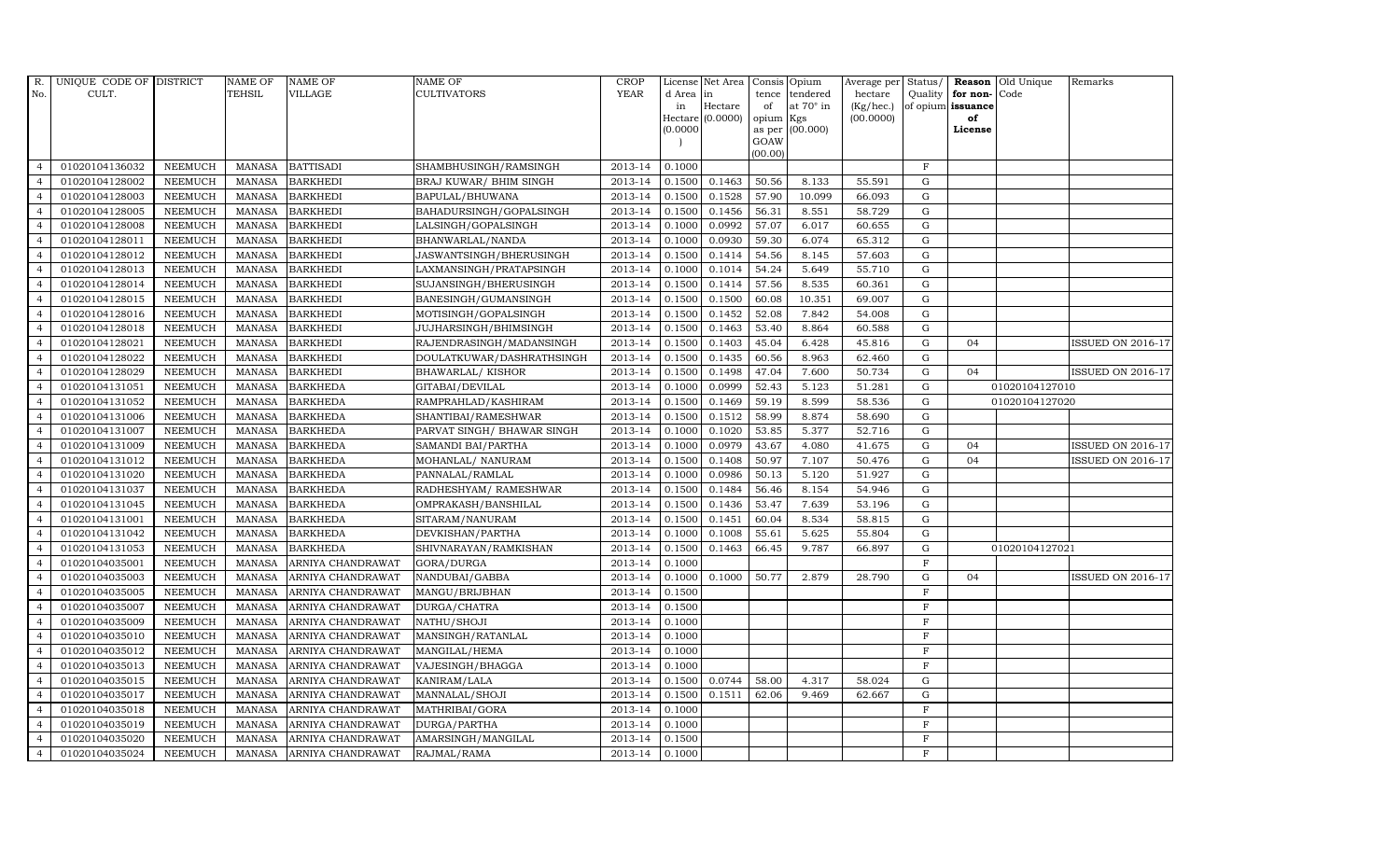| <b>TEHSIL</b><br><b>YEAR</b><br>CULT.<br><b>VILLAGE</b><br><b>CULTIVATORS</b><br>No.<br>d Area in<br>tence<br>tendered<br>hectare<br>Quality<br>for non-<br>at $70^\circ$ in<br>(Kg/hec.)<br>Hectare<br>of opium issuance<br>in<br>of<br>Hectare (0.0000)<br>(00.0000)<br>opium Kgs<br>of<br>as per (00.000)<br>(0.0000)<br>License<br>GOAW<br>(00.00)<br>$\mathbf F$<br>01020104136032<br><b>NEEMUCH</b><br><b>BATTISADI</b><br>2013-14<br>0.1000<br>$\overline{4}$<br>MANASA<br>SHAMBHUSINGH/RAMSINGH<br>01020104128002<br><b>BARKHEDI</b><br>2013-14<br>0.1463<br>50.56<br>$\mathbf G$<br><b>NEEMUCH</b><br>MANASA<br>BRAJ KUWAR/ BHIM SINGH<br>0.1500<br>8.133<br>55.591<br>$\overline{a}$<br><b>BARKHEDI</b><br>2013-14<br>0.1528<br>57.90<br>10.099<br>$\overline{4}$<br>01020104128003<br><b>NEEMUCH</b><br><b>MANASA</b><br>BAPULAL/BHUWANA<br>0.1500<br>66.093<br>G<br><b>BARKHEDI</b><br>56.31<br>8.551<br>58.729<br>$\mathbf G$<br>01020104128005<br><b>NEEMUCH</b><br><b>MANASA</b><br>BAHADURSINGH/GOPALSINGH<br>2013-14<br>0.1500<br>0.1456<br>57.07<br>${\rm G}$<br>01020104128008<br><b>NEEMUCH</b><br><b>MANASA</b><br><b>BARKHEDI</b><br>2013-14<br>0.1000<br>0.0992<br>6.017<br>60.655<br>LALSINGH/GOPALSINGH<br>$\overline{4}$ | Code                     |
|----------------------------------------------------------------------------------------------------------------------------------------------------------------------------------------------------------------------------------------------------------------------------------------------------------------------------------------------------------------------------------------------------------------------------------------------------------------------------------------------------------------------------------------------------------------------------------------------------------------------------------------------------------------------------------------------------------------------------------------------------------------------------------------------------------------------------------------------------------------------------------------------------------------------------------------------------------------------------------------------------------------------------------------------------------------------------------------------------------------------------------------------------------------------------------------------------------------------------------------------------|--------------------------|
|                                                                                                                                                                                                                                                                                                                                                                                                                                                                                                                                                                                                                                                                                                                                                                                                                                                                                                                                                                                                                                                                                                                                                                                                                                                    |                          |
|                                                                                                                                                                                                                                                                                                                                                                                                                                                                                                                                                                                                                                                                                                                                                                                                                                                                                                                                                                                                                                                                                                                                                                                                                                                    |                          |
|                                                                                                                                                                                                                                                                                                                                                                                                                                                                                                                                                                                                                                                                                                                                                                                                                                                                                                                                                                                                                                                                                                                                                                                                                                                    |                          |
|                                                                                                                                                                                                                                                                                                                                                                                                                                                                                                                                                                                                                                                                                                                                                                                                                                                                                                                                                                                                                                                                                                                                                                                                                                                    |                          |
|                                                                                                                                                                                                                                                                                                                                                                                                                                                                                                                                                                                                                                                                                                                                                                                                                                                                                                                                                                                                                                                                                                                                                                                                                                                    |                          |
|                                                                                                                                                                                                                                                                                                                                                                                                                                                                                                                                                                                                                                                                                                                                                                                                                                                                                                                                                                                                                                                                                                                                                                                                                                                    |                          |
|                                                                                                                                                                                                                                                                                                                                                                                                                                                                                                                                                                                                                                                                                                                                                                                                                                                                                                                                                                                                                                                                                                                                                                                                                                                    |                          |
|                                                                                                                                                                                                                                                                                                                                                                                                                                                                                                                                                                                                                                                                                                                                                                                                                                                                                                                                                                                                                                                                                                                                                                                                                                                    |                          |
|                                                                                                                                                                                                                                                                                                                                                                                                                                                                                                                                                                                                                                                                                                                                                                                                                                                                                                                                                                                                                                                                                                                                                                                                                                                    |                          |
|                                                                                                                                                                                                                                                                                                                                                                                                                                                                                                                                                                                                                                                                                                                                                                                                                                                                                                                                                                                                                                                                                                                                                                                                                                                    |                          |
| <b>NEEMUCH</b><br>2013-14<br>0.1000<br>0.0930<br>59.30<br>6.074<br>65.312<br>${\rm G}$<br>01020104128011<br>MANASA<br><b>BARKHEDI</b><br>BHANWARLAL/NANDA<br>$\overline{4}$                                                                                                                                                                                                                                                                                                                                                                                                                                                                                                                                                                                                                                                                                                                                                                                                                                                                                                                                                                                                                                                                        |                          |
| 01020104128012<br>2013-14<br>0.1414<br>54.56<br>$\mathbf G$<br><b>NEEMUCH</b><br><b>MANASA</b><br><b>BARKHEDI</b><br>JASWANTSINGH/BHERUSINGH<br>0.1500<br>8.145<br>57.603<br>$\overline{4}$                                                                                                                                                                                                                                                                                                                                                                                                                                                                                                                                                                                                                                                                                                                                                                                                                                                                                                                                                                                                                                                        |                          |
| 01020104128013<br><b>NEEMUCH</b><br><b>BARKHEDI</b><br>LAXMANSINGH/PRATAPSINGH<br>2013-14<br>0.1000<br>0.1014<br>54.24<br>5.649<br>55.710<br>$\mathbf G$<br>$\overline{4}$<br><b>MANASA</b>                                                                                                                                                                                                                                                                                                                                                                                                                                                                                                                                                                                                                                                                                                                                                                                                                                                                                                                                                                                                                                                        |                          |
| <b>NEEMUCH</b><br><b>MANASA</b><br><b>BARKHEDI</b><br>57.56<br>8.535<br>$\mathbf G$<br>01020104128014<br>SUJANSINGH/BHERUSINGH<br>2013-14<br>0.1500<br>0.1414<br>60.361<br>$\overline{4}$                                                                                                                                                                                                                                                                                                                                                                                                                                                                                                                                                                                                                                                                                                                                                                                                                                                                                                                                                                                                                                                          |                          |
| 0.1500<br>${\rm G}$<br>01020104128015<br><b>NEEMUCH</b><br><b>MANASA</b><br><b>BARKHEDI</b><br>2013-14<br>0.1500<br>60.08<br>10.351<br>69.007<br>$\overline{4}$<br>BANESINGH/GUMANSINGH                                                                                                                                                                                                                                                                                                                                                                                                                                                                                                                                                                                                                                                                                                                                                                                                                                                                                                                                                                                                                                                            |                          |
| 01020104128016<br><b>NEEMUCH</b><br><b>MANASA</b><br><b>BARKHEDI</b><br>2013-14<br>0.1500<br>0.1452<br>52.08<br>7.842<br>54.008<br>${\rm G}$<br>$\overline{4}$<br>MOTISINGH/GOPALSINGH                                                                                                                                                                                                                                                                                                                                                                                                                                                                                                                                                                                                                                                                                                                                                                                                                                                                                                                                                                                                                                                             |                          |
| 01020104128018<br><b>NEEMUCH</b><br><b>MANASA</b><br><b>BARKHEDI</b><br>2013-14<br>0.1500<br>0.1463<br>53.40<br>${\rm G}$<br>JUJHARSINGH/BHIMSINGH<br>8.864<br>60.588<br>$\overline{4}$                                                                                                                                                                                                                                                                                                                                                                                                                                                                                                                                                                                                                                                                                                                                                                                                                                                                                                                                                                                                                                                            |                          |
| 01020104128021<br><b>NEEMUCH</b><br><b>MANASA</b><br><b>BARKHEDI</b><br>2013-14<br>0.1500<br>0.1403<br>45.04<br>6.428<br>45.816<br>$\mathbf G$<br>$\overline{4}$<br>RAJENDRASINGH/MADANSINGH<br>04                                                                                                                                                                                                                                                                                                                                                                                                                                                                                                                                                                                                                                                                                                                                                                                                                                                                                                                                                                                                                                                 | <b>ISSUED ON 2016-17</b> |
| 01020104128022<br><b>NEEMUCH</b><br><b>MANASA</b><br><b>BARKHEDI</b><br>2013-14<br>0.1500<br>0.1435<br>60.56<br>8.963<br>62.460<br>G<br>DOULATKUWAR/DASHRATHSINGH<br>$\overline{4}$                                                                                                                                                                                                                                                                                                                                                                                                                                                                                                                                                                                                                                                                                                                                                                                                                                                                                                                                                                                                                                                                |                          |
| 01020104128029<br><b>NEEMUCH</b><br><b>MANASA</b><br><b>BARKHEDI</b><br>2013-14<br>0.1500<br>0.1498<br>47.04<br>7.600<br>50.734<br>G<br>BHAWARLAL/KISHOR<br>04<br>$\overline{4}$                                                                                                                                                                                                                                                                                                                                                                                                                                                                                                                                                                                                                                                                                                                                                                                                                                                                                                                                                                                                                                                                   | <b>ISSUED ON 2016-17</b> |
| 0.0999<br>01020104131051<br><b>NEEMUCH</b><br><b>MANASA</b><br><b>BARKHEDA</b><br>2013-14<br>0.1000<br>52.43<br>5.123<br>51.281<br>${\rm G}$<br>$\overline{4}$<br>GITABAI/DEVILAL                                                                                                                                                                                                                                                                                                                                                                                                                                                                                                                                                                                                                                                                                                                                                                                                                                                                                                                                                                                                                                                                  | 01020104127010           |
| 01020104131052<br><b>NEEMUCH</b><br><b>MANASA</b><br><b>BARKHEDA</b><br>RAMPRAHLAD/KASHIRAM<br>2013-14<br>0.1500<br>0.1469<br>59.19<br>8.599<br>58.536<br>${\rm G}$<br>$\overline{4}$                                                                                                                                                                                                                                                                                                                                                                                                                                                                                                                                                                                                                                                                                                                                                                                                                                                                                                                                                                                                                                                              | 01020104127020           |
| 01020104131006<br><b>NEEMUCH</b><br><b>MANASA</b><br><b>BARKHEDA</b><br>SHANTIBAI/RAMESHWAR<br>2013-14<br>0.1500<br>0.1512<br>58.99<br>8.874<br>58.690<br>G<br>$\overline{4}$                                                                                                                                                                                                                                                                                                                                                                                                                                                                                                                                                                                                                                                                                                                                                                                                                                                                                                                                                                                                                                                                      |                          |
| 01020104131007<br><b>NEEMUCH</b><br><b>MANASA</b><br><b>BARKHEDA</b><br>PARVAT SINGH/ BHAWAR SINGH<br>2013-14<br>0.1000<br>0.1020<br>53.85<br>5.377<br>52.716<br>$\mathbf G$<br>$\overline{4}$                                                                                                                                                                                                                                                                                                                                                                                                                                                                                                                                                                                                                                                                                                                                                                                                                                                                                                                                                                                                                                                     |                          |
| <b>MANASA</b><br>2013-14<br>0.0979<br>43.67<br>4.080<br>41.675<br>$\mathbf G$<br>$\overline{4}$<br>01020104131009<br><b>NEEMUCH</b><br><b>BARKHEDA</b><br>SAMANDI BAI/PARTHA<br>0.1000<br>04                                                                                                                                                                                                                                                                                                                                                                                                                                                                                                                                                                                                                                                                                                                                                                                                                                                                                                                                                                                                                                                       | <b>ISSUED ON 2016-17</b> |
| 0.1408<br>50.97<br>01020104131012<br><b>NEEMUCH</b><br><b>MANASA</b><br><b>BARKHEDA</b><br>MOHANLAL/ NANURAM<br>2013-14<br>0.1500<br>7.107<br>50.476<br>${\rm G}$<br>04<br>4                                                                                                                                                                                                                                                                                                                                                                                                                                                                                                                                                                                                                                                                                                                                                                                                                                                                                                                                                                                                                                                                       | <b>ISSUED ON 2016-17</b> |
| 01020104131020<br><b>NEEMUCH</b><br><b>MANASA</b><br><b>BARKHEDA</b><br>2013-14<br>0.1000<br>0.0986<br>50.13<br>5.120<br>51.927<br>${\rm G}$<br>$\overline{4}$<br>PANNALAL/RAMLAL                                                                                                                                                                                                                                                                                                                                                                                                                                                                                                                                                                                                                                                                                                                                                                                                                                                                                                                                                                                                                                                                  |                          |
| 2013-14<br>0.1484<br>$\overline{4}$<br>01020104131037<br><b>NEEMUCH</b><br><b>MANASA</b><br><b>BARKHEDA</b><br>RADHESHYAM / RAMESHWAR<br>0.1500<br>56.46<br>8.154<br>54.946<br>G                                                                                                                                                                                                                                                                                                                                                                                                                                                                                                                                                                                                                                                                                                                                                                                                                                                                                                                                                                                                                                                                   |                          |
| 01020104131045<br><b>BARKHEDA</b><br>2013-14<br>$\mathbf G$<br><b>NEEMUCH</b><br><b>MANASA</b><br>OMPRAKASH/BANSHILAL<br>0.1500<br>0.1436<br>53.47<br>7.639<br>53.196<br>$\overline{4}$                                                                                                                                                                                                                                                                                                                                                                                                                                                                                                                                                                                                                                                                                                                                                                                                                                                                                                                                                                                                                                                            |                          |
| 01020104131001<br><b>NEEMUCH</b><br><b>MANASA</b><br><b>BARKHEDA</b><br>2013-14<br>0.1451<br>60.04<br>8.534<br>${\rm G}$<br>SITARAM/NANURAM<br>0.1500<br>58.815<br>$\overline{4}$                                                                                                                                                                                                                                                                                                                                                                                                                                                                                                                                                                                                                                                                                                                                                                                                                                                                                                                                                                                                                                                                  |                          |
| 01020104131042<br><b>NEEMUCH</b><br><b>MANASA</b><br><b>BARKHEDA</b><br>2013-14<br>0.1000<br>0.1008<br>55.61<br>5.625<br>55.804<br>G<br>$\overline{4}$<br>DEVKISHAN/PARTHA                                                                                                                                                                                                                                                                                                                                                                                                                                                                                                                                                                                                                                                                                                                                                                                                                                                                                                                                                                                                                                                                         |                          |
| 01020104131053<br><b>NEEMUCH</b><br><b>MANASA</b><br><b>BARKHEDA</b><br>SHIVNARAYAN/RAMKISHAN<br>2013-14<br>0.1500<br>0.1463<br>66.45<br>9.787<br>66.897<br>${\rm G}$<br>$\overline{4}$                                                                                                                                                                                                                                                                                                                                                                                                                                                                                                                                                                                                                                                                                                                                                                                                                                                                                                                                                                                                                                                            | 01020104127021           |
| 01020104035001<br>2013-14<br>0.1000<br>$\mathbf F$<br>$\overline{4}$<br><b>NEEMUCH</b><br><b>MANASA</b><br>ARNIYA CHANDRAWAT<br>GORA/DURGA                                                                                                                                                                                                                                                                                                                                                                                                                                                                                                                                                                                                                                                                                                                                                                                                                                                                                                                                                                                                                                                                                                         |                          |
| 0.1000<br>50.77<br>01020104035003<br><b>NEEMUCH</b><br><b>MANASA</b><br>ARNIYA CHANDRAWAT<br>NANDUBAI/GABBA<br>2013-14<br>0.1000<br>2.879<br>28.790<br>$\mathbf G$<br>04<br>$\overline{4}$                                                                                                                                                                                                                                                                                                                                                                                                                                                                                                                                                                                                                                                                                                                                                                                                                                                                                                                                                                                                                                                         | <b>ISSUED ON 2016-17</b> |
| 01020104035005<br><b>NEEMUCH</b><br><b>MANASA</b><br>ARNIYA CHANDRAWAT<br>MANGU/BRIJBHAN<br>2013-14<br>0.1500<br>$\mathbf F$<br>$\overline{4}$                                                                                                                                                                                                                                                                                                                                                                                                                                                                                                                                                                                                                                                                                                                                                                                                                                                                                                                                                                                                                                                                                                     |                          |
| 01020104035007<br><b>NEEMUCH</b><br><b>MANASA</b><br>ARNIYA CHANDRAWAT<br>2013-14<br>0.1500<br>$\mathbf F$<br>$\overline{4}$<br>DURGA/CHATRA                                                                                                                                                                                                                                                                                                                                                                                                                                                                                                                                                                                                                                                                                                                                                                                                                                                                                                                                                                                                                                                                                                       |                          |
| 01020104035009<br><b>MANASA</b><br>2013-14<br>$\rm F$<br><b>NEEMUCH</b><br>ARNIYA CHANDRAWAT<br>NATHU/SHOJI<br>0.1000<br>$\overline{4}$                                                                                                                                                                                                                                                                                                                                                                                                                                                                                                                                                                                                                                                                                                                                                                                                                                                                                                                                                                                                                                                                                                            |                          |
| 01020104035010<br><b>NEEMUCH</b><br>2013-14<br>F<br>$\overline{4}$<br><b>MANASA</b><br>ARNIYA CHANDRAWAT<br>MANSINGH/RATANLAL<br>0.1000                                                                                                                                                                                                                                                                                                                                                                                                                                                                                                                                                                                                                                                                                                                                                                                                                                                                                                                                                                                                                                                                                                            |                          |
| 2013-14<br>$\mathbf F$<br>01020104035012<br><b>NEEMUCH</b><br><b>MANASA</b><br>ARNIYA CHANDRAWAT<br>MANGILAL/HEMA<br>0.1000<br>$\overline{4}$                                                                                                                                                                                                                                                                                                                                                                                                                                                                                                                                                                                                                                                                                                                                                                                                                                                                                                                                                                                                                                                                                                      |                          |
| 01020104035013<br><b>NEEMUCH</b><br><b>MANASA</b><br>VAJESINGH/BHAGGA<br>2013-14<br>$\mathbf F$<br>$\overline{4}$<br>ARNIYA CHANDRAWAT<br>0.1000                                                                                                                                                                                                                                                                                                                                                                                                                                                                                                                                                                                                                                                                                                                                                                                                                                                                                                                                                                                                                                                                                                   |                          |
| 58.00<br>01020104035015<br><b>NEEMUCH</b><br><b>MANASA</b><br>ARNIYA CHANDRAWAT<br>KANIRAM/LALA<br>2013-14<br>0.1500<br>0.0744<br>4.317<br>58.024<br>G<br>$\overline{4}$                                                                                                                                                                                                                                                                                                                                                                                                                                                                                                                                                                                                                                                                                                                                                                                                                                                                                                                                                                                                                                                                           |                          |
| 01020104035017<br>2013-14<br>0.1511<br>${\rm G}$<br><b>NEEMUCH</b><br><b>MANASA</b><br>ARNIYA CHANDRAWAT<br>MANNALAL/SHOJI<br>0.1500<br>62.06<br>9.469<br>62.667<br>$\overline{4}$                                                                                                                                                                                                                                                                                                                                                                                                                                                                                                                                                                                                                                                                                                                                                                                                                                                                                                                                                                                                                                                                 |                          |
| $\mathbf F$<br>01020104035018<br><b>NEEMUCH</b><br>2013-14<br>0.1000<br>$\overline{4}$<br><b>MANASA</b><br>ARNIYA CHANDRAWAT<br>MATHRIBAI/GORA                                                                                                                                                                                                                                                                                                                                                                                                                                                                                                                                                                                                                                                                                                                                                                                                                                                                                                                                                                                                                                                                                                     |                          |
| $\mathbf F$<br>01020104035019<br>2013-14<br>$\overline{4}$<br><b>NEEMUCH</b><br><b>MANASA</b><br>ARNIYA CHANDRAWAT<br>DURGA/PARTHA<br>0.1000                                                                                                                                                                                                                                                                                                                                                                                                                                                                                                                                                                                                                                                                                                                                                                                                                                                                                                                                                                                                                                                                                                       |                          |
| 01020104035020<br><b>NEEMUCH</b><br><b>MANASA</b><br>ARNIYA CHANDRAWAT<br>AMARSINGH/MANGILAL<br>2013-14<br>0.1500<br>$\mathbf F$<br>$\overline{4}$                                                                                                                                                                                                                                                                                                                                                                                                                                                                                                                                                                                                                                                                                                                                                                                                                                                                                                                                                                                                                                                                                                 |                          |
| 01020104035024<br><b>NEEMUCH</b><br>MANASA<br>2013-14<br>0.1000<br>F<br>$\overline{4}$<br>ARNIYA CHANDRAWAT<br>RAJMAL/RAMA                                                                                                                                                                                                                                                                                                                                                                                                                                                                                                                                                                                                                                                                                                                                                                                                                                                                                                                                                                                                                                                                                                                         |                          |